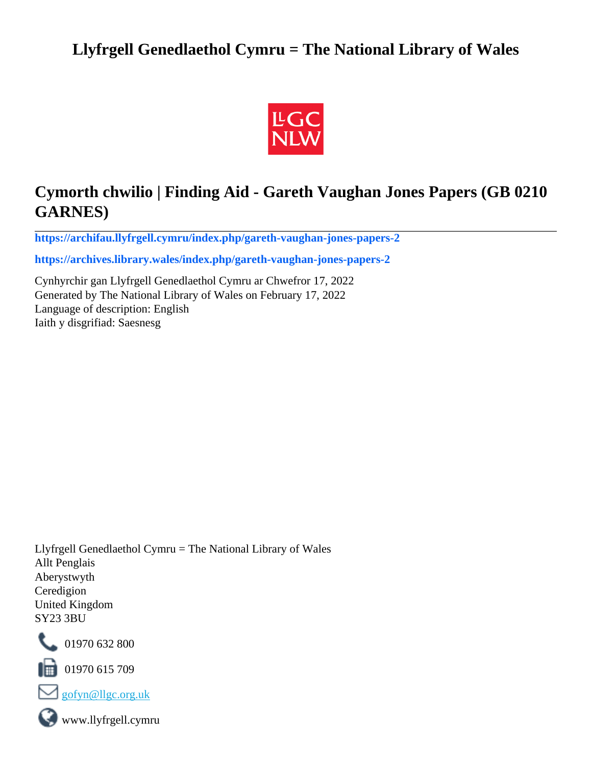# **Llyfrgell Genedlaethol Cymru = The National Library of Wales**



# **Cymorth chwilio | Finding Aid - Gareth Vaughan Jones Papers (GB 0210 GARNES)**

**[https://archifau.llyfrgell.cymru/index.php/gareth-vaughan-jones-papers-2](https://archifau.llyfrgell.cymru/index.php/gareth-vaughan-jones-papers-2;isad?sf_culture=cy)**

**[https://archives.library.wales/index.php/gareth-vaughan-jones-papers-2](https://archives.library.wales/index.php/gareth-vaughan-jones-papers-2;isad?sf_culture=en)**

Cynhyrchir gan Llyfrgell Genedlaethol Cymru ar Chwefror 17, 2022 Generated by The National Library of Wales on February 17, 2022 Language of description: English Iaith y disgrifiad: Saesnesg

Llyfrgell Genedlaethol Cymru = The National Library of Wales Allt Penglais Aberystwyth Ceredigion United Kingdom SY23 3BU



101970 632 800

 $\blacksquare$  01970 615 709



www.llyfrgell.cymru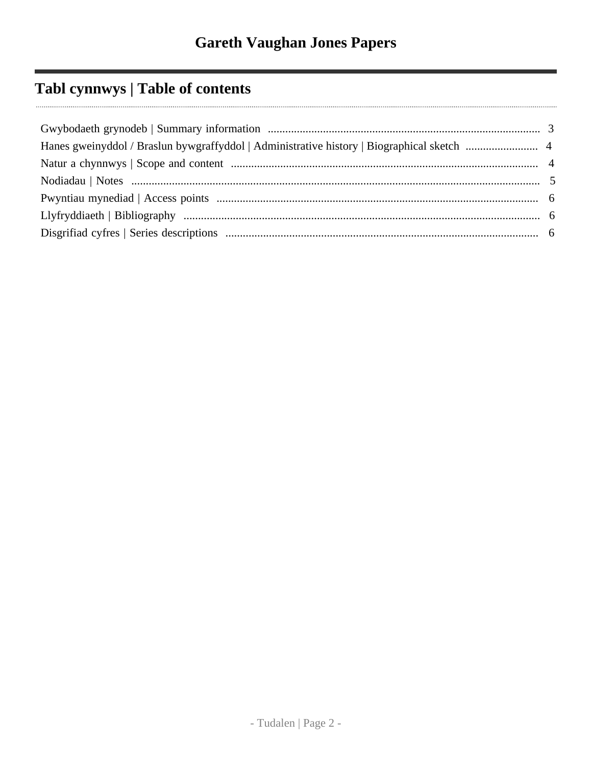# Tabl cynnwys | Table of contents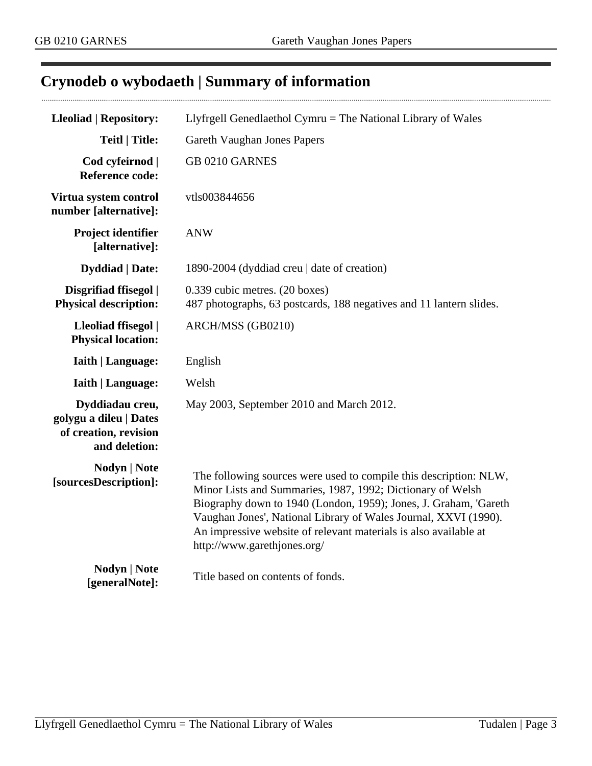## <span id="page-2-0"></span>**Crynodeb o wybodaeth | Summary of information**

| <b>Lleoliad   Repository:</b>                                                       | Llyfrgell Genedlaethol Cymru = The National Library of Wales                                                                                                                                                                                                                                                                                                              |  |
|-------------------------------------------------------------------------------------|---------------------------------------------------------------------------------------------------------------------------------------------------------------------------------------------------------------------------------------------------------------------------------------------------------------------------------------------------------------------------|--|
| <b>Teitl   Title:</b>                                                               | <b>Gareth Vaughan Jones Papers</b>                                                                                                                                                                                                                                                                                                                                        |  |
| Cod cyfeirnod  <br><b>Reference code:</b>                                           | GB 0210 GARNES                                                                                                                                                                                                                                                                                                                                                            |  |
| Virtua system control<br>number [alternative]:                                      | vtls003844656                                                                                                                                                                                                                                                                                                                                                             |  |
| Project identifier<br>[alternative]:                                                | <b>ANW</b>                                                                                                                                                                                                                                                                                                                                                                |  |
| <b>Dyddiad</b>   Date:                                                              | 1890-2004 (dyddiad creu   date of creation)                                                                                                                                                                                                                                                                                                                               |  |
| Disgrifiad ffisegol  <br><b>Physical description:</b>                               | 0.339 cubic metres. (20 boxes)<br>487 photographs, 63 postcards, 188 negatives and 11 lantern slides.                                                                                                                                                                                                                                                                     |  |
| Lleoliad ffisegol  <br><b>Physical location:</b>                                    | ARCH/MSS (GB0210)                                                                                                                                                                                                                                                                                                                                                         |  |
| <b>Iaith   Language:</b>                                                            | English                                                                                                                                                                                                                                                                                                                                                                   |  |
| <b>Iaith   Language:</b>                                                            | Welsh                                                                                                                                                                                                                                                                                                                                                                     |  |
| Dyddiadau creu,<br>golygu a dileu   Dates<br>of creation, revision<br>and deletion: | May 2003, September 2010 and March 2012.                                                                                                                                                                                                                                                                                                                                  |  |
| <b>Nodyn</b>   <b>Note</b><br>[sourcesDescription]:                                 | The following sources were used to compile this description: NLW,<br>Minor Lists and Summaries, 1987, 1992; Dictionary of Welsh<br>Biography down to 1940 (London, 1959); Jones, J. Graham, 'Gareth<br>Vaughan Jones', National Library of Wales Journal, XXVI (1990).<br>An impressive website of relevant materials is also available at<br>http://www.garethjones.org/ |  |
| <b>Nodyn</b>   <b>Note</b><br>[generalNote]:                                        | Title based on contents of fonds.                                                                                                                                                                                                                                                                                                                                         |  |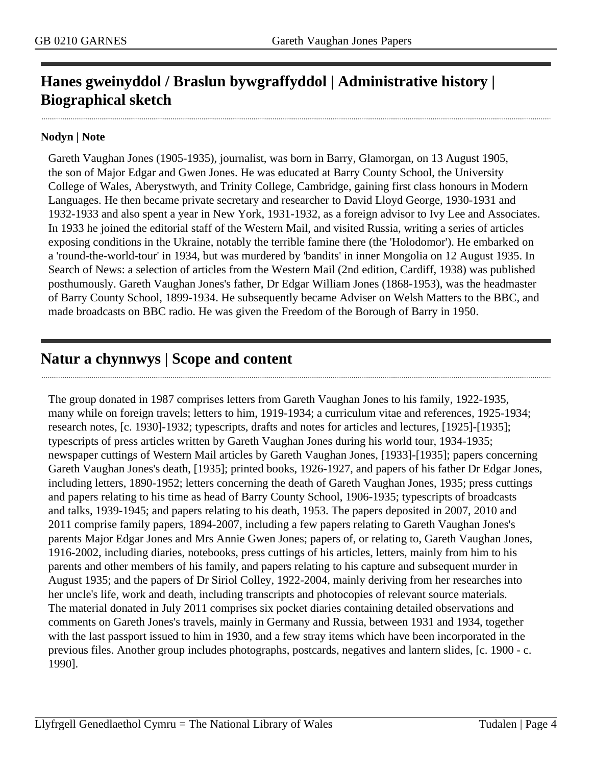# <span id="page-3-0"></span>**Hanes gweinyddol / Braslun bywgraffyddol | Administrative history | Biographical sketch**

#### **Nodyn | Note**

Gareth Vaughan Jones (1905-1935), journalist, was born in Barry, Glamorgan, on 13 August 1905, the son of Major Edgar and Gwen Jones. He was educated at Barry County School, the University College of Wales, Aberystwyth, and Trinity College, Cambridge, gaining first class honours in Modern Languages. He then became private secretary and researcher to David Lloyd George, 1930-1931 and 1932-1933 and also spent a year in New York, 1931-1932, as a foreign advisor to Ivy Lee and Associates. In 1933 he joined the editorial staff of the Western Mail, and visited Russia, writing a series of articles exposing conditions in the Ukraine, notably the terrible famine there (the 'Holodomor'). He embarked on a 'round-the-world-tour' in 1934, but was murdered by 'bandits' in inner Mongolia on 12 August 1935. In Search of News: a selection of articles from the Western Mail (2nd edition, Cardiff, 1938) was published posthumously. Gareth Vaughan Jones's father, Dr Edgar William Jones (1868-1953), was the headmaster of Barry County School, 1899-1934. He subsequently became Adviser on Welsh Matters to the BBC, and made broadcasts on BBC radio. He was given the Freedom of the Borough of Barry in 1950.

## <span id="page-3-1"></span>**Natur a chynnwys | Scope and content**

The group donated in 1987 comprises letters from Gareth Vaughan Jones to his family, 1922-1935, many while on foreign travels; letters to him, 1919-1934; a curriculum vitae and references, 1925-1934; research notes, [c. 1930]-1932; typescripts, drafts and notes for articles and lectures, [1925]-[1935]; typescripts of press articles written by Gareth Vaughan Jones during his world tour, 1934-1935; newspaper cuttings of Western Mail articles by Gareth Vaughan Jones, [1933]-[1935]; papers concerning Gareth Vaughan Jones's death, [1935]; printed books, 1926-1927, and papers of his father Dr Edgar Jones, including letters, 1890-1952; letters concerning the death of Gareth Vaughan Jones, 1935; press cuttings and papers relating to his time as head of Barry County School, 1906-1935; typescripts of broadcasts and talks, 1939-1945; and papers relating to his death, 1953. The papers deposited in 2007, 2010 and 2011 comprise family papers, 1894-2007, including a few papers relating to Gareth Vaughan Jones's parents Major Edgar Jones and Mrs Annie Gwen Jones; papers of, or relating to, Gareth Vaughan Jones, 1916-2002, including diaries, notebooks, press cuttings of his articles, letters, mainly from him to his parents and other members of his family, and papers relating to his capture and subsequent murder in August 1935; and the papers of Dr Siriol Colley, 1922-2004, mainly deriving from her researches into her uncle's life, work and death, including transcripts and photocopies of relevant source materials. The material donated in July 2011 comprises six pocket diaries containing detailed observations and comments on Gareth Jones's travels, mainly in Germany and Russia, between 1931 and 1934, together with the last passport issued to him in 1930, and a few stray items which have been incorporated in the previous files. Another group includes photographs, postcards, negatives and lantern slides, [c. 1900 - c. 1990].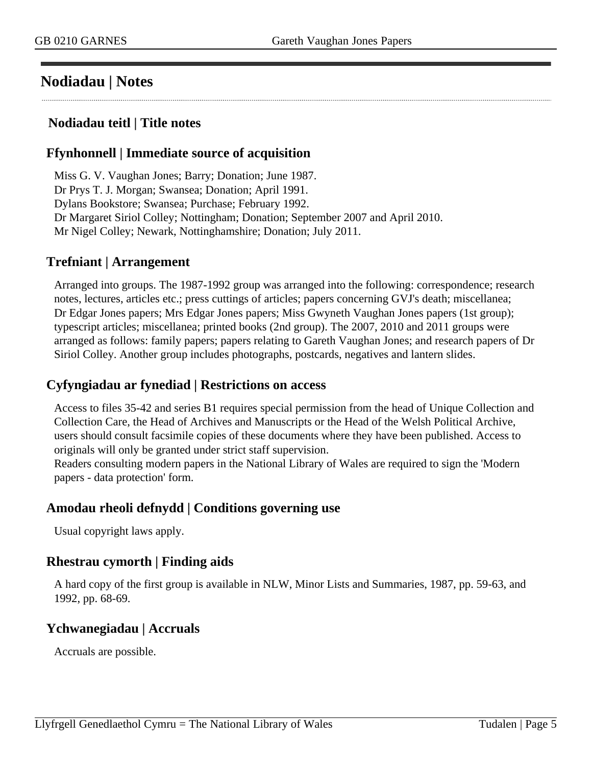## <span id="page-4-0"></span>**Nodiadau | Notes**

#### **Nodiadau teitl | Title notes**

#### **Ffynhonnell | Immediate source of acquisition**

Miss G. V. Vaughan Jones; Barry; Donation; June 1987. Dr Prys T. J. Morgan; Swansea; Donation; April 1991. Dylans Bookstore; Swansea; Purchase; February 1992. Dr Margaret Siriol Colley; Nottingham; Donation; September 2007 and April 2010. Mr Nigel Colley; Newark, Nottinghamshire; Donation; July 2011.

#### **Trefniant | Arrangement**

Arranged into groups. The 1987-1992 group was arranged into the following: correspondence; research notes, lectures, articles etc.; press cuttings of articles; papers concerning GVJ's death; miscellanea; Dr Edgar Jones papers; Mrs Edgar Jones papers; Miss Gwyneth Vaughan Jones papers (1st group); typescript articles; miscellanea; printed books (2nd group). The 2007, 2010 and 2011 groups were arranged as follows: family papers; papers relating to Gareth Vaughan Jones; and research papers of Dr Siriol Colley. Another group includes photographs, postcards, negatives and lantern slides.

### **Cyfyngiadau ar fynediad | Restrictions on access**

Access to files 35-42 and series B1 requires special permission from the head of Unique Collection and Collection Care, the Head of Archives and Manuscripts or the Head of the Welsh Political Archive, users should consult facsimile copies of these documents where they have been published. Access to originals will only be granted under strict staff supervision.

Readers consulting modern papers in the National Library of Wales are required to sign the 'Modern papers - data protection' form.

### **Amodau rheoli defnydd | Conditions governing use**

Usual copyright laws apply.

### **Rhestrau cymorth | Finding aids**

A hard copy of the first group is available in NLW, Minor Lists and Summaries, 1987, pp. 59-63, and 1992, pp. 68-69.

### **Ychwanegiadau | Accruals**

Accruals are possible.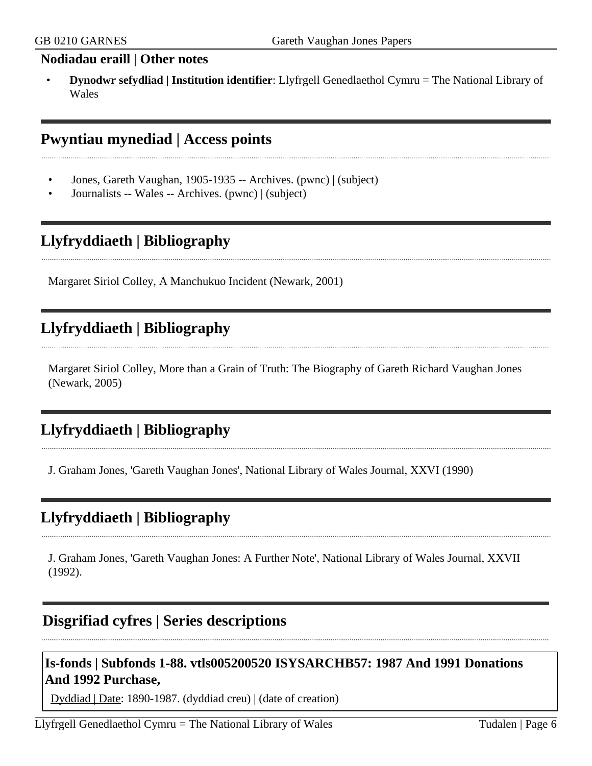#### **Nodiadau eraill | Other notes**

• **Dynodwr sefydliad | Institution identifier**: Llyfrgell Genedlaethol Cymru = The National Library of Wales

## <span id="page-5-0"></span>**Pwyntiau mynediad | Access points**

- Jones, Gareth Vaughan, 1905-1935 -- Archives. (pwnc) | (subject)
- Journalists -- Wales -- Archives. (pwnc) | (subject)

## <span id="page-5-1"></span>**Llyfryddiaeth | Bibliography**

Margaret Siriol Colley, A Manchukuo Incident (Newark, 2001)

## **Llyfryddiaeth | Bibliography**

Margaret Siriol Colley, More than a Grain of Truth: The Biography of Gareth Richard Vaughan Jones (Newark, 2005)

# **Llyfryddiaeth | Bibliography**

J. Graham Jones, 'Gareth Vaughan Jones', National Library of Wales Journal, XXVI (1990)

## **Llyfryddiaeth | Bibliography**

J. Graham Jones, 'Gareth Vaughan Jones: A Further Note', National Library of Wales Journal, XXVII (1992).

## <span id="page-5-2"></span>**Disgrifiad cyfres | Series descriptions**

## **Is-fonds | Subfonds 1-88. vtls005200520 ISYSARCHB57: 1987 And 1991 Donations And 1992 Purchase,**

Dyddiad | Date: 1890-1987. (dyddiad creu) | (date of creation)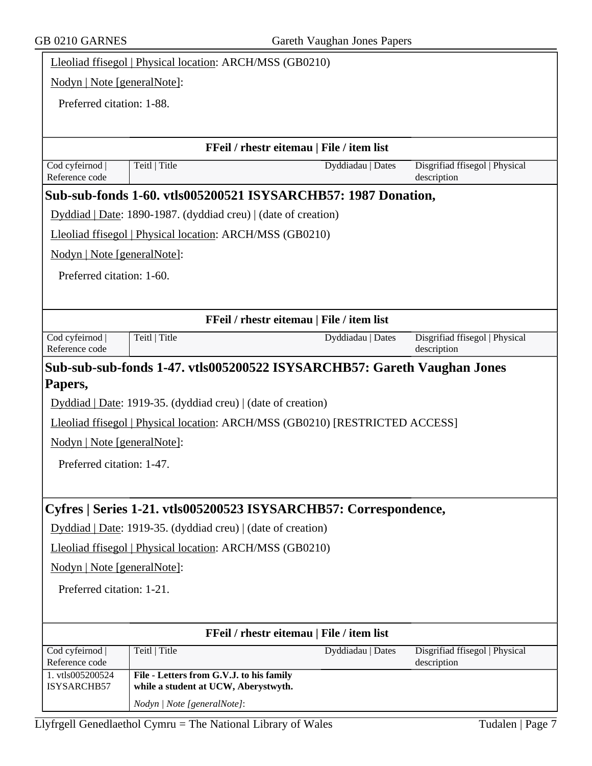| Nodyn   Note [generalNote]:<br>Preferred citation: 1-88.<br>FFeil / rhestr eitemau   File / item list<br>Cod cyfeirnod<br>Teitl   Title<br>Disgrifiad ffisegol   Physical<br>Dyddiadau   Dates<br>Reference code<br>description<br>Sub-sub-fonds 1-60. vtls005200521 ISYSARCHB57: 1987 Donation,<br>Dyddiad   Date: 1890-1987. (dyddiad creu)   (date of creation)<br>Lleoliad ffisegol   Physical location: ARCH/MSS (GB0210)<br>Nodyn   Note [generalNote]:<br>Preferred citation: 1-60.<br>FFeil / rhestr eitemau   File / item list<br>Teitl   Title<br>Cod cyfeirnod<br>Disgrifiad ffisegol   Physical<br>Dyddiadau   Dates<br>Reference code<br>description<br>Sub-sub-sub-fonds 1-47. vtls005200522 ISYSARCHB57: Gareth Vaughan Jones<br>Dyddiad   Date: 1919-35. (dyddiad creu)   (date of creation)<br>Lleoliad ffisegol   Physical location: ARCH/MSS (GB0210) [RESTRICTED ACCESS]<br>Nodyn   Note [generalNote]:<br>Preferred citation: 1-47.<br>Cyfres   Series 1-21. vtls005200523 ISYSARCHB57: Correspondence,<br>Dyddiad   Date: 1919-35. (dyddiad creu)   (date of creation)<br>Lleoliad ffisegol   Physical location: ARCH/MSS (GB0210)<br>Nodyn   Note [generalNote]:<br>Preferred citation: 1-21.<br>FFeil / rhestr eitemau   File / item list<br>Teitl   Title<br>Cod cyfeirnod<br>Dyddiadau   Dates<br>Disgrifiad ffisegol   Physical<br>Reference code<br>description<br>File - Letters from G.V.J. to his family | Lleoliad ffisegol   Physical location: ARCH/MSS (GB0210) |  |  |  |
|-----------------------------------------------------------------------------------------------------------------------------------------------------------------------------------------------------------------------------------------------------------------------------------------------------------------------------------------------------------------------------------------------------------------------------------------------------------------------------------------------------------------------------------------------------------------------------------------------------------------------------------------------------------------------------------------------------------------------------------------------------------------------------------------------------------------------------------------------------------------------------------------------------------------------------------------------------------------------------------------------------------------------------------------------------------------------------------------------------------------------------------------------------------------------------------------------------------------------------------------------------------------------------------------------------------------------------------------------------------------------------------------------------------------------------------------|----------------------------------------------------------|--|--|--|
|                                                                                                                                                                                                                                                                                                                                                                                                                                                                                                                                                                                                                                                                                                                                                                                                                                                                                                                                                                                                                                                                                                                                                                                                                                                                                                                                                                                                                                         |                                                          |  |  |  |
|                                                                                                                                                                                                                                                                                                                                                                                                                                                                                                                                                                                                                                                                                                                                                                                                                                                                                                                                                                                                                                                                                                                                                                                                                                                                                                                                                                                                                                         |                                                          |  |  |  |
|                                                                                                                                                                                                                                                                                                                                                                                                                                                                                                                                                                                                                                                                                                                                                                                                                                                                                                                                                                                                                                                                                                                                                                                                                                                                                                                                                                                                                                         |                                                          |  |  |  |
|                                                                                                                                                                                                                                                                                                                                                                                                                                                                                                                                                                                                                                                                                                                                                                                                                                                                                                                                                                                                                                                                                                                                                                                                                                                                                                                                                                                                                                         |                                                          |  |  |  |
|                                                                                                                                                                                                                                                                                                                                                                                                                                                                                                                                                                                                                                                                                                                                                                                                                                                                                                                                                                                                                                                                                                                                                                                                                                                                                                                                                                                                                                         |                                                          |  |  |  |
|                                                                                                                                                                                                                                                                                                                                                                                                                                                                                                                                                                                                                                                                                                                                                                                                                                                                                                                                                                                                                                                                                                                                                                                                                                                                                                                                                                                                                                         |                                                          |  |  |  |
|                                                                                                                                                                                                                                                                                                                                                                                                                                                                                                                                                                                                                                                                                                                                                                                                                                                                                                                                                                                                                                                                                                                                                                                                                                                                                                                                                                                                                                         |                                                          |  |  |  |
|                                                                                                                                                                                                                                                                                                                                                                                                                                                                                                                                                                                                                                                                                                                                                                                                                                                                                                                                                                                                                                                                                                                                                                                                                                                                                                                                                                                                                                         |                                                          |  |  |  |
|                                                                                                                                                                                                                                                                                                                                                                                                                                                                                                                                                                                                                                                                                                                                                                                                                                                                                                                                                                                                                                                                                                                                                                                                                                                                                                                                                                                                                                         |                                                          |  |  |  |
|                                                                                                                                                                                                                                                                                                                                                                                                                                                                                                                                                                                                                                                                                                                                                                                                                                                                                                                                                                                                                                                                                                                                                                                                                                                                                                                                                                                                                                         |                                                          |  |  |  |
|                                                                                                                                                                                                                                                                                                                                                                                                                                                                                                                                                                                                                                                                                                                                                                                                                                                                                                                                                                                                                                                                                                                                                                                                                                                                                                                                                                                                                                         |                                                          |  |  |  |
|                                                                                                                                                                                                                                                                                                                                                                                                                                                                                                                                                                                                                                                                                                                                                                                                                                                                                                                                                                                                                                                                                                                                                                                                                                                                                                                                                                                                                                         |                                                          |  |  |  |
|                                                                                                                                                                                                                                                                                                                                                                                                                                                                                                                                                                                                                                                                                                                                                                                                                                                                                                                                                                                                                                                                                                                                                                                                                                                                                                                                                                                                                                         |                                                          |  |  |  |
|                                                                                                                                                                                                                                                                                                                                                                                                                                                                                                                                                                                                                                                                                                                                                                                                                                                                                                                                                                                                                                                                                                                                                                                                                                                                                                                                                                                                                                         |                                                          |  |  |  |
|                                                                                                                                                                                                                                                                                                                                                                                                                                                                                                                                                                                                                                                                                                                                                                                                                                                                                                                                                                                                                                                                                                                                                                                                                                                                                                                                                                                                                                         | Papers,                                                  |  |  |  |
|                                                                                                                                                                                                                                                                                                                                                                                                                                                                                                                                                                                                                                                                                                                                                                                                                                                                                                                                                                                                                                                                                                                                                                                                                                                                                                                                                                                                                                         |                                                          |  |  |  |
|                                                                                                                                                                                                                                                                                                                                                                                                                                                                                                                                                                                                                                                                                                                                                                                                                                                                                                                                                                                                                                                                                                                                                                                                                                                                                                                                                                                                                                         |                                                          |  |  |  |
|                                                                                                                                                                                                                                                                                                                                                                                                                                                                                                                                                                                                                                                                                                                                                                                                                                                                                                                                                                                                                                                                                                                                                                                                                                                                                                                                                                                                                                         |                                                          |  |  |  |
|                                                                                                                                                                                                                                                                                                                                                                                                                                                                                                                                                                                                                                                                                                                                                                                                                                                                                                                                                                                                                                                                                                                                                                                                                                                                                                                                                                                                                                         |                                                          |  |  |  |
|                                                                                                                                                                                                                                                                                                                                                                                                                                                                                                                                                                                                                                                                                                                                                                                                                                                                                                                                                                                                                                                                                                                                                                                                                                                                                                                                                                                                                                         |                                                          |  |  |  |
|                                                                                                                                                                                                                                                                                                                                                                                                                                                                                                                                                                                                                                                                                                                                                                                                                                                                                                                                                                                                                                                                                                                                                                                                                                                                                                                                                                                                                                         |                                                          |  |  |  |
|                                                                                                                                                                                                                                                                                                                                                                                                                                                                                                                                                                                                                                                                                                                                                                                                                                                                                                                                                                                                                                                                                                                                                                                                                                                                                                                                                                                                                                         |                                                          |  |  |  |
|                                                                                                                                                                                                                                                                                                                                                                                                                                                                                                                                                                                                                                                                                                                                                                                                                                                                                                                                                                                                                                                                                                                                                                                                                                                                                                                                                                                                                                         |                                                          |  |  |  |
|                                                                                                                                                                                                                                                                                                                                                                                                                                                                                                                                                                                                                                                                                                                                                                                                                                                                                                                                                                                                                                                                                                                                                                                                                                                                                                                                                                                                                                         |                                                          |  |  |  |
|                                                                                                                                                                                                                                                                                                                                                                                                                                                                                                                                                                                                                                                                                                                                                                                                                                                                                                                                                                                                                                                                                                                                                                                                                                                                                                                                                                                                                                         |                                                          |  |  |  |
|                                                                                                                                                                                                                                                                                                                                                                                                                                                                                                                                                                                                                                                                                                                                                                                                                                                                                                                                                                                                                                                                                                                                                                                                                                                                                                                                                                                                                                         |                                                          |  |  |  |
|                                                                                                                                                                                                                                                                                                                                                                                                                                                                                                                                                                                                                                                                                                                                                                                                                                                                                                                                                                                                                                                                                                                                                                                                                                                                                                                                                                                                                                         |                                                          |  |  |  |
|                                                                                                                                                                                                                                                                                                                                                                                                                                                                                                                                                                                                                                                                                                                                                                                                                                                                                                                                                                                                                                                                                                                                                                                                                                                                                                                                                                                                                                         |                                                          |  |  |  |
|                                                                                                                                                                                                                                                                                                                                                                                                                                                                                                                                                                                                                                                                                                                                                                                                                                                                                                                                                                                                                                                                                                                                                                                                                                                                                                                                                                                                                                         | 1. vtls005200524                                         |  |  |  |
| ISYSARCHB57<br>while a student at UCW, Aberystwyth.<br>Nodyn   Note [generalNote]:                                                                                                                                                                                                                                                                                                                                                                                                                                                                                                                                                                                                                                                                                                                                                                                                                                                                                                                                                                                                                                                                                                                                                                                                                                                                                                                                                      |                                                          |  |  |  |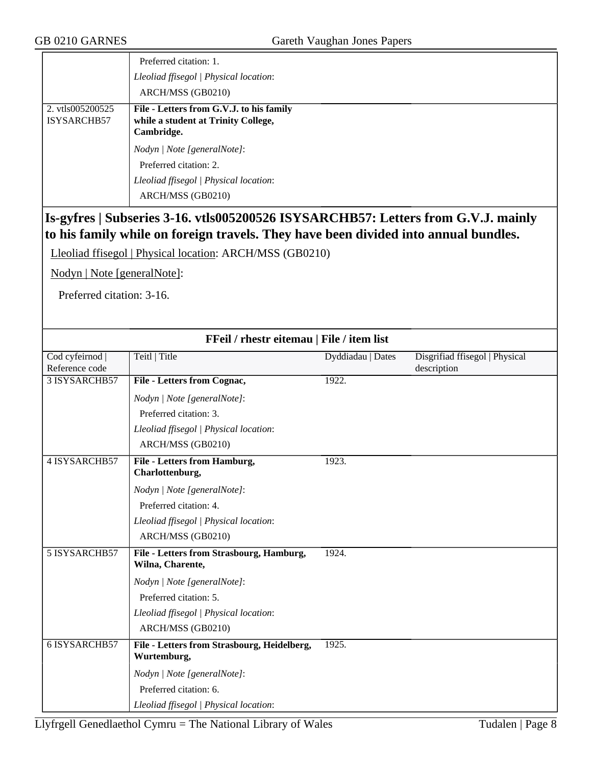|                                 | Preferred citation: 1.<br>Lleoliad ffisegol   Physical location:<br>ARCH/MSS (GB0210)                                |
|---------------------------------|----------------------------------------------------------------------------------------------------------------------|
| 2. vtls005200525<br>ISYSARCHB57 | File - Letters from G.V.J. to his family<br>while a student at Trinity College,<br>Cambridge.                        |
|                                 | Nodyn   Note [generalNote]:<br>Preferred citation: 2.<br>Lleoliad ffisegol   Physical location:<br>ARCH/MSS (GB0210) |

## **Is-gyfres | Subseries 3-16. vtls005200526 ISYSARCHB57: Letters from G.V.J. mainly to his family while on foreign travels. They have been divided into annual bundles.**

Lleoliad ffisegol | Physical location: ARCH/MSS (GB0210)

Nodyn | Note [generalNote]:

Preferred citation: 3-16.

| FFeil / rhestr eitemau   File / item list |                                                              |                   |                                |
|-------------------------------------------|--------------------------------------------------------------|-------------------|--------------------------------|
| Cod cyfeirnod                             | Teitl   Title                                                | Dyddiadau   Dates | Disgrifiad ffisegol   Physical |
| Reference code                            |                                                              |                   | description                    |
| 3 ISYSARCHB57                             | File - Letters from Cognac,                                  | 1922.             |                                |
|                                           | Nodyn   Note [generalNote]:                                  |                   |                                |
|                                           | Preferred citation: 3.                                       |                   |                                |
|                                           | Lleoliad ffisegol   Physical location:                       |                   |                                |
|                                           | ARCH/MSS (GB0210)                                            |                   |                                |
| <b>4 ISYSARCHB57</b>                      | <b>File - Letters from Hamburg,</b><br>Charlottenburg,       | 1923.             |                                |
|                                           | Nodyn   Note [generalNote]:                                  |                   |                                |
|                                           | Preferred citation: 4.                                       |                   |                                |
|                                           | Lleoliad ffisegol   Physical location:                       |                   |                                |
|                                           | ARCH/MSS (GB0210)                                            |                   |                                |
| 5 ISYSARCHB57                             | File - Letters from Strasbourg, Hamburg,<br>Wilna, Charente, | 1924.             |                                |
|                                           | Nodyn   Note [generalNote]:                                  |                   |                                |
|                                           | Preferred citation: 5.                                       |                   |                                |
|                                           | Lleoliad ffisegol   Physical location:                       |                   |                                |
|                                           | ARCH/MSS (GB0210)                                            |                   |                                |
| <b>6 ISYSARCHB57</b>                      | File - Letters from Strasbourg, Heidelberg,<br>Wurtemburg,   | 1925.             |                                |
|                                           | Nodyn   Note [generalNote]:                                  |                   |                                |
|                                           | Preferred citation: 6.                                       |                   |                                |
|                                           | Lleoliad ffisegol   Physical location:                       |                   |                                |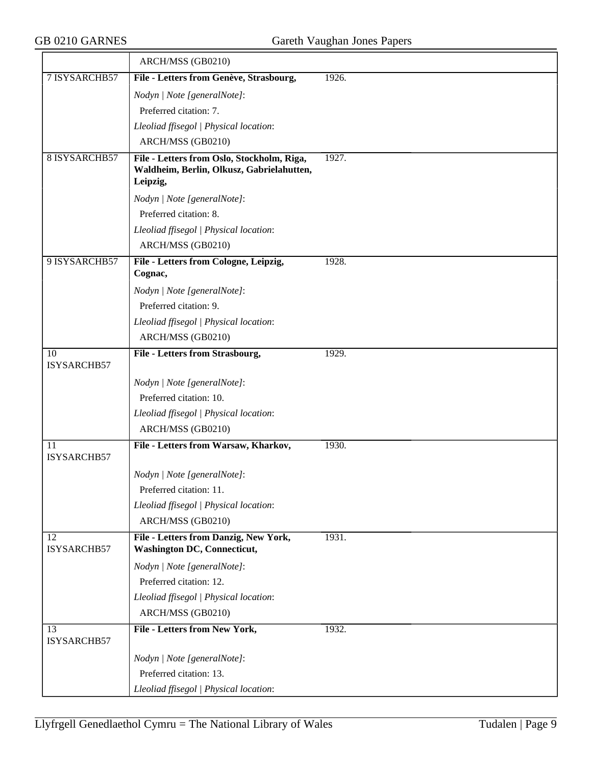|                      | ARCH/MSS (GB0210)                                                                       |       |
|----------------------|-----------------------------------------------------------------------------------------|-------|
| 7 ISYSARCHB57        | File - Letters from Genève, Strasbourg,                                                 | 1926. |
|                      | Nodyn   Note [generalNote]:                                                             |       |
|                      | Preferred citation: 7.                                                                  |       |
|                      | Lleoliad ffisegol   Physical location:                                                  |       |
|                      | ARCH/MSS (GB0210)                                                                       |       |
| <b>8 ISYSARCHB57</b> | File - Letters from Oslo, Stockholm, Riga,<br>Waldheim, Berlin, Olkusz, Gabrielahutten, | 1927. |
|                      | Leipzig,                                                                                |       |
|                      | Nodyn   Note [generalNote]:                                                             |       |
|                      | Preferred citation: 8.                                                                  |       |
|                      | Lleoliad ffisegol   Physical location:                                                  |       |
|                      | ARCH/MSS (GB0210)                                                                       |       |
| 9 ISYSARCHB57        | File - Letters from Cologne, Leipzig,<br>Cognac,                                        | 1928. |
|                      | Nodyn   Note [generalNote]:                                                             |       |
|                      | Preferred citation: 9.                                                                  |       |
|                      | Lleoliad ffisegol   Physical location:                                                  |       |
|                      | ARCH/MSS (GB0210)                                                                       |       |
| 10                   | File - Letters from Strasbourg,                                                         | 1929. |
| ISYSARCHB57          |                                                                                         |       |
|                      | Nodyn   Note [generalNote]:                                                             |       |
|                      | Preferred citation: 10.                                                                 |       |
|                      | Lleoliad ffisegol   Physical location:                                                  |       |
|                      | ARCH/MSS (GB0210)                                                                       |       |
| 11<br>ISYSARCHB57    | File - Letters from Warsaw, Kharkov,                                                    | 1930. |
|                      | Nodyn   Note [generalNote]:                                                             |       |
|                      | Preferred citation: 11.                                                                 |       |
|                      | Lleoliad ffisegol   Physical location:                                                  |       |
|                      | ARCH/MSS (GB0210)                                                                       |       |
| 12<br>ISYSARCHB57    | File - Letters from Danzig, New York,<br><b>Washington DC, Connecticut,</b>             | 1931. |
|                      | Nodyn   Note [generalNote]:                                                             |       |
|                      | Preferred citation: 12.                                                                 |       |
|                      | Lleoliad ffisegol   Physical location:                                                  |       |
|                      | ARCH/MSS (GB0210)                                                                       |       |
| 13<br>ISYSARCHB57    | File - Letters from New York,                                                           | 1932. |
|                      | Nodyn   Note [generalNote]:                                                             |       |
|                      | Preferred citation: 13.                                                                 |       |
|                      | Lleoliad ffisegol   Physical location:                                                  |       |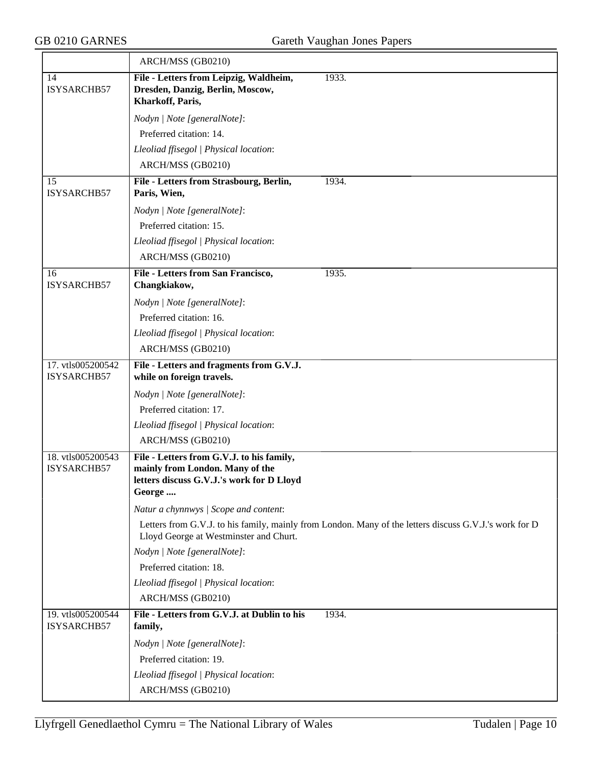|                                  | ARCH/MSS (GB0210)                                                                                                                                |
|----------------------------------|--------------------------------------------------------------------------------------------------------------------------------------------------|
| 14<br>ISYSARCHB57                | File - Letters from Leipzig, Waldheim,<br>1933.<br>Dresden, Danzig, Berlin, Moscow,<br>Kharkoff, Paris,                                          |
|                                  | Nodyn   Note [generalNote]:                                                                                                                      |
|                                  | Preferred citation: 14.                                                                                                                          |
|                                  | Lleoliad ffisegol   Physical location:                                                                                                           |
|                                  | ARCH/MSS (GB0210)                                                                                                                                |
| 15<br>ISYSARCHB57                | 1934.<br>File - Letters from Strasbourg, Berlin,<br>Paris, Wien,                                                                                 |
|                                  | Nodyn   Note [generalNote]:                                                                                                                      |
|                                  | Preferred citation: 15.                                                                                                                          |
|                                  | Lleoliad ffisegol   Physical location:                                                                                                           |
|                                  | ARCH/MSS (GB0210)                                                                                                                                |
| 16<br>ISYSARCHB57                | File - Letters from San Francisco,<br>1935.<br>Changkiakow,                                                                                      |
|                                  | Nodyn   Note [generalNote]:                                                                                                                      |
|                                  | Preferred citation: 16.                                                                                                                          |
|                                  | Lleoliad ffisegol   Physical location:                                                                                                           |
|                                  | ARCH/MSS (GB0210)                                                                                                                                |
| 17. vtls005200542<br>ISYSARCHB57 | File - Letters and fragments from G.V.J.<br>while on foreign travels.                                                                            |
|                                  | Nodyn   Note [generalNote]:                                                                                                                      |
|                                  | Preferred citation: 17.                                                                                                                          |
|                                  | Lleoliad ffisegol   Physical location:                                                                                                           |
|                                  | ARCH/MSS (GB0210)                                                                                                                                |
| 18. vtls005200543<br>ISYSARCHB57 | File - Letters from G.V.J. to his family,<br>mainly from London. Many of the<br>letters discuss G.V.J.'s work for D Lloyd<br>George              |
|                                  | Natur a chynnwys / Scope and content:                                                                                                            |
|                                  | Letters from G.V.J. to his family, mainly from London. Many of the letters discuss G.V.J.'s work for D<br>Lloyd George at Westminster and Churt. |
|                                  | Nodyn   Note [generalNote]:                                                                                                                      |
|                                  | Preferred citation: 18.                                                                                                                          |
|                                  | Lleoliad ffisegol   Physical location:                                                                                                           |
|                                  | ARCH/MSS (GB0210)                                                                                                                                |
| 19. vtls005200544<br>ISYSARCHB57 | File - Letters from G.V.J. at Dublin to his<br>1934.<br>family,                                                                                  |
|                                  | Nodyn   Note [generalNote]:                                                                                                                      |
|                                  | Preferred citation: 19.                                                                                                                          |
|                                  | Lleoliad ffisegol   Physical location:                                                                                                           |
|                                  | ARCH/MSS (GB0210)                                                                                                                                |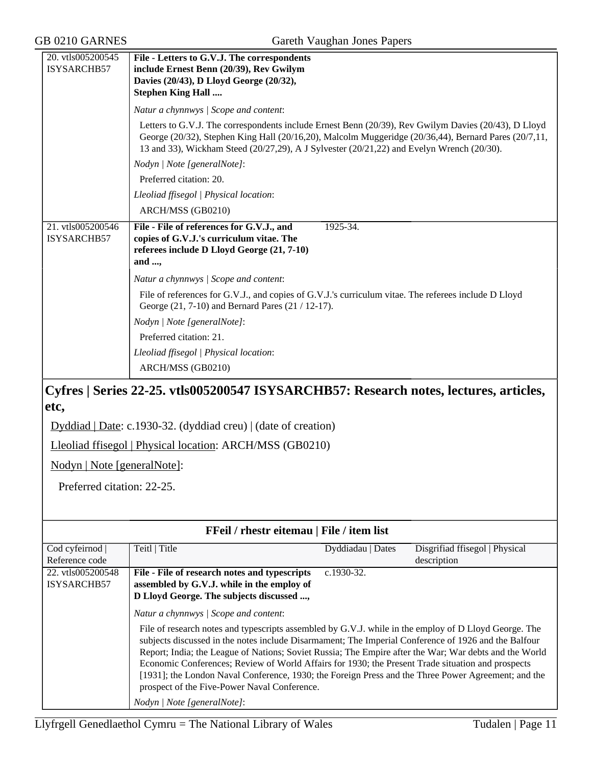| 20. vtls005200545                | File - Letters to G.V.J. The correspondents                                                                                                                                                                                                                                                               |  |  |
|----------------------------------|-----------------------------------------------------------------------------------------------------------------------------------------------------------------------------------------------------------------------------------------------------------------------------------------------------------|--|--|
| <b>ISYSARCHB57</b>               | include Ernest Benn (20/39), Rev Gwilym                                                                                                                                                                                                                                                                   |  |  |
|                                  | Davies (20/43), D Lloyd George (20/32),                                                                                                                                                                                                                                                                   |  |  |
|                                  | <b>Stephen King Hall </b>                                                                                                                                                                                                                                                                                 |  |  |
|                                  | Natur a chynnwys / Scope and content:                                                                                                                                                                                                                                                                     |  |  |
|                                  | Letters to G.V.J. The correspondents include Ernest Benn (20/39), Rev Gwilym Davies (20/43), D Lloyd<br>George (20/32), Stephen King Hall (20/16,20), Malcolm Muggeridge (20/36,44), Bernard Pares (20/7,11,<br>13 and 33), Wickham Steed (20/27,29), A J Sylvester (20/21,22) and Evelyn Wrench (20/30). |  |  |
|                                  | Nodyn   Note [generalNote]:                                                                                                                                                                                                                                                                               |  |  |
|                                  | Preferred citation: 20.                                                                                                                                                                                                                                                                                   |  |  |
|                                  | Lleoliad ffisegol   Physical location:                                                                                                                                                                                                                                                                    |  |  |
|                                  | ARCH/MSS (GB0210)                                                                                                                                                                                                                                                                                         |  |  |
| 21. vtls005200546<br>ISYSARCHB57 | File - File of references for G.V.J., and<br>1925-34.<br>copies of G.V.J.'s curriculum vitae. The<br>referees include D Lloyd George (21, 7-10)<br>and $\ldots$                                                                                                                                           |  |  |
|                                  | Natur a chynnwys / Scope and content:                                                                                                                                                                                                                                                                     |  |  |
|                                  | File of references for G.V.J., and copies of G.V.J.'s curriculum vitae. The referees include D Lloyd<br>George (21, 7-10) and Bernard Pares (21 / 12-17).                                                                                                                                                 |  |  |
|                                  | Nodyn   Note [generalNote]:                                                                                                                                                                                                                                                                               |  |  |
|                                  | Preferred citation: 21.                                                                                                                                                                                                                                                                                   |  |  |
|                                  | Lleoliad ffisegol   Physical location:                                                                                                                                                                                                                                                                    |  |  |
|                                  | ARCH/MSS (GB0210)                                                                                                                                                                                                                                                                                         |  |  |
|                                  | Cyfres   Series 22-25. vtls005200547 ISYSARCHB57: Research notes, lectures, articles,                                                                                                                                                                                                                     |  |  |

#### **etc,**

Dyddiad | Date: c.1930-32. (dyddiad creu) | (date of creation)

Lleoliad ffisegol | Physical location: ARCH/MSS (GB0210)

Nodyn | Note [generalNote]:

Preferred citation: 22-25.

| FFeil / rhestr eitemau   File / item list |                                                                                                                                                                                                                                                                                                                                                                    |                   |                                |
|-------------------------------------------|--------------------------------------------------------------------------------------------------------------------------------------------------------------------------------------------------------------------------------------------------------------------------------------------------------------------------------------------------------------------|-------------------|--------------------------------|
| Cod cyfeirnod                             | Teitl   Title                                                                                                                                                                                                                                                                                                                                                      | Dyddiadau   Dates | Disgrifiad ffisegol   Physical |
| Reference code                            |                                                                                                                                                                                                                                                                                                                                                                    |                   | description                    |
| 22. vtls005200548                         | File - File of research notes and typescripts                                                                                                                                                                                                                                                                                                                      | $c.1930-32.$      |                                |
| <b>ISYSARCHB57</b>                        | assembled by G.V.J. while in the employ of                                                                                                                                                                                                                                                                                                                         |                   |                                |
|                                           | D Lloyd George. The subjects discussed ,                                                                                                                                                                                                                                                                                                                           |                   |                                |
|                                           | Natur a chynnwys / Scope and content:<br>File of research notes and typescripts assembled by G.V.J. while in the employ of D Lloyd George. The<br>subjects discussed in the notes include Disarmament; The Imperial Conference of 1926 and the Balfour                                                                                                             |                   |                                |
|                                           | Report; India; the League of Nations; Soviet Russia; The Empire after the War; War debts and the World<br>Economic Conferences; Review of World Affairs for 1930; the Present Trade situation and prospects<br>[1931]; the London Naval Conference, 1930; the Foreign Press and the Three Power Agreement; and the<br>prospect of the Five-Power Naval Conference. |                   |                                |
|                                           | Nodyn / Note [generalNote]:                                                                                                                                                                                                                                                                                                                                        |                   |                                |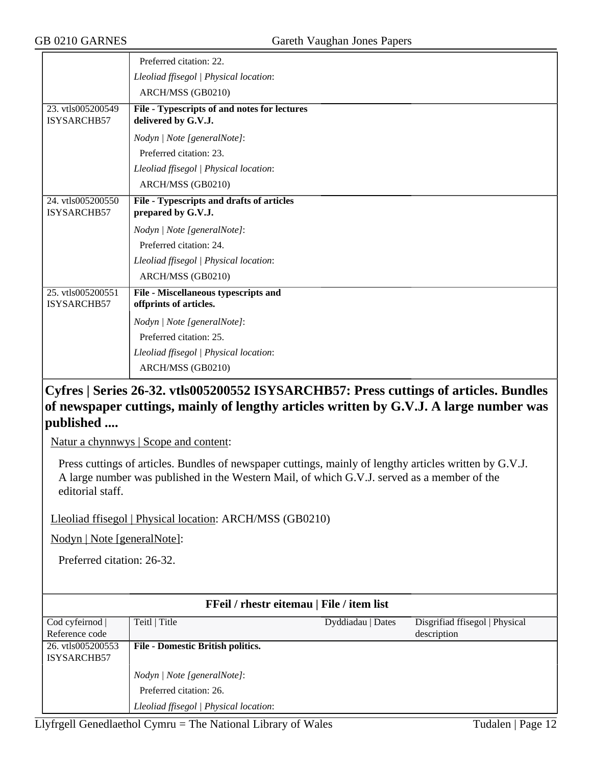|                                         | Preferred citation: 22.                                             |
|-----------------------------------------|---------------------------------------------------------------------|
|                                         | Lleoliad ffisegol   Physical location:                              |
|                                         | ARCH/MSS (GB0210)                                                   |
| 23. vtls005200549<br>ISYSARCHB57        | File - Typescripts of and notes for lectures<br>delivered by G.V.J. |
|                                         | Nodyn   Note [generalNote]:                                         |
|                                         | Preferred citation: 23.                                             |
|                                         | Lleoliad ffisegol   Physical location:                              |
|                                         | ARCH/MSS (GB0210)                                                   |
| 24. vtls005200550<br>ISYSARCHB57        | File - Typescripts and drafts of articles<br>prepared by G.V.J.     |
|                                         | Nodyn   Note [generalNote]:                                         |
|                                         | Preferred citation: 24.                                             |
|                                         | Lleoliad ffisegol   Physical location:                              |
|                                         | ARCH/MSS (GB0210)                                                   |
| 25. vtls005200551<br><b>ISYSARCHB57</b> | File - Miscellaneous typescripts and<br>offprints of articles.      |
|                                         | Nodyn   Note [generalNote]:                                         |
|                                         | Preferred citation: 25.                                             |
|                                         | Lleoliad ffisegol   Physical location:                              |
|                                         | ARCH/MSS (GB0210)                                                   |

## **Cyfres | Series 26-32. vtls005200552 ISYSARCHB57: Press cuttings of articles. Bundles of newspaper cuttings, mainly of lengthy articles written by G.V.J. A large number was published ....**

Natur a chynnwys | Scope and content:

Press cuttings of articles. Bundles of newspaper cuttings, mainly of lengthy articles written by G.V.J. A large number was published in the Western Mail, of which G.V.J. served as a member of the editorial staff.

Lleoliad ffisegol | Physical location: ARCH/MSS (GB0210)

Nodyn | Note [generalNote]:

Preferred citation: 26-32.

| FFeil / rhestr eitemau   File / item list |                                          |                   |                                |
|-------------------------------------------|------------------------------------------|-------------------|--------------------------------|
| Cod cyfeirnod                             | Teitl   Title                            | Dyddiadau   Dates | Disgrifiad ffisegol   Physical |
| Reference code                            |                                          |                   | description                    |
| 26. vtls005200553                         | <b>File - Domestic British politics.</b> |                   |                                |
| ISYSARCHB57                               |                                          |                   |                                |
|                                           | Nodyn   Note [generalNote]:              |                   |                                |
|                                           | Preferred citation: 26.                  |                   |                                |
|                                           | Lleoliad ffisegol   Physical location:   |                   |                                |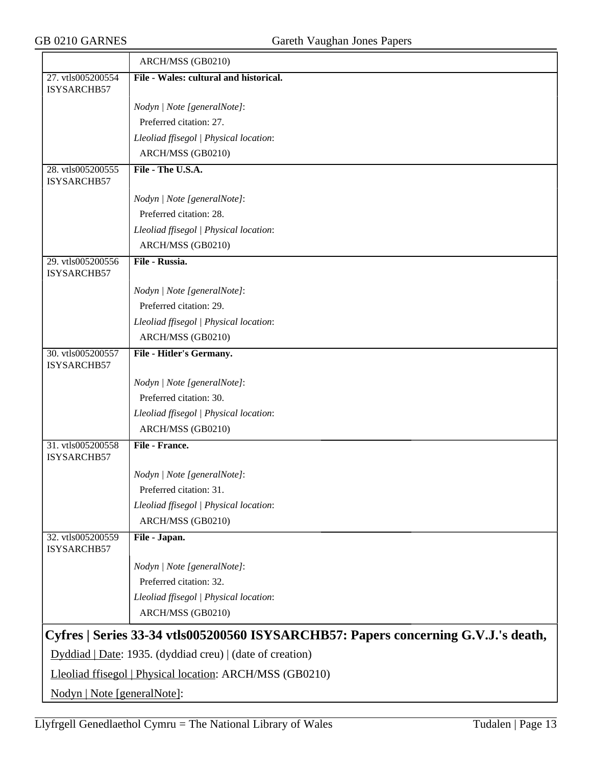|                                                                                    | ARCH/MSS (GB0210)                                        |  |  |
|------------------------------------------------------------------------------------|----------------------------------------------------------|--|--|
| 27. vtls005200554                                                                  | File - Wales: cultural and historical.                   |  |  |
| ISYSARCHB57                                                                        |                                                          |  |  |
|                                                                                    | Nodyn   Note [generalNote]:                              |  |  |
|                                                                                    | Preferred citation: 27.                                  |  |  |
|                                                                                    | Lleoliad ffisegol   Physical location:                   |  |  |
|                                                                                    | ARCH/MSS (GB0210)                                        |  |  |
| 28. vtls005200555<br>ISYSARCHB57                                                   | File - The U.S.A.                                        |  |  |
|                                                                                    | Nodyn   Note [generalNote]:                              |  |  |
|                                                                                    | Preferred citation: 28.                                  |  |  |
|                                                                                    | Lleoliad ffisegol   Physical location:                   |  |  |
|                                                                                    | ARCH/MSS (GB0210)                                        |  |  |
| 29. vtls005200556<br>ISYSARCHB57                                                   | File - Russia.                                           |  |  |
|                                                                                    | Nodyn   Note [generalNote]:                              |  |  |
|                                                                                    | Preferred citation: 29.                                  |  |  |
|                                                                                    | Lleoliad ffisegol   Physical location:                   |  |  |
|                                                                                    | ARCH/MSS (GB0210)                                        |  |  |
| 30. vtls005200557<br>ISYSARCHB57                                                   | File - Hitler's Germany.                                 |  |  |
|                                                                                    | Nodyn   Note [generalNote]:                              |  |  |
|                                                                                    | Preferred citation: 30.                                  |  |  |
|                                                                                    | Lleoliad ffisegol   Physical location:                   |  |  |
|                                                                                    | ARCH/MSS (GB0210)                                        |  |  |
| 31. vtls005200558                                                                  | File - France.                                           |  |  |
| ISYSARCHB57                                                                        |                                                          |  |  |
|                                                                                    | Nodyn   Note [generalNote]:                              |  |  |
|                                                                                    | Preferred citation: 31.                                  |  |  |
|                                                                                    | Lleoliad ffisegol   Physical location:                   |  |  |
|                                                                                    | ARCH/MSS (GB0210)                                        |  |  |
| 32. vtls005200559<br>ISYSARCHB57                                                   | File - Japan.                                            |  |  |
|                                                                                    | Nodyn   Note [generalNote]:                              |  |  |
|                                                                                    | Preferred citation: 32.                                  |  |  |
|                                                                                    | Lleoliad ffisegol   Physical location:                   |  |  |
|                                                                                    | ARCH/MSS (GB0210)                                        |  |  |
| Cyfres   Series 33-34 vtls005200560 ISYSARCHB57: Papers concerning G.V.J.'s death, |                                                          |  |  |
| $Dyddiad   Date: 1935. (dyddiad creu)   (date of creation)$                        |                                                          |  |  |
|                                                                                    | Lleoliad ffisegol   Physical location: ARCH/MSS (GB0210) |  |  |
| Nodyn   Note [generalNote]:                                                        |                                                          |  |  |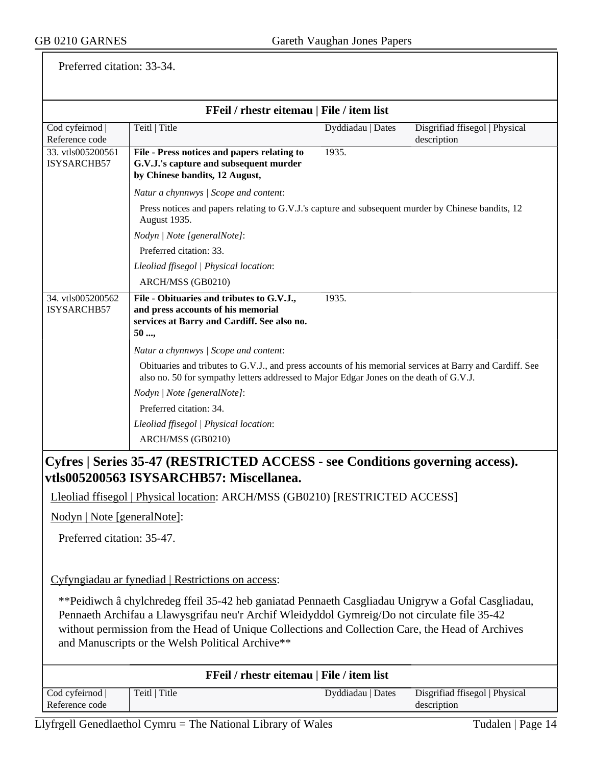Preferred citation: 33-34.

| FFeil / rhestr eitemau   File / item list |                                                                                                                                                                                                    |                   |                                               |  |
|-------------------------------------------|----------------------------------------------------------------------------------------------------------------------------------------------------------------------------------------------------|-------------------|-----------------------------------------------|--|
| Cod cyfeirnod  <br>Reference code         | Teitl   Title                                                                                                                                                                                      | Dyddiadau   Dates | Disgrifiad ffisegol   Physical<br>description |  |
| 33. vtls005200561<br>ISYSARCHB57          | File - Press notices and papers relating to<br>G.V.J.'s capture and subsequent murder<br>by Chinese bandits, 12 August,                                                                            | 1935.             |                                               |  |
|                                           | Natur a chynnwys / Scope and content:                                                                                                                                                              |                   |                                               |  |
|                                           | Press notices and papers relating to G.V.J.'s capture and subsequent murder by Chinese bandits, 12<br>August 1935.                                                                                 |                   |                                               |  |
|                                           | Nodyn   Note [generalNote]:                                                                                                                                                                        |                   |                                               |  |
|                                           | Preferred citation: 33.                                                                                                                                                                            |                   |                                               |  |
|                                           | Lleoliad ffisegol   Physical location:                                                                                                                                                             |                   |                                               |  |
|                                           | ARCH/MSS (GB0210)                                                                                                                                                                                  |                   |                                               |  |
| 34. vtls005200562<br>ISYSARCHB57          | File - Obituaries and tributes to G.V.J.,<br>and press accounts of his memorial<br>services at Barry and Cardiff. See also no.<br>50                                                               | 1935.             |                                               |  |
|                                           | Natur a chynnwys / Scope and content:                                                                                                                                                              |                   |                                               |  |
|                                           | Obituaries and tributes to G.V.J., and press accounts of his memorial services at Barry and Cardiff. See<br>also no. 50 for sympathy letters addressed to Major Edgar Jones on the death of G.V.J. |                   |                                               |  |
|                                           | Nodyn   Note [generalNote]:                                                                                                                                                                        |                   |                                               |  |
|                                           | Preferred citation: 34.                                                                                                                                                                            |                   |                                               |  |
|                                           | Lleoliad ffisegol   Physical location:<br>ARCH/MSS (GB0210)                                                                                                                                        |                   |                                               |  |
|                                           | Cyfres   Series 35-47 (RESTRICTED ACCESS - see Conditions governing access).                                                                                                                       |                   |                                               |  |
|                                           | vtls005200563 ISYSARCHB57: Miscellanea.                                                                                                                                                            |                   |                                               |  |
|                                           | Lleoliad ffisegol   Physical location: ARCH/MSS (GB0210) [RESTRICTED ACCESS]                                                                                                                       |                   |                                               |  |
| Nodyn   Note [generalNote]:               |                                                                                                                                                                                                    |                   |                                               |  |
| Preferred citation: 35-47.                |                                                                                                                                                                                                    |                   |                                               |  |
|                                           | Cyfyngiadau ar fynediad   Restrictions on access:                                                                                                                                                  |                   |                                               |  |
|                                           | **Peidiwch â chylchredeg ffeil 35-42 heb ganiatad Pennaeth Casgliadau Unigryw a Gofal Casgliadau,                                                                                                  |                   |                                               |  |
|                                           | Pennaeth Archifau a Llawysgrifau neu'r Archif Wleidyddol Gymreig/Do not circulate file 35-42                                                                                                       |                   |                                               |  |
|                                           | without permission from the Head of Unique Collections and Collection Care, the Head of Archives                                                                                                   |                   |                                               |  |
|                                           | and Manuscripts or the Welsh Political Archive**                                                                                                                                                   |                   |                                               |  |
|                                           | FFeil / rhestr eitemau   File / item list                                                                                                                                                          |                   |                                               |  |
| Cod cyfeirnod  <br>Reference code         | Teitl   Title                                                                                                                                                                                      | Dyddiadau   Dates | Disgrifiad ffisegol   Physical<br>description |  |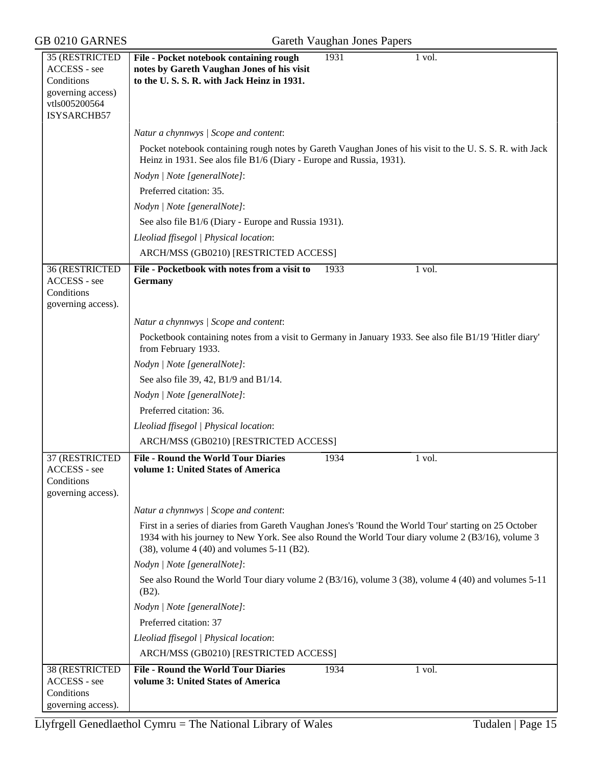# GB 0210 GARNES Gareth Vaughan Jones Papers

| 35 (RESTRICTED                                                     | 1931<br>File - Pocket notebook containing rough<br>1 vol.                                                                                                                                                                                                         |
|--------------------------------------------------------------------|-------------------------------------------------------------------------------------------------------------------------------------------------------------------------------------------------------------------------------------------------------------------|
| ACCESS - see<br>Conditions                                         | notes by Gareth Vaughan Jones of his visit<br>to the U.S.S.R. with Jack Heinz in 1931.                                                                                                                                                                            |
| governing access)                                                  |                                                                                                                                                                                                                                                                   |
| vtls005200564                                                      |                                                                                                                                                                                                                                                                   |
| ISYSARCHB57                                                        |                                                                                                                                                                                                                                                                   |
|                                                                    | Natur a chynnwys / Scope and content:                                                                                                                                                                                                                             |
|                                                                    | Pocket notebook containing rough notes by Gareth Vaughan Jones of his visit to the U.S.S.R. with Jack                                                                                                                                                             |
|                                                                    | Heinz in 1931. See alos file B1/6 (Diary - Europe and Russia, 1931).                                                                                                                                                                                              |
|                                                                    | Nodyn   Note [generalNote]:                                                                                                                                                                                                                                       |
|                                                                    | Preferred citation: 35.                                                                                                                                                                                                                                           |
|                                                                    | Nodyn   Note [generalNote]:                                                                                                                                                                                                                                       |
|                                                                    | See also file B1/6 (Diary - Europe and Russia 1931).                                                                                                                                                                                                              |
|                                                                    | Lleoliad ffisegol   Physical location:                                                                                                                                                                                                                            |
|                                                                    | ARCH/MSS (GB0210) [RESTRICTED ACCESS]                                                                                                                                                                                                                             |
| 36 (RESTRICTED<br>ACCESS - see<br>Conditions<br>governing access). | File - Pocketbook with notes from a visit to<br>1933<br>1 vol.<br><b>Germany</b>                                                                                                                                                                                  |
|                                                                    | Natur a chynnwys / Scope and content:                                                                                                                                                                                                                             |
|                                                                    | Pocketbook containing notes from a visit to Germany in January 1933. See also file B1/19 'Hitler diary'                                                                                                                                                           |
|                                                                    | from February 1933.                                                                                                                                                                                                                                               |
|                                                                    | Nodyn   Note [generalNote]:                                                                                                                                                                                                                                       |
|                                                                    | See also file 39, 42, B1/9 and B1/14.                                                                                                                                                                                                                             |
|                                                                    | Nodyn   Note [generalNote]:                                                                                                                                                                                                                                       |
|                                                                    | Preferred citation: 36.                                                                                                                                                                                                                                           |
|                                                                    | Lleoliad ffisegol   Physical location:                                                                                                                                                                                                                            |
|                                                                    | ARCH/MSS (GB0210) [RESTRICTED ACCESS]                                                                                                                                                                                                                             |
| 37 (RESTRICTED                                                     | <b>File - Round the World Tour Diaries</b><br>1934<br>1 vol.                                                                                                                                                                                                      |
| ACCESS - see                                                       | volume 1: United States of America                                                                                                                                                                                                                                |
| Conditions                                                         |                                                                                                                                                                                                                                                                   |
| governing access).                                                 |                                                                                                                                                                                                                                                                   |
|                                                                    | Natur a chynnwys / Scope and content:                                                                                                                                                                                                                             |
|                                                                    | First in a series of diaries from Gareth Vaughan Jones's 'Round the World Tour' starting on 25 October<br>1934 with his journey to New York. See also Round the World Tour diary volume 2 (B3/16), volume 3<br>$(38)$ , volume 4 $(40)$ and volumes 5-11 $(B2)$ . |
|                                                                    | Nodyn   Note [generalNote]:                                                                                                                                                                                                                                       |
|                                                                    | See also Round the World Tour diary volume $2$ (B3/16), volume $3$ (38), volume $4$ (40) and volumes $5-11$<br>$(B2)$ .                                                                                                                                           |
|                                                                    | Nodyn   Note [generalNote]:                                                                                                                                                                                                                                       |
|                                                                    | Preferred citation: 37                                                                                                                                                                                                                                            |
|                                                                    | Lleoliad ffisegol   Physical location:                                                                                                                                                                                                                            |
|                                                                    | ARCH/MSS (GB0210) [RESTRICTED ACCESS]                                                                                                                                                                                                                             |
| 38 (RESTRICTED                                                     | <b>File - Round the World Tour Diaries</b><br>1934<br>1 vol.                                                                                                                                                                                                      |
| ACCESS - see                                                       | volume 3: United States of America                                                                                                                                                                                                                                |
| Conditions                                                         |                                                                                                                                                                                                                                                                   |
| governing access).                                                 |                                                                                                                                                                                                                                                                   |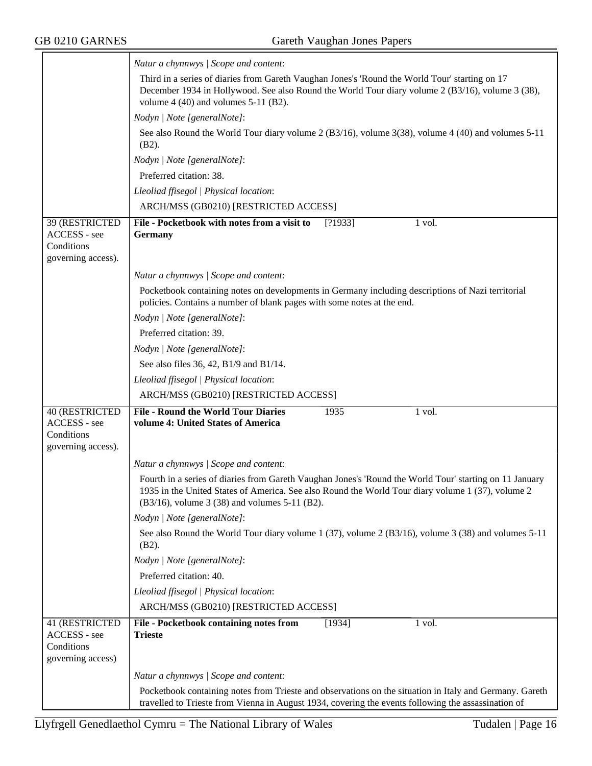$\equiv$ 

|                                                                    | Natur a chynnwys / Scope and content:                                                                                                                                                                                                                         |  |  |  |
|--------------------------------------------------------------------|---------------------------------------------------------------------------------------------------------------------------------------------------------------------------------------------------------------------------------------------------------------|--|--|--|
|                                                                    | Third in a series of diaries from Gareth Vaughan Jones's 'Round the World Tour' starting on 17<br>December 1934 in Hollywood. See also Round the World Tour diary volume 2 (B3/16), volume 3 (38),<br>volume $4(40)$ and volumes $5-11(B2)$ .                 |  |  |  |
|                                                                    | Nodyn   Note [generalNote]:                                                                                                                                                                                                                                   |  |  |  |
|                                                                    | See also Round the World Tour diary volume 2 (B3/16), volume 3(38), volume 4 (40) and volumes 5-11<br>$(B2)$ .                                                                                                                                                |  |  |  |
|                                                                    | Nodyn   Note [generalNote]:                                                                                                                                                                                                                                   |  |  |  |
|                                                                    | Preferred citation: 38.                                                                                                                                                                                                                                       |  |  |  |
|                                                                    | Lleoliad ffisegol   Physical location:                                                                                                                                                                                                                        |  |  |  |
|                                                                    | ARCH/MSS (GB0210) [RESTRICTED ACCESS]                                                                                                                                                                                                                         |  |  |  |
| 39 (RESTRICTED<br>ACCESS - see<br>Conditions<br>governing access). | File - Pocketbook with notes from a visit to<br>[?1933]<br>1 vol.<br><b>Germany</b>                                                                                                                                                                           |  |  |  |
|                                                                    | Natur a chynnwys / Scope and content:                                                                                                                                                                                                                         |  |  |  |
|                                                                    | Pocketbook containing notes on developments in Germany including descriptions of Nazi territorial                                                                                                                                                             |  |  |  |
|                                                                    | policies. Contains a number of blank pages with some notes at the end.                                                                                                                                                                                        |  |  |  |
|                                                                    | Nodyn   Note [generalNote]:                                                                                                                                                                                                                                   |  |  |  |
|                                                                    | Preferred citation: 39.                                                                                                                                                                                                                                       |  |  |  |
|                                                                    | Nodyn   Note [generalNote]:                                                                                                                                                                                                                                   |  |  |  |
|                                                                    | See also files 36, 42, B1/9 and B1/14.                                                                                                                                                                                                                        |  |  |  |
|                                                                    | Lleoliad ffisegol   Physical location:                                                                                                                                                                                                                        |  |  |  |
|                                                                    | ARCH/MSS (GB0210) [RESTRICTED ACCESS]                                                                                                                                                                                                                         |  |  |  |
| 40 (RESTRICTED<br>ACCESS - see<br>Conditions<br>governing access). | <b>File - Round the World Tour Diaries</b><br>1935<br>1 vol.<br>volume 4: United States of America                                                                                                                                                            |  |  |  |
|                                                                    | Natur a chynnwys / Scope and content:                                                                                                                                                                                                                         |  |  |  |
|                                                                    | Fourth in a series of diaries from Gareth Vaughan Jones's 'Round the World Tour' starting on 11 January<br>1935 in the United States of America. See also Round the World Tour diary volume 1 (37), volume 2<br>(B3/16), volume 3 (38) and volumes 5-11 (B2). |  |  |  |
|                                                                    | Nodyn   Note [generalNote]:                                                                                                                                                                                                                                   |  |  |  |
|                                                                    | See also Round the World Tour diary volume 1 (37), volume 2 (B3/16), volume 3 (38) and volumes $5-11$<br>$(B2)$ .                                                                                                                                             |  |  |  |
|                                                                    | Nodyn   Note [generalNote]:                                                                                                                                                                                                                                   |  |  |  |
|                                                                    | Preferred citation: 40.                                                                                                                                                                                                                                       |  |  |  |
|                                                                    | Lleoliad ffisegol   Physical location:                                                                                                                                                                                                                        |  |  |  |
|                                                                    | ARCH/MSS (GB0210) [RESTRICTED ACCESS]                                                                                                                                                                                                                         |  |  |  |
| 41 (RESTRICTED<br>ACCESS - see<br>Conditions<br>governing access)  | File - Pocketbook containing notes from<br>[1934]<br>1 vol.<br><b>Trieste</b>                                                                                                                                                                                 |  |  |  |
|                                                                    | Natur a chynnwys / Scope and content:                                                                                                                                                                                                                         |  |  |  |
|                                                                    | Pocketbook containing notes from Trieste and observations on the situation in Italy and Germany. Gareth<br>travelled to Trieste from Vienna in August 1934, covering the events following the assassination of                                                |  |  |  |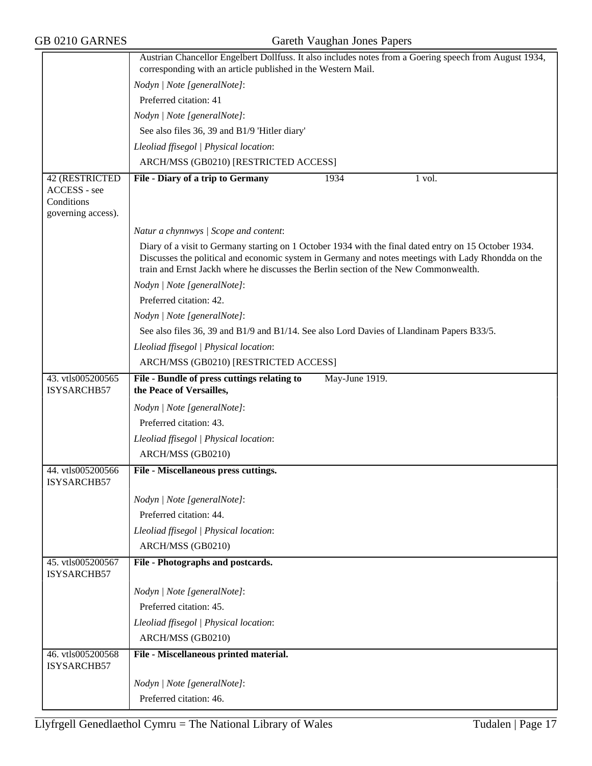GB 0210 GARNES Gareth Vaughan Jones Papers

|                                         | Austrian Chancellor Engelbert Dollfuss. It also includes notes from a Goering speech from August 1934,<br>corresponding with an article published in the Western Mail.                                                                                                                              |  |  |  |
|-----------------------------------------|-----------------------------------------------------------------------------------------------------------------------------------------------------------------------------------------------------------------------------------------------------------------------------------------------------|--|--|--|
|                                         | Nodyn   Note [generalNote]:                                                                                                                                                                                                                                                                         |  |  |  |
|                                         | Preferred citation: 41                                                                                                                                                                                                                                                                              |  |  |  |
|                                         | Nodyn   Note [generalNote]:                                                                                                                                                                                                                                                                         |  |  |  |
|                                         | See also files 36, 39 and B1/9 'Hitler diary'                                                                                                                                                                                                                                                       |  |  |  |
|                                         | Lleoliad ffisegol   Physical location:                                                                                                                                                                                                                                                              |  |  |  |
|                                         | ARCH/MSS (GB0210) [RESTRICTED ACCESS]                                                                                                                                                                                                                                                               |  |  |  |
| 42 (RESTRICTED                          | File - Diary of a trip to Germany<br>1934<br>1 vol.                                                                                                                                                                                                                                                 |  |  |  |
| ACCESS - see                            |                                                                                                                                                                                                                                                                                                     |  |  |  |
| Conditions                              |                                                                                                                                                                                                                                                                                                     |  |  |  |
| governing access).                      |                                                                                                                                                                                                                                                                                                     |  |  |  |
|                                         | Natur a chynnwys / Scope and content:                                                                                                                                                                                                                                                               |  |  |  |
|                                         | Diary of a visit to Germany starting on 1 October 1934 with the final dated entry on 15 October 1934.<br>Discusses the political and economic system in Germany and notes meetings with Lady Rhondda on the<br>train and Ernst Jackh where he discusses the Berlin section of the New Commonwealth. |  |  |  |
|                                         | Nodyn   Note [generalNote]:                                                                                                                                                                                                                                                                         |  |  |  |
|                                         | Preferred citation: 42.                                                                                                                                                                                                                                                                             |  |  |  |
|                                         | Nodyn   Note [generalNote]:                                                                                                                                                                                                                                                                         |  |  |  |
|                                         | See also files 36, 39 and B1/9 and B1/14. See also Lord Davies of Llandinam Papers B33/5.                                                                                                                                                                                                           |  |  |  |
|                                         | Lleoliad ffisegol   Physical location:                                                                                                                                                                                                                                                              |  |  |  |
|                                         | ARCH/MSS (GB0210) [RESTRICTED ACCESS]                                                                                                                                                                                                                                                               |  |  |  |
| 43. vtls005200565<br>ISYSARCHB57        | File - Bundle of press cuttings relating to<br>May-June 1919.<br>the Peace of Versailles,                                                                                                                                                                                                           |  |  |  |
|                                         | Nodyn   Note [generalNote]:                                                                                                                                                                                                                                                                         |  |  |  |
|                                         | Preferred citation: 43.                                                                                                                                                                                                                                                                             |  |  |  |
|                                         | Lleoliad ffisegol   Physical location:                                                                                                                                                                                                                                                              |  |  |  |
|                                         | ARCH/MSS (GB0210)                                                                                                                                                                                                                                                                                   |  |  |  |
| 44. vtls005200566<br><b>ISYSARCHB57</b> | File - Miscellaneous press cuttings.                                                                                                                                                                                                                                                                |  |  |  |
|                                         | Nodyn   Note [generalNote]:                                                                                                                                                                                                                                                                         |  |  |  |
|                                         | Preferred citation: 44.                                                                                                                                                                                                                                                                             |  |  |  |
|                                         | Lleoliad ffisegol   Physical location:                                                                                                                                                                                                                                                              |  |  |  |
|                                         | ARCH/MSS (GB0210)                                                                                                                                                                                                                                                                                   |  |  |  |
| 45. vtls005200567<br>ISYSARCHB57        | File - Photographs and postcards.                                                                                                                                                                                                                                                                   |  |  |  |
|                                         | Nodyn   Note [generalNote]:                                                                                                                                                                                                                                                                         |  |  |  |
|                                         | Preferred citation: 45.                                                                                                                                                                                                                                                                             |  |  |  |
|                                         | Lleoliad ffisegol   Physical location:                                                                                                                                                                                                                                                              |  |  |  |
|                                         | ARCH/MSS (GB0210)                                                                                                                                                                                                                                                                                   |  |  |  |
| 46. vtls005200568<br>ISYSARCHB57        | File - Miscellaneous printed material.                                                                                                                                                                                                                                                              |  |  |  |
|                                         | Nodyn   Note [generalNote]:                                                                                                                                                                                                                                                                         |  |  |  |
|                                         | Preferred citation: 46.                                                                                                                                                                                                                                                                             |  |  |  |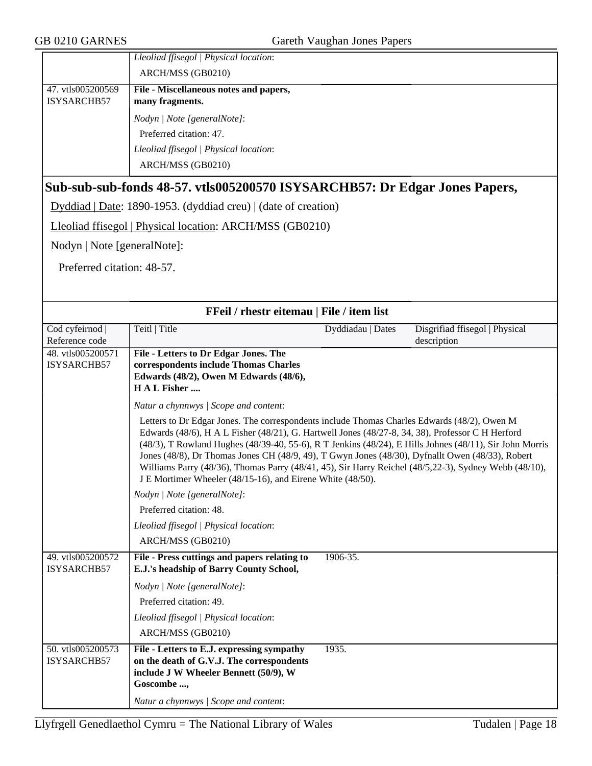|                   | Lleoliad ffisegol   Physical location: |
|-------------------|----------------------------------------|
|                   | ARCH/MSS (GB0210)                      |
| 47. vtls005200569 | File - Miscellaneous notes and papers, |
| ISYSARCHB57       | many fragments.                        |
|                   | Nodyn   Note [generalNote]:            |
|                   | Preferred citation: 47.                |
|                   | Lleoliad ffisegol   Physical location: |
|                   | ARCH/MSS (GB0210)                      |

## **Sub-sub-sub-fonds 48-57. vtls005200570 ISYSARCHB57: Dr Edgar Jones Papers,**

Dyddiad | Date: 1890-1953. (dyddiad creu) | (date of creation)

Lleoliad ffisegol | Physical location: ARCH/MSS (GB0210)

Nodyn | Note [generalNote]:

Preferred citation: 48-57.

| FFeil / rhestr eitemau   File / item list |                                                                                                                                                                                                                                                                                                                                                                                                                                                                                                                                                                                       |  |  |  |
|-------------------------------------------|---------------------------------------------------------------------------------------------------------------------------------------------------------------------------------------------------------------------------------------------------------------------------------------------------------------------------------------------------------------------------------------------------------------------------------------------------------------------------------------------------------------------------------------------------------------------------------------|--|--|--|
| Cod cyfeirnod                             | Teitl   Title<br>Disgrifiad ffisegol   Physical<br>Dyddiadau   Dates                                                                                                                                                                                                                                                                                                                                                                                                                                                                                                                  |  |  |  |
| Reference code                            | description                                                                                                                                                                                                                                                                                                                                                                                                                                                                                                                                                                           |  |  |  |
| 48. vtls005200571<br>ISYSARCHB57          | File - Letters to Dr Edgar Jones. The<br>correspondents include Thomas Charles<br>Edwards (48/2), Owen M Edwards (48/6),<br>H A L Fisher                                                                                                                                                                                                                                                                                                                                                                                                                                              |  |  |  |
|                                           | Natur a chynnwys / Scope and content:                                                                                                                                                                                                                                                                                                                                                                                                                                                                                                                                                 |  |  |  |
|                                           | Letters to Dr Edgar Jones. The correspondents include Thomas Charles Edwards (48/2), Owen M<br>Edwards (48/6), H A L Fisher (48/21), G. Hartwell Jones (48/27-8, 34, 38), Professor C H Herford<br>(48/3), T Rowland Hughes (48/39-40, 55-6), R T Jenkins (48/24), E Hills Johnes (48/11), Sir John Morris<br>Jones (48/8), Dr Thomas Jones CH (48/9, 49), T Gwyn Jones (48/30), Dyfnallt Owen (48/33), Robert<br>Williams Parry (48/36), Thomas Parry (48/41, 45), Sir Harry Reichel (48/5,22-3), Sydney Webb (48/10),<br>J E Mortimer Wheeler (48/15-16), and Eirene White (48/50). |  |  |  |
|                                           | Nodyn   Note [generalNote]:                                                                                                                                                                                                                                                                                                                                                                                                                                                                                                                                                           |  |  |  |
|                                           | Preferred citation: 48.                                                                                                                                                                                                                                                                                                                                                                                                                                                                                                                                                               |  |  |  |
|                                           | Lleoliad ffisegol   Physical location:                                                                                                                                                                                                                                                                                                                                                                                                                                                                                                                                                |  |  |  |
|                                           | ARCH/MSS (GB0210)                                                                                                                                                                                                                                                                                                                                                                                                                                                                                                                                                                     |  |  |  |
| 49. vtls005200572<br>ISYSARCHB57          | 1906-35.<br>File - Press cuttings and papers relating to<br>E.J.'s headship of Barry County School,                                                                                                                                                                                                                                                                                                                                                                                                                                                                                   |  |  |  |
|                                           | Nodyn   Note [generalNote]:                                                                                                                                                                                                                                                                                                                                                                                                                                                                                                                                                           |  |  |  |
|                                           | Preferred citation: 49.                                                                                                                                                                                                                                                                                                                                                                                                                                                                                                                                                               |  |  |  |
|                                           | Lleoliad ffisegol   Physical location:                                                                                                                                                                                                                                                                                                                                                                                                                                                                                                                                                |  |  |  |
|                                           | ARCH/MSS (GB0210)                                                                                                                                                                                                                                                                                                                                                                                                                                                                                                                                                                     |  |  |  |
| 50. vtls005200573<br>ISYSARCHB57          | 1935.<br>File - Letters to E.J. expressing sympathy<br>on the death of G.V.J. The correspondents<br>include J W Wheeler Bennett (50/9), W<br>Goscombe ,                                                                                                                                                                                                                                                                                                                                                                                                                               |  |  |  |
|                                           | Natur a chynnwys / Scope and content:                                                                                                                                                                                                                                                                                                                                                                                                                                                                                                                                                 |  |  |  |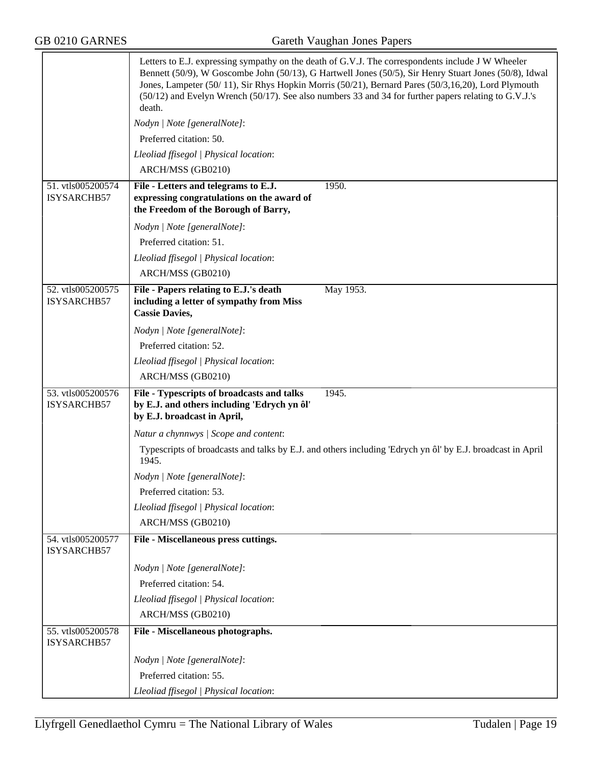$\overline{ }$ 

GB 0210 GARNES Gareth Vaughan Jones Papers

|                                  | Letters to E.J. expressing sympathy on the death of G.V.J. The correspondents include J W Wheeler<br>Bennett (50/9), W Goscombe John (50/13), G Hartwell Jones (50/5), Sir Henry Stuart Jones (50/8), Idwal<br>Jones, Lampeter (50/11), Sir Rhys Hopkin Morris (50/21), Bernard Pares (50/3,16,20), Lord Plymouth<br>(50/12) and Evelyn Wrench (50/17). See also numbers 33 and 34 for further papers relating to G.V.J.'s<br>death. |  |  |
|----------------------------------|--------------------------------------------------------------------------------------------------------------------------------------------------------------------------------------------------------------------------------------------------------------------------------------------------------------------------------------------------------------------------------------------------------------------------------------|--|--|
|                                  | Nodyn   Note [generalNote]:                                                                                                                                                                                                                                                                                                                                                                                                          |  |  |
|                                  | Preferred citation: 50.                                                                                                                                                                                                                                                                                                                                                                                                              |  |  |
|                                  | Lleoliad ffisegol   Physical location:                                                                                                                                                                                                                                                                                                                                                                                               |  |  |
|                                  | ARCH/MSS (GB0210)                                                                                                                                                                                                                                                                                                                                                                                                                    |  |  |
| 51. vtls005200574                | 1950.<br>File - Letters and telegrams to E.J.                                                                                                                                                                                                                                                                                                                                                                                        |  |  |
| ISYSARCHB57                      | expressing congratulations on the award of<br>the Freedom of the Borough of Barry,                                                                                                                                                                                                                                                                                                                                                   |  |  |
|                                  | Nodyn   Note [generalNote]:                                                                                                                                                                                                                                                                                                                                                                                                          |  |  |
|                                  | Preferred citation: 51.                                                                                                                                                                                                                                                                                                                                                                                                              |  |  |
|                                  | Lleoliad ffisegol   Physical location:                                                                                                                                                                                                                                                                                                                                                                                               |  |  |
|                                  | ARCH/MSS (GB0210)                                                                                                                                                                                                                                                                                                                                                                                                                    |  |  |
| 52. vtls005200575<br>ISYSARCHB57 | May 1953.<br>File - Papers relating to E.J.'s death<br>including a letter of sympathy from Miss<br><b>Cassie Davies,</b>                                                                                                                                                                                                                                                                                                             |  |  |
|                                  | Nodyn   Note [generalNote]:                                                                                                                                                                                                                                                                                                                                                                                                          |  |  |
|                                  | Preferred citation: 52.                                                                                                                                                                                                                                                                                                                                                                                                              |  |  |
|                                  | Lleoliad ffisegol   Physical location:                                                                                                                                                                                                                                                                                                                                                                                               |  |  |
|                                  | ARCH/MSS (GB0210)                                                                                                                                                                                                                                                                                                                                                                                                                    |  |  |
| 53. vtls005200576<br>ISYSARCHB57 | File - Typescripts of broadcasts and talks<br>1945.<br>by E.J. and others including 'Edrych yn ôl'<br>by E.J. broadcast in April,                                                                                                                                                                                                                                                                                                    |  |  |
|                                  | Natur a chynnwys / Scope and content:                                                                                                                                                                                                                                                                                                                                                                                                |  |  |
|                                  | Typescripts of broadcasts and talks by E.J. and others including 'Edrych yn ôl' by E.J. broadcast in April<br>1945.                                                                                                                                                                                                                                                                                                                  |  |  |
|                                  | Nodyn   Note [generalNote]:                                                                                                                                                                                                                                                                                                                                                                                                          |  |  |
|                                  | Preferred citation: 53.                                                                                                                                                                                                                                                                                                                                                                                                              |  |  |
|                                  | Lleoliad ffisegol   Physical location:                                                                                                                                                                                                                                                                                                                                                                                               |  |  |
|                                  | ARCH/MSS (GB0210)                                                                                                                                                                                                                                                                                                                                                                                                                    |  |  |
| 54. vtls005200577<br>ISYSARCHB57 | File - Miscellaneous press cuttings.                                                                                                                                                                                                                                                                                                                                                                                                 |  |  |
|                                  | Nodyn   Note [generalNote]:                                                                                                                                                                                                                                                                                                                                                                                                          |  |  |
|                                  | Preferred citation: 54.                                                                                                                                                                                                                                                                                                                                                                                                              |  |  |
|                                  | Lleoliad ffisegol   Physical location:                                                                                                                                                                                                                                                                                                                                                                                               |  |  |
|                                  | ARCH/MSS (GB0210)                                                                                                                                                                                                                                                                                                                                                                                                                    |  |  |
| 55. vtls005200578<br>ISYSARCHB57 | File - Miscellaneous photographs.                                                                                                                                                                                                                                                                                                                                                                                                    |  |  |
|                                  | Nodyn   Note [generalNote]:                                                                                                                                                                                                                                                                                                                                                                                                          |  |  |
|                                  | Preferred citation: 55.                                                                                                                                                                                                                                                                                                                                                                                                              |  |  |
|                                  | Lleoliad ffisegol   Physical location:                                                                                                                                                                                                                                                                                                                                                                                               |  |  |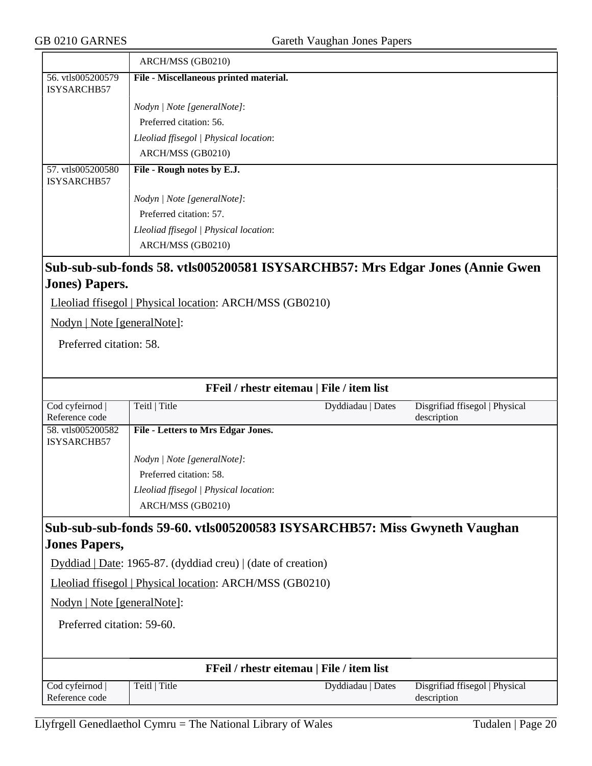|                                                                              | ARCH/MSS (GB0210)                      |  |
|------------------------------------------------------------------------------|----------------------------------------|--|
| 56. vtls005200579<br>ISYSARCHB57                                             | File - Miscellaneous printed material. |  |
|                                                                              | Nodyn   Note [generalNote]:            |  |
|                                                                              | Preferred citation: 56.                |  |
|                                                                              | Lleoliad ffisegol   Physical location: |  |
|                                                                              | ARCH/MSS (GB0210)                      |  |
| 57. vtls005200580<br><b>ISYSARCHB57</b>                                      | File - Rough notes by E.J.             |  |
|                                                                              | Nodyn   Note [generalNote]:            |  |
|                                                                              | Preferred citation: 57.                |  |
|                                                                              | Lleoliad ffisegol   Physical location: |  |
|                                                                              | ARCH/MSS (GB0210)                      |  |
| Sub-sub-sub-fonds 58. vtls005200581 ISYSARCHB57: Mrs Edgar Jones (Annie Gwen |                                        |  |
| <b>Jones</b> ) Papers.                                                       |                                        |  |
| Lleoliad ffisegol   Physical location: ARCH/MSS (GB0210)                     |                                        |  |
| Nodyn   Note [generalNote]:                                                  |                                        |  |
| Preferred citation: 58.                                                      |                                        |  |

| FFeil / rhestr eitemau   File / item list                                         |                                                                                                                            |                                           |                                               |  |
|-----------------------------------------------------------------------------------|----------------------------------------------------------------------------------------------------------------------------|-------------------------------------------|-----------------------------------------------|--|
| Cod cyfeirnod<br>Reference code                                                   | Teitl   Title                                                                                                              | Dyddiadau   Dates                         | Disgrifiad ffisegol   Physical<br>description |  |
| 58. vtls005200582<br>ISYSARCHB57                                                  | File - Letters to Mrs Edgar Jones.                                                                                         |                                           |                                               |  |
|                                                                                   | Nodyn   Note [generalNote]:                                                                                                |                                           |                                               |  |
|                                                                                   | Preferred citation: 58.                                                                                                    |                                           |                                               |  |
|                                                                                   | Lleoliad ffisegol   Physical location:                                                                                     |                                           |                                               |  |
|                                                                                   | ARCH/MSS (GB0210)                                                                                                          |                                           |                                               |  |
| <b>Jones Papers,</b><br>Nodyn   Note [generalNote]:<br>Preferred citation: 59-60. | $Dyddiad   Date: 1965-87. (dyddiad creu)   (date of creation)$<br>Lleoliad ffisegol   Physical location: ARCH/MSS (GB0210) |                                           |                                               |  |
|                                                                                   |                                                                                                                            | FFeil / rhestr eitemau   File / item list |                                               |  |
| Cod cyfeirnod<br>Reference code                                                   | Teitl   Title                                                                                                              | Dyddiadau   Dates                         | Disgrifiad ffisegol   Physical                |  |
|                                                                                   |                                                                                                                            |                                           | description                                   |  |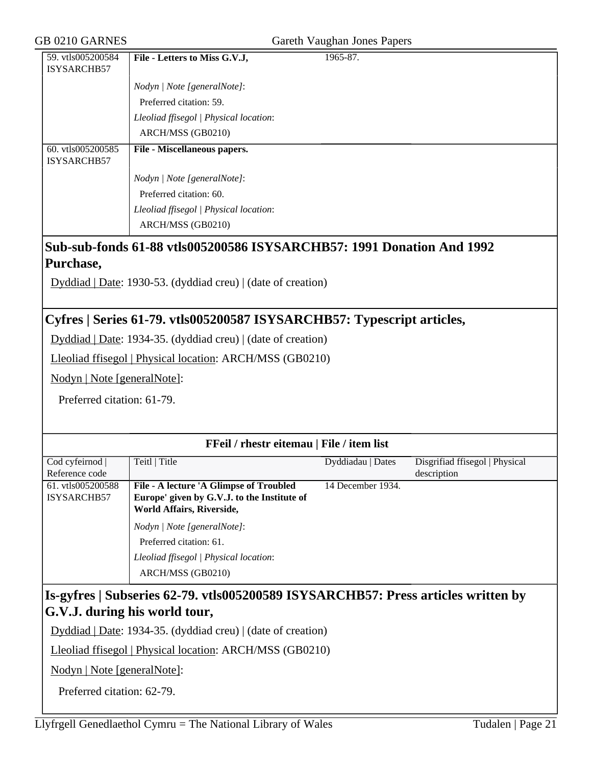#### GB 0210 GARNES Gareth Vaughan Jones Papers

|                     | 59. vtls005200584   File - Letters to Miss G.V.J, | 1965-87. |
|---------------------|---------------------------------------------------|----------|
| <b>LISYSARCHR57</b> |                                                   |          |

| <b>ISYSARCHB57</b> |                                        |
|--------------------|----------------------------------------|
|                    | Nodyn   Note [generalNote]:            |
|                    | Preferred citation: 59.                |
|                    | Lleoliad ffisegol   Physical location: |
|                    | ARCH/MSS (GB0210)                      |
| 60. vtls005200585  | File - Miscellaneous papers.           |
| ISYSARCHB57        |                                        |
|                    | Nodyn / Note [generalNote]:            |
|                    | Preferred citation: 60.                |
|                    | Lleoliad ffisegol   Physical location: |

## **Sub-sub-fonds 61-88 vtls005200586 ISYSARCHB57: 1991 Donation And 1992 Purchase,**

Dyddiad | Date: 1930-53. (dyddiad creu) | (date of creation)

## **Cyfres | Series 61-79. vtls005200587 ISYSARCHB57: Typescript articles,**

Dyddiad | Date: 1934-35. (dyddiad creu) | (date of creation)

Lleoliad ffisegol | Physical location: ARCH/MSS (GB0210)

Nodyn | Note [generalNote]:

Preferred citation: 61-79.

| FFeil / rhestr eitemau   File / item list |                                             |                   |                                |  |
|-------------------------------------------|---------------------------------------------|-------------------|--------------------------------|--|
| Cod cyfeirnod                             | Teitl   Title                               | Dyddiadau   Dates | Disgrifiad ffisegol   Physical |  |
| Reference code                            |                                             |                   | description                    |  |
| 61. vtls005200588                         | File - A lecture 'A Glimpse of Troubled     | 14 December 1934. |                                |  |
| ISYSARCHB57                               | Europe' given by G.V.J. to the Institute of |                   |                                |  |
|                                           | World Affairs, Riverside,                   |                   |                                |  |
|                                           | Nodyn / Note [generalNote]:                 |                   |                                |  |
|                                           | Preferred citation: 61.                     |                   |                                |  |
|                                           | Lleoliad ffisegol   Physical location:      |                   |                                |  |
|                                           | ARCH/MSS (GB0210)                           |                   |                                |  |

## **Is-gyfres | Subseries 62-79. vtls005200589 ISYSARCHB57: Press articles written by G.V.J. during his world tour,**

Dyddiad | Date: 1934-35. (dyddiad creu) | (date of creation)

Lleoliad ffisegol | Physical location: ARCH/MSS (GB0210)

Nodyn | Note [generalNote]:

Preferred citation: 62-79.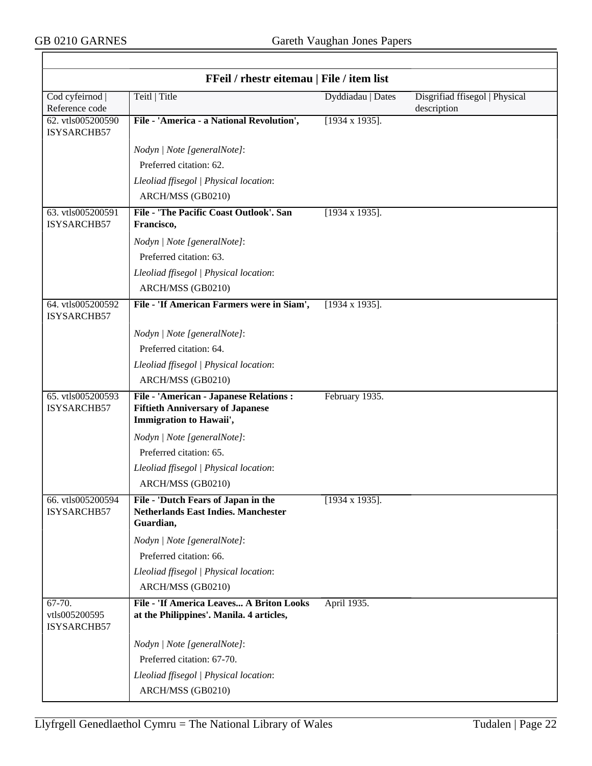$\overline{\phantom{0}}$ 

|                                        | FFeil / rhestr eitemau   File / item list                                                                     |                        |                                               |
|----------------------------------------|---------------------------------------------------------------------------------------------------------------|------------------------|-----------------------------------------------|
| Cod cyfeirnod<br>Reference code        | Teitl   Title                                                                                                 | Dyddiadau   Dates      | Disgrifiad ffisegol   Physical<br>description |
| 62. vtls005200590<br>ISYSARCHB57       | File - 'America - a National Revolution',                                                                     | $[1934 \times 1935]$ . |                                               |
|                                        | Nodyn   Note [generalNote]:                                                                                   |                        |                                               |
|                                        | Preferred citation: 62.                                                                                       |                        |                                               |
|                                        | Lleoliad ffisegol   Physical location:                                                                        |                        |                                               |
|                                        | ARCH/MSS (GB0210)                                                                                             |                        |                                               |
| 63. vtls005200591<br>ISYSARCHB57       | File - 'The Pacific Coast Outlook'. San<br>Francisco,                                                         | $[1934 \times 1935]$ . |                                               |
|                                        | Nodyn   Note [generalNote]:                                                                                   |                        |                                               |
|                                        | Preferred citation: 63.                                                                                       |                        |                                               |
|                                        | Lleoliad ffisegol   Physical location:                                                                        |                        |                                               |
|                                        | ARCH/MSS (GB0210)                                                                                             |                        |                                               |
| 64. vtls005200592<br>ISYSARCHB57       | File - 'If American Farmers were in Siam',                                                                    | $[1934 \times 1935]$ . |                                               |
|                                        | Nodyn   Note [generalNote]:                                                                                   |                        |                                               |
|                                        | Preferred citation: 64.                                                                                       |                        |                                               |
|                                        | Lleoliad ffisegol   Physical location:                                                                        |                        |                                               |
|                                        | ARCH/MSS (GB0210)                                                                                             |                        |                                               |
| 65. vtls005200593<br>ISYSARCHB57       | File - 'American - Japanese Relations :<br><b>Fiftieth Anniversary of Japanese</b><br>Immigration to Hawaii', | February 1935.         |                                               |
|                                        | Nodyn   Note [generalNote]:                                                                                   |                        |                                               |
|                                        | Preferred citation: 65.                                                                                       |                        |                                               |
|                                        | Lleoliad ffisegol   Physical location:                                                                        |                        |                                               |
|                                        | ARCH/MSS (GB0210)                                                                                             |                        |                                               |
| 66. vtls005200594<br>ISYSARCHB57       | File - 'Dutch Fears of Japan in the<br><b>Netherlands East Indies. Manchester</b><br>Guardian,                | $[1934 \times 1935]$ . |                                               |
|                                        | Nodyn   Note [generalNote]:                                                                                   |                        |                                               |
|                                        | Preferred citation: 66.                                                                                       |                        |                                               |
|                                        | Lleoliad ffisegol   Physical location:                                                                        |                        |                                               |
|                                        | ARCH/MSS (GB0210)                                                                                             |                        |                                               |
| 67-70.<br>vtls005200595<br>ISYSARCHB57 | File - 'If America Leaves A Briton Looks<br>at the Philippines'. Manila. 4 articles,                          | April 1935.            |                                               |
|                                        | Nodyn   Note [generalNote]:                                                                                   |                        |                                               |
|                                        | Preferred citation: 67-70.                                                                                    |                        |                                               |
|                                        | Lleoliad ffisegol   Physical location:                                                                        |                        |                                               |
|                                        | ARCH/MSS (GB0210)                                                                                             |                        |                                               |

٦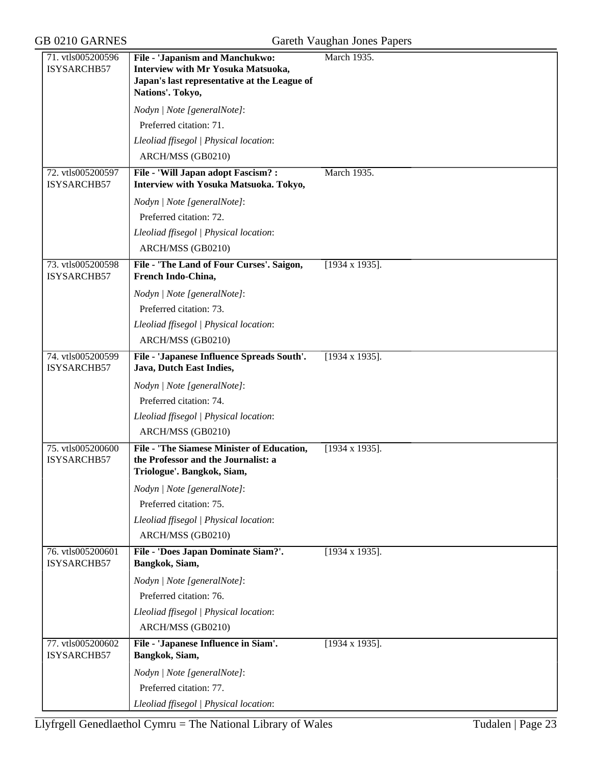| 71. vtls005200596<br>ISYSARCHB57 | File - 'Japanism and Manchukwo:<br>Interview with Mr Yosuka Matsuoka,<br>Japan's last representative at the League of  | March 1935.            |
|----------------------------------|------------------------------------------------------------------------------------------------------------------------|------------------------|
|                                  | Nations'. Tokyo,                                                                                                       |                        |
|                                  | Nodyn   Note [generalNote]:                                                                                            |                        |
|                                  | Preferred citation: 71.                                                                                                |                        |
|                                  | Lleoliad ffisegol   Physical location:                                                                                 |                        |
|                                  | ARCH/MSS (GB0210)                                                                                                      |                        |
| 72. vtls005200597<br>ISYSARCHB57 | File - 'Will Japan adopt Fascism? :<br>Interview with Yosuka Matsuoka. Tokyo,                                          | March 1935.            |
|                                  | Nodyn   Note [generalNote]:                                                                                            |                        |
|                                  | Preferred citation: 72.                                                                                                |                        |
|                                  | Lleoliad ffisegol   Physical location:                                                                                 |                        |
|                                  | ARCH/MSS (GB0210)                                                                                                      |                        |
| 73. vtls005200598<br>ISYSARCHB57 | File - 'The Land of Four Curses'. Saigon,<br>French Indo-China,                                                        | $[1934 \times 1935]$ . |
|                                  | Nodyn   Note [generalNote]:                                                                                            |                        |
|                                  | Preferred citation: 73.                                                                                                |                        |
|                                  | Lleoliad ffisegol   Physical location:                                                                                 |                        |
|                                  | ARCH/MSS (GB0210)                                                                                                      |                        |
| 74. vtls005200599<br>ISYSARCHB57 | File - 'Japanese Influence Spreads South'.<br>Java, Dutch East Indies,                                                 | $[1934 \times 1935]$ . |
|                                  | Nodyn   Note [generalNote]:                                                                                            |                        |
|                                  | Preferred citation: 74.                                                                                                |                        |
|                                  | Lleoliad ffisegol   Physical location:                                                                                 |                        |
|                                  | ARCH/MSS (GB0210)                                                                                                      |                        |
| 75. vtls005200600<br>ISYSARCHB57 | <b>File - 'The Siamese Minister of Education,</b><br>the Professor and the Journalist: a<br>Triologue'. Bangkok, Siam, | $[1934 \times 1935]$ . |
|                                  | Nodyn   Note [generalNote]:                                                                                            |                        |
|                                  | Preferred citation: 75.                                                                                                |                        |
|                                  | Lleoliad ffisegol   Physical location:                                                                                 |                        |
|                                  | ARCH/MSS (GB0210)                                                                                                      |                        |
| 76. vtls005200601<br>ISYSARCHB57 | File - 'Does Japan Dominate Siam?'.<br>Bangkok, Siam,                                                                  | $[1934 \times 1935]$ . |
|                                  | Nodyn   Note [generalNote]:                                                                                            |                        |
|                                  | Preferred citation: 76.                                                                                                |                        |
|                                  | Lleoliad ffisegol   Physical location:                                                                                 |                        |
|                                  | ARCH/MSS (GB0210)                                                                                                      |                        |
| 77. vtls005200602<br>ISYSARCHB57 | File - 'Japanese Influence in Siam'.<br>Bangkok, Siam,                                                                 | $[1934 \times 1935]$ . |
|                                  | Nodyn   Note [generalNote]:                                                                                            |                        |
|                                  | Preferred citation: 77.                                                                                                |                        |
|                                  | Lleoliad ffisegol   Physical location:                                                                                 |                        |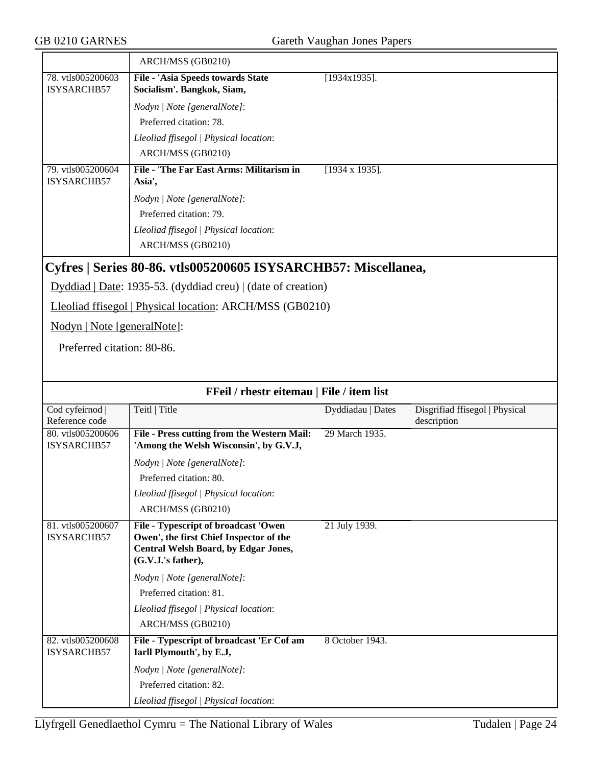|                                         | ARCH/MSS (GB0210)                                               |                        |
|-----------------------------------------|-----------------------------------------------------------------|------------------------|
| 78. vtls005200603<br>ISYSARCHB57        | File - 'Asia Speeds towards State<br>Socialism'. Bangkok, Siam, | $[1934x1935]$ .        |
|                                         | Nodyn   Note [generalNote]:                                     |                        |
|                                         | Preferred citation: 78.                                         |                        |
|                                         | Lleoliad ffisegol   Physical location:                          |                        |
|                                         | ARCH/MSS (GB0210)                                               |                        |
| 79. vtls005200604<br><b>ISYSARCHB57</b> | File - 'The Far East Arms: Militarism in<br>Asia',              | $[1934 \times 1935]$ . |
|                                         | Nodyn   Note [generalNote]:                                     |                        |
|                                         | Preferred citation: 79.                                         |                        |
|                                         | Lleoliad ffisegol   Physical location:                          |                        |
|                                         | ARCH/MSS (GB0210)                                               |                        |
|                                         | Cyfres   Series 80-86. vtls005200605 ISYSARCHB57: Miscellanea,  |                        |
|                                         | $Dyddiad   Date: 1935-53. (dyddiad creu)   (date of creation)$  |                        |
|                                         | Lleoliad ffisegol   Physical location: ARCH/MSS (GB0210)        |                        |
| Nodyn   Note [generalNote]:             |                                                                 |                        |

Preferred citation: 80-86.

| FFeil / rhestr eitemau   File / item list |                                             |                   |                                |
|-------------------------------------------|---------------------------------------------|-------------------|--------------------------------|
| Cod cyfeirnod                             | Teitl   Title                               | Dyddiadau   Dates | Disgrifiad ffisegol   Physical |
| Reference code                            |                                             |                   | description                    |
| 80. vtls005200606                         | File - Press cutting from the Western Mail: | 29 March 1935.    |                                |
| ISYSARCHB57                               | 'Among the Welsh Wisconsin', by G.V.J,      |                   |                                |
|                                           | Nodyn   Note [generalNote]:                 |                   |                                |
|                                           | Preferred citation: 80.                     |                   |                                |
|                                           | Lleoliad ffisegol   Physical location:      |                   |                                |
|                                           | ARCH/MSS (GB0210)                           |                   |                                |
| 81. vtls005200607                         | File - Typescript of broadcast 'Owen        | 21 July 1939.     |                                |
| <b>ISYSARCHB57</b>                        | Owen', the first Chief Inspector of the     |                   |                                |
|                                           | Central Welsh Board, by Edgar Jones,        |                   |                                |
|                                           | (G.V.J.'s father),                          |                   |                                |
|                                           | Nodyn   Note [generalNote]:                 |                   |                                |
|                                           | Preferred citation: 81.                     |                   |                                |
|                                           | Lleoliad ffisegol   Physical location:      |                   |                                |
|                                           | ARCH/MSS (GB0210)                           |                   |                                |
| 82. vtls005200608                         | File - Typescript of broadcast 'Er Cof am   | 8 October 1943.   |                                |
| ISYSARCHB57                               | Iarll Plymouth', by E.J,                    |                   |                                |
|                                           | Nodyn   Note [generalNote]:                 |                   |                                |
|                                           | Preferred citation: 82.                     |                   |                                |
|                                           | Lleoliad ffisegol   Physical location:      |                   |                                |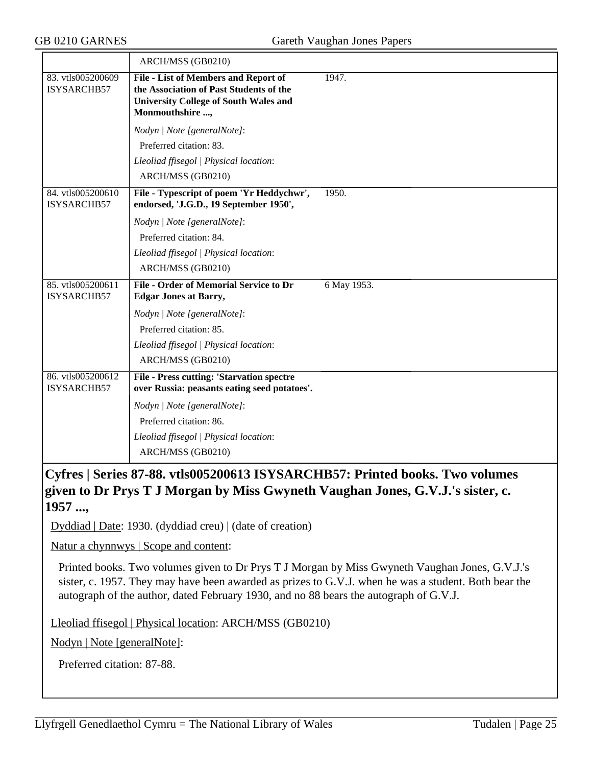|                                         | ARCH/MSS (GB0210)                                                                                                                                  |             |
|-----------------------------------------|----------------------------------------------------------------------------------------------------------------------------------------------------|-------------|
| 83. vtls005200609<br>ISYSARCHB57        | File - List of Members and Report of<br>the Association of Past Students of the<br><b>University College of South Wales and</b><br>Monmouthshire , | 1947.       |
|                                         | Nodyn   Note [generalNote]:                                                                                                                        |             |
|                                         | Preferred citation: 83.                                                                                                                            |             |
|                                         | Lleoliad ffisegol   Physical location:                                                                                                             |             |
|                                         | ARCH/MSS (GB0210)                                                                                                                                  |             |
| 84. vtls005200610<br><b>ISYSARCHB57</b> | File - Typescript of poem 'Yr Heddychwr',<br>endorsed, 'J.G.D., 19 September 1950',                                                                | 1950.       |
|                                         | Nodyn   Note [generalNote]:                                                                                                                        |             |
|                                         | Preferred citation: 84.                                                                                                                            |             |
|                                         | Lleoliad ffisegol   Physical location:                                                                                                             |             |
|                                         | ARCH/MSS (GB0210)                                                                                                                                  |             |
| 85. vtls005200611<br>ISYSARCHB57        | <b>File - Order of Memorial Service to Dr</b><br><b>Edgar Jones at Barry,</b>                                                                      | 6 May 1953. |
|                                         | Nodyn   Note [generalNote]:                                                                                                                        |             |
|                                         | Preferred citation: 85.                                                                                                                            |             |
|                                         | Lleoliad ffisegol   Physical location:                                                                                                             |             |
|                                         | ARCH/MSS (GB0210)                                                                                                                                  |             |
| 86. vtls005200612<br>ISYSARCHB57        | <b>File - Press cutting: 'Starvation spectre</b><br>over Russia: peasants eating seed potatoes'.                                                   |             |
|                                         | Nodyn / Note [generalNote]:                                                                                                                        |             |
|                                         | Preferred citation: 86.                                                                                                                            |             |
|                                         | Lleoliad ffisegol   Physical location:                                                                                                             |             |
|                                         | ARCH/MSS (GB0210)                                                                                                                                  |             |

**Cyfres | Series 87-88. vtls005200613 ISYSARCHB57: Printed books. Two volumes given to Dr Prys T J Morgan by Miss Gwyneth Vaughan Jones, G.V.J.'s sister, c. 1957 ...,**

Dyddiad | Date: 1930. (dyddiad creu) | (date of creation)

Natur a chynnwys | Scope and content:

Printed books. Two volumes given to Dr Prys T J Morgan by Miss Gwyneth Vaughan Jones, G.V.J.'s sister, c. 1957. They may have been awarded as prizes to G.V.J. when he was a student. Both bear the autograph of the author, dated February 1930, and no 88 bears the autograph of G.V.J.

Lleoliad ffisegol | Physical location: ARCH/MSS (GB0210)

Nodyn | Note [generalNote]:

Preferred citation: 87-88.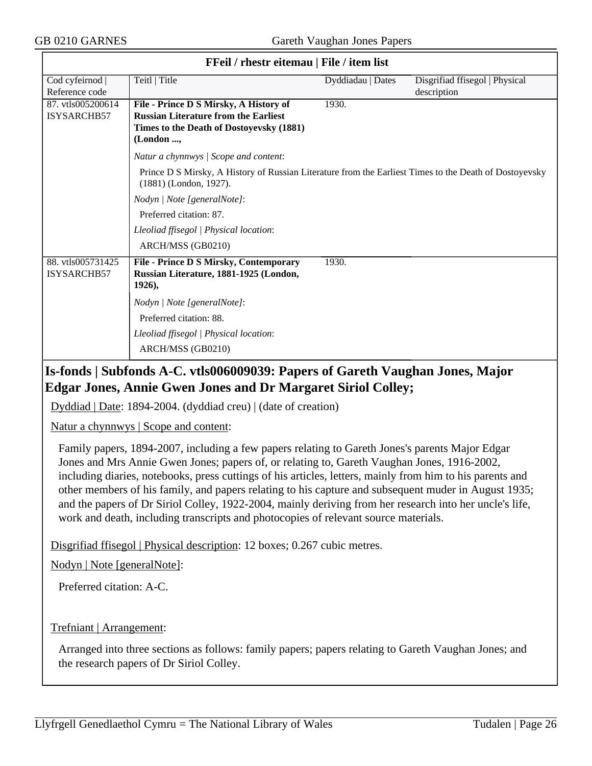| <b>FFell</b> / rhestr eitemau   File / item list |                                                                                                                                  |                   |                                |  |
|--------------------------------------------------|----------------------------------------------------------------------------------------------------------------------------------|-------------------|--------------------------------|--|
| Cod cyfeirnod                                    | Teitl   Title                                                                                                                    | Dyddiadau   Dates | Disgrifiad ffisegol   Physical |  |
| Reference code                                   |                                                                                                                                  |                   | description                    |  |
| 87. vtls005200614                                | File - Prince D S Mirsky, A History of                                                                                           | 1930.             |                                |  |
| ISYSARCHB57                                      | <b>Russian Literature from the Earliest</b>                                                                                      |                   |                                |  |
|                                                  | Times to the Death of Dostoyevsky (1881)                                                                                         |                   |                                |  |
|                                                  | (London ,                                                                                                                        |                   |                                |  |
|                                                  | Natur a chynnwys / Scope and content:                                                                                            |                   |                                |  |
|                                                  | Prince D S Mirsky, A History of Russian Literature from the Earliest Times to the Death of Dostoyevsky<br>(1881) (London, 1927). |                   |                                |  |
|                                                  | Nodyn   Note [generalNote]:                                                                                                      |                   |                                |  |
|                                                  | Preferred citation: 87.                                                                                                          |                   |                                |  |
|                                                  | Lleoliad ffisegol   Physical location:                                                                                           |                   |                                |  |
|                                                  | ARCH/MSS (GB0210)                                                                                                                |                   |                                |  |
| 88. vtls005731425<br>ISYSARCHB57                 | <b>File - Prince D S Mirsky, Contemporary</b><br>Russian Literature, 1881-1925 (London,<br>1926),                                | 1930.             |                                |  |
|                                                  | Nodyn   Note [generalNote]:                                                                                                      |                   |                                |  |
|                                                  | Preferred citation: 88.                                                                                                          |                   |                                |  |
|                                                  | Lleoliad ffisegol   Physical location:                                                                                           |                   |                                |  |
|                                                  | ARCH/MSS (GB0210)                                                                                                                |                   |                                |  |

#### **FFeil / rhestr eitemau | File / item list**

## **Is-fonds | Subfonds A-C. vtls006009039: Papers of Gareth Vaughan Jones, Major Edgar Jones, Annie Gwen Jones and Dr Margaret Siriol Colley;**

Dyddiad | Date: 1894-2004. (dyddiad creu) | (date of creation)

Natur a chynnwys | Scope and content:

Family papers, 1894-2007, including a few papers relating to Gareth Jones's parents Major Edgar Jones and Mrs Annie Gwen Jones; papers of, or relating to, Gareth Vaughan Jones, 1916-2002, including diaries, notebooks, press cuttings of his articles, letters, mainly from him to his parents and other members of his family, and papers relating to his capture and subsequent muder in August 1935; and the papers of Dr Siriol Colley, 1922-2004, mainly deriving from her research into her uncle's life, work and death, including transcripts and photocopies of relevant source materials.

Disgrifiad ffisegol | Physical description: 12 boxes; 0.267 cubic metres.

Nodyn | Note [generalNote]:

Preferred citation: A-C.

Trefniant | Arrangement:

Arranged into three sections as follows: family papers; papers relating to Gareth Vaughan Jones; and the research papers of Dr Siriol Colley.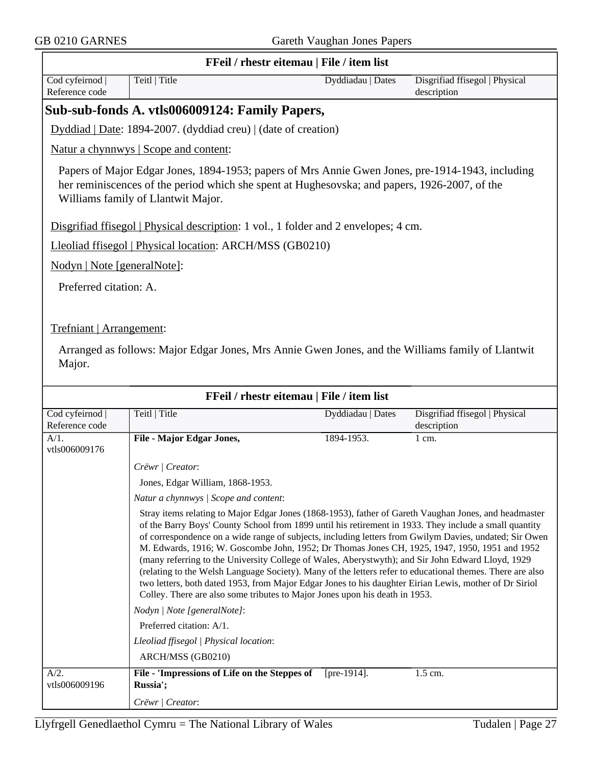| FFeil / rhestr eitemau   File / item list |                                                                                                                                                                                                                                                                                                                                                                                                                                                                                                                                                                                                                                                                                                                                                                                                                                       |                   |                                               |  |  |
|-------------------------------------------|---------------------------------------------------------------------------------------------------------------------------------------------------------------------------------------------------------------------------------------------------------------------------------------------------------------------------------------------------------------------------------------------------------------------------------------------------------------------------------------------------------------------------------------------------------------------------------------------------------------------------------------------------------------------------------------------------------------------------------------------------------------------------------------------------------------------------------------|-------------------|-----------------------------------------------|--|--|
| Cod cyfeirnod<br>Reference code           | Teitl   Title                                                                                                                                                                                                                                                                                                                                                                                                                                                                                                                                                                                                                                                                                                                                                                                                                         | Dyddiadau   Dates | Disgrifiad ffisegol   Physical<br>description |  |  |
|                                           | Sub-sub-fonds A. vtls006009124: Family Papers,                                                                                                                                                                                                                                                                                                                                                                                                                                                                                                                                                                                                                                                                                                                                                                                        |                   |                                               |  |  |
|                                           | Dyddiad   Date: 1894-2007. (dyddiad creu)   (date of creation)                                                                                                                                                                                                                                                                                                                                                                                                                                                                                                                                                                                                                                                                                                                                                                        |                   |                                               |  |  |
|                                           | Natur a chynnwys   Scope and content:                                                                                                                                                                                                                                                                                                                                                                                                                                                                                                                                                                                                                                                                                                                                                                                                 |                   |                                               |  |  |
|                                           | Papers of Major Edgar Jones, 1894-1953; papers of Mrs Annie Gwen Jones, pre-1914-1943, including<br>her reminiscences of the period which she spent at Hughesovska; and papers, 1926-2007, of the<br>Williams family of Llantwit Major.                                                                                                                                                                                                                                                                                                                                                                                                                                                                                                                                                                                               |                   |                                               |  |  |
|                                           | Disgrifiad ffisegol   Physical description: 1 vol., 1 folder and 2 envelopes; 4 cm.                                                                                                                                                                                                                                                                                                                                                                                                                                                                                                                                                                                                                                                                                                                                                   |                   |                                               |  |  |
|                                           | Lleoliad ffisegol   Physical location: ARCH/MSS (GB0210)                                                                                                                                                                                                                                                                                                                                                                                                                                                                                                                                                                                                                                                                                                                                                                              |                   |                                               |  |  |
| Nodyn   Note [generalNote]:               |                                                                                                                                                                                                                                                                                                                                                                                                                                                                                                                                                                                                                                                                                                                                                                                                                                       |                   |                                               |  |  |
|                                           |                                                                                                                                                                                                                                                                                                                                                                                                                                                                                                                                                                                                                                                                                                                                                                                                                                       |                   |                                               |  |  |
| Preferred citation: A.                    |                                                                                                                                                                                                                                                                                                                                                                                                                                                                                                                                                                                                                                                                                                                                                                                                                                       |                   |                                               |  |  |
| Trefniant   Arrangement:                  |                                                                                                                                                                                                                                                                                                                                                                                                                                                                                                                                                                                                                                                                                                                                                                                                                                       |                   |                                               |  |  |
|                                           | Arranged as follows: Major Edgar Jones, Mrs Annie Gwen Jones, and the Williams family of Llantwit                                                                                                                                                                                                                                                                                                                                                                                                                                                                                                                                                                                                                                                                                                                                     |                   |                                               |  |  |
| Major.                                    |                                                                                                                                                                                                                                                                                                                                                                                                                                                                                                                                                                                                                                                                                                                                                                                                                                       |                   |                                               |  |  |
|                                           |                                                                                                                                                                                                                                                                                                                                                                                                                                                                                                                                                                                                                                                                                                                                                                                                                                       |                   |                                               |  |  |
|                                           |                                                                                                                                                                                                                                                                                                                                                                                                                                                                                                                                                                                                                                                                                                                                                                                                                                       |                   |                                               |  |  |
|                                           | FFeil / rhestr eitemau   File / item list                                                                                                                                                                                                                                                                                                                                                                                                                                                                                                                                                                                                                                                                                                                                                                                             |                   |                                               |  |  |
| Cod cyfeirnod<br>Reference code           | Teitl   Title                                                                                                                                                                                                                                                                                                                                                                                                                                                                                                                                                                                                                                                                                                                                                                                                                         | Dyddiadau   Dates | Disgrifiad ffisegol   Physical<br>description |  |  |
| A/1.                                      | <b>File - Major Edgar Jones,</b>                                                                                                                                                                                                                                                                                                                                                                                                                                                                                                                                                                                                                                                                                                                                                                                                      | 1894-1953.        | $1$ cm.                                       |  |  |
| vtls006009176                             |                                                                                                                                                                                                                                                                                                                                                                                                                                                                                                                                                                                                                                                                                                                                                                                                                                       |                   |                                               |  |  |
|                                           | Crëwr   Creator:                                                                                                                                                                                                                                                                                                                                                                                                                                                                                                                                                                                                                                                                                                                                                                                                                      |                   |                                               |  |  |
|                                           | Jones, Edgar William, 1868-1953.                                                                                                                                                                                                                                                                                                                                                                                                                                                                                                                                                                                                                                                                                                                                                                                                      |                   |                                               |  |  |
|                                           | Natur a chynnwys / Scope and content:                                                                                                                                                                                                                                                                                                                                                                                                                                                                                                                                                                                                                                                                                                                                                                                                 |                   |                                               |  |  |
|                                           | Stray items relating to Major Edgar Jones (1868-1953), father of Gareth Vaughan Jones, and headmaster<br>of the Barry Boys' County School from 1899 until his retirement in 1933. They include a small quantity<br>of correspondence on a wide range of subjects, including letters from Gwilym Davies, undated; Sir Owen<br>M. Edwards, 1916; W. Goscombe John, 1952; Dr Thomas Jones CH, 1925, 1947, 1950, 1951 and 1952<br>(many referring to the University College of Wales, Aberystwyth); and Sir John Edward Lloyd, 1929<br>(relating to the Welsh Language Society). Many of the letters refer to educational themes. There are also<br>two letters, both dated 1953, from Major Edgar Jones to his daughter Eirian Lewis, mother of Dr Siriol<br>Colley. There are also some tributes to Major Jones upon his death in 1953. |                   |                                               |  |  |
|                                           | Nodyn   Note [generalNote]:                                                                                                                                                                                                                                                                                                                                                                                                                                                                                                                                                                                                                                                                                                                                                                                                           |                   |                                               |  |  |
|                                           | Preferred citation: A/1.                                                                                                                                                                                                                                                                                                                                                                                                                                                                                                                                                                                                                                                                                                                                                                                                              |                   |                                               |  |  |
|                                           | Lleoliad ffisegol   Physical location:                                                                                                                                                                                                                                                                                                                                                                                                                                                                                                                                                                                                                                                                                                                                                                                                |                   |                                               |  |  |
|                                           | ARCH/MSS (GB0210)                                                                                                                                                                                                                                                                                                                                                                                                                                                                                                                                                                                                                                                                                                                                                                                                                     |                   |                                               |  |  |
| A/2.<br>vtls006009196                     | File - 'Impressions of Life on the Steppes of<br>Russia';                                                                                                                                                                                                                                                                                                                                                                                                                                                                                                                                                                                                                                                                                                                                                                             | [pre-1914].       | 1.5 cm.                                       |  |  |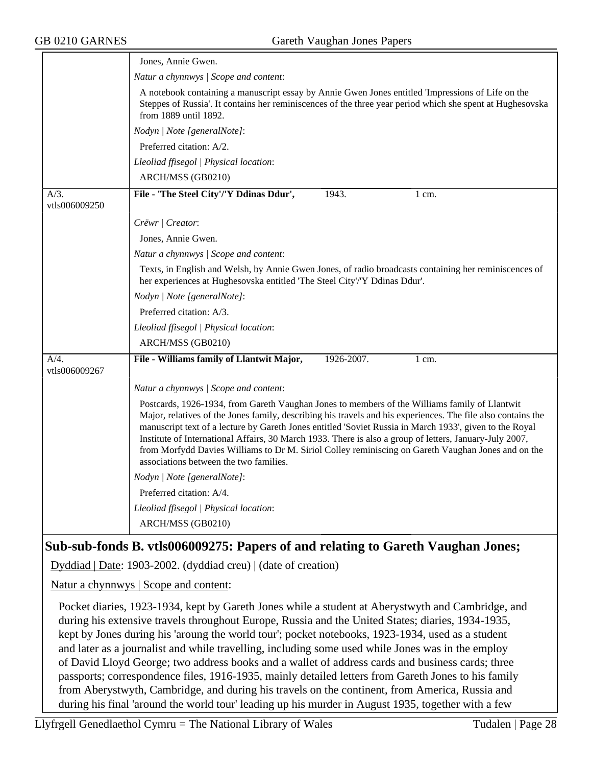|                          | Jones, Annie Gwen.                                                                                                                                                                                                                                                                                                                                                                                                                                                                                                                                                                  |
|--------------------------|-------------------------------------------------------------------------------------------------------------------------------------------------------------------------------------------------------------------------------------------------------------------------------------------------------------------------------------------------------------------------------------------------------------------------------------------------------------------------------------------------------------------------------------------------------------------------------------|
|                          | Natur a chynnwys / Scope and content:                                                                                                                                                                                                                                                                                                                                                                                                                                                                                                                                               |
|                          | A notebook containing a manuscript essay by Annie Gwen Jones entitled 'Impressions of Life on the<br>Steppes of Russia'. It contains her reminiscences of the three year period which she spent at Hughesovska<br>from 1889 until 1892.                                                                                                                                                                                                                                                                                                                                             |
|                          | Nodyn   Note [generalNote]:                                                                                                                                                                                                                                                                                                                                                                                                                                                                                                                                                         |
|                          | Preferred citation: A/2.                                                                                                                                                                                                                                                                                                                                                                                                                                                                                                                                                            |
|                          | Lleoliad ffisegol   Physical location:                                                                                                                                                                                                                                                                                                                                                                                                                                                                                                                                              |
|                          | ARCH/MSS (GB0210)                                                                                                                                                                                                                                                                                                                                                                                                                                                                                                                                                                   |
| $A/3$ .<br>vtls006009250 | File - 'The Steel City'/'Y Ddinas Ddur',<br>1943.<br>1 cm.                                                                                                                                                                                                                                                                                                                                                                                                                                                                                                                          |
|                          | Crëwr   Creator:                                                                                                                                                                                                                                                                                                                                                                                                                                                                                                                                                                    |
|                          | Jones, Annie Gwen.                                                                                                                                                                                                                                                                                                                                                                                                                                                                                                                                                                  |
|                          | Natur a chynnwys / Scope and content:                                                                                                                                                                                                                                                                                                                                                                                                                                                                                                                                               |
|                          | Texts, in English and Welsh, by Annie Gwen Jones, of radio broadcasts containing her reminiscences of<br>her experiences at Hughesovska entitled 'The Steel City'/'Y Ddinas Ddur'.                                                                                                                                                                                                                                                                                                                                                                                                  |
|                          | Nodyn   Note [generalNote]:                                                                                                                                                                                                                                                                                                                                                                                                                                                                                                                                                         |
|                          | Preferred citation: A/3.                                                                                                                                                                                                                                                                                                                                                                                                                                                                                                                                                            |
|                          | Lleoliad ffisegol   Physical location:                                                                                                                                                                                                                                                                                                                                                                                                                                                                                                                                              |
|                          | ARCH/MSS (GB0210)                                                                                                                                                                                                                                                                                                                                                                                                                                                                                                                                                                   |
| A/4.<br>vtls006009267    | File - Williams family of Llantwit Major,<br>1926-2007.<br>1 cm.                                                                                                                                                                                                                                                                                                                                                                                                                                                                                                                    |
|                          | Natur a chynnwys / Scope and content:                                                                                                                                                                                                                                                                                                                                                                                                                                                                                                                                               |
|                          | Postcards, 1926-1934, from Gareth Vaughan Jones to members of the Williams family of Llantwit<br>Major, relatives of the Jones family, describing his travels and his experiences. The file also contains the<br>manuscript text of a lecture by Gareth Jones entitled 'Soviet Russia in March 1933', given to the Royal<br>Institute of International Affairs, 30 March 1933. There is also a group of letters, January-July 2007,<br>from Morfydd Davies Williams to Dr M. Siriol Colley reminiscing on Gareth Vaughan Jones and on the<br>associations between the two families. |
|                          | Nodyn   Note [generalNote]:                                                                                                                                                                                                                                                                                                                                                                                                                                                                                                                                                         |
|                          | Preferred citation: A/4.                                                                                                                                                                                                                                                                                                                                                                                                                                                                                                                                                            |
|                          | Lleoliad ffisegol   Physical location:                                                                                                                                                                                                                                                                                                                                                                                                                                                                                                                                              |
|                          | ARCH/MSS (GB0210)                                                                                                                                                                                                                                                                                                                                                                                                                                                                                                                                                                   |
|                          | Sub-sub-fonds B. vtls006009275: Papers of and relating to Gareth Vaughan Jones;                                                                                                                                                                                                                                                                                                                                                                                                                                                                                                     |

Dyddiad | Date: 1903-2002. (dyddiad creu) | (date of creation)

Natur a chynnwys | Scope and content:

Pocket diaries, 1923-1934, kept by Gareth Jones while a student at Aberystwyth and Cambridge, and during his extensive travels throughout Europe, Russia and the United States; diaries, 1934-1935, kept by Jones during his 'aroung the world tour'; pocket notebooks, 1923-1934, used as a student and later as a journalist and while travelling, including some used while Jones was in the employ of David Lloyd George; two address books and a wallet of address cards and business cards; three passports; correspondence files, 1916-1935, mainly detailed letters from Gareth Jones to his family from Aberystwyth, Cambridge, and during his travels on the continent, from America, Russia and during his final 'around the world tour' leading up his murder in August 1935, together with a few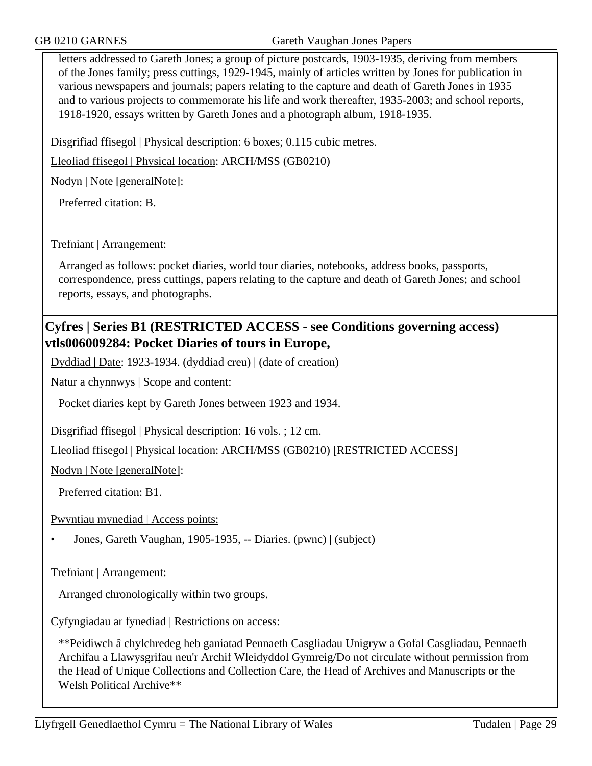GB 0210 GARNES Gareth Vaughan Jones Papers

letters addressed to Gareth Jones; a group of picture postcards, 1903-1935, deriving from members of the Jones family; press cuttings, 1929-1945, mainly of articles written by Jones for publication in various newspapers and journals; papers relating to the capture and death of Gareth Jones in 1935 and to various projects to commemorate his life and work thereafter, 1935-2003; and school reports, 1918-1920, essays written by Gareth Jones and a photograph album, 1918-1935.

Disgrifiad ffisegol | Physical description: 6 boxes; 0.115 cubic metres.

Lleoliad ffisegol | Physical location: ARCH/MSS (GB0210)

Nodyn | Note [generalNote]:

Preferred citation: B.

#### Trefniant | Arrangement:

Arranged as follows: pocket diaries, world tour diaries, notebooks, address books, passports, correspondence, press cuttings, papers relating to the capture and death of Gareth Jones; and school reports, essays, and photographs.

## **Cyfres | Series B1 (RESTRICTED ACCESS - see Conditions governing access) vtls006009284: Pocket Diaries of tours in Europe,**

Dyddiad | Date: 1923-1934. (dyddiad creu) | (date of creation)

Natur a chynnwys | Scope and content:

Pocket diaries kept by Gareth Jones between 1923 and 1934.

Disgrifiad ffisegol | Physical description: 16 vols. ; 12 cm.

Lleoliad ffisegol | Physical location: ARCH/MSS (GB0210) [RESTRICTED ACCESS]

Nodyn | Note [generalNote]:

Preferred citation: B1.

Pwyntiau mynediad | Access points:

• Jones, Gareth Vaughan, 1905-1935, -- Diaries. (pwnc) | (subject)

Trefniant | Arrangement:

Arranged chronologically within two groups.

Cyfyngiadau ar fynediad | Restrictions on access:

\*\*Peidiwch â chylchredeg heb ganiatad Pennaeth Casgliadau Unigryw a Gofal Casgliadau, Pennaeth Archifau a Llawysgrifau neu'r Archif Wleidyddol Gymreig/Do not circulate without permission from the Head of Unique Collections and Collection Care, the Head of Archives and Manuscripts or the Welsh Political Archive\*\*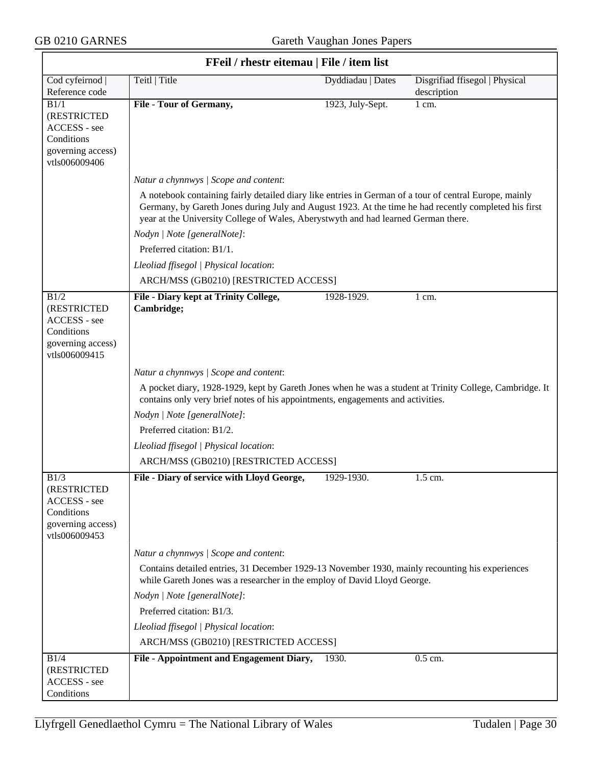$\overline{\phantom{0}}$ 

| FFeil / rhestr eitemau   File / item list                                               |                                                                                                                                                                                                                                                                                                       |                   |                                |  |
|-----------------------------------------------------------------------------------------|-------------------------------------------------------------------------------------------------------------------------------------------------------------------------------------------------------------------------------------------------------------------------------------------------------|-------------------|--------------------------------|--|
| Cod cyfeirnod                                                                           | Teitl   Title                                                                                                                                                                                                                                                                                         | Dyddiadau   Dates | Disgrifiad ffisegol   Physical |  |
| Reference code                                                                          |                                                                                                                                                                                                                                                                                                       |                   | description                    |  |
| B1/1<br>(RESTRICTED<br>ACCESS - see<br>Conditions<br>governing access)<br>vtls006009406 | File - Tour of Germany,                                                                                                                                                                                                                                                                               | 1923, July-Sept.  | 1 cm.                          |  |
|                                                                                         | Natur a chynnwys / Scope and content:                                                                                                                                                                                                                                                                 |                   |                                |  |
|                                                                                         | A notebook containing fairly detailed diary like entries in German of a tour of central Europe, mainly<br>Germany, by Gareth Jones during July and August 1923. At the time he had recently completed his first<br>year at the University College of Wales, Aberystwyth and had learned German there. |                   |                                |  |
|                                                                                         | Nodyn   Note [generalNote]:                                                                                                                                                                                                                                                                           |                   |                                |  |
|                                                                                         | Preferred citation: B1/1.                                                                                                                                                                                                                                                                             |                   |                                |  |
|                                                                                         | Lleoliad ffisegol   Physical location:                                                                                                                                                                                                                                                                |                   |                                |  |
|                                                                                         | ARCH/MSS (GB0210) [RESTRICTED ACCESS]                                                                                                                                                                                                                                                                 |                   |                                |  |
| B1/2<br>(RESTRICTED<br>ACCESS - see<br>Conditions<br>governing access)<br>vtls006009415 | <b>File - Diary kept at Trinity College,</b><br>Cambridge;                                                                                                                                                                                                                                            | 1928-1929.        | $1 \text{ cm}$ .               |  |
|                                                                                         | Natur a chynnwys / Scope and content:                                                                                                                                                                                                                                                                 |                   |                                |  |
|                                                                                         | A pocket diary, 1928-1929, kept by Gareth Jones when he was a student at Trinity College, Cambridge. It<br>contains only very brief notes of his appointments, engagements and activities.                                                                                                            |                   |                                |  |
|                                                                                         | Nodyn   Note [generalNote]:                                                                                                                                                                                                                                                                           |                   |                                |  |
|                                                                                         | Preferred citation: B1/2.                                                                                                                                                                                                                                                                             |                   |                                |  |
|                                                                                         | Lleoliad ffisegol   Physical location:                                                                                                                                                                                                                                                                |                   |                                |  |
|                                                                                         | ARCH/MSS (GB0210) [RESTRICTED ACCESS]                                                                                                                                                                                                                                                                 |                   |                                |  |
| B1/3<br>(RESTRICTED<br>ACCESS - see<br>Conditions<br>governing access)<br>vtls006009453 | File - Diary of service with Lloyd George,                                                                                                                                                                                                                                                            | 1929-1930.        | 1.5 cm.                        |  |
|                                                                                         | Natur a chynnwys / Scope and content:                                                                                                                                                                                                                                                                 |                   |                                |  |
|                                                                                         | Contains detailed entries, 31 December 1929-13 November 1930, mainly recounting his experiences<br>while Gareth Jones was a researcher in the employ of David Lloyd George.                                                                                                                           |                   |                                |  |
|                                                                                         | Nodyn   Note [generalNote]:                                                                                                                                                                                                                                                                           |                   |                                |  |
|                                                                                         | Preferred citation: B1/3.                                                                                                                                                                                                                                                                             |                   |                                |  |
|                                                                                         | Lleoliad ffisegol   Physical location:                                                                                                                                                                                                                                                                |                   |                                |  |
|                                                                                         | ARCH/MSS (GB0210) [RESTRICTED ACCESS]                                                                                                                                                                                                                                                                 |                   |                                |  |
| B1/4                                                                                    | File - Appointment and Engagement Diary,                                                                                                                                                                                                                                                              | 1930.             | 0.5 cm.                        |  |
| (RESTRICTED                                                                             |                                                                                                                                                                                                                                                                                                       |                   |                                |  |
| ACCESS - see<br>Conditions                                                              |                                                                                                                                                                                                                                                                                                       |                   |                                |  |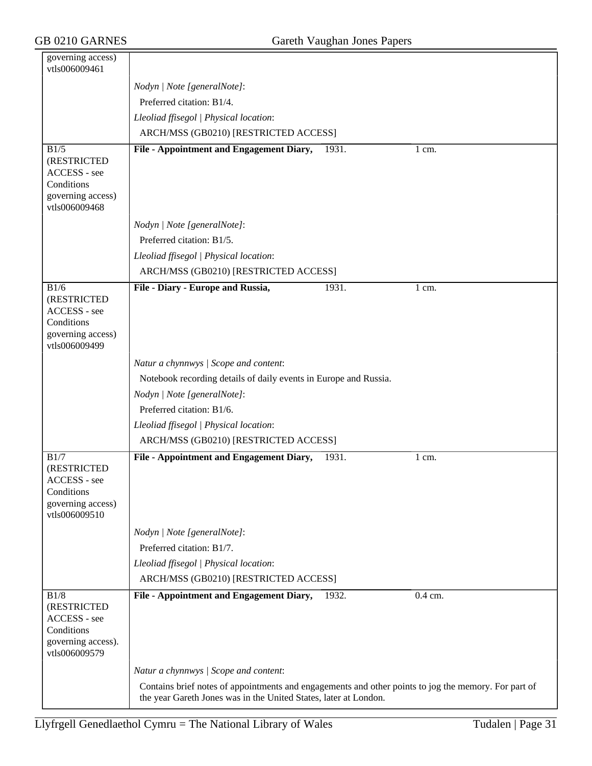| governing access)<br>vtls006009461                                                       |                                                                                                                                                                          |
|------------------------------------------------------------------------------------------|--------------------------------------------------------------------------------------------------------------------------------------------------------------------------|
|                                                                                          | Nodyn   Note [generalNote]:                                                                                                                                              |
|                                                                                          | Preferred citation: B1/4.                                                                                                                                                |
|                                                                                          | Lleoliad ffisegol   Physical location:                                                                                                                                   |
|                                                                                          | ARCH/MSS (GB0210) [RESTRICTED ACCESS]                                                                                                                                    |
| B1/5<br>(RESTRICTED<br>ACCESS - see<br>Conditions<br>governing access)<br>vtls006009468  | File - Appointment and Engagement Diary,<br>1931.<br>$1 \text{ cm}$ .                                                                                                    |
|                                                                                          | Nodyn   Note [generalNote]:                                                                                                                                              |
|                                                                                          | Preferred citation: B1/5.                                                                                                                                                |
|                                                                                          | Lleoliad ffisegol   Physical location:                                                                                                                                   |
|                                                                                          | ARCH/MSS (GB0210) [RESTRICTED ACCESS]                                                                                                                                    |
| B1/6<br>(RESTRICTED<br>ACCESS - see<br>Conditions<br>governing access)<br>vtls006009499  | File - Diary - Europe and Russia,<br>1931.<br>$1 \text{ cm}$ .                                                                                                           |
|                                                                                          | Natur a chynnwys / Scope and content:                                                                                                                                    |
|                                                                                          | Notebook recording details of daily events in Europe and Russia.                                                                                                         |
|                                                                                          | Nodyn   Note [generalNote]:                                                                                                                                              |
|                                                                                          | Preferred citation: B1/6.                                                                                                                                                |
|                                                                                          | Lleoliad ffisegol   Physical location:                                                                                                                                   |
|                                                                                          | ARCH/MSS (GB0210) [RESTRICTED ACCESS]                                                                                                                                    |
| B1/7<br>(RESTRICTED<br>ACCESS - see<br>Conditions<br>governing access)<br>vtls006009510  | File - Appointment and Engagement Diary,<br>1931.<br>$1 \text{ cm}$ .                                                                                                    |
|                                                                                          | Nodyn   Note [generalNote]:                                                                                                                                              |
|                                                                                          | Preferred citation: B1/7.                                                                                                                                                |
|                                                                                          | Lleoliad ffisegol   Physical location:                                                                                                                                   |
|                                                                                          | ARCH/MSS (GB0210) [RESTRICTED ACCESS]                                                                                                                                    |
| B1/8<br>(RESTRICTED<br>ACCESS - see<br>Conditions<br>governing access).<br>vtls006009579 | File - Appointment and Engagement Diary,<br>1932.<br>0.4 cm.                                                                                                             |
|                                                                                          | Natur a chynnwys / Scope and content:                                                                                                                                    |
|                                                                                          | Contains brief notes of appointments and engagements and other points to jog the memory. For part of<br>the year Gareth Jones was in the United States, later at London. |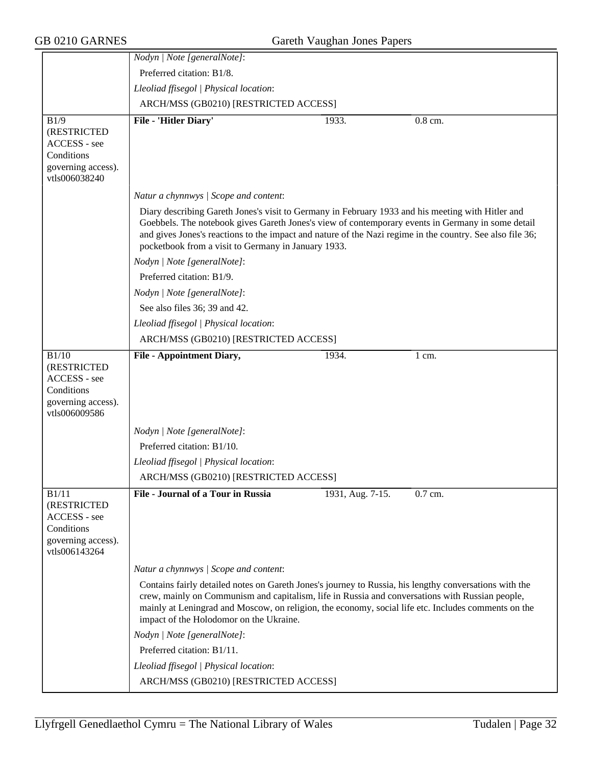|                                                                                           | Nodyn   Note [generalNote]:                                                                                                                                                                                                                                                                                                                                                |                  |         |  |  |
|-------------------------------------------------------------------------------------------|----------------------------------------------------------------------------------------------------------------------------------------------------------------------------------------------------------------------------------------------------------------------------------------------------------------------------------------------------------------------------|------------------|---------|--|--|
|                                                                                           | Preferred citation: B1/8.                                                                                                                                                                                                                                                                                                                                                  |                  |         |  |  |
|                                                                                           | Lleoliad ffisegol   Physical location:                                                                                                                                                                                                                                                                                                                                     |                  |         |  |  |
|                                                                                           | ARCH/MSS (GB0210) [RESTRICTED ACCESS]                                                                                                                                                                                                                                                                                                                                      |                  |         |  |  |
| B1/9                                                                                      | File - 'Hitler Diary'                                                                                                                                                                                                                                                                                                                                                      | 1933.            | 0.8 cm. |  |  |
| (RESTRICTED<br>ACCESS - see                                                               |                                                                                                                                                                                                                                                                                                                                                                            |                  |         |  |  |
| Conditions                                                                                |                                                                                                                                                                                                                                                                                                                                                                            |                  |         |  |  |
| governing access).<br>vtls006038240                                                       |                                                                                                                                                                                                                                                                                                                                                                            |                  |         |  |  |
|                                                                                           | Natur a chynnwys / Scope and content:                                                                                                                                                                                                                                                                                                                                      |                  |         |  |  |
|                                                                                           | Diary describing Gareth Jones's visit to Germany in February 1933 and his meeting with Hitler and<br>Goebbels. The notebook gives Gareth Jones's view of contemporary events in Germany in some detail<br>and gives Jones's reactions to the impact and nature of the Nazi regime in the country. See also file 36;<br>pocketbook from a visit to Germany in January 1933. |                  |         |  |  |
|                                                                                           | Nodyn   Note [generalNote]:                                                                                                                                                                                                                                                                                                                                                |                  |         |  |  |
|                                                                                           | Preferred citation: B1/9.                                                                                                                                                                                                                                                                                                                                                  |                  |         |  |  |
|                                                                                           | Nodyn   Note [generalNote]:                                                                                                                                                                                                                                                                                                                                                |                  |         |  |  |
|                                                                                           | See also files 36; 39 and 42.                                                                                                                                                                                                                                                                                                                                              |                  |         |  |  |
|                                                                                           | Lleoliad ffisegol   Physical location:                                                                                                                                                                                                                                                                                                                                     |                  |         |  |  |
|                                                                                           | ARCH/MSS (GB0210) [RESTRICTED ACCESS]                                                                                                                                                                                                                                                                                                                                      |                  |         |  |  |
| B1/10<br>(RESTRICTED<br>ACCESS - see<br>Conditions<br>governing access).<br>vtls006009586 | <b>File - Appointment Diary,</b>                                                                                                                                                                                                                                                                                                                                           | 1934.            | 1 cm.   |  |  |
|                                                                                           | Nodyn   Note [generalNote]:                                                                                                                                                                                                                                                                                                                                                |                  |         |  |  |
|                                                                                           | Preferred citation: B1/10.                                                                                                                                                                                                                                                                                                                                                 |                  |         |  |  |
|                                                                                           | Lleoliad ffisegol   Physical location:                                                                                                                                                                                                                                                                                                                                     |                  |         |  |  |
|                                                                                           | ARCH/MSS (GB0210) [RESTRICTED ACCESS]                                                                                                                                                                                                                                                                                                                                      |                  |         |  |  |
| B1/11<br>(RESTRICTED<br>ACCESS - see<br>Conditions<br>governing access).<br>vtls006143264 | <b>File - Journal of a Tour in Russia</b>                                                                                                                                                                                                                                                                                                                                  | 1931, Aug. 7-15. | 0.7 cm. |  |  |
|                                                                                           | Natur a chynnwys / Scope and content:                                                                                                                                                                                                                                                                                                                                      |                  |         |  |  |
|                                                                                           | Contains fairly detailed notes on Gareth Jones's journey to Russia, his lengthy conversations with the<br>crew, mainly on Communism and capitalism, life in Russia and conversations with Russian people,<br>mainly at Leningrad and Moscow, on religion, the economy, social life etc. Includes comments on the<br>impact of the Holodomor on the Ukraine.                |                  |         |  |  |
|                                                                                           | Nodyn   Note [generalNote]:                                                                                                                                                                                                                                                                                                                                                |                  |         |  |  |
|                                                                                           | Preferred citation: B1/11.                                                                                                                                                                                                                                                                                                                                                 |                  |         |  |  |
|                                                                                           | Lleoliad ffisegol   Physical location:                                                                                                                                                                                                                                                                                                                                     |                  |         |  |  |
|                                                                                           | ARCH/MSS (GB0210) [RESTRICTED ACCESS]                                                                                                                                                                                                                                                                                                                                      |                  |         |  |  |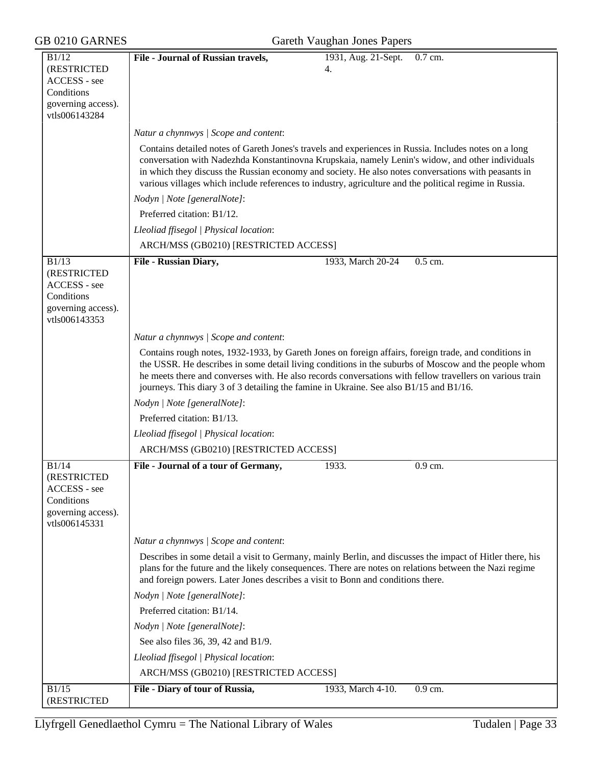| GB 0210 GARNES                                                                            | Gareth Vaughan Jones Papers                                                                                                                                                                                                                                                                                                                                                                                                |         |  |  |
|-------------------------------------------------------------------------------------------|----------------------------------------------------------------------------------------------------------------------------------------------------------------------------------------------------------------------------------------------------------------------------------------------------------------------------------------------------------------------------------------------------------------------------|---------|--|--|
| B1/12<br>(RESTRICTED<br>ACCESS - see<br>Conditions<br>governing access).<br>vtls006143284 | File - Journal of Russian travels,<br>1931, Aug. 21-Sept.<br>4.                                                                                                                                                                                                                                                                                                                                                            | 0.7 cm. |  |  |
|                                                                                           | Natur a chynnwys / Scope and content:                                                                                                                                                                                                                                                                                                                                                                                      |         |  |  |
|                                                                                           | Contains detailed notes of Gareth Jones's travels and experiences in Russia. Includes notes on a long<br>conversation with Nadezhda Konstantinovna Krupskaia, namely Lenin's widow, and other individuals<br>in which they discuss the Russian economy and society. He also notes conversations with peasants in<br>various villages which include references to industry, agriculture and the political regime in Russia. |         |  |  |
|                                                                                           | Nodyn   Note [generalNote]:                                                                                                                                                                                                                                                                                                                                                                                                |         |  |  |
|                                                                                           | Preferred citation: B1/12.                                                                                                                                                                                                                                                                                                                                                                                                 |         |  |  |
|                                                                                           | Lleoliad ffisegol   Physical location:                                                                                                                                                                                                                                                                                                                                                                                     |         |  |  |
|                                                                                           | ARCH/MSS (GB0210) [RESTRICTED ACCESS]                                                                                                                                                                                                                                                                                                                                                                                      |         |  |  |
| B1/13<br>(RESTRICTED<br>ACCESS - see<br>Conditions<br>governing access).<br>vtls006143353 | File - Russian Diary,<br>1933, March 20-24                                                                                                                                                                                                                                                                                                                                                                                 | 0.5 cm. |  |  |
|                                                                                           | Natur a chynnwys / Scope and content:                                                                                                                                                                                                                                                                                                                                                                                      |         |  |  |
|                                                                                           | Contains rough notes, 1932-1933, by Gareth Jones on foreign affairs, foreign trade, and conditions in<br>the USSR. He describes in some detail living conditions in the suburbs of Moscow and the people whom<br>he meets there and converses with. He also records conversations with fellow travellers on various train<br>journeys. This diary 3 of 3 detailing the famine in Ukraine. See also B1/15 and B1/16.        |         |  |  |
|                                                                                           | Nodyn   Note [generalNote]:                                                                                                                                                                                                                                                                                                                                                                                                |         |  |  |
|                                                                                           | Preferred citation: B1/13.                                                                                                                                                                                                                                                                                                                                                                                                 |         |  |  |
|                                                                                           | Lleoliad ffisegol   Physical location:                                                                                                                                                                                                                                                                                                                                                                                     |         |  |  |
|                                                                                           | ARCH/MSS (GB0210) [RESTRICTED ACCESS]                                                                                                                                                                                                                                                                                                                                                                                      |         |  |  |
| B1/14<br>(RESTRICTED<br>ACCESS - see<br>Conditions<br>governing access).<br>vtls006145331 | File - Journal of a tour of Germany,<br>1933.                                                                                                                                                                                                                                                                                                                                                                              | 0.9 cm. |  |  |
|                                                                                           | Natur a chynnwys / Scope and content:                                                                                                                                                                                                                                                                                                                                                                                      |         |  |  |
|                                                                                           | Describes in some detail a visit to Germany, mainly Berlin, and discusses the impact of Hitler there, his<br>plans for the future and the likely consequences. There are notes on relations between the Nazi regime<br>and foreign powers. Later Jones describes a visit to Bonn and conditions there.                                                                                                                     |         |  |  |
|                                                                                           | Nodyn   Note [generalNote]:                                                                                                                                                                                                                                                                                                                                                                                                |         |  |  |
|                                                                                           | Preferred citation: B1/14.                                                                                                                                                                                                                                                                                                                                                                                                 |         |  |  |
|                                                                                           | Nodyn   Note [generalNote]:                                                                                                                                                                                                                                                                                                                                                                                                |         |  |  |
|                                                                                           | See also files 36, 39, 42 and B1/9.                                                                                                                                                                                                                                                                                                                                                                                        |         |  |  |
|                                                                                           | Lleoliad ffisegol   Physical location:                                                                                                                                                                                                                                                                                                                                                                                     |         |  |  |
|                                                                                           | ARCH/MSS (GB0210) [RESTRICTED ACCESS]                                                                                                                                                                                                                                                                                                                                                                                      |         |  |  |
| B1/15<br>(RESTRICTED                                                                      | 1933, March 4-10.<br>File - Diary of tour of Russia,                                                                                                                                                                                                                                                                                                                                                                       | 0.9 cm. |  |  |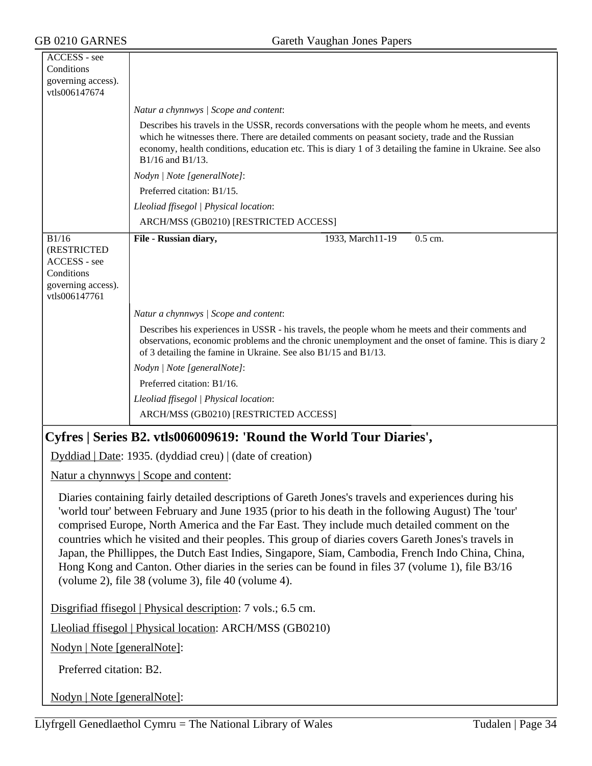| ACCESS - see                                                                                                                                                                                                                                                                                                                                                                                                                                                                                                                                                                                                                                                                             |                                                                                                                                                                                                                                                                                                                                        |  |  |  |
|------------------------------------------------------------------------------------------------------------------------------------------------------------------------------------------------------------------------------------------------------------------------------------------------------------------------------------------------------------------------------------------------------------------------------------------------------------------------------------------------------------------------------------------------------------------------------------------------------------------------------------------------------------------------------------------|----------------------------------------------------------------------------------------------------------------------------------------------------------------------------------------------------------------------------------------------------------------------------------------------------------------------------------------|--|--|--|
| Conditions<br>governing access).                                                                                                                                                                                                                                                                                                                                                                                                                                                                                                                                                                                                                                                         |                                                                                                                                                                                                                                                                                                                                        |  |  |  |
| vtls006147674                                                                                                                                                                                                                                                                                                                                                                                                                                                                                                                                                                                                                                                                            |                                                                                                                                                                                                                                                                                                                                        |  |  |  |
|                                                                                                                                                                                                                                                                                                                                                                                                                                                                                                                                                                                                                                                                                          | Natur a chynnwys   Scope and content:                                                                                                                                                                                                                                                                                                  |  |  |  |
|                                                                                                                                                                                                                                                                                                                                                                                                                                                                                                                                                                                                                                                                                          | Describes his travels in the USSR, records conversations with the people whom he meets, and events<br>which he witnesses there. There are detailed comments on peasant society, trade and the Russian<br>economy, health conditions, education etc. This is diary 1 of 3 detailing the famine in Ukraine. See also<br>B1/16 and B1/13. |  |  |  |
|                                                                                                                                                                                                                                                                                                                                                                                                                                                                                                                                                                                                                                                                                          | Nodyn   Note [generalNote]:                                                                                                                                                                                                                                                                                                            |  |  |  |
|                                                                                                                                                                                                                                                                                                                                                                                                                                                                                                                                                                                                                                                                                          | Preferred citation: B1/15.                                                                                                                                                                                                                                                                                                             |  |  |  |
|                                                                                                                                                                                                                                                                                                                                                                                                                                                                                                                                                                                                                                                                                          | Lleoliad ffisegol   Physical location:                                                                                                                                                                                                                                                                                                 |  |  |  |
|                                                                                                                                                                                                                                                                                                                                                                                                                                                                                                                                                                                                                                                                                          | ARCH/MSS (GB0210) [RESTRICTED ACCESS]                                                                                                                                                                                                                                                                                                  |  |  |  |
| B1/16                                                                                                                                                                                                                                                                                                                                                                                                                                                                                                                                                                                                                                                                                    | File - Russian diary,<br>1933, March11-19<br>$0.5$ cm.                                                                                                                                                                                                                                                                                 |  |  |  |
| (RESTRICTED<br>ACCESS - see<br>Conditions<br>governing access).<br>vtls006147761                                                                                                                                                                                                                                                                                                                                                                                                                                                                                                                                                                                                         |                                                                                                                                                                                                                                                                                                                                        |  |  |  |
|                                                                                                                                                                                                                                                                                                                                                                                                                                                                                                                                                                                                                                                                                          | Natur a chynnwys / Scope and content:                                                                                                                                                                                                                                                                                                  |  |  |  |
|                                                                                                                                                                                                                                                                                                                                                                                                                                                                                                                                                                                                                                                                                          | Describes his experiences in USSR - his travels, the people whom he meets and their comments and<br>observations, economic problems and the chronic unemployment and the onset of famine. This is diary 2<br>of 3 detailing the famine in Ukraine. See also B1/15 and B1/13.                                                           |  |  |  |
|                                                                                                                                                                                                                                                                                                                                                                                                                                                                                                                                                                                                                                                                                          | Nodyn   Note [generalNote]:                                                                                                                                                                                                                                                                                                            |  |  |  |
|                                                                                                                                                                                                                                                                                                                                                                                                                                                                                                                                                                                                                                                                                          | Preferred citation: B1/16.                                                                                                                                                                                                                                                                                                             |  |  |  |
|                                                                                                                                                                                                                                                                                                                                                                                                                                                                                                                                                                                                                                                                                          | Lleoliad ffisegol   Physical location:                                                                                                                                                                                                                                                                                                 |  |  |  |
|                                                                                                                                                                                                                                                                                                                                                                                                                                                                                                                                                                                                                                                                                          | ARCH/MSS (GB0210) [RESTRICTED ACCESS]                                                                                                                                                                                                                                                                                                  |  |  |  |
|                                                                                                                                                                                                                                                                                                                                                                                                                                                                                                                                                                                                                                                                                          | Cyfres   Series B2. vtls006009619: 'Round the World Tour Diaries',                                                                                                                                                                                                                                                                     |  |  |  |
| $Dyddiad   Date: 1935. (dyddiad creu)   (date of creation)$                                                                                                                                                                                                                                                                                                                                                                                                                                                                                                                                                                                                                              |                                                                                                                                                                                                                                                                                                                                        |  |  |  |
|                                                                                                                                                                                                                                                                                                                                                                                                                                                                                                                                                                                                                                                                                          | Natur a chynnwys   Scope and content:                                                                                                                                                                                                                                                                                                  |  |  |  |
| Diaries containing fairly detailed descriptions of Gareth Jones's travels and experiences during his<br>'world tour' between February and June 1935 (prior to his death in the following August) The 'tour'<br>comprised Europe, North America and the Far East. They include much detailed comment on the<br>countries which he visited and their peoples. This group of diaries covers Gareth Jones's travels in<br>Japan, the Phillippes, the Dutch East Indies, Singapore, Siam, Cambodia, French Indo China, China,<br>Hong Kong and Canton. Other diaries in the series can be found in files 37 (volume 1), file B3/16<br>(volume 2), file $38$ (volume 3), file $40$ (volume 4). |                                                                                                                                                                                                                                                                                                                                        |  |  |  |
| Disgrifiad ffisegol   Physical description: 7 vols.; 6.5 cm.                                                                                                                                                                                                                                                                                                                                                                                                                                                                                                                                                                                                                             |                                                                                                                                                                                                                                                                                                                                        |  |  |  |
| Lleoliad ffisegol   Physical location: ARCH/MSS (GB0210)                                                                                                                                                                                                                                                                                                                                                                                                                                                                                                                                                                                                                                 |                                                                                                                                                                                                                                                                                                                                        |  |  |  |
| Nodyn   Note [generalNote]:                                                                                                                                                                                                                                                                                                                                                                                                                                                                                                                                                                                                                                                              |                                                                                                                                                                                                                                                                                                                                        |  |  |  |
| Preferred citation: B2.                                                                                                                                                                                                                                                                                                                                                                                                                                                                                                                                                                                                                                                                  |                                                                                                                                                                                                                                                                                                                                        |  |  |  |

Nodyn | Note [generalNote]: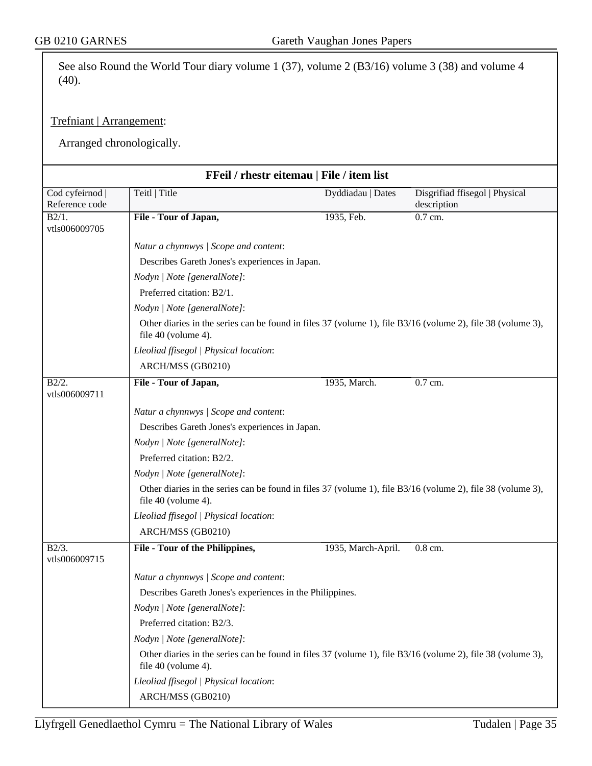See also Round the World Tour diary volume 1 (37), volume 2 (B3/16) volume 3 (38) and volume 4 (40).

#### Trefniant | Arrangement:

Arranged chronologically.

| FFeil / rhestr eitemau   File / item list |                                                                                                                                    |                    |                                               |  |  |
|-------------------------------------------|------------------------------------------------------------------------------------------------------------------------------------|--------------------|-----------------------------------------------|--|--|
| Cod cyfeirnod  <br>Reference code         | Teitl   Title                                                                                                                      | Dyddiadau   Dates  | Disgrifiad ffisegol   Physical<br>description |  |  |
| B2/1.<br>vtls006009705                    | File - Tour of Japan,                                                                                                              | 1935, Feb.         | 0.7 cm.                                       |  |  |
|                                           | Natur a chynnwys / Scope and content:                                                                                              |                    |                                               |  |  |
|                                           | Describes Gareth Jones's experiences in Japan.                                                                                     |                    |                                               |  |  |
|                                           | Nodyn   Note [generalNote]:                                                                                                        |                    |                                               |  |  |
|                                           | Preferred citation: B2/1.                                                                                                          |                    |                                               |  |  |
|                                           | Nodyn   Note [generalNote]:                                                                                                        |                    |                                               |  |  |
|                                           | Other diaries in the series can be found in files 37 (volume 1), file B3/16 (volume 2), file 38 (volume 3),<br>file 40 (volume 4). |                    |                                               |  |  |
|                                           | Lleoliad ffisegol   Physical location:                                                                                             |                    |                                               |  |  |
|                                           | ARCH/MSS (GB0210)                                                                                                                  |                    |                                               |  |  |
| B2/2.<br>vtls006009711                    | File - Tour of Japan,                                                                                                              | 1935, March.       | 0.7 cm.                                       |  |  |
|                                           | Natur a chynnwys / Scope and content:                                                                                              |                    |                                               |  |  |
|                                           | Describes Gareth Jones's experiences in Japan.                                                                                     |                    |                                               |  |  |
|                                           | Nodyn   Note [generalNote]:                                                                                                        |                    |                                               |  |  |
|                                           | Preferred citation: B2/2.                                                                                                          |                    |                                               |  |  |
|                                           | Nodyn   Note [generalNote]:                                                                                                        |                    |                                               |  |  |
|                                           | Other diaries in the series can be found in files 37 (volume 1), file B3/16 (volume 2), file 38 (volume 3),<br>file 40 (volume 4). |                    |                                               |  |  |
|                                           | Lleoliad ffisegol   Physical location:                                                                                             |                    |                                               |  |  |
|                                           | ARCH/MSS (GB0210)                                                                                                                  |                    |                                               |  |  |
| $B2/3$ .<br>vtls006009715                 | File - Tour of the Philippines,                                                                                                    | 1935, March-April. | 0.8 cm.                                       |  |  |
|                                           | Natur a chynnwys / Scope and content:                                                                                              |                    |                                               |  |  |
|                                           | Describes Gareth Jones's experiences in the Philippines.<br>Nodyn   Note [generalNote]:                                            |                    |                                               |  |  |
|                                           |                                                                                                                                    |                    |                                               |  |  |
|                                           | Preferred citation: B2/3.                                                                                                          |                    |                                               |  |  |
|                                           | Nodyn   Note [generalNote]:                                                                                                        |                    |                                               |  |  |
|                                           | Other diaries in the series can be found in files 37 (volume 1), file B3/16 (volume 2), file 38 (volume 3),<br>file 40 (volume 4). |                    |                                               |  |  |
|                                           | Lleoliad ffisegol   Physical location:<br>ARCH/MSS (GB0210)                                                                        |                    |                                               |  |  |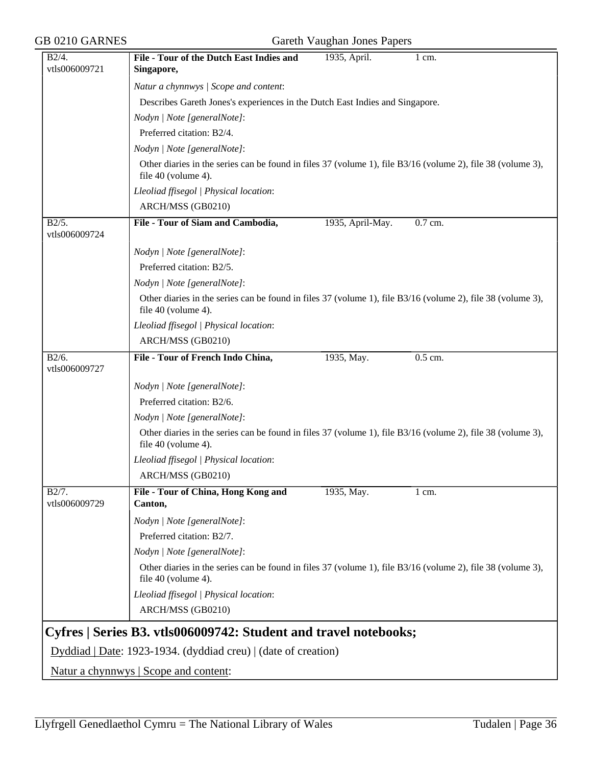#### B2/4. vtls006009721 **File - Tour of the Dutch East Indies and Singapore,** 1935, April. 1 cm. *Natur a chynnwys | Scope and content*: Describes Gareth Jones's experiences in the Dutch East Indies and Singapore. *Nodyn | Note [generalNote]*: Preferred citation: B2/4. *Nodyn | Note [generalNote]*: Other diaries in the series can be found in files 37 (volume 1), file B3/16 (volume 2), file 38 (volume 3), file 40 (volume 4). *Lleoliad ffisegol | Physical location*: ARCH/MSS (GB0210) B2/5. vtls006009724 File - Tour of Siam and Cambodia, 1935, April-May. 0.7 cm. *Nodyn | Note [generalNote]*: Preferred citation: B2/5. *Nodyn | Note [generalNote]*: Other diaries in the series can be found in files 37 (volume 1), file B3/16 (volume 2), file 38 (volume 3), file 40 (volume 4). *Lleoliad ffisegol | Physical location*: ARCH/MSS (GB0210)  $\overline{B2/6}$ . vtls006009727 File - Tour of French Indo China, 1935, May. 0.5 cm. *Nodyn | Note [generalNote]*: Preferred citation: B2/6. *Nodyn | Note [generalNote]*: Other diaries in the series can be found in files 37 (volume 1), file B3/16 (volume 2), file 38 (volume 3), file 40 (volume 4). *Lleoliad ffisegol | Physical location*: ARCH/MSS (GB0210) B2/7. vtls006009729 **File - Tour of China, Hong Kong and Canton,** 1935, May. 1 cm. *Nodyn | Note [generalNote]*: Preferred citation: B2/7. *Nodyn | Note [generalNote]*: Other diaries in the series can be found in files 37 (volume 1), file B3/16 (volume 2), file 38 (volume 3), file 40 (volume 4). *Lleoliad ffisegol | Physical location*: ARCH/MSS (GB0210) **Cyfres | Series B3. vtls006009742: Student and travel notebooks;** Dyddiad | Date: 1923-1934. (dyddiad creu) | (date of creation)

GB 0210 GARNES Gareth Vaughan Jones Papers

Natur a chynnwys | Scope and content: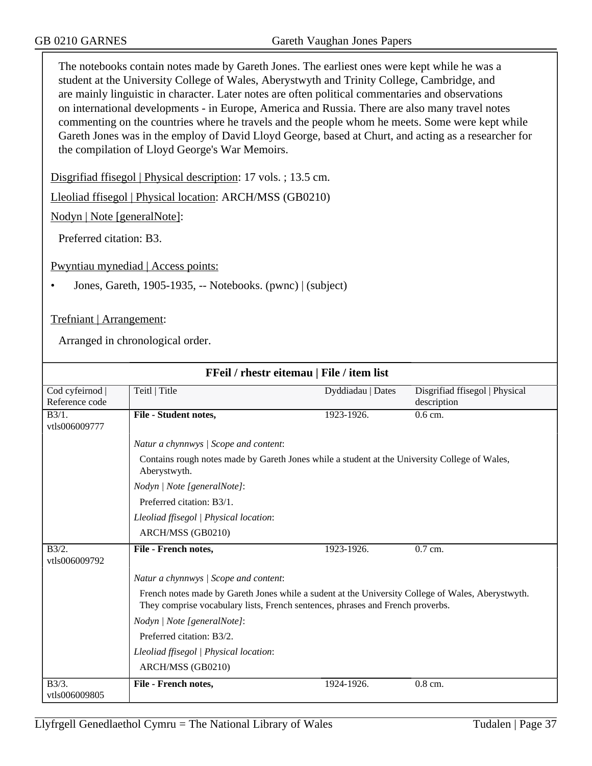The notebooks contain notes made by Gareth Jones. The earliest ones were kept while he was a student at the University College of Wales, Aberystwyth and Trinity College, Cambridge, and are mainly linguistic in character. Later notes are often political commentaries and observations on international developments - in Europe, America and Russia. There are also many travel notes commenting on the countries where he travels and the people whom he meets. Some were kept while Gareth Jones was in the employ of David Lloyd George, based at Churt, and acting as a researcher for the compilation of Lloyd George's War Memoirs.

Disgrifiad ffisegol | Physical description: 17 vols. ; 13.5 cm.

Lleoliad ffisegol | Physical location: ARCH/MSS (GB0210)

Nodyn | Note [generalNote]:

Preferred citation: B3.

Pwyntiau mynediad | Access points:

• Jones, Gareth, 1905-1935, -- Notebooks. (pwnc) | (subject)

Trefniant | Arrangement:

Arranged in chronological order.

| FFeil / rhestr eitemau   File / item list |                                                                                                                                                                                     |                   |                                |
|-------------------------------------------|-------------------------------------------------------------------------------------------------------------------------------------------------------------------------------------|-------------------|--------------------------------|
| Cod cyfeirnod                             | Teitl   Title                                                                                                                                                                       | Dyddiadau   Dates | Disgrifiad ffisegol   Physical |
| Reference code                            |                                                                                                                                                                                     |                   | description                    |
| $B3/1$ .                                  | File - Student notes,                                                                                                                                                               | 1923-1926.        | $0.6$ cm.                      |
| vtls006009777                             |                                                                                                                                                                                     |                   |                                |
|                                           | Natur a chynnwys / Scope and content:                                                                                                                                               |                   |                                |
|                                           | Contains rough notes made by Gareth Jones while a student at the University College of Wales,<br>Aberystwyth.                                                                       |                   |                                |
|                                           | Nodyn   Note [generalNote]:                                                                                                                                                         |                   |                                |
|                                           | Preferred citation: B3/1.                                                                                                                                                           |                   |                                |
|                                           | Lleoliad ffisegol   Physical location:                                                                                                                                              |                   |                                |
|                                           | ARCH/MSS (GB0210)                                                                                                                                                                   |                   |                                |
| B3/2.<br>vtls006009792                    | File - French notes,                                                                                                                                                                | 1923-1926.        | $0.7$ cm.                      |
|                                           | Natur a chynnwys / Scope and content:                                                                                                                                               |                   |                                |
|                                           | French notes made by Gareth Jones while a sudent at the University College of Wales, Aberystwyth.<br>They comprise vocabulary lists, French sentences, phrases and French proverbs. |                   |                                |
|                                           | Nodyn   Note [generalNote]:                                                                                                                                                         |                   |                                |
|                                           | Preferred citation: B3/2.                                                                                                                                                           |                   |                                |
|                                           | Lleoliad ffisegol   Physical location:                                                                                                                                              |                   |                                |
|                                           | ARCH/MSS (GB0210)                                                                                                                                                                   |                   |                                |
| $\overline{B3/3}$ .<br>vtls006009805      | File - French notes,                                                                                                                                                                | 1924-1926.        | $0.8$ cm.                      |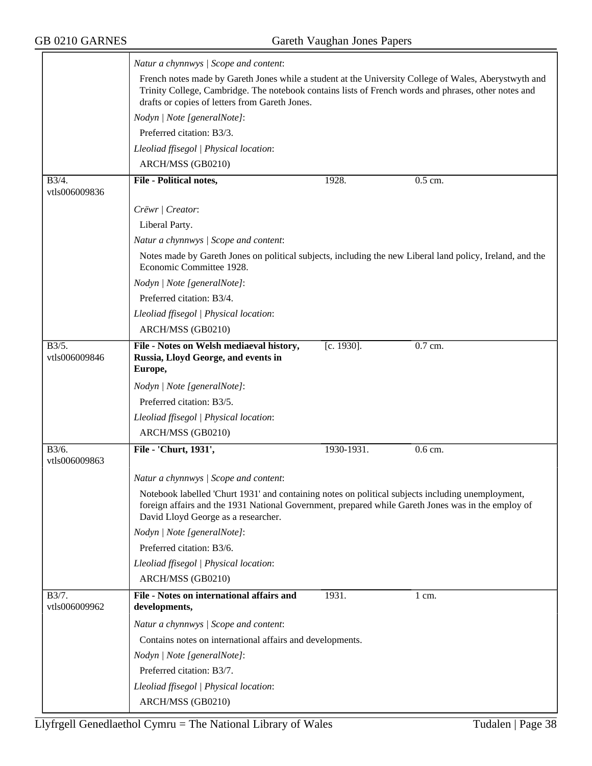|                        | Natur a chynnwys / Scope and content:                                                                                                                                                                                                                                                   |               |                      |  |
|------------------------|-----------------------------------------------------------------------------------------------------------------------------------------------------------------------------------------------------------------------------------------------------------------------------------------|---------------|----------------------|--|
|                        | French notes made by Gareth Jones while a student at the University College of Wales, Aberystwyth and<br>Trinity College, Cambridge. The notebook contains lists of French words and phrases, other notes and<br>drafts or copies of letters from Gareth Jones.                         |               |                      |  |
|                        | Nodyn   Note [generalNote]:                                                                                                                                                                                                                                                             |               |                      |  |
|                        | Preferred citation: B3/3.                                                                                                                                                                                                                                                               |               |                      |  |
|                        | Lleoliad ffisegol   Physical location:                                                                                                                                                                                                                                                  |               |                      |  |
|                        | ARCH/MSS (GB0210)                                                                                                                                                                                                                                                                       |               |                      |  |
| B3/4.                  | File - Political notes,                                                                                                                                                                                                                                                                 | 1928.         | $0.5$ cm.            |  |
| vtls006009836          |                                                                                                                                                                                                                                                                                         |               |                      |  |
|                        | Crëwr   Creator:                                                                                                                                                                                                                                                                        |               |                      |  |
|                        | Liberal Party.                                                                                                                                                                                                                                                                          |               |                      |  |
|                        | Natur a chynnwys / Scope and content:                                                                                                                                                                                                                                                   |               |                      |  |
|                        | Notes made by Gareth Jones on political subjects, including the new Liberal land policy, Ireland, and the<br>Economic Committee 1928.                                                                                                                                                   |               |                      |  |
|                        | Nodyn   Note [generalNote]:                                                                                                                                                                                                                                                             |               |                      |  |
|                        | Preferred citation: B3/4.                                                                                                                                                                                                                                                               |               |                      |  |
|                        | Lleoliad ffisegol   Physical location:                                                                                                                                                                                                                                                  |               |                      |  |
|                        | ARCH/MSS (GB0210)                                                                                                                                                                                                                                                                       |               |                      |  |
| B3/5.<br>vtls006009846 | File - Notes on Welsh mediaeval history,<br>Russia, Lloyd George, and events in<br>Europe,                                                                                                                                                                                              | $[c. 1930]$ . | $\overline{0.7}$ cm. |  |
|                        | Nodyn   Note [generalNote]:                                                                                                                                                                                                                                                             |               |                      |  |
|                        | Preferred citation: B3/5.                                                                                                                                                                                                                                                               |               |                      |  |
|                        | Lleoliad ffisegol   Physical location:                                                                                                                                                                                                                                                  |               |                      |  |
|                        | ARCH/MSS (GB0210)                                                                                                                                                                                                                                                                       |               |                      |  |
| B3/6.<br>vtls006009863 | File - 'Churt, 1931',                                                                                                                                                                                                                                                                   | 1930-1931.    | 0.6 cm.              |  |
|                        | Natur a chynnwys / Scope and content:<br>Notebook labelled 'Churt 1931' and containing notes on political subjects including unemployment,<br>foreign affairs and the 1931 National Government, prepared while Gareth Jones was in the employ of<br>David Lloyd George as a researcher. |               |                      |  |
|                        | Nodyn   Note [generalNote]:                                                                                                                                                                                                                                                             |               |                      |  |
|                        | Preferred citation: B3/6.                                                                                                                                                                                                                                                               |               |                      |  |
|                        | Lleoliad ffisegol   Physical location:                                                                                                                                                                                                                                                  |               |                      |  |
| B3/7.                  | ARCH/MSS (GB0210)<br>File - Notes on international affairs and                                                                                                                                                                                                                          | 1931.         | $1 \text{ cm}$ .     |  |
| vtls006009962          | developments,                                                                                                                                                                                                                                                                           |               |                      |  |
|                        | Natur a chynnwys / Scope and content:                                                                                                                                                                                                                                                   |               |                      |  |
|                        | Contains notes on international affairs and developments.                                                                                                                                                                                                                               |               |                      |  |
|                        |                                                                                                                                                                                                                                                                                         |               |                      |  |
|                        |                                                                                                                                                                                                                                                                                         |               |                      |  |
|                        | Nodyn   Note [generalNote]:                                                                                                                                                                                                                                                             |               |                      |  |
|                        | Preferred citation: B3/7.<br>Lleoliad ffisegol   Physical location:                                                                                                                                                                                                                     |               |                      |  |
|                        |                                                                                                                                                                                                                                                                                         |               |                      |  |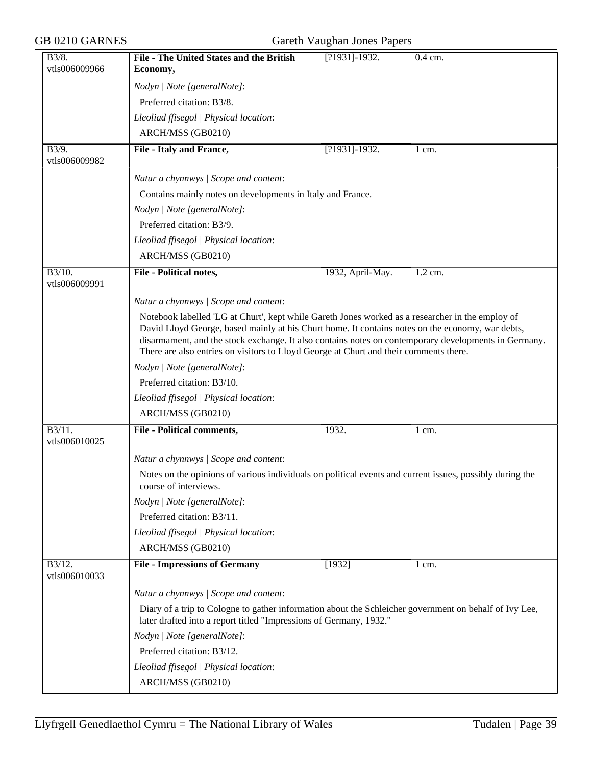| GB 0210 GARNES                        |                                                                                                                                                                                                                                                                                                                                                                                                       | Gareth Vaughan Jones Papers |                  |
|---------------------------------------|-------------------------------------------------------------------------------------------------------------------------------------------------------------------------------------------------------------------------------------------------------------------------------------------------------------------------------------------------------------------------------------------------------|-----------------------------|------------------|
| B3/8.<br>vtls006009966                | File - The United States and the British<br>Economy,                                                                                                                                                                                                                                                                                                                                                  | [?1931]-1932.               | 0.4 cm.          |
|                                       |                                                                                                                                                                                                                                                                                                                                                                                                       |                             |                  |
|                                       | Nodyn   Note [generalNote]:                                                                                                                                                                                                                                                                                                                                                                           |                             |                  |
|                                       | Preferred citation: B3/8.                                                                                                                                                                                                                                                                                                                                                                             |                             |                  |
|                                       | Lleoliad ffisegol   Physical location:                                                                                                                                                                                                                                                                                                                                                                |                             |                  |
|                                       | ARCH/MSS (GB0210)                                                                                                                                                                                                                                                                                                                                                                                     |                             |                  |
| B3/9.<br>vtls006009982                | File - Italy and France,                                                                                                                                                                                                                                                                                                                                                                              | [?1931]-1932.               | 1 cm.            |
|                                       | Natur a chynnwys / Scope and content:                                                                                                                                                                                                                                                                                                                                                                 |                             |                  |
|                                       | Contains mainly notes on developments in Italy and France.                                                                                                                                                                                                                                                                                                                                            |                             |                  |
|                                       | Nodyn   Note [generalNote]:                                                                                                                                                                                                                                                                                                                                                                           |                             |                  |
|                                       | Preferred citation: B3/9.                                                                                                                                                                                                                                                                                                                                                                             |                             |                  |
|                                       | Lleoliad ffisegol   Physical location:                                                                                                                                                                                                                                                                                                                                                                |                             |                  |
|                                       | ARCH/MSS (GB0210)                                                                                                                                                                                                                                                                                                                                                                                     |                             |                  |
| $\overline{B3/10}$ .<br>vtls006009991 | <b>File - Political notes,</b>                                                                                                                                                                                                                                                                                                                                                                        | 1932, April-May.            | 1.2 cm.          |
|                                       | Natur a chynnwys / Scope and content:                                                                                                                                                                                                                                                                                                                                                                 |                             |                  |
|                                       | Notebook labelled 'LG at Churt', kept while Gareth Jones worked as a researcher in the employ of<br>David Lloyd George, based mainly at his Churt home. It contains notes on the economy, war debts,<br>disarmament, and the stock exchange. It also contains notes on contemporary developments in Germany.<br>There are also entries on visitors to Lloyd George at Churt and their comments there. |                             |                  |
|                                       | Nodyn   Note [generalNote]:                                                                                                                                                                                                                                                                                                                                                                           |                             |                  |
|                                       | Preferred citation: B3/10.                                                                                                                                                                                                                                                                                                                                                                            |                             |                  |
|                                       | Lleoliad ffisegol   Physical location:                                                                                                                                                                                                                                                                                                                                                                |                             |                  |
|                                       | ARCH/MSS (GB0210)                                                                                                                                                                                                                                                                                                                                                                                     |                             |                  |
| $\overline{B3/11}$ .<br>vtls006010025 | <b>File - Political comments,</b>                                                                                                                                                                                                                                                                                                                                                                     | 1932.                       | $1 \text{ cm}$ . |
|                                       | Natur a chynnwys / Scope and content:                                                                                                                                                                                                                                                                                                                                                                 |                             |                  |
|                                       | Notes on the opinions of various individuals on political events and current issues, possibly during the<br>course of interviews.                                                                                                                                                                                                                                                                     |                             |                  |
|                                       | Nodyn   Note [generalNote]:                                                                                                                                                                                                                                                                                                                                                                           |                             |                  |
|                                       | Preferred citation: B3/11.                                                                                                                                                                                                                                                                                                                                                                            |                             |                  |
|                                       | Lleoliad ffisegol   Physical location:                                                                                                                                                                                                                                                                                                                                                                |                             |                  |
|                                       | ARCH/MSS (GB0210)                                                                                                                                                                                                                                                                                                                                                                                     |                             |                  |
| B3/12.<br>vtls006010033               | <b>File - Impressions of Germany</b>                                                                                                                                                                                                                                                                                                                                                                  | [1932]                      | $1 \text{ cm}$ . |
|                                       | Natur a chynnwys / Scope and content:                                                                                                                                                                                                                                                                                                                                                                 |                             |                  |
|                                       | Diary of a trip to Cologne to gather information about the Schleicher government on behalf of Ivy Lee,<br>later drafted into a report titled "Impressions of Germany, 1932."                                                                                                                                                                                                                          |                             |                  |
|                                       | Nodyn   Note [generalNote]:                                                                                                                                                                                                                                                                                                                                                                           |                             |                  |
|                                       | Preferred citation: B3/12.                                                                                                                                                                                                                                                                                                                                                                            |                             |                  |
|                                       | Lleoliad ffisegol   Physical location:                                                                                                                                                                                                                                                                                                                                                                |                             |                  |
|                                       | ARCH/MSS (GB0210)                                                                                                                                                                                                                                                                                                                                                                                     |                             |                  |
|                                       |                                                                                                                                                                                                                                                                                                                                                                                                       |                             |                  |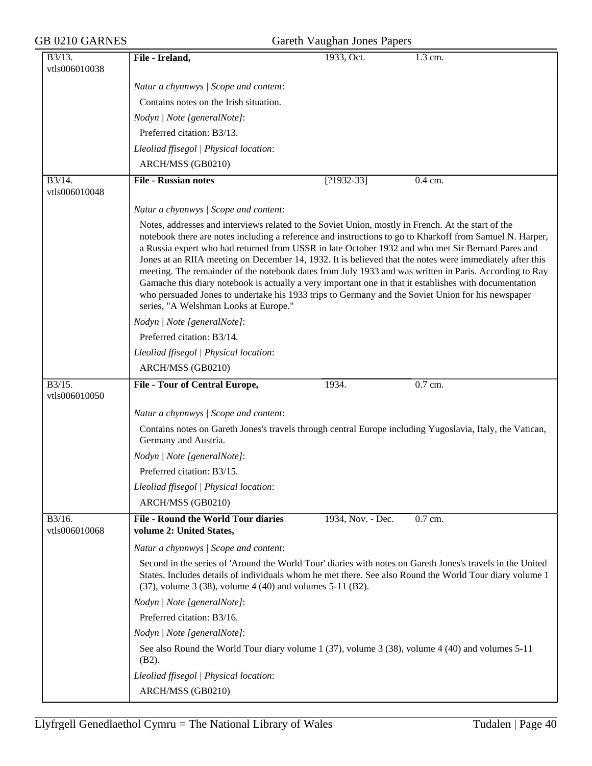# $GB$  0210 GARNES

|  | Gareth Vaughan Jones Papers |  |  |
|--|-----------------------------|--|--|
|--|-----------------------------|--|--|

| B3/13.                                | File - Ireland,                                                                                                                                                                                                                                                                                                                                                                                                                                                                                                                                                                                                                                                                                                                                                                                   | 1933, Oct.        | 1.3 cm.   |
|---------------------------------------|---------------------------------------------------------------------------------------------------------------------------------------------------------------------------------------------------------------------------------------------------------------------------------------------------------------------------------------------------------------------------------------------------------------------------------------------------------------------------------------------------------------------------------------------------------------------------------------------------------------------------------------------------------------------------------------------------------------------------------------------------------------------------------------------------|-------------------|-----------|
| vtls006010038                         |                                                                                                                                                                                                                                                                                                                                                                                                                                                                                                                                                                                                                                                                                                                                                                                                   |                   |           |
|                                       | Natur a chynnwys / Scope and content:                                                                                                                                                                                                                                                                                                                                                                                                                                                                                                                                                                                                                                                                                                                                                             |                   |           |
|                                       | Contains notes on the Irish situation.                                                                                                                                                                                                                                                                                                                                                                                                                                                                                                                                                                                                                                                                                                                                                            |                   |           |
|                                       | Nodyn   Note [generalNote]:                                                                                                                                                                                                                                                                                                                                                                                                                                                                                                                                                                                                                                                                                                                                                                       |                   |           |
|                                       | Preferred citation: B3/13.                                                                                                                                                                                                                                                                                                                                                                                                                                                                                                                                                                                                                                                                                                                                                                        |                   |           |
|                                       | Lleoliad ffisegol   Physical location:                                                                                                                                                                                                                                                                                                                                                                                                                                                                                                                                                                                                                                                                                                                                                            |                   |           |
|                                       | ARCH/MSS (GB0210)                                                                                                                                                                                                                                                                                                                                                                                                                                                                                                                                                                                                                                                                                                                                                                                 |                   |           |
| B3/14.                                | <b>File - Russian notes</b>                                                                                                                                                                                                                                                                                                                                                                                                                                                                                                                                                                                                                                                                                                                                                                       | $[?1932-33]$      | $0.4$ cm. |
| vtls006010048                         |                                                                                                                                                                                                                                                                                                                                                                                                                                                                                                                                                                                                                                                                                                                                                                                                   |                   |           |
|                                       | Natur a chynnwys / Scope and content:                                                                                                                                                                                                                                                                                                                                                                                                                                                                                                                                                                                                                                                                                                                                                             |                   |           |
|                                       | Notes, addresses and interviews related to the Soviet Union, mostly in French. At the start of the<br>notebook there are notes including a reference and instructions to go to Kharkoff from Samuel N. Harper,<br>a Russia expert who had returned from USSR in late October 1932 and who met Sir Bernard Pares and<br>Jones at an RIIA meeting on December 14, 1932. It is believed that the notes were immediately after this<br>meeting. The remainder of the notebook dates from July 1933 and was written in Paris. According to Ray<br>Gamache this diary notebook is actually a very important one in that it establishes with documentation<br>who persuaded Jones to undertake his 1933 trips to Germany and the Soviet Union for his newspaper<br>series, "A Welshman Looks at Europe." |                   |           |
|                                       | Nodyn   Note [generalNote]:                                                                                                                                                                                                                                                                                                                                                                                                                                                                                                                                                                                                                                                                                                                                                                       |                   |           |
|                                       | Preferred citation: B3/14.                                                                                                                                                                                                                                                                                                                                                                                                                                                                                                                                                                                                                                                                                                                                                                        |                   |           |
|                                       | Lleoliad ffisegol   Physical location:                                                                                                                                                                                                                                                                                                                                                                                                                                                                                                                                                                                                                                                                                                                                                            |                   |           |
|                                       | ARCH/MSS (GB0210)                                                                                                                                                                                                                                                                                                                                                                                                                                                                                                                                                                                                                                                                                                                                                                                 |                   |           |
| $\overline{B3/15}$ .<br>vtls006010050 | <b>File - Tour of Central Europe,</b>                                                                                                                                                                                                                                                                                                                                                                                                                                                                                                                                                                                                                                                                                                                                                             | 1934.             | $0.7$ cm. |
|                                       | Natur a chynnwys / Scope and content:                                                                                                                                                                                                                                                                                                                                                                                                                                                                                                                                                                                                                                                                                                                                                             |                   |           |
|                                       | Contains notes on Gareth Jones's travels through central Europe including Yugoslavia, Italy, the Vatican,<br>Germany and Austria.                                                                                                                                                                                                                                                                                                                                                                                                                                                                                                                                                                                                                                                                 |                   |           |
|                                       |                                                                                                                                                                                                                                                                                                                                                                                                                                                                                                                                                                                                                                                                                                                                                                                                   |                   |           |
|                                       | Nodyn   Note [generalNote]:                                                                                                                                                                                                                                                                                                                                                                                                                                                                                                                                                                                                                                                                                                                                                                       |                   |           |
|                                       | Preferred citation: B3/15.                                                                                                                                                                                                                                                                                                                                                                                                                                                                                                                                                                                                                                                                                                                                                                        |                   |           |
|                                       | Lleoliad ffisegol   Physical location:                                                                                                                                                                                                                                                                                                                                                                                                                                                                                                                                                                                                                                                                                                                                                            |                   |           |
|                                       | ARCH/MSS (GB0210)                                                                                                                                                                                                                                                                                                                                                                                                                                                                                                                                                                                                                                                                                                                                                                                 |                   |           |
| B3/16.<br>vtls006010068               | <b>File - Round the World Tour diaries</b><br>volume 2: United States,                                                                                                                                                                                                                                                                                                                                                                                                                                                                                                                                                                                                                                                                                                                            | 1934, Nov. - Dec. | 0.7 cm.   |
|                                       |                                                                                                                                                                                                                                                                                                                                                                                                                                                                                                                                                                                                                                                                                                                                                                                                   |                   |           |
|                                       | Natur a chynnwys / Scope and content:<br>Second in the series of 'Around the World Tour' diaries with notes on Gareth Jones's travels in the United<br>States. Includes details of individuals whom he met there. See also Round the World Tour diary volume 1<br>$(37)$ , volume 3 $(38)$ , volume 4 $(40)$ and volumes 5-11 $(B2)$ .                                                                                                                                                                                                                                                                                                                                                                                                                                                            |                   |           |
|                                       | Nodyn   Note [generalNote]:                                                                                                                                                                                                                                                                                                                                                                                                                                                                                                                                                                                                                                                                                                                                                                       |                   |           |
|                                       | Preferred citation: B3/16.                                                                                                                                                                                                                                                                                                                                                                                                                                                                                                                                                                                                                                                                                                                                                                        |                   |           |
|                                       | Nodyn   Note [generalNote]:                                                                                                                                                                                                                                                                                                                                                                                                                                                                                                                                                                                                                                                                                                                                                                       |                   |           |
|                                       | See also Round the World Tour diary volume 1 (37), volume 3 (38), volume 4 (40) and volumes 5-11<br>$(B2)$ .                                                                                                                                                                                                                                                                                                                                                                                                                                                                                                                                                                                                                                                                                      |                   |           |
|                                       | Lleoliad ffisegol   Physical location:                                                                                                                                                                                                                                                                                                                                                                                                                                                                                                                                                                                                                                                                                                                                                            |                   |           |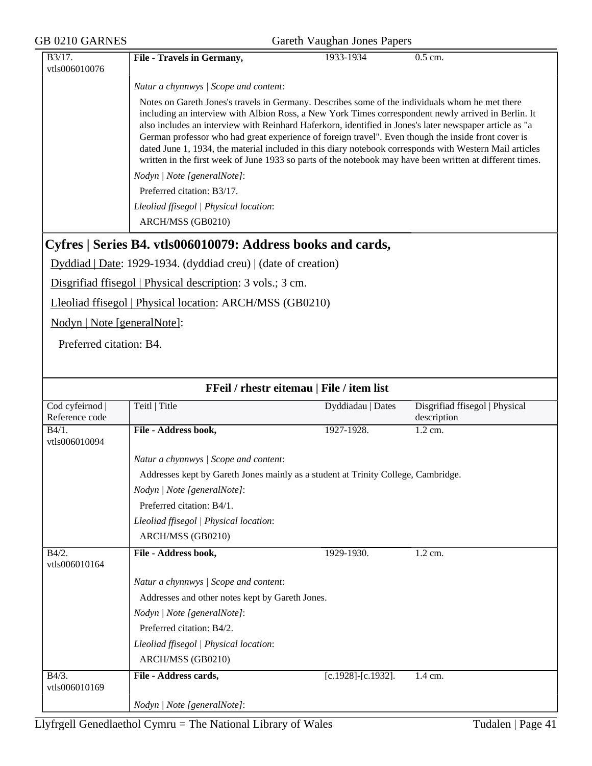| $\overline{B3/17}$ .            | File - Travels in Germany,                                                                                                                                                                                                                                                                                                                                                                                                                                                                                                                                                                                                                       | 1933-1934          | 0.5 cm.                                       |
|---------------------------------|--------------------------------------------------------------------------------------------------------------------------------------------------------------------------------------------------------------------------------------------------------------------------------------------------------------------------------------------------------------------------------------------------------------------------------------------------------------------------------------------------------------------------------------------------------------------------------------------------------------------------------------------------|--------------------|-----------------------------------------------|
| vtls006010076                   |                                                                                                                                                                                                                                                                                                                                                                                                                                                                                                                                                                                                                                                  |                    |                                               |
|                                 | Natur a chynnwys / Scope and content:                                                                                                                                                                                                                                                                                                                                                                                                                                                                                                                                                                                                            |                    |                                               |
|                                 | Notes on Gareth Jones's travels in Germany. Describes some of the individuals whom he met there<br>including an interview with Albion Ross, a New York Times correspondent newly arrived in Berlin. It<br>also includes an interview with Reinhard Haferkorn, identified in Jones's later newspaper article as "a<br>German professor who had great experience of foreign travel". Even though the inside front cover is<br>dated June 1, 1934, the material included in this diary notebook corresponds with Western Mail articles<br>written in the first week of June 1933 so parts of the notebook may have been written at different times. |                    |                                               |
|                                 | Nodyn   Note [generalNote]:                                                                                                                                                                                                                                                                                                                                                                                                                                                                                                                                                                                                                      |                    |                                               |
|                                 | Preferred citation: B3/17.                                                                                                                                                                                                                                                                                                                                                                                                                                                                                                                                                                                                                       |                    |                                               |
|                                 | Lleoliad ffisegol   Physical location:                                                                                                                                                                                                                                                                                                                                                                                                                                                                                                                                                                                                           |                    |                                               |
|                                 | ARCH/MSS (GB0210)                                                                                                                                                                                                                                                                                                                                                                                                                                                                                                                                                                                                                                |                    |                                               |
|                                 | Cyfres   Series B4. vtls006010079: Address books and cards,                                                                                                                                                                                                                                                                                                                                                                                                                                                                                                                                                                                      |                    |                                               |
|                                 | Dyddiad   Date: 1929-1934. (dyddiad creu)   (date of creation)                                                                                                                                                                                                                                                                                                                                                                                                                                                                                                                                                                                   |                    |                                               |
|                                 | Disgrifiad ffisegol   Physical description: 3 vols.; 3 cm.                                                                                                                                                                                                                                                                                                                                                                                                                                                                                                                                                                                       |                    |                                               |
|                                 | Lleoliad ffisegol   Physical location: ARCH/MSS (GB0210)                                                                                                                                                                                                                                                                                                                                                                                                                                                                                                                                                                                         |                    |                                               |
| Nodyn   Note [generalNote]:     |                                                                                                                                                                                                                                                                                                                                                                                                                                                                                                                                                                                                                                                  |                    |                                               |
| Preferred citation: B4.         |                                                                                                                                                                                                                                                                                                                                                                                                                                                                                                                                                                                                                                                  |                    |                                               |
|                                 |                                                                                                                                                                                                                                                                                                                                                                                                                                                                                                                                                                                                                                                  |                    |                                               |
|                                 |                                                                                                                                                                                                                                                                                                                                                                                                                                                                                                                                                                                                                                                  |                    |                                               |
|                                 | FFeil / rhestr eitemau   File / item list                                                                                                                                                                                                                                                                                                                                                                                                                                                                                                                                                                                                        |                    |                                               |
| Cod cyfeirnod<br>Reference code | Teitl   Title                                                                                                                                                                                                                                                                                                                                                                                                                                                                                                                                                                                                                                    | Dyddiadau   Dates  | Disgrifiad ffisegol   Physical<br>description |
| B4/1.<br>vtls006010094          | File - Address book,                                                                                                                                                                                                                                                                                                                                                                                                                                                                                                                                                                                                                             | 1927-1928.         | 1.2 cm.                                       |
|                                 | Natur a chynnwys / Scope and content:                                                                                                                                                                                                                                                                                                                                                                                                                                                                                                                                                                                                            |                    |                                               |
|                                 | Addresses kept by Gareth Jones mainly as a student at Trinity College, Cambridge.                                                                                                                                                                                                                                                                                                                                                                                                                                                                                                                                                                |                    |                                               |
|                                 | Nodyn   Note [generalNote]:                                                                                                                                                                                                                                                                                                                                                                                                                                                                                                                                                                                                                      |                    |                                               |
|                                 | Preferred citation: B4/1.                                                                                                                                                                                                                                                                                                                                                                                                                                                                                                                                                                                                                        |                    |                                               |
|                                 | Lleoliad ffisegol   Physical location:                                                                                                                                                                                                                                                                                                                                                                                                                                                                                                                                                                                                           |                    |                                               |
|                                 | ARCH/MSS (GB0210)                                                                                                                                                                                                                                                                                                                                                                                                                                                                                                                                                                                                                                |                    |                                               |
| B4/2.<br>vtls006010164          | File - Address book,                                                                                                                                                                                                                                                                                                                                                                                                                                                                                                                                                                                                                             | 1929-1930.         | 1.2 cm.                                       |
|                                 | Natur a chynnwys / Scope and content:                                                                                                                                                                                                                                                                                                                                                                                                                                                                                                                                                                                                            |                    |                                               |
|                                 | Addresses and other notes kept by Gareth Jones.                                                                                                                                                                                                                                                                                                                                                                                                                                                                                                                                                                                                  |                    |                                               |
|                                 | Nodyn   Note [generalNote]:                                                                                                                                                                                                                                                                                                                                                                                                                                                                                                                                                                                                                      |                    |                                               |
|                                 | Preferred citation: B4/2.                                                                                                                                                                                                                                                                                                                                                                                                                                                                                                                                                                                                                        |                    |                                               |
|                                 | Lleoliad ffisegol   Physical location:                                                                                                                                                                                                                                                                                                                                                                                                                                                                                                                                                                                                           |                    |                                               |
|                                 | ARCH/MSS (GB0210)                                                                                                                                                                                                                                                                                                                                                                                                                                                                                                                                                                                                                                |                    |                                               |
| $B4/3$ .<br>vtls006010169       | File - Address cards,                                                                                                                                                                                                                                                                                                                                                                                                                                                                                                                                                                                                                            | [c.1928]-[c.1932]. | 1.4 cm.                                       |
|                                 | Nodyn   Note [generalNote]:                                                                                                                                                                                                                                                                                                                                                                                                                                                                                                                                                                                                                      |                    |                                               |
|                                 |                                                                                                                                                                                                                                                                                                                                                                                                                                                                                                                                                                                                                                                  |                    |                                               |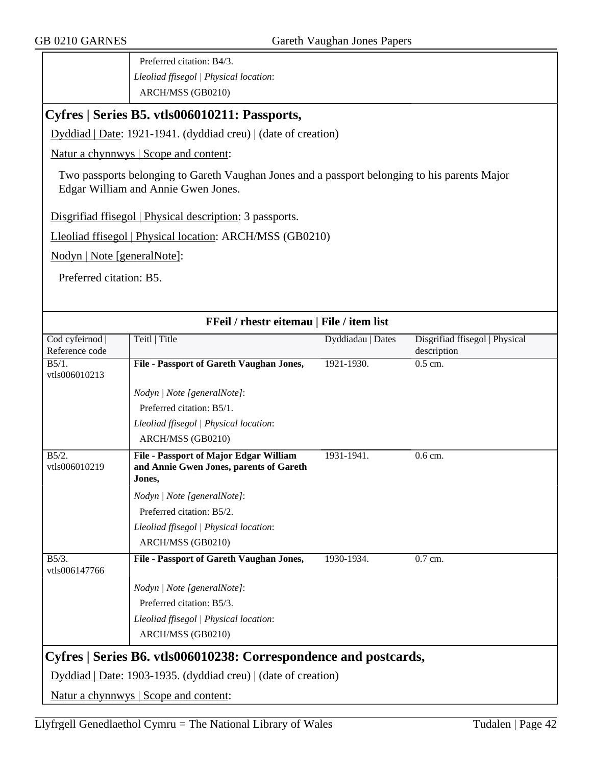Preferred citation: B4/3. *Lleoliad ffisegol | Physical location*: ARCH/MSS (GB0210)

#### **Cyfres | Series B5. vtls006010211: Passports,**

Dyddiad | Date: 1921-1941. (dyddiad creu) | (date of creation)

Natur a chynnwys | Scope and content:

Two passports belonging to Gareth Vaughan Jones and a passport belonging to his parents Major Edgar William and Annie Gwen Jones.

Disgrifiad ffisegol | Physical description: 3 passports.

Lleoliad ffisegol | Physical location: ARCH/MSS (GB0210)

Nodyn | Note [generalNote]:

Preferred citation: B5.

| FFeil / rhestr eitemau   File / item list |                                                                  |                   |                                |
|-------------------------------------------|------------------------------------------------------------------|-------------------|--------------------------------|
| Cod cyfeirnod                             | Teitl   Title                                                    | Dyddiadau   Dates | Disgrifiad ffisegol   Physical |
| Reference code                            |                                                                  |                   | description                    |
| B5/1.                                     | File - Passport of Gareth Vaughan Jones,                         | 1921-1930.        | $0.5$ cm.                      |
| vtls006010213                             |                                                                  |                   |                                |
|                                           | Nodyn   Note [generalNote]:                                      |                   |                                |
|                                           | Preferred citation: B5/1.                                        |                   |                                |
|                                           | Lleoliad ffisegol   Physical location:                           |                   |                                |
|                                           | ARCH/MSS (GB0210)                                                |                   |                                |
| B5/2.                                     | <b>File - Passport of Major Edgar William</b>                    | 1931-1941.        | $0.6$ cm.                      |
| vtls006010219                             | and Annie Gwen Jones, parents of Gareth                          |                   |                                |
|                                           | Jones,                                                           |                   |                                |
|                                           | Nodyn   Note [generalNote]:                                      |                   |                                |
|                                           | Preferred citation: B5/2.                                        |                   |                                |
|                                           | Lleoliad ffisegol   Physical location:                           |                   |                                |
|                                           | ARCH/MSS (GB0210)                                                |                   |                                |
| $B5/3$ .                                  | File - Passport of Gareth Vaughan Jones,                         | 1930-1934.        | $0.7$ cm.                      |
| vtls006147766                             |                                                                  |                   |                                |
|                                           | Nodyn   Note [generalNote]:                                      |                   |                                |
|                                           | Preferred citation: B5/3.                                        |                   |                                |
|                                           | Lleoliad ffisegol   Physical location:                           |                   |                                |
|                                           | ARCH/MSS (GB0210)                                                |                   |                                |
|                                           |                                                                  |                   |                                |
|                                           | Cyfres   Series B6. vtls006010238: Correspondence and postcards, |                   |                                |
|                                           | Dyddiad   Date: 1903-1935. (dyddiad creu)   (date of creation)   |                   |                                |
|                                           | Natur a chynnwys   Scope and content:                            |                   |                                |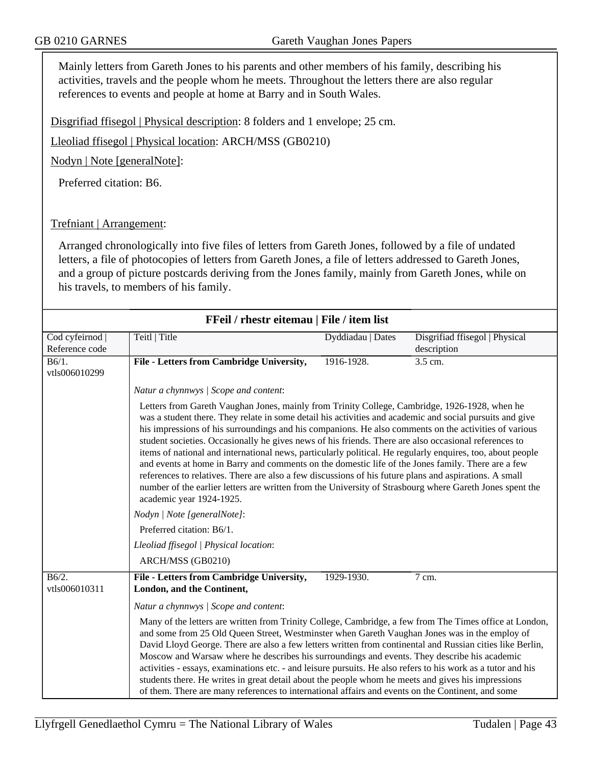Mainly letters from Gareth Jones to his parents and other members of his family, describing his activities, travels and the people whom he meets. Throughout the letters there are also regular references to events and people at home at Barry and in South Wales.

Disgrifiad ffisegol | Physical description: 8 folders and 1 envelope; 25 cm.

Lleoliad ffisegol | Physical location: ARCH/MSS (GB0210)

Nodyn | Note [generalNote]:

Preferred citation: B6.

#### Trefniant | Arrangement:

Arranged chronologically into five files of letters from Gareth Jones, followed by a file of undated letters, a file of photocopies of letters from Gareth Jones, a file of letters addressed to Gareth Jones, and a group of picture postcards deriving from the Jones family, mainly from Gareth Jones, while on his travels, to members of his family.

| FFeil / rhestr eitemau   File / item list |                                                                                                                                                                                                                                                                                                                                                                                                                                                                                                                                                                                                                                                                                                                                                                                                                                                                                                                                  |                   |                                               |
|-------------------------------------------|----------------------------------------------------------------------------------------------------------------------------------------------------------------------------------------------------------------------------------------------------------------------------------------------------------------------------------------------------------------------------------------------------------------------------------------------------------------------------------------------------------------------------------------------------------------------------------------------------------------------------------------------------------------------------------------------------------------------------------------------------------------------------------------------------------------------------------------------------------------------------------------------------------------------------------|-------------------|-----------------------------------------------|
| Cod cyfeirnod  <br>Reference code         | Teitl   Title                                                                                                                                                                                                                                                                                                                                                                                                                                                                                                                                                                                                                                                                                                                                                                                                                                                                                                                    | Dyddiadau   Dates | Disgrifiad ffisegol   Physical<br>description |
| $\overline{B6/1}$ .<br>vtls006010299      | File - Letters from Cambridge University,                                                                                                                                                                                                                                                                                                                                                                                                                                                                                                                                                                                                                                                                                                                                                                                                                                                                                        | 1916-1928.        | 3.5 cm.                                       |
|                                           | Natur a chynnwys / Scope and content:                                                                                                                                                                                                                                                                                                                                                                                                                                                                                                                                                                                                                                                                                                                                                                                                                                                                                            |                   |                                               |
|                                           | Letters from Gareth Vaughan Jones, mainly from Trinity College, Cambridge, 1926-1928, when he<br>was a student there. They relate in some detail his activities and academic and social pursuits and give<br>his impressions of his surroundings and his companions. He also comments on the activities of various<br>student societies. Occasionally he gives news of his friends. There are also occasional references to<br>items of national and international news, particularly political. He regularly enquires, too, about people<br>and events at home in Barry and comments on the domestic life of the Jones family. There are a few<br>references to relatives. There are also a few discussions of his future plans and aspirations. A small<br>number of the earlier letters are written from the University of Strasbourg where Gareth Jones spent the<br>academic year 1924-1925.<br>Nodyn   Note [generalNote]: |                   |                                               |
|                                           | Preferred citation: B6/1.                                                                                                                                                                                                                                                                                                                                                                                                                                                                                                                                                                                                                                                                                                                                                                                                                                                                                                        |                   |                                               |
|                                           | Lleoliad ffisegol   Physical location:                                                                                                                                                                                                                                                                                                                                                                                                                                                                                                                                                                                                                                                                                                                                                                                                                                                                                           |                   |                                               |
|                                           | ARCH/MSS (GB0210)                                                                                                                                                                                                                                                                                                                                                                                                                                                                                                                                                                                                                                                                                                                                                                                                                                                                                                                |                   |                                               |
| B6/2.<br>vtls006010311                    | File - Letters from Cambridge University,<br>London, and the Continent,                                                                                                                                                                                                                                                                                                                                                                                                                                                                                                                                                                                                                                                                                                                                                                                                                                                          | 1929-1930.        | 7 cm.                                         |
|                                           | Natur a chynnwys / Scope and content:<br>Many of the letters are written from Trinity College, Cambridge, a few from The Times office at London,<br>and some from 25 Old Queen Street, Westminster when Gareth Vaughan Jones was in the employ of<br>David Lloyd George. There are also a few letters written from continental and Russian cities like Berlin,<br>Moscow and Warsaw where he describes his surroundings and events. They describe his academic<br>activities - essays, examinations etc. - and leisure pursuits. He also refers to his work as a tutor and his<br>students there. He writes in great detail about the people whom he meets and gives his impressions<br>of them. There are many references to international affairs and events on the Continent, and some                                                                                                                                        |                   |                                               |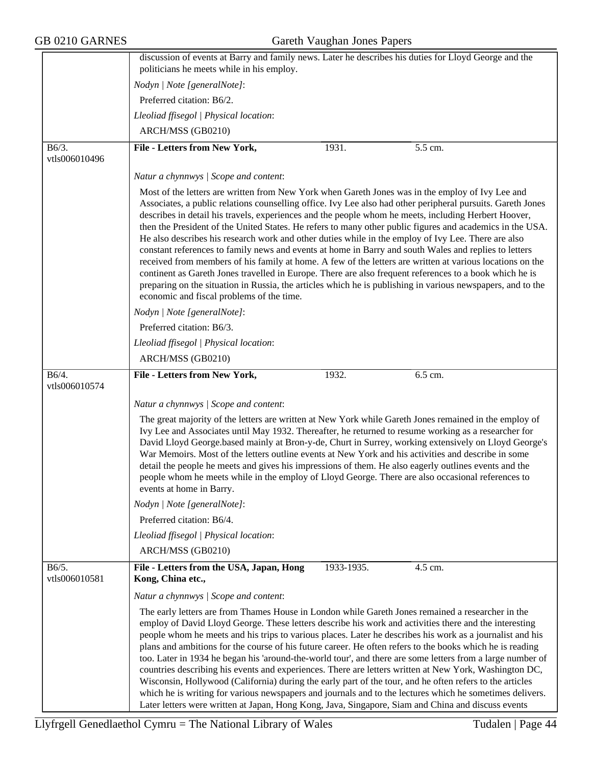|                        | discussion of events at Barry and family news. Later he describes his duties for Lloyd George and the<br>politicians he meets while in his employ.                                                                                                                                                                                                                                                                                                                                                                                                                                                                                                                                                                                                                                                                                                                                                                                                                                                                                       |
|------------------------|------------------------------------------------------------------------------------------------------------------------------------------------------------------------------------------------------------------------------------------------------------------------------------------------------------------------------------------------------------------------------------------------------------------------------------------------------------------------------------------------------------------------------------------------------------------------------------------------------------------------------------------------------------------------------------------------------------------------------------------------------------------------------------------------------------------------------------------------------------------------------------------------------------------------------------------------------------------------------------------------------------------------------------------|
|                        | Nodyn   Note [generalNote]:                                                                                                                                                                                                                                                                                                                                                                                                                                                                                                                                                                                                                                                                                                                                                                                                                                                                                                                                                                                                              |
|                        | Preferred citation: B6/2.                                                                                                                                                                                                                                                                                                                                                                                                                                                                                                                                                                                                                                                                                                                                                                                                                                                                                                                                                                                                                |
|                        |                                                                                                                                                                                                                                                                                                                                                                                                                                                                                                                                                                                                                                                                                                                                                                                                                                                                                                                                                                                                                                          |
|                        | Lleoliad ffisegol   Physical location:                                                                                                                                                                                                                                                                                                                                                                                                                                                                                                                                                                                                                                                                                                                                                                                                                                                                                                                                                                                                   |
|                        | ARCH/MSS (GB0210)                                                                                                                                                                                                                                                                                                                                                                                                                                                                                                                                                                                                                                                                                                                                                                                                                                                                                                                                                                                                                        |
| B6/3.<br>vtls006010496 | File - Letters from New York,<br>1931.<br>5.5 cm.                                                                                                                                                                                                                                                                                                                                                                                                                                                                                                                                                                                                                                                                                                                                                                                                                                                                                                                                                                                        |
|                        | Natur a chynnwys / Scope and content:                                                                                                                                                                                                                                                                                                                                                                                                                                                                                                                                                                                                                                                                                                                                                                                                                                                                                                                                                                                                    |
|                        | Most of the letters are written from New York when Gareth Jones was in the employ of Ivy Lee and<br>Associates, a public relations counselling office. Ivy Lee also had other peripheral pursuits. Gareth Jones<br>describes in detail his travels, experiences and the people whom he meets, including Herbert Hoover,<br>then the President of the United States. He refers to many other public figures and academics in the USA.<br>He also describes his research work and other duties while in the employ of Ivy Lee. There are also<br>constant references to family news and events at home in Barry and south Wales and replies to letters<br>received from members of his family at home. A few of the letters are written at various locations on the<br>continent as Gareth Jones travelled in Europe. There are also frequent references to a book which he is<br>preparing on the situation in Russia, the articles which he is publishing in various newspapers, and to the<br>economic and fiscal problems of the time. |
|                        | Nodyn   Note [generalNote]:                                                                                                                                                                                                                                                                                                                                                                                                                                                                                                                                                                                                                                                                                                                                                                                                                                                                                                                                                                                                              |
|                        | Preferred citation: B6/3.                                                                                                                                                                                                                                                                                                                                                                                                                                                                                                                                                                                                                                                                                                                                                                                                                                                                                                                                                                                                                |
|                        | Lleoliad ffisegol   Physical location:                                                                                                                                                                                                                                                                                                                                                                                                                                                                                                                                                                                                                                                                                                                                                                                                                                                                                                                                                                                                   |
|                        | ARCH/MSS (GB0210)                                                                                                                                                                                                                                                                                                                                                                                                                                                                                                                                                                                                                                                                                                                                                                                                                                                                                                                                                                                                                        |
| B6/4.<br>vtls006010574 | File - Letters from New York,<br>1932.<br>$6.5$ cm.                                                                                                                                                                                                                                                                                                                                                                                                                                                                                                                                                                                                                                                                                                                                                                                                                                                                                                                                                                                      |
|                        | Natur a chynnwys / Scope and content:                                                                                                                                                                                                                                                                                                                                                                                                                                                                                                                                                                                                                                                                                                                                                                                                                                                                                                                                                                                                    |
|                        | The great majority of the letters are written at New York while Gareth Jones remained in the employ of<br>Ivy Lee and Associates until May 1932. Thereafter, he returned to resume working as a researcher for<br>David Lloyd George based mainly at Bron-y-de, Churt in Surrey, working extensively on Lloyd George's<br>War Memoirs. Most of the letters outline events at New York and his activities and describe in some<br>detail the people he meets and gives his impressions of them. He also eagerly outlines events and the<br>people whom he meets while in the employ of Lloyd George. There are also occasional references to<br>events at home in Barry.                                                                                                                                                                                                                                                                                                                                                                  |
|                        | Nodyn   Note [generalNote]:                                                                                                                                                                                                                                                                                                                                                                                                                                                                                                                                                                                                                                                                                                                                                                                                                                                                                                                                                                                                              |
|                        | Preferred citation: B6/4.                                                                                                                                                                                                                                                                                                                                                                                                                                                                                                                                                                                                                                                                                                                                                                                                                                                                                                                                                                                                                |
|                        | Lleoliad ffisegol   Physical location:                                                                                                                                                                                                                                                                                                                                                                                                                                                                                                                                                                                                                                                                                                                                                                                                                                                                                                                                                                                                   |
|                        | ARCH/MSS (GB0210)                                                                                                                                                                                                                                                                                                                                                                                                                                                                                                                                                                                                                                                                                                                                                                                                                                                                                                                                                                                                                        |
| B6/5.<br>vtls006010581 | 1933-1935.<br>File - Letters from the USA, Japan, Hong<br>4.5 cm.<br>Kong, China etc.,                                                                                                                                                                                                                                                                                                                                                                                                                                                                                                                                                                                                                                                                                                                                                                                                                                                                                                                                                   |
|                        | Natur a chynnwys / Scope and content:                                                                                                                                                                                                                                                                                                                                                                                                                                                                                                                                                                                                                                                                                                                                                                                                                                                                                                                                                                                                    |
|                        | The early letters are from Thames House in London while Gareth Jones remained a researcher in the<br>employ of David Lloyd George. These letters describe his work and activities there and the interesting<br>people whom he meets and his trips to various places. Later he describes his work as a journalist and his<br>plans and ambitions for the course of his future career. He often refers to the books which he is reading<br>too. Later in 1934 he began his 'around-the-world tour', and there are some letters from a large number of<br>countries describing his events and experiences. There are letters written at New York, Washington DC,<br>Wisconsin, Hollywood (California) during the early part of the tour, and he often refers to the articles<br>which he is writing for various newspapers and journals and to the lectures which he sometimes delivers.<br>Later letters were written at Japan, Hong Kong, Java, Singapore, Siam and China and discuss events                                              |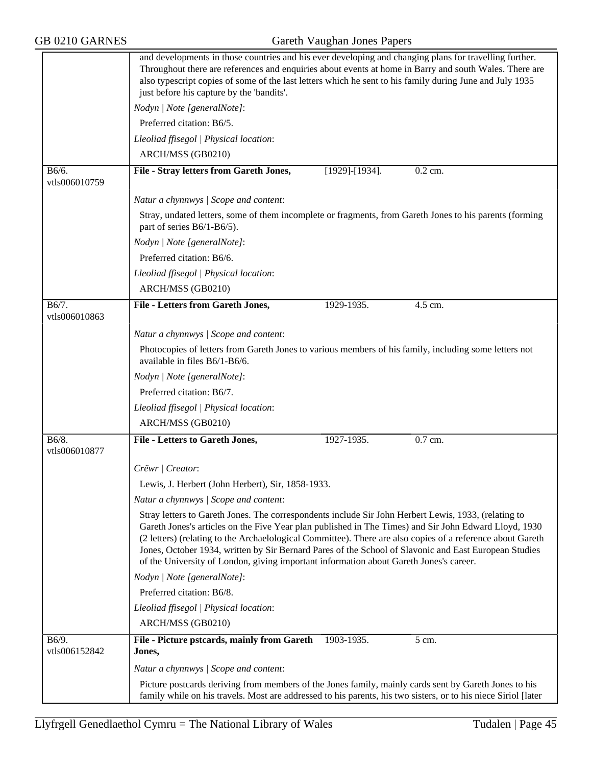|                        | and developments in those countries and his ever developing and changing plans for travelling further.<br>Throughout there are references and enquiries about events at home in Barry and south Wales. There are<br>also typescript copies of some of the last letters which he sent to his family during June and July 1935<br>just before his capture by the 'bandits'.                                                                                                                                                      |  |  |
|------------------------|--------------------------------------------------------------------------------------------------------------------------------------------------------------------------------------------------------------------------------------------------------------------------------------------------------------------------------------------------------------------------------------------------------------------------------------------------------------------------------------------------------------------------------|--|--|
|                        | Nodyn   Note [generalNote]:                                                                                                                                                                                                                                                                                                                                                                                                                                                                                                    |  |  |
|                        | Preferred citation: B6/5.                                                                                                                                                                                                                                                                                                                                                                                                                                                                                                      |  |  |
|                        | Lleoliad ffisegol   Physical location:                                                                                                                                                                                                                                                                                                                                                                                                                                                                                         |  |  |
|                        | ARCH/MSS (GB0210)                                                                                                                                                                                                                                                                                                                                                                                                                                                                                                              |  |  |
| B6/6.<br>vtls006010759 | 0.2 cm.<br>File - Stray letters from Gareth Jones,<br>[1929]-[1934].                                                                                                                                                                                                                                                                                                                                                                                                                                                           |  |  |
|                        | Natur a chynnwys / Scope and content:                                                                                                                                                                                                                                                                                                                                                                                                                                                                                          |  |  |
|                        | Stray, undated letters, some of them incomplete or fragments, from Gareth Jones to his parents (forming<br>part of series B6/1-B6/5).                                                                                                                                                                                                                                                                                                                                                                                          |  |  |
|                        | Nodyn   Note [generalNote]:                                                                                                                                                                                                                                                                                                                                                                                                                                                                                                    |  |  |
|                        | Preferred citation: B6/6.                                                                                                                                                                                                                                                                                                                                                                                                                                                                                                      |  |  |
|                        | Lleoliad ffisegol   Physical location:                                                                                                                                                                                                                                                                                                                                                                                                                                                                                         |  |  |
|                        | ARCH/MSS (GB0210)                                                                                                                                                                                                                                                                                                                                                                                                                                                                                                              |  |  |
| B6/7.                  | File - Letters from Gareth Jones,<br>1929-1935.<br>4.5 cm.                                                                                                                                                                                                                                                                                                                                                                                                                                                                     |  |  |
| vtls006010863          |                                                                                                                                                                                                                                                                                                                                                                                                                                                                                                                                |  |  |
|                        | Natur a chynnwys / Scope and content:                                                                                                                                                                                                                                                                                                                                                                                                                                                                                          |  |  |
|                        | Photocopies of letters from Gareth Jones to various members of his family, including some letters not<br>available in files B6/1-B6/6.                                                                                                                                                                                                                                                                                                                                                                                         |  |  |
|                        | Nodyn   Note [generalNote]:                                                                                                                                                                                                                                                                                                                                                                                                                                                                                                    |  |  |
|                        | Preferred citation: B6/7.                                                                                                                                                                                                                                                                                                                                                                                                                                                                                                      |  |  |
|                        | Lleoliad ffisegol   Physical location:                                                                                                                                                                                                                                                                                                                                                                                                                                                                                         |  |  |
|                        | ARCH/MSS (GB0210)                                                                                                                                                                                                                                                                                                                                                                                                                                                                                                              |  |  |
| B6/8.                  | File - Letters to Gareth Jones,<br>0.7 cm.<br>1927-1935.                                                                                                                                                                                                                                                                                                                                                                                                                                                                       |  |  |
| vtls006010877          |                                                                                                                                                                                                                                                                                                                                                                                                                                                                                                                                |  |  |
|                        | Crëwr   Creator:                                                                                                                                                                                                                                                                                                                                                                                                                                                                                                               |  |  |
|                        | Lewis, J. Herbert (John Herbert), Sir, 1858-1933.                                                                                                                                                                                                                                                                                                                                                                                                                                                                              |  |  |
|                        | Natur a chynnwys / Scope and content:                                                                                                                                                                                                                                                                                                                                                                                                                                                                                          |  |  |
|                        | Stray letters to Gareth Jones. The correspondents include Sir John Herbert Lewis, 1933, (relating to<br>Gareth Jones's articles on the Five Year plan published in The Times) and Sir John Edward Lloyd, 1930<br>(2 letters) (relating to the Archaelological Committee). There are also copies of a reference about Gareth<br>Jones, October 1934, written by Sir Bernard Pares of the School of Slavonic and East European Studies<br>of the University of London, giving important information about Gareth Jones's career. |  |  |
|                        | Nodyn   Note [generalNote]:                                                                                                                                                                                                                                                                                                                                                                                                                                                                                                    |  |  |
|                        | Preferred citation: B6/8.                                                                                                                                                                                                                                                                                                                                                                                                                                                                                                      |  |  |
|                        | Lleoliad ffisegol   Physical location:                                                                                                                                                                                                                                                                                                                                                                                                                                                                                         |  |  |
|                        | ARCH/MSS (GB0210)                                                                                                                                                                                                                                                                                                                                                                                                                                                                                                              |  |  |
| B6/9.<br>vtls006152842 | File - Picture pstcards, mainly from Gareth<br>1903-1935.<br>5 cm.<br>Jones,                                                                                                                                                                                                                                                                                                                                                                                                                                                   |  |  |
|                        | Natur a chynnwys / Scope and content:                                                                                                                                                                                                                                                                                                                                                                                                                                                                                          |  |  |
|                        | Picture postcards deriving from members of the Jones family, mainly cards sent by Gareth Jones to his                                                                                                                                                                                                                                                                                                                                                                                                                          |  |  |
|                        | family while on his travels. Most are addressed to his parents, his two sisters, or to his niece Siriol [later                                                                                                                                                                                                                                                                                                                                                                                                                 |  |  |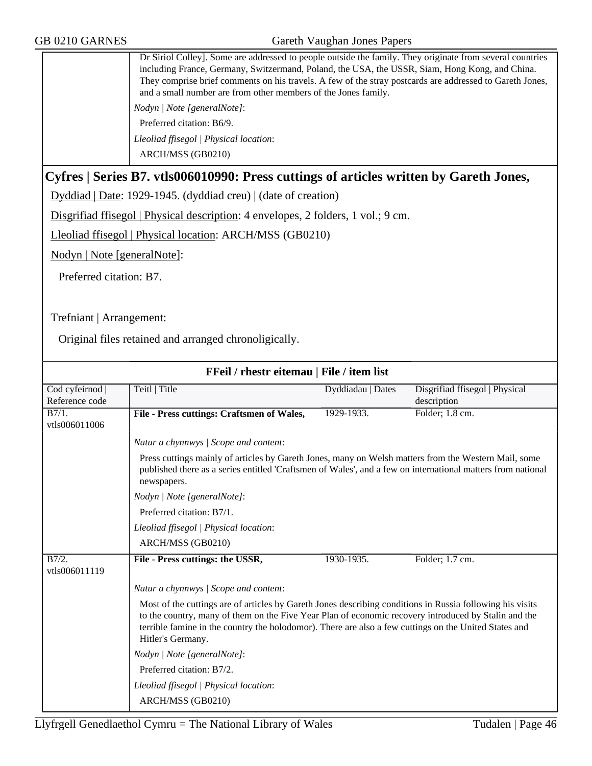Dr Siriol Colley]. Some are addressed to people outside the family. They originate from several countries including France, Germany, Switzermand, Poland, the USA, the USSR, Siam, Hong Kong, and China. They comprise brief comments on his travels. A few of the stray postcards are addressed to Gareth Jones, and a small number are from other members of the Jones family. *Nodyn | Note [generalNote]*:

Preferred citation: B6/9.

*Lleoliad ffisegol | Physical location*: ARCH/MSS (GB0210)

#### **Cyfres | Series B7. vtls006010990: Press cuttings of articles written by Gareth Jones,**

Dyddiad | Date: 1929-1945. (dyddiad creu) | (date of creation)

Disgrifiad ffisegol | Physical description: 4 envelopes, 2 folders, 1 vol.; 9 cm.

Lleoliad ffisegol | Physical location: ARCH/MSS (GB0210)

Nodyn | Note [generalNote]:

Preferred citation: B7.

Trefniant | Arrangement:

Original files retained and arranged chronoligically.

| FFeil / rhestr eitemau   File / item list |                                                                                                                                                                                                                                                                                                                                                 |                   |                                |
|-------------------------------------------|-------------------------------------------------------------------------------------------------------------------------------------------------------------------------------------------------------------------------------------------------------------------------------------------------------------------------------------------------|-------------------|--------------------------------|
| Cod cyfeirnod                             | Teitl   Title                                                                                                                                                                                                                                                                                                                                   | Dyddiadau   Dates | Disgrifiad ffisegol   Physical |
| Reference code                            |                                                                                                                                                                                                                                                                                                                                                 |                   | description                    |
| B7/1.<br>vtls006011006                    | File - Press cuttings: Craftsmen of Wales,                                                                                                                                                                                                                                                                                                      | 1929-1933.        | Folder; 1.8 cm.                |
|                                           | Natur a chynnwys / Scope and content:                                                                                                                                                                                                                                                                                                           |                   |                                |
|                                           | Press cuttings mainly of articles by Gareth Jones, many on Welsh matters from the Western Mail, some<br>published there as a series entitled 'Craftsmen of Wales', and a few on international matters from national<br>newspapers.                                                                                                              |                   |                                |
|                                           | Nodyn   Note [generalNote]:                                                                                                                                                                                                                                                                                                                     |                   |                                |
|                                           | Preferred citation: B7/1.                                                                                                                                                                                                                                                                                                                       |                   |                                |
|                                           | Lleoliad ffisegol   Physical location:                                                                                                                                                                                                                                                                                                          |                   |                                |
|                                           | ARCH/MSS (GB0210)                                                                                                                                                                                                                                                                                                                               |                   |                                |
| B7/2.<br>vtls006011119                    | File - Press cuttings: the USSR,                                                                                                                                                                                                                                                                                                                | 1930-1935.        | Folder; 1.7 cm.                |
|                                           | Natur a chynnwys / Scope and content:                                                                                                                                                                                                                                                                                                           |                   |                                |
|                                           | Most of the cuttings are of articles by Gareth Jones describing conditions in Russia following his visits<br>to the country, many of them on the Five Year Plan of economic recovery introduced by Stalin and the<br>terrible famine in the country the holodomor). There are also a few cuttings on the United States and<br>Hitler's Germany. |                   |                                |
|                                           | Nodyn   Note [generalNote]:                                                                                                                                                                                                                                                                                                                     |                   |                                |
|                                           | Preferred citation: B7/2.                                                                                                                                                                                                                                                                                                                       |                   |                                |
|                                           | Lleoliad ffisegol   Physical location:                                                                                                                                                                                                                                                                                                          |                   |                                |
|                                           | ARCH/MSS (GB0210)                                                                                                                                                                                                                                                                                                                               |                   |                                |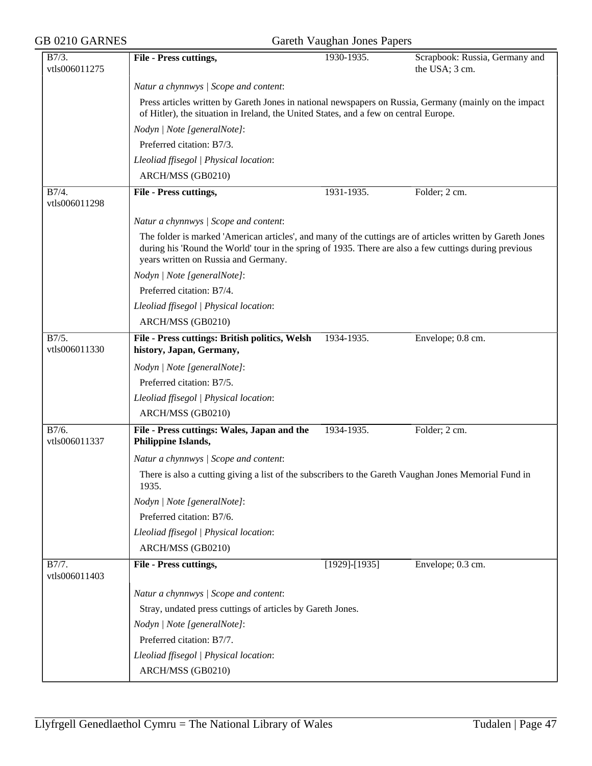| <b>GB 0210 GARNES</b>  | Gareth Vaughan Jones Papers                                                                                                                                                                                                                                  |                   |                                                  |  |
|------------------------|--------------------------------------------------------------------------------------------------------------------------------------------------------------------------------------------------------------------------------------------------------------|-------------------|--------------------------------------------------|--|
| B7/3.<br>vtls006011275 | File - Press cuttings,                                                                                                                                                                                                                                       | 1930-1935.        | Scrapbook: Russia, Germany and<br>the USA; 3 cm. |  |
|                        | Natur a chynnwys / Scope and content:                                                                                                                                                                                                                        |                   |                                                  |  |
|                        | Press articles written by Gareth Jones in national newspapers on Russia, Germany (mainly on the impact<br>of Hitler), the situation in Ireland, the United States, and a few on central Europe.                                                              |                   |                                                  |  |
|                        | Nodyn   Note [generalNote]:                                                                                                                                                                                                                                  |                   |                                                  |  |
|                        | Preferred citation: B7/3.                                                                                                                                                                                                                                    |                   |                                                  |  |
|                        | Lleoliad ffisegol   Physical location:                                                                                                                                                                                                                       |                   |                                                  |  |
|                        | ARCH/MSS (GB0210)                                                                                                                                                                                                                                            |                   |                                                  |  |
| B7/4.<br>vtls006011298 | File - Press cuttings,                                                                                                                                                                                                                                       | 1931-1935.        | Folder; 2 cm.                                    |  |
|                        | Natur a chynnwys / Scope and content:                                                                                                                                                                                                                        |                   |                                                  |  |
|                        | The folder is marked 'American articles', and many of the cuttings are of articles written by Gareth Jones<br>during his 'Round the World' tour in the spring of 1935. There are also a few cuttings during previous<br>years written on Russia and Germany. |                   |                                                  |  |
|                        | Nodyn   Note [generalNote]:                                                                                                                                                                                                                                  |                   |                                                  |  |
|                        | Preferred citation: B7/4.                                                                                                                                                                                                                                    |                   |                                                  |  |
|                        | Lleoliad ffisegol   Physical location:                                                                                                                                                                                                                       |                   |                                                  |  |
|                        | ARCH/MSS (GB0210)                                                                                                                                                                                                                                            |                   |                                                  |  |
| B7/5.<br>vtls006011330 | File - Press cuttings: British politics, Welsh<br>history, Japan, Germany,                                                                                                                                                                                   | 1934-1935.        | Envelope; 0.8 cm.                                |  |
|                        | Nodyn   Note [generalNote]:                                                                                                                                                                                                                                  |                   |                                                  |  |
|                        | Preferred citation: B7/5.                                                                                                                                                                                                                                    |                   |                                                  |  |
|                        | Lleoliad ffisegol   Physical location:                                                                                                                                                                                                                       |                   |                                                  |  |
|                        | ARCH/MSS (GB0210)                                                                                                                                                                                                                                            |                   |                                                  |  |
| B7/6.<br>vtls006011337 | File - Press cuttings: Wales, Japan and the<br>Philippine Islands,                                                                                                                                                                                           | 1934-1935.        | Folder; 2 cm.                                    |  |
|                        | Natur a chynnwys / Scope and content:                                                                                                                                                                                                                        |                   |                                                  |  |
|                        | There is also a cutting giving a list of the subscribers to the Gareth Vaughan Jones Memorial Fund in<br>1935.                                                                                                                                               |                   |                                                  |  |
|                        | Nodyn   Note [generalNote]:                                                                                                                                                                                                                                  |                   |                                                  |  |
|                        | Preferred citation: B7/6.                                                                                                                                                                                                                                    |                   |                                                  |  |
|                        | Lleoliad ffisegol   Physical location:                                                                                                                                                                                                                       |                   |                                                  |  |
|                        | ARCH/MSS (GB0210)                                                                                                                                                                                                                                            |                   |                                                  |  |
| B7/7.<br>vtls006011403 | File - Press cuttings,                                                                                                                                                                                                                                       | $[1929] - [1935]$ | Envelope; 0.3 cm.                                |  |
|                        | Natur a chynnwys / Scope and content:                                                                                                                                                                                                                        |                   |                                                  |  |
|                        | Stray, undated press cuttings of articles by Gareth Jones.                                                                                                                                                                                                   |                   |                                                  |  |
|                        | Nodyn   Note [generalNote]:                                                                                                                                                                                                                                  |                   |                                                  |  |
|                        | Preferred citation: B7/7.                                                                                                                                                                                                                                    |                   |                                                  |  |
|                        | Lleoliad ffisegol   Physical location:                                                                                                                                                                                                                       |                   |                                                  |  |
|                        | ARCH/MSS (GB0210)                                                                                                                                                                                                                                            |                   |                                                  |  |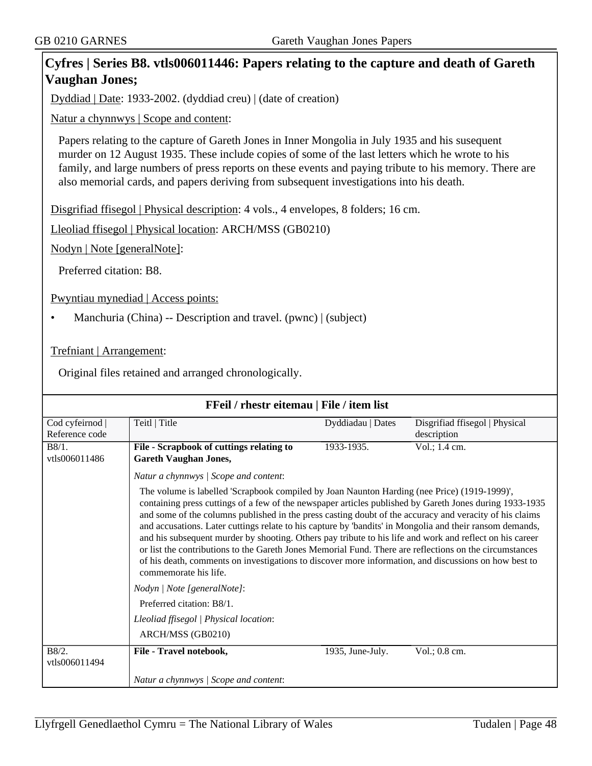#### **Cyfres | Series B8. vtls006011446: Papers relating to the capture and death of Gareth Vaughan Jones;**

Dyddiad | Date: 1933-2002. (dyddiad creu) | (date of creation)

Natur a chynnwys | Scope and content:

Papers relating to the capture of Gareth Jones in Inner Mongolia in July 1935 and his susequent murder on 12 August 1935. These include copies of some of the last letters which he wrote to his family, and large numbers of press reports on these events and paying tribute to his memory. There are also memorial cards, and papers deriving from subsequent investigations into his death.

Disgrifiad ffisegol | Physical description: 4 vols., 4 envelopes, 8 folders; 16 cm.

Lleoliad ffisegol | Physical location: ARCH/MSS (GB0210)

Nodyn | Note [generalNote]:

Preferred citation: B8.

Pwyntiau mynediad | Access points:

• Manchuria (China) -- Description and travel. (pwnc) | (subject)

Trefniant | Arrangement:

Original files retained and arranged chronologically.

| FFeil / rhestr eitemau   File / item list |                                                                                                                                                                                                                                                                                                                                                                                                                                                                                                                                                                                                                                                                                                                                                                                                                                  |                   |                                               |
|-------------------------------------------|----------------------------------------------------------------------------------------------------------------------------------------------------------------------------------------------------------------------------------------------------------------------------------------------------------------------------------------------------------------------------------------------------------------------------------------------------------------------------------------------------------------------------------------------------------------------------------------------------------------------------------------------------------------------------------------------------------------------------------------------------------------------------------------------------------------------------------|-------------------|-----------------------------------------------|
| Cod cyfeirnod  <br>Reference code         | Teitl   Title                                                                                                                                                                                                                                                                                                                                                                                                                                                                                                                                                                                                                                                                                                                                                                                                                    | Dyddiadau   Dates | Disgrifiad ffisegol   Physical<br>description |
| B8/1.<br>vtls006011486                    | File - Scrapbook of cuttings relating to<br><b>Gareth Vaughan Jones,</b>                                                                                                                                                                                                                                                                                                                                                                                                                                                                                                                                                                                                                                                                                                                                                         | 1933-1935.        | Vol.; 1.4 cm.                                 |
|                                           | Natur a chynnwys / Scope and content:<br>The volume is labelled 'Scrapbook compiled by Joan Naunton Harding (nee Price) (1919-1999)',<br>containing press cuttings of a few of the newspaper articles published by Gareth Jones during 1933-1935<br>and some of the columns published in the press casting doubt of the accuracy and veracity of his claims<br>and accusations. Later cuttings relate to his capture by 'bandits' in Mongolia and their ransom demands,<br>and his subsequent murder by shooting. Others pay tribute to his life and work and reflect on his career<br>or list the contributions to the Gareth Jones Memorial Fund. There are reflections on the circumstances<br>of his death, comments on investigations to discover more information, and discussions on how best to<br>commemorate his life. |                   |                                               |
|                                           | Nodyn   Note [generalNote]:<br>Preferred citation: B8/1.<br>Lleoliad ffisegol   Physical location:<br>ARCH/MSS (GB0210)                                                                                                                                                                                                                                                                                                                                                                                                                                                                                                                                                                                                                                                                                                          |                   |                                               |
| B8/2.<br>vtls006011494                    | File - Travel notebook,                                                                                                                                                                                                                                                                                                                                                                                                                                                                                                                                                                                                                                                                                                                                                                                                          | 1935, June-July.  | Vol.; 0.8 cm.                                 |
|                                           | Natur a chynnwys / Scope and content:                                                                                                                                                                                                                                                                                                                                                                                                                                                                                                                                                                                                                                                                                                                                                                                            |                   |                                               |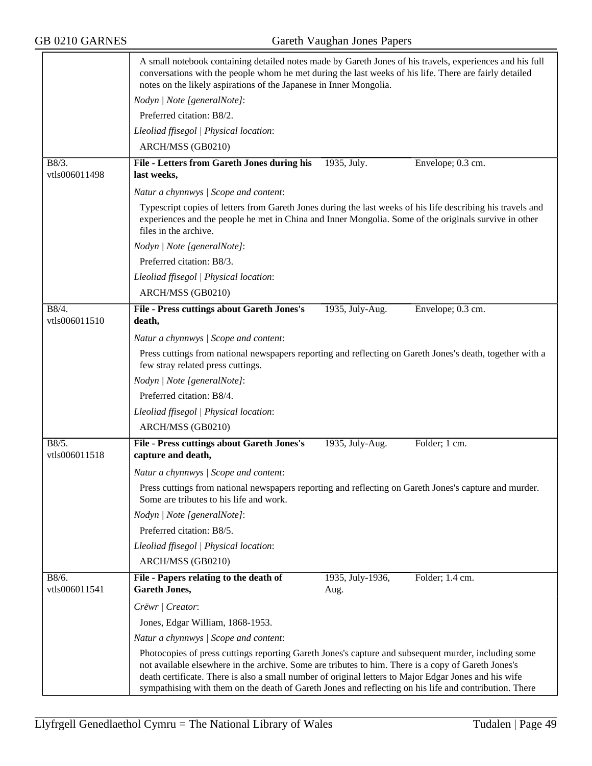|                        | A small notebook containing detailed notes made by Gareth Jones of his travels, experiences and his full<br>conversations with the people whom he met during the last weeks of his life. There are fairly detailed<br>notes on the likely aspirations of the Japanese in Inner Mongolia.<br>Nodyn   Note [generalNote]:                                                                                                        |                          |                   |  |  |
|------------------------|--------------------------------------------------------------------------------------------------------------------------------------------------------------------------------------------------------------------------------------------------------------------------------------------------------------------------------------------------------------------------------------------------------------------------------|--------------------------|-------------------|--|--|
|                        |                                                                                                                                                                                                                                                                                                                                                                                                                                |                          |                   |  |  |
|                        | Preferred citation: B8/2.                                                                                                                                                                                                                                                                                                                                                                                                      |                          |                   |  |  |
|                        | Lleoliad ffisegol   Physical location:                                                                                                                                                                                                                                                                                                                                                                                         |                          |                   |  |  |
|                        | ARCH/MSS (GB0210)                                                                                                                                                                                                                                                                                                                                                                                                              |                          |                   |  |  |
| B8/3.<br>vtls006011498 | File - Letters from Gareth Jones during his<br>last weeks,                                                                                                                                                                                                                                                                                                                                                                     | 1935, July.              | Envelope; 0.3 cm. |  |  |
|                        | Natur a chynnwys / Scope and content:                                                                                                                                                                                                                                                                                                                                                                                          |                          |                   |  |  |
|                        | Typescript copies of letters from Gareth Jones during the last weeks of his life describing his travels and<br>experiences and the people he met in China and Inner Mongolia. Some of the originals survive in other<br>files in the archive.                                                                                                                                                                                  |                          |                   |  |  |
|                        | Nodyn   Note [generalNote]:                                                                                                                                                                                                                                                                                                                                                                                                    |                          |                   |  |  |
|                        | Preferred citation: B8/3.                                                                                                                                                                                                                                                                                                                                                                                                      |                          |                   |  |  |
|                        | Lleoliad ffisegol   Physical location:                                                                                                                                                                                                                                                                                                                                                                                         |                          |                   |  |  |
|                        | ARCH/MSS (GB0210)                                                                                                                                                                                                                                                                                                                                                                                                              |                          |                   |  |  |
| B8/4.<br>vtls006011510 | File - Press cuttings about Gareth Jones's<br>death,                                                                                                                                                                                                                                                                                                                                                                           | 1935, July-Aug.          | Envelope; 0.3 cm. |  |  |
|                        | Natur a chynnwys / Scope and content:                                                                                                                                                                                                                                                                                                                                                                                          |                          |                   |  |  |
|                        | Press cuttings from national newspapers reporting and reflecting on Gareth Jones's death, together with a<br>few stray related press cuttings.                                                                                                                                                                                                                                                                                 |                          |                   |  |  |
|                        | Nodyn   Note [generalNote]:                                                                                                                                                                                                                                                                                                                                                                                                    |                          |                   |  |  |
|                        | Preferred citation: B8/4.                                                                                                                                                                                                                                                                                                                                                                                                      |                          |                   |  |  |
|                        | Lleoliad ffisegol   Physical location:                                                                                                                                                                                                                                                                                                                                                                                         |                          |                   |  |  |
|                        | ARCH/MSS (GB0210)                                                                                                                                                                                                                                                                                                                                                                                                              |                          |                   |  |  |
| B8/5.<br>vtls006011518 | <b>File - Press cuttings about Gareth Jones's</b><br>capture and death,                                                                                                                                                                                                                                                                                                                                                        | 1935, July-Aug.          | Folder; 1 cm.     |  |  |
|                        | Natur a chynnwys / Scope and content:                                                                                                                                                                                                                                                                                                                                                                                          |                          |                   |  |  |
|                        | Press cuttings from national newspapers reporting and reflecting on Gareth Jones's capture and murder.<br>Some are tributes to his life and work.                                                                                                                                                                                                                                                                              |                          |                   |  |  |
|                        | Nodyn   Note [generalNote]:                                                                                                                                                                                                                                                                                                                                                                                                    |                          |                   |  |  |
|                        | Preferred citation: B8/5.                                                                                                                                                                                                                                                                                                                                                                                                      |                          |                   |  |  |
|                        | Lleoliad ffisegol   Physical location:                                                                                                                                                                                                                                                                                                                                                                                         |                          |                   |  |  |
|                        | ARCH/MSS (GB0210)                                                                                                                                                                                                                                                                                                                                                                                                              |                          |                   |  |  |
| B8/6.<br>vtls006011541 | File - Papers relating to the death of<br><b>Gareth Jones,</b>                                                                                                                                                                                                                                                                                                                                                                 | 1935, July-1936,<br>Aug. | Folder; 1.4 cm.   |  |  |
|                        | Crëwr   Creator:                                                                                                                                                                                                                                                                                                                                                                                                               |                          |                   |  |  |
|                        | Jones, Edgar William, 1868-1953.                                                                                                                                                                                                                                                                                                                                                                                               |                          |                   |  |  |
|                        | Natur a chynnwys / Scope and content:                                                                                                                                                                                                                                                                                                                                                                                          |                          |                   |  |  |
|                        | Photocopies of press cuttings reporting Gareth Jones's capture and subsequent murder, including some<br>not available elsewhere in the archive. Some are tributes to him. There is a copy of Gareth Jones's<br>death certificate. There is also a small number of original letters to Major Edgar Jones and his wife<br>sympathising with them on the death of Gareth Jones and reflecting on his life and contribution. There |                          |                   |  |  |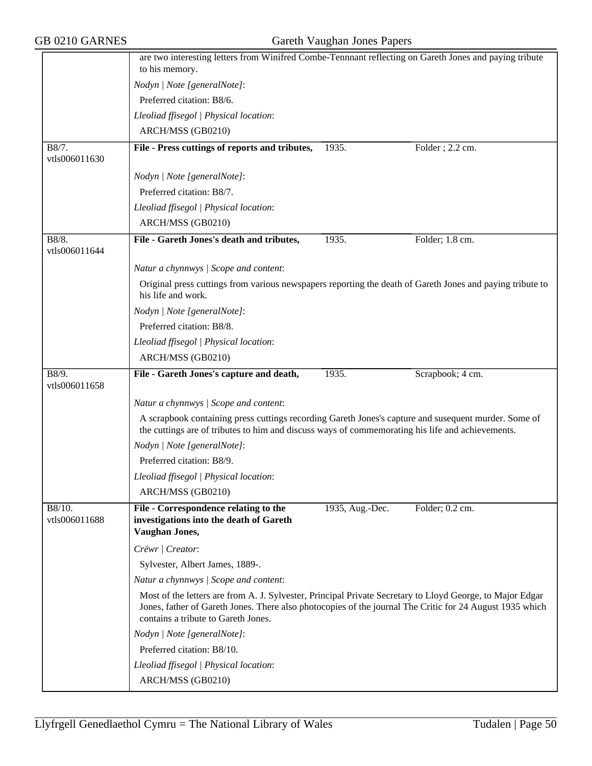|                                       | are two interesting letters from Winifred Combe-Tennnant reflecting on Gareth Jones and paying tribute<br>to his memory.                                                                                                                                     |                 |                   |  |
|---------------------------------------|--------------------------------------------------------------------------------------------------------------------------------------------------------------------------------------------------------------------------------------------------------------|-----------------|-------------------|--|
|                                       | Nodyn   Note [generalNote]:                                                                                                                                                                                                                                  |                 |                   |  |
|                                       | Preferred citation: B8/6.                                                                                                                                                                                                                                    |                 |                   |  |
|                                       | Lleoliad ffisegol   Physical location:                                                                                                                                                                                                                       |                 |                   |  |
|                                       | ARCH/MSS (GB0210)                                                                                                                                                                                                                                            |                 |                   |  |
| B8/7.<br>vtls006011630                | File - Press cuttings of reports and tributes,                                                                                                                                                                                                               | 1935.           | Folder; 2.2 cm.   |  |
|                                       | Nodyn   Note [generalNote]:                                                                                                                                                                                                                                  |                 |                   |  |
|                                       | Preferred citation: B8/7.                                                                                                                                                                                                                                    |                 |                   |  |
|                                       | Lleoliad ffisegol   Physical location:                                                                                                                                                                                                                       |                 |                   |  |
|                                       | ARCH/MSS (GB0210)                                                                                                                                                                                                                                            |                 |                   |  |
| B8/8.<br>vtls006011644                | File - Gareth Jones's death and tributes,                                                                                                                                                                                                                    | 1935.           | Folder; 1.8 cm.   |  |
|                                       | Natur a chynnwys / Scope and content:                                                                                                                                                                                                                        |                 |                   |  |
|                                       | Original press cuttings from various newspapers reporting the death of Gareth Jones and paying tribute to<br>his life and work.                                                                                                                              |                 |                   |  |
|                                       | Nodyn   Note [generalNote]:                                                                                                                                                                                                                                  |                 |                   |  |
|                                       | Preferred citation: B8/8.                                                                                                                                                                                                                                    |                 |                   |  |
|                                       | Lleoliad ffisegol   Physical location:                                                                                                                                                                                                                       |                 |                   |  |
|                                       | ARCH/MSS (GB0210)                                                                                                                                                                                                                                            |                 |                   |  |
| B8/9.<br>vtls006011658                | File - Gareth Jones's capture and death,                                                                                                                                                                                                                     | 1935.           | Scrapbook; 4 cm.  |  |
|                                       | Natur a chynnwys / Scope and content:                                                                                                                                                                                                                        |                 |                   |  |
|                                       | A scrapbook containing press cuttings recording Gareth Jones's capture and susequent murder. Some of<br>the cuttings are of tributes to him and discuss ways of commemorating his life and achievements.                                                     |                 |                   |  |
|                                       | Nodyn   Note [generalNote]:                                                                                                                                                                                                                                  |                 |                   |  |
|                                       | Preferred citation: B8/9.                                                                                                                                                                                                                                    |                 |                   |  |
|                                       | Lleoliad ffisegol   Physical location:                                                                                                                                                                                                                       |                 |                   |  |
|                                       | ARCH/MSS (GB0210)                                                                                                                                                                                                                                            |                 |                   |  |
| $\overline{B8/10}$ .<br>vtls006011688 | File - Correspondence relating to the<br>investigations into the death of Gareth<br>Vaughan Jones,                                                                                                                                                           | 1935, Aug.-Dec. | Folder; $0.2$ cm. |  |
|                                       | Crëwr   Creator:                                                                                                                                                                                                                                             |                 |                   |  |
|                                       | Sylvester, Albert James, 1889-.                                                                                                                                                                                                                              |                 |                   |  |
|                                       | Natur a chynnwys / Scope and content:                                                                                                                                                                                                                        |                 |                   |  |
|                                       | Most of the letters are from A. J. Sylvester, Principal Private Secretary to Lloyd George, to Major Edgar<br>Jones, father of Gareth Jones. There also photocopies of the journal The Critic for 24 August 1935 which<br>contains a tribute to Gareth Jones. |                 |                   |  |
|                                       | Nodyn   Note [generalNote]:                                                                                                                                                                                                                                  |                 |                   |  |
|                                       | Preferred citation: B8/10.                                                                                                                                                                                                                                   |                 |                   |  |
|                                       | Lleoliad ffisegol   Physical location:                                                                                                                                                                                                                       |                 |                   |  |
|                                       | ARCH/MSS (GB0210)                                                                                                                                                                                                                                            |                 |                   |  |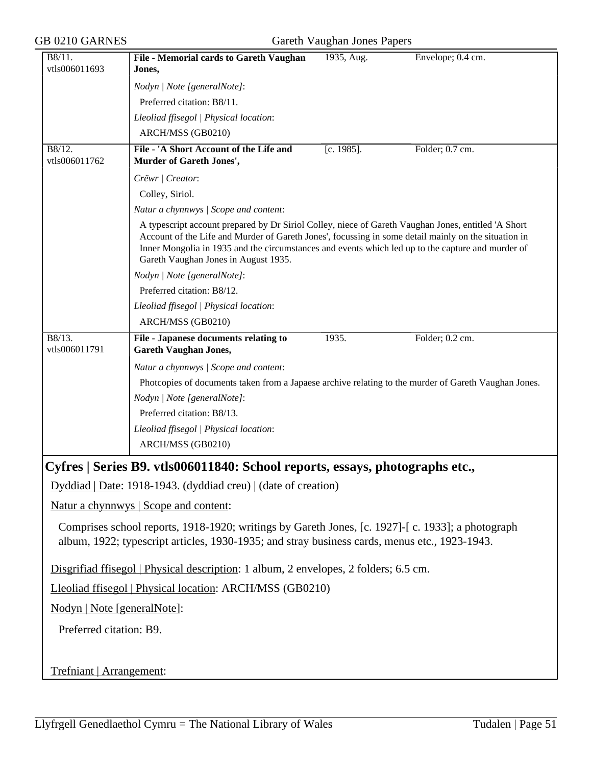| GB 0210 GARNES                        | Gareth Vaughan Jones Papers                                                                                                                                                                                                                                                                                                                              |               |                   |  |
|---------------------------------------|----------------------------------------------------------------------------------------------------------------------------------------------------------------------------------------------------------------------------------------------------------------------------------------------------------------------------------------------------------|---------------|-------------------|--|
| B8/11.<br>vtls006011693               | File - Memorial cards to Gareth Vaughan<br>Jones,                                                                                                                                                                                                                                                                                                        | 1935, Aug.    | Envelope; 0.4 cm. |  |
|                                       | Nodyn   Note [generalNote]:                                                                                                                                                                                                                                                                                                                              |               |                   |  |
|                                       | Preferred citation: B8/11.                                                                                                                                                                                                                                                                                                                               |               |                   |  |
|                                       | Lleoliad ffisegol   Physical location:                                                                                                                                                                                                                                                                                                                   |               |                   |  |
|                                       | ARCH/MSS (GB0210)                                                                                                                                                                                                                                                                                                                                        |               |                   |  |
| B8/12.<br>vtls006011762               | File - 'A Short Account of the Life and<br>Murder of Gareth Jones',                                                                                                                                                                                                                                                                                      | $[c. 1985]$ . | Folder; 0.7 cm.   |  |
|                                       | Crëwr   Creator:                                                                                                                                                                                                                                                                                                                                         |               |                   |  |
|                                       | Colley, Siriol.                                                                                                                                                                                                                                                                                                                                          |               |                   |  |
|                                       | Natur a chynnwys / Scope and content:                                                                                                                                                                                                                                                                                                                    |               |                   |  |
|                                       | A typescript account prepared by Dr Siriol Colley, niece of Gareth Vaughan Jones, entitled 'A Short<br>Account of the Life and Murder of Gareth Jones', focussing in some detail mainly on the situation in<br>Inner Mongolia in 1935 and the circumstances and events which led up to the capture and murder of<br>Gareth Vaughan Jones in August 1935. |               |                   |  |
|                                       | Nodyn   Note [generalNote]:                                                                                                                                                                                                                                                                                                                              |               |                   |  |
|                                       | Preferred citation: B8/12.                                                                                                                                                                                                                                                                                                                               |               |                   |  |
|                                       | Lleoliad ffisegol   Physical location:                                                                                                                                                                                                                                                                                                                   |               |                   |  |
|                                       | ARCH/MSS (GB0210)                                                                                                                                                                                                                                                                                                                                        |               |                   |  |
| $\overline{B8/13}$ .<br>vtls006011791 | File - Japanese documents relating to<br><b>Gareth Vaughan Jones,</b>                                                                                                                                                                                                                                                                                    | 1935.         | Folder; 0.2 cm.   |  |
|                                       | Natur a chynnwys / Scope and content:                                                                                                                                                                                                                                                                                                                    |               |                   |  |
|                                       | Photcopies of documents taken from a Japaese archive relating to the murder of Gareth Vaughan Jones.                                                                                                                                                                                                                                                     |               |                   |  |
|                                       | Nodyn   Note [generalNote]:                                                                                                                                                                                                                                                                                                                              |               |                   |  |
|                                       | Preferred citation: B8/13.                                                                                                                                                                                                                                                                                                                               |               |                   |  |
|                                       | Lleoliad ffisegol   Physical location:                                                                                                                                                                                                                                                                                                                   |               |                   |  |
|                                       | ARCH/MSS (GB0210)                                                                                                                                                                                                                                                                                                                                        |               |                   |  |
|                                       | Cyfres   Series B9. vtls006011840: School reports, essays, photographs etc.,                                                                                                                                                                                                                                                                             |               |                   |  |
|                                       | Dyddiad   Date: 1918-1943. (dyddiad creu)   (date of creation)                                                                                                                                                                                                                                                                                           |               |                   |  |
|                                       | Natur a chynnwys   Scope and content:                                                                                                                                                                                                                                                                                                                    |               |                   |  |
|                                       | Comprises school reports, 1918-1920; writings by Gareth Jones, [c. 1927]-[c. 1933]; a photograph<br>album, 1922; typescript articles, 1930-1935; and stray business cards, menus etc., 1923-1943.                                                                                                                                                        |               |                   |  |
|                                       | Disgrifiad ffisegol   Physical description: 1 album, 2 envelopes, 2 folders; 6.5 cm.                                                                                                                                                                                                                                                                     |               |                   |  |
|                                       | Lleoliad ffisegol   Physical location: ARCH/MSS (GB0210)                                                                                                                                                                                                                                                                                                 |               |                   |  |
| Nodyn   Note [generalNote]:           |                                                                                                                                                                                                                                                                                                                                                          |               |                   |  |
| Preferred citation: B9.               |                                                                                                                                                                                                                                                                                                                                                          |               |                   |  |
|                                       |                                                                                                                                                                                                                                                                                                                                                          |               |                   |  |
|                                       |                                                                                                                                                                                                                                                                                                                                                          |               |                   |  |
| Trefniant   Arrangement:              |                                                                                                                                                                                                                                                                                                                                                          |               |                   |  |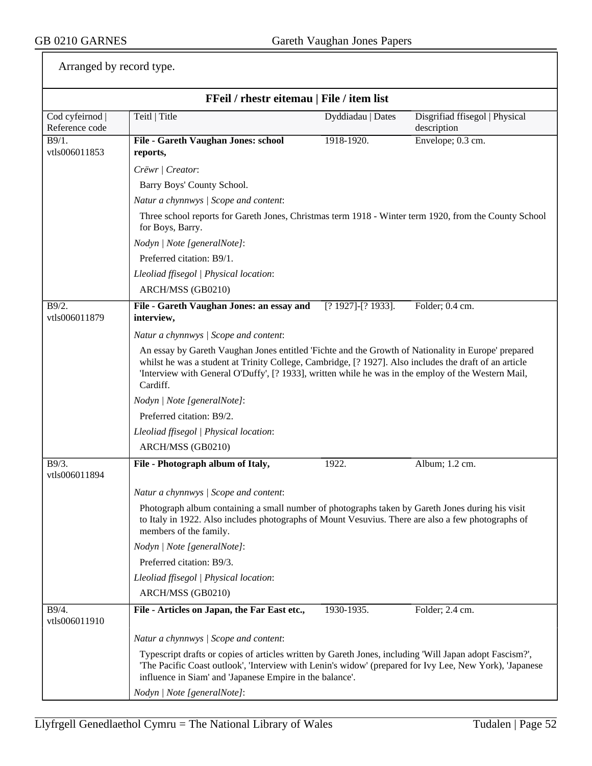Arranged by record type.

| FFeil / rhestr eitemau   File / item list |                                                                                                                                                                                                                                                                                                                                  |                           |                                               |  |
|-------------------------------------------|----------------------------------------------------------------------------------------------------------------------------------------------------------------------------------------------------------------------------------------------------------------------------------------------------------------------------------|---------------------------|-----------------------------------------------|--|
| Cod cyfeirnod  <br>Reference code         | Teitl   Title                                                                                                                                                                                                                                                                                                                    | Dyddiadau   Dates         | Disgrifiad ffisegol   Physical<br>description |  |
| B9/1.                                     | File - Gareth Vaughan Jones: school                                                                                                                                                                                                                                                                                              | 1918-1920.                | Envelope; 0.3 cm.                             |  |
| vtls006011853                             | reports,                                                                                                                                                                                                                                                                                                                         |                           |                                               |  |
|                                           | Crëwr / Creator:                                                                                                                                                                                                                                                                                                                 |                           |                                               |  |
|                                           | Barry Boys' County School.                                                                                                                                                                                                                                                                                                       |                           |                                               |  |
|                                           | Natur a chynnwys / Scope and content:                                                                                                                                                                                                                                                                                            |                           |                                               |  |
|                                           | Three school reports for Gareth Jones, Christmas term 1918 - Winter term 1920, from the County School<br>for Boys, Barry.                                                                                                                                                                                                        |                           |                                               |  |
|                                           | Nodyn   Note [generalNote]:                                                                                                                                                                                                                                                                                                      |                           |                                               |  |
|                                           | Preferred citation: B9/1.                                                                                                                                                                                                                                                                                                        |                           |                                               |  |
|                                           | Lleoliad ffisegol   Physical location:                                                                                                                                                                                                                                                                                           |                           |                                               |  |
|                                           | ARCH/MSS (GB0210)                                                                                                                                                                                                                                                                                                                |                           |                                               |  |
| B9/2.<br>vtls006011879                    | File - Gareth Vaughan Jones: an essay and<br>interview,                                                                                                                                                                                                                                                                          | $[? 1927]$ - $[? 1933]$ . | Folder; 0.4 cm.                               |  |
|                                           | Natur a chynnwys / Scope and content:                                                                                                                                                                                                                                                                                            |                           |                                               |  |
|                                           | An essay by Gareth Vaughan Jones entitled 'Fichte and the Growth of Nationality in Europe' prepared<br>whilst he was a student at Trinity College, Cambridge, [? 1927]. Also includes the draft of an article<br>'Interview with General O'Duffy', [? 1933], written while he was in the employ of the Western Mail,<br>Cardiff. |                           |                                               |  |
|                                           | Nodyn   Note [generalNote]:                                                                                                                                                                                                                                                                                                      |                           |                                               |  |
|                                           | Preferred citation: B9/2.                                                                                                                                                                                                                                                                                                        |                           |                                               |  |
|                                           | Lleoliad ffisegol   Physical location:                                                                                                                                                                                                                                                                                           |                           |                                               |  |
|                                           | ARCH/MSS (GB0210)                                                                                                                                                                                                                                                                                                                |                           |                                               |  |
| B9/3.                                     | File - Photograph album of Italy,                                                                                                                                                                                                                                                                                                | 1922.                     | Album; 1.2 cm.                                |  |
| vtls006011894                             |                                                                                                                                                                                                                                                                                                                                  |                           |                                               |  |
|                                           | Natur a chynnwys / Scope and content:                                                                                                                                                                                                                                                                                            |                           |                                               |  |
|                                           | Photograph album containing a small number of photographs taken by Gareth Jones during his visit<br>to Italy in 1922. Also includes photographs of Mount Vesuvius. There are also a few photographs of<br>members of the family.                                                                                                 |                           |                                               |  |
|                                           | Nodyn   Note [generalNote]:                                                                                                                                                                                                                                                                                                      |                           |                                               |  |
|                                           | Preferred citation: B9/3.                                                                                                                                                                                                                                                                                                        |                           |                                               |  |
|                                           | Lleoliad ffisegol   Physical location:                                                                                                                                                                                                                                                                                           |                           |                                               |  |
|                                           | ARCH/MSS (GB0210)                                                                                                                                                                                                                                                                                                                |                           |                                               |  |
| B9/4.<br>vtls006011910                    | File - Articles on Japan, the Far East etc.,                                                                                                                                                                                                                                                                                     | 1930-1935.                | Folder; 2.4 cm.                               |  |
|                                           | Natur a chynnwys / Scope and content:                                                                                                                                                                                                                                                                                            |                           |                                               |  |
|                                           | Typescript drafts or copies of articles written by Gareth Jones, including 'Will Japan adopt Fascism?',<br>The Pacific Coast outlook', 'Interview with Lenin's widow' (prepared for Ivy Lee, New York), 'Japanese'<br>influence in Siam' and 'Japanese Empire in the balance'.                                                   |                           |                                               |  |
|                                           | Nodyn   Note [generalNote]:                                                                                                                                                                                                                                                                                                      |                           |                                               |  |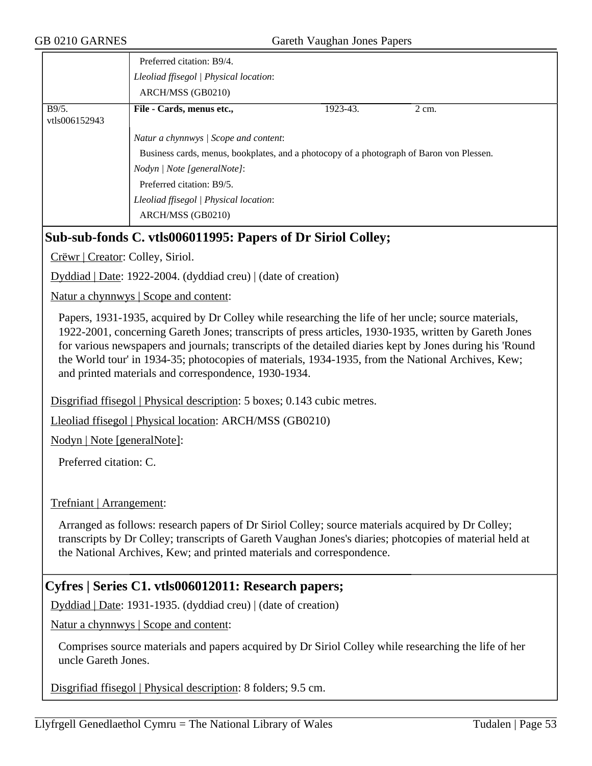|                        | Preferred citation: B9/4.                                                                |          |       |
|------------------------|------------------------------------------------------------------------------------------|----------|-------|
|                        | Lleoliad ffisegol   Physical location:                                                   |          |       |
|                        | ARCH/MSS (GB0210)                                                                        |          |       |
| B9/5.<br>vtls006152943 | File - Cards, menus etc.,                                                                | 1923-43. | 2 cm. |
|                        | Natur a chynnwys / Scope and content:                                                    |          |       |
|                        | Business cards, menus, bookplates, and a photocopy of a photograph of Baron von Plessen. |          |       |
|                        | Nodyn   Note [generalNote]:                                                              |          |       |
|                        | Preferred citation: B9/5.                                                                |          |       |
|                        | Lleoliad ffisegol   Physical location:                                                   |          |       |
|                        | ARCH/MSS (GB0210)                                                                        |          |       |

#### **Sub-sub-fonds C. vtls006011995: Papers of Dr Siriol Colley;**

Crëwr | Creator: Colley, Siriol.

Dyddiad | Date: 1922-2004. (dyddiad creu) | (date of creation)

Natur a chynnwys | Scope and content:

Papers, 1931-1935, acquired by Dr Colley while researching the life of her uncle; source materials, 1922-2001, concerning Gareth Jones; transcripts of press articles, 1930-1935, written by Gareth Jones for various newspapers and journals; transcripts of the detailed diaries kept by Jones during his 'Round the World tour' in 1934-35; photocopies of materials, 1934-1935, from the National Archives, Kew; and printed materials and correspondence, 1930-1934.

Disgrifiad ffisegol | Physical description: 5 boxes; 0.143 cubic metres.

Lleoliad ffisegol | Physical location: ARCH/MSS (GB0210)

Nodyn | Note [generalNote]:

Preferred citation: C.

Trefniant | Arrangement:

Arranged as follows: research papers of Dr Siriol Colley; source materials acquired by Dr Colley; transcripts by Dr Colley; transcripts of Gareth Vaughan Jones's diaries; photcopies of material held at the National Archives, Kew; and printed materials and correspondence.

#### **Cyfres | Series C1. vtls006012011: Research papers;**

Dyddiad | Date: 1931-1935. (dyddiad creu) | (date of creation)

Natur a chynnwys | Scope and content:

Comprises source materials and papers acquired by Dr Siriol Colley while researching the life of her uncle Gareth Jones.

Disgrifiad ffisegol | Physical description: 8 folders; 9.5 cm.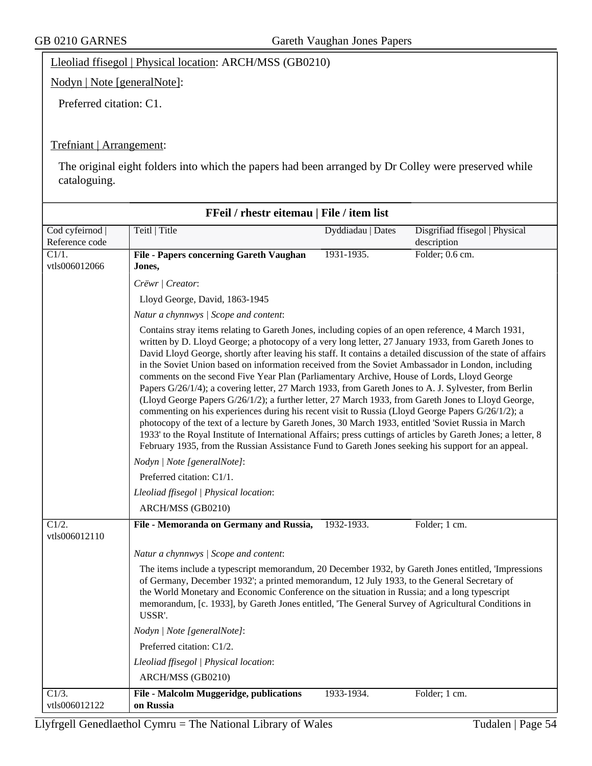#### Lleoliad ffisegol | Physical location: ARCH/MSS (GB0210)

Nodyn | Note [generalNote]:

Preferred citation: C1.

#### Trefniant | Arrangement:

The original eight folders into which the papers had been arranged by Dr Colley were preserved while cataloguing.

| FFeil / rhestr eitemau   File / item list |                                                                                                                                                                                                                                                                                                                                                                                                                                                                                                                                                                                                                                                                                                                                                                                                                                                                                                                                                                                                                                                                                                                                                                                      |                   |                                |  |
|-------------------------------------------|--------------------------------------------------------------------------------------------------------------------------------------------------------------------------------------------------------------------------------------------------------------------------------------------------------------------------------------------------------------------------------------------------------------------------------------------------------------------------------------------------------------------------------------------------------------------------------------------------------------------------------------------------------------------------------------------------------------------------------------------------------------------------------------------------------------------------------------------------------------------------------------------------------------------------------------------------------------------------------------------------------------------------------------------------------------------------------------------------------------------------------------------------------------------------------------|-------------------|--------------------------------|--|
| Cod cyfeirnod                             | Teitl   Title                                                                                                                                                                                                                                                                                                                                                                                                                                                                                                                                                                                                                                                                                                                                                                                                                                                                                                                                                                                                                                                                                                                                                                        | Dyddiadau   Dates | Disgrifiad ffisegol   Physical |  |
| Reference code                            |                                                                                                                                                                                                                                                                                                                                                                                                                                                                                                                                                                                                                                                                                                                                                                                                                                                                                                                                                                                                                                                                                                                                                                                      |                   | description                    |  |
| $\overline{C1/1}$ .<br>vtls006012066      | <b>File - Papers concerning Gareth Vaughan</b>                                                                                                                                                                                                                                                                                                                                                                                                                                                                                                                                                                                                                                                                                                                                                                                                                                                                                                                                                                                                                                                                                                                                       | 1931-1935.        | Folder; 0.6 cm.                |  |
|                                           | Jones,                                                                                                                                                                                                                                                                                                                                                                                                                                                                                                                                                                                                                                                                                                                                                                                                                                                                                                                                                                                                                                                                                                                                                                               |                   |                                |  |
|                                           | Crëwr   Creator:                                                                                                                                                                                                                                                                                                                                                                                                                                                                                                                                                                                                                                                                                                                                                                                                                                                                                                                                                                                                                                                                                                                                                                     |                   |                                |  |
|                                           | Lloyd George, David, 1863-1945                                                                                                                                                                                                                                                                                                                                                                                                                                                                                                                                                                                                                                                                                                                                                                                                                                                                                                                                                                                                                                                                                                                                                       |                   |                                |  |
|                                           | Natur a chynnwys / Scope and content:                                                                                                                                                                                                                                                                                                                                                                                                                                                                                                                                                                                                                                                                                                                                                                                                                                                                                                                                                                                                                                                                                                                                                |                   |                                |  |
|                                           | Contains stray items relating to Gareth Jones, including copies of an open reference, 4 March 1931,<br>written by D. Lloyd George; a photocopy of a very long letter, 27 January 1933, from Gareth Jones to<br>David Lloyd George, shortly after leaving his staff. It contains a detailed discussion of the state of affairs<br>in the Soviet Union based on information received from the Soviet Ambassador in London, including<br>comments on the second Five Year Plan (Parliamentary Archive, House of Lords, Lloyd George<br>Papers G/26/1/4); a covering letter, 27 March 1933, from Gareth Jones to A. J. Sylvester, from Berlin<br>(Lloyd George Papers G/26/1/2); a further letter, 27 March 1933, from Gareth Jones to Lloyd George,<br>commenting on his experiences during his recent visit to Russia (Lloyd George Papers G/26/1/2); a<br>photocopy of the text of a lecture by Gareth Jones, 30 March 1933, entitled 'Soviet Russia in March<br>1933' to the Royal Institute of International Affairs; press cuttings of articles by Gareth Jones; a letter, 8<br>February 1935, from the Russian Assistance Fund to Gareth Jones seeking his support for an appeal. |                   |                                |  |
|                                           | Nodyn   Note [generalNote]:                                                                                                                                                                                                                                                                                                                                                                                                                                                                                                                                                                                                                                                                                                                                                                                                                                                                                                                                                                                                                                                                                                                                                          |                   |                                |  |
|                                           | Preferred citation: C1/1.                                                                                                                                                                                                                                                                                                                                                                                                                                                                                                                                                                                                                                                                                                                                                                                                                                                                                                                                                                                                                                                                                                                                                            |                   |                                |  |
|                                           | Lleoliad ffisegol   Physical location:                                                                                                                                                                                                                                                                                                                                                                                                                                                                                                                                                                                                                                                                                                                                                                                                                                                                                                                                                                                                                                                                                                                                               |                   |                                |  |
|                                           | ARCH/MSS (GB0210)                                                                                                                                                                                                                                                                                                                                                                                                                                                                                                                                                                                                                                                                                                                                                                                                                                                                                                                                                                                                                                                                                                                                                                    |                   |                                |  |
| C1/2.                                     | File - Memoranda on Germany and Russia,                                                                                                                                                                                                                                                                                                                                                                                                                                                                                                                                                                                                                                                                                                                                                                                                                                                                                                                                                                                                                                                                                                                                              | 1932-1933.        | Folder; 1 cm.                  |  |
| vtls006012110                             |                                                                                                                                                                                                                                                                                                                                                                                                                                                                                                                                                                                                                                                                                                                                                                                                                                                                                                                                                                                                                                                                                                                                                                                      |                   |                                |  |
|                                           | Natur a chynnwys / Scope and content:                                                                                                                                                                                                                                                                                                                                                                                                                                                                                                                                                                                                                                                                                                                                                                                                                                                                                                                                                                                                                                                                                                                                                |                   |                                |  |
|                                           | The items include a typescript memorandum, 20 December 1932, by Gareth Jones entitled, 'Impressions<br>of Germany, December 1932'; a printed memorandum, 12 July 1933, to the General Secretary of<br>the World Monetary and Economic Conference on the situation in Russia; and a long typescript<br>memorandum, [c. 1933], by Gareth Jones entitled, 'The General Survey of Agricultural Conditions in<br>USSR'.                                                                                                                                                                                                                                                                                                                                                                                                                                                                                                                                                                                                                                                                                                                                                                   |                   |                                |  |
|                                           | Nodyn   Note [generalNote]:                                                                                                                                                                                                                                                                                                                                                                                                                                                                                                                                                                                                                                                                                                                                                                                                                                                                                                                                                                                                                                                                                                                                                          |                   |                                |  |
|                                           | Preferred citation: C1/2.                                                                                                                                                                                                                                                                                                                                                                                                                                                                                                                                                                                                                                                                                                                                                                                                                                                                                                                                                                                                                                                                                                                                                            |                   |                                |  |
|                                           | Lleoliad ffisegol   Physical location:                                                                                                                                                                                                                                                                                                                                                                                                                                                                                                                                                                                                                                                                                                                                                                                                                                                                                                                                                                                                                                                                                                                                               |                   |                                |  |
|                                           | ARCH/MSS (GB0210)                                                                                                                                                                                                                                                                                                                                                                                                                                                                                                                                                                                                                                                                                                                                                                                                                                                                                                                                                                                                                                                                                                                                                                    |                   |                                |  |
| $C1/3$ .<br>vtls006012122                 | <b>File - Malcolm Muggeridge, publications</b><br>on Russia                                                                                                                                                                                                                                                                                                                                                                                                                                                                                                                                                                                                                                                                                                                                                                                                                                                                                                                                                                                                                                                                                                                          | 1933-1934.        | Folder; 1 cm.                  |  |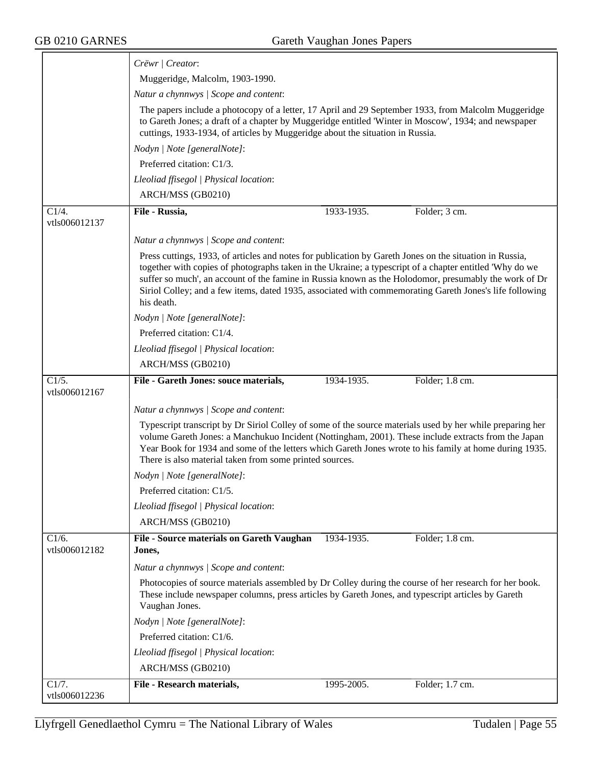|                                      | Crëwr   Creator:                                                                                                                                                                                                                                                                                                                                                                                                                                     |
|--------------------------------------|------------------------------------------------------------------------------------------------------------------------------------------------------------------------------------------------------------------------------------------------------------------------------------------------------------------------------------------------------------------------------------------------------------------------------------------------------|
|                                      | Muggeridge, Malcolm, 1903-1990.                                                                                                                                                                                                                                                                                                                                                                                                                      |
|                                      | Natur a chynnwys / Scope and content:                                                                                                                                                                                                                                                                                                                                                                                                                |
|                                      | The papers include a photocopy of a letter, 17 April and 29 September 1933, from Malcolm Muggeridge<br>to Gareth Jones; a draft of a chapter by Muggeridge entitled 'Winter in Moscow', 1934; and newspaper<br>cuttings, 1933-1934, of articles by Muggeridge about the situation in Russia.                                                                                                                                                         |
|                                      | Nodyn   Note [generalNote]:                                                                                                                                                                                                                                                                                                                                                                                                                          |
|                                      | Preferred citation: C1/3.                                                                                                                                                                                                                                                                                                                                                                                                                            |
|                                      | Lleoliad ffisegol   Physical location:                                                                                                                                                                                                                                                                                                                                                                                                               |
|                                      | ARCH/MSS (GB0210)                                                                                                                                                                                                                                                                                                                                                                                                                                    |
| C1/4.                                | File - Russia,<br>1933-1935.<br>Folder; 3 cm.                                                                                                                                                                                                                                                                                                                                                                                                        |
| vtls006012137                        |                                                                                                                                                                                                                                                                                                                                                                                                                                                      |
|                                      | Natur a chynnwys / Scope and content:                                                                                                                                                                                                                                                                                                                                                                                                                |
|                                      | Press cuttings, 1933, of articles and notes for publication by Gareth Jones on the situation in Russia,<br>together with copies of photographs taken in the Ukraine; a typescript of a chapter entitled 'Why do we<br>suffer so much', an account of the famine in Russia known as the Holodomor, presumably the work of Dr<br>Siriol Colley; and a few items, dated 1935, associated with commemorating Gareth Jones's life following<br>his death. |
|                                      | Nodyn   Note [generalNote]:                                                                                                                                                                                                                                                                                                                                                                                                                          |
|                                      | Preferred citation: C1/4.                                                                                                                                                                                                                                                                                                                                                                                                                            |
|                                      | Lleoliad ffisegol   Physical location:                                                                                                                                                                                                                                                                                                                                                                                                               |
|                                      | ARCH/MSS (GB0210)                                                                                                                                                                                                                                                                                                                                                                                                                                    |
| $\overline{C1/5}$ .<br>vtls006012167 | File - Gareth Jones: souce materials,<br>Folder; 1.8 cm.<br>1934-1935.                                                                                                                                                                                                                                                                                                                                                                               |
|                                      | Natur a chynnwys / Scope and content:                                                                                                                                                                                                                                                                                                                                                                                                                |
|                                      | Typescript transcript by Dr Siriol Colley of some of the source materials used by her while preparing her<br>volume Gareth Jones: a Manchukuo Incident (Nottingham, 2001). These include extracts from the Japan<br>Year Book for 1934 and some of the letters which Gareth Jones wrote to his family at home during 1935.<br>There is also material taken from some printed sources.                                                                |
|                                      | Nodyn   Note [generalNote]:                                                                                                                                                                                                                                                                                                                                                                                                                          |
|                                      | Preferred citation: C1/5.                                                                                                                                                                                                                                                                                                                                                                                                                            |
|                                      | Lleoliad ffisegol   Physical location:                                                                                                                                                                                                                                                                                                                                                                                                               |
|                                      | ARCH/MSS (GB0210)                                                                                                                                                                                                                                                                                                                                                                                                                                    |
| C1/6.<br>vtls006012182               | File - Source materials on Gareth Vaughan<br>1934-1935.<br>Folder; 1.8 cm.<br>Jones,                                                                                                                                                                                                                                                                                                                                                                 |
|                                      |                                                                                                                                                                                                                                                                                                                                                                                                                                                      |
|                                      | Natur a chynnwys / Scope and content:                                                                                                                                                                                                                                                                                                                                                                                                                |
|                                      | Photocopies of source materials assembled by Dr Colley during the course of her research for her book.<br>These include newspaper columns, press articles by Gareth Jones, and typescript articles by Gareth<br>Vaughan Jones.                                                                                                                                                                                                                       |
|                                      | Nodyn   Note [generalNote]:                                                                                                                                                                                                                                                                                                                                                                                                                          |
|                                      | Preferred citation: C1/6.                                                                                                                                                                                                                                                                                                                                                                                                                            |
|                                      | Lleoliad ffisegol   Physical location:                                                                                                                                                                                                                                                                                                                                                                                                               |
|                                      | ARCH/MSS (GB0210)                                                                                                                                                                                                                                                                                                                                                                                                                                    |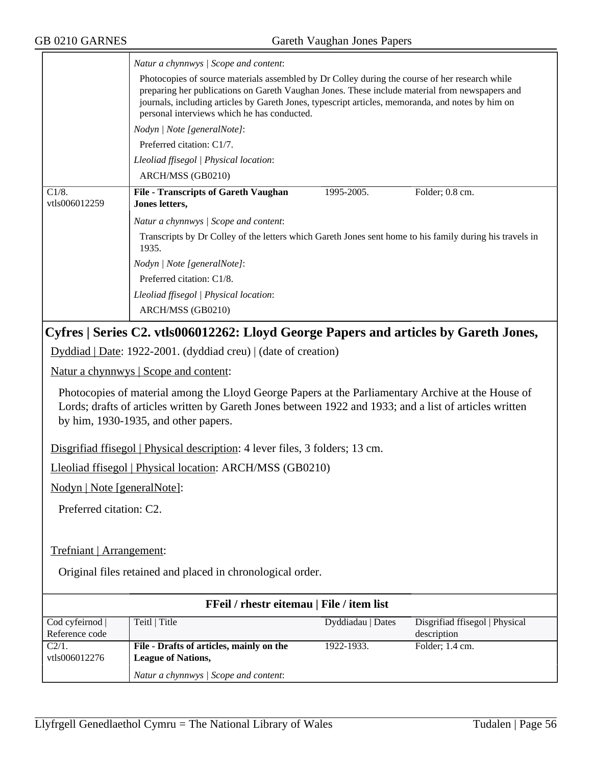|                                                                                                                                                                                                                                                       | Natur a chynnwys / Scope and content:                                                                                                                                                                                                                                                                                                                |  |  |  |
|-------------------------------------------------------------------------------------------------------------------------------------------------------------------------------------------------------------------------------------------------------|------------------------------------------------------------------------------------------------------------------------------------------------------------------------------------------------------------------------------------------------------------------------------------------------------------------------------------------------------|--|--|--|
|                                                                                                                                                                                                                                                       | Photocopies of source materials assembled by Dr Colley during the course of her research while<br>preparing her publications on Gareth Vaughan Jones. These include material from newspapers and<br>journals, including articles by Gareth Jones, typescript articles, memoranda, and notes by him on<br>personal interviews which he has conducted. |  |  |  |
|                                                                                                                                                                                                                                                       | Nodyn   Note [generalNote]:                                                                                                                                                                                                                                                                                                                          |  |  |  |
|                                                                                                                                                                                                                                                       | Preferred citation: C1/7.                                                                                                                                                                                                                                                                                                                            |  |  |  |
|                                                                                                                                                                                                                                                       | Lleoliad ffisegol   Physical location:                                                                                                                                                                                                                                                                                                               |  |  |  |
|                                                                                                                                                                                                                                                       | ARCH/MSS (GB0210)                                                                                                                                                                                                                                                                                                                                    |  |  |  |
| C1/8.<br>vtls006012259                                                                                                                                                                                                                                | <b>File - Transcripts of Gareth Vaughan</b><br>1995-2005.<br>Folder; 0.8 cm.<br>Jones letters,                                                                                                                                                                                                                                                       |  |  |  |
|                                                                                                                                                                                                                                                       | Natur a chynnwys / Scope and content:                                                                                                                                                                                                                                                                                                                |  |  |  |
|                                                                                                                                                                                                                                                       | Transcripts by Dr Colley of the letters which Gareth Jones sent home to his family during his travels in<br>1935.                                                                                                                                                                                                                                    |  |  |  |
|                                                                                                                                                                                                                                                       | Nodyn   Note [generalNote]:                                                                                                                                                                                                                                                                                                                          |  |  |  |
|                                                                                                                                                                                                                                                       | Preferred citation: C1/8.                                                                                                                                                                                                                                                                                                                            |  |  |  |
|                                                                                                                                                                                                                                                       | Lleoliad ffisegol   Physical location:                                                                                                                                                                                                                                                                                                               |  |  |  |
|                                                                                                                                                                                                                                                       | ARCH/MSS (GB0210)                                                                                                                                                                                                                                                                                                                                    |  |  |  |
|                                                                                                                                                                                                                                                       | Cyfres   Series C2. vtls006012262: Lloyd George Papers and articles by Gareth Jones,                                                                                                                                                                                                                                                                 |  |  |  |
| Dyddiad   Date: 1922-2001. (dyddiad creu)   (date of creation)                                                                                                                                                                                        |                                                                                                                                                                                                                                                                                                                                                      |  |  |  |
| Natur a chynnwys   Scope and content:                                                                                                                                                                                                                 |                                                                                                                                                                                                                                                                                                                                                      |  |  |  |
| Photocopies of material among the Lloyd George Papers at the Parliamentary Archive at the House of<br>Lords; drafts of articles written by Gareth Jones between 1922 and 1933; and a list of articles written<br>by him, 1930-1935, and other papers. |                                                                                                                                                                                                                                                                                                                                                      |  |  |  |
| Disgrifiad ffisegol   Physical description: 4 lever files, 3 folders; 13 cm.                                                                                                                                                                          |                                                                                                                                                                                                                                                                                                                                                      |  |  |  |
| Lleoliad ffisegol   Physical location: ARCH/MSS (GB0210)                                                                                                                                                                                              |                                                                                                                                                                                                                                                                                                                                                      |  |  |  |
| Nodyn   Note [generalNote]:                                                                                                                                                                                                                           |                                                                                                                                                                                                                                                                                                                                                      |  |  |  |
| Preferred citation: C2.                                                                                                                                                                                                                               |                                                                                                                                                                                                                                                                                                                                                      |  |  |  |
|                                                                                                                                                                                                                                                       |                                                                                                                                                                                                                                                                                                                                                      |  |  |  |
| Trefniant   Arrangement:                                                                                                                                                                                                                              |                                                                                                                                                                                                                                                                                                                                                      |  |  |  |
| Original files retained and placed in chronological order.                                                                                                                                                                                            |                                                                                                                                                                                                                                                                                                                                                      |  |  |  |
| FFeil / rhestr eitemau   File / item list                                                                                                                                                                                                             |                                                                                                                                                                                                                                                                                                                                                      |  |  |  |
|                                                                                                                                                                                                                                                       |                                                                                                                                                                                                                                                                                                                                                      |  |  |  |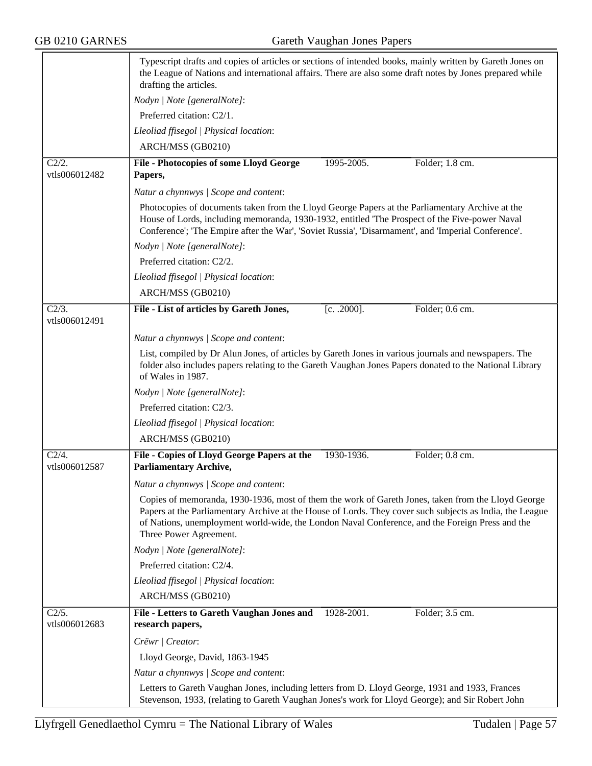|                           | Typescript drafts and copies of articles or sections of intended books, mainly written by Gareth Jones on<br>the League of Nations and international affairs. There are also some draft notes by Jones prepared while<br>drafting the articles.                                                                                             |
|---------------------------|---------------------------------------------------------------------------------------------------------------------------------------------------------------------------------------------------------------------------------------------------------------------------------------------------------------------------------------------|
|                           | Nodyn   Note [generalNote]:                                                                                                                                                                                                                                                                                                                 |
|                           | Preferred citation: C2/1.                                                                                                                                                                                                                                                                                                                   |
|                           | Lleoliad ffisegol   Physical location:                                                                                                                                                                                                                                                                                                      |
|                           | ARCH/MSS (GB0210)                                                                                                                                                                                                                                                                                                                           |
| C2/2.<br>vtls006012482    | File - Photocopies of some Lloyd George<br>1995-2005.<br>Folder; 1.8 cm.<br>Papers,                                                                                                                                                                                                                                                         |
|                           | Natur a chynnwys / Scope and content:                                                                                                                                                                                                                                                                                                       |
|                           | Photocopies of documents taken from the Lloyd George Papers at the Parliamentary Archive at the                                                                                                                                                                                                                                             |
|                           | House of Lords, including memoranda, 1930-1932, entitled 'The Prospect of the Five-power Naval<br>Conference'; The Empire after the War', 'Soviet Russia', 'Disarmament', and 'Imperial Conference'.                                                                                                                                        |
|                           | Nodyn   Note [generalNote]:                                                                                                                                                                                                                                                                                                                 |
|                           | Preferred citation: C2/2.                                                                                                                                                                                                                                                                                                                   |
|                           | Lleoliad ffisegol   Physical location:                                                                                                                                                                                                                                                                                                      |
|                           | ARCH/MSS (GB0210)                                                                                                                                                                                                                                                                                                                           |
| $C2/3$ .<br>vtls006012491 | File - List of articles by Gareth Jones,<br>$[c. .2000]$ .<br>Folder; 0.6 cm.                                                                                                                                                                                                                                                               |
|                           | Natur a chynnwys   Scope and content:                                                                                                                                                                                                                                                                                                       |
|                           | List, compiled by Dr Alun Jones, of articles by Gareth Jones in various journals and newspapers. The<br>folder also includes papers relating to the Gareth Vaughan Jones Papers donated to the National Library<br>of Wales in 1987.                                                                                                        |
|                           | Nodyn   Note [generalNote]:                                                                                                                                                                                                                                                                                                                 |
|                           | Preferred citation: C2/3.                                                                                                                                                                                                                                                                                                                   |
|                           | Lleoliad ffisegol   Physical location:                                                                                                                                                                                                                                                                                                      |
|                           | ARCH/MSS (GB0210)                                                                                                                                                                                                                                                                                                                           |
| $C2/4$ .                  | File - Copies of Lloyd George Papers at the<br>1930-1936.<br>Folder; 0.8 cm.                                                                                                                                                                                                                                                                |
| vtls006012587             | <b>Parliamentary Archive,</b>                                                                                                                                                                                                                                                                                                               |
|                           | Natur a chynnwys / Scope and content:                                                                                                                                                                                                                                                                                                       |
|                           | Copies of memoranda, 1930-1936, most of them the work of Gareth Jones, taken from the Lloyd George<br>Papers at the Parliamentary Archive at the House of Lords. They cover such subjects as India, the League<br>of Nations, unemployment world-wide, the London Naval Conference, and the Foreign Press and the<br>Three Power Agreement. |
|                           | Nodyn   Note [generalNote]:                                                                                                                                                                                                                                                                                                                 |
|                           | Preferred citation: C2/4.                                                                                                                                                                                                                                                                                                                   |
|                           | Lleoliad ffisegol   Physical location:                                                                                                                                                                                                                                                                                                      |
|                           | ARCH/MSS (GB0210)                                                                                                                                                                                                                                                                                                                           |
| C2/5.<br>vtls006012683    | <b>File - Letters to Gareth Vaughan Jones and</b><br>Folder; 3.5 cm.<br>1928-2001.<br>research papers,                                                                                                                                                                                                                                      |
|                           | Crëwr   Creator:                                                                                                                                                                                                                                                                                                                            |
|                           | Lloyd George, David, 1863-1945                                                                                                                                                                                                                                                                                                              |
|                           | Natur a chynnwys / Scope and content:                                                                                                                                                                                                                                                                                                       |
|                           | Letters to Gareth Vaughan Jones, including letters from D. Lloyd George, 1931 and 1933, Frances                                                                                                                                                                                                                                             |
|                           | Stevenson, 1933, (relating to Gareth Vaughan Jones's work for Lloyd George); and Sir Robert John                                                                                                                                                                                                                                            |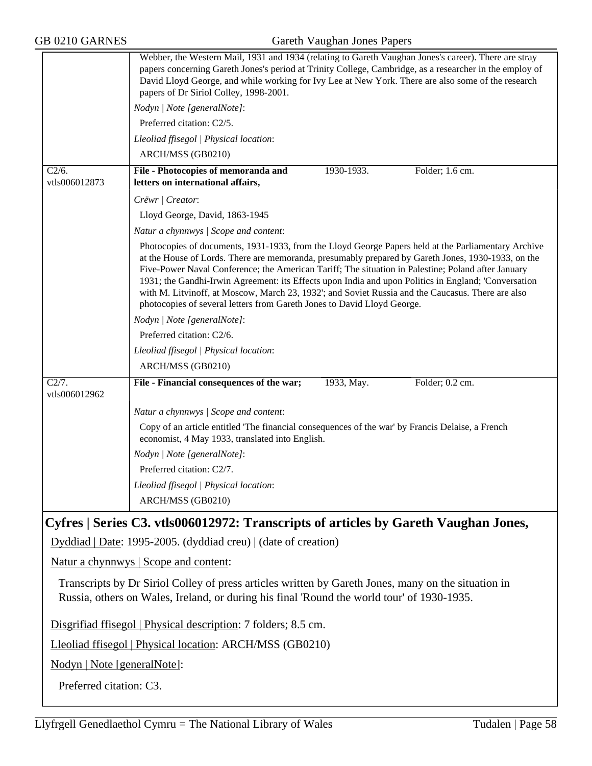|                                                          | Webber, the Western Mail, 1931 and 1934 (relating to Gareth Vaughan Jones's career). There are stray<br>papers concerning Gareth Jones's period at Trinity College, Cambridge, as a researcher in the employ of<br>David Lloyd George, and while working for Ivy Lee at New York. There are also some of the research<br>papers of Dr Siriol Colley, 1998-2001.                                                                                                                                                                                                                                         |  |  |  |  |
|----------------------------------------------------------|---------------------------------------------------------------------------------------------------------------------------------------------------------------------------------------------------------------------------------------------------------------------------------------------------------------------------------------------------------------------------------------------------------------------------------------------------------------------------------------------------------------------------------------------------------------------------------------------------------|--|--|--|--|
|                                                          | Nodyn   Note [generalNote]:                                                                                                                                                                                                                                                                                                                                                                                                                                                                                                                                                                             |  |  |  |  |
|                                                          | Preferred citation: C2/5.                                                                                                                                                                                                                                                                                                                                                                                                                                                                                                                                                                               |  |  |  |  |
|                                                          | Lleoliad ffisegol   Physical location:                                                                                                                                                                                                                                                                                                                                                                                                                                                                                                                                                                  |  |  |  |  |
|                                                          | ARCH/MSS (GB0210)                                                                                                                                                                                                                                                                                                                                                                                                                                                                                                                                                                                       |  |  |  |  |
| $C\overline{2/6}$ .<br>vtls006012873                     | File - Photocopies of memoranda and<br>1930-1933.<br>Folder; 1.6 cm.<br>letters on international affairs,                                                                                                                                                                                                                                                                                                                                                                                                                                                                                               |  |  |  |  |
|                                                          | Crëwr   Creator:                                                                                                                                                                                                                                                                                                                                                                                                                                                                                                                                                                                        |  |  |  |  |
|                                                          | Lloyd George, David, 1863-1945                                                                                                                                                                                                                                                                                                                                                                                                                                                                                                                                                                          |  |  |  |  |
|                                                          | Natur a chynnwys / Scope and content:                                                                                                                                                                                                                                                                                                                                                                                                                                                                                                                                                                   |  |  |  |  |
|                                                          | Photocopies of documents, 1931-1933, from the Lloyd George Papers held at the Parliamentary Archive<br>at the House of Lords. There are memoranda, presumably prepared by Gareth Jones, 1930-1933, on the<br>Five-Power Naval Conference; the American Tariff; The situation in Palestine; Poland after January<br>1931; the Gandhi-Irwin Agreement: its Effects upon India and upon Politics in England; 'Conversation<br>with M. Litvinoff, at Moscow, March 23, 1932'; and Soviet Russia and the Caucasus. There are also<br>photocopies of several letters from Gareth Jones to David Lloyd George. |  |  |  |  |
|                                                          | Nodyn   Note [generalNote]:                                                                                                                                                                                                                                                                                                                                                                                                                                                                                                                                                                             |  |  |  |  |
|                                                          | Preferred citation: C2/6.                                                                                                                                                                                                                                                                                                                                                                                                                                                                                                                                                                               |  |  |  |  |
|                                                          | Lleoliad ffisegol   Physical location:                                                                                                                                                                                                                                                                                                                                                                                                                                                                                                                                                                  |  |  |  |  |
|                                                          | ARCH/MSS (GB0210)                                                                                                                                                                                                                                                                                                                                                                                                                                                                                                                                                                                       |  |  |  |  |
| C2/7.<br>vtls006012962                                   | File - Financial consequences of the war;<br>1933, May.<br>Folder; 0.2 cm.                                                                                                                                                                                                                                                                                                                                                                                                                                                                                                                              |  |  |  |  |
|                                                          | Natur a chynnwys / Scope and content:                                                                                                                                                                                                                                                                                                                                                                                                                                                                                                                                                                   |  |  |  |  |
|                                                          | Copy of an article entitled 'The financial consequences of the war' by Francis Delaise, a French<br>economist, 4 May 1933, translated into English.                                                                                                                                                                                                                                                                                                                                                                                                                                                     |  |  |  |  |
|                                                          | Nodyn   Note [generalNote]:                                                                                                                                                                                                                                                                                                                                                                                                                                                                                                                                                                             |  |  |  |  |
|                                                          | Preferred citation: C2/7.                                                                                                                                                                                                                                                                                                                                                                                                                                                                                                                                                                               |  |  |  |  |
|                                                          | Lleoliad ffisegol   Physical location:                                                                                                                                                                                                                                                                                                                                                                                                                                                                                                                                                                  |  |  |  |  |
|                                                          | ARCH/MSS (GB0210)                                                                                                                                                                                                                                                                                                                                                                                                                                                                                                                                                                                       |  |  |  |  |
|                                                          | Cyfres   Series C3. vtls006012972: Transcripts of articles by Gareth Vaughan Jones,                                                                                                                                                                                                                                                                                                                                                                                                                                                                                                                     |  |  |  |  |
|                                                          | Dyddiad   Date: 1995-2005. (dyddiad creu)   (date of creation)                                                                                                                                                                                                                                                                                                                                                                                                                                                                                                                                          |  |  |  |  |
|                                                          | Natur a chynnwys   Scope and content:                                                                                                                                                                                                                                                                                                                                                                                                                                                                                                                                                                   |  |  |  |  |
|                                                          | Transcripts by Dr Siriol Colley of press articles written by Gareth Jones, many on the situation in<br>Russia, others on Wales, Ireland, or during his final 'Round the world tour' of 1930-1935.                                                                                                                                                                                                                                                                                                                                                                                                       |  |  |  |  |
|                                                          | Disgrifiad ffisegol   Physical description: 7 folders; 8.5 cm.                                                                                                                                                                                                                                                                                                                                                                                                                                                                                                                                          |  |  |  |  |
| Lleoliad ffisegol   Physical location: ARCH/MSS (GB0210) |                                                                                                                                                                                                                                                                                                                                                                                                                                                                                                                                                                                                         |  |  |  |  |
| Nodyn   Note [generalNote]:                              |                                                                                                                                                                                                                                                                                                                                                                                                                                                                                                                                                                                                         |  |  |  |  |
|                                                          | Preferred citation: C3.                                                                                                                                                                                                                                                                                                                                                                                                                                                                                                                                                                                 |  |  |  |  |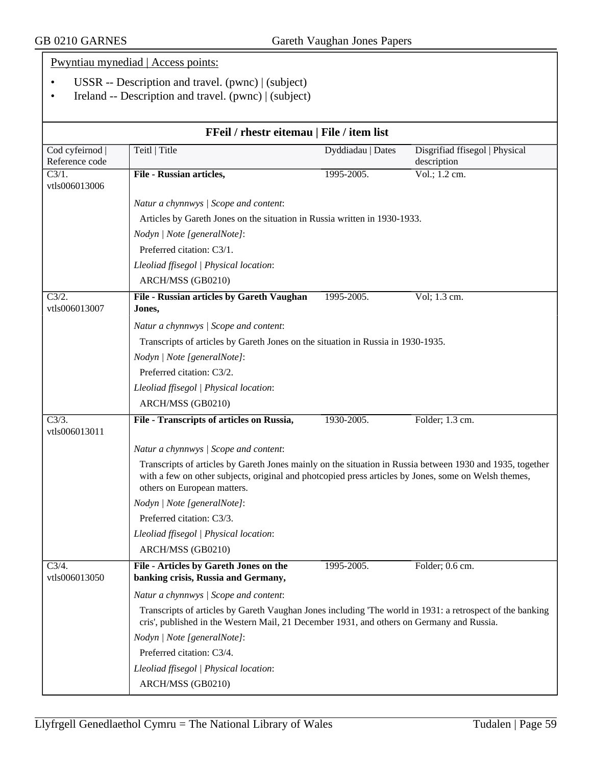|                                       | Pwyntiau mynediad   Access points:                                                                                                                                                                     |                   |                                |
|---------------------------------------|--------------------------------------------------------------------------------------------------------------------------------------------------------------------------------------------------------|-------------------|--------------------------------|
|                                       | USSR -- Description and travel. $(pwnc)$ $ $ (subject)                                                                                                                                                 |                   |                                |
|                                       | Ireland -- Description and travel. (pwnc)   (subject)                                                                                                                                                  |                   |                                |
|                                       |                                                                                                                                                                                                        |                   |                                |
|                                       | FFeil / rhestr eitemau   File / item list                                                                                                                                                              |                   |                                |
| Cod cyfeirnod                         | Teitl   Title                                                                                                                                                                                          | Dyddiadau   Dates | Disgrifiad ffisegol   Physical |
| Reference code<br>$\overline{C3/1}$ . | File - Russian articles,                                                                                                                                                                               | 1995-2005.        | description<br>Vol.; 1.2 cm.   |
| vtls006013006                         |                                                                                                                                                                                                        |                   |                                |
|                                       | Natur a chynnwys / Scope and content:                                                                                                                                                                  |                   |                                |
|                                       | Articles by Gareth Jones on the situation in Russia written in 1930-1933.                                                                                                                              |                   |                                |
|                                       | Nodyn   Note [generalNote]:                                                                                                                                                                            |                   |                                |
|                                       | Preferred citation: C3/1.                                                                                                                                                                              |                   |                                |
|                                       | Lleoliad ffisegol   Physical location:                                                                                                                                                                 |                   |                                |
|                                       | ARCH/MSS (GB0210)                                                                                                                                                                                      |                   |                                |
| C3/2.<br>vtls006013007                | File - Russian articles by Gareth Vaughan<br>Jones,                                                                                                                                                    | 1995-2005.        | Vol; 1.3 cm.                   |
|                                       | Natur a chynnwys / Scope and content:                                                                                                                                                                  |                   |                                |
|                                       | Transcripts of articles by Gareth Jones on the situation in Russia in 1930-1935.                                                                                                                       |                   |                                |
|                                       | Nodyn   Note [generalNote]:                                                                                                                                                                            |                   |                                |
|                                       | Preferred citation: C3/2.                                                                                                                                                                              |                   |                                |
|                                       | Lleoliad ffisegol   Physical location:                                                                                                                                                                 |                   |                                |
|                                       | ARCH/MSS (GB0210)                                                                                                                                                                                      |                   |                                |
| $\overline{C3/3}$ .<br>vtls006013011  | File - Transcripts of articles on Russia,                                                                                                                                                              | 1930-2005.        | Folder; 1.3 cm.                |
|                                       | Natur a chynnwys / Scope and content:                                                                                                                                                                  |                   |                                |
|                                       | Transcripts of articles by Gareth Jones mainly on the situation in Russia between 1930 and 1935, together                                                                                              |                   |                                |
|                                       | with a few on other subjects, original and photcopied press articles by Jones, some on Welsh themes,<br>others on European matters.                                                                    |                   |                                |
|                                       | Nodyn   Note [generalNote]:                                                                                                                                                                            |                   |                                |
|                                       | Preferred citation: C3/3.                                                                                                                                                                              |                   |                                |
|                                       | Lleoliad ffisegol   Physical location:                                                                                                                                                                 |                   |                                |
|                                       | ARCH/MSS (GB0210)                                                                                                                                                                                      |                   |                                |
| $C\sqrt{3}/4.$                        | File - Articles by Gareth Jones on the                                                                                                                                                                 | 1995-2005.        | Folder; 0.6 cm.                |
| vtls006013050                         | banking crisis, Russia and Germany,                                                                                                                                                                    |                   |                                |
|                                       | Natur a chynnwys / Scope and content:                                                                                                                                                                  |                   |                                |
|                                       | Transcripts of articles by Gareth Vaughan Jones including 'The world in 1931: a retrospect of the banking<br>cris', published in the Western Mail, 21 December 1931, and others on Germany and Russia. |                   |                                |
|                                       | Nodyn   Note [generalNote]:                                                                                                                                                                            |                   |                                |
|                                       | Preferred citation: C3/4.                                                                                                                                                                              |                   |                                |
|                                       | Lleoliad ffisegol   Physical location:                                                                                                                                                                 |                   |                                |
|                                       | ARCH/MSS (GB0210)                                                                                                                                                                                      |                   |                                |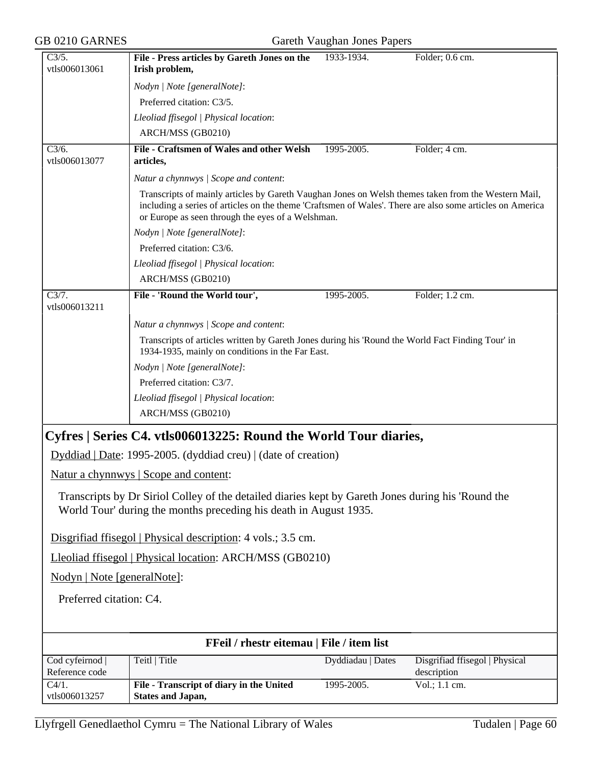| GB 0210 GARNES                    |                                                                                                                                                                                                                                                                       | Gareth Vaughan Jones Papers |                                               |
|-----------------------------------|-----------------------------------------------------------------------------------------------------------------------------------------------------------------------------------------------------------------------------------------------------------------------|-----------------------------|-----------------------------------------------|
| C3/5.<br>vtls006013061            | File - Press articles by Gareth Jones on the<br>Irish problem,                                                                                                                                                                                                        | 1933-1934.                  | Folder; 0.6 cm.                               |
|                                   | Nodyn   Note [generalNote]:                                                                                                                                                                                                                                           |                             |                                               |
|                                   | Preferred citation: C3/5.                                                                                                                                                                                                                                             |                             |                                               |
|                                   | Lleoliad ffisegol   Physical location:                                                                                                                                                                                                                                |                             |                                               |
|                                   | ARCH/MSS (GB0210)                                                                                                                                                                                                                                                     |                             |                                               |
| C3/6.<br>vtls006013077            | File - Craftsmen of Wales and other Welsh<br>articles,                                                                                                                                                                                                                | 1995-2005.                  | Folder; 4 cm.                                 |
|                                   | Natur a chynnwys / Scope and content:                                                                                                                                                                                                                                 |                             |                                               |
|                                   | Transcripts of mainly articles by Gareth Vaughan Jones on Welsh themes taken from the Western Mail,<br>including a series of articles on the theme 'Craftsmen of Wales'. There are also some articles on America<br>or Europe as seen through the eyes of a Welshman. |                             |                                               |
|                                   | Nodyn   Note [generalNote]:                                                                                                                                                                                                                                           |                             |                                               |
|                                   | Preferred citation: C3/6.                                                                                                                                                                                                                                             |                             |                                               |
|                                   | Lleoliad ffisegol   Physical location:                                                                                                                                                                                                                                |                             |                                               |
|                                   | ARCH/MSS (GB0210)                                                                                                                                                                                                                                                     |                             |                                               |
| C3/7.<br>vtls006013211            | File - 'Round the World tour',                                                                                                                                                                                                                                        | 1995-2005.                  | Folder; 1.2 cm.                               |
|                                   | Natur a chynnwys / Scope and content:                                                                                                                                                                                                                                 |                             |                                               |
|                                   | Transcripts of articles written by Gareth Jones during his 'Round the World Fact Finding Tour' in<br>1934-1935, mainly on conditions in the Far East.                                                                                                                 |                             |                                               |
|                                   | Nodyn   Note [generalNote]:                                                                                                                                                                                                                                           |                             |                                               |
|                                   | Preferred citation: C3/7.                                                                                                                                                                                                                                             |                             |                                               |
|                                   | Lleoliad ffisegol   Physical location:                                                                                                                                                                                                                                |                             |                                               |
|                                   | ARCH/MSS (GB0210)                                                                                                                                                                                                                                                     |                             |                                               |
|                                   | Cyfres   Series C4. vtls006013225: Round the World Tour diaries,                                                                                                                                                                                                      |                             |                                               |
|                                   | Dyddiad   Date: 1995-2005. (dyddiad creu)   (date of creation)                                                                                                                                                                                                        |                             |                                               |
|                                   | Natur a chynnwys   Scope and content:                                                                                                                                                                                                                                 |                             |                                               |
|                                   |                                                                                                                                                                                                                                                                       |                             |                                               |
|                                   | Transcripts by Dr Siriol Colley of the detailed diaries kept by Gareth Jones during his 'Round the<br>World Tour' during the months preceding his death in August 1935.                                                                                               |                             |                                               |
|                                   | Disgrifiad ffisegol   Physical description: 4 vols.; 3.5 cm.                                                                                                                                                                                                          |                             |                                               |
|                                   | Lleoliad ffisegol   Physical location: ARCH/MSS (GB0210)                                                                                                                                                                                                              |                             |                                               |
| Nodyn   Note [generalNote]:       |                                                                                                                                                                                                                                                                       |                             |                                               |
| Preferred citation: C4.           |                                                                                                                                                                                                                                                                       |                             |                                               |
|                                   |                                                                                                                                                                                                                                                                       |                             |                                               |
|                                   | FFeil / rhestr eitemau   File / item list                                                                                                                                                                                                                             |                             |                                               |
| Cod cyfeirnod  <br>Reference code | Teitl   Title                                                                                                                                                                                                                                                         | Dyddiadau   Dates           | Disgrifiad ffisegol   Physical<br>description |
| $C4/1$ .<br>vtls006013257         | File - Transcript of diary in the United<br><b>States and Japan,</b>                                                                                                                                                                                                  | 1995-2005.                  | Vol.; 1.1 cm.                                 |
|                                   |                                                                                                                                                                                                                                                                       |                             |                                               |
|                                   | Llyfrgell Genedlaethol Cymru = The National Library of Wales                                                                                                                                                                                                          |                             | Tudalen   Page 60                             |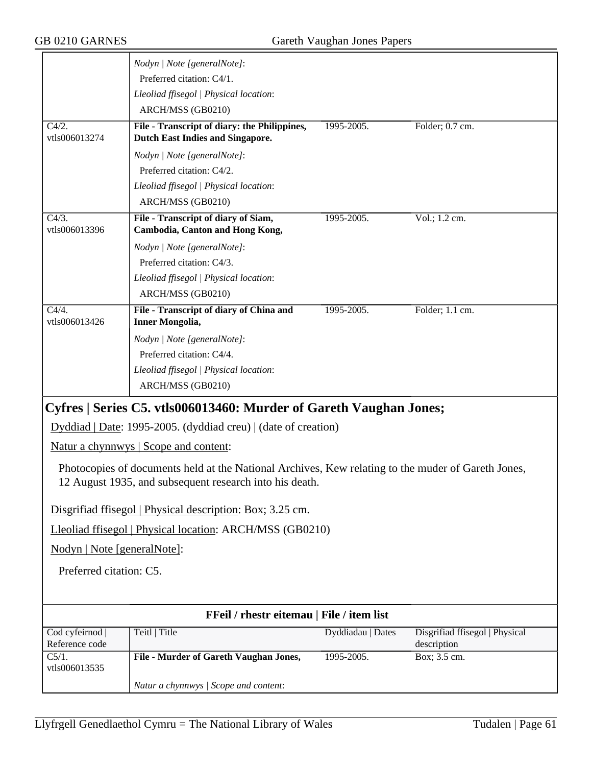|                                      | Nodyn   Note [generalNote]:                                                                                                                                   |                   |                                |
|--------------------------------------|---------------------------------------------------------------------------------------------------------------------------------------------------------------|-------------------|--------------------------------|
|                                      | Preferred citation: C4/1.                                                                                                                                     |                   |                                |
|                                      | Lleoliad ffisegol   Physical location:                                                                                                                        |                   |                                |
|                                      | ARCH/MSS (GB0210)                                                                                                                                             |                   |                                |
| $\overline{C4/2}$ .<br>vtls006013274 | File - Transcript of diary: the Philippines,<br><b>Dutch East Indies and Singapore.</b>                                                                       | 1995-2005.        | Folder; 0.7 cm.                |
|                                      | Nodyn   Note [generalNote]:                                                                                                                                   |                   |                                |
|                                      | Preferred citation: C4/2.                                                                                                                                     |                   |                                |
|                                      | Lleoliad ffisegol   Physical location:                                                                                                                        |                   |                                |
|                                      | ARCH/MSS (GB0210)                                                                                                                                             |                   |                                |
| $C4/3$ .<br>vtls006013396            | File - Transcript of diary of Siam,<br><b>Cambodia, Canton and Hong Kong,</b>                                                                                 | 1995-2005.        | Vol.; 1.2 cm.                  |
|                                      | Nodyn   Note [generalNote]:                                                                                                                                   |                   |                                |
|                                      | Preferred citation: C4/3.                                                                                                                                     |                   |                                |
|                                      | Lleoliad ffisegol   Physical location:                                                                                                                        |                   |                                |
|                                      | ARCH/MSS (GB0210)                                                                                                                                             |                   |                                |
| C4/4.<br>vtls006013426               | File - Transcript of diary of China and<br><b>Inner Mongolia,</b>                                                                                             | 1995-2005.        | Folder; 1.1 cm.                |
|                                      | Nodyn   Note [generalNote]:                                                                                                                                   |                   |                                |
|                                      | Preferred citation: C4/4.                                                                                                                                     |                   |                                |
|                                      | Lleoliad ffisegol   Physical location:                                                                                                                        |                   |                                |
|                                      | ARCH/MSS (GB0210)                                                                                                                                             |                   |                                |
|                                      | Cyfres   Series C5. vtls006013460: Murder of Gareth Vaughan Jones;                                                                                            |                   |                                |
|                                      | Dyddiad   Date: 1995-2005. (dyddiad creu)   (date of creation)                                                                                                |                   |                                |
|                                      | <u>Natur a chynnwys</u>   Scope and content:                                                                                                                  |                   |                                |
|                                      | Photocopies of documents held at the National Archives, Kew relating to the muder of Gareth Jones,<br>12 August 1935, and subsequent research into his death. |                   |                                |
|                                      | Disgrifiad ffisegol   Physical description: Box; 3.25 cm.                                                                                                     |                   |                                |
|                                      | Lleoliad ffisegol   Physical location: ARCH/MSS (GB0210)                                                                                                      |                   |                                |
| Nodyn   Note [generalNote]:          |                                                                                                                                                               |                   |                                |
| Preferred citation: C5.              |                                                                                                                                                               |                   |                                |
|                                      |                                                                                                                                                               |                   |                                |
|                                      | FFeil / rhestr eitemau   File / item list                                                                                                                     |                   |                                |
| Cod cyfeirnod                        | Teitl   Title                                                                                                                                                 | Dyddiadau   Dates | Disgrifiad ffisegol   Physical |
| Reference code                       |                                                                                                                                                               |                   | description                    |
| $\overline{C5/1}$ .<br>vtls006013535 | File - Murder of Gareth Vaughan Jones,                                                                                                                        | 1995-2005.        | Box; 3.5 cm.                   |
|                                      | Natur a chynnwys / Scope and content:                                                                                                                         |                   |                                |
|                                      |                                                                                                                                                               |                   |                                |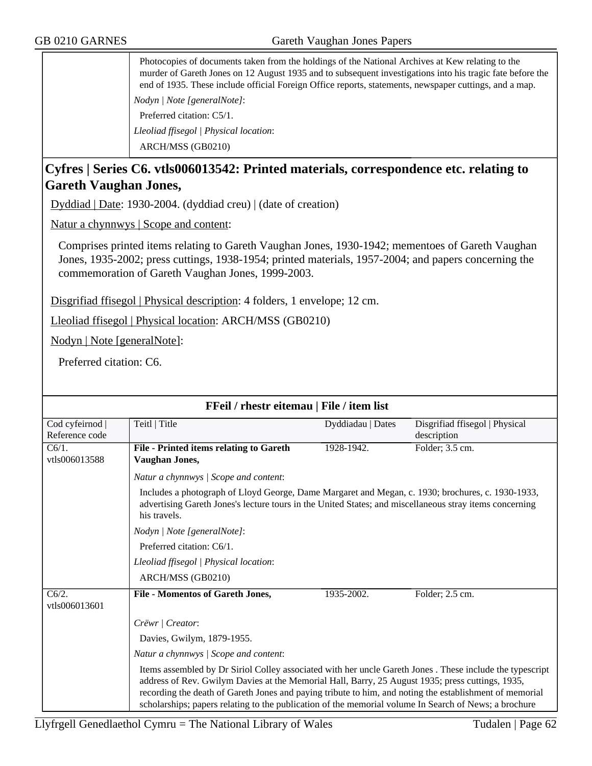Photocopies of documents taken from the holdings of the National Archives at Kew relating to the murder of Gareth Jones on 12 August 1935 and to subsequent investigations into his tragic fate before the end of 1935. These include official Foreign Office reports, statements, newspaper cuttings, and a map. *Nodyn | Note [generalNote]*: Preferred citation: C5/1. *Lleoliad ffisegol | Physical location*: ARCH/MSS (GB0210)

### **Cyfres | Series C6. vtls006013542: Printed materials, correspondence etc. relating to Gareth Vaughan Jones,**

Dyddiad | Date: 1930-2004. (dyddiad creu) | (date of creation)

Natur a chynnwys | Scope and content:

Comprises printed items relating to Gareth Vaughan Jones, 1930-1942; mementoes of Gareth Vaughan Jones, 1935-2002; press cuttings, 1938-1954; printed materials, 1957-2004; and papers concerning the commemoration of Gareth Vaughan Jones, 1999-2003.

Disgrifiad ffisegol | Physical description: 4 folders, 1 envelope; 12 cm.

Lleoliad ffisegol | Physical location: ARCH/MSS (GB0210)

Nodyn | Note [generalNote]:

Preferred citation: C6.

|                                      | FFeil / rhestr eitemau   File / item list                                                                                                                                                                                                                                                                                                                                                                                         |                   |                                |
|--------------------------------------|-----------------------------------------------------------------------------------------------------------------------------------------------------------------------------------------------------------------------------------------------------------------------------------------------------------------------------------------------------------------------------------------------------------------------------------|-------------------|--------------------------------|
| Cod cyfeirnod                        | Teitl   Title                                                                                                                                                                                                                                                                                                                                                                                                                     | Dyddiadau   Dates | Disgrifiad ffisegol   Physical |
| Reference code                       |                                                                                                                                                                                                                                                                                                                                                                                                                                   |                   | description                    |
| $C6/1$ .                             | File - Printed items relating to Gareth                                                                                                                                                                                                                                                                                                                                                                                           | 1928-1942.        | Folder; 3.5 cm.                |
| vtls006013588                        | Vaughan Jones,                                                                                                                                                                                                                                                                                                                                                                                                                    |                   |                                |
|                                      | Natur a chynnwys / Scope and content:                                                                                                                                                                                                                                                                                                                                                                                             |                   |                                |
|                                      | Includes a photograph of Lloyd George, Dame Margaret and Megan, c. 1930; brochures, c. 1930-1933,<br>advertising Gareth Jones's lecture tours in the United States; and miscellaneous stray items concerning<br>his travels.                                                                                                                                                                                                      |                   |                                |
|                                      | Nodyn   Note [generalNote]:                                                                                                                                                                                                                                                                                                                                                                                                       |                   |                                |
|                                      | Preferred citation: C6/1.                                                                                                                                                                                                                                                                                                                                                                                                         |                   |                                |
|                                      | Lleoliad ffisegol   Physical location:                                                                                                                                                                                                                                                                                                                                                                                            |                   |                                |
|                                      | ARCH/MSS (GB0210)                                                                                                                                                                                                                                                                                                                                                                                                                 |                   |                                |
| $\overline{C6/2}$ .<br>vtls006013601 | <b>File - Momentos of Gareth Jones,</b>                                                                                                                                                                                                                                                                                                                                                                                           | 1935-2002.        | Folder; 2.5 cm.                |
|                                      | Crëwr   Creator:                                                                                                                                                                                                                                                                                                                                                                                                                  |                   |                                |
|                                      | Davies, Gwilym, 1879-1955.                                                                                                                                                                                                                                                                                                                                                                                                        |                   |                                |
|                                      | Natur a chynnwys / Scope and content:                                                                                                                                                                                                                                                                                                                                                                                             |                   |                                |
|                                      | Items assembled by Dr Siriol Colley associated with her uncle Gareth Jones . These include the typescript<br>address of Rev. Gwilym Davies at the Memorial Hall, Barry, 25 August 1935; press cuttings, 1935,<br>recording the death of Gareth Jones and paying tribute to him, and noting the establishment of memorial<br>scholarships; papers relating to the publication of the memorial volume In Search of News; a brochure |                   |                                |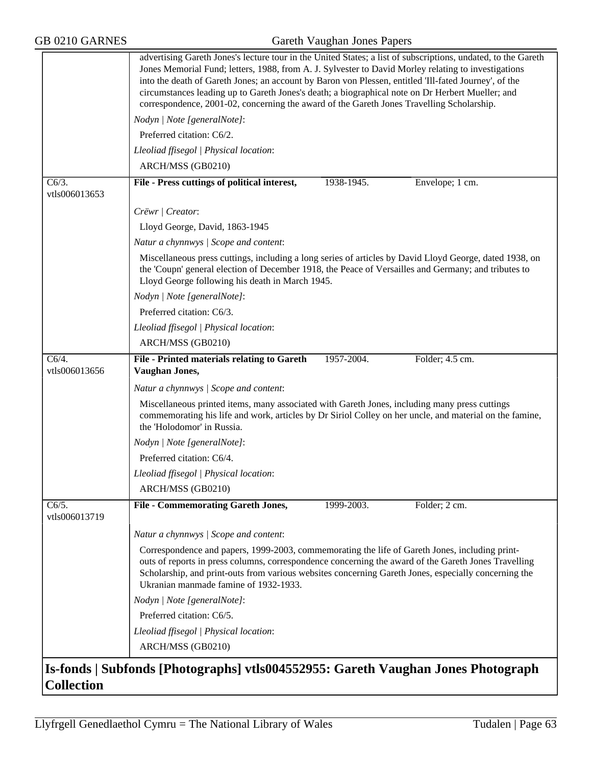|                        | advertising Gareth Jones's lecture tour in the United States; a list of subscriptions, undated, to the Gareth<br>Jones Memorial Fund; letters, 1988, from A. J. Sylvester to David Morley relating to investigations<br>into the death of Gareth Jones; an account by Baron von Plessen, entitled 'Ill-fated Journey', of the<br>circumstances leading up to Gareth Jones's death; a biographical note on Dr Herbert Mueller; and<br>correspondence, 2001-02, concerning the award of the Gareth Jones Travelling Scholarship. |
|------------------------|--------------------------------------------------------------------------------------------------------------------------------------------------------------------------------------------------------------------------------------------------------------------------------------------------------------------------------------------------------------------------------------------------------------------------------------------------------------------------------------------------------------------------------|
|                        | Nodyn   Note [generalNote]:                                                                                                                                                                                                                                                                                                                                                                                                                                                                                                    |
|                        | Preferred citation: C6/2.                                                                                                                                                                                                                                                                                                                                                                                                                                                                                                      |
|                        | Lleoliad ffisegol   Physical location:                                                                                                                                                                                                                                                                                                                                                                                                                                                                                         |
|                        | ARCH/MSS (GB0210)                                                                                                                                                                                                                                                                                                                                                                                                                                                                                                              |
| C6/3.<br>vtls006013653 | File - Press cuttings of political interest,<br>1938-1945.<br>Envelope; 1 cm.                                                                                                                                                                                                                                                                                                                                                                                                                                                  |
|                        | Crëwr   Creator:                                                                                                                                                                                                                                                                                                                                                                                                                                                                                                               |
|                        | Lloyd George, David, 1863-1945                                                                                                                                                                                                                                                                                                                                                                                                                                                                                                 |
|                        | Natur a chynnwys / Scope and content:                                                                                                                                                                                                                                                                                                                                                                                                                                                                                          |
|                        | Miscellaneous press cuttings, including a long series of articles by David Lloyd George, dated 1938, on<br>the 'Coupn' general election of December 1918, the Peace of Versailles and Germany; and tributes to<br>Lloyd George following his death in March 1945.                                                                                                                                                                                                                                                              |
|                        | Nodyn   Note [generalNote]:                                                                                                                                                                                                                                                                                                                                                                                                                                                                                                    |
|                        | Preferred citation: C6/3.                                                                                                                                                                                                                                                                                                                                                                                                                                                                                                      |
|                        | Lleoliad ffisegol   Physical location:                                                                                                                                                                                                                                                                                                                                                                                                                                                                                         |
|                        | ARCH/MSS (GB0210)                                                                                                                                                                                                                                                                                                                                                                                                                                                                                                              |
| C6/4.<br>vtls006013656 | 1957-2004.<br>File - Printed materials relating to Gareth<br>Folder; 4.5 cm.<br>Vaughan Jones,                                                                                                                                                                                                                                                                                                                                                                                                                                 |
|                        | Natur a chynnwys / Scope and content:                                                                                                                                                                                                                                                                                                                                                                                                                                                                                          |
|                        | Miscellaneous printed items, many associated with Gareth Jones, including many press cuttings<br>commemorating his life and work, articles by Dr Siriol Colley on her uncle, and material on the famine,<br>the 'Holodomor' in Russia.                                                                                                                                                                                                                                                                                         |
|                        | Nodyn   Note [generalNote]:                                                                                                                                                                                                                                                                                                                                                                                                                                                                                                    |
|                        | Preferred citation: C6/4.                                                                                                                                                                                                                                                                                                                                                                                                                                                                                                      |
|                        | Lleoliad ffisegol   Physical location:                                                                                                                                                                                                                                                                                                                                                                                                                                                                                         |
|                        | ARCH/MSS (GB0210)                                                                                                                                                                                                                                                                                                                                                                                                                                                                                                              |
| C6/5.<br>vtls006013719 | <b>File - Commemorating Gareth Jones,</b><br>1999-2003.<br>Folder; 2 cm.                                                                                                                                                                                                                                                                                                                                                                                                                                                       |
|                        | Natur a chynnwys / Scope and content:                                                                                                                                                                                                                                                                                                                                                                                                                                                                                          |
|                        | Correspondence and papers, 1999-2003, commemorating the life of Gareth Jones, including print-<br>outs of reports in press columns, correspondence concerning the award of the Gareth Jones Travelling<br>Scholarship, and print-outs from various websites concerning Gareth Jones, especially concerning the<br>Ukranian manmade famine of 1932-1933.                                                                                                                                                                        |
|                        | Nodyn   Note [generalNote]:                                                                                                                                                                                                                                                                                                                                                                                                                                                                                                    |
|                        | Preferred citation: C6/5.                                                                                                                                                                                                                                                                                                                                                                                                                                                                                                      |
|                        | Lleoliad ffisegol   Physical location:                                                                                                                                                                                                                                                                                                                                                                                                                                                                                         |
|                        | ARCH/MSS (GB0210)                                                                                                                                                                                                                                                                                                                                                                                                                                                                                                              |
|                        | Is-fonds   Subfonds [Photographs] vtls004552955: Gareth Vaughan Jones Photograph                                                                                                                                                                                                                                                                                                                                                                                                                                               |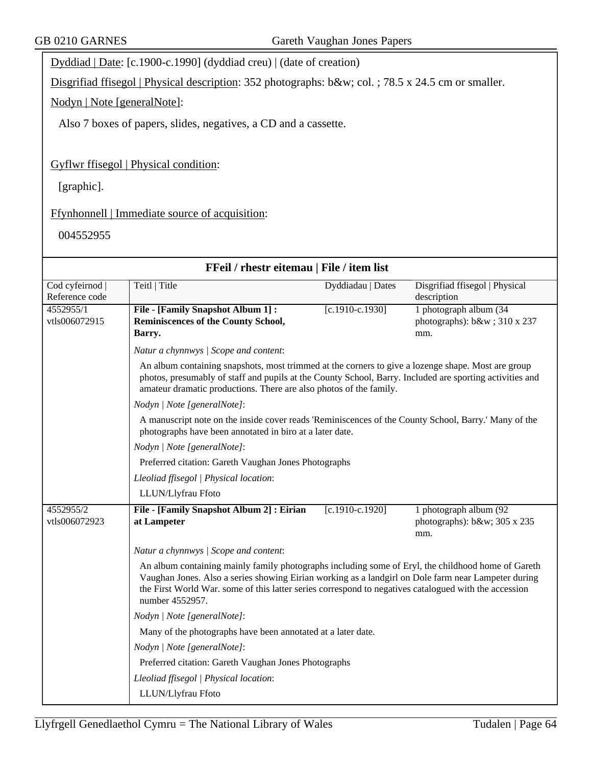Dyddiad | Date: [c.1900-c.1990] (dyddiad creu) | (date of creation)

Disgrifiad ffisegol | Physical description: 352 photographs: b&w; col. ; 78.5 x 24.5 cm or smaller.

Nodyn | Note [generalNote]:

Also 7 boxes of papers, slides, negatives, a CD and a cassette.

Gyflwr ffisegol | Physical condition:

[graphic].

Ffynhonnell | Immediate source of acquisition:

004552955

|                                   | FFeil / rhestr eitemau   File / item list                                                                                                                                                                                                                                                                                             |                   |                                                              |
|-----------------------------------|---------------------------------------------------------------------------------------------------------------------------------------------------------------------------------------------------------------------------------------------------------------------------------------------------------------------------------------|-------------------|--------------------------------------------------------------|
| Cod cyfeirnod  <br>Reference code | Teitl   Title                                                                                                                                                                                                                                                                                                                         | Dyddiadau   Dates | Disgrifiad ffisegol   Physical<br>description                |
| 4552955/1<br>vtls006072915        | File - [Family Snapshot Album 1]:<br>Reminiscences of the County School,<br>Barry.                                                                                                                                                                                                                                                    | $[c.1910-c.1930]$ | 1 photograph album (34<br>photographs): b&w 310 x 237<br>mm. |
|                                   | Natur a chynnwys / Scope and content:                                                                                                                                                                                                                                                                                                 |                   |                                                              |
|                                   | An album containing snapshots, most trimmed at the corners to give a lozenge shape. Most are group<br>photos, presumably of staff and pupils at the County School, Barry. Included are sporting activities and<br>amateur dramatic productions. There are also photos of the family.                                                  |                   |                                                              |
|                                   | Nodyn   Note [generalNote]:                                                                                                                                                                                                                                                                                                           |                   |                                                              |
|                                   | A manuscript note on the inside cover reads 'Reminiscences of the County School, Barry.' Many of the<br>photographs have been annotated in biro at a later date.                                                                                                                                                                      |                   |                                                              |
| Nodyn   Note [generalNote]:       |                                                                                                                                                                                                                                                                                                                                       |                   |                                                              |
|                                   | Preferred citation: Gareth Vaughan Jones Photographs                                                                                                                                                                                                                                                                                  |                   |                                                              |
|                                   | Lleoliad ffisegol   Physical location:                                                                                                                                                                                                                                                                                                |                   |                                                              |
|                                   | LLUN/Llyfrau Ffoto                                                                                                                                                                                                                                                                                                                    |                   |                                                              |
| 4552955/2<br>vtls006072923        | File - [Family Snapshot Album 2] : Eirian<br>at Lampeter                                                                                                                                                                                                                                                                              | $[c.1910-c.1920]$ | 1 photograph album (92<br>photographs): b&w 305 x 235<br>mm. |
|                                   | Natur a chynnwys / Scope and content:                                                                                                                                                                                                                                                                                                 |                   |                                                              |
|                                   | An album containing mainly family photographs including some of Eryl, the childhood home of Gareth<br>Vaughan Jones. Also a series showing Eirian working as a landgirl on Dole farm near Lampeter during<br>the First World War. some of this latter series correspond to negatives catalogued with the accession<br>number 4552957. |                   |                                                              |
|                                   | Nodyn   Note [generalNote]:                                                                                                                                                                                                                                                                                                           |                   |                                                              |
|                                   | Many of the photographs have been annotated at a later date.                                                                                                                                                                                                                                                                          |                   |                                                              |
|                                   | Nodyn   Note [generalNote]:                                                                                                                                                                                                                                                                                                           |                   |                                                              |
|                                   | Preferred citation: Gareth Vaughan Jones Photographs                                                                                                                                                                                                                                                                                  |                   |                                                              |
|                                   | Lleoliad ffisegol   Physical location:                                                                                                                                                                                                                                                                                                |                   |                                                              |
|                                   | LLUN/Llyfrau Ffoto                                                                                                                                                                                                                                                                                                                    |                   |                                                              |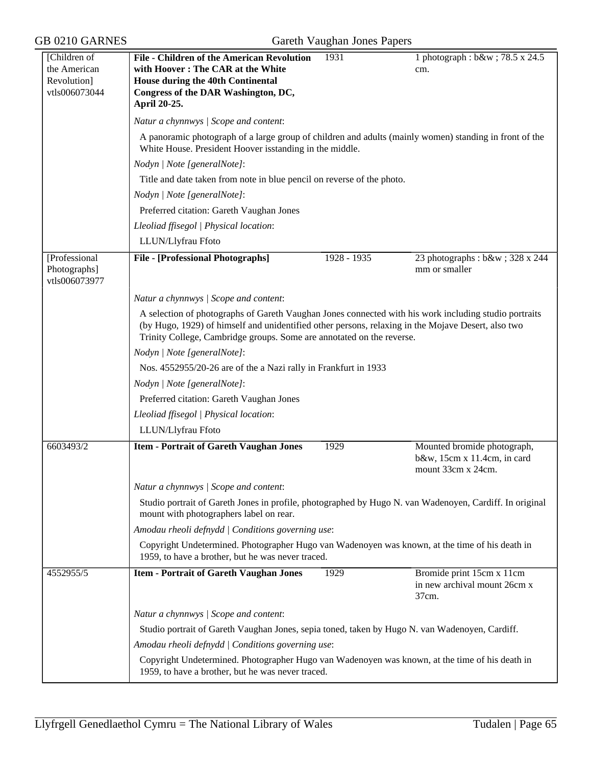| [Children of                  | <b>File - Children of the American Revolution</b>                                                                                                                                                                                                                                    | 1931        | 1 photograph : b&w ; 78.5 x 24.5                                                 |
|-------------------------------|--------------------------------------------------------------------------------------------------------------------------------------------------------------------------------------------------------------------------------------------------------------------------------------|-------------|----------------------------------------------------------------------------------|
| the American                  | with Hoover: The CAR at the White                                                                                                                                                                                                                                                    |             | cm.                                                                              |
| Revolution]<br>vtls006073044  | <b>House during the 40th Continental</b><br>Congress of the DAR Washington, DC,                                                                                                                                                                                                      |             |                                                                                  |
|                               | April 20-25.                                                                                                                                                                                                                                                                         |             |                                                                                  |
|                               |                                                                                                                                                                                                                                                                                      |             |                                                                                  |
|                               | Natur a chynnwys / Scope and content:                                                                                                                                                                                                                                                |             |                                                                                  |
|                               | A panoramic photograph of a large group of children and adults (mainly women) standing in front of the<br>White House. President Hoover isstanding in the middle.                                                                                                                    |             |                                                                                  |
|                               | Nodyn   Note [generalNote]:                                                                                                                                                                                                                                                          |             |                                                                                  |
|                               | Title and date taken from note in blue pencil on reverse of the photo.                                                                                                                                                                                                               |             |                                                                                  |
|                               | Nodyn   Note [generalNote]:                                                                                                                                                                                                                                                          |             |                                                                                  |
|                               | Preferred citation: Gareth Vaughan Jones                                                                                                                                                                                                                                             |             |                                                                                  |
|                               | Lleoliad ffisegol   Physical location:                                                                                                                                                                                                                                               |             |                                                                                  |
|                               | LLUN/Llyfrau Ffoto                                                                                                                                                                                                                                                                   |             |                                                                                  |
| [Professional                 |                                                                                                                                                                                                                                                                                      | 1928 - 1935 |                                                                                  |
| Photographs]<br>vtls006073977 | <b>File - [Professional Photographs]</b>                                                                                                                                                                                                                                             |             | 23 photographs: b&w 328 x 244<br>mm or smaller                                   |
|                               | Natur a chynnwys / Scope and content:                                                                                                                                                                                                                                                |             |                                                                                  |
|                               | A selection of photographs of Gareth Vaughan Jones connected with his work including studio portraits<br>(by Hugo, 1929) of himself and unidentified other persons, relaxing in the Mojave Desert, also two<br>Trinity College, Cambridge groups. Some are annotated on the reverse. |             |                                                                                  |
|                               |                                                                                                                                                                                                                                                                                      |             |                                                                                  |
|                               | Nodyn   Note [generalNote]:                                                                                                                                                                                                                                                          |             |                                                                                  |
|                               | Nos. 4552955/20-26 are of the a Nazi rally in Frankfurt in 1933                                                                                                                                                                                                                      |             |                                                                                  |
|                               | Nodyn   Note [generalNote]:                                                                                                                                                                                                                                                          |             |                                                                                  |
|                               | Preferred citation: Gareth Vaughan Jones                                                                                                                                                                                                                                             |             |                                                                                  |
|                               | Lleoliad ffisegol   Physical location:                                                                                                                                                                                                                                               |             |                                                                                  |
|                               | LLUN/Llyfrau Ffoto                                                                                                                                                                                                                                                                   |             |                                                                                  |
| 6603493/2                     | <b>Item - Portrait of Gareth Vaughan Jones</b>                                                                                                                                                                                                                                       | 1929        | Mounted bromide photograph,<br>b&w, 15cm x 11.4cm, in card<br>mount 33cm x 24cm. |
|                               | Natur a chynnwys / Scope and content:                                                                                                                                                                                                                                                |             |                                                                                  |
|                               | Studio portrait of Gareth Jones in profile, photographed by Hugo N. van Wadenoyen, Cardiff. In original<br>mount with photographers label on rear.                                                                                                                                   |             |                                                                                  |
|                               | Amodau rheoli defnydd   Conditions governing use:                                                                                                                                                                                                                                    |             |                                                                                  |
|                               | Copyright Undetermined. Photographer Hugo van Wadenoyen was known, at the time of his death in<br>1959, to have a brother, but he was never traced.                                                                                                                                  |             |                                                                                  |
|                               |                                                                                                                                                                                                                                                                                      |             |                                                                                  |
| 4552955/5                     | <b>Item - Portrait of Gareth Vaughan Jones</b>                                                                                                                                                                                                                                       | 1929        | Bromide print 15cm x 11cm<br>in new archival mount 26cm x<br>37cm.               |
|                               | Natur a chynnwys / Scope and content:                                                                                                                                                                                                                                                |             |                                                                                  |
|                               | Studio portrait of Gareth Vaughan Jones, sepia toned, taken by Hugo N. van Wadenoyen, Cardiff.                                                                                                                                                                                       |             |                                                                                  |
|                               | Amodau rheoli defnydd   Conditions governing use:                                                                                                                                                                                                                                    |             |                                                                                  |
|                               | Copyright Undetermined. Photographer Hugo van Wadenoyen was known, at the time of his death in                                                                                                                                                                                       |             |                                                                                  |
|                               | 1959, to have a brother, but he was never traced.                                                                                                                                                                                                                                    |             |                                                                                  |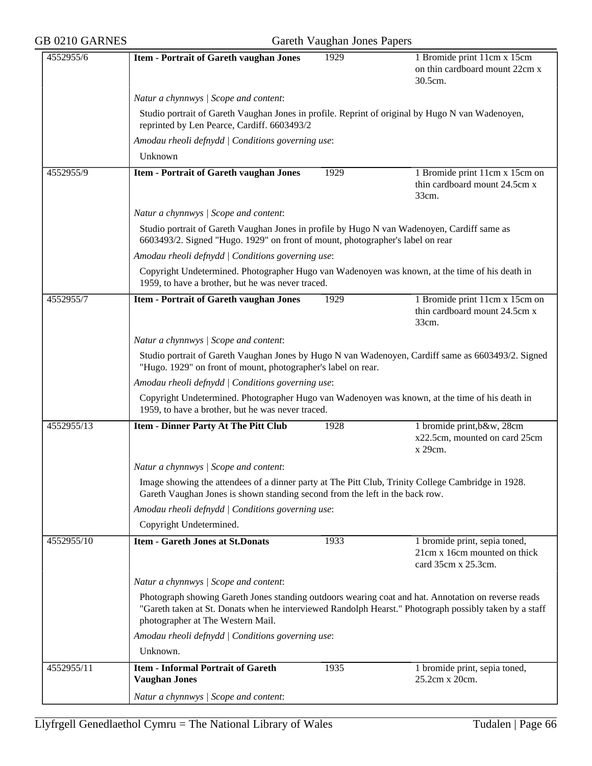|  |  | <b>GB 0210 GARNES</b> |
|--|--|-----------------------|
|--|--|-----------------------|

## Gareth Vaughan Jones Papers

| 4552955/6  | <b>Item - Portrait of Gareth vaughan Jones</b>                                                                                                                                                                                                     | 1929 | 1 Bromide print 11cm x 15cm<br>on thin cardboard mount 22cm x<br>30.5cm.             |  |  |  |
|------------|----------------------------------------------------------------------------------------------------------------------------------------------------------------------------------------------------------------------------------------------------|------|--------------------------------------------------------------------------------------|--|--|--|
|            | Natur a chynnwys / Scope and content:                                                                                                                                                                                                              |      |                                                                                      |  |  |  |
|            | Studio portrait of Gareth Vaughan Jones in profile. Reprint of original by Hugo N van Wadenoyen,<br>reprinted by Len Pearce, Cardiff. 6603493/2                                                                                                    |      |                                                                                      |  |  |  |
|            | Amodau rheoli defnydd   Conditions governing use:                                                                                                                                                                                                  |      |                                                                                      |  |  |  |
|            | Unknown                                                                                                                                                                                                                                            |      |                                                                                      |  |  |  |
| 4552955/9  | <b>Item - Portrait of Gareth vaughan Jones</b>                                                                                                                                                                                                     | 1929 | 1 Bromide print 11cm x 15cm on<br>thin cardboard mount 24.5cm x<br>33cm.             |  |  |  |
|            | Natur a chynnwys / Scope and content:                                                                                                                                                                                                              |      |                                                                                      |  |  |  |
|            | Studio portrait of Gareth Vaughan Jones in profile by Hugo N van Wadenoyen, Cardiff same as<br>6603493/2. Signed "Hugo. 1929" on front of mount, photographer's label on rear                                                                      |      |                                                                                      |  |  |  |
|            | Amodau rheoli defnydd   Conditions governing use:                                                                                                                                                                                                  |      |                                                                                      |  |  |  |
|            | Copyright Undetermined. Photographer Hugo van Wadenoyen was known, at the time of his death in<br>1959, to have a brother, but he was never traced.                                                                                                |      |                                                                                      |  |  |  |
| 4552955/7  | <b>Item - Portrait of Gareth vaughan Jones</b>                                                                                                                                                                                                     | 1929 | 1 Bromide print 11cm x 15cm on<br>thin cardboard mount 24.5cm x<br>33cm.             |  |  |  |
|            | Natur a chynnwys / Scope and content:                                                                                                                                                                                                              |      |                                                                                      |  |  |  |
|            | Studio portrait of Gareth Vaughan Jones by Hugo N van Wadenoyen, Cardiff same as 6603493/2. Signed<br>"Hugo. 1929" on front of mount, photographer's label on rear.                                                                                |      |                                                                                      |  |  |  |
|            | Amodau rheoli defnydd   Conditions governing use:                                                                                                                                                                                                  |      |                                                                                      |  |  |  |
|            | Copyright Undetermined. Photographer Hugo van Wadenoyen was known, at the time of his death in<br>1959, to have a brother, but he was never traced.                                                                                                |      |                                                                                      |  |  |  |
| 4552955/13 | <b>Item - Dinner Party At The Pitt Club</b>                                                                                                                                                                                                        | 1928 | 1 bromide print, b&w, 28cm<br>x22.5cm, mounted on card 25cm<br>x 29cm.               |  |  |  |
|            | Natur a chynnwys / Scope and content:                                                                                                                                                                                                              |      |                                                                                      |  |  |  |
|            | Image showing the attendees of a dinner party at The Pitt Club, Trinity College Cambridge in 1928.<br>Gareth Vaughan Jones is shown standing second from the left in the back row.                                                                 |      |                                                                                      |  |  |  |
|            | Amodau rheoli defnydd   Conditions governing use:                                                                                                                                                                                                  |      |                                                                                      |  |  |  |
|            | Copyright Undetermined.                                                                                                                                                                                                                            |      |                                                                                      |  |  |  |
| 4552955/10 | <b>Item - Gareth Jones at St.Donats</b>                                                                                                                                                                                                            | 1933 | 1 bromide print, sepia toned,<br>21cm x 16cm mounted on thick<br>card 35cm x 25.3cm. |  |  |  |
|            | Natur a chynnwys / Scope and content:                                                                                                                                                                                                              |      |                                                                                      |  |  |  |
|            | Photograph showing Gareth Jones standing outdoors wearing coat and hat. Annotation on reverse reads<br>"Gareth taken at St. Donats when he interviewed Randolph Hearst." Photograph possibly taken by a staff<br>photographer at The Western Mail. |      |                                                                                      |  |  |  |
|            | Amodau rheoli defnydd   Conditions governing use:                                                                                                                                                                                                  |      |                                                                                      |  |  |  |
|            | Unknown.                                                                                                                                                                                                                                           |      |                                                                                      |  |  |  |
| 4552955/11 | <b>Item - Informal Portrait of Gareth</b><br><b>Vaughan Jones</b>                                                                                                                                                                                  | 1935 | 1 bromide print, sepia toned,<br>25.2cm x 20cm.                                      |  |  |  |
|            | Natur a chynnwys / Scope and content:                                                                                                                                                                                                              |      |                                                                                      |  |  |  |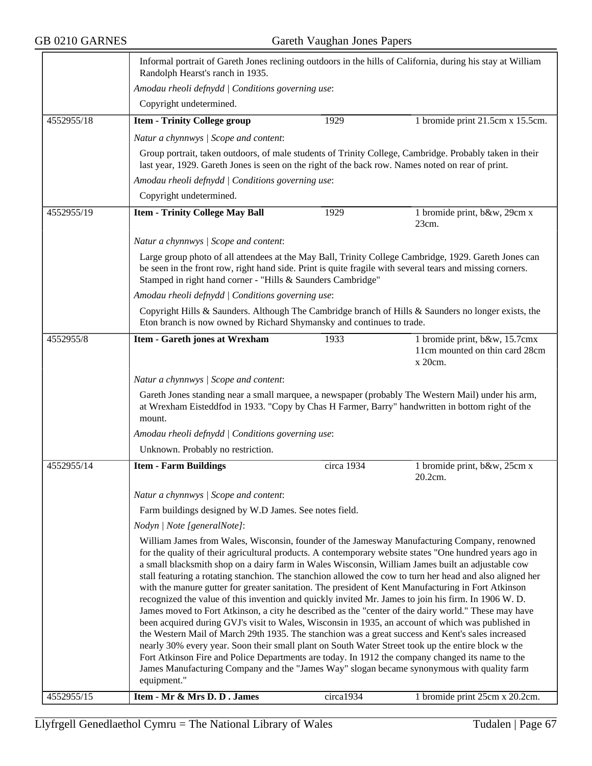|            | Randolph Hearst's ranch in 1935.                                                                                                                                                                                                                                                                                                                                                                                                                                                                                                                                                                                                                                                                                                                                                                                                                                                                                                                                                                                                                                                                                                                                      |                                                        | Informal portrait of Gareth Jones reclining outdoors in the hills of California, during his stay at William |  |  |
|------------|-----------------------------------------------------------------------------------------------------------------------------------------------------------------------------------------------------------------------------------------------------------------------------------------------------------------------------------------------------------------------------------------------------------------------------------------------------------------------------------------------------------------------------------------------------------------------------------------------------------------------------------------------------------------------------------------------------------------------------------------------------------------------------------------------------------------------------------------------------------------------------------------------------------------------------------------------------------------------------------------------------------------------------------------------------------------------------------------------------------------------------------------------------------------------|--------------------------------------------------------|-------------------------------------------------------------------------------------------------------------|--|--|
|            | Amodau rheoli defnydd   Conditions governing use:                                                                                                                                                                                                                                                                                                                                                                                                                                                                                                                                                                                                                                                                                                                                                                                                                                                                                                                                                                                                                                                                                                                     |                                                        |                                                                                                             |  |  |
|            | Copyright undetermined.                                                                                                                                                                                                                                                                                                                                                                                                                                                                                                                                                                                                                                                                                                                                                                                                                                                                                                                                                                                                                                                                                                                                               |                                                        |                                                                                                             |  |  |
| 4552955/18 | <b>Item - Trinity College group</b>                                                                                                                                                                                                                                                                                                                                                                                                                                                                                                                                                                                                                                                                                                                                                                                                                                                                                                                                                                                                                                                                                                                                   | 1929                                                   | 1 bromide print 21.5cm x 15.5cm.                                                                            |  |  |
|            | Natur a chynnwys / Scope and content:                                                                                                                                                                                                                                                                                                                                                                                                                                                                                                                                                                                                                                                                                                                                                                                                                                                                                                                                                                                                                                                                                                                                 |                                                        |                                                                                                             |  |  |
|            | Group portrait, taken outdoors, of male students of Trinity College, Cambridge. Probably taken in their<br>last year, 1929. Gareth Jones is seen on the right of the back row. Names noted on rear of print.                                                                                                                                                                                                                                                                                                                                                                                                                                                                                                                                                                                                                                                                                                                                                                                                                                                                                                                                                          |                                                        |                                                                                                             |  |  |
|            | Amodau rheoli defnydd   Conditions governing use:                                                                                                                                                                                                                                                                                                                                                                                                                                                                                                                                                                                                                                                                                                                                                                                                                                                                                                                                                                                                                                                                                                                     |                                                        |                                                                                                             |  |  |
|            | Copyright undetermined.                                                                                                                                                                                                                                                                                                                                                                                                                                                                                                                                                                                                                                                                                                                                                                                                                                                                                                                                                                                                                                                                                                                                               |                                                        |                                                                                                             |  |  |
| 4552955/19 | <b>Item - Trinity College May Ball</b>                                                                                                                                                                                                                                                                                                                                                                                                                                                                                                                                                                                                                                                                                                                                                                                                                                                                                                                                                                                                                                                                                                                                | 1929                                                   | 1 bromide print, b&w, 29cm x<br>23cm.                                                                       |  |  |
|            | Natur a chynnwys / Scope and content:                                                                                                                                                                                                                                                                                                                                                                                                                                                                                                                                                                                                                                                                                                                                                                                                                                                                                                                                                                                                                                                                                                                                 |                                                        |                                                                                                             |  |  |
|            | Large group photo of all attendees at the May Ball, Trinity College Cambridge, 1929. Gareth Jones can<br>be seen in the front row, right hand side. Print is quite fragile with several tears and missing corners.<br>Stamped in right hand corner - "Hills & Saunders Cambridge"                                                                                                                                                                                                                                                                                                                                                                                                                                                                                                                                                                                                                                                                                                                                                                                                                                                                                     |                                                        |                                                                                                             |  |  |
|            | Amodau rheoli defnydd   Conditions governing use:                                                                                                                                                                                                                                                                                                                                                                                                                                                                                                                                                                                                                                                                                                                                                                                                                                                                                                                                                                                                                                                                                                                     |                                                        |                                                                                                             |  |  |
|            | Eton branch is now owned by Richard Shymansky and continues to trade.                                                                                                                                                                                                                                                                                                                                                                                                                                                                                                                                                                                                                                                                                                                                                                                                                                                                                                                                                                                                                                                                                                 |                                                        | Copyright Hills & Saunders. Although The Cambridge branch of Hills & Saunders no longer exists, the         |  |  |
| 4552955/8  | <b>Item - Gareth jones at Wrexham</b>                                                                                                                                                                                                                                                                                                                                                                                                                                                                                                                                                                                                                                                                                                                                                                                                                                                                                                                                                                                                                                                                                                                                 | 1933                                                   | 1 bromide print, b&w, 15.7cmx<br>11cm mounted on thin card 28cm<br>x 20cm.                                  |  |  |
|            | Natur a chynnwys / Scope and content:                                                                                                                                                                                                                                                                                                                                                                                                                                                                                                                                                                                                                                                                                                                                                                                                                                                                                                                                                                                                                                                                                                                                 |                                                        |                                                                                                             |  |  |
|            | Gareth Jones standing near a small marquee, a newspaper (probably The Western Mail) under his arm,<br>at Wrexham Eisteddfod in 1933. "Copy by Chas H Farmer, Barry" handwritten in bottom right of the<br>mount.                                                                                                                                                                                                                                                                                                                                                                                                                                                                                                                                                                                                                                                                                                                                                                                                                                                                                                                                                      |                                                        |                                                                                                             |  |  |
|            | Amodau rheoli defnydd   Conditions governing use:                                                                                                                                                                                                                                                                                                                                                                                                                                                                                                                                                                                                                                                                                                                                                                                                                                                                                                                                                                                                                                                                                                                     |                                                        |                                                                                                             |  |  |
|            | Unknown. Probably no restriction.                                                                                                                                                                                                                                                                                                                                                                                                                                                                                                                                                                                                                                                                                                                                                                                                                                                                                                                                                                                                                                                                                                                                     |                                                        |                                                                                                             |  |  |
| 4552955/14 | <b>Item - Farm Buildings</b>                                                                                                                                                                                                                                                                                                                                                                                                                                                                                                                                                                                                                                                                                                                                                                                                                                                                                                                                                                                                                                                                                                                                          | circa 1934                                             | 1 bromide print, b&w, 25cm x<br>20.2cm.                                                                     |  |  |
|            | Natur a chynnwys / Scope and content:                                                                                                                                                                                                                                                                                                                                                                                                                                                                                                                                                                                                                                                                                                                                                                                                                                                                                                                                                                                                                                                                                                                                 |                                                        |                                                                                                             |  |  |
|            |                                                                                                                                                                                                                                                                                                                                                                                                                                                                                                                                                                                                                                                                                                                                                                                                                                                                                                                                                                                                                                                                                                                                                                       | Farm buildings designed by W.D James. See notes field. |                                                                                                             |  |  |
|            | Nodyn   Note [generalNote]:                                                                                                                                                                                                                                                                                                                                                                                                                                                                                                                                                                                                                                                                                                                                                                                                                                                                                                                                                                                                                                                                                                                                           |                                                        |                                                                                                             |  |  |
|            | William James from Wales, Wisconsin, founder of the Jamesway Manufacturing Company, renowned<br>for the quality of their agricultural products. A contemporary website states "One hundred years ago in<br>a small blacksmith shop on a dairy farm in Wales Wisconsin, William James built an adjustable cow<br>with the manure gutter for greater sanitation. The president of Kent Manufacturing in Fort Atkinson<br>recognized the value of this invention and quickly invited Mr. James to join his firm. In 1906 W. D.<br>James moved to Fort Atkinson, a city he described as the "center of the dairy world." These may have<br>been acquired during GVJ's visit to Wales, Wisconsin in 1935, an account of which was published in<br>the Western Mail of March 29th 1935. The stanchion was a great success and Kent's sales increased<br>nearly 30% every year. Soon their small plant on South Water Street took up the entire block w the<br>Fort Atkinson Fire and Police Departments are today. In 1912 the company changed its name to the<br>James Manufacturing Company and the "James Way" slogan became synonymous with quality farm<br>equipment." |                                                        | stall featuring a rotating stanchion. The stanchion allowed the cow to turn her head and also aligned her   |  |  |
| 4552955/15 | Item - Mr & Mrs D. D. James                                                                                                                                                                                                                                                                                                                                                                                                                                                                                                                                                                                                                                                                                                                                                                                                                                                                                                                                                                                                                                                                                                                                           | circa1934                                              | 1 bromide print 25cm x 20.2cm.                                                                              |  |  |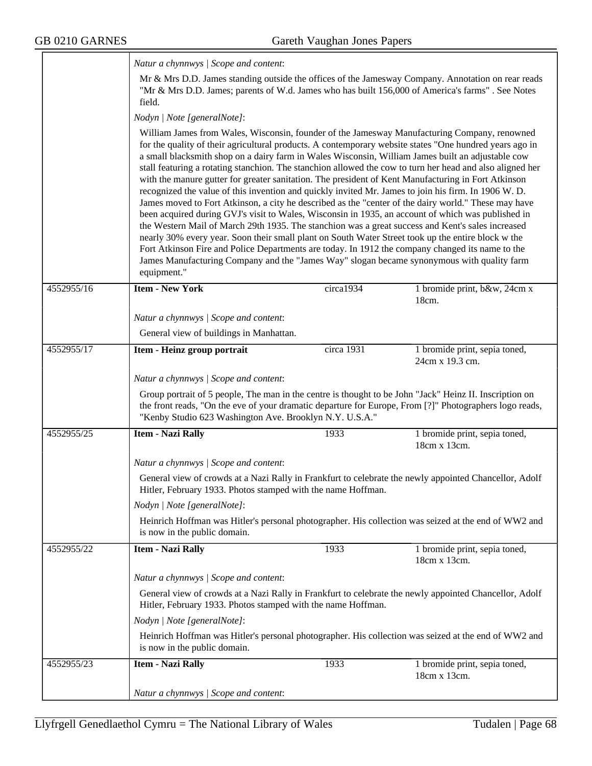|            | Natur a chynnwys / Scope and content:                                                                                                                                                                                                                                                                                                                                                                                                                                                                                                                                                                                                                                                                                                                                                                                                                                                                                                                                                                                                                                                                                                                                 |            |                                                                                                           |  |  |
|------------|-----------------------------------------------------------------------------------------------------------------------------------------------------------------------------------------------------------------------------------------------------------------------------------------------------------------------------------------------------------------------------------------------------------------------------------------------------------------------------------------------------------------------------------------------------------------------------------------------------------------------------------------------------------------------------------------------------------------------------------------------------------------------------------------------------------------------------------------------------------------------------------------------------------------------------------------------------------------------------------------------------------------------------------------------------------------------------------------------------------------------------------------------------------------------|------------|-----------------------------------------------------------------------------------------------------------|--|--|
|            | "Mr & Mrs D.D. James; parents of W.d. James who has built 156,000 of America's farms". See Notes<br>field.                                                                                                                                                                                                                                                                                                                                                                                                                                                                                                                                                                                                                                                                                                                                                                                                                                                                                                                                                                                                                                                            |            | Mr & Mrs D.D. James standing outside the offices of the Jamesway Company. Annotation on rear reads        |  |  |
|            | Nodyn   Note [generalNote]:                                                                                                                                                                                                                                                                                                                                                                                                                                                                                                                                                                                                                                                                                                                                                                                                                                                                                                                                                                                                                                                                                                                                           |            |                                                                                                           |  |  |
|            | William James from Wales, Wisconsin, founder of the Jamesway Manufacturing Company, renowned<br>for the quality of their agricultural products. A contemporary website states "One hundred years ago in<br>a small blacksmith shop on a dairy farm in Wales Wisconsin, William James built an adjustable cow<br>with the manure gutter for greater sanitation. The president of Kent Manufacturing in Fort Atkinson<br>recognized the value of this invention and quickly invited Mr. James to join his firm. In 1906 W. D.<br>James moved to Fort Atkinson, a city he described as the "center of the dairy world." These may have<br>been acquired during GVJ's visit to Wales, Wisconsin in 1935, an account of which was published in<br>the Western Mail of March 29th 1935. The stanchion was a great success and Kent's sales increased<br>nearly 30% every year. Soon their small plant on South Water Street took up the entire block w the<br>Fort Atkinson Fire and Police Departments are today. In 1912 the company changed its name to the<br>James Manufacturing Company and the "James Way" slogan became synonymous with quality farm<br>equipment." |            | stall featuring a rotating stanchion. The stanchion allowed the cow to turn her head and also aligned her |  |  |
| 4552955/16 | <b>Item - New York</b>                                                                                                                                                                                                                                                                                                                                                                                                                                                                                                                                                                                                                                                                                                                                                                                                                                                                                                                                                                                                                                                                                                                                                | circa1934  | 1 bromide print, b&w, 24cm x<br>18cm.                                                                     |  |  |
|            | Natur a chynnwys / Scope and content:                                                                                                                                                                                                                                                                                                                                                                                                                                                                                                                                                                                                                                                                                                                                                                                                                                                                                                                                                                                                                                                                                                                                 |            |                                                                                                           |  |  |
|            | General view of buildings in Manhattan.                                                                                                                                                                                                                                                                                                                                                                                                                                                                                                                                                                                                                                                                                                                                                                                                                                                                                                                                                                                                                                                                                                                               |            |                                                                                                           |  |  |
| 4552955/17 | Item - Heinz group portrait                                                                                                                                                                                                                                                                                                                                                                                                                                                                                                                                                                                                                                                                                                                                                                                                                                                                                                                                                                                                                                                                                                                                           | circa 1931 | 1 bromide print, sepia toned,<br>24cm x 19.3 cm.                                                          |  |  |
|            | Natur a chynnwys / Scope and content:                                                                                                                                                                                                                                                                                                                                                                                                                                                                                                                                                                                                                                                                                                                                                                                                                                                                                                                                                                                                                                                                                                                                 |            |                                                                                                           |  |  |
|            | Group portrait of 5 people, The man in the centre is thought to be John "Jack" Heinz II. Inscription on<br>"Kenby Studio 623 Washington Ave. Brooklyn N.Y. U.S.A."                                                                                                                                                                                                                                                                                                                                                                                                                                                                                                                                                                                                                                                                                                                                                                                                                                                                                                                                                                                                    |            | the front reads, "On the eve of your dramatic departure for Europe, From [?]" Photographers logo reads,   |  |  |
| 4552955/25 | <b>Item - Nazi Rally</b>                                                                                                                                                                                                                                                                                                                                                                                                                                                                                                                                                                                                                                                                                                                                                                                                                                                                                                                                                                                                                                                                                                                                              | 1933       | 1 bromide print, sepia toned,<br>18cm x 13cm.                                                             |  |  |
|            | Natur a chynnwys / Scope and content:                                                                                                                                                                                                                                                                                                                                                                                                                                                                                                                                                                                                                                                                                                                                                                                                                                                                                                                                                                                                                                                                                                                                 |            |                                                                                                           |  |  |
|            | General view of crowds at a Nazi Rally in Frankfurt to celebrate the newly appointed Chancellor, Adolf<br>Hitler, February 1933. Photos stamped with the name Hoffman.                                                                                                                                                                                                                                                                                                                                                                                                                                                                                                                                                                                                                                                                                                                                                                                                                                                                                                                                                                                                |            |                                                                                                           |  |  |
|            | Nodyn   Note [generalNote]:                                                                                                                                                                                                                                                                                                                                                                                                                                                                                                                                                                                                                                                                                                                                                                                                                                                                                                                                                                                                                                                                                                                                           |            |                                                                                                           |  |  |
|            | is now in the public domain.                                                                                                                                                                                                                                                                                                                                                                                                                                                                                                                                                                                                                                                                                                                                                                                                                                                                                                                                                                                                                                                                                                                                          |            | Heinrich Hoffman was Hitler's personal photographer. His collection was seized at the end of WW2 and      |  |  |
| 4552955/22 | <b>Item - Nazi Rally</b>                                                                                                                                                                                                                                                                                                                                                                                                                                                                                                                                                                                                                                                                                                                                                                                                                                                                                                                                                                                                                                                                                                                                              | 1933       | 1 bromide print, sepia toned,<br>18cm x 13cm.                                                             |  |  |
|            | Natur a chynnwys / Scope and content:                                                                                                                                                                                                                                                                                                                                                                                                                                                                                                                                                                                                                                                                                                                                                                                                                                                                                                                                                                                                                                                                                                                                 |            |                                                                                                           |  |  |
|            | General view of crowds at a Nazi Rally in Frankfurt to celebrate the newly appointed Chancellor, Adolf<br>Hitler, February 1933. Photos stamped with the name Hoffman.                                                                                                                                                                                                                                                                                                                                                                                                                                                                                                                                                                                                                                                                                                                                                                                                                                                                                                                                                                                                |            |                                                                                                           |  |  |
|            | Nodyn   Note [generalNote]:                                                                                                                                                                                                                                                                                                                                                                                                                                                                                                                                                                                                                                                                                                                                                                                                                                                                                                                                                                                                                                                                                                                                           |            |                                                                                                           |  |  |
|            | is now in the public domain.                                                                                                                                                                                                                                                                                                                                                                                                                                                                                                                                                                                                                                                                                                                                                                                                                                                                                                                                                                                                                                                                                                                                          |            | Heinrich Hoffman was Hitler's personal photographer. His collection was seized at the end of WW2 and      |  |  |
| 4552955/23 | <b>Item - Nazi Rally</b>                                                                                                                                                                                                                                                                                                                                                                                                                                                                                                                                                                                                                                                                                                                                                                                                                                                                                                                                                                                                                                                                                                                                              | 1933       | 1 bromide print, sepia toned,<br>18cm x 13cm.                                                             |  |  |
|            | Natur a chynnwys / Scope and content:                                                                                                                                                                                                                                                                                                                                                                                                                                                                                                                                                                                                                                                                                                                                                                                                                                                                                                                                                                                                                                                                                                                                 |            |                                                                                                           |  |  |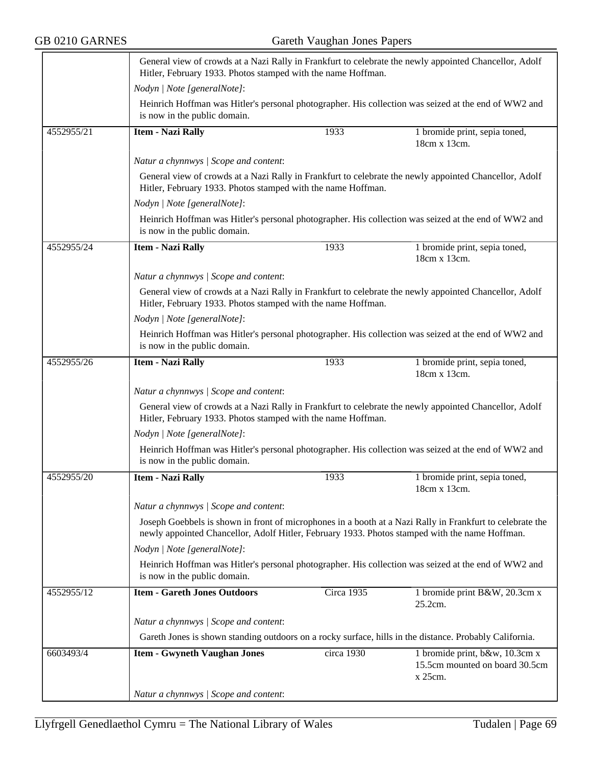|            | Hitler, February 1933. Photos stamped with the name Hoffman.                                                                                                                                                |                                                                                                                                                                        | General view of crowds at a Nazi Rally in Frankfurt to celebrate the newly appointed Chancellor, Adolf |  |  |
|------------|-------------------------------------------------------------------------------------------------------------------------------------------------------------------------------------------------------------|------------------------------------------------------------------------------------------------------------------------------------------------------------------------|--------------------------------------------------------------------------------------------------------|--|--|
|            | Nodyn   Note [generalNote]:                                                                                                                                                                                 |                                                                                                                                                                        |                                                                                                        |  |  |
|            | is now in the public domain.                                                                                                                                                                                |                                                                                                                                                                        | Heinrich Hoffman was Hitler's personal photographer. His collection was seized at the end of WW2 and   |  |  |
| 4552955/21 | <b>Item - Nazi Rally</b>                                                                                                                                                                                    | 1933                                                                                                                                                                   | 1 bromide print, sepia toned,<br>18cm x 13cm.                                                          |  |  |
|            | Natur a chynnwys / Scope and content:                                                                                                                                                                       |                                                                                                                                                                        |                                                                                                        |  |  |
|            | Hitler, February 1933. Photos stamped with the name Hoffman.                                                                                                                                                |                                                                                                                                                                        | General view of crowds at a Nazi Rally in Frankfurt to celebrate the newly appointed Chancellor, Adolf |  |  |
|            | Nodyn   Note [generalNote]:                                                                                                                                                                                 |                                                                                                                                                                        |                                                                                                        |  |  |
|            | is now in the public domain.                                                                                                                                                                                |                                                                                                                                                                        | Heinrich Hoffman was Hitler's personal photographer. His collection was seized at the end of WW2 and   |  |  |
| 4552955/24 | <b>Item - Nazi Rally</b>                                                                                                                                                                                    | 1933                                                                                                                                                                   | 1 bromide print, sepia toned,<br>18cm x 13cm.                                                          |  |  |
|            | Natur a chynnwys / Scope and content:                                                                                                                                                                       |                                                                                                                                                                        |                                                                                                        |  |  |
|            |                                                                                                                                                                                                             | General view of crowds at a Nazi Rally in Frankfurt to celebrate the newly appointed Chancellor, Adolf<br>Hitler, February 1933. Photos stamped with the name Hoffman. |                                                                                                        |  |  |
|            | Nodyn   Note [generalNote]:                                                                                                                                                                                 |                                                                                                                                                                        |                                                                                                        |  |  |
|            | is now in the public domain.                                                                                                                                                                                |                                                                                                                                                                        | Heinrich Hoffman was Hitler's personal photographer. His collection was seized at the end of WW2 and   |  |  |
| 4552955/26 | <b>Item - Nazi Rally</b>                                                                                                                                                                                    | 1933                                                                                                                                                                   | 1 bromide print, sepia toned,<br>18cm x 13cm.                                                          |  |  |
|            | Natur a chynnwys / Scope and content:                                                                                                                                                                       |                                                                                                                                                                        |                                                                                                        |  |  |
|            | General view of crowds at a Nazi Rally in Frankfurt to celebrate the newly appointed Chancellor, Adolf<br>Hitler, February 1933. Photos stamped with the name Hoffman.                                      |                                                                                                                                                                        |                                                                                                        |  |  |
|            | Nodyn   Note [generalNote]:                                                                                                                                                                                 |                                                                                                                                                                        |                                                                                                        |  |  |
|            | is now in the public domain.                                                                                                                                                                                |                                                                                                                                                                        | Heinrich Hoffman was Hitler's personal photographer. His collection was seized at the end of WW2 and   |  |  |
| 4552955/20 | <b>Item - Nazi Rally</b>                                                                                                                                                                                    | 1933                                                                                                                                                                   | 1 bromide print, sepia toned,<br>18cm x 13cm.                                                          |  |  |
|            | Natur a chynnwys / Scope and content:                                                                                                                                                                       |                                                                                                                                                                        |                                                                                                        |  |  |
|            | Joseph Goebbels is shown in front of microphones in a booth at a Nazi Rally in Frankfurt to celebrate the<br>newly appointed Chancellor, Adolf Hitler, February 1933. Photos stamped with the name Hoffman. |                                                                                                                                                                        |                                                                                                        |  |  |
|            | Nodyn   Note [generalNote]:                                                                                                                                                                                 |                                                                                                                                                                        |                                                                                                        |  |  |
|            | is now in the public domain.                                                                                                                                                                                |                                                                                                                                                                        | Heinrich Hoffman was Hitler's personal photographer. His collection was seized at the end of WW2 and   |  |  |
| 4552955/12 | <b>Item - Gareth Jones Outdoors</b>                                                                                                                                                                         | Circa 1935                                                                                                                                                             | 1 bromide print B&W, 20.3cm x<br>25.2cm.                                                               |  |  |
|            | Natur a chynnwys / Scope and content:                                                                                                                                                                       |                                                                                                                                                                        |                                                                                                        |  |  |
|            | Gareth Jones is shown standing outdoors on a rocky surface, hills in the distance. Probably California.                                                                                                     |                                                                                                                                                                        |                                                                                                        |  |  |
| 6603493/4  | <b>Item - Gwyneth Vaughan Jones</b>                                                                                                                                                                         | circa 1930                                                                                                                                                             | 1 bromide print, b&w, 10.3cm x<br>15.5cm mounted on board 30.5cm<br>x 25cm.                            |  |  |
|            | Natur a chynnwys / Scope and content:                                                                                                                                                                       |                                                                                                                                                                        |                                                                                                        |  |  |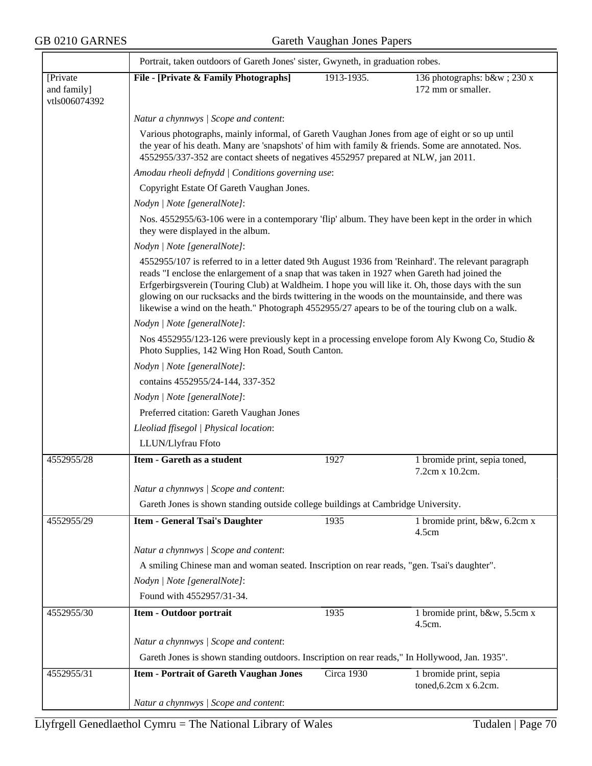|                                          | Portrait, taken outdoors of Gareth Jones' sister, Gwyneth, in graduation robes.                                                                                                                                                                                                                                                                                                                                                                                                                                     |                                                                                                |                                                  |  |  |  |
|------------------------------------------|---------------------------------------------------------------------------------------------------------------------------------------------------------------------------------------------------------------------------------------------------------------------------------------------------------------------------------------------------------------------------------------------------------------------------------------------------------------------------------------------------------------------|------------------------------------------------------------------------------------------------|--------------------------------------------------|--|--|--|
| [Private<br>and family]<br>vtls006074392 | File - [Private & Family Photographs]                                                                                                                                                                                                                                                                                                                                                                                                                                                                               | 1913-1935.                                                                                     | 136 photographs: b&w 230 x<br>172 mm or smaller. |  |  |  |
|                                          | Natur a chynnwys / Scope and content:                                                                                                                                                                                                                                                                                                                                                                                                                                                                               |                                                                                                |                                                  |  |  |  |
|                                          | Various photographs, mainly informal, of Gareth Vaughan Jones from age of eight or so up until<br>the year of his death. Many are 'snapshots' of him with family & friends. Some are annotated. Nos.<br>4552955/337-352 are contact sheets of negatives 4552957 prepared at NLW, jan 2011.                                                                                                                                                                                                                          |                                                                                                |                                                  |  |  |  |
|                                          |                                                                                                                                                                                                                                                                                                                                                                                                                                                                                                                     | Amodau rheoli defnydd   Conditions governing use:<br>Copyright Estate Of Gareth Vaughan Jones. |                                                  |  |  |  |
|                                          |                                                                                                                                                                                                                                                                                                                                                                                                                                                                                                                     |                                                                                                |                                                  |  |  |  |
|                                          | Nodyn   Note [generalNote]:                                                                                                                                                                                                                                                                                                                                                                                                                                                                                         |                                                                                                |                                                  |  |  |  |
|                                          | Nos. 4552955/63-106 were in a contemporary 'flip' album. They have been kept in the order in which<br>they were displayed in the album.                                                                                                                                                                                                                                                                                                                                                                             |                                                                                                |                                                  |  |  |  |
|                                          | Nodyn   Note [generalNote]:                                                                                                                                                                                                                                                                                                                                                                                                                                                                                         |                                                                                                |                                                  |  |  |  |
|                                          | 4552955/107 is referred to in a letter dated 9th August 1936 from 'Reinhard'. The relevant paragraph<br>reads "I enclose the enlargement of a snap that was taken in 1927 when Gareth had joined the<br>Erfgerbirgsverein (Touring Club) at Waldheim. I hope you will like it. Oh, those days with the sun<br>glowing on our rucksacks and the birds twittering in the woods on the mountainside, and there was<br>likewise a wind on the heath." Photograph 4552955/27 apears to be of the touring club on a walk. |                                                                                                |                                                  |  |  |  |
|                                          | Nodyn   Note [generalNote]:                                                                                                                                                                                                                                                                                                                                                                                                                                                                                         |                                                                                                |                                                  |  |  |  |
|                                          | Nos 4552955/123-126 were previously kept in a processing envelope forom Aly Kwong Co, Studio &<br>Photo Supplies, 142 Wing Hon Road, South Canton.<br>Nodyn   Note [generalNote]:                                                                                                                                                                                                                                                                                                                                   |                                                                                                |                                                  |  |  |  |
|                                          |                                                                                                                                                                                                                                                                                                                                                                                                                                                                                                                     |                                                                                                |                                                  |  |  |  |
|                                          | contains 4552955/24-144, 337-352<br>Nodyn   Note [generalNote]:<br>Preferred citation: Gareth Vaughan Jones<br>Lleoliad ffisegol   Physical location:                                                                                                                                                                                                                                                                                                                                                               |                                                                                                |                                                  |  |  |  |
|                                          |                                                                                                                                                                                                                                                                                                                                                                                                                                                                                                                     |                                                                                                |                                                  |  |  |  |
|                                          |                                                                                                                                                                                                                                                                                                                                                                                                                                                                                                                     |                                                                                                |                                                  |  |  |  |
|                                          |                                                                                                                                                                                                                                                                                                                                                                                                                                                                                                                     |                                                                                                |                                                  |  |  |  |
|                                          | LLUN/Llyfrau Ffoto                                                                                                                                                                                                                                                                                                                                                                                                                                                                                                  |                                                                                                |                                                  |  |  |  |
| 4552955/28                               | Item - Gareth as a student                                                                                                                                                                                                                                                                                                                                                                                                                                                                                          | 1927                                                                                           | 1 bromide print, sepia toned,<br>7.2cm x 10.2cm. |  |  |  |
|                                          | Natur a chynnwys / Scope and content:                                                                                                                                                                                                                                                                                                                                                                                                                                                                               |                                                                                                |                                                  |  |  |  |
|                                          | Gareth Jones is shown standing outside college buildings at Cambridge University.                                                                                                                                                                                                                                                                                                                                                                                                                                   |                                                                                                |                                                  |  |  |  |
| 4552955/29                               | <b>Item - General Tsai's Daughter</b>                                                                                                                                                                                                                                                                                                                                                                                                                                                                               | 1935                                                                                           | 1 bromide print, b&w, 6.2cm x<br>4.5cm           |  |  |  |
|                                          | Natur a chynnwys / Scope and content:                                                                                                                                                                                                                                                                                                                                                                                                                                                                               |                                                                                                |                                                  |  |  |  |
|                                          | A smiling Chinese man and woman seated. Inscription on rear reads, "gen. Tsai's daughter".                                                                                                                                                                                                                                                                                                                                                                                                                          |                                                                                                |                                                  |  |  |  |
|                                          | Nodyn   Note [generalNote]:                                                                                                                                                                                                                                                                                                                                                                                                                                                                                         |                                                                                                |                                                  |  |  |  |
|                                          | Found with 4552957/31-34.                                                                                                                                                                                                                                                                                                                                                                                                                                                                                           |                                                                                                |                                                  |  |  |  |
| 4552955/30                               | Item - Outdoor portrait                                                                                                                                                                                                                                                                                                                                                                                                                                                                                             | 1935                                                                                           | 1 bromide print, b&w, 5.5cm x<br>4.5cm.          |  |  |  |
|                                          | Natur a chynnwys / Scope and content:                                                                                                                                                                                                                                                                                                                                                                                                                                                                               |                                                                                                |                                                  |  |  |  |
|                                          | Gareth Jones is shown standing outdoors. Inscription on rear reads," In Hollywood, Jan. 1935".                                                                                                                                                                                                                                                                                                                                                                                                                      |                                                                                                |                                                  |  |  |  |
| 4552955/31                               | <b>Item - Portrait of Gareth Vaughan Jones</b>                                                                                                                                                                                                                                                                                                                                                                                                                                                                      | Circa 1930                                                                                     | 1 bromide print, sepia<br>toned, 6.2cm x 6.2cm.  |  |  |  |
|                                          | Natur a chynnwys / Scope and content:                                                                                                                                                                                                                                                                                                                                                                                                                                                                               |                                                                                                |                                                  |  |  |  |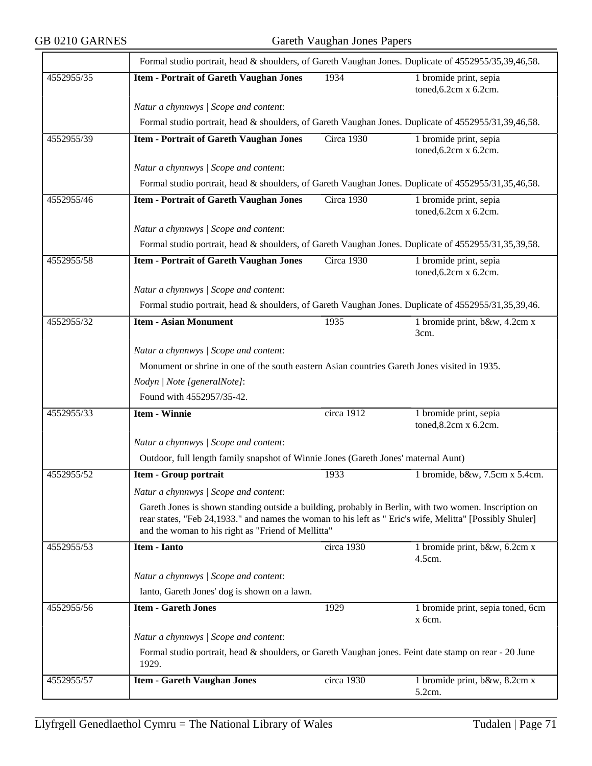|            | Formal studio portrait, head & shoulders, of Gareth Vaughan Jones. Duplicate of 4552955/35,39,46,58.                                                                                                                                                                    |            |                                                       |  |  |
|------------|-------------------------------------------------------------------------------------------------------------------------------------------------------------------------------------------------------------------------------------------------------------------------|------------|-------------------------------------------------------|--|--|
| 4552955/35 | <b>Item - Portrait of Gareth Vaughan Jones</b>                                                                                                                                                                                                                          | 1934       | 1 bromide print, sepia<br>toned, 6.2cm x 6.2cm.       |  |  |
|            | Natur a chynnwys / Scope and content:                                                                                                                                                                                                                                   |            |                                                       |  |  |
|            | Formal studio portrait, head & shoulders, of Gareth Vaughan Jones. Duplicate of 4552955/31,39,46,58.                                                                                                                                                                    |            |                                                       |  |  |
| 4552955/39 | <b>Item - Portrait of Gareth Vaughan Jones</b>                                                                                                                                                                                                                          | Circa 1930 | 1 bromide print, sepia<br>toned, 6.2cm x 6.2cm.       |  |  |
|            | Natur a chynnwys / Scope and content:                                                                                                                                                                                                                                   |            |                                                       |  |  |
|            | Formal studio portrait, head & shoulders, of Gareth Vaughan Jones. Duplicate of 4552955/31,35,46,58.                                                                                                                                                                    |            |                                                       |  |  |
| 4552955/46 | <b>Item - Portrait of Gareth Vaughan Jones</b>                                                                                                                                                                                                                          | Circa 1930 | 1 bromide print, sepia<br>toned, 6.2cm x 6.2cm.       |  |  |
|            | Natur a chynnwys / Scope and content:                                                                                                                                                                                                                                   |            |                                                       |  |  |
|            | Formal studio portrait, head & shoulders, of Gareth Vaughan Jones. Duplicate of 4552955/31,35,39,58.                                                                                                                                                                    |            |                                                       |  |  |
| 4552955/58 | <b>Item - Portrait of Gareth Vaughan Jones</b>                                                                                                                                                                                                                          | Circa 1930 | 1 bromide print, sepia<br>toned, $6.2$ cm x $6.2$ cm. |  |  |
|            | Natur a chynnwys / Scope and content:                                                                                                                                                                                                                                   |            |                                                       |  |  |
|            | Formal studio portrait, head & shoulders, of Gareth Vaughan Jones. Duplicate of 4552955/31,35,39,46.                                                                                                                                                                    |            |                                                       |  |  |
| 4552955/32 | <b>Item - Asian Monument</b>                                                                                                                                                                                                                                            | 1935       | 1 bromide print, b&w, 4.2cm x<br>3cm.                 |  |  |
|            | Natur a chynnwys / Scope and content:                                                                                                                                                                                                                                   |            |                                                       |  |  |
|            | Monument or shrine in one of the south eastern Asian countries Gareth Jones visited in 1935.                                                                                                                                                                            |            |                                                       |  |  |
|            | Nodyn   Note [generalNote]:                                                                                                                                                                                                                                             |            |                                                       |  |  |
|            | Found with 4552957/35-42.                                                                                                                                                                                                                                               |            |                                                       |  |  |
| 4552955/33 | <b>Item - Winnie</b>                                                                                                                                                                                                                                                    | circa 1912 | 1 bromide print, sepia<br>toned, 8.2cm x 6.2cm.       |  |  |
|            | Natur a chynnwys / Scope and content:                                                                                                                                                                                                                                   |            |                                                       |  |  |
|            | Outdoor, full length family snapshot of Winnie Jones (Gareth Jones' maternal Aunt)                                                                                                                                                                                      |            |                                                       |  |  |
| 4552955/52 | <b>Item - Group portrait</b>                                                                                                                                                                                                                                            | 1933       | 1 bromide, b&w, 7.5cm x 5.4cm.                        |  |  |
|            | Natur a chynnwys / Scope and content:                                                                                                                                                                                                                                   |            |                                                       |  |  |
|            | Gareth Jones is shown standing outside a building, probably in Berlin, with two women. Inscription on<br>rear states, "Feb 24,1933." and names the woman to his left as " Eric's wife, Melitta" [Possibly Shuler]<br>and the woman to his right as "Friend of Mellitta" |            |                                                       |  |  |
| 4552955/53 | Item - Ianto                                                                                                                                                                                                                                                            | circa 1930 | 1 bromide print, b&w, 6.2cm x<br>4.5cm.               |  |  |
|            | Natur a chynnwys / Scope and content:                                                                                                                                                                                                                                   |            |                                                       |  |  |
|            | Ianto, Gareth Jones' dog is shown on a lawn.                                                                                                                                                                                                                            |            |                                                       |  |  |
| 4552955/56 | <b>Item - Gareth Jones</b>                                                                                                                                                                                                                                              | 1929       | 1 bromide print, sepia toned, 6cm<br>x 6cm.           |  |  |
|            | Natur a chynnwys / Scope and content:                                                                                                                                                                                                                                   |            |                                                       |  |  |
|            | Formal studio portrait, head & shoulders, or Gareth Vaughan jones. Feint date stamp on rear - 20 June<br>1929.                                                                                                                                                          |            |                                                       |  |  |
| 4552955/57 | <b>Item - Gareth Vaughan Jones</b>                                                                                                                                                                                                                                      | circa 1930 | 1 bromide print, b&w, 8.2cm x<br>5.2cm.               |  |  |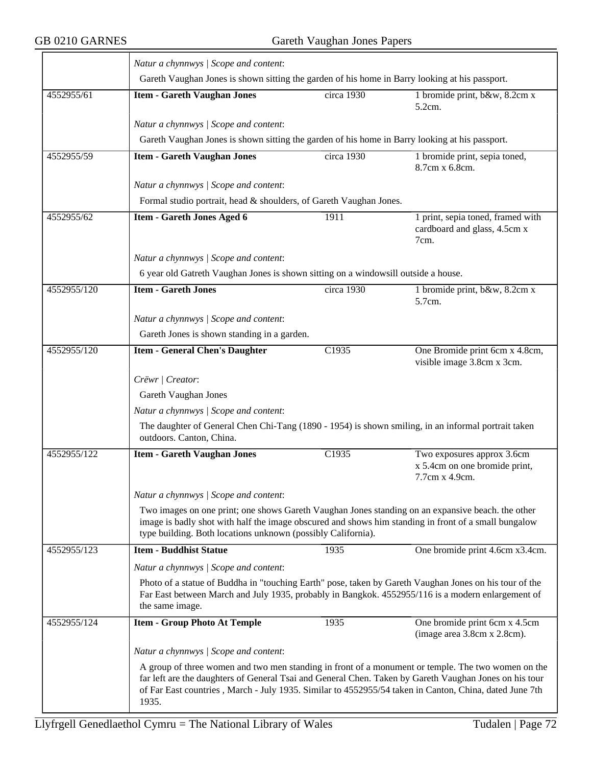$\overline{\phantom{a}}$ 

|             | Natur a chynnwys / Scope and content:                                                                                                                                                                                                                                                                                           |            |                                                                               |  |  |
|-------------|---------------------------------------------------------------------------------------------------------------------------------------------------------------------------------------------------------------------------------------------------------------------------------------------------------------------------------|------------|-------------------------------------------------------------------------------|--|--|
|             | Gareth Vaughan Jones is shown sitting the garden of his home in Barry looking at his passport.                                                                                                                                                                                                                                  |            |                                                                               |  |  |
| 4552955/61  | <b>Item - Gareth Vaughan Jones</b>                                                                                                                                                                                                                                                                                              | circa 1930 | 1 bromide print, b&w, 8.2cm x<br>5.2cm.                                       |  |  |
|             | Natur a chynnwys / Scope and content:                                                                                                                                                                                                                                                                                           |            |                                                                               |  |  |
|             | Gareth Vaughan Jones is shown sitting the garden of his home in Barry looking at his passport.                                                                                                                                                                                                                                  |            |                                                                               |  |  |
| 4552955/59  | <b>Item - Gareth Vaughan Jones</b>                                                                                                                                                                                                                                                                                              | circa 1930 | 1 bromide print, sepia toned,<br>8.7cm x 6.8cm.                               |  |  |
|             | Natur a chynnwys / Scope and content:                                                                                                                                                                                                                                                                                           |            |                                                                               |  |  |
|             | Formal studio portrait, head & shoulders, of Gareth Vaughan Jones.                                                                                                                                                                                                                                                              |            |                                                                               |  |  |
| 4552955/62  | <b>Item - Gareth Jones Aged 6</b>                                                                                                                                                                                                                                                                                               | 1911       | 1 print, sepia toned, framed with<br>cardboard and glass, 4.5cm x<br>7cm.     |  |  |
|             | Natur a chynnwys / Scope and content:                                                                                                                                                                                                                                                                                           |            |                                                                               |  |  |
|             | 6 year old Gatreth Vaughan Jones is shown sitting on a windowsill outside a house.                                                                                                                                                                                                                                              |            |                                                                               |  |  |
| 4552955/120 | <b>Item - Gareth Jones</b>                                                                                                                                                                                                                                                                                                      | circa 1930 | 1 bromide print, b&w, 8.2cm x<br>5.7cm.                                       |  |  |
|             | Natur a chynnwys / Scope and content:                                                                                                                                                                                                                                                                                           |            |                                                                               |  |  |
|             | Gareth Jones is shown standing in a garden.                                                                                                                                                                                                                                                                                     |            |                                                                               |  |  |
| 4552955/120 | <b>Item - General Chen's Daughter</b>                                                                                                                                                                                                                                                                                           | C1935      | One Bromide print 6cm x 4.8cm,<br>visible image 3.8cm x 3cm.                  |  |  |
|             | Crëwr   Creator:                                                                                                                                                                                                                                                                                                                |            |                                                                               |  |  |
|             | Gareth Vaughan Jones                                                                                                                                                                                                                                                                                                            |            |                                                                               |  |  |
|             | Natur a chynnwys / Scope and content:                                                                                                                                                                                                                                                                                           |            |                                                                               |  |  |
|             | The daughter of General Chen Chi-Tang (1890 - 1954) is shown smiling, in an informal portrait taken<br>outdoors. Canton, China.                                                                                                                                                                                                 |            |                                                                               |  |  |
| 4552955/122 | <b>Item - Gareth Vaughan Jones</b>                                                                                                                                                                                                                                                                                              | C1935      | Two exposures approx 3.6cm<br>x 5.4cm on one bromide print,<br>7.7cm x 4.9cm. |  |  |
|             | Natur a chynnwys / Scope and content:                                                                                                                                                                                                                                                                                           |            |                                                                               |  |  |
|             | Two images on one print; one shows Gareth Vaughan Jones standing on an expansive beach. the other<br>image is badly shot with half the image obscured and shows him standing in front of a small bungalow<br>type building. Both locations unknown (possibly California).                                                       |            |                                                                               |  |  |
| 4552955/123 | <b>Item - Buddhist Statue</b>                                                                                                                                                                                                                                                                                                   | 1935       | One bromide print 4.6cm x3.4cm.                                               |  |  |
|             | Natur a chynnwys / Scope and content:                                                                                                                                                                                                                                                                                           |            |                                                                               |  |  |
|             | Photo of a statue of Buddha in "touching Earth" pose, taken by Gareth Vaughan Jones on his tour of the<br>Far East between March and July 1935, probably in Bangkok. 4552955/116 is a modern enlargement of<br>the same image.                                                                                                  |            |                                                                               |  |  |
| 4552955/124 | <b>Item - Group Photo At Temple</b>                                                                                                                                                                                                                                                                                             | 1935       | One bromide print 6cm x 4.5cm<br>(image area 3.8cm x 2.8cm).                  |  |  |
|             | Natur a chynnwys / Scope and content:                                                                                                                                                                                                                                                                                           |            |                                                                               |  |  |
|             | A group of three women and two men standing in front of a monument or temple. The two women on the<br>far left are the daughters of General Tsai and General Chen. Taken by Gareth Vaughan Jones on his tour<br>of Far East countries, March - July 1935. Similar to 4552955/54 taken in Canton, China, dated June 7th<br>1935. |            |                                                                               |  |  |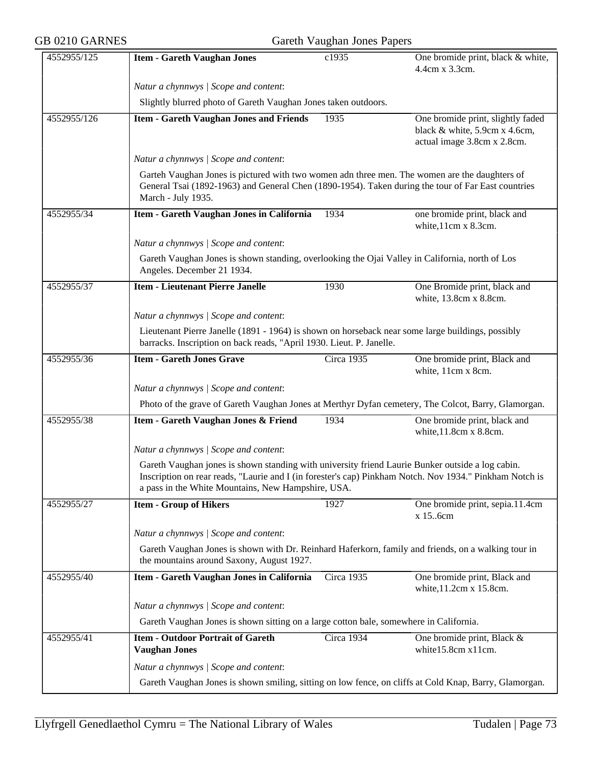| GB 0210 GARNES | Gareth Vaughan Jones Papers                                                                                                                                                                                                                                       |            |                                                                                                   |  |  |
|----------------|-------------------------------------------------------------------------------------------------------------------------------------------------------------------------------------------------------------------------------------------------------------------|------------|---------------------------------------------------------------------------------------------------|--|--|
| 4552955/125    | <b>Item - Gareth Vaughan Jones</b>                                                                                                                                                                                                                                | c1935      | One bromide print, black & white,<br>4.4cm x 3.3cm.                                               |  |  |
|                | Natur a chynnwys / Scope and content:                                                                                                                                                                                                                             |            |                                                                                                   |  |  |
|                | Slightly blurred photo of Gareth Vaughan Jones taken outdoors.                                                                                                                                                                                                    |            |                                                                                                   |  |  |
| 4552955/126    | <b>Item - Gareth Vaughan Jones and Friends</b>                                                                                                                                                                                                                    | 1935       | One bromide print, slightly faded<br>black & white, 5.9cm x 4.6cm,<br>actual image 3.8cm x 2.8cm. |  |  |
|                | Natur a chynnwys / Scope and content:                                                                                                                                                                                                                             |            |                                                                                                   |  |  |
|                | Garteh Vaughan Jones is pictured with two women adn three men. The women are the daughters of<br>General Tsai (1892-1963) and General Chen (1890-1954). Taken during the tour of Far East countries<br>March - July 1935.                                         |            |                                                                                                   |  |  |
| 4552955/34     | Item - Gareth Vaughan Jones in California                                                                                                                                                                                                                         | 1934       | one bromide print, black and<br>white, 11cm x 8.3cm.                                              |  |  |
|                | Natur a chynnwys / Scope and content:                                                                                                                                                                                                                             |            |                                                                                                   |  |  |
|                | Gareth Vaughan Jones is shown standing, overlooking the Ojai Valley in California, north of Los<br>Angeles. December 21 1934.                                                                                                                                     |            |                                                                                                   |  |  |
| 4552955/37     | <b>Item - Lieutenant Pierre Janelle</b>                                                                                                                                                                                                                           | 1930       | One Bromide print, black and<br>white, 13.8cm x 8.8cm.                                            |  |  |
|                | Natur a chynnwys / Scope and content:                                                                                                                                                                                                                             |            |                                                                                                   |  |  |
|                | Lieutenant Pierre Janelle (1891 - 1964) is shown on horseback near some large buildings, possibly<br>barracks. Inscription on back reads, "April 1930. Lieut. P. Janelle.                                                                                         |            |                                                                                                   |  |  |
| 4552955/36     | <b>Item - Gareth Jones Grave</b>                                                                                                                                                                                                                                  | Circa 1935 | One bromide print, Black and<br>white, 11cm x 8cm.                                                |  |  |
|                | Natur a chynnwys / Scope and content:                                                                                                                                                                                                                             |            |                                                                                                   |  |  |
|                | Photo of the grave of Gareth Vaughan Jones at Merthyr Dyfan cemetery, The Colcot, Barry, Glamorgan.                                                                                                                                                               |            |                                                                                                   |  |  |
| 4552955/38     | Item - Gareth Vaughan Jones & Friend                                                                                                                                                                                                                              | 1934       | One bromide print, black and<br>white, 11.8cm x 8.8cm.                                            |  |  |
|                | Natur a chynnwys / Scope and content:                                                                                                                                                                                                                             |            |                                                                                                   |  |  |
|                | Gareth Vaughan jones is shown standing with university friend Laurie Bunker outside a log cabin.<br>Inscription on rear reads, "Laurie and I (in forester's cap) Pinkham Notch. Nov 1934." Pinkham Notch is<br>a pass in the White Mountains, New Hampshire, USA. |            |                                                                                                   |  |  |
| 4552955/27     | <b>Item - Group of Hikers</b>                                                                                                                                                                                                                                     | 1927       | One bromide print, sepia.11.4cm<br>x 15.6cm                                                       |  |  |
|                | Natur a chynnwys / Scope and content:                                                                                                                                                                                                                             |            |                                                                                                   |  |  |
|                | Gareth Vaughan Jones is shown with Dr. Reinhard Haferkorn, family and friends, on a walking tour in<br>the mountains around Saxony, August 1927.                                                                                                                  |            |                                                                                                   |  |  |
| 4552955/40     | Item - Gareth Vaughan Jones in California                                                                                                                                                                                                                         | Circa 1935 | One bromide print, Black and<br>white, 11.2cm x 15.8cm.                                           |  |  |
|                | Natur a chynnwys / Scope and content:                                                                                                                                                                                                                             |            |                                                                                                   |  |  |
|                | Gareth Vaughan Jones is shown sitting on a large cotton bale, somewhere in California.                                                                                                                                                                            |            |                                                                                                   |  |  |
| 4552955/41     | <b>Item - Outdoor Portrait of Gareth</b><br><b>Vaughan Jones</b>                                                                                                                                                                                                  | Circa 1934 | One bromide print, Black &<br>white15.8cm x11cm.                                                  |  |  |
|                | Natur a chynnwys / Scope and content:                                                                                                                                                                                                                             |            |                                                                                                   |  |  |
|                | Gareth Vaughan Jones is shown smiling, sitting on low fence, on cliffs at Cold Knap, Barry, Glamorgan.                                                                                                                                                            |            |                                                                                                   |  |  |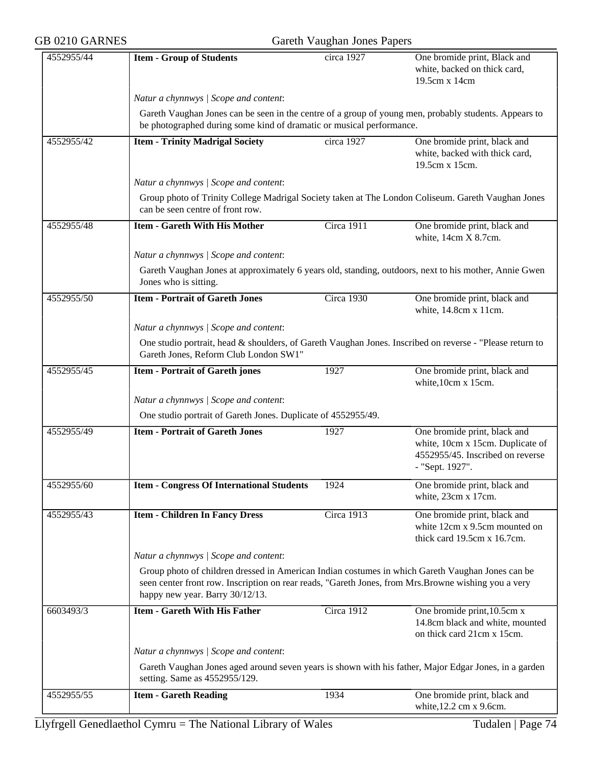| GB 0210 GARNES |                                                                                                                                                                                                                                             | Gareth Vaughan Jones Papers |                                                                                                                         |  |  |
|----------------|---------------------------------------------------------------------------------------------------------------------------------------------------------------------------------------------------------------------------------------------|-----------------------------|-------------------------------------------------------------------------------------------------------------------------|--|--|
| 4552955/44     | <b>Item - Group of Students</b>                                                                                                                                                                                                             | circa 1927                  | One bromide print, Black and<br>white, backed on thick card,<br>19.5cm x 14cm                                           |  |  |
|                | Natur a chynnwys / Scope and content:                                                                                                                                                                                                       |                             |                                                                                                                         |  |  |
|                | Gareth Vaughan Jones can be seen in the centre of a group of young men, probably students. Appears to<br>be photographed during some kind of dramatic or musical performance.                                                               |                             |                                                                                                                         |  |  |
| 4552955/42     | <b>Item - Trinity Madrigal Society</b>                                                                                                                                                                                                      | circa 1927                  | One bromide print, black and<br>white, backed with thick card,<br>19.5cm x 15cm.                                        |  |  |
|                | Natur a chynnwys / Scope and content:                                                                                                                                                                                                       |                             |                                                                                                                         |  |  |
|                | Group photo of Trinity College Madrigal Society taken at The London Coliseum. Gareth Vaughan Jones<br>can be seen centre of front row.                                                                                                      |                             |                                                                                                                         |  |  |
| 4552955/48     | <b>Item - Gareth With His Mother</b>                                                                                                                                                                                                        | Circa 1911                  | One bromide print, black and<br>white, 14cm X 8.7cm.                                                                    |  |  |
|                | Natur a chynnwys / Scope and content:                                                                                                                                                                                                       |                             |                                                                                                                         |  |  |
|                | Gareth Vaughan Jones at approximately 6 years old, standing, outdoors, next to his mother, Annie Gwen<br>Jones who is sitting.                                                                                                              |                             |                                                                                                                         |  |  |
| 4552955/50     | <b>Item - Portrait of Gareth Jones</b>                                                                                                                                                                                                      | Circa 1930                  | One bromide print, black and<br>white, 14.8cm x 11cm.                                                                   |  |  |
|                | Natur a chynnwys / Scope and content:                                                                                                                                                                                                       |                             |                                                                                                                         |  |  |
|                | One studio portrait, head & shoulders, of Gareth Vaughan Jones. Inscribed on reverse - "Please return to<br>Gareth Jones, Reform Club London SW1"                                                                                           |                             |                                                                                                                         |  |  |
| 4552955/45     | <b>Item - Portrait of Gareth jones</b>                                                                                                                                                                                                      | 1927                        | One bromide print, black and<br>white, 10cm x 15cm.                                                                     |  |  |
|                | Natur a chynnwys / Scope and content:                                                                                                                                                                                                       |                             |                                                                                                                         |  |  |
|                | One studio portrait of Gareth Jones. Duplicate of 4552955/49.                                                                                                                                                                               |                             |                                                                                                                         |  |  |
| 4552955/49     | <b>Item - Portrait of Gareth Jones</b>                                                                                                                                                                                                      | 1927                        | One bromide print, black and<br>white, 10cm x 15cm. Duplicate of<br>4552955/45. Inscribed on reverse<br>- "Sept. 1927". |  |  |
| 4552955/60     | <b>Item - Congress Of International Students</b>                                                                                                                                                                                            | 1924                        | One bromide print, black and<br>white, 23cm x 17cm.                                                                     |  |  |
| 4552955/43     | <b>Item - Children In Fancy Dress</b>                                                                                                                                                                                                       | <b>Circa 1913</b>           | One bromide print, black and<br>white 12cm x 9.5cm mounted on<br>thick card 19.5cm x 16.7cm.                            |  |  |
|                | Natur a chynnwys / Scope and content:                                                                                                                                                                                                       |                             |                                                                                                                         |  |  |
|                | Group photo of children dressed in American Indian costumes in which Gareth Vaughan Jones can be<br>seen center front row. Inscription on rear reads, "Gareth Jones, from Mrs. Browne wishing you a very<br>happy new year. Barry 30/12/13. |                             |                                                                                                                         |  |  |
| 6603493/3      | <b>Item - Gareth With His Father</b>                                                                                                                                                                                                        | Circa 1912                  | One bromide print, 10.5cm x<br>14.8cm black and white, mounted<br>on thick card 21cm x 15cm.                            |  |  |
|                | Natur a chynnwys / Scope and content:                                                                                                                                                                                                       |                             |                                                                                                                         |  |  |
|                | Gareth Vaughan Jones aged around seven years is shown with his father, Major Edgar Jones, in a garden<br>setting. Same as 4552955/129.                                                                                                      |                             |                                                                                                                         |  |  |
| 4552955/55     | <b>Item - Gareth Reading</b>                                                                                                                                                                                                                | 1934                        | One bromide print, black and<br>white, 12.2 cm x 9.6cm.                                                                 |  |  |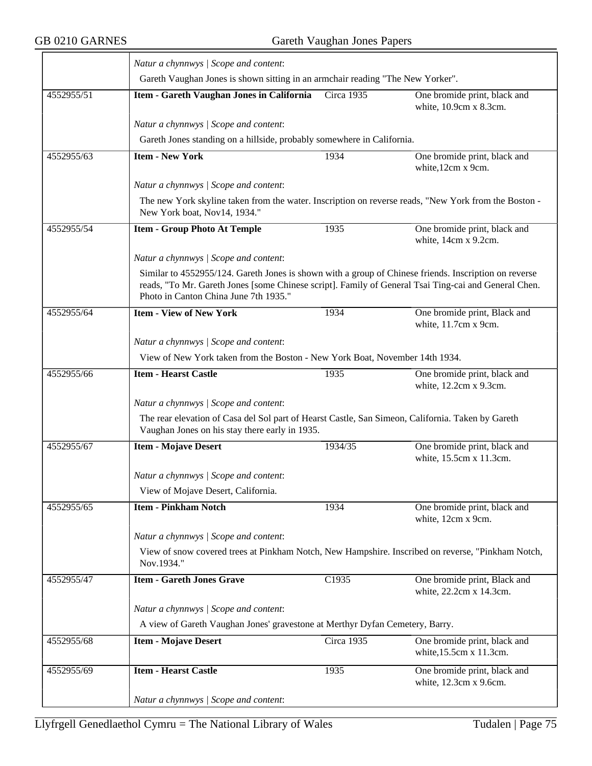$\overline{\phantom{0}}$ 

|            | Natur a chynnwys / Scope and content:                                                                                                                                                                                                                  |            |                                                         |  |  |
|------------|--------------------------------------------------------------------------------------------------------------------------------------------------------------------------------------------------------------------------------------------------------|------------|---------------------------------------------------------|--|--|
|            | Gareth Vaughan Jones is shown sitting in an armchair reading "The New Yorker".                                                                                                                                                                         |            |                                                         |  |  |
| 4552955/51 | Item - Gareth Vaughan Jones in California                                                                                                                                                                                                              | Circa 1935 | One bromide print, black and<br>white, 10.9cm x 8.3cm.  |  |  |
|            | Natur a chynnwys / Scope and content:                                                                                                                                                                                                                  |            |                                                         |  |  |
|            | Gareth Jones standing on a hillside, probably somewhere in California.                                                                                                                                                                                 |            |                                                         |  |  |
| 4552955/63 | <b>Item - New York</b>                                                                                                                                                                                                                                 | 1934       | One bromide print, black and                            |  |  |
|            |                                                                                                                                                                                                                                                        |            | white, 12cm x 9cm.                                      |  |  |
|            | Natur a chynnwys / Scope and content:                                                                                                                                                                                                                  |            |                                                         |  |  |
|            | The new York skyline taken from the water. Inscription on reverse reads, "New York from the Boston -<br>New York boat, Nov14, 1934."                                                                                                                   |            |                                                         |  |  |
| 4552955/54 | <b>Item - Group Photo At Temple</b>                                                                                                                                                                                                                    | 1935       | One bromide print, black and<br>white, 14cm x 9.2cm.    |  |  |
|            | Natur a chynnwys / Scope and content:                                                                                                                                                                                                                  |            |                                                         |  |  |
|            | Similar to 4552955/124. Gareth Jones is shown with a group of Chinese friends. Inscription on reverse<br>reads, "To Mr. Gareth Jones [some Chinese script]. Family of General Tsai Ting-cai and General Chen.<br>Photo in Canton China June 7th 1935." |            |                                                         |  |  |
| 4552955/64 | <b>Item - View of New York</b>                                                                                                                                                                                                                         | 1934       | One bromide print, Black and<br>white, 11.7cm x 9cm.    |  |  |
|            | Natur a chynnwys / Scope and content:                                                                                                                                                                                                                  |            |                                                         |  |  |
|            | View of New York taken from the Boston - New York Boat, November 14th 1934.                                                                                                                                                                            |            |                                                         |  |  |
| 4552955/66 | <b>Item - Hearst Castle</b>                                                                                                                                                                                                                            | 1935       | One bromide print, black and                            |  |  |
|            |                                                                                                                                                                                                                                                        |            | white, 12.2cm x 9.3cm.                                  |  |  |
|            | Natur a chynnwys / Scope and content:                                                                                                                                                                                                                  |            |                                                         |  |  |
|            | The rear elevation of Casa del Sol part of Hearst Castle, San Simeon, California. Taken by Gareth<br>Vaughan Jones on his stay there early in 1935.                                                                                                    |            |                                                         |  |  |
| 4552955/67 | <b>Item - Mojave Desert</b>                                                                                                                                                                                                                            | 1934/35    | One bromide print, black and<br>white, 15.5cm x 11.3cm. |  |  |
|            | Natur a chynnwys / Scope and content:                                                                                                                                                                                                                  |            |                                                         |  |  |
|            | View of Mojave Desert, California.                                                                                                                                                                                                                     |            |                                                         |  |  |
| 4552955/65 | <b>Item - Pinkham Notch</b>                                                                                                                                                                                                                            | 1934       | One bromide print, black and<br>white, 12cm x 9cm.      |  |  |
|            | Natur a chynnwys / Scope and content:                                                                                                                                                                                                                  |            |                                                         |  |  |
|            | View of snow covered trees at Pinkham Notch, New Hampshire. Inscribed on reverse, "Pinkham Notch,<br>Nov.1934."                                                                                                                                        |            |                                                         |  |  |
| 4552955/47 | <b>Item - Gareth Jones Grave</b>                                                                                                                                                                                                                       | C1935      | One bromide print, Black and<br>white, 22.2cm x 14.3cm. |  |  |
|            | Natur a chynnwys / Scope and content:                                                                                                                                                                                                                  |            |                                                         |  |  |
|            | A view of Gareth Vaughan Jones' gravestone at Merthyr Dyfan Cemetery, Barry.                                                                                                                                                                           |            |                                                         |  |  |
| 4552955/68 | <b>Item - Mojave Desert</b>                                                                                                                                                                                                                            | Circa 1935 | One bromide print, black and<br>white, 15.5cm x 11.3cm. |  |  |
| 4552955/69 | <b>Item - Hearst Castle</b>                                                                                                                                                                                                                            | 1935       | One bromide print, black and<br>white, 12.3cm x 9.6cm.  |  |  |
|            | Natur a chynnwys / Scope and content:                                                                                                                                                                                                                  |            |                                                         |  |  |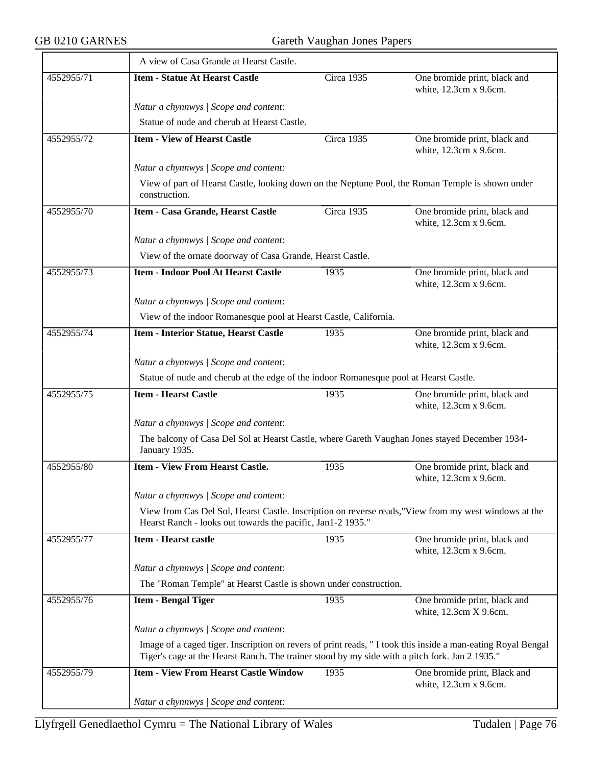$\overline{\phantom{a}}$ 

|            | A view of Casa Grande at Hearst Castle.                                                                                                                                                                       |            |                                                        |  |  |
|------------|---------------------------------------------------------------------------------------------------------------------------------------------------------------------------------------------------------------|------------|--------------------------------------------------------|--|--|
| 4552955/71 | <b>Item - Statue At Hearst Castle</b>                                                                                                                                                                         | Circa 1935 | One bromide print, black and<br>white, 12.3cm x 9.6cm. |  |  |
|            | Natur a chynnwys / Scope and content:                                                                                                                                                                         |            |                                                        |  |  |
|            | Statue of nude and cherub at Hearst Castle.                                                                                                                                                                   |            |                                                        |  |  |
| 4552955/72 | <b>Item - View of Hearst Castle</b>                                                                                                                                                                           | Circa 1935 | One bromide print, black and<br>white, 12.3cm x 9.6cm. |  |  |
|            | Natur a chynnwys / Scope and content:                                                                                                                                                                         |            |                                                        |  |  |
|            | View of part of Hearst Castle, looking down on the Neptune Pool, the Roman Temple is shown under<br>construction.                                                                                             |            |                                                        |  |  |
| 4552955/70 | Item - Casa Grande, Hearst Castle                                                                                                                                                                             | Circa 1935 | One bromide print, black and<br>white, 12.3cm x 9.6cm. |  |  |
|            | Natur a chynnwys / Scope and content:                                                                                                                                                                         |            |                                                        |  |  |
|            | View of the ornate doorway of Casa Grande, Hearst Castle.                                                                                                                                                     |            |                                                        |  |  |
| 4552955/73 | <b>Item - Indoor Pool At Hearst Castle</b>                                                                                                                                                                    | 1935       | One bromide print, black and<br>white, 12.3cm x 9.6cm. |  |  |
|            | Natur a chynnwys / Scope and content:                                                                                                                                                                         |            |                                                        |  |  |
|            | View of the indoor Romanesque pool at Hearst Castle, California.                                                                                                                                              |            |                                                        |  |  |
| 4552955/74 | <b>Item - Interior Statue, Hearst Castle</b>                                                                                                                                                                  | 1935       | One bromide print, black and<br>white, 12.3cm x 9.6cm. |  |  |
|            | Natur a chynnwys / Scope and content:                                                                                                                                                                         |            |                                                        |  |  |
|            | Statue of nude and cherub at the edge of the indoor Romanesque pool at Hearst Castle.                                                                                                                         |            |                                                        |  |  |
| 4552955/75 | <b>Item - Hearst Castle</b>                                                                                                                                                                                   | 1935       | One bromide print, black and<br>white, 12.3cm x 9.6cm. |  |  |
|            | Natur a chynnwys / Scope and content:                                                                                                                                                                         |            |                                                        |  |  |
|            | The balcony of Casa Del Sol at Hearst Castle, where Gareth Vaughan Jones stayed December 1934-<br>January 1935.                                                                                               |            |                                                        |  |  |
| 4552955/80 | <b>Item - View From Hearst Castle.</b>                                                                                                                                                                        | 1935       | One bromide print, black and<br>white, 12.3cm x 9.6cm. |  |  |
|            | Natur a chynnwys / Scope and content:                                                                                                                                                                         |            |                                                        |  |  |
|            | View from Cas Del Sol, Hearst Castle. Inscription on reverse reads, "View from my west windows at the<br>Hearst Ranch - looks out towards the pacific, Jan1-2 1935."                                          |            |                                                        |  |  |
| 4552955/77 | <b>Item - Hearst castle</b>                                                                                                                                                                                   | 1935       | One bromide print, black and<br>white, 12.3cm x 9.6cm. |  |  |
|            | Natur a chynnwys / Scope and content:                                                                                                                                                                         |            |                                                        |  |  |
|            | The "Roman Temple" at Hearst Castle is shown under construction.                                                                                                                                              |            |                                                        |  |  |
| 4552955/76 | <b>Item - Bengal Tiger</b>                                                                                                                                                                                    | 1935       | One bromide print, black and<br>white, 12.3cm X 9.6cm. |  |  |
|            | Natur a chynnwys / Scope and content:                                                                                                                                                                         |            |                                                        |  |  |
|            | Image of a caged tiger. Inscription on revers of print reads, "I took this inside a man-eating Royal Bengal<br>Tiger's cage at the Hearst Ranch. The trainer stood by my side with a pitch fork. Jan 2 1935." |            |                                                        |  |  |
| 4552955/79 | <b>Item - View From Hearst Castle Window</b>                                                                                                                                                                  | 1935       | One bromide print, Black and<br>white, 12.3cm x 9.6cm. |  |  |
|            | Natur a chynnwys / Scope and content:                                                                                                                                                                         |            |                                                        |  |  |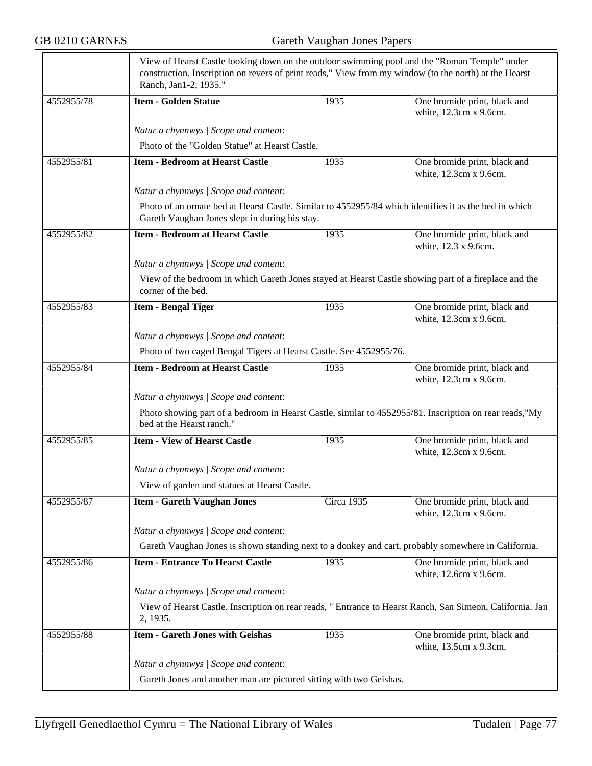|            | View of Hearst Castle looking down on the outdoor swimming pool and the "Roman Temple" under<br>construction. Inscription on revers of print reads," View from my window (to the north) at the Hearst<br>Ranch, Jan1-2, 1935." |            |                                                        |  |  |
|------------|--------------------------------------------------------------------------------------------------------------------------------------------------------------------------------------------------------------------------------|------------|--------------------------------------------------------|--|--|
| 4552955/78 | <b>Item - Golden Statue</b>                                                                                                                                                                                                    | 1935       | One bromide print, black and<br>white, 12.3cm x 9.6cm. |  |  |
|            | Natur a chynnwys / Scope and content:                                                                                                                                                                                          |            |                                                        |  |  |
|            | Photo of the "Golden Statue" at Hearst Castle.                                                                                                                                                                                 |            |                                                        |  |  |
| 4552955/81 | <b>Item - Bedroom at Hearst Castle</b>                                                                                                                                                                                         | 1935       | One bromide print, black and<br>white, 12.3cm x 9.6cm. |  |  |
|            | Natur a chynnwys / Scope and content:                                                                                                                                                                                          |            |                                                        |  |  |
|            | Photo of an ornate bed at Hearst Castle. Similar to 4552955/84 which identifies it as the bed in which<br>Gareth Vaughan Jones slept in during his stay.                                                                       |            |                                                        |  |  |
| 4552955/82 | <b>Item - Bedroom at Hearst Castle</b>                                                                                                                                                                                         | 1935       | One bromide print, black and<br>white, 12.3 x 9.6cm.   |  |  |
|            | Natur a chynnwys / Scope and content:                                                                                                                                                                                          |            |                                                        |  |  |
|            | View of the bedroom in which Gareth Jones stayed at Hearst Castle showing part of a fireplace and the<br>corner of the bed.                                                                                                    |            |                                                        |  |  |
| 4552955/83 | <b>Item - Bengal Tiger</b>                                                                                                                                                                                                     | 1935       | One bromide print, black and<br>white, 12.3cm x 9.6cm. |  |  |
|            | Natur a chynnwys / Scope and content:                                                                                                                                                                                          |            |                                                        |  |  |
|            | Photo of two caged Bengal Tigers at Hearst Castle. See 4552955/76.                                                                                                                                                             |            |                                                        |  |  |
| 4552955/84 | <b>Item - Bedroom at Hearst Castle</b>                                                                                                                                                                                         | 1935       | One bromide print, black and<br>white, 12.3cm x 9.6cm. |  |  |
|            | Natur a chynnwys / Scope and content:                                                                                                                                                                                          |            |                                                        |  |  |
|            | Photo showing part of a bedroom in Hearst Castle, similar to 4552955/81. Inscription on rear reads,"My<br>bed at the Hearst ranch."                                                                                            |            |                                                        |  |  |
| 4552955/85 | <b>Item - View of Hearst Castle</b>                                                                                                                                                                                            | 1935       | One bromide print, black and<br>white, 12.3cm x 9.6cm. |  |  |
|            | Natur a chynnwys / Scope and content:                                                                                                                                                                                          |            |                                                        |  |  |
|            | View of garden and statues at Hearst Castle.                                                                                                                                                                                   |            |                                                        |  |  |
| 4552955/87 | <b>Item - Gareth Vaughan Jones</b>                                                                                                                                                                                             | Circa 1935 | One bromide print, black and<br>white, 12.3cm x 9.6cm. |  |  |
|            | Natur a chynnwys / Scope and content:                                                                                                                                                                                          |            |                                                        |  |  |
|            | Gareth Vaughan Jones is shown standing next to a donkey and cart, probably somewhere in California.                                                                                                                            |            |                                                        |  |  |
| 4552955/86 | <b>Item - Entrance To Hearst Castle</b>                                                                                                                                                                                        | 1935       | One bromide print, black and<br>white, 12.6cm x 9.6cm. |  |  |
|            | Natur a chynnwys / Scope and content:                                                                                                                                                                                          |            |                                                        |  |  |
|            | View of Hearst Castle. Inscription on rear reads, " Entrance to Hearst Ranch, San Simeon, California. Jan<br>2, 1935.                                                                                                          |            |                                                        |  |  |
| 4552955/88 | <b>Item - Gareth Jones with Geishas</b>                                                                                                                                                                                        | 1935       | One bromide print, black and<br>white, 13.5cm x 9.3cm. |  |  |
|            | Natur a chynnwys / Scope and content:                                                                                                                                                                                          |            |                                                        |  |  |
|            | Gareth Jones and another man are pictured sitting with two Geishas.                                                                                                                                                            |            |                                                        |  |  |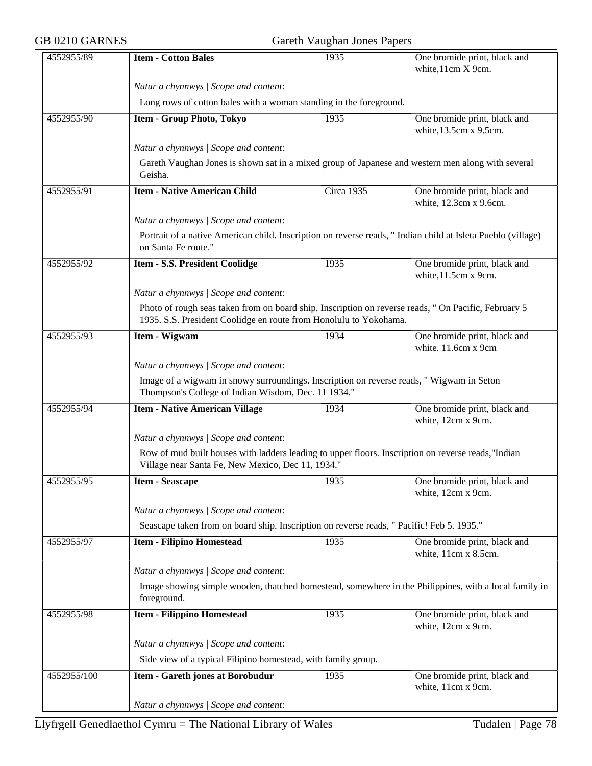| GB 0210 GARNES | Gareth Vaughan Jones Papers                                                                                                                                               |            |                                                        |  |  |
|----------------|---------------------------------------------------------------------------------------------------------------------------------------------------------------------------|------------|--------------------------------------------------------|--|--|
| 4552955/89     | <b>Item - Cotton Bales</b>                                                                                                                                                | 1935       | One bromide print, black and<br>white, 11cm X 9cm.     |  |  |
|                | Natur a chynnwys / Scope and content:                                                                                                                                     |            |                                                        |  |  |
|                | Long rows of cotton bales with a woman standing in the foreground.                                                                                                        |            |                                                        |  |  |
| 4552955/90     | <b>Item - Group Photo, Tokyo</b>                                                                                                                                          | 1935       | One bromide print, black and<br>white, 13.5cm x 9.5cm. |  |  |
|                | Natur a chynnwys / Scope and content:                                                                                                                                     |            |                                                        |  |  |
|                | Gareth Vaughan Jones is shown sat in a mixed group of Japanese and western men along with several<br>Geisha.                                                              |            |                                                        |  |  |
| 4552955/91     | <b>Item - Native American Child</b>                                                                                                                                       | Circa 1935 | One bromide print, black and<br>white, 12.3cm x 9.6cm. |  |  |
|                | Natur a chynnwys / Scope and content:                                                                                                                                     |            |                                                        |  |  |
|                | Portrait of a native American child. Inscription on reverse reads, " Indian child at Isleta Pueblo (village)<br>on Santa Fe route."                                       |            |                                                        |  |  |
| 4552955/92     | Item - S.S. President Coolidge                                                                                                                                            | 1935       | One bromide print, black and<br>white, 11.5cm x 9cm.   |  |  |
|                | Natur a chynnwys / Scope and content:                                                                                                                                     |            |                                                        |  |  |
|                | Photo of rough seas taken from on board ship. Inscription on reverse reads, " On Pacific, February 5<br>1935. S.S. President Coolidge en route from Honolulu to Yokohama. |            |                                                        |  |  |
| 4552955/93     | Item - Wigwam                                                                                                                                                             | 1934       | One bromide print, black and<br>white. 11.6cm x 9cm    |  |  |
|                | Natur a chynnwys / Scope and content:                                                                                                                                     |            |                                                        |  |  |
|                | Image of a wigwam in snowy surroundings. Inscription on reverse reads, " Wigwam in Seton<br>Thompson's College of Indian Wisdom, Dec. 11 1934."                           |            |                                                        |  |  |
| 4552955/94     | <b>Item - Native American Village</b>                                                                                                                                     | 1934       | One bromide print, black and<br>white, 12cm x 9cm.     |  |  |
|                | Natur a chynnwys / Scope and content:                                                                                                                                     |            |                                                        |  |  |
|                | Row of mud built houses with ladders leading to upper floors. Inscription on reverse reads,"Indian<br>Village near Santa Fe, New Mexico, Dec 11, 1934."                   |            |                                                        |  |  |
| 4552955/95     | <b>Item - Seascape</b>                                                                                                                                                    | 1935       | One bromide print, black and<br>white, 12cm x 9cm.     |  |  |
|                | Natur a chynnwys / Scope and content:                                                                                                                                     |            |                                                        |  |  |
|                | Seascape taken from on board ship. Inscription on reverse reads, " Pacific! Feb 5. 1935."                                                                                 |            |                                                        |  |  |
| 4552955/97     | <b>Item - Filipino Homestead</b>                                                                                                                                          | 1935       | One bromide print, black and<br>white, 11cm x 8.5cm.   |  |  |
|                | Natur a chynnwys / Scope and content:                                                                                                                                     |            |                                                        |  |  |
|                | Image showing simple wooden, thatched homestead, somewhere in the Philippines, with a local family in<br>foreground.                                                      |            |                                                        |  |  |
| 4552955/98     | <b>Item - Filippino Homestead</b>                                                                                                                                         | 1935       | One bromide print, black and<br>white, 12cm x 9cm.     |  |  |
|                | Natur a chynnwys / Scope and content:                                                                                                                                     |            |                                                        |  |  |
|                | Side view of a typical Filipino homestead, with family group.                                                                                                             |            |                                                        |  |  |
| 4552955/100    | Item - Gareth jones at Borobudur                                                                                                                                          | 1935       | One bromide print, black and<br>white, 11cm x 9cm.     |  |  |
|                | Natur a chynnwys / Scope and content:                                                                                                                                     |            |                                                        |  |  |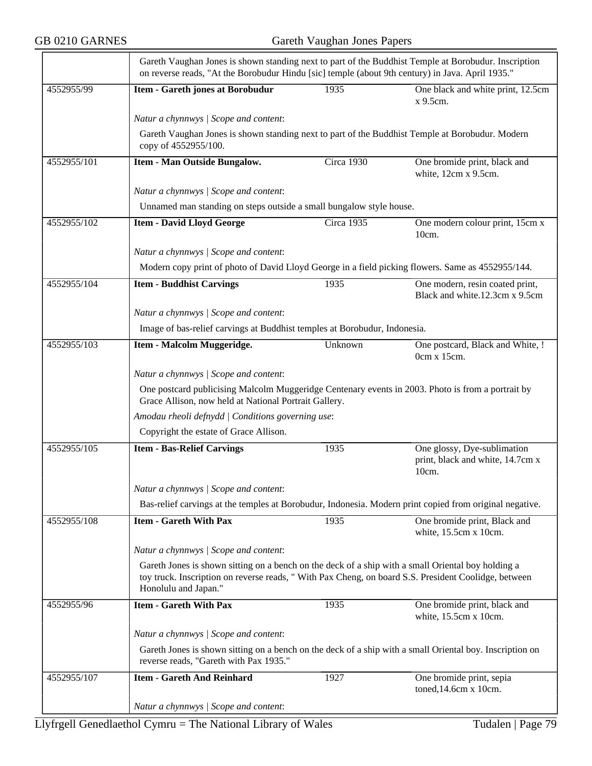| 4552955/99  | Item - Gareth jones at Borobudur                                                                                                                                                                                                   | 1935                                                                                                     | One black and white print, 12.5cm                                           |  |  |
|-------------|------------------------------------------------------------------------------------------------------------------------------------------------------------------------------------------------------------------------------------|----------------------------------------------------------------------------------------------------------|-----------------------------------------------------------------------------|--|--|
|             |                                                                                                                                                                                                                                    |                                                                                                          | x 9.5cm.                                                                    |  |  |
|             | Natur a chynnwys / Scope and content:                                                                                                                                                                                              |                                                                                                          |                                                                             |  |  |
|             | Gareth Vaughan Jones is shown standing next to part of the Buddhist Temple at Borobudur. Modern<br>copy of 4552955/100.                                                                                                            |                                                                                                          |                                                                             |  |  |
| 4552955/101 | Item - Man Outside Bungalow.                                                                                                                                                                                                       | Circa 1930                                                                                               | One bromide print, black and<br>white, 12cm x 9.5cm.                        |  |  |
|             | Natur a chynnwys / Scope and content:                                                                                                                                                                                              |                                                                                                          |                                                                             |  |  |
|             | Unnamed man standing on steps outside a small bungalow style house.                                                                                                                                                                |                                                                                                          |                                                                             |  |  |
| 4552955/102 | <b>Item - David Lloyd George</b>                                                                                                                                                                                                   | Circa 1935                                                                                               | One modern colour print, 15cm x<br>$10cm$ .                                 |  |  |
|             | Natur a chynnwys / Scope and content:                                                                                                                                                                                              |                                                                                                          |                                                                             |  |  |
|             | Modern copy print of photo of David Lloyd George in a field picking flowers. Same as 4552955/144.                                                                                                                                  |                                                                                                          |                                                                             |  |  |
| 4552955/104 | <b>Item - Buddhist Carvings</b>                                                                                                                                                                                                    | 1935                                                                                                     | One modern, resin coated print,<br>Black and white.12.3cm x 9.5cm           |  |  |
|             | Natur a chynnwys / Scope and content:                                                                                                                                                                                              |                                                                                                          |                                                                             |  |  |
|             | Image of bas-relief carvings at Buddhist temples at Borobudur, Indonesia.                                                                                                                                                          |                                                                                                          |                                                                             |  |  |
| 4552955/103 | Item - Malcolm Muggeridge.                                                                                                                                                                                                         | Unknown                                                                                                  | One postcard, Black and White, !<br>0cm x 15cm.                             |  |  |
|             | Natur a chynnwys / Scope and content:                                                                                                                                                                                              |                                                                                                          |                                                                             |  |  |
|             | One postcard publicising Malcolm Muggeridge Centenary events in 2003. Photo is from a portrait by<br>Grace Allison, now held at National Portrait Gallery.                                                                         |                                                                                                          |                                                                             |  |  |
|             | Amodau rheoli defnydd   Conditions governing use:                                                                                                                                                                                  |                                                                                                          |                                                                             |  |  |
|             | Copyright the estate of Grace Allison.                                                                                                                                                                                             |                                                                                                          |                                                                             |  |  |
| 4552955/105 | <b>Item - Bas-Relief Carvings</b>                                                                                                                                                                                                  | 1935                                                                                                     | One glossy, Dye-sublimation<br>print, black and white, 14.7cm x<br>$10cm$ . |  |  |
|             | Natur a chynnwys / Scope and content:                                                                                                                                                                                              |                                                                                                          |                                                                             |  |  |
|             | Bas-relief carvings at the temples at Borobudur, Indonesia. Modern print copied from original negative.                                                                                                                            |                                                                                                          |                                                                             |  |  |
| 4552955/108 | <b>Item - Gareth With Pax</b>                                                                                                                                                                                                      | 1935                                                                                                     | One bromide print, Black and<br>white, 15.5cm x 10cm.                       |  |  |
|             | Natur a chynnwys / Scope and content:                                                                                                                                                                                              |                                                                                                          |                                                                             |  |  |
|             | Gareth Jones is shown sitting on a bench on the deck of a ship with a small Oriental boy holding a<br>toy truck. Inscription on reverse reads, " With Pax Cheng, on board S.S. President Coolidge, between<br>Honolulu and Japan." |                                                                                                          |                                                                             |  |  |
| 4552955/96  | <b>Item - Gareth With Pax</b>                                                                                                                                                                                                      | 1935                                                                                                     | One bromide print, black and<br>white, 15.5cm x 10cm.                       |  |  |
|             | Natur a chynnwys / Scope and content:                                                                                                                                                                                              |                                                                                                          |                                                                             |  |  |
|             | reverse reads, "Gareth with Pax 1935."                                                                                                                                                                                             | Gareth Jones is shown sitting on a bench on the deck of a ship with a small Oriental boy. Inscription on |                                                                             |  |  |
|             |                                                                                                                                                                                                                                    |                                                                                                          |                                                                             |  |  |
| 4552955/107 | <b>Item - Gareth And Reinhard</b>                                                                                                                                                                                                  | 1927                                                                                                     | One bromide print, sepia<br>toned, 14.6cm x 10cm.                           |  |  |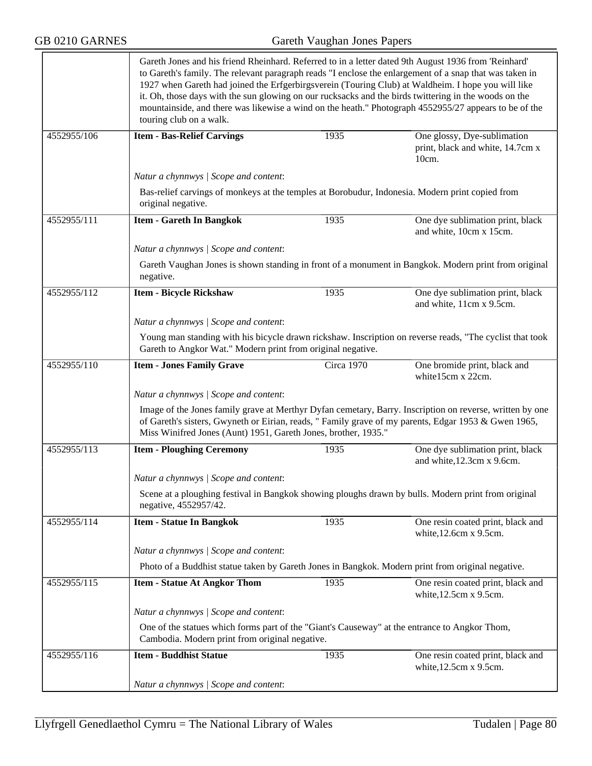|             | Gareth Jones and his friend Rheinhard. Referred to in a letter dated 9th August 1936 from 'Reinhard'<br>to Gareth's family. The relevant paragraph reads "I enclose the enlargement of a snap that was taken in<br>1927 when Gareth had joined the Erfgerbirgsverein (Touring Club) at Waldheim. I hope you will like<br>it. Oh, those days with the sun glowing on our rucksacks and the birds twittering in the woods on the<br>touring club on a walk. |            | mountainside, and there was likewise a wind on the heath." Photograph 4552955/27 appears to be of the    |  |  |
|-------------|-----------------------------------------------------------------------------------------------------------------------------------------------------------------------------------------------------------------------------------------------------------------------------------------------------------------------------------------------------------------------------------------------------------------------------------------------------------|------------|----------------------------------------------------------------------------------------------------------|--|--|
| 4552955/106 | <b>Item - Bas-Relief Carvings</b>                                                                                                                                                                                                                                                                                                                                                                                                                         | 1935       | One glossy, Dye-sublimation<br>print, black and white, 14.7cm x<br>10cm.                                 |  |  |
|             | Natur a chynnwys / Scope and content:                                                                                                                                                                                                                                                                                                                                                                                                                     |            |                                                                                                          |  |  |
|             | Bas-relief carvings of monkeys at the temples at Borobudur, Indonesia. Modern print copied from<br>original negative.                                                                                                                                                                                                                                                                                                                                     |            |                                                                                                          |  |  |
| 4552955/111 | <b>Item - Gareth In Bangkok</b>                                                                                                                                                                                                                                                                                                                                                                                                                           | 1935       | One dye sublimation print, black<br>and white, 10cm x 15cm.                                              |  |  |
|             | Natur a chynnwys / Scope and content:                                                                                                                                                                                                                                                                                                                                                                                                                     |            |                                                                                                          |  |  |
|             | negative.                                                                                                                                                                                                                                                                                                                                                                                                                                                 |            | Gareth Vaughan Jones is shown standing in front of a monument in Bangkok. Modern print from original     |  |  |
| 4552955/112 | <b>Item - Bicycle Rickshaw</b>                                                                                                                                                                                                                                                                                                                                                                                                                            | 1935       | One dye sublimation print, black<br>and white, 11cm x 9.5cm.                                             |  |  |
|             | Natur a chynnwys / Scope and content:                                                                                                                                                                                                                                                                                                                                                                                                                     |            |                                                                                                          |  |  |
|             | Young man standing with his bicycle drawn rickshaw. Inscription on reverse reads, "The cyclist that took<br>Gareth to Angkor Wat." Modern print from original negative.                                                                                                                                                                                                                                                                                   |            |                                                                                                          |  |  |
| 4552955/110 | <b>Item - Jones Family Grave</b>                                                                                                                                                                                                                                                                                                                                                                                                                          | Circa 1970 | One bromide print, black and<br>white15cm x 22cm.                                                        |  |  |
|             | Natur a chynnwys / Scope and content:                                                                                                                                                                                                                                                                                                                                                                                                                     |            |                                                                                                          |  |  |
|             | of Gareth's sisters, Gwyneth or Eirian, reads, " Family grave of my parents, Edgar 1953 & Gwen 1965,<br>Miss Winifred Jones (Aunt) 1951, Gareth Jones, brother, 1935."                                                                                                                                                                                                                                                                                    |            | Image of the Jones family grave at Merthyr Dyfan cemetary, Barry. Inscription on reverse, written by one |  |  |
| 4552955/113 | <b>Item - Ploughing Ceremony</b>                                                                                                                                                                                                                                                                                                                                                                                                                          | 1935       | One dye sublimation print, black<br>and white, 12.3cm x 9.6cm.                                           |  |  |
|             | Natur a chynnwys / Scope and content:                                                                                                                                                                                                                                                                                                                                                                                                                     |            |                                                                                                          |  |  |
|             | Scene at a ploughing festival in Bangkok showing ploughs drawn by bulls. Modern print from original<br>negative, 4552957/42.                                                                                                                                                                                                                                                                                                                              |            |                                                                                                          |  |  |
| 4552955/114 | <b>Item - Statue In Bangkok</b>                                                                                                                                                                                                                                                                                                                                                                                                                           | 1935       | One resin coated print, black and<br>white, 12.6cm x 9.5cm.                                              |  |  |
|             | Natur a chynnwys / Scope and content:                                                                                                                                                                                                                                                                                                                                                                                                                     |            |                                                                                                          |  |  |
|             | Photo of a Buddhist statue taken by Gareth Jones in Bangkok. Modern print from original negative.                                                                                                                                                                                                                                                                                                                                                         |            |                                                                                                          |  |  |
| 4552955/115 | <b>Item - Statue At Angkor Thom</b>                                                                                                                                                                                                                                                                                                                                                                                                                       | 1935       | One resin coated print, black and<br>white, 12.5cm x 9.5cm.                                              |  |  |
|             | Natur a chynnwys / Scope and content:                                                                                                                                                                                                                                                                                                                                                                                                                     |            |                                                                                                          |  |  |
|             | One of the statues which forms part of the "Giant's Causeway" at the entrance to Angkor Thom,<br>Cambodia. Modern print from original negative.                                                                                                                                                                                                                                                                                                           |            |                                                                                                          |  |  |
| 4552955/116 | <b>Item - Buddhist Statue</b>                                                                                                                                                                                                                                                                                                                                                                                                                             | 1935       | One resin coated print, black and<br>white, 12.5cm x 9.5cm.                                              |  |  |
|             | Natur a chynnwys / Scope and content:                                                                                                                                                                                                                                                                                                                                                                                                                     |            |                                                                                                          |  |  |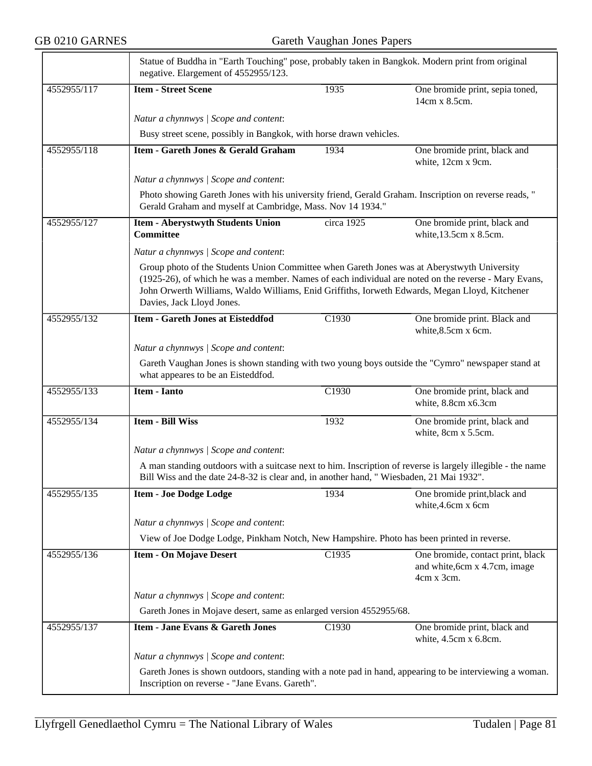|             | Statue of Buddha in "Earth Touching" pose, probably taken in Bangkok. Modern print from original<br>negative. Elargement of 4552955/123.                                                                                                                                                                                           |                   |                                                                                  |  |  |
|-------------|------------------------------------------------------------------------------------------------------------------------------------------------------------------------------------------------------------------------------------------------------------------------------------------------------------------------------------|-------------------|----------------------------------------------------------------------------------|--|--|
| 4552955/117 | <b>Item - Street Scene</b>                                                                                                                                                                                                                                                                                                         | 1935              | One bromide print, sepia toned,<br>14cm x 8.5cm.                                 |  |  |
|             | Natur a chynnwys / Scope and content:                                                                                                                                                                                                                                                                                              |                   |                                                                                  |  |  |
|             | Busy street scene, possibly in Bangkok, with horse drawn vehicles.                                                                                                                                                                                                                                                                 |                   |                                                                                  |  |  |
| 4552955/118 | Item - Gareth Jones & Gerald Graham                                                                                                                                                                                                                                                                                                | 1934              | One bromide print, black and<br>white, 12cm x 9cm.                               |  |  |
|             | Natur a chynnwys / Scope and content:                                                                                                                                                                                                                                                                                              |                   |                                                                                  |  |  |
|             | Photo showing Gareth Jones with his university friend, Gerald Graham. Inscription on reverse reads, "<br>Gerald Graham and myself at Cambridge, Mass. Nov 14 1934."                                                                                                                                                                |                   |                                                                                  |  |  |
| 4552955/127 | <b>Item - Aberystwyth Students Union</b><br><b>Committee</b>                                                                                                                                                                                                                                                                       | circa 1925        | One bromide print, black and<br>white, 13.5cm x 8.5cm.                           |  |  |
|             | Natur a chynnwys / Scope and content:                                                                                                                                                                                                                                                                                              |                   |                                                                                  |  |  |
|             | Group photo of the Students Union Committee when Gareth Jones was at Aberystwyth University<br>(1925-26), of which he was a member. Names of each individual are noted on the reverse - Mary Evans,<br>John Orwerth Williams, Waldo Williams, Enid Griffiths, Iorweth Edwards, Megan Lloyd, Kitchener<br>Davies, Jack Lloyd Jones. |                   |                                                                                  |  |  |
| 4552955/132 | <b>Item - Gareth Jones at Eisteddfod</b>                                                                                                                                                                                                                                                                                           | C <sub>1930</sub> | One bromide print. Black and<br>white, 8.5cm x 6cm.                              |  |  |
|             | Natur a chynnwys / Scope and content:                                                                                                                                                                                                                                                                                              |                   |                                                                                  |  |  |
|             | Gareth Vaughan Jones is shown standing with two young boys outside the "Cymro" newspaper stand at<br>what appeares to be an Eisteddfod.                                                                                                                                                                                            |                   |                                                                                  |  |  |
| 4552955/133 | <b>Item - Ianto</b>                                                                                                                                                                                                                                                                                                                | C1930             | One bromide print, black and<br>white, 8.8cm x6.3cm                              |  |  |
| 4552955/134 | <b>Item - Bill Wiss</b>                                                                                                                                                                                                                                                                                                            | 1932              | One bromide print, black and<br>white, 8cm x 5.5cm.                              |  |  |
|             | Natur a chynnwys / Scope and content:                                                                                                                                                                                                                                                                                              |                   |                                                                                  |  |  |
|             | A man standing outdoors with a suitcase next to him. Inscription of reverse is largely illegible - the name<br>Bill Wiss and the date 24-8-32 is clear and, in another hand, "Wiesbaden, 21 Mai 1932".                                                                                                                             |                   |                                                                                  |  |  |
| 4552955/135 | <b>Item - Joe Dodge Lodge</b>                                                                                                                                                                                                                                                                                                      | 1934              | One bromide print, black and<br>white, 4.6cm x 6cm                               |  |  |
|             | Natur a chynnwys / Scope and content:                                                                                                                                                                                                                                                                                              |                   |                                                                                  |  |  |
|             | View of Joe Dodge Lodge, Pinkham Notch, New Hampshire. Photo has been printed in reverse.                                                                                                                                                                                                                                          |                   |                                                                                  |  |  |
| 4552955/136 | <b>Item - On Mojave Desert</b>                                                                                                                                                                                                                                                                                                     | C1935             | One bromide, contact print, black<br>and white, 6cm x 4.7cm, image<br>4cm x 3cm. |  |  |
|             | Natur a chynnwys / Scope and content:                                                                                                                                                                                                                                                                                              |                   |                                                                                  |  |  |
|             | Gareth Jones in Mojave desert, same as enlarged version 4552955/68.                                                                                                                                                                                                                                                                |                   |                                                                                  |  |  |
| 4552955/137 | <b>Item - Jane Evans &amp; Gareth Jones</b>                                                                                                                                                                                                                                                                                        | C1930             | One bromide print, black and<br>white, 4.5cm x 6.8cm.                            |  |  |
|             | Natur a chynnwys / Scope and content:                                                                                                                                                                                                                                                                                              |                   |                                                                                  |  |  |
|             | Gareth Jones is shown outdoors, standing with a note pad in hand, appearing to be interviewing a woman.<br>Inscription on reverse - "Jane Evans. Gareth".                                                                                                                                                                          |                   |                                                                                  |  |  |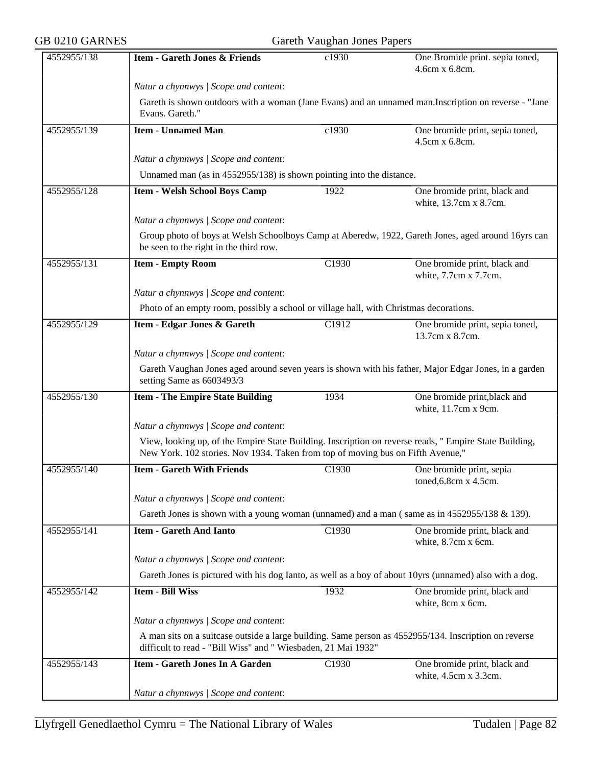| GB 0210 GARNES |                                                                                                                                                                                           | Gareth Vaughan Jones Papers                                                            |                                                                                                       |  |  |
|----------------|-------------------------------------------------------------------------------------------------------------------------------------------------------------------------------------------|----------------------------------------------------------------------------------------|-------------------------------------------------------------------------------------------------------|--|--|
| 4552955/138    | <b>Item - Gareth Jones &amp; Friends</b>                                                                                                                                                  | c1930                                                                                  | One Bromide print. sepia toned,<br>4.6cm x 6.8cm.                                                     |  |  |
|                | Natur a chynnwys / Scope and content:                                                                                                                                                     |                                                                                        |                                                                                                       |  |  |
|                | Evans. Gareth."                                                                                                                                                                           |                                                                                        | Gareth is shown outdoors with a woman (Jane Evans) and an unnamed man.Inscription on reverse - "Jane  |  |  |
| 4552955/139    | <b>Item - Unnamed Man</b>                                                                                                                                                                 | c1930                                                                                  | One bromide print, sepia toned,<br>4.5cm x 6.8cm.                                                     |  |  |
|                | Natur a chynnwys / Scope and content:                                                                                                                                                     |                                                                                        |                                                                                                       |  |  |
|                | Unnamed man (as in 4552955/138) is shown pointing into the distance.                                                                                                                      |                                                                                        |                                                                                                       |  |  |
| 4552955/128    | <b>Item - Welsh School Boys Camp</b>                                                                                                                                                      | 1922                                                                                   | One bromide print, black and<br>white, 13.7cm x 8.7cm.                                                |  |  |
|                | Natur a chynnwys / Scope and content:                                                                                                                                                     |                                                                                        |                                                                                                       |  |  |
|                | be seen to the right in the third row.                                                                                                                                                    |                                                                                        | Group photo of boys at Welsh Schoolboys Camp at Aberedw, 1922, Gareth Jones, aged around 16yrs can    |  |  |
| 4552955/131    | <b>Item - Empty Room</b>                                                                                                                                                                  | C1930                                                                                  | One bromide print, black and<br>white, 7.7cm x 7.7cm.                                                 |  |  |
|                | Natur a chynnwys / Scope and content:                                                                                                                                                     |                                                                                        |                                                                                                       |  |  |
|                |                                                                                                                                                                                           | Photo of an empty room, possibly a school or village hall, with Christmas decorations. |                                                                                                       |  |  |
| 4552955/129    | Item - Edgar Jones & Gareth                                                                                                                                                               | C <sub>1912</sub>                                                                      | One bromide print, sepia toned,<br>13.7cm x 8.7cm.                                                    |  |  |
|                | Natur a chynnwys / Scope and content:                                                                                                                                                     |                                                                                        |                                                                                                       |  |  |
|                | setting Same as 6603493/3                                                                                                                                                                 |                                                                                        | Gareth Vaughan Jones aged around seven years is shown with his father, Major Edgar Jones, in a garden |  |  |
| 4552955/130    | <b>Item - The Empire State Building</b>                                                                                                                                                   | 1934                                                                                   | One bromide print, black and<br>white, 11.7cm x 9cm.                                                  |  |  |
|                | Natur a chynnwys / Scope and content:                                                                                                                                                     |                                                                                        |                                                                                                       |  |  |
|                | View, looking up, of the Empire State Building. Inscription on reverse reads, " Empire State Building,<br>New York. 102 stories. Nov 1934. Taken from top of moving bus on Fifth Avenue," |                                                                                        |                                                                                                       |  |  |
| 4552955/140    | <b>Item - Gareth With Friends</b>                                                                                                                                                         | C1930                                                                                  | One bromide print, sepia<br>toned, 6.8cm x 4.5cm.                                                     |  |  |
|                | Natur a chynnwys / Scope and content:                                                                                                                                                     |                                                                                        |                                                                                                       |  |  |
|                | Gareth Jones is shown with a young woman (unnamed) and a man (same as in 4552955/138 & 139).                                                                                              |                                                                                        |                                                                                                       |  |  |
| 4552955/141    | <b>Item - Gareth And Ianto</b>                                                                                                                                                            | C1930                                                                                  | One bromide print, black and<br>white, 8.7cm x 6cm.                                                   |  |  |
|                | Natur a chynnwys / Scope and content:                                                                                                                                                     |                                                                                        |                                                                                                       |  |  |
|                | Gareth Jones is pictured with his dog Ianto, as well as a boy of about 10yrs (unnamed) also with a dog.                                                                                   |                                                                                        |                                                                                                       |  |  |
| 4552955/142    | <b>Item - Bill Wiss</b>                                                                                                                                                                   | 1932                                                                                   | One bromide print, black and<br>white, 8cm x 6cm.                                                     |  |  |
|                | Natur a chynnwys / Scope and content:                                                                                                                                                     |                                                                                        |                                                                                                       |  |  |
|                | A man sits on a suitcase outside a large building. Same person as 4552955/134. Inscription on reverse<br>difficult to read - "Bill Wiss" and " Wiesbaden, 21 Mai 1932"                    |                                                                                        |                                                                                                       |  |  |
| 4552955/143    | Item - Gareth Jones In A Garden                                                                                                                                                           | C1930                                                                                  | One bromide print, black and<br>white, 4.5cm x 3.3cm.                                                 |  |  |
|                | Natur a chynnwys / Scope and content:                                                                                                                                                     |                                                                                        |                                                                                                       |  |  |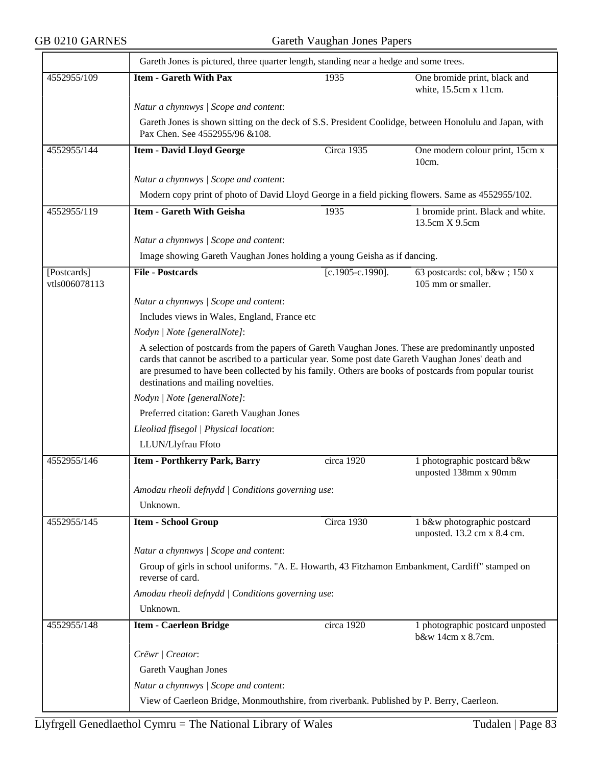|                              | Gareth Jones is pictured, three quarter length, standing near a hedge and some trees.                                                                                                                                                                                                                                                                    |                     |                                                            |  |  |
|------------------------------|----------------------------------------------------------------------------------------------------------------------------------------------------------------------------------------------------------------------------------------------------------------------------------------------------------------------------------------------------------|---------------------|------------------------------------------------------------|--|--|
| 4552955/109                  | <b>Item - Gareth With Pax</b>                                                                                                                                                                                                                                                                                                                            | 1935                | One bromide print, black and<br>white, 15.5cm x 11cm.      |  |  |
|                              | Natur a chynnwys / Scope and content:                                                                                                                                                                                                                                                                                                                    |                     |                                                            |  |  |
|                              | Gareth Jones is shown sitting on the deck of S.S. President Coolidge, between Honolulu and Japan, with<br>Pax Chen. See 4552955/96 & 108.                                                                                                                                                                                                                |                     |                                                            |  |  |
| 4552955/144                  | <b>Item - David Lloyd George</b>                                                                                                                                                                                                                                                                                                                         | Circa 1935          | One modern colour print, 15cm x<br>10cm.                   |  |  |
|                              | Natur a chynnwys / Scope and content:                                                                                                                                                                                                                                                                                                                    |                     |                                                            |  |  |
|                              | Modern copy print of photo of David Lloyd George in a field picking flowers. Same as 4552955/102.                                                                                                                                                                                                                                                        |                     |                                                            |  |  |
| 4552955/119                  | <b>Item - Gareth With Geisha</b>                                                                                                                                                                                                                                                                                                                         | 1935                | 1 bromide print. Black and white.<br>13.5cm X 9.5cm        |  |  |
|                              | Natur a chynnwys / Scope and content:                                                                                                                                                                                                                                                                                                                    |                     |                                                            |  |  |
|                              | Image showing Gareth Vaughan Jones holding a young Geisha as if dancing.                                                                                                                                                                                                                                                                                 |                     |                                                            |  |  |
| [Postcards]<br>vtls006078113 | <b>File - Postcards</b>                                                                                                                                                                                                                                                                                                                                  | $[c.1905-c.1990]$ . | 63 postcards: col, b&w 150 x<br>105 mm or smaller.         |  |  |
|                              | Natur a chynnwys / Scope and content:                                                                                                                                                                                                                                                                                                                    |                     |                                                            |  |  |
|                              | Includes views in Wales, England, France etc                                                                                                                                                                                                                                                                                                             |                     |                                                            |  |  |
|                              | Nodyn   Note [generalNote]:                                                                                                                                                                                                                                                                                                                              |                     |                                                            |  |  |
|                              | A selection of postcards from the papers of Gareth Vaughan Jones. These are predominantly unposted<br>cards that cannot be ascribed to a particular year. Some post date Gareth Vaughan Jones' death and<br>are presumed to have been collected by his family. Others are books of postcards from popular tourist<br>destinations and mailing novelties. |                     |                                                            |  |  |
|                              | Nodyn   Note [generalNote]:                                                                                                                                                                                                                                                                                                                              |                     |                                                            |  |  |
|                              | Preferred citation: Gareth Vaughan Jones                                                                                                                                                                                                                                                                                                                 |                     |                                                            |  |  |
|                              | Lleoliad ffisegol   Physical location:                                                                                                                                                                                                                                                                                                                   |                     |                                                            |  |  |
|                              | LLUN/Llyfrau Ffoto                                                                                                                                                                                                                                                                                                                                       |                     |                                                            |  |  |
| 4552955/146                  | <b>Item - Porthkerry Park, Barry</b>                                                                                                                                                                                                                                                                                                                     | circa 1920          | 1 photographic postcard b&w<br>unposted 138mm x 90mm       |  |  |
|                              | Amodau rheoli defnydd   Conditions governing use:                                                                                                                                                                                                                                                                                                        |                     |                                                            |  |  |
|                              | Unknown.                                                                                                                                                                                                                                                                                                                                                 |                     |                                                            |  |  |
| 4552955/145                  | <b>Item - School Group</b>                                                                                                                                                                                                                                                                                                                               | Circa 1930          | 1 b&w photographic postcard<br>unposted. 13.2 cm x 8.4 cm. |  |  |
|                              | Natur a chynnwys / Scope and content:                                                                                                                                                                                                                                                                                                                    |                     |                                                            |  |  |
|                              | Group of girls in school uniforms. "A. E. Howarth, 43 Fitzhamon Embankment, Cardiff" stamped on<br>reverse of card.                                                                                                                                                                                                                                      |                     |                                                            |  |  |
|                              | Amodau rheoli defnydd   Conditions governing use:                                                                                                                                                                                                                                                                                                        |                     |                                                            |  |  |
|                              | Unknown.                                                                                                                                                                                                                                                                                                                                                 |                     |                                                            |  |  |
| 4552955/148                  | <b>Item - Caerleon Bridge</b>                                                                                                                                                                                                                                                                                                                            | circa 1920          | 1 photographic postcard unposted<br>b&w 14cm x 8.7cm.      |  |  |
|                              | Crëwr   Creator:                                                                                                                                                                                                                                                                                                                                         |                     |                                                            |  |  |
|                              | Gareth Vaughan Jones                                                                                                                                                                                                                                                                                                                                     |                     |                                                            |  |  |
|                              | Natur a chynnwys / Scope and content:                                                                                                                                                                                                                                                                                                                    |                     |                                                            |  |  |
|                              | View of Caerleon Bridge, Monmouthshire, from riverbank. Published by P. Berry, Caerleon.                                                                                                                                                                                                                                                                 |                     |                                                            |  |  |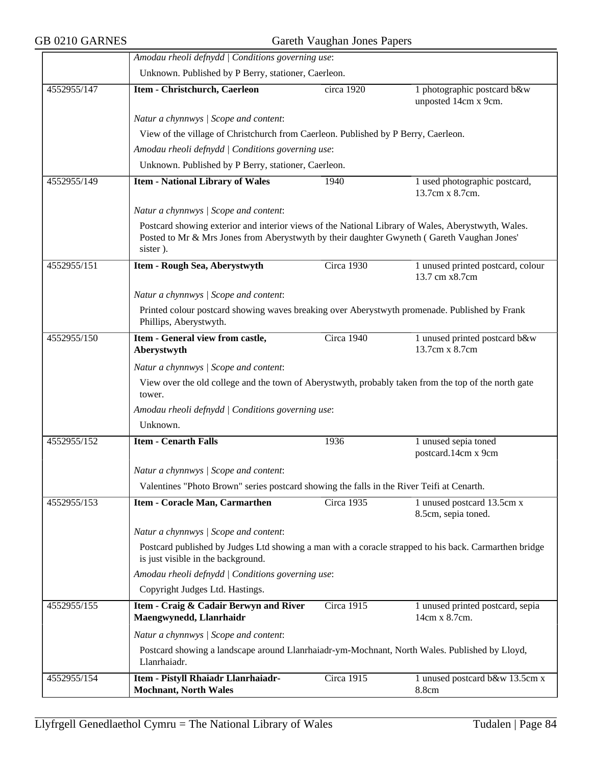|             | Amodau rheoli defnydd   Conditions governing use:                                                                                                                                                                        |                                                                                               |                                                     |  |  |
|-------------|--------------------------------------------------------------------------------------------------------------------------------------------------------------------------------------------------------------------------|-----------------------------------------------------------------------------------------------|-----------------------------------------------------|--|--|
|             | Unknown. Published by P Berry, stationer, Caerleon.                                                                                                                                                                      |                                                                                               |                                                     |  |  |
| 4552955/147 | Item - Christchurch, Caerleon                                                                                                                                                                                            | circa 1920                                                                                    | 1 photographic postcard b&w<br>unposted 14cm x 9cm. |  |  |
|             | Natur a chynnwys / Scope and content:                                                                                                                                                                                    |                                                                                               |                                                     |  |  |
|             | View of the village of Christchurch from Caerleon. Published by P Berry, Caerleon.                                                                                                                                       |                                                                                               |                                                     |  |  |
|             | Amodau rheoli defnydd   Conditions governing use:                                                                                                                                                                        |                                                                                               |                                                     |  |  |
|             | Unknown. Published by P Berry, stationer, Caerleon.                                                                                                                                                                      |                                                                                               |                                                     |  |  |
| 4552955/149 | <b>Item - National Library of Wales</b>                                                                                                                                                                                  | 1940                                                                                          | 1 used photographic postcard,<br>13.7cm x 8.7cm.    |  |  |
|             | Natur a chynnwys / Scope and content:                                                                                                                                                                                    |                                                                                               |                                                     |  |  |
|             | Postcard showing exterior and interior views of the National Library of Wales, Aberystwyth, Wales.<br>Posted to Mr & Mrs Jones from Aberystwyth by their daughter Gwyneth (Gareth Vaughan Jones'<br>sister).             |                                                                                               |                                                     |  |  |
| 4552955/151 | Item - Rough Sea, Aberystwyth                                                                                                                                                                                            | Circa 1930                                                                                    | 1 unused printed postcard, colour<br>13.7 cm x8.7cm |  |  |
|             | Natur a chynnwys / Scope and content:                                                                                                                                                                                    |                                                                                               |                                                     |  |  |
|             | Phillips, Aberystwyth.                                                                                                                                                                                                   | Printed colour postcard showing waves breaking over Aberystwyth promenade. Published by Frank |                                                     |  |  |
| 4552955/150 | Item - General view from castle,<br>Aberystwyth                                                                                                                                                                          | Circa 1940                                                                                    | 1 unused printed postcard b&w<br>13.7cm x 8.7cm     |  |  |
|             | Natur a chynnwys / Scope and content:<br>View over the old college and the town of Aberystwyth, probably taken from the top of the north gate<br>tower.<br>Amodau rheoli defnydd   Conditions governing use:<br>Unknown. |                                                                                               |                                                     |  |  |
| 4552955/152 | <b>Item - Cenarth Falls</b>                                                                                                                                                                                              | 1936                                                                                          | 1 unused sepia toned<br>postcard.14cm x 9cm         |  |  |
|             | Natur a chynnwys / Scope and content:                                                                                                                                                                                    |                                                                                               |                                                     |  |  |
|             | Valentines "Photo Brown" series postcard showing the falls in the River Teifi at Cenarth.                                                                                                                                |                                                                                               |                                                     |  |  |
| 4552955/153 | Item - Coracle Man, Carmarthen                                                                                                                                                                                           | Circa 1935                                                                                    | 1 unused postcard 13.5cm x<br>8.5cm, sepia toned.   |  |  |
|             | Natur a chynnwys / Scope and content:                                                                                                                                                                                    |                                                                                               |                                                     |  |  |
|             | Postcard published by Judges Ltd showing a man with a coracle strapped to his back. Carmarthen bridge<br>is just visible in the background.                                                                              |                                                                                               |                                                     |  |  |
|             | Amodau rheoli defnydd   Conditions governing use:                                                                                                                                                                        |                                                                                               |                                                     |  |  |
|             | Copyright Judges Ltd. Hastings.                                                                                                                                                                                          |                                                                                               |                                                     |  |  |
| 4552955/155 | Item - Craig & Cadair Berwyn and River<br>Maengwynedd, Llanrhaidr                                                                                                                                                        | <b>Circa 1915</b>                                                                             | 1 unused printed postcard, sepia<br>14cm x 8.7cm.   |  |  |
|             | Natur a chynnwys / Scope and content:                                                                                                                                                                                    |                                                                                               |                                                     |  |  |
|             | Postcard showing a landscape around Llanrhaiadr-ym-Mochnant, North Wales. Published by Lloyd,<br>Llanrhaiadr.                                                                                                            |                                                                                               |                                                     |  |  |
| 4552955/154 | Item - Pistyll Rhaiadr Llanrhaiadr-<br><b>Mochnant, North Wales</b>                                                                                                                                                      | Circa 1915                                                                                    | 1 unused postcard b&w 13.5cm x<br>8.8cm             |  |  |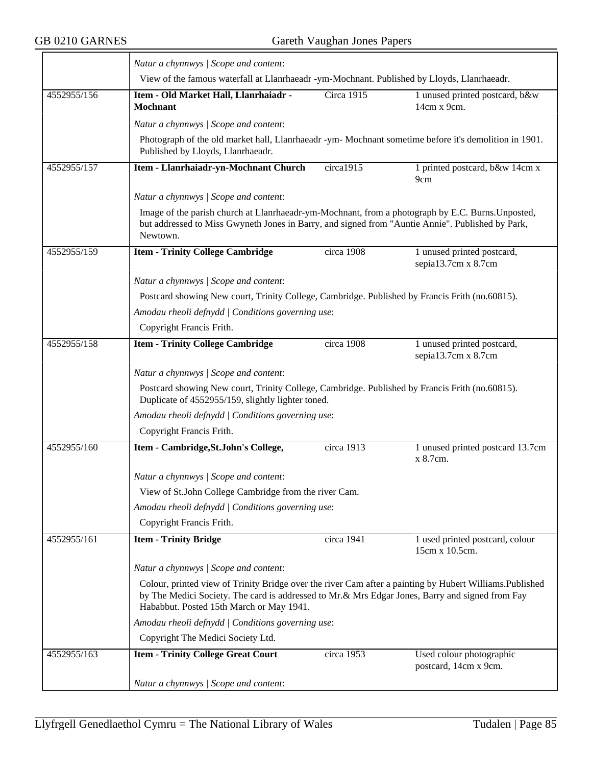|             | Natur a chynnwys / Scope and content:                                                                                                                                                                                                                   |                                                   |                                                   |  |  |  |
|-------------|---------------------------------------------------------------------------------------------------------------------------------------------------------------------------------------------------------------------------------------------------------|---------------------------------------------------|---------------------------------------------------|--|--|--|
|             | View of the famous waterfall at Llanrhaeadr -ym-Mochnant. Published by Lloyds, Llanrhaeadr.                                                                                                                                                             |                                                   |                                                   |  |  |  |
| 4552955/156 | Item - Old Market Hall, Llanrhaiadr -<br><b>Mochnant</b>                                                                                                                                                                                                | <b>Circa 1915</b>                                 | 1 unused printed postcard, b&w<br>14cm x 9cm.     |  |  |  |
|             | Natur a chynnwys / Scope and content:                                                                                                                                                                                                                   |                                                   |                                                   |  |  |  |
|             | Photograph of the old market hall, Llanrhaeadr -ym- Mochnant sometime before it's demolition in 1901.<br>Published by Lloyds, Llanrhaeadr.                                                                                                              |                                                   |                                                   |  |  |  |
| 4552955/157 | Item - Llanrhaiadr-yn-Mochnant Church                                                                                                                                                                                                                   | circa1915                                         | 1 printed postcard, b&w 14cm x<br>9cm             |  |  |  |
|             | Natur a chynnwys / Scope and content:                                                                                                                                                                                                                   |                                                   |                                                   |  |  |  |
|             | Image of the parish church at Llanrhaeadr-ym-Mochnant, from a photograph by E.C. Burns. Unposted,<br>but addressed to Miss Gwyneth Jones in Barry, and signed from "Auntie Annie". Published by Park,<br>Newtown.                                       |                                                   |                                                   |  |  |  |
| 4552955/159 | <b>Item - Trinity College Cambridge</b>                                                                                                                                                                                                                 | circa 1908                                        | 1 unused printed postcard,<br>sepia13.7cm x 8.7cm |  |  |  |
|             | Natur a chynnwys / Scope and content:                                                                                                                                                                                                                   |                                                   |                                                   |  |  |  |
|             | Postcard showing New court, Trinity College, Cambridge. Published by Francis Frith (no.60815).                                                                                                                                                          |                                                   |                                                   |  |  |  |
|             |                                                                                                                                                                                                                                                         | Amodau rheoli defnydd   Conditions governing use: |                                                   |  |  |  |
|             | Copyright Francis Frith.                                                                                                                                                                                                                                |                                                   |                                                   |  |  |  |
| 4552955/158 | <b>Item - Trinity College Cambridge</b>                                                                                                                                                                                                                 | circa 1908                                        | 1 unused printed postcard,<br>sepia13.7cm x 8.7cm |  |  |  |
|             | Natur a chynnwys / Scope and content:                                                                                                                                                                                                                   |                                                   |                                                   |  |  |  |
|             | Postcard showing New court, Trinity College, Cambridge. Published by Francis Frith (no.60815).<br>Duplicate of 4552955/159, slightly lighter toned.                                                                                                     |                                                   |                                                   |  |  |  |
|             | Amodau rheoli defnydd   Conditions governing use:                                                                                                                                                                                                       |                                                   |                                                   |  |  |  |
|             | Copyright Francis Frith.                                                                                                                                                                                                                                |                                                   |                                                   |  |  |  |
| 4552955/160 | Item - Cambridge, St.John's College,                                                                                                                                                                                                                    | circa 1913                                        | 1 unused printed postcard 13.7cm<br>x 8.7cm.      |  |  |  |
|             | Natur a chynnwys / Scope and content:                                                                                                                                                                                                                   |                                                   |                                                   |  |  |  |
|             | View of St.John College Cambridge from the river Cam.                                                                                                                                                                                                   |                                                   |                                                   |  |  |  |
|             | Amodau rheoli defnydd   Conditions governing use:                                                                                                                                                                                                       |                                                   |                                                   |  |  |  |
|             | Copyright Francis Frith.                                                                                                                                                                                                                                |                                                   |                                                   |  |  |  |
| 4552955/161 | <b>Item - Trinity Bridge</b>                                                                                                                                                                                                                            | circa 1941                                        | 1 used printed postcard, colour<br>15cm x 10.5cm. |  |  |  |
|             | Natur a chynnwys / Scope and content:                                                                                                                                                                                                                   |                                                   |                                                   |  |  |  |
|             | Colour, printed view of Trinity Bridge over the river Cam after a painting by Hubert Williams. Published<br>by The Medici Society. The card is addressed to Mr.& Mrs Edgar Jones, Barry and signed from Fay<br>Hababbut. Posted 15th March or May 1941. |                                                   |                                                   |  |  |  |
|             | Amodau rheoli defnydd   Conditions governing use:                                                                                                                                                                                                       |                                                   |                                                   |  |  |  |
|             | Copyright The Medici Society Ltd.                                                                                                                                                                                                                       |                                                   |                                                   |  |  |  |
| 4552955/163 | <b>Item - Trinity College Great Court</b>                                                                                                                                                                                                               | circa 1953                                        | Used colour photographic<br>postcard, 14cm x 9cm. |  |  |  |
|             | Natur a chynnwys / Scope and content:                                                                                                                                                                                                                   |                                                   |                                                   |  |  |  |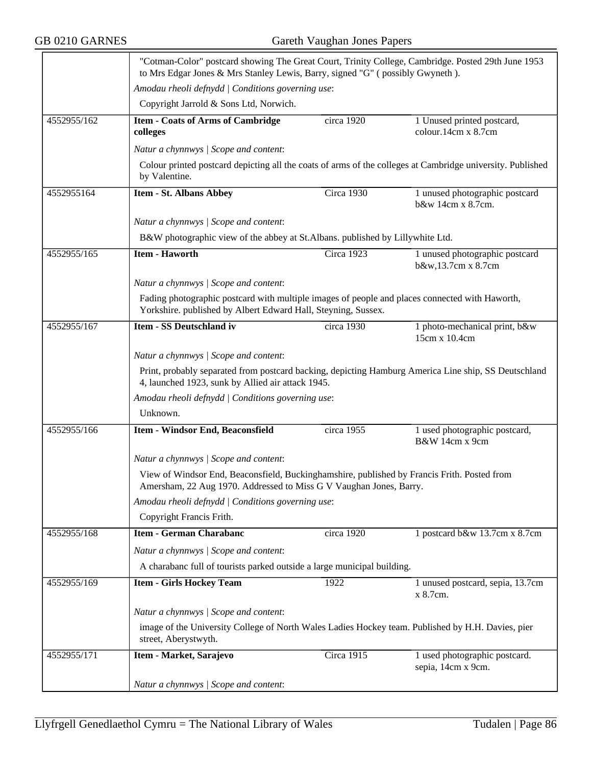|             | "Cotman-Color" postcard showing The Great Court, Trinity College, Cambridge. Posted 29th June 1953<br>to Mrs Edgar Jones & Mrs Stanley Lewis, Barry, signed "G" (possibly Gwyneth).<br>Amodau rheoli defnydd   Conditions governing use: |            |                                                      |  |  |
|-------------|------------------------------------------------------------------------------------------------------------------------------------------------------------------------------------------------------------------------------------------|------------|------------------------------------------------------|--|--|
|             |                                                                                                                                                                                                                                          |            |                                                      |  |  |
|             | Copyright Jarrold & Sons Ltd, Norwich.                                                                                                                                                                                                   |            |                                                      |  |  |
| 4552955/162 | <b>Item - Coats of Arms of Cambridge</b><br>colleges                                                                                                                                                                                     | circa 1920 | 1 Unused printed postcard,<br>colour.14cm x 8.7cm    |  |  |
|             | Natur a chynnwys / Scope and content:                                                                                                                                                                                                    |            |                                                      |  |  |
|             | Colour printed postcard depicting all the coats of arms of the colleges at Cambridge university. Published<br>by Valentine.                                                                                                              |            |                                                      |  |  |
| 4552955164  | <b>Item - St. Albans Abbey</b>                                                                                                                                                                                                           | Circa 1930 | 1 unused photographic postcard<br>b&w 14cm x 8.7cm.  |  |  |
|             | Natur a chynnwys / Scope and content:                                                                                                                                                                                                    |            |                                                      |  |  |
|             | B&W photographic view of the abbey at St.Albans. published by Lillywhite Ltd.                                                                                                                                                            |            |                                                      |  |  |
| 4552955/165 | <b>Item - Haworth</b>                                                                                                                                                                                                                    | Circa 1923 | 1 unused photographic postcard<br>b&w,13.7cm x 8.7cm |  |  |
|             | Natur a chynnwys / Scope and content:                                                                                                                                                                                                    |            |                                                      |  |  |
|             | Fading photographic postcard with multiple images of people and places connected with Haworth,<br>Yorkshire. published by Albert Edward Hall, Steyning, Sussex.                                                                          |            |                                                      |  |  |
| 4552955/167 | Item - SS Deutschland iv                                                                                                                                                                                                                 | circa 1930 | 1 photo-mechanical print, b&w<br>15cm x 10.4cm       |  |  |
|             | Natur a chynnwys / Scope and content:                                                                                                                                                                                                    |            |                                                      |  |  |
|             | Print, probably separated from postcard backing, depicting Hamburg America Line ship, SS Deutschland<br>4, launched 1923, sunk by Allied air attack 1945.                                                                                |            |                                                      |  |  |
|             | Amodau rheoli defnydd   Conditions governing use:                                                                                                                                                                                        |            |                                                      |  |  |
|             | Unknown.                                                                                                                                                                                                                                 |            |                                                      |  |  |
| 4552955/166 | Item - Windsor End, Beaconsfield                                                                                                                                                                                                         | circa 1955 | 1 used photographic postcard,<br>B&W 14cm x 9cm      |  |  |
|             | Natur a chynnwys / Scope and content:                                                                                                                                                                                                    |            |                                                      |  |  |
|             | View of Windsor End, Beaconsfield, Buckinghamshire, published by Francis Frith. Posted from<br>Amersham, 22 Aug 1970. Addressed to Miss G V Vaughan Jones, Barry.                                                                        |            |                                                      |  |  |
|             | Amodau rheoli defnydd   Conditions governing use:                                                                                                                                                                                        |            |                                                      |  |  |
|             | Copyright Francis Frith.                                                                                                                                                                                                                 |            |                                                      |  |  |
| 4552955/168 | <b>Item - German Charabanc</b>                                                                                                                                                                                                           | circa 1920 | 1 postcard b&w 13.7cm x 8.7cm                        |  |  |
|             | Natur a chynnwys / Scope and content:                                                                                                                                                                                                    |            |                                                      |  |  |
|             | A charabanc full of tourists parked outside a large municipal building.                                                                                                                                                                  |            |                                                      |  |  |
| 4552955/169 | <b>Item - Girls Hockey Team</b>                                                                                                                                                                                                          | 1922       | 1 unused postcard, sepia, 13.7cm<br>x 8.7cm.         |  |  |
|             | Natur a chynnwys / Scope and content:                                                                                                                                                                                                    |            |                                                      |  |  |
|             | image of the University College of North Wales Ladies Hockey team. Published by H.H. Davies, pier<br>street, Aberystwyth.                                                                                                                |            |                                                      |  |  |
| 4552955/171 | Item - Market, Sarajevo                                                                                                                                                                                                                  | Circa 1915 | 1 used photographic postcard.<br>sepia, 14cm x 9cm.  |  |  |
|             | Natur a chynnwys / Scope and content:                                                                                                                                                                                                    |            |                                                      |  |  |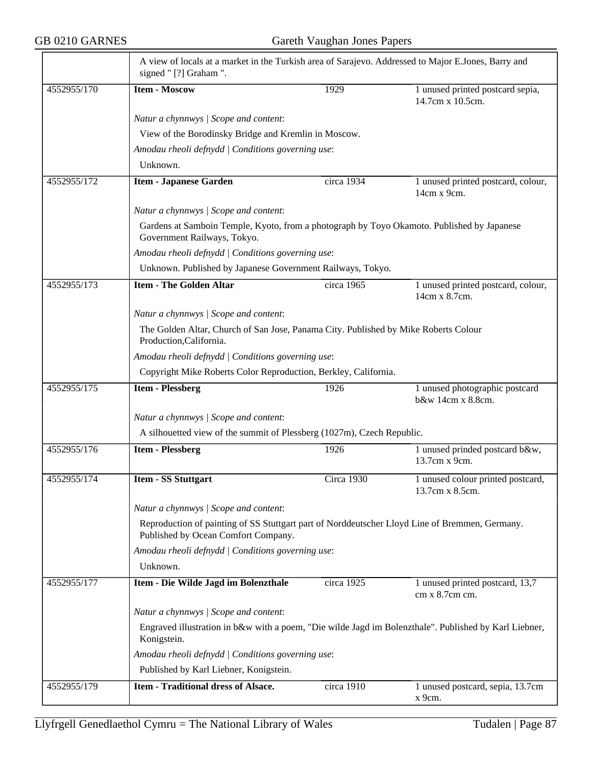$\equiv$ 

|             | A view of locals at a market in the Turkish area of Sarajevo. Addressed to Major E.Jones, Barry and<br>signed "[?] Graham ".          |                                                                 |                                                      |  |  |  |
|-------------|---------------------------------------------------------------------------------------------------------------------------------------|-----------------------------------------------------------------|------------------------------------------------------|--|--|--|
| 4552955/170 | <b>Item - Moscow</b>                                                                                                                  | 1929                                                            | 1 unused printed postcard sepia,<br>14.7cm x 10.5cm. |  |  |  |
|             | Natur a chynnwys / Scope and content:                                                                                                 |                                                                 |                                                      |  |  |  |
|             | View of the Borodinsky Bridge and Kremlin in Moscow.                                                                                  |                                                                 |                                                      |  |  |  |
|             | Amodau rheoli defnydd   Conditions governing use:                                                                                     |                                                                 |                                                      |  |  |  |
|             | Unknown.                                                                                                                              |                                                                 |                                                      |  |  |  |
| 4552955/172 | <b>Item - Japanese Garden</b>                                                                                                         | circa 1934                                                      | 1 unused printed postcard, colour,<br>14cm x 9cm.    |  |  |  |
|             | Natur a chynnwys / Scope and content:                                                                                                 |                                                                 |                                                      |  |  |  |
|             | Gardens at Samboin Temple, Kyoto, from a photograph by Toyo Okamoto. Published by Japanese<br>Government Railways, Tokyo.             |                                                                 |                                                      |  |  |  |
|             | Amodau rheoli defnydd   Conditions governing use:                                                                                     |                                                                 |                                                      |  |  |  |
|             | Unknown. Published by Japanese Government Railways, Tokyo.                                                                            |                                                                 |                                                      |  |  |  |
| 4552955/173 | <b>Item - The Golden Altar</b>                                                                                                        | circa 1965                                                      | 1 unused printed postcard, colour,<br>14cm x 8.7cm.  |  |  |  |
|             | Natur a chynnwys / Scope and content:                                                                                                 |                                                                 |                                                      |  |  |  |
|             | The Golden Altar, Church of San Jose, Panama City. Published by Mike Roberts Colour<br>Production, California.                        |                                                                 |                                                      |  |  |  |
|             | Amodau rheoli defnydd   Conditions governing use:                                                                                     |                                                                 |                                                      |  |  |  |
|             |                                                                                                                                       | Copyright Mike Roberts Color Reproduction, Berkley, California. |                                                      |  |  |  |
| 4552955/175 | <b>Item - Plessberg</b>                                                                                                               | 1926                                                            | 1 unused photographic postcard<br>b&w 14cm x 8.8cm.  |  |  |  |
|             | Natur a chynnwys / Scope and content:                                                                                                 |                                                                 |                                                      |  |  |  |
|             | A silhouetted view of the summit of Plessberg (1027m), Czech Republic.                                                                |                                                                 |                                                      |  |  |  |
| 4552955/176 | <b>Item - Plessberg</b>                                                                                                               | 1926                                                            | 1 unused prinded postcard b&w,<br>13.7cm x 9cm.      |  |  |  |
| 4552955/174 | <b>Item - SS Stuttgart</b>                                                                                                            | Circa 1930                                                      | 1 unused colour printed postcard,<br>13.7cm x 8.5cm. |  |  |  |
|             | Natur a chynnwys / Scope and content:                                                                                                 |                                                                 |                                                      |  |  |  |
|             | Reproduction of painting of SS Stuttgart part of Norddeutscher Lloyd Line of Bremmen, Germany.<br>Published by Ocean Comfort Company. |                                                                 |                                                      |  |  |  |
|             | Amodau rheoli defnydd   Conditions governing use:                                                                                     |                                                                 |                                                      |  |  |  |
|             | Unknown.                                                                                                                              |                                                                 |                                                      |  |  |  |
| 4552955/177 | Item - Die Wilde Jagd im Bolenzthale                                                                                                  | circa 1925                                                      | 1 unused printed postcard, 13,7<br>cm x 8.7cm cm.    |  |  |  |
|             | Natur a chynnwys / Scope and content:                                                                                                 |                                                                 |                                                      |  |  |  |
|             | Engraved illustration in b&w with a poem, "Die wilde Jagd im Bolenzthale". Published by Karl Liebner,<br>Konigstein.                  |                                                                 |                                                      |  |  |  |
|             | Amodau rheoli defnydd   Conditions governing use:                                                                                     |                                                                 |                                                      |  |  |  |
|             | Published by Karl Liebner, Konigstein.                                                                                                |                                                                 |                                                      |  |  |  |
| 4552955/179 | <b>Item - Traditional dress of Alsace.</b>                                                                                            | circa 1910                                                      | 1 unused postcard, sepia, 13.7cm<br>x 9cm.           |  |  |  |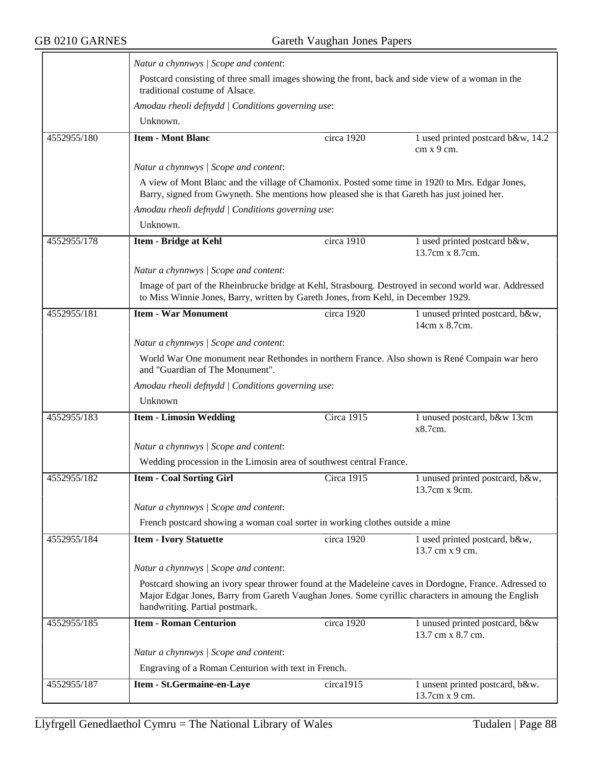|             | Natur a chynnwys / Scope and content:                                                                                                                                                                                                         |                                                   |                                                                                                       |  |  |  |
|-------------|-----------------------------------------------------------------------------------------------------------------------------------------------------------------------------------------------------------------------------------------------|---------------------------------------------------|-------------------------------------------------------------------------------------------------------|--|--|--|
|             | Postcard consisting of three small images showing the front, back and side view of a woman in the<br>traditional costume of Alsace.                                                                                                           |                                                   |                                                                                                       |  |  |  |
|             | Amodau rheoli defnydd   Conditions governing use:                                                                                                                                                                                             |                                                   |                                                                                                       |  |  |  |
|             | Unknown.                                                                                                                                                                                                                                      |                                                   |                                                                                                       |  |  |  |
| 4552955/180 | <b>Item - Mont Blanc</b>                                                                                                                                                                                                                      | circa 1920                                        | 1 used printed postcard b&w, 14.2<br>cm x 9 cm.                                                       |  |  |  |
|             | Natur a chynnwys / Scope and content:                                                                                                                                                                                                         |                                                   |                                                                                                       |  |  |  |
|             | A view of Mont Blanc and the village of Chamonix. Posted some time in 1920 to Mrs. Edgar Jones,<br>Barry, signed from Gwyneth. She mentions how pleased she is that Gareth has just joined her.                                               |                                                   |                                                                                                       |  |  |  |
|             | Amodau rheoli defnydd   Conditions governing use:                                                                                                                                                                                             |                                                   |                                                                                                       |  |  |  |
|             | Unknown.                                                                                                                                                                                                                                      |                                                   |                                                                                                       |  |  |  |
| 4552955/178 | <b>Item - Bridge at Kehl</b>                                                                                                                                                                                                                  | circa 1910                                        | 1 used printed postcard b&w,<br>13.7cm x 8.7cm.                                                       |  |  |  |
|             | Natur a chynnwys / Scope and content:                                                                                                                                                                                                         |                                                   |                                                                                                       |  |  |  |
|             | to Miss Winnie Jones, Barry, written by Gareth Jones, from Kehl, in December 1929.                                                                                                                                                            |                                                   | Image of part of the Rheinbrucke bridge at Kehl, Strasbourg. Destroyed in second world war. Addressed |  |  |  |
| 4552955/181 | <b>Item - War Monument</b>                                                                                                                                                                                                                    | circa 1920                                        | 1 unused printed postcard, b&w,<br>14cm x 8.7cm.                                                      |  |  |  |
|             | Natur a chynnwys / Scope and content:                                                                                                                                                                                                         |                                                   |                                                                                                       |  |  |  |
|             | World War One monument near Rethondes in northern France. Also shown is René Compain war hero<br>and "Guardian of The Monument".                                                                                                              |                                                   |                                                                                                       |  |  |  |
|             |                                                                                                                                                                                                                                               | Amodau rheoli defnydd   Conditions governing use: |                                                                                                       |  |  |  |
|             | Unknown                                                                                                                                                                                                                                       |                                                   |                                                                                                       |  |  |  |
| 4552955/183 | <b>Item - Limosin Wedding</b>                                                                                                                                                                                                                 | <b>Circa 1915</b>                                 | 1 unused postcard, b&w 13cm<br>x8.7cm.                                                                |  |  |  |
|             | Natur a chynnwys / Scope and content:                                                                                                                                                                                                         |                                                   |                                                                                                       |  |  |  |
|             | Wedding procession in the Limosin area of southwest central France.                                                                                                                                                                           |                                                   |                                                                                                       |  |  |  |
| 4552955/182 | <b>Item - Coal Sorting Girl</b>                                                                                                                                                                                                               | <b>Circa 1915</b>                                 | 1 unused printed postcard, b&w,<br>13.7cm x 9cm.                                                      |  |  |  |
|             | Natur a chynnwys / Scope and content:                                                                                                                                                                                                         |                                                   |                                                                                                       |  |  |  |
|             | French postcard showing a woman coal sorter in working clothes outside a mine                                                                                                                                                                 |                                                   |                                                                                                       |  |  |  |
| 4552955/184 | <b>Item - Ivory Statuette</b>                                                                                                                                                                                                                 | circa 1920                                        | 1 used printed postcard, b&w,<br>13.7 cm x 9 cm.                                                      |  |  |  |
|             | Natur a chynnwys / Scope and content:                                                                                                                                                                                                         |                                                   |                                                                                                       |  |  |  |
|             | Postcard showing an ivory spear thrower found at the Madeleine caves in Dordogne, France. Adressed to<br>Major Edgar Jones, Barry from Gareth Vaughan Jones. Some cyrillic characters in amoung the English<br>handwriting. Partial postmark. |                                                   |                                                                                                       |  |  |  |
| 4552955/185 | <b>Item - Roman Centurion</b>                                                                                                                                                                                                                 | circa 1920                                        | 1 unused printed postcard, b&w<br>13.7 cm x 8.7 cm.                                                   |  |  |  |
|             | Natur a chynnwys / Scope and content:                                                                                                                                                                                                         |                                                   |                                                                                                       |  |  |  |
|             | Engraving of a Roman Centurion with text in French.                                                                                                                                                                                           |                                                   |                                                                                                       |  |  |  |
| 4552955/187 | Item - St.Germaine-en-Laye                                                                                                                                                                                                                    | circa1915                                         | 1 unsent printed postcard, b&w.<br>13.7cm x 9 cm.                                                     |  |  |  |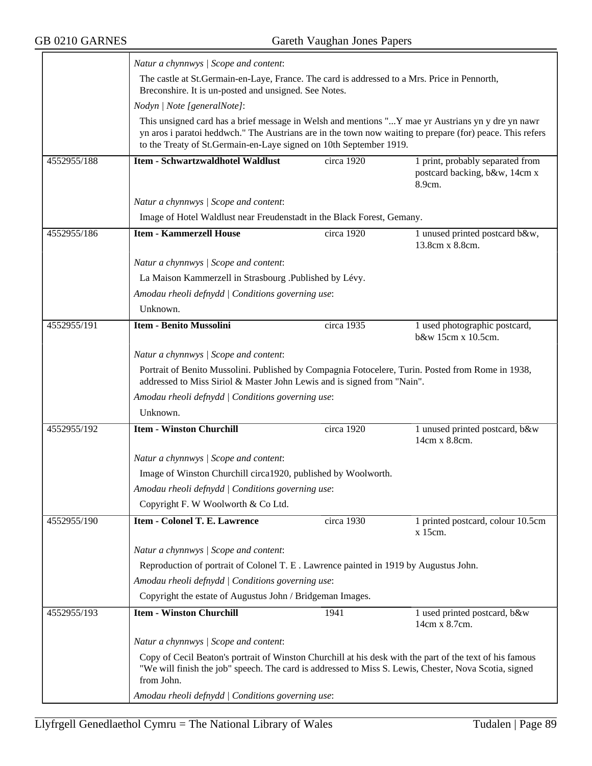|             | Natur a chynnwys / Scope and content:                                                                                                                                                                                                                                                |                                                                                                                                                                                                                   |                                                                             |  |  |  |
|-------------|--------------------------------------------------------------------------------------------------------------------------------------------------------------------------------------------------------------------------------------------------------------------------------------|-------------------------------------------------------------------------------------------------------------------------------------------------------------------------------------------------------------------|-----------------------------------------------------------------------------|--|--|--|
|             | The castle at St.Germain-en-Laye, France. The card is addressed to a Mrs. Price in Pennorth,<br>Breconshire. It is un-posted and unsigned. See Notes.                                                                                                                                |                                                                                                                                                                                                                   |                                                                             |  |  |  |
|             | Nodyn   Note [generalNote]:                                                                                                                                                                                                                                                          |                                                                                                                                                                                                                   |                                                                             |  |  |  |
|             | This unsigned card has a brief message in Welsh and mentions "Y mae yr Austrians yn y dre yn nawr<br>yn aros i paratoi heddwch." The Austrians are in the town now waiting to prepare (for) peace. This refers<br>to the Treaty of St.Germain-en-Laye signed on 10th September 1919. |                                                                                                                                                                                                                   |                                                                             |  |  |  |
| 4552955/188 | <b>Item - Schwartzwaldhotel Waldlust</b>                                                                                                                                                                                                                                             | circa 1920                                                                                                                                                                                                        | 1 print, probably separated from<br>postcard backing, b&w, 14cm x<br>8.9cm. |  |  |  |
|             | Natur a chynnwys / Scope and content:                                                                                                                                                                                                                                                |                                                                                                                                                                                                                   |                                                                             |  |  |  |
|             | Image of Hotel Waldlust near Freudenstadt in the Black Forest, Gemany.                                                                                                                                                                                                               |                                                                                                                                                                                                                   |                                                                             |  |  |  |
| 4552955/186 | <b>Item - Kammerzell House</b>                                                                                                                                                                                                                                                       | circa 1920                                                                                                                                                                                                        | 1 unused printed postcard b&w,<br>13.8cm x 8.8cm.                           |  |  |  |
|             | Natur a chynnwys / Scope and content:                                                                                                                                                                                                                                                |                                                                                                                                                                                                                   |                                                                             |  |  |  |
|             | La Maison Kammerzell in Strasbourg .Published by Lévy.                                                                                                                                                                                                                               |                                                                                                                                                                                                                   |                                                                             |  |  |  |
|             | Amodau rheoli defnydd   Conditions governing use:                                                                                                                                                                                                                                    |                                                                                                                                                                                                                   |                                                                             |  |  |  |
|             | Unknown.                                                                                                                                                                                                                                                                             |                                                                                                                                                                                                                   |                                                                             |  |  |  |
| 4552955/191 | <b>Item - Benito Mussolini</b>                                                                                                                                                                                                                                                       | circa 1935                                                                                                                                                                                                        | 1 used photographic postcard,<br>b&w 15cm x 10.5cm.                         |  |  |  |
|             | Natur a chynnwys / Scope and content:                                                                                                                                                                                                                                                |                                                                                                                                                                                                                   |                                                                             |  |  |  |
|             |                                                                                                                                                                                                                                                                                      | Portrait of Benito Mussolini. Published by Compagnia Fotocelere, Turin. Posted from Rome in 1938,<br>addressed to Miss Siriol & Master John Lewis and is signed from "Nain".                                      |                                                                             |  |  |  |
|             | Amodau rheoli defnydd   Conditions governing use:                                                                                                                                                                                                                                    |                                                                                                                                                                                                                   |                                                                             |  |  |  |
|             | Unknown.                                                                                                                                                                                                                                                                             |                                                                                                                                                                                                                   |                                                                             |  |  |  |
| 4552955/192 | <b>Item - Winston Churchill</b>                                                                                                                                                                                                                                                      | circa 1920                                                                                                                                                                                                        | 1 unused printed postcard, b&w<br>14cm x 8.8cm.                             |  |  |  |
|             | Natur a chynnwys / Scope and content:                                                                                                                                                                                                                                                |                                                                                                                                                                                                                   |                                                                             |  |  |  |
|             | Image of Winston Churchill circa1920, published by Woolworth.                                                                                                                                                                                                                        |                                                                                                                                                                                                                   |                                                                             |  |  |  |
|             | Amodau rheoli defnydd   Conditions governing use:                                                                                                                                                                                                                                    |                                                                                                                                                                                                                   |                                                                             |  |  |  |
|             | Copyright F. W Woolworth & Co Ltd.                                                                                                                                                                                                                                                   |                                                                                                                                                                                                                   |                                                                             |  |  |  |
| 4552955/190 | <b>Item - Colonel T. E. Lawrence</b>                                                                                                                                                                                                                                                 | circa 1930                                                                                                                                                                                                        | 1 printed postcard, colour 10.5cm<br>x 15cm.                                |  |  |  |
|             | Natur a chynnwys / Scope and content:                                                                                                                                                                                                                                                |                                                                                                                                                                                                                   |                                                                             |  |  |  |
|             | Reproduction of portrait of Colonel T. E. Lawrence painted in 1919 by Augustus John.                                                                                                                                                                                                 |                                                                                                                                                                                                                   |                                                                             |  |  |  |
|             |                                                                                                                                                                                                                                                                                      | Amodau rheoli defnydd / Conditions governing use:                                                                                                                                                                 |                                                                             |  |  |  |
|             | Copyright the estate of Augustus John / Bridgeman Images.                                                                                                                                                                                                                            |                                                                                                                                                                                                                   |                                                                             |  |  |  |
| 4552955/193 | <b>Item - Winston Churchill</b>                                                                                                                                                                                                                                                      | 1941                                                                                                                                                                                                              | 1 used printed postcard, b&w<br>14cm x 8.7cm.                               |  |  |  |
|             | Natur a chynnwys / Scope and content:                                                                                                                                                                                                                                                |                                                                                                                                                                                                                   |                                                                             |  |  |  |
|             | from John.                                                                                                                                                                                                                                                                           | Copy of Cecil Beaton's portrait of Winston Churchill at his desk with the part of the text of his famous<br>"We will finish the job" speech. The card is addressed to Miss S. Lewis, Chester, Nova Scotia, signed |                                                                             |  |  |  |
|             | Amodau rheoli defnydd   Conditions governing use:                                                                                                                                                                                                                                    |                                                                                                                                                                                                                   |                                                                             |  |  |  |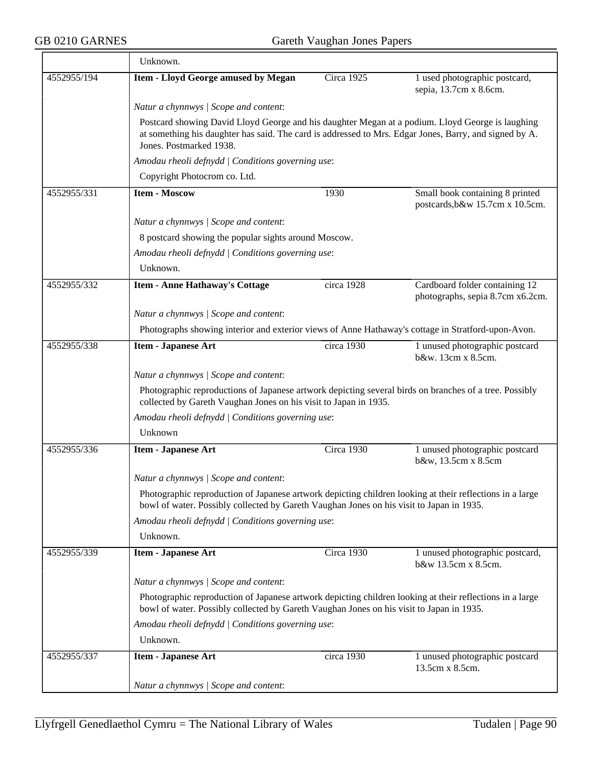$\overline{\phantom{a}}$ 

|             | Unknown.                                                                                                                                                                                                                              |            |                                                                    |  |  |
|-------------|---------------------------------------------------------------------------------------------------------------------------------------------------------------------------------------------------------------------------------------|------------|--------------------------------------------------------------------|--|--|
| 4552955/194 | <b>Item - Lloyd George amused by Megan</b>                                                                                                                                                                                            | Circa 1925 | 1 used photographic postcard,<br>sepia, 13.7cm x 8.6cm.            |  |  |
|             | Natur a chynnwys / Scope and content:                                                                                                                                                                                                 |            |                                                                    |  |  |
|             | Postcard showing David Lloyd George and his daughter Megan at a podium. Lloyd George is laughing<br>at something his daughter has said. The card is addressed to Mrs. Edgar Jones, Barry, and signed by A.<br>Jones. Postmarked 1938. |            |                                                                    |  |  |
|             | Amodau rheoli defnydd   Conditions governing use:                                                                                                                                                                                     |            |                                                                    |  |  |
|             | Copyright Photocrom co. Ltd.                                                                                                                                                                                                          |            |                                                                    |  |  |
| 4552955/331 | <b>Item - Moscow</b>                                                                                                                                                                                                                  | 1930       | Small book containing 8 printed<br>postcards, b&w 15.7cm x 10.5cm. |  |  |
|             | Natur a chynnwys / Scope and content:                                                                                                                                                                                                 |            |                                                                    |  |  |
|             | 8 postcard showing the popular sights around Moscow.                                                                                                                                                                                  |            |                                                                    |  |  |
|             | Amodau rheoli defnydd   Conditions governing use:                                                                                                                                                                                     |            |                                                                    |  |  |
|             | Unknown.                                                                                                                                                                                                                              |            |                                                                    |  |  |
| 4552955/332 | <b>Item - Anne Hathaway's Cottage</b>                                                                                                                                                                                                 | circa 1928 | Cardboard folder containing 12<br>photographs, sepia 8.7cm x6.2cm. |  |  |
|             | Natur a chynnwys / Scope and content:                                                                                                                                                                                                 |            |                                                                    |  |  |
|             | Photographs showing interior and exterior views of Anne Hathaway's cottage in Stratford-upon-Avon.                                                                                                                                    |            |                                                                    |  |  |
| 4552955/338 | <b>Item - Japanese Art</b>                                                                                                                                                                                                            | circa 1930 | 1 unused photographic postcard<br>b&w. 13cm x 8.5cm.               |  |  |
|             | Natur a chynnwys / Scope and content:                                                                                                                                                                                                 |            |                                                                    |  |  |
|             | Photographic reproductions of Japanese artwork depicting several birds on branches of a tree. Possibly<br>collected by Gareth Vaughan Jones on his visit to Japan in 1935.                                                            |            |                                                                    |  |  |
|             | Amodau rheoli defnydd   Conditions governing use:                                                                                                                                                                                     |            |                                                                    |  |  |
|             | Unknown                                                                                                                                                                                                                               |            |                                                                    |  |  |
| 4552955/336 | Item - Japanese Art                                                                                                                                                                                                                   | Circa 1930 | 1 unused photographic postcard<br>b&w, 13.5cm x 8.5cm              |  |  |
|             | Natur a chynnwys / Scope and content:                                                                                                                                                                                                 |            |                                                                    |  |  |
|             | Photographic reproduction of Japanese artwork depicting children looking at their reflections in a large<br>bowl of water. Possibly collected by Gareth Vaughan Jones on his visit to Japan in 1935.                                  |            |                                                                    |  |  |
|             | Amodau rheoli defnydd   Conditions governing use:                                                                                                                                                                                     |            |                                                                    |  |  |
|             | Unknown.                                                                                                                                                                                                                              |            |                                                                    |  |  |
| 4552955/339 | <b>Item - Japanese Art</b>                                                                                                                                                                                                            | Circa 1930 | 1 unused photographic postcard,<br>b&w 13.5cm x 8.5cm.             |  |  |
|             | Natur a chynnwys / Scope and content:                                                                                                                                                                                                 |            |                                                                    |  |  |
|             | Photographic reproduction of Japanese artwork depicting children looking at their reflections in a large<br>bowl of water. Possibly collected by Gareth Vaughan Jones on his visit to Japan in 1935.                                  |            |                                                                    |  |  |
|             | Amodau rheoli defnydd   Conditions governing use:                                                                                                                                                                                     |            |                                                                    |  |  |
|             | Unknown.                                                                                                                                                                                                                              |            |                                                                    |  |  |
| 4552955/337 | <b>Item - Japanese Art</b>                                                                                                                                                                                                            | circa 1930 | 1 unused photographic postcard<br>13.5cm x 8.5cm.                  |  |  |
|             | Natur a chynnwys / Scope and content:                                                                                                                                                                                                 |            |                                                                    |  |  |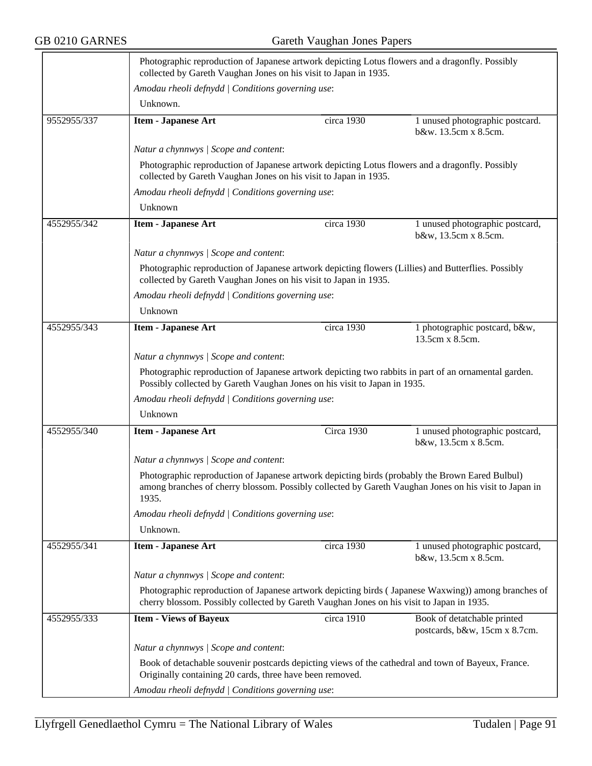|             | Photographic reproduction of Japanese artwork depicting Lotus flowers and a dragonfly. Possibly<br>collected by Gareth Vaughan Jones on his visit to Japan in 1935.                                               |            |                                                              |  |  |
|-------------|-------------------------------------------------------------------------------------------------------------------------------------------------------------------------------------------------------------------|------------|--------------------------------------------------------------|--|--|
|             | Amodau rheoli defnydd   Conditions governing use:                                                                                                                                                                 |            |                                                              |  |  |
|             | Unknown.                                                                                                                                                                                                          |            |                                                              |  |  |
| 9552955/337 | <b>Item - Japanese Art</b>                                                                                                                                                                                        | circa 1930 | 1 unused photographic postcard.<br>b&w. 13.5cm x 8.5cm.      |  |  |
|             | Natur a chynnwys / Scope and content:                                                                                                                                                                             |            |                                                              |  |  |
|             | Photographic reproduction of Japanese artwork depicting Lotus flowers and a dragonfly. Possibly<br>collected by Gareth Vaughan Jones on his visit to Japan in 1935.                                               |            |                                                              |  |  |
|             | Amodau rheoli defnydd   Conditions governing use:                                                                                                                                                                 |            |                                                              |  |  |
|             | Unknown                                                                                                                                                                                                           |            |                                                              |  |  |
| 4552955/342 | <b>Item - Japanese Art</b>                                                                                                                                                                                        | circa 1930 | 1 unused photographic postcard,<br>b&w, 13.5cm x 8.5cm.      |  |  |
|             | Natur a chynnwys / Scope and content:                                                                                                                                                                             |            |                                                              |  |  |
|             | Photographic reproduction of Japanese artwork depicting flowers (Lillies) and Butterflies. Possibly<br>collected by Gareth Vaughan Jones on his visit to Japan in 1935.                                           |            |                                                              |  |  |
|             | Amodau rheoli defnydd   Conditions governing use:                                                                                                                                                                 |            |                                                              |  |  |
|             | Unknown                                                                                                                                                                                                           |            |                                                              |  |  |
| 4552955/343 | Item - Japanese Art                                                                                                                                                                                               | circa 1930 | 1 photographic postcard, b&w,<br>13.5cm x 8.5cm.             |  |  |
|             | Natur a chynnwys / Scope and content:                                                                                                                                                                             |            |                                                              |  |  |
|             | Photographic reproduction of Japanese artwork depicting two rabbits in part of an ornamental garden.<br>Possibly collected by Gareth Vaughan Jones on his visit to Japan in 1935.                                 |            |                                                              |  |  |
|             | Amodau rheoli defnydd / Conditions governing use:                                                                                                                                                                 |            |                                                              |  |  |
|             | Unknown                                                                                                                                                                                                           |            |                                                              |  |  |
| 4552955/340 | <b>Item - Japanese Art</b>                                                                                                                                                                                        | Circa 1930 | 1 unused photographic postcard,<br>b&w, 13.5cm x 8.5cm.      |  |  |
|             | Natur a chynnwys / Scope and content:                                                                                                                                                                             |            |                                                              |  |  |
|             | Photographic reproduction of Japanese artwork depicting birds (probably the Brown Eared Bulbul)<br>among branches of cherry blossom. Possibly collected by Gareth Vaughan Jones on his visit to Japan in<br>1935. |            |                                                              |  |  |
|             | Amodau rheoli defnydd   Conditions governing use:                                                                                                                                                                 |            |                                                              |  |  |
|             | Unknown.                                                                                                                                                                                                          |            |                                                              |  |  |
| 4552955/341 | <b>Item - Japanese Art</b>                                                                                                                                                                                        | circa 1930 | 1 unused photographic postcard,<br>b&w, 13.5cm x 8.5cm.      |  |  |
|             | Natur a chynnwys / Scope and content:                                                                                                                                                                             |            |                                                              |  |  |
|             | Photographic reproduction of Japanese artwork depicting birds (Japanese Waxwing)) among branches of<br>cherry blossom. Possibly collected by Gareth Vaughan Jones on his visit to Japan in 1935.                  |            |                                                              |  |  |
| 4552955/333 | <b>Item - Views of Bayeux</b>                                                                                                                                                                                     | circa 1910 | Book of detatchable printed<br>postcards, b&w, 15cm x 8.7cm. |  |  |
|             | Natur a chynnwys / Scope and content:                                                                                                                                                                             |            |                                                              |  |  |
|             | Book of detachable souvenir postcards depicting views of the cathedral and town of Bayeux, France.<br>Originally containing 20 cards, three have been removed.                                                    |            |                                                              |  |  |
|             | Amodau rheoli defnydd   Conditions governing use:                                                                                                                                                                 |            |                                                              |  |  |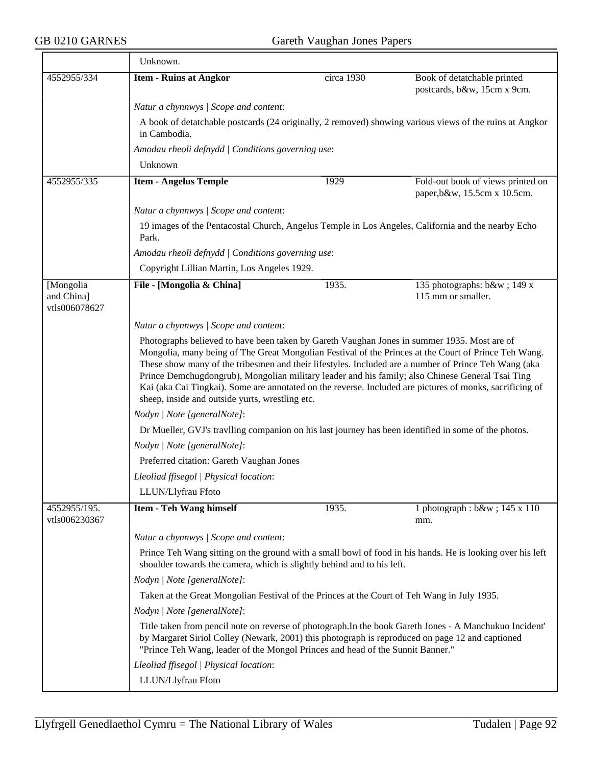|                                          | Unknown.                                                                                                                                                                                                                                                                                                                                                                                                                                                                        |            |                                                                                                         |  |  |
|------------------------------------------|---------------------------------------------------------------------------------------------------------------------------------------------------------------------------------------------------------------------------------------------------------------------------------------------------------------------------------------------------------------------------------------------------------------------------------------------------------------------------------|------------|---------------------------------------------------------------------------------------------------------|--|--|
| 4552955/334                              | <b>Item - Ruins at Angkor</b>                                                                                                                                                                                                                                                                                                                                                                                                                                                   | circa 1930 | Book of detatchable printed<br>postcards, b&w, 15cm x 9cm.                                              |  |  |
|                                          | Natur a chynnwys / Scope and content:                                                                                                                                                                                                                                                                                                                                                                                                                                           |            |                                                                                                         |  |  |
|                                          | in Cambodia.                                                                                                                                                                                                                                                                                                                                                                                                                                                                    |            | A book of detatchable postcards (24 originally, 2 removed) showing various views of the ruins at Angkor |  |  |
|                                          | Amodau rheoli defnydd   Conditions governing use:                                                                                                                                                                                                                                                                                                                                                                                                                               |            |                                                                                                         |  |  |
|                                          | Unknown                                                                                                                                                                                                                                                                                                                                                                                                                                                                         |            |                                                                                                         |  |  |
| 4552955/335                              | <b>Item - Angelus Temple</b>                                                                                                                                                                                                                                                                                                                                                                                                                                                    | 1929       | Fold-out book of views printed on<br>paper, b&w, 15.5cm x 10.5cm.                                       |  |  |
|                                          | Natur a chynnwys / Scope and content:                                                                                                                                                                                                                                                                                                                                                                                                                                           |            |                                                                                                         |  |  |
|                                          | Park.                                                                                                                                                                                                                                                                                                                                                                                                                                                                           |            | 19 images of the Pentacostal Church, Angelus Temple in Los Angeles, California and the nearby Echo      |  |  |
|                                          | Amodau rheoli defnydd   Conditions governing use:                                                                                                                                                                                                                                                                                                                                                                                                                               |            |                                                                                                         |  |  |
|                                          | Copyright Lillian Martin, Los Angeles 1929.                                                                                                                                                                                                                                                                                                                                                                                                                                     |            |                                                                                                         |  |  |
| [Mongolia<br>and China]<br>vtls006078627 | File - [Mongolia & China]                                                                                                                                                                                                                                                                                                                                                                                                                                                       | 1935.      | 135 photographs: b&w 149 x<br>115 mm or smaller.                                                        |  |  |
|                                          | Natur a chynnwys / Scope and content:                                                                                                                                                                                                                                                                                                                                                                                                                                           |            |                                                                                                         |  |  |
|                                          | Mongolia, many being of The Great Mongolian Festival of the Princes at the Court of Prince Teh Wang.<br>These show many of the tribesmen and their lifestyles. Included are a number of Prince Teh Wang (aka<br>Prince Demchugdongrub), Mongolian military leader and his family; also Chinese General Tsai Ting<br>Kai (aka Cai Tingkai). Some are annotated on the reverse. Included are pictures of monks, sacrificing of<br>sheep, inside and outside yurts, wrestling etc. |            |                                                                                                         |  |  |
|                                          | Nodyn   Note [generalNote]:                                                                                                                                                                                                                                                                                                                                                                                                                                                     |            |                                                                                                         |  |  |
|                                          | Dr Mueller, GVJ's travlling companion on his last journey has been identified in some of the photos.                                                                                                                                                                                                                                                                                                                                                                            |            |                                                                                                         |  |  |
|                                          | Nodyn   Note [generalNote]:                                                                                                                                                                                                                                                                                                                                                                                                                                                     |            |                                                                                                         |  |  |
|                                          | Preferred citation: Gareth Vaughan Jones                                                                                                                                                                                                                                                                                                                                                                                                                                        |            |                                                                                                         |  |  |
|                                          | Lleoliad ffisegol   Physical location:                                                                                                                                                                                                                                                                                                                                                                                                                                          |            |                                                                                                         |  |  |
|                                          | LLUN/Llyfrau Ffoto                                                                                                                                                                                                                                                                                                                                                                                                                                                              |            |                                                                                                         |  |  |
| 4552955/195.<br>vtls006230367            | <b>Item - Teh Wang himself</b>                                                                                                                                                                                                                                                                                                                                                                                                                                                  | 1935.      | 1 photograph : b&w ; 145 x 110<br>mm.                                                                   |  |  |
|                                          | Natur a chynnwys / Scope and content:                                                                                                                                                                                                                                                                                                                                                                                                                                           |            |                                                                                                         |  |  |
|                                          | Prince Teh Wang sitting on the ground with a small bowl of food in his hands. He is looking over his left<br>shoulder towards the camera, which is slightly behind and to his left.                                                                                                                                                                                                                                                                                             |            |                                                                                                         |  |  |
|                                          | Nodyn   Note [generalNote]:                                                                                                                                                                                                                                                                                                                                                                                                                                                     |            |                                                                                                         |  |  |
|                                          | Taken at the Great Mongolian Festival of the Princes at the Court of Teh Wang in July 1935.                                                                                                                                                                                                                                                                                                                                                                                     |            |                                                                                                         |  |  |
|                                          | Nodyn   Note [generalNote]:                                                                                                                                                                                                                                                                                                                                                                                                                                                     |            |                                                                                                         |  |  |
|                                          | by Margaret Siriol Colley (Newark, 2001) this photograph is reproduced on page 12 and captioned<br>"Prince Teh Wang, leader of the Mongol Princes and head of the Sunnit Banner."                                                                                                                                                                                                                                                                                               |            | Title taken from pencil note on reverse of photograph. In the book Gareth Jones - A Manchukuo Incident' |  |  |
|                                          | Lleoliad ffisegol   Physical location:                                                                                                                                                                                                                                                                                                                                                                                                                                          |            |                                                                                                         |  |  |
|                                          | LLUN/Llyfrau Ffoto                                                                                                                                                                                                                                                                                                                                                                                                                                                              |            |                                                                                                         |  |  |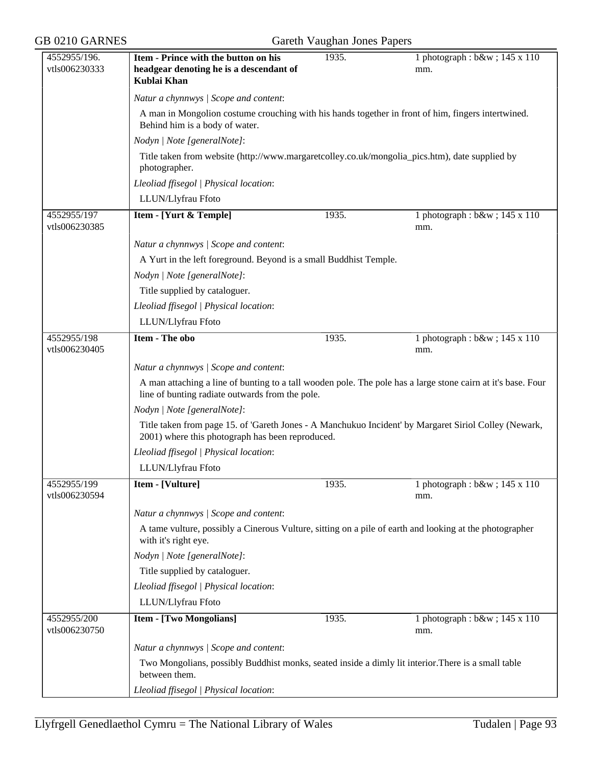| 4552955/196.                 | Item - Prince with the button on his                                                                                                                      | 1935. | 1 photograph : b&w ; 145 x 110                                                                               |  |  |
|------------------------------|-----------------------------------------------------------------------------------------------------------------------------------------------------------|-------|--------------------------------------------------------------------------------------------------------------|--|--|
| vtls006230333                | headgear denoting he is a descendant of<br>Kublai Khan                                                                                                    |       | mm.                                                                                                          |  |  |
|                              | Natur a chynnwys / Scope and content:                                                                                                                     |       |                                                                                                              |  |  |
|                              | A man in Mongolion costume crouching with his hands together in front of him, fingers intertwined.<br>Behind him is a body of water.                      |       |                                                                                                              |  |  |
|                              | Nodyn   Note [generalNote]:                                                                                                                               |       |                                                                                                              |  |  |
|                              | Title taken from website (http://www.margaretcolley.co.uk/mongolia_pics.htm), date supplied by<br>photographer.                                           |       |                                                                                                              |  |  |
|                              | Lleoliad ffisegol   Physical location:                                                                                                                    |       |                                                                                                              |  |  |
|                              | LLUN/Llyfrau Ffoto                                                                                                                                        |       |                                                                                                              |  |  |
| 4552955/197<br>vtls006230385 | Item - [Yurt & Temple]                                                                                                                                    | 1935. | 1 photograph : b&w ; 145 x 110<br>mm.                                                                        |  |  |
|                              | Natur a chynnwys / Scope and content:                                                                                                                     |       |                                                                                                              |  |  |
|                              | A Yurt in the left foreground. Beyond is a small Buddhist Temple.                                                                                         |       |                                                                                                              |  |  |
|                              | Nodyn   Note [generalNote]:                                                                                                                               |       |                                                                                                              |  |  |
|                              | Title supplied by cataloguer.                                                                                                                             |       |                                                                                                              |  |  |
|                              | Lleoliad ffisegol   Physical location:                                                                                                                    |       |                                                                                                              |  |  |
|                              | LLUN/Llyfrau Ffoto                                                                                                                                        |       |                                                                                                              |  |  |
| 4552955/198<br>vtls006230405 | <b>Item - The obo</b>                                                                                                                                     | 1935. | 1 photograph : $b$ &w ; 145 x 110<br>mm.                                                                     |  |  |
|                              | Natur a chynnwys / Scope and content:                                                                                                                     |       |                                                                                                              |  |  |
|                              | line of bunting radiate outwards from the pole.                                                                                                           |       | A man attaching a line of bunting to a tall wooden pole. The pole has a large stone cairn at it's base. Four |  |  |
|                              | Nodyn   Note [generalNote]:                                                                                                                               |       |                                                                                                              |  |  |
|                              | Title taken from page 15. of 'Gareth Jones - A Manchukuo Incident' by Margaret Siriol Colley (Newark,<br>2001) where this photograph has been reproduced. |       |                                                                                                              |  |  |
|                              | Lleoliad ffisegol   Physical location:                                                                                                                    |       |                                                                                                              |  |  |
|                              | LLUN/Llyfrau Ffoto                                                                                                                                        |       |                                                                                                              |  |  |
| 4552955/199<br>vtls006230594 | Item - [Vulture]                                                                                                                                          | 1935. | 1 photograph : $b$ &w ; 145 x 110<br>mm.                                                                     |  |  |
|                              | Natur a chynnwys / Scope and content:                                                                                                                     |       |                                                                                                              |  |  |
|                              | A tame vulture, possibly a Cinerous Vulture, sitting on a pile of earth and looking at the photographer<br>with it's right eye.                           |       |                                                                                                              |  |  |
|                              | Nodyn   Note [generalNote]:                                                                                                                               |       |                                                                                                              |  |  |
|                              | Title supplied by cataloguer.                                                                                                                             |       |                                                                                                              |  |  |
|                              | Lleoliad ffisegol   Physical location:                                                                                                                    |       |                                                                                                              |  |  |
|                              | LLUN/Llyfrau Ffoto                                                                                                                                        |       |                                                                                                              |  |  |
| 4552955/200<br>vtls006230750 | <b>Item - [Two Mongolians]</b>                                                                                                                            | 1935. | 1 photograph : b&w ; 145 x 110<br>mm.                                                                        |  |  |
|                              | Natur a chynnwys / Scope and content:                                                                                                                     |       |                                                                                                              |  |  |
|                              | Two Mongolians, possibly Buddhist monks, seated inside a dimly lit interior. There is a small table<br>between them.                                      |       |                                                                                                              |  |  |
|                              | Lleoliad ffisegol   Physical location:                                                                                                                    |       |                                                                                                              |  |  |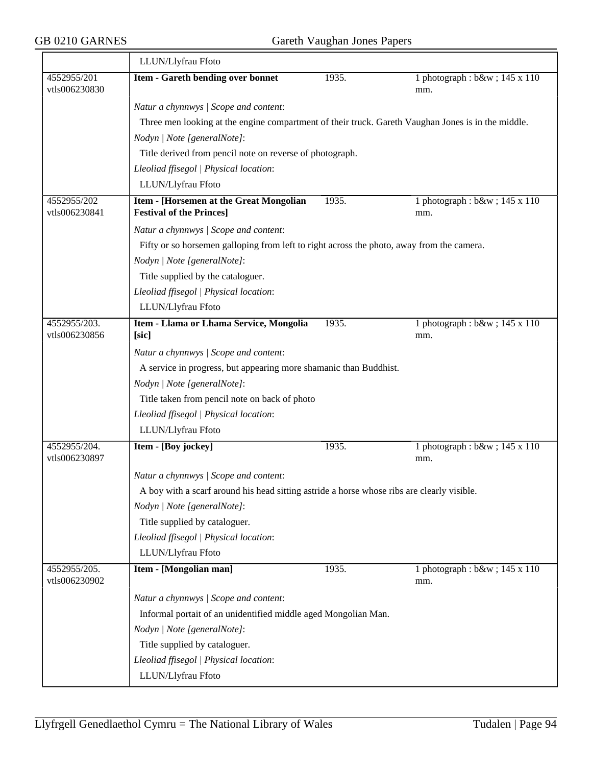|                               | LLUN/Llyfrau Ffoto                                                                                 |       |                                       |  |  |
|-------------------------------|----------------------------------------------------------------------------------------------------|-------|---------------------------------------|--|--|
| 4552955/201<br>vtls006230830  | Item - Gareth bending over bonnet                                                                  | 1935. | 1 photograph : b&w ; 145 x 110<br>mm. |  |  |
|                               | Natur a chynnwys / Scope and content:                                                              |       |                                       |  |  |
|                               | Three men looking at the engine compartment of their truck. Gareth Vaughan Jones is in the middle. |       |                                       |  |  |
|                               | Nodyn   Note [generalNote]:                                                                        |       |                                       |  |  |
|                               | Title derived from pencil note on reverse of photograph.                                           |       |                                       |  |  |
|                               | Lleoliad ffisegol   Physical location:                                                             |       |                                       |  |  |
|                               | LLUN/Llyfrau Ffoto                                                                                 |       |                                       |  |  |
| 4552955/202<br>vtls006230841  | Item - [Horsemen at the Great Mongolian<br><b>Festival of the Princes]</b>                         | 1935. | 1 photograph : b&w ; 145 x 110<br>mm. |  |  |
|                               | Natur a chynnwys / Scope and content:                                                              |       |                                       |  |  |
|                               | Fifty or so horsemen galloping from left to right across the photo, away from the camera.          |       |                                       |  |  |
|                               | Nodyn   Note [generalNote]:                                                                        |       |                                       |  |  |
|                               | Title supplied by the cataloguer.                                                                  |       |                                       |  |  |
|                               | Lleoliad ffisegol   Physical location:                                                             |       |                                       |  |  |
|                               | LLUN/Llyfrau Ffoto                                                                                 |       |                                       |  |  |
| 4552955/203.                  | Item - Llama or Lhama Service, Mongolia                                                            | 1935. | 1 photograph : $b$ &w ; 145 x 110     |  |  |
| vtls006230856                 | [sic]                                                                                              |       | mm.                                   |  |  |
|                               | Natur a chynnwys / Scope and content:                                                              |       |                                       |  |  |
|                               | A service in progress, but appearing more shamanic than Buddhist.                                  |       |                                       |  |  |
|                               | Nodyn   Note [generalNote]:                                                                        |       |                                       |  |  |
|                               | Title taken from pencil note on back of photo                                                      |       |                                       |  |  |
|                               | Lleoliad ffisegol   Physical location:                                                             |       |                                       |  |  |
|                               | LLUN/Llyfrau Ffoto                                                                                 |       |                                       |  |  |
| 4552955/204.<br>vtls006230897 | Item - [Boy jockey]                                                                                | 1935. | 1 photograph : b&w ; 145 x 110<br>mm. |  |  |
|                               | Natur a chynnwys / Scope and content:                                                              |       |                                       |  |  |
|                               | A boy with a scarf around his head sitting astride a horse whose ribs are clearly visible.         |       |                                       |  |  |
|                               | Nodyn   Note [generalNote]:                                                                        |       |                                       |  |  |
|                               | Title supplied by cataloguer.                                                                      |       |                                       |  |  |
|                               | Lleoliad ffisegol   Physical location:                                                             |       |                                       |  |  |
|                               | LLUN/Llyfrau Ffoto                                                                                 |       |                                       |  |  |
| 4552955/205.<br>vtls006230902 | <b>Item - [Mongolian man]</b>                                                                      | 1935. | 1 photograph : b&w ; 145 x 110<br>mm. |  |  |
|                               | Natur a chynnwys / Scope and content:                                                              |       |                                       |  |  |
|                               | Informal portait of an unidentified middle aged Mongolian Man.                                     |       |                                       |  |  |
|                               | Nodyn   Note [generalNote]:                                                                        |       |                                       |  |  |
|                               | Title supplied by cataloguer.                                                                      |       |                                       |  |  |
|                               | Lleoliad ffisegol   Physical location:                                                             |       |                                       |  |  |
|                               | LLUN/Llyfrau Ffoto                                                                                 |       |                                       |  |  |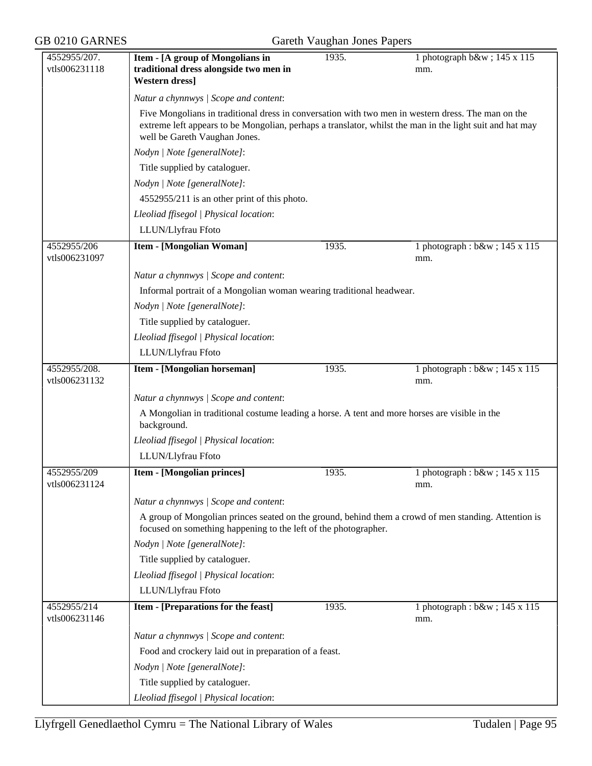| 4552955/207.                 | Item - [A group of Mongolians in                                                                                                                                        | 1935. | 1 photograph b&w 145 x 115            |  |  |
|------------------------------|-------------------------------------------------------------------------------------------------------------------------------------------------------------------------|-------|---------------------------------------|--|--|
| vtls006231118                | traditional dress alongside two men in                                                                                                                                  |       | mm.                                   |  |  |
|                              | <b>Western dress</b> ]                                                                                                                                                  |       |                                       |  |  |
|                              | Natur a chynnwys / Scope and content:                                                                                                                                   |       |                                       |  |  |
|                              | Five Mongolians in traditional dress in conversation with two men in western dress. The man on the                                                                      |       |                                       |  |  |
|                              | extreme left appears to be Mongolian, perhaps a translator, whilst the man in the light suit and hat may<br>well be Gareth Vaughan Jones.                               |       |                                       |  |  |
|                              | Nodyn   Note [generalNote]:                                                                                                                                             |       |                                       |  |  |
|                              | Title supplied by cataloguer.                                                                                                                                           |       |                                       |  |  |
|                              | Nodyn   Note [generalNote]:                                                                                                                                             |       |                                       |  |  |
|                              | 4552955/211 is an other print of this photo.                                                                                                                            |       |                                       |  |  |
|                              | Lleoliad ffisegol   Physical location:                                                                                                                                  |       |                                       |  |  |
|                              | LLUN/Llyfrau Ffoto                                                                                                                                                      |       |                                       |  |  |
| 4552955/206<br>vtls006231097 | <b>Item - [Mongolian Woman]</b>                                                                                                                                         | 1935. | 1 photograph : b&w ; 145 x 115<br>mm. |  |  |
|                              | Natur a chynnwys / Scope and content:                                                                                                                                   |       |                                       |  |  |
|                              | Informal portrait of a Mongolian woman wearing traditional headwear.                                                                                                    |       |                                       |  |  |
|                              | Nodyn   Note [generalNote]:                                                                                                                                             |       |                                       |  |  |
|                              | Title supplied by cataloguer.                                                                                                                                           |       |                                       |  |  |
|                              | Lleoliad ffisegol   Physical location:                                                                                                                                  |       |                                       |  |  |
|                              | LLUN/Llyfrau Ffoto                                                                                                                                                      |       |                                       |  |  |
| 4552955/208.                 | Item - [Mongolian horseman]                                                                                                                                             | 1935. | 1 photograph : b&w ; 145 x 115        |  |  |
| vtls006231132                |                                                                                                                                                                         |       | mm.                                   |  |  |
|                              | Natur a chynnwys / Scope and content:                                                                                                                                   |       |                                       |  |  |
|                              | A Mongolian in traditional costume leading a horse. A tent and more horses are visible in the                                                                           |       |                                       |  |  |
|                              | background.                                                                                                                                                             |       |                                       |  |  |
|                              | Lleoliad ffisegol   Physical location:                                                                                                                                  |       |                                       |  |  |
|                              | LLUN/Llyfrau Ffoto                                                                                                                                                      |       |                                       |  |  |
| 4552955/209<br>vtls006231124 | <b>Item - [Mongolian princes]</b>                                                                                                                                       | 1935. | 1 photograph : b&w ; 145 x 115<br>mm. |  |  |
|                              | Natur a chynnwys / Scope and content:                                                                                                                                   |       |                                       |  |  |
|                              | A group of Mongolian princes seated on the ground, behind them a crowd of men standing. Attention is<br>focused on something happening to the left of the photographer. |       |                                       |  |  |
|                              | Nodyn   Note [generalNote]:                                                                                                                                             |       |                                       |  |  |
|                              | Title supplied by cataloguer.                                                                                                                                           |       |                                       |  |  |
|                              | Lleoliad ffisegol   Physical location:                                                                                                                                  |       |                                       |  |  |
|                              | LLUN/Llyfrau Ffoto                                                                                                                                                      |       |                                       |  |  |
| 4552955/214<br>vtls006231146 | Item - [Preparations for the feast]                                                                                                                                     | 1935. | 1 photograph : b&w ; 145 x 115<br>mm. |  |  |
|                              | Natur a chynnwys / Scope and content:                                                                                                                                   |       |                                       |  |  |
|                              | Food and crockery laid out in preparation of a feast.                                                                                                                   |       |                                       |  |  |
|                              | Nodyn   Note [generalNote]:                                                                                                                                             |       |                                       |  |  |
|                              | Title supplied by cataloguer.                                                                                                                                           |       |                                       |  |  |
|                              | Lleoliad ffisegol   Physical location:                                                                                                                                  |       |                                       |  |  |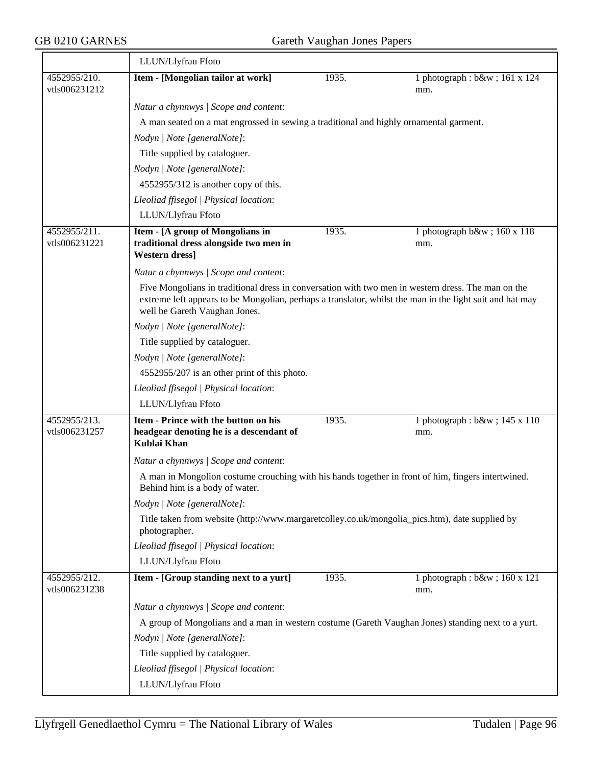|                               | LLUN/Llyfrau Ffoto                                                                                                                                                                                                                              |       |                                       |  |  |
|-------------------------------|-------------------------------------------------------------------------------------------------------------------------------------------------------------------------------------------------------------------------------------------------|-------|---------------------------------------|--|--|
| 4552955/210.<br>vtls006231212 | Item - [Mongolian tailor at work]                                                                                                                                                                                                               | 1935. | 1 photograph : b&w ; 161 x 124<br>mm. |  |  |
|                               | Natur a chynnwys / Scope and content:                                                                                                                                                                                                           |       |                                       |  |  |
|                               | A man seated on a mat engrossed in sewing a traditional and highly ornamental garment.                                                                                                                                                          |       |                                       |  |  |
|                               | Nodyn   Note [generalNote]:                                                                                                                                                                                                                     |       |                                       |  |  |
|                               | Title supplied by cataloguer.                                                                                                                                                                                                                   |       |                                       |  |  |
|                               | Nodyn   Note [generalNote]:                                                                                                                                                                                                                     |       |                                       |  |  |
|                               | 4552955/312 is another copy of this.                                                                                                                                                                                                            |       |                                       |  |  |
|                               | Lleoliad ffisegol   Physical location:                                                                                                                                                                                                          |       |                                       |  |  |
|                               | LLUN/Llyfrau Ffoto                                                                                                                                                                                                                              |       |                                       |  |  |
| 4552955/211.<br>vtls006231221 | Item - [A group of Mongolians in<br>traditional dress alongside two men in<br><b>Western dress]</b>                                                                                                                                             | 1935. | 1 photograph b&w 160 x 118<br>mm.     |  |  |
|                               | Natur a chynnwys / Scope and content:                                                                                                                                                                                                           |       |                                       |  |  |
|                               | Five Mongolians in traditional dress in conversation with two men in western dress. The man on the<br>extreme left appears to be Mongolian, perhaps a translator, whilst the man in the light suit and hat may<br>well be Gareth Vaughan Jones. |       |                                       |  |  |
|                               | Nodyn   Note [generalNote]:                                                                                                                                                                                                                     |       |                                       |  |  |
|                               | Title supplied by cataloguer.                                                                                                                                                                                                                   |       |                                       |  |  |
|                               | Nodyn   Note [generalNote]:                                                                                                                                                                                                                     |       |                                       |  |  |
|                               | 4552955/207 is an other print of this photo.                                                                                                                                                                                                    |       |                                       |  |  |
|                               | Lleoliad ffisegol   Physical location:                                                                                                                                                                                                          |       |                                       |  |  |
|                               | LLUN/Llyfrau Ffoto                                                                                                                                                                                                                              |       |                                       |  |  |
| 4552955/213.<br>vtls006231257 | Item - Prince with the button on his<br>headgear denoting he is a descendant of<br>Kublai Khan                                                                                                                                                  | 1935. | 1 photograph : b&w ; 145 x 110<br>mm. |  |  |
|                               | Natur a chynnwys / Scope and content:                                                                                                                                                                                                           |       |                                       |  |  |
|                               | A man in Mongolion costume crouching with his hands together in front of him, fingers intertwined.<br>Behind him is a body of water.                                                                                                            |       |                                       |  |  |
|                               | Nodyn   Note [generalNote]:                                                                                                                                                                                                                     |       |                                       |  |  |
|                               | Title taken from website (http://www.margaretcolley.co.uk/mongolia_pics.htm), date supplied by<br>photographer.                                                                                                                                 |       |                                       |  |  |
|                               | Lleoliad ffisegol   Physical location:                                                                                                                                                                                                          |       |                                       |  |  |
|                               | LLUN/Llyfrau Ffoto                                                                                                                                                                                                                              |       |                                       |  |  |
| 4552955/212.<br>vtls006231238 | Item - [Group standing next to a yurt]                                                                                                                                                                                                          | 1935. | 1 photograph : b&w ; 160 x 121<br>mm. |  |  |
|                               | Natur a chynnwys / Scope and content:                                                                                                                                                                                                           |       |                                       |  |  |
|                               | A group of Mongolians and a man in western costume (Gareth Vaughan Jones) standing next to a yurt.                                                                                                                                              |       |                                       |  |  |
|                               | Nodyn   Note [generalNote]:                                                                                                                                                                                                                     |       |                                       |  |  |
|                               | Title supplied by cataloguer.                                                                                                                                                                                                                   |       |                                       |  |  |
|                               | Lleoliad ffisegol   Physical location:                                                                                                                                                                                                          |       |                                       |  |  |
|                               | LLUN/Llyfrau Ffoto                                                                                                                                                                                                                              |       |                                       |  |  |
|                               |                                                                                                                                                                                                                                                 |       |                                       |  |  |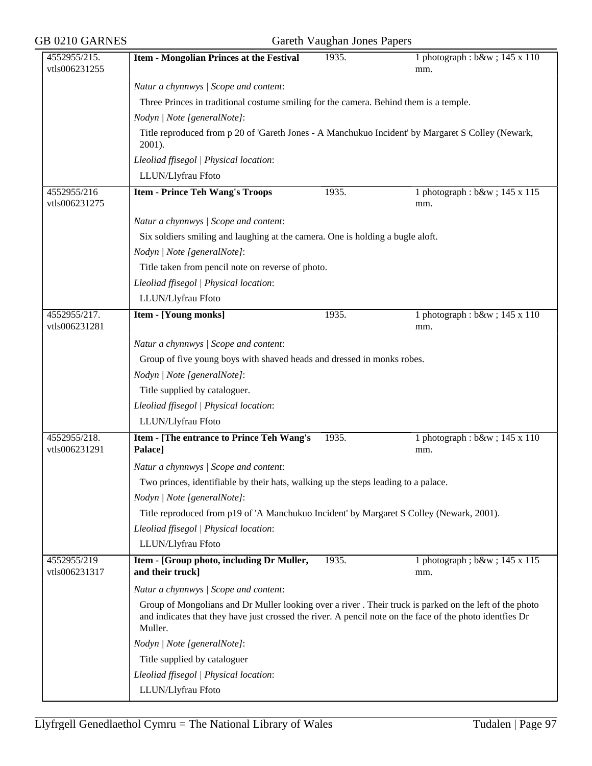| GB 0210 GARNES                | Gareth Vaughan Jones Papers                                                                                                                                                                                                    |       |                                          |  |
|-------------------------------|--------------------------------------------------------------------------------------------------------------------------------------------------------------------------------------------------------------------------------|-------|------------------------------------------|--|
| 4552955/215.<br>vtls006231255 | <b>Item - Mongolian Princes at the Festival</b>                                                                                                                                                                                | 1935. | 1 photograph : b&w ; 145 x 110<br>mm.    |  |
|                               | Natur a chynnwys / Scope and content:                                                                                                                                                                                          |       |                                          |  |
|                               | Three Princes in traditional costume smiling for the camera. Behind them is a temple.                                                                                                                                          |       |                                          |  |
|                               | Nodyn   Note [generalNote]:                                                                                                                                                                                                    |       |                                          |  |
|                               | Title reproduced from p 20 of 'Gareth Jones - A Manchukuo Incident' by Margaret S Colley (Newark,                                                                                                                              |       |                                          |  |
|                               | 2001).                                                                                                                                                                                                                         |       |                                          |  |
|                               | Lleoliad ffisegol   Physical location:                                                                                                                                                                                         |       |                                          |  |
|                               | LLUN/Llyfrau Ffoto                                                                                                                                                                                                             |       |                                          |  |
| 4552955/216<br>vtls006231275  | <b>Item - Prince Teh Wang's Troops</b>                                                                                                                                                                                         | 1935. | 1 photograph : b&w ; 145 x 115<br>mm.    |  |
|                               | Natur a chynnwys / Scope and content:                                                                                                                                                                                          |       |                                          |  |
|                               | Six soldiers smiling and laughing at the camera. One is holding a bugle aloft.                                                                                                                                                 |       |                                          |  |
|                               | Nodyn   Note [generalNote]:                                                                                                                                                                                                    |       |                                          |  |
|                               | Title taken from pencil note on reverse of photo.                                                                                                                                                                              |       |                                          |  |
|                               | Lleoliad ffisegol   Physical location:                                                                                                                                                                                         |       |                                          |  |
|                               | LLUN/Llyfrau Ffoto                                                                                                                                                                                                             |       |                                          |  |
| 4552955/217.<br>vtls006231281 | <b>Item - [Young monks]</b>                                                                                                                                                                                                    | 1935. | 1 photograph : $b$ &w ; 145 x 110<br>mm. |  |
|                               | Natur a chynnwys / Scope and content:                                                                                                                                                                                          |       |                                          |  |
|                               | Group of five young boys with shaved heads and dressed in monks robes.                                                                                                                                                         |       |                                          |  |
|                               | Nodyn   Note [generalNote]:                                                                                                                                                                                                    |       |                                          |  |
|                               | Title supplied by cataloguer.                                                                                                                                                                                                  |       |                                          |  |
|                               | Lleoliad ffisegol   Physical location:                                                                                                                                                                                         |       |                                          |  |
|                               | LLUN/Llyfrau Ffoto                                                                                                                                                                                                             |       |                                          |  |
|                               |                                                                                                                                                                                                                                |       |                                          |  |
| 4552955/218.<br>vtls006231291 | Item - [The entrance to Prince Teh Wang's<br>Palace]                                                                                                                                                                           | 1935. | 1 photograph : b&w ; 145 x 110<br>mm.    |  |
|                               | Natur a chynnwys / Scope and content:                                                                                                                                                                                          |       |                                          |  |
|                               | Two princes, identifiable by their hats, walking up the steps leading to a palace.                                                                                                                                             |       |                                          |  |
|                               | Nodyn   Note [generalNote]:                                                                                                                                                                                                    |       |                                          |  |
|                               | Title reproduced from p19 of 'A Manchukuo Incident' by Margaret S Colley (Newark, 2001).                                                                                                                                       |       |                                          |  |
|                               | Lleoliad ffisegol   Physical location:                                                                                                                                                                                         |       |                                          |  |
|                               | LLUN/Llyfrau Ffoto                                                                                                                                                                                                             |       |                                          |  |
| 4552955/219<br>vtls006231317  | Item - [Group photo, including Dr Muller,<br>and their truck]                                                                                                                                                                  | 1935. | 1 photograph; b&w 145 x 115<br>mm.       |  |
|                               | Natur a chynnwys / Scope and content:                                                                                                                                                                                          |       |                                          |  |
|                               | Group of Mongolians and Dr Muller looking over a river. Their truck is parked on the left of the photo<br>and indicates that they have just crossed the river. A pencil note on the face of the photo identities Dr<br>Muller. |       |                                          |  |
|                               | Nodyn   Note [generalNote]:                                                                                                                                                                                                    |       |                                          |  |
|                               | Title supplied by cataloguer                                                                                                                                                                                                   |       |                                          |  |
|                               | Lleoliad ffisegol   Physical location:                                                                                                                                                                                         |       |                                          |  |
|                               | LLUN/Llyfrau Ffoto                                                                                                                                                                                                             |       |                                          |  |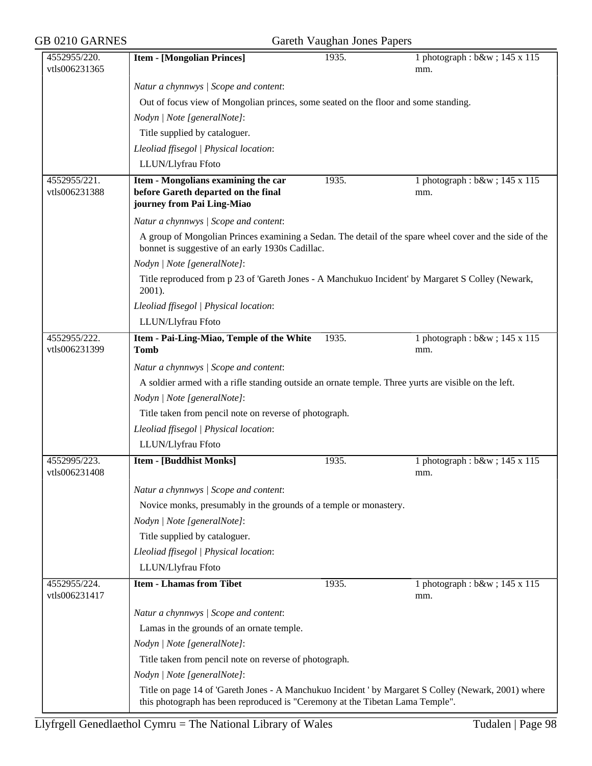| GB 0210 GARNES<br>Gareth Vaughan Jones Papers |                                                                                                             |       |                                                                                                         |  |  |
|-----------------------------------------------|-------------------------------------------------------------------------------------------------------------|-------|---------------------------------------------------------------------------------------------------------|--|--|
| 4552955/220.<br>vtls006231365                 | <b>Item - [Mongolian Princes]</b>                                                                           | 1935. | 1 photograph : b&w ; 145 x 115<br>mm.                                                                   |  |  |
|                                               | Natur a chynnwys / Scope and content:                                                                       |       |                                                                                                         |  |  |
|                                               | Out of focus view of Mongolian princes, some seated on the floor and some standing.                         |       |                                                                                                         |  |  |
|                                               | Nodyn   Note [generalNote]:                                                                                 |       |                                                                                                         |  |  |
|                                               | Title supplied by cataloguer.                                                                               |       |                                                                                                         |  |  |
|                                               | Lleoliad ffisegol   Physical location:                                                                      |       |                                                                                                         |  |  |
|                                               | LLUN/Llyfrau Ffoto                                                                                          |       |                                                                                                         |  |  |
| 4552955/221.                                  | Item - Mongolians examining the car                                                                         | 1935. | 1 photograph : b&w ; 145 x 115                                                                          |  |  |
| vtls006231388                                 | before Gareth departed on the final<br>journey from Pai Ling-Miao                                           |       | mm.                                                                                                     |  |  |
|                                               | Natur a chynnwys / Scope and content:                                                                       |       |                                                                                                         |  |  |
|                                               | bonnet is suggestive of an early 1930s Cadillac.                                                            |       | A group of Mongolian Princes examining a Sedan. The detail of the spare wheel cover and the side of the |  |  |
|                                               | Nodyn   Note [generalNote]:                                                                                 |       |                                                                                                         |  |  |
|                                               | Title reproduced from p 23 of 'Gareth Jones - A Manchukuo Incident' by Margaret S Colley (Newark,<br>2001). |       |                                                                                                         |  |  |
|                                               | Lleoliad ffisegol   Physical location:                                                                      |       |                                                                                                         |  |  |
|                                               | LLUN/Llyfrau Ffoto                                                                                          |       |                                                                                                         |  |  |
| 4552955/222.                                  | Item - Pai-Ling-Miao, Temple of the White                                                                   | 1935. | 1 photograph : b&w ; 145 x 115                                                                          |  |  |
| vtls006231399                                 | <b>Tomb</b>                                                                                                 |       | mm.                                                                                                     |  |  |
|                                               | Natur a chynnwys / Scope and content:                                                                       |       |                                                                                                         |  |  |
|                                               | A soldier armed with a rifle standing outside an ornate temple. Three yurts are visible on the left.        |       |                                                                                                         |  |  |
|                                               | Nodyn   Note [generalNote]:                                                                                 |       |                                                                                                         |  |  |
|                                               | Title taken from pencil note on reverse of photograph.                                                      |       |                                                                                                         |  |  |
|                                               | Lleoliad ffisegol   Physical location:                                                                      |       |                                                                                                         |  |  |
|                                               | LLUN/Llyfrau Ffoto                                                                                          |       |                                                                                                         |  |  |
| 4552995/223.<br>vtls006231408                 | <b>Item - [Buddhist Monks]</b>                                                                              | 1935. | 1 photograph : b&w ; 145 x 115<br>mm.                                                                   |  |  |
|                                               | Natur a chynnwys / Scope and content:                                                                       |       |                                                                                                         |  |  |
|                                               | Novice monks, presumably in the grounds of a temple or monastery.                                           |       |                                                                                                         |  |  |
|                                               | Nodyn   Note [generalNote]:                                                                                 |       |                                                                                                         |  |  |
|                                               | Title supplied by cataloguer.                                                                               |       |                                                                                                         |  |  |
|                                               | Lleoliad ffisegol   Physical location:                                                                      |       |                                                                                                         |  |  |
|                                               | LLUN/Llyfrau Ffoto                                                                                          |       |                                                                                                         |  |  |
| 4552955/224.<br>vtls006231417                 | <b>Item - Lhamas from Tibet</b>                                                                             | 1935. | 1 photograph : b&w ; 145 x 115<br>mm.                                                                   |  |  |
|                                               | Natur a chynnwys / Scope and content:                                                                       |       |                                                                                                         |  |  |
|                                               | Lamas in the grounds of an ornate temple.                                                                   |       |                                                                                                         |  |  |
|                                               | Nodyn   Note [generalNote]:                                                                                 |       |                                                                                                         |  |  |
|                                               | Title taken from pencil note on reverse of photograph.                                                      |       |                                                                                                         |  |  |
|                                               | Nodyn   Note [generalNote]:                                                                                 |       |                                                                                                         |  |  |
|                                               | this photograph has been reproduced is "Ceremony at the Tibetan Lama Temple".                               |       | Title on page 14 of 'Gareth Jones - A Manchukuo Incident ' by Margaret S Colley (Newark, 2001) where    |  |  |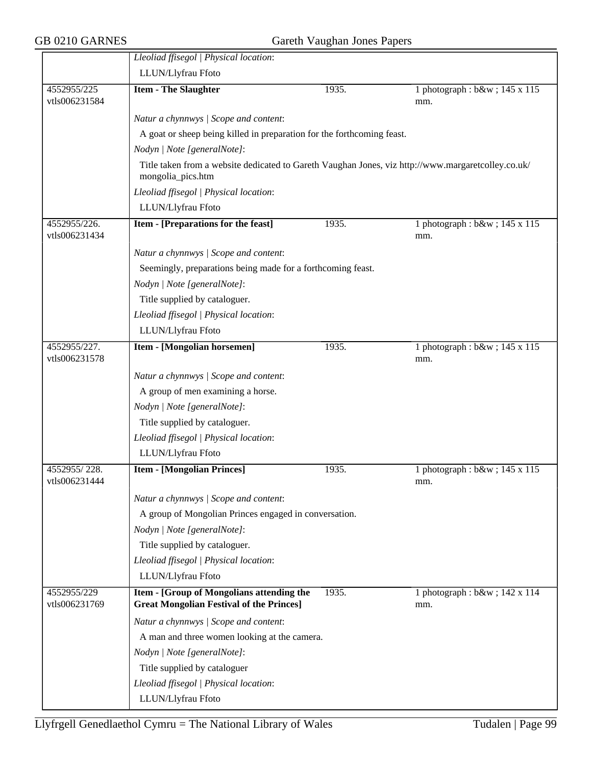$\equiv$ 

|                               | Lleoliad ffisegol   Physical location:                                                                                  |       |                                       |  |  |
|-------------------------------|-------------------------------------------------------------------------------------------------------------------------|-------|---------------------------------------|--|--|
|                               | LLUN/Llyfrau Ffoto                                                                                                      |       |                                       |  |  |
| 4552955/225<br>vtls006231584  | <b>Item - The Slaughter</b>                                                                                             | 1935. | 1 photograph : b&w ; 145 x 115<br>mm. |  |  |
|                               | Natur a chynnwys / Scope and content:                                                                                   |       |                                       |  |  |
|                               | A goat or sheep being killed in preparation for the forthcoming feast.                                                  |       |                                       |  |  |
|                               | Nodyn   Note [generalNote]:                                                                                             |       |                                       |  |  |
|                               | Title taken from a website dedicated to Gareth Vaughan Jones, viz http://www.margaretcolley.co.uk/<br>mongolia_pics.htm |       |                                       |  |  |
|                               | Lleoliad ffisegol   Physical location:                                                                                  |       |                                       |  |  |
|                               | LLUN/Llyfrau Ffoto                                                                                                      |       |                                       |  |  |
| 4552955/226.<br>vtls006231434 | Item - [Preparations for the feast]                                                                                     | 1935. | 1 photograph : b&w ; 145 x 115<br>mm. |  |  |
|                               |                                                                                                                         |       |                                       |  |  |
|                               | Natur a chynnwys / Scope and content:                                                                                   |       |                                       |  |  |
|                               | Seemingly, preparations being made for a forthcoming feast.                                                             |       |                                       |  |  |
|                               | Nodyn   Note [generalNote]:                                                                                             |       |                                       |  |  |
|                               | Title supplied by cataloguer.                                                                                           |       |                                       |  |  |
|                               | Lleoliad ffisegol   Physical location:                                                                                  |       |                                       |  |  |
|                               | LLUN/Llyfrau Ffoto                                                                                                      |       |                                       |  |  |
| 4552955/227.<br>vtls006231578 | <b>Item - [Mongolian horsemen]</b>                                                                                      | 1935. | 1 photograph : b&w ; 145 x 115<br>mm. |  |  |
|                               | Natur a chynnwys / Scope and content:                                                                                   |       |                                       |  |  |
|                               | A group of men examining a horse.                                                                                       |       |                                       |  |  |
|                               | Nodyn   Note [generalNote]:                                                                                             |       |                                       |  |  |
|                               | Title supplied by cataloguer.                                                                                           |       |                                       |  |  |
|                               | Lleoliad ffisegol   Physical location:                                                                                  |       |                                       |  |  |
|                               | LLUN/Llyfrau Ffoto                                                                                                      |       |                                       |  |  |
| 4552955/228.<br>vtls006231444 | <b>Item - [Mongolian Princes]</b>                                                                                       | 1935. | 1 photograph : b&w ; 145 x 115<br>mm. |  |  |
|                               | Natur a chynnwys / Scope and content:                                                                                   |       |                                       |  |  |
|                               | A group of Mongolian Princes engaged in conversation.                                                                   |       |                                       |  |  |
|                               | Nodyn   Note [generalNote]:                                                                                             |       |                                       |  |  |
|                               | Title supplied by cataloguer.                                                                                           |       |                                       |  |  |
|                               | Lleoliad ffisegol   Physical location:                                                                                  |       |                                       |  |  |
|                               | LLUN/Llyfrau Ffoto                                                                                                      |       |                                       |  |  |
| 4552955/229                   | <b>Item - [Group of Mongolians attending the</b>                                                                        | 1935. | 1 photograph : b&w ; 142 x 114        |  |  |
| vtls006231769                 | <b>Great Mongolian Festival of the Princes]</b>                                                                         |       | mm.                                   |  |  |
|                               | Natur a chynnwys / Scope and content:                                                                                   |       |                                       |  |  |
|                               | A man and three women looking at the camera.                                                                            |       |                                       |  |  |
|                               | Nodyn   Note [generalNote]:                                                                                             |       |                                       |  |  |
|                               | Title supplied by cataloguer                                                                                            |       |                                       |  |  |
|                               | Lleoliad ffisegol   Physical location:                                                                                  |       |                                       |  |  |
|                               | LLUN/Llyfrau Ffoto                                                                                                      |       |                                       |  |  |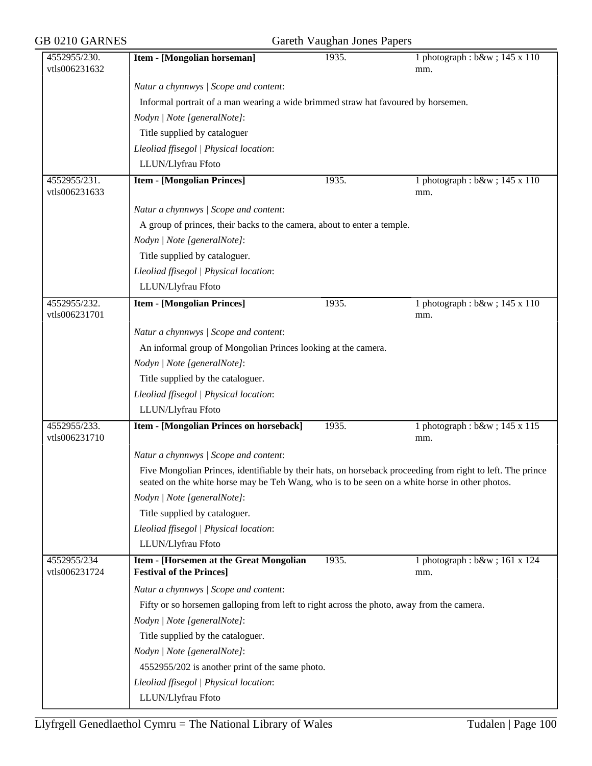| GB 0210 GARNES                |                                                                                                                                                                                                              | Gareth Vaughan Jones Papers |                                       |
|-------------------------------|--------------------------------------------------------------------------------------------------------------------------------------------------------------------------------------------------------------|-----------------------------|---------------------------------------|
| 4552955/230.<br>vtls006231632 | Item - [Mongolian horseman]                                                                                                                                                                                  | 1935.                       | 1 photograph : b&w ; 145 x 110<br>mm. |
|                               | Natur a chynnwys / Scope and content:                                                                                                                                                                        |                             |                                       |
|                               | Informal portrait of a man wearing a wide brimmed straw hat favoured by horsemen.                                                                                                                            |                             |                                       |
|                               | Nodyn   Note [generalNote]:                                                                                                                                                                                  |                             |                                       |
|                               | Title supplied by cataloguer                                                                                                                                                                                 |                             |                                       |
|                               | Lleoliad ffisegol   Physical location:                                                                                                                                                                       |                             |                                       |
|                               | LLUN/Llyfrau Ffoto                                                                                                                                                                                           |                             |                                       |
| 4552955/231.                  | <b>Item - [Mongolian Princes]</b>                                                                                                                                                                            | 1935.                       | 1 photograph : b&w ; 145 x 110        |
| vtls006231633                 |                                                                                                                                                                                                              |                             | mm.                                   |
|                               | Natur a chynnwys / Scope and content:                                                                                                                                                                        |                             |                                       |
|                               | A group of princes, their backs to the camera, about to enter a temple.                                                                                                                                      |                             |                                       |
|                               | Nodyn   Note [generalNote]:                                                                                                                                                                                  |                             |                                       |
|                               | Title supplied by cataloguer.                                                                                                                                                                                |                             |                                       |
|                               | Lleoliad ffisegol   Physical location:                                                                                                                                                                       |                             |                                       |
|                               | LLUN/Llyfrau Ffoto                                                                                                                                                                                           |                             |                                       |
| 4552955/232.<br>vtls006231701 | <b>Item - [Mongolian Princes]</b>                                                                                                                                                                            | 1935.                       | 1 photograph : b&w ; 145 x 110<br>mm. |
|                               | Natur a chynnwys / Scope and content:                                                                                                                                                                        |                             |                                       |
|                               | An informal group of Mongolian Princes looking at the camera.                                                                                                                                                |                             |                                       |
|                               | Nodyn   Note [generalNote]:                                                                                                                                                                                  |                             |                                       |
|                               | Title supplied by the cataloguer.                                                                                                                                                                            |                             |                                       |
|                               | Lleoliad ffisegol   Physical location:                                                                                                                                                                       |                             |                                       |
|                               | LLUN/Llyfrau Ffoto                                                                                                                                                                                           |                             |                                       |
| 4552955/233.<br>vtls006231710 | Item - [Mongolian Princes on horseback]                                                                                                                                                                      | 1935.                       | 1 photograph : b&w ; 145 x 115<br>mm. |
|                               | Natur a chynnwys / Scope and content:                                                                                                                                                                        |                             |                                       |
|                               | Five Mongolian Princes, identifiable by their hats, on horseback proceeding from right to left. The prince<br>seated on the white horse may be Teh Wang, who is to be seen on a white horse in other photos. |                             |                                       |
|                               | Nodyn   Note [generalNote]:                                                                                                                                                                                  |                             |                                       |
|                               | Title supplied by cataloguer.                                                                                                                                                                                |                             |                                       |
|                               | Lleoliad ffisegol   Physical location:                                                                                                                                                                       |                             |                                       |
|                               | LLUN/Llyfrau Ffoto                                                                                                                                                                                           |                             |                                       |
| 4552955/234                   | Item - [Horsemen at the Great Mongolian                                                                                                                                                                      | 1935.                       | 1 photograph : b&w ; 161 x 124        |
| vtls006231724                 | <b>Festival of the Princes]</b>                                                                                                                                                                              |                             | mm.                                   |
|                               | Natur a chynnwys / Scope and content:                                                                                                                                                                        |                             |                                       |
|                               | Fifty or so horsemen galloping from left to right across the photo, away from the camera.                                                                                                                    |                             |                                       |
|                               | Nodyn   Note [generalNote]:                                                                                                                                                                                  |                             |                                       |
|                               | Title supplied by the cataloguer.                                                                                                                                                                            |                             |                                       |
|                               | Nodyn   Note [generalNote]:                                                                                                                                                                                  |                             |                                       |
|                               | 4552955/202 is another print of the same photo.                                                                                                                                                              |                             |                                       |
|                               | Lleoliad ffisegol   Physical location:                                                                                                                                                                       |                             |                                       |
|                               | LLUN/Llyfrau Ffoto                                                                                                                                                                                           |                             |                                       |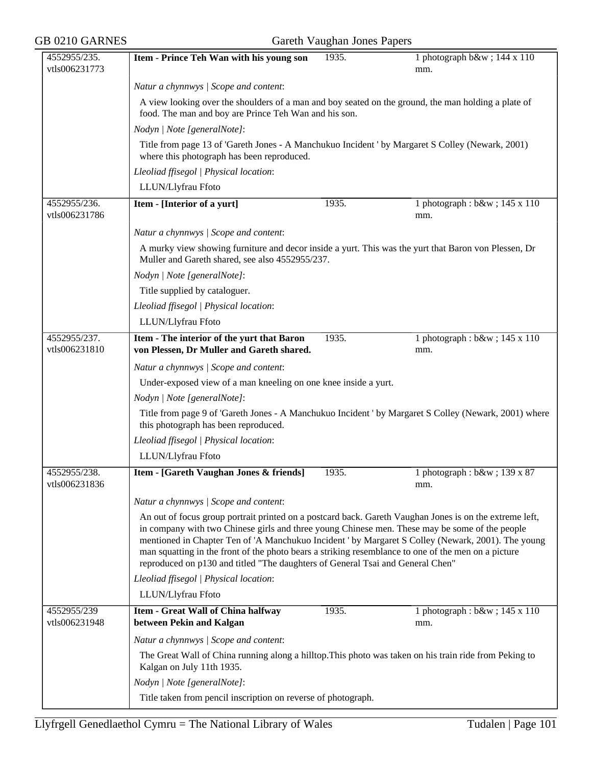| 4552955/235.<br>vtls006231773 | Item - Prince Teh Wan with his young son                                                                                                                                                                                                                                                                                                                                                                                                                                                                 | 1935. | 1 photograph b&w 144 x 110<br>mm.                                                                     |  |  |
|-------------------------------|----------------------------------------------------------------------------------------------------------------------------------------------------------------------------------------------------------------------------------------------------------------------------------------------------------------------------------------------------------------------------------------------------------------------------------------------------------------------------------------------------------|-------|-------------------------------------------------------------------------------------------------------|--|--|
|                               | Natur a chynnwys / Scope and content:                                                                                                                                                                                                                                                                                                                                                                                                                                                                    |       |                                                                                                       |  |  |
|                               | A view looking over the shoulders of a man and boy seated on the ground, the man holding a plate of<br>food. The man and boy are Prince Teh Wan and his son.<br>Nodyn   Note [generalNote]:                                                                                                                                                                                                                                                                                                              |       |                                                                                                       |  |  |
|                               |                                                                                                                                                                                                                                                                                                                                                                                                                                                                                                          |       |                                                                                                       |  |  |
|                               |                                                                                                                                                                                                                                                                                                                                                                                                                                                                                                          |       |                                                                                                       |  |  |
|                               | Title from page 13 of 'Gareth Jones - A Manchukuo Incident' by Margaret S Colley (Newark, 2001)<br>where this photograph has been reproduced.                                                                                                                                                                                                                                                                                                                                                            |       |                                                                                                       |  |  |
|                               | Lleoliad ffisegol   Physical location:                                                                                                                                                                                                                                                                                                                                                                                                                                                                   |       |                                                                                                       |  |  |
|                               | LLUN/Llyfrau Ffoto                                                                                                                                                                                                                                                                                                                                                                                                                                                                                       |       |                                                                                                       |  |  |
| 4552955/236.<br>vtls006231786 | Item - [Interior of a yurt]                                                                                                                                                                                                                                                                                                                                                                                                                                                                              | 1935. | 1 photograph : b&w ; 145 x 110<br>mm.                                                                 |  |  |
|                               | Natur a chynnwys / Scope and content:                                                                                                                                                                                                                                                                                                                                                                                                                                                                    |       |                                                                                                       |  |  |
|                               | A murky view showing furniture and decor inside a yurt. This was the yurt that Baron von Plessen, Dr<br>Muller and Gareth shared, see also 4552955/237.                                                                                                                                                                                                                                                                                                                                                  |       |                                                                                                       |  |  |
|                               | Nodyn   Note [generalNote]:                                                                                                                                                                                                                                                                                                                                                                                                                                                                              |       |                                                                                                       |  |  |
|                               | Title supplied by cataloguer.                                                                                                                                                                                                                                                                                                                                                                                                                                                                            |       |                                                                                                       |  |  |
|                               | Lleoliad ffisegol   Physical location:                                                                                                                                                                                                                                                                                                                                                                                                                                                                   |       |                                                                                                       |  |  |
|                               | LLUN/Llyfrau Ffoto                                                                                                                                                                                                                                                                                                                                                                                                                                                                                       |       |                                                                                                       |  |  |
| 4552955/237.<br>vtls006231810 | Item - The interior of the yurt that Baron<br>von Plessen, Dr Muller and Gareth shared.                                                                                                                                                                                                                                                                                                                                                                                                                  | 1935. | 1 photograph : b&w ; 145 x 110<br>mm.                                                                 |  |  |
|                               | Natur a chynnwys / Scope and content:                                                                                                                                                                                                                                                                                                                                                                                                                                                                    |       |                                                                                                       |  |  |
|                               | Under-exposed view of a man kneeling on one knee inside a yurt.                                                                                                                                                                                                                                                                                                                                                                                                                                          |       |                                                                                                       |  |  |
|                               | Nodyn   Note [generalNote]:                                                                                                                                                                                                                                                                                                                                                                                                                                                                              |       |                                                                                                       |  |  |
|                               | this photograph has been reproduced.                                                                                                                                                                                                                                                                                                                                                                                                                                                                     |       | Title from page 9 of 'Gareth Jones - A Manchukuo Incident ' by Margaret S Colley (Newark, 2001) where |  |  |
|                               | Lleoliad ffisegol   Physical location:                                                                                                                                                                                                                                                                                                                                                                                                                                                                   |       |                                                                                                       |  |  |
|                               | LLUN/Llyfrau Ffoto                                                                                                                                                                                                                                                                                                                                                                                                                                                                                       |       |                                                                                                       |  |  |
| 4552955/238.<br>vtls006231836 | Item - [Gareth Vaughan Jones & friends]                                                                                                                                                                                                                                                                                                                                                                                                                                                                  | 1935. | 1 photograph: b&w 139 x 87<br>mm.                                                                     |  |  |
|                               | Natur a chynnwys / Scope and content:                                                                                                                                                                                                                                                                                                                                                                                                                                                                    |       |                                                                                                       |  |  |
|                               | An out of focus group portrait printed on a postcard back. Gareth Vaughan Jones is on the extreme left,<br>in company with two Chinese girls and three young Chinese men. These may be some of the people<br>mentioned in Chapter Ten of 'A Manchukuo Incident ' by Margaret S Colley (Newark, 2001). The young<br>man squatting in the front of the photo bears a striking resemblance to one of the men on a picture<br>reproduced on p130 and titled "The daughters of General Tsai and General Chen" |       |                                                                                                       |  |  |
|                               | Lleoliad ffisegol   Physical location:                                                                                                                                                                                                                                                                                                                                                                                                                                                                   |       |                                                                                                       |  |  |
|                               | LLUN/Llyfrau Ffoto                                                                                                                                                                                                                                                                                                                                                                                                                                                                                       |       |                                                                                                       |  |  |
| 4552955/239<br>vtls006231948  | Item - Great Wall of China halfway<br>between Pekin and Kalgan                                                                                                                                                                                                                                                                                                                                                                                                                                           | 1935. | 1 photograph : $b$ &w ; 145 x 110<br>mm.                                                              |  |  |
|                               | Natur a chynnwys / Scope and content:                                                                                                                                                                                                                                                                                                                                                                                                                                                                    |       |                                                                                                       |  |  |
|                               | The Great Wall of China running along a hilltop. This photo was taken on his train ride from Peking to<br>Kalgan on July 11th 1935.                                                                                                                                                                                                                                                                                                                                                                      |       |                                                                                                       |  |  |
|                               | Nodyn   Note [generalNote]:                                                                                                                                                                                                                                                                                                                                                                                                                                                                              |       |                                                                                                       |  |  |
|                               | Title taken from pencil inscription on reverse of photograph.                                                                                                                                                                                                                                                                                                                                                                                                                                            |       |                                                                                                       |  |  |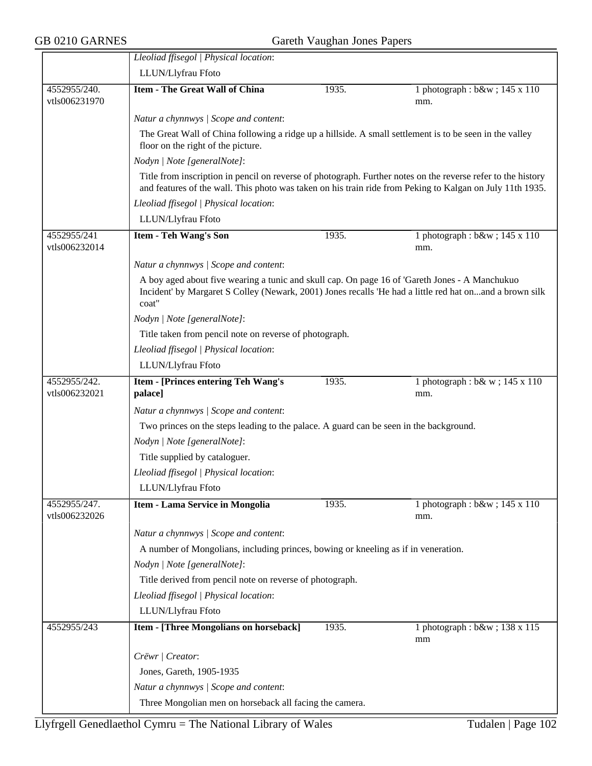$\overline{\phantom{a}}$ 

|                               | Lleoliad ffisegol   Physical location:                                                                                                        |                                                          |                                                                                                                                                                                                                           |  |  |  |
|-------------------------------|-----------------------------------------------------------------------------------------------------------------------------------------------|----------------------------------------------------------|---------------------------------------------------------------------------------------------------------------------------------------------------------------------------------------------------------------------------|--|--|--|
|                               | LLUN/Llyfrau Ffoto                                                                                                                            |                                                          |                                                                                                                                                                                                                           |  |  |  |
| 4552955/240.<br>vtls006231970 | <b>Item - The Great Wall of China</b>                                                                                                         | 1935.                                                    | 1 photograph : b&w ; 145 x 110<br>mm.                                                                                                                                                                                     |  |  |  |
|                               | Natur a chynnwys / Scope and content:                                                                                                         |                                                          |                                                                                                                                                                                                                           |  |  |  |
|                               | The Great Wall of China following a ridge up a hillside. A small settlement is to be seen in the valley<br>floor on the right of the picture. |                                                          |                                                                                                                                                                                                                           |  |  |  |
|                               | Nodyn   Note [generalNote]:                                                                                                                   |                                                          |                                                                                                                                                                                                                           |  |  |  |
|                               |                                                                                                                                               |                                                          | Title from inscription in pencil on reverse of photograph. Further notes on the reverse refer to the history<br>and features of the wall. This photo was taken on his train ride from Peking to Kalgan on July 11th 1935. |  |  |  |
|                               | Lleoliad ffisegol   Physical location:                                                                                                        |                                                          |                                                                                                                                                                                                                           |  |  |  |
|                               | LLUN/Llyfrau Ffoto                                                                                                                            |                                                          |                                                                                                                                                                                                                           |  |  |  |
| 4552955/241<br>vtls006232014  | <b>Item - Teh Wang's Son</b>                                                                                                                  | 1935.                                                    | 1 photograph : b&w ; 145 x 110<br>mm.                                                                                                                                                                                     |  |  |  |
|                               | Natur a chynnwys / Scope and content:                                                                                                         |                                                          |                                                                                                                                                                                                                           |  |  |  |
|                               | A boy aged about five wearing a tunic and skull cap. On page 16 of 'Gareth Jones - A Manchukuo<br>coat"                                       |                                                          | Incident' by Margaret S Colley (Newark, 2001) Jones recalls 'He had a little red hat onand a brown silk                                                                                                                   |  |  |  |
|                               | Nodyn   Note [generalNote]:                                                                                                                   |                                                          |                                                                                                                                                                                                                           |  |  |  |
|                               | Title taken from pencil note on reverse of photograph.                                                                                        |                                                          |                                                                                                                                                                                                                           |  |  |  |
|                               | Lleoliad ffisegol   Physical location:                                                                                                        |                                                          |                                                                                                                                                                                                                           |  |  |  |
|                               | LLUN/Llyfrau Ffoto                                                                                                                            |                                                          |                                                                                                                                                                                                                           |  |  |  |
| 4552955/242.<br>vtls006232021 | Item - [Princes entering Teh Wang's<br>palace]                                                                                                | 1935.                                                    | 1 photograph : $b& w$ ; 145 x 110<br>mm.                                                                                                                                                                                  |  |  |  |
|                               | Natur a chynnwys / Scope and content:                                                                                                         |                                                          |                                                                                                                                                                                                                           |  |  |  |
|                               | Two princes on the steps leading to the palace. A guard can be seen in the background.                                                        |                                                          |                                                                                                                                                                                                                           |  |  |  |
|                               | Nodyn   Note [generalNote]:                                                                                                                   |                                                          |                                                                                                                                                                                                                           |  |  |  |
|                               | Title supplied by cataloguer.                                                                                                                 |                                                          |                                                                                                                                                                                                                           |  |  |  |
|                               | Lleoliad ffisegol   Physical location:                                                                                                        |                                                          |                                                                                                                                                                                                                           |  |  |  |
|                               | LLUN/Llyfrau Ffoto                                                                                                                            |                                                          |                                                                                                                                                                                                                           |  |  |  |
| 4552955/247.<br>vtls006232026 | Item - Lama Service in Mongolia                                                                                                               | 1935.                                                    | 1 photograph : b&w ; 145 x 110<br>mm.                                                                                                                                                                                     |  |  |  |
|                               | Natur a chynnwys / Scope and content:                                                                                                         |                                                          |                                                                                                                                                                                                                           |  |  |  |
|                               | A number of Mongolians, including princes, bowing or kneeling as if in veneration.                                                            |                                                          |                                                                                                                                                                                                                           |  |  |  |
|                               | Nodyn   Note [generalNote]:                                                                                                                   |                                                          |                                                                                                                                                                                                                           |  |  |  |
|                               |                                                                                                                                               | Title derived from pencil note on reverse of photograph. |                                                                                                                                                                                                                           |  |  |  |
|                               | Lleoliad ffisegol   Physical location:                                                                                                        |                                                          |                                                                                                                                                                                                                           |  |  |  |
|                               | LLUN/Llyfrau Ffoto                                                                                                                            |                                                          |                                                                                                                                                                                                                           |  |  |  |
| 4552955/243                   | Item - [Three Mongolians on horseback]                                                                                                        | 1935.                                                    | 1 photograph: b&w 138 x 115<br>mm                                                                                                                                                                                         |  |  |  |
|                               | Crëwr   Creator:                                                                                                                              |                                                          |                                                                                                                                                                                                                           |  |  |  |
|                               | Jones, Gareth, 1905-1935                                                                                                                      |                                                          |                                                                                                                                                                                                                           |  |  |  |
|                               | Natur a chynnwys / Scope and content:                                                                                                         |                                                          |                                                                                                                                                                                                                           |  |  |  |
|                               | Three Mongolian men on horseback all facing the camera.                                                                                       |                                                          |                                                                                                                                                                                                                           |  |  |  |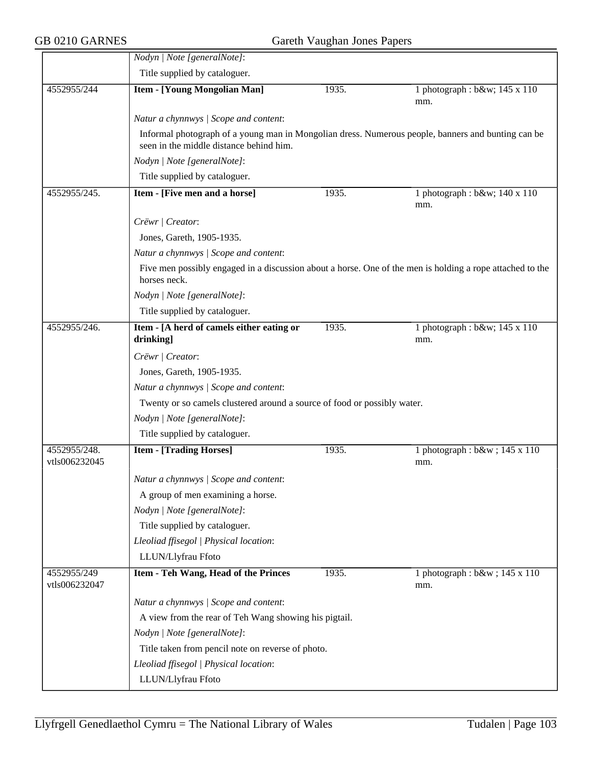|                               | Nodyn   Note [generalNote]:                                                                                                                   |       |                                        |  |  |
|-------------------------------|-----------------------------------------------------------------------------------------------------------------------------------------------|-------|----------------------------------------|--|--|
|                               | Title supplied by cataloguer.                                                                                                                 |       |                                        |  |  |
| 4552955/244                   | <b>Item - [Young Mongolian Man]</b>                                                                                                           | 1935. | 1 photograph : b&w 145 x 110           |  |  |
|                               |                                                                                                                                               |       | mm.                                    |  |  |
|                               | Natur a chynnwys / Scope and content:                                                                                                         |       |                                        |  |  |
|                               | Informal photograph of a young man in Mongolian dress. Numerous people, banners and bunting can be<br>seen in the middle distance behind him. |       |                                        |  |  |
|                               | Nodyn   Note [generalNote]:                                                                                                                   |       |                                        |  |  |
|                               | Title supplied by cataloguer.                                                                                                                 |       |                                        |  |  |
| 4552955/245.                  | Item - [Five men and a horse]                                                                                                                 | 1935. | 1 photograph : $b$ &w 140 x 110<br>mm. |  |  |
|                               | Crëwr   Creator:                                                                                                                              |       |                                        |  |  |
|                               | Jones, Gareth, 1905-1935.                                                                                                                     |       |                                        |  |  |
|                               | Natur a chynnwys / Scope and content:                                                                                                         |       |                                        |  |  |
|                               | Five men possibly engaged in a discussion about a horse. One of the men is holding a rope attached to the<br>horses neck.                     |       |                                        |  |  |
|                               | Nodyn   Note [generalNote]:                                                                                                                   |       |                                        |  |  |
|                               | Title supplied by cataloguer.                                                                                                                 |       |                                        |  |  |
| 4552955/246.                  | Item - [A herd of camels either eating or                                                                                                     | 1935. | 1 photograph : b&w 145 x 110           |  |  |
|                               | drinking]                                                                                                                                     |       | mm.                                    |  |  |
|                               | Crëwr   Creator:                                                                                                                              |       |                                        |  |  |
|                               | Jones, Gareth, 1905-1935.                                                                                                                     |       |                                        |  |  |
|                               | Natur a chynnwys / Scope and content:                                                                                                         |       |                                        |  |  |
|                               | Twenty or so camels clustered around a source of food or possibly water.                                                                      |       |                                        |  |  |
|                               | Nodyn   Note [generalNote]:                                                                                                                   |       |                                        |  |  |
|                               | Title supplied by cataloguer.                                                                                                                 |       |                                        |  |  |
| 4552955/248.<br>vtls006232045 | <b>Item - [Trading Horses]</b>                                                                                                                | 1935. | 1 photograph : b&w ; 145 x 110<br>mm.  |  |  |
|                               | Natur a chynnwys / Scope and content:                                                                                                         |       |                                        |  |  |
|                               | A group of men examining a horse.                                                                                                             |       |                                        |  |  |
|                               | Nodyn   Note [generalNote]:                                                                                                                   |       |                                        |  |  |
|                               | Title supplied by cataloguer.                                                                                                                 |       |                                        |  |  |
|                               | Lleoliad ffisegol   Physical location:                                                                                                        |       |                                        |  |  |
|                               | LLUN/Llyfrau Ffoto                                                                                                                            |       |                                        |  |  |
| 4552955/249                   | Item - Teh Wang, Head of the Princes                                                                                                          | 1935. | 1 photograph : b&w ; 145 x 110         |  |  |
| vtls006232047                 |                                                                                                                                               |       | mm.                                    |  |  |
|                               | Natur a chynnwys / Scope and content:                                                                                                         |       |                                        |  |  |
|                               | A view from the rear of Teh Wang showing his pigtail.                                                                                         |       |                                        |  |  |
|                               | Nodyn   Note [generalNote]:                                                                                                                   |       |                                        |  |  |
|                               | Title taken from pencil note on reverse of photo.                                                                                             |       |                                        |  |  |
|                               | Lleoliad ffisegol   Physical location:                                                                                                        |       |                                        |  |  |
|                               | LLUN/Llyfrau Ffoto                                                                                                                            |       |                                        |  |  |
|                               |                                                                                                                                               |       |                                        |  |  |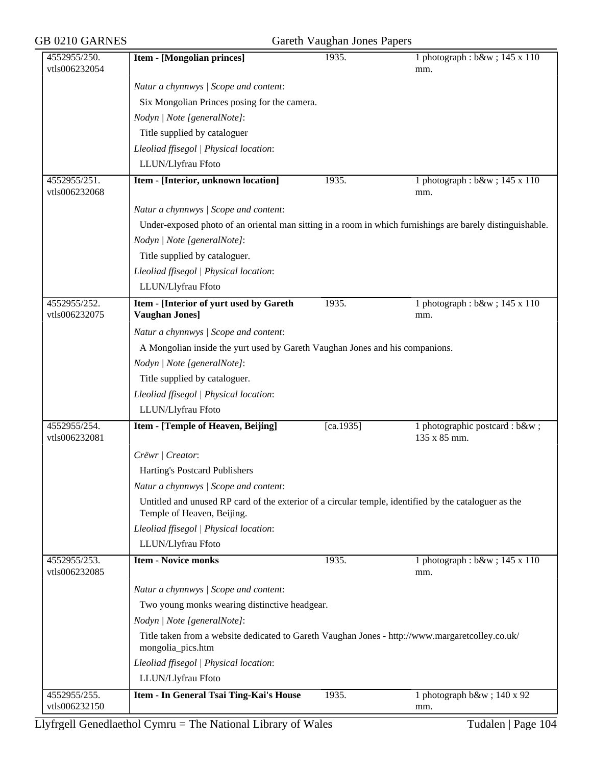| GB 0210 GARNES                |                                                                                                                                     | Gareth Vaughan Jones Papers |                                               |  |  |
|-------------------------------|-------------------------------------------------------------------------------------------------------------------------------------|-----------------------------|-----------------------------------------------|--|--|
| 4552955/250.<br>vtls006232054 | <b>Item - [Mongolian princes]</b>                                                                                                   | 1935.                       | 1 photograph : b&w ; 145 x 110<br>mm.         |  |  |
|                               | Natur a chynnwys / Scope and content:                                                                                               |                             |                                               |  |  |
|                               | Six Mongolian Princes posing for the camera.                                                                                        |                             |                                               |  |  |
|                               | Nodyn   Note [generalNote]:                                                                                                         |                             |                                               |  |  |
|                               | Title supplied by cataloguer                                                                                                        |                             |                                               |  |  |
|                               | Lleoliad ffisegol   Physical location:                                                                                              |                             |                                               |  |  |
|                               | LLUN/Llyfrau Ffoto                                                                                                                  |                             |                                               |  |  |
| 4552955/251.<br>vtls006232068 | Item - [Interior, unknown location]                                                                                                 | 1935.                       | 1 photograph : b&w ; 145 x 110<br>mm.         |  |  |
|                               | Natur a chynnwys / Scope and content:                                                                                               |                             |                                               |  |  |
|                               | Under-exposed photo of an oriental man sitting in a room in which furnishings are barely distinguishable.                           |                             |                                               |  |  |
|                               | Nodyn   Note [generalNote]:                                                                                                         |                             |                                               |  |  |
|                               | Title supplied by cataloguer.                                                                                                       |                             |                                               |  |  |
|                               | Lleoliad ffisegol   Physical location:                                                                                              |                             |                                               |  |  |
|                               | LLUN/Llyfrau Ffoto                                                                                                                  |                             |                                               |  |  |
| 4552955/252.<br>vtls006232075 | Item - [Interior of yurt used by Gareth<br><b>Vaughan Jones]</b>                                                                    | 1935.                       | 1 photograph : b&w ; 145 x 110<br>mm.         |  |  |
|                               | Natur a chynnwys / Scope and content:                                                                                               |                             |                                               |  |  |
|                               | A Mongolian inside the yurt used by Gareth Vaughan Jones and his companions.                                                        |                             |                                               |  |  |
|                               | Nodyn   Note [generalNote]:                                                                                                         |                             |                                               |  |  |
|                               | Title supplied by cataloguer.                                                                                                       |                             |                                               |  |  |
|                               | Lleoliad ffisegol   Physical location:                                                                                              |                             |                                               |  |  |
|                               | LLUN/Llyfrau Ffoto                                                                                                                  |                             |                                               |  |  |
| 4552955/254.<br>vtls006232081 | Item - [Temple of Heaven, Beijing]                                                                                                  | [ca.1935]                   | 1 photographic postcard : b&w<br>135 x 85 mm. |  |  |
|                               |                                                                                                                                     |                             |                                               |  |  |
|                               | Crëwr   Creator:                                                                                                                    |                             |                                               |  |  |
|                               | Harting's Postcard Publishers                                                                                                       |                             |                                               |  |  |
|                               | Natur a chynnwys / Scope and content:                                                                                               |                             |                                               |  |  |
|                               | Untitled and unused RP card of the exterior of a circular temple, identified by the cataloguer as the<br>Temple of Heaven, Beijing. |                             |                                               |  |  |
|                               | Lleoliad ffisegol   Physical location:                                                                                              |                             |                                               |  |  |
|                               | LLUN/Llyfrau Ffoto                                                                                                                  |                             |                                               |  |  |
| 4552955/253.<br>vtls006232085 | <b>Item - Novice monks</b>                                                                                                          | 1935.                       | 1 photograph : b&w ; 145 x 110<br>mm.         |  |  |
|                               | Natur a chynnwys / Scope and content:                                                                                               |                             |                                               |  |  |
|                               | Two young monks wearing distinctive headgear.                                                                                       |                             |                                               |  |  |
|                               | Nodyn   Note [generalNote]:                                                                                                         |                             |                                               |  |  |
|                               | Title taken from a website dedicated to Gareth Vaughan Jones - http://www.margaretcolley.co.uk/<br>mongolia_pics.htm                |                             |                                               |  |  |
|                               | Lleoliad ffisegol   Physical location:                                                                                              |                             |                                               |  |  |
|                               | LLUN/Llyfrau Ffoto                                                                                                                  |                             |                                               |  |  |
| 4552955/255.                  | Item - In General Tsai Ting-Kai's House                                                                                             | 1935.                       | 1 photograph b&w 140 x 92                     |  |  |
| vtls006232150                 |                                                                                                                                     |                             | mm.                                           |  |  |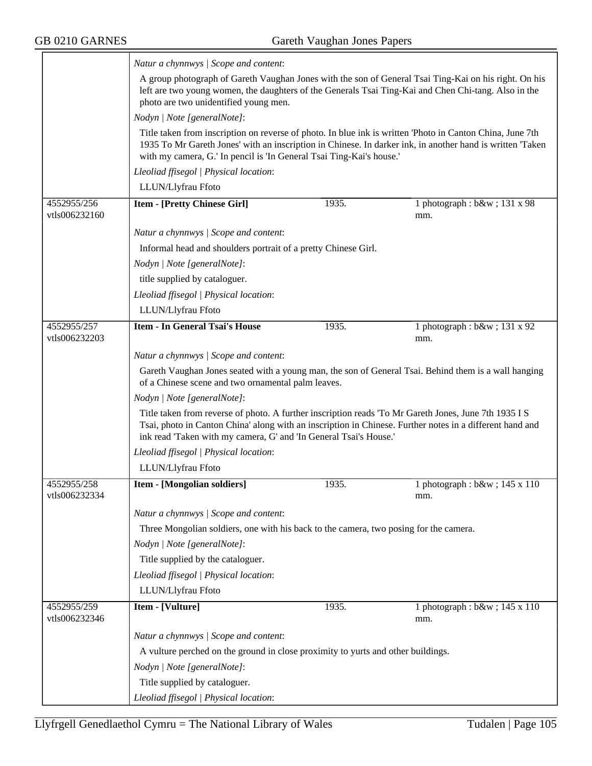|                              | Natur a chynnwys / Scope and content:                                                                                                                                                                         |       |                                                                                                                                                                                                                        |  |  |
|------------------------------|---------------------------------------------------------------------------------------------------------------------------------------------------------------------------------------------------------------|-------|------------------------------------------------------------------------------------------------------------------------------------------------------------------------------------------------------------------------|--|--|
|                              | A group photograph of Gareth Vaughan Jones with the son of General Tsai Ting-Kai on his right. On his<br>left are two young women, the daughters of the Generals Tsai Ting-Kai and Chen Chi-tang. Also in the |       |                                                                                                                                                                                                                        |  |  |
|                              | photo are two unidentified young men.                                                                                                                                                                         |       |                                                                                                                                                                                                                        |  |  |
|                              | Nodyn   Note [generalNote]:                                                                                                                                                                                   |       |                                                                                                                                                                                                                        |  |  |
|                              | with my camera, G.' In pencil is 'In General Tsai Ting-Kai's house.'                                                                                                                                          |       | Title taken from inscription on reverse of photo. In blue ink is written 'Photo in Canton China, June 7th<br>1935 To Mr Gareth Jones' with an inscription in Chinese. In darker ink, in another hand is written 'Taken |  |  |
|                              | Lleoliad ffisegol   Physical location:                                                                                                                                                                        |       |                                                                                                                                                                                                                        |  |  |
|                              | LLUN/Llyfrau Ffoto                                                                                                                                                                                            |       |                                                                                                                                                                                                                        |  |  |
| 4552955/256<br>vtls006232160 | <b>Item - [Pretty Chinese Girl]</b>                                                                                                                                                                           | 1935. | 1 photograph: b&w 131 x 98<br>mm.                                                                                                                                                                                      |  |  |
|                              | Natur a chynnwys / Scope and content:                                                                                                                                                                         |       |                                                                                                                                                                                                                        |  |  |
|                              | Informal head and shoulders portrait of a pretty Chinese Girl.                                                                                                                                                |       |                                                                                                                                                                                                                        |  |  |
|                              | Nodyn   Note [generalNote]:                                                                                                                                                                                   |       |                                                                                                                                                                                                                        |  |  |
|                              | title supplied by cataloguer.                                                                                                                                                                                 |       |                                                                                                                                                                                                                        |  |  |
|                              | Lleoliad ffisegol   Physical location:                                                                                                                                                                        |       |                                                                                                                                                                                                                        |  |  |
|                              | LLUN/Llyfrau Ffoto                                                                                                                                                                                            |       |                                                                                                                                                                                                                        |  |  |
| 4552955/257<br>vtls006232203 | <b>Item - In General Tsai's House</b>                                                                                                                                                                         | 1935. | 1 photograph : b&w ; 131 x 92<br>mm.                                                                                                                                                                                   |  |  |
|                              | Natur a chynnwys / Scope and content:                                                                                                                                                                         |       |                                                                                                                                                                                                                        |  |  |
|                              | of a Chinese scene and two ornamental palm leaves.                                                                                                                                                            |       | Gareth Vaughan Jones seated with a young man, the son of General Tsai. Behind them is a wall hanging                                                                                                                   |  |  |
|                              | Nodyn   Note [generalNote]:                                                                                                                                                                                   |       |                                                                                                                                                                                                                        |  |  |
|                              | Title taken from reverse of photo. A further inscription reads 'To Mr Gareth Jones, June 7th 1935 I S<br>ink read 'Taken with my camera, G' and 'In General Tsai's House.'                                    |       | Tsai, photo in Canton China' along with an inscription in Chinese. Further notes in a different hand and                                                                                                               |  |  |
|                              | Lleoliad ffisegol   Physical location:                                                                                                                                                                        |       |                                                                                                                                                                                                                        |  |  |
|                              | LLUN/Llyfrau Ffoto                                                                                                                                                                                            |       |                                                                                                                                                                                                                        |  |  |
| 4552955/258<br>vtls006232334 | Item - [Mongolian soldiers]                                                                                                                                                                                   | 1935. | 1 photograph : b&w ; 145 x 110<br>mm.                                                                                                                                                                                  |  |  |
|                              | Natur a chynnwys / Scope and content:                                                                                                                                                                         |       |                                                                                                                                                                                                                        |  |  |
|                              | Three Mongolian soldiers, one with his back to the camera, two posing for the camera.                                                                                                                         |       |                                                                                                                                                                                                                        |  |  |
|                              | Nodyn   Note [generalNote]:                                                                                                                                                                                   |       |                                                                                                                                                                                                                        |  |  |
|                              | Title supplied by the cataloguer.                                                                                                                                                                             |       |                                                                                                                                                                                                                        |  |  |
|                              | Lleoliad ffisegol   Physical location:                                                                                                                                                                        |       |                                                                                                                                                                                                                        |  |  |
|                              | LLUN/Llyfrau Ffoto                                                                                                                                                                                            |       |                                                                                                                                                                                                                        |  |  |
| 4552955/259<br>vtls006232346 | Item - [Vulture]                                                                                                                                                                                              | 1935. | 1 photograph : b&w ; 145 x 110<br>mm.                                                                                                                                                                                  |  |  |
|                              | Natur a chynnwys / Scope and content:                                                                                                                                                                         |       |                                                                                                                                                                                                                        |  |  |
|                              | A vulture perched on the ground in close proximity to yurts and other buildings.                                                                                                                              |       |                                                                                                                                                                                                                        |  |  |
|                              | Nodyn   Note [generalNote]:                                                                                                                                                                                   |       |                                                                                                                                                                                                                        |  |  |
|                              | Title supplied by cataloguer.                                                                                                                                                                                 |       |                                                                                                                                                                                                                        |  |  |
|                              | Lleoliad ffisegol   Physical location:                                                                                                                                                                        |       |                                                                                                                                                                                                                        |  |  |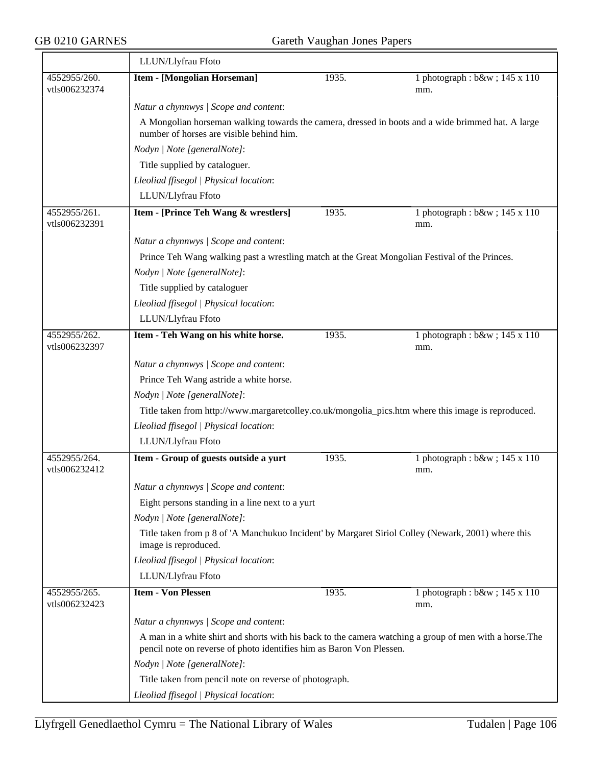|                               | LLUN/Llyfrau Ffoto                                                                                                                                                              |       |                                       |  |  |
|-------------------------------|---------------------------------------------------------------------------------------------------------------------------------------------------------------------------------|-------|---------------------------------------|--|--|
| 4552955/260.<br>vtls006232374 | <b>Item - [Mongolian Horseman]</b>                                                                                                                                              | 1935. | 1 photograph : b&w ; 145 x 110<br>mm. |  |  |
|                               | Natur a chynnwys / Scope and content:                                                                                                                                           |       |                                       |  |  |
|                               | A Mongolian horseman walking towards the camera, dressed in boots and a wide brimmed hat. A large<br>number of horses are visible behind him.                                   |       |                                       |  |  |
|                               | Nodyn   Note [generalNote]:                                                                                                                                                     |       |                                       |  |  |
|                               | Title supplied by cataloguer.                                                                                                                                                   |       |                                       |  |  |
|                               | Lleoliad ffisegol   Physical location:                                                                                                                                          |       |                                       |  |  |
|                               | LLUN/Llyfrau Ffoto                                                                                                                                                              |       |                                       |  |  |
| 4552955/261.<br>vtls006232391 | Item - [Prince Teh Wang & wrestlers]                                                                                                                                            | 1935. | 1 photograph : b&w ; 145 x 110<br>mm. |  |  |
|                               | Natur a chynnwys / Scope and content:                                                                                                                                           |       |                                       |  |  |
|                               | Prince Teh Wang walking past a wrestling match at the Great Mongolian Festival of the Princes.                                                                                  |       |                                       |  |  |
|                               | Nodyn   Note [generalNote]:                                                                                                                                                     |       |                                       |  |  |
|                               | Title supplied by cataloguer                                                                                                                                                    |       |                                       |  |  |
|                               | Lleoliad ffisegol   Physical location:                                                                                                                                          |       |                                       |  |  |
|                               | LLUN/Llyfrau Ffoto                                                                                                                                                              |       |                                       |  |  |
| 4552955/262.<br>vtls006232397 | Item - Teh Wang on his white horse.                                                                                                                                             | 1935. | 1 photograph : b&w ; 145 x 110<br>mm. |  |  |
|                               | Natur a chynnwys / Scope and content:                                                                                                                                           |       |                                       |  |  |
|                               | Prince Teh Wang astride a white horse.                                                                                                                                          |       |                                       |  |  |
|                               | Nodyn   Note [generalNote]:                                                                                                                                                     |       |                                       |  |  |
|                               | Title taken from http://www.margaretcolley.co.uk/mongolia_pics.htm where this image is reproduced.                                                                              |       |                                       |  |  |
|                               | Lleoliad ffisegol   Physical location:                                                                                                                                          |       |                                       |  |  |
|                               | LLUN/Llyfrau Ffoto                                                                                                                                                              |       |                                       |  |  |
| 4552955/264.<br>vtls006232412 | Item - Group of guests outside a yurt                                                                                                                                           | 1935. | 1 photograph : b&w ; 145 x 110<br>mm. |  |  |
|                               | Natur a chynnwys / Scope and content:                                                                                                                                           |       |                                       |  |  |
|                               | Eight persons standing in a line next to a yurt                                                                                                                                 |       |                                       |  |  |
|                               | Nodyn   Note [generalNote]:                                                                                                                                                     |       |                                       |  |  |
|                               | Title taken from p 8 of 'A Manchukuo Incident' by Margaret Siriol Colley (Newark, 2001) where this<br>image is reproduced.                                                      |       |                                       |  |  |
|                               | Lleoliad ffisegol   Physical location:                                                                                                                                          |       |                                       |  |  |
|                               | LLUN/Llyfrau Ffoto                                                                                                                                                              |       |                                       |  |  |
| 4552955/265.<br>vtls006232423 | <b>Item - Von Plessen</b>                                                                                                                                                       | 1935. | 1 photograph : b&w ; 145 x 110<br>mm. |  |  |
|                               | Natur a chynnwys / Scope and content:                                                                                                                                           |       |                                       |  |  |
|                               | A man in a white shirt and shorts with his back to the camera watching a group of men with a horse. The<br>pencil note on reverse of photo identifies him as Baron Von Plessen. |       |                                       |  |  |
|                               | Nodyn   Note [generalNote]:                                                                                                                                                     |       |                                       |  |  |
|                               | Title taken from pencil note on reverse of photograph.                                                                                                                          |       |                                       |  |  |
|                               | Lleoliad ffisegol   Physical location:                                                                                                                                          |       |                                       |  |  |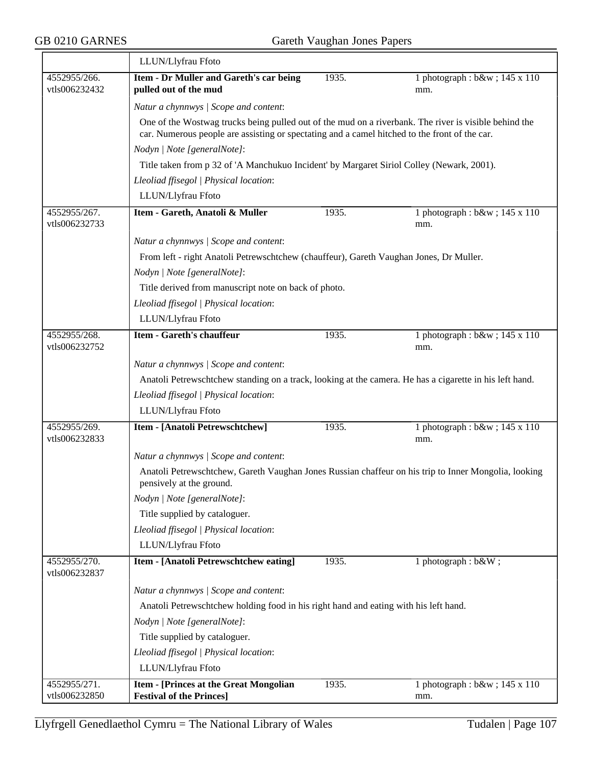|                               | LLUN/Llyfrau Ffoto                                                                                                                                                                                     |       |                                       |
|-------------------------------|--------------------------------------------------------------------------------------------------------------------------------------------------------------------------------------------------------|-------|---------------------------------------|
| 4552955/266.                  | Item - Dr Muller and Gareth's car being                                                                                                                                                                | 1935. | 1 photograph : b&w ; 145 x 110        |
| vtls006232432                 | pulled out of the mud                                                                                                                                                                                  |       | mm.                                   |
|                               | Natur a chynnwys / Scope and content:                                                                                                                                                                  |       |                                       |
|                               | One of the Wostwag trucks being pulled out of the mud on a riverbank. The river is visible behind the<br>car. Numerous people are assisting or spectating and a camel hitched to the front of the car. |       |                                       |
|                               | Nodyn   Note [generalNote]:                                                                                                                                                                            |       |                                       |
|                               | Title taken from p 32 of 'A Manchukuo Incident' by Margaret Siriol Colley (Newark, 2001).                                                                                                              |       |                                       |
|                               | Lleoliad ffisegol   Physical location:                                                                                                                                                                 |       |                                       |
|                               | LLUN/Llyfrau Ffoto                                                                                                                                                                                     |       |                                       |
| 4552955/267.<br>vtls006232733 | Item - Gareth, Anatoli & Muller                                                                                                                                                                        | 1935. | 1 photograph : b&w ; 145 x 110<br>mm. |
|                               | Natur a chynnwys / Scope and content:                                                                                                                                                                  |       |                                       |
|                               | From left - right Anatoli Petrewschtchew (chauffeur), Gareth Vaughan Jones, Dr Muller.                                                                                                                 |       |                                       |
|                               | Nodyn   Note [generalNote]:                                                                                                                                                                            |       |                                       |
|                               | Title derived from manuscript note on back of photo.                                                                                                                                                   |       |                                       |
|                               | Lleoliad ffisegol   Physical location:                                                                                                                                                                 |       |                                       |
|                               | LLUN/Llyfrau Ffoto                                                                                                                                                                                     |       |                                       |
| 4552955/268.                  | <b>Item - Gareth's chauffeur</b>                                                                                                                                                                       | 1935. | 1 photograph : b&w ; 145 x 110        |
| vtls006232752                 |                                                                                                                                                                                                        |       | mm.                                   |
|                               | Natur a chynnwys / Scope and content:                                                                                                                                                                  |       |                                       |
|                               | Anatoli Petrewschtchew standing on a track, looking at the camera. He has a cigarette in his left hand.                                                                                                |       |                                       |
|                               | Lleoliad ffisegol   Physical location:                                                                                                                                                                 |       |                                       |
|                               | LLUN/Llyfrau Ffoto                                                                                                                                                                                     |       |                                       |
| 4552955/269.<br>vtls006232833 | Item - [Anatoli Petrewschtchew]                                                                                                                                                                        | 1935. | 1 photograph : b&w ; 145 x 110<br>mm. |
|                               | Natur a chynnwys / Scope and content:                                                                                                                                                                  |       |                                       |
|                               | Anatoli Petrewschtchew, Gareth Vaughan Jones Russian chaffeur on his trip to Inner Mongolia, looking<br>pensively at the ground.                                                                       |       |                                       |
|                               | Nodyn   Note [generalNote]:                                                                                                                                                                            |       |                                       |
|                               | Title supplied by cataloguer.                                                                                                                                                                          |       |                                       |
|                               | Lleoliad ffisegol   Physical location:                                                                                                                                                                 |       |                                       |
|                               | LLUN/Llyfrau Ffoto                                                                                                                                                                                     |       |                                       |
| 4552955/270.<br>vtls006232837 | Item - [Anatoli Petrewschtchew eating]                                                                                                                                                                 | 1935. | 1 photograph : b&W ;                  |
|                               | Natur a chynnwys / Scope and content:                                                                                                                                                                  |       |                                       |
|                               | Anatoli Petrewschtchew holding food in his right hand and eating with his left hand.                                                                                                                   |       |                                       |
|                               | Nodyn   Note [generalNote]:                                                                                                                                                                            |       |                                       |
|                               | Title supplied by cataloguer.                                                                                                                                                                          |       |                                       |
|                               | Lleoliad ffisegol   Physical location:                                                                                                                                                                 |       |                                       |
|                               | LLUN/Llyfrau Ffoto                                                                                                                                                                                     |       |                                       |
| 4552955/271.                  | <b>Item - [Princes at the Great Mongolian</b>                                                                                                                                                          | 1935. | 1 photograph : b&w ; 145 x 110        |
| vtls006232850                 | <b>Festival of the Princes]</b>                                                                                                                                                                        |       | mm.                                   |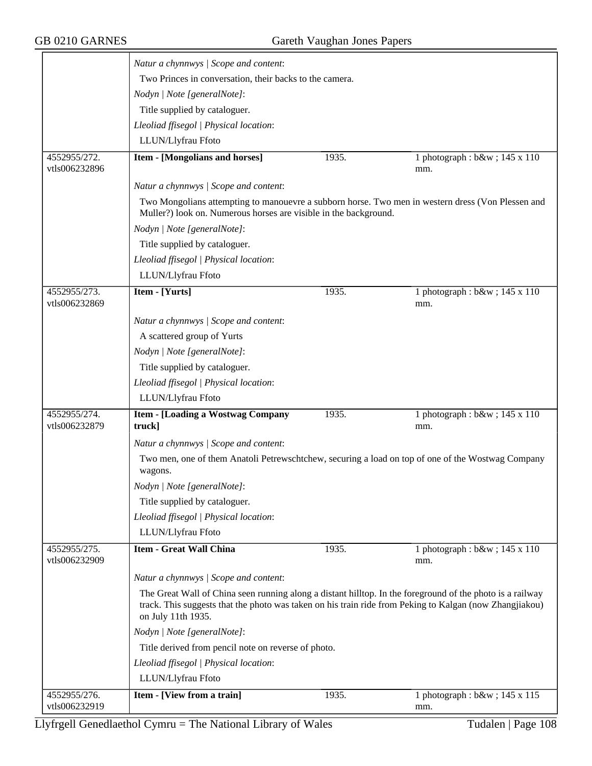|                               | Natur a chynnwys / Scope and content:                            |       |                                                                                                           |
|-------------------------------|------------------------------------------------------------------|-------|-----------------------------------------------------------------------------------------------------------|
|                               | Two Princes in conversation, their backs to the camera.          |       |                                                                                                           |
|                               | Nodyn   Note [generalNote]:                                      |       |                                                                                                           |
|                               | Title supplied by cataloguer.                                    |       |                                                                                                           |
|                               | Lleoliad ffisegol   Physical location:                           |       |                                                                                                           |
|                               | LLUN/Llyfrau Ffoto                                               |       |                                                                                                           |
| 4552955/272.                  | <b>Item - [Mongolians and horses]</b>                            | 1935. | 1 photograph : b&w ; 145 x 110                                                                            |
| vtls006232896                 |                                                                  |       | mm.                                                                                                       |
|                               | Natur a chynnwys / Scope and content:                            |       |                                                                                                           |
|                               | Muller?) look on. Numerous horses are visible in the background. |       | Two Mongolians attempting to manouevre a subborn horse. Two men in western dress (Von Plessen and         |
|                               | Nodyn   Note [generalNote]:                                      |       |                                                                                                           |
|                               | Title supplied by cataloguer.                                    |       |                                                                                                           |
|                               | Lleoliad ffisegol   Physical location:                           |       |                                                                                                           |
|                               | LLUN/Llyfrau Ffoto                                               |       |                                                                                                           |
| 4552955/273.<br>vtls006232869 | Item - [Yurts]                                                   | 1935. | 1 photograph : b&w ; 145 x 110<br>mm.                                                                     |
|                               | Natur a chynnwys / Scope and content:                            |       |                                                                                                           |
|                               | A scattered group of Yurts                                       |       |                                                                                                           |
|                               | Nodyn   Note [generalNote]:                                      |       |                                                                                                           |
|                               | Title supplied by cataloguer.                                    |       |                                                                                                           |
|                               | Lleoliad ffisegol   Physical location:                           |       |                                                                                                           |
|                               | LLUN/Llyfrau Ffoto                                               |       |                                                                                                           |
| 4552955/274.                  | <b>Item - [Loading a Wostwag Company</b>                         | 1935. | 1 photograph : b&w ; 145 x 110                                                                            |
| vtls006232879                 | truck]                                                           |       | mm.                                                                                                       |
|                               | Natur a chynnwys / Scope and content:                            |       |                                                                                                           |
|                               | wagons.                                                          |       | Two men, one of them Anatoli Petrewschtchew, securing a load on top of one of the Wostwag Company         |
|                               | Nodyn   Note [generalNote]:                                      |       |                                                                                                           |
|                               | Title supplied by cataloguer.                                    |       |                                                                                                           |
|                               | Lleoliad ffisegol   Physical location:                           |       |                                                                                                           |
|                               | LLUN/Llyfrau Ffoto                                               |       |                                                                                                           |
| 4552955/275.<br>vtls006232909 | <b>Item - Great Wall China</b>                                   | 1935. | 1 photograph : $b$ &w ; 145 x 110<br>mm.                                                                  |
|                               | Natur a chynnwys / Scope and content:                            |       |                                                                                                           |
|                               |                                                                  |       | The Great Wall of China seen running along a distant hilltop. In the foreground of the photo is a railway |
|                               | on July 11th 1935.                                               |       | track. This suggests that the photo was taken on his train ride from Peking to Kalgan (now Zhangjiakou)   |
|                               | Nodyn   Note [generalNote]:                                      |       |                                                                                                           |
|                               | Title derived from pencil note on reverse of photo.              |       |                                                                                                           |
|                               | Lleoliad ffisegol   Physical location:                           |       |                                                                                                           |
|                               | LLUN/Llyfrau Ffoto                                               |       |                                                                                                           |
| 4552955/276.                  | Item - [View from a train]                                       | 1935. | 1 photograph : b&w ; 145 x 115                                                                            |
| vtls006232919                 |                                                                  |       | mm.                                                                                                       |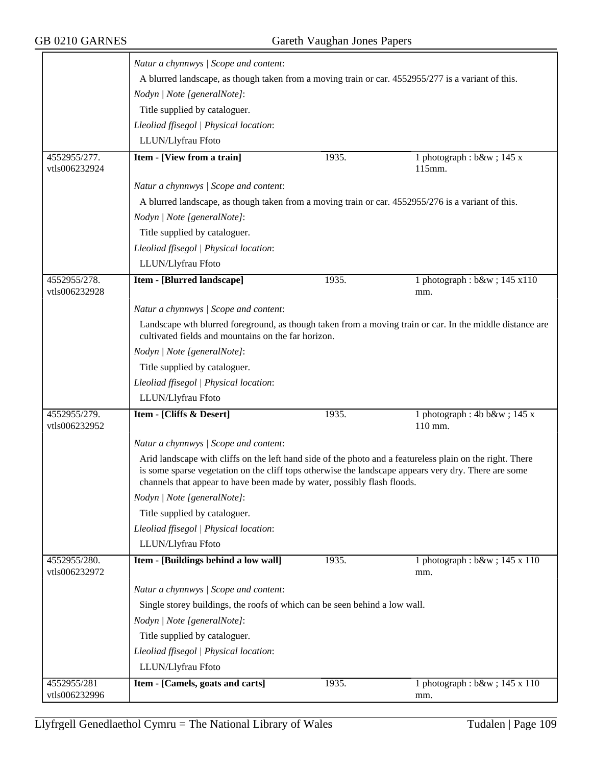|                               | Natur a chynnwys / Scope and content:                                                                                                                                                                                                                                                        |       |                                                                                                          |  |
|-------------------------------|----------------------------------------------------------------------------------------------------------------------------------------------------------------------------------------------------------------------------------------------------------------------------------------------|-------|----------------------------------------------------------------------------------------------------------|--|
|                               | A blurred landscape, as though taken from a moving train or car. 4552955/277 is a variant of this.                                                                                                                                                                                           |       |                                                                                                          |  |
|                               | Nodyn   Note [generalNote]:                                                                                                                                                                                                                                                                  |       |                                                                                                          |  |
|                               | Title supplied by cataloguer.                                                                                                                                                                                                                                                                |       |                                                                                                          |  |
|                               | Lleoliad ffisegol   Physical location:                                                                                                                                                                                                                                                       |       |                                                                                                          |  |
|                               | LLUN/Llyfrau Ffoto                                                                                                                                                                                                                                                                           |       |                                                                                                          |  |
| 4552955/277.                  | <b>Item - [View from a train]</b>                                                                                                                                                                                                                                                            | 1935. | 1 photograph : $b$ &w ; 145 x                                                                            |  |
| vtls006232924                 |                                                                                                                                                                                                                                                                                              |       | 115mm.                                                                                                   |  |
|                               | Natur a chynnwys / Scope and content:                                                                                                                                                                                                                                                        |       |                                                                                                          |  |
|                               | A blurred landscape, as though taken from a moving train or car. 4552955/276 is a variant of this.                                                                                                                                                                                           |       |                                                                                                          |  |
|                               | Nodyn   Note [generalNote]:                                                                                                                                                                                                                                                                  |       |                                                                                                          |  |
|                               | Title supplied by cataloguer.                                                                                                                                                                                                                                                                |       |                                                                                                          |  |
|                               | Lleoliad ffisegol   Physical location:                                                                                                                                                                                                                                                       |       |                                                                                                          |  |
|                               | LLUN/Llyfrau Ffoto                                                                                                                                                                                                                                                                           |       |                                                                                                          |  |
| 4552955/278.                  | <b>Item - [Blurred landscape]</b>                                                                                                                                                                                                                                                            | 1935. | 1 photograph: b&w 145 x110                                                                               |  |
| vtls006232928                 |                                                                                                                                                                                                                                                                                              |       | mm.                                                                                                      |  |
|                               | Natur a chynnwys / Scope and content:                                                                                                                                                                                                                                                        |       |                                                                                                          |  |
|                               |                                                                                                                                                                                                                                                                                              |       | Landscape wth blurred foreground, as though taken from a moving train or car. In the middle distance are |  |
|                               | cultivated fields and mountains on the far horizon.                                                                                                                                                                                                                                          |       |                                                                                                          |  |
|                               | Nodyn   Note [generalNote]:                                                                                                                                                                                                                                                                  |       |                                                                                                          |  |
|                               | Title supplied by cataloguer.                                                                                                                                                                                                                                                                |       |                                                                                                          |  |
|                               | Lleoliad ffisegol   Physical location:                                                                                                                                                                                                                                                       |       |                                                                                                          |  |
|                               | LLUN/Llyfrau Ffoto                                                                                                                                                                                                                                                                           |       |                                                                                                          |  |
| 4552955/279.<br>vtls006232952 | Item - [Cliffs & Desert]                                                                                                                                                                                                                                                                     | 1935. | 1 photograph: 4b b&w 145 x<br>110 mm.                                                                    |  |
|                               | Natur a chynnwys / Scope and content:                                                                                                                                                                                                                                                        |       |                                                                                                          |  |
|                               | Arid landscape with cliffs on the left hand side of the photo and a featureless plain on the right. There<br>is some sparse vegetation on the cliff tops otherwise the landscape appears very dry. There are some<br>channels that appear to have been made by water, possibly flash floods. |       |                                                                                                          |  |
|                               | Nodyn   Note [generalNote]:                                                                                                                                                                                                                                                                  |       |                                                                                                          |  |
|                               | Title supplied by cataloguer.                                                                                                                                                                                                                                                                |       |                                                                                                          |  |
|                               | Lleoliad ffisegol   Physical location:                                                                                                                                                                                                                                                       |       |                                                                                                          |  |
|                               | LLUN/Llyfrau Ffoto                                                                                                                                                                                                                                                                           |       |                                                                                                          |  |
| 4552955/280.                  | Item - [Buildings behind a low wall]                                                                                                                                                                                                                                                         | 1935. | 1 photograph : b&w ; 145 x 110                                                                           |  |
| vtls006232972                 |                                                                                                                                                                                                                                                                                              |       | mm.                                                                                                      |  |
|                               | Natur a chynnwys / Scope and content:                                                                                                                                                                                                                                                        |       |                                                                                                          |  |
|                               | Single storey buildings, the roofs of which can be seen behind a low wall.                                                                                                                                                                                                                   |       |                                                                                                          |  |
|                               | Nodyn   Note [generalNote]:                                                                                                                                                                                                                                                                  |       |                                                                                                          |  |
|                               | Title supplied by cataloguer.                                                                                                                                                                                                                                                                |       |                                                                                                          |  |
|                               | Lleoliad ffisegol   Physical location:                                                                                                                                                                                                                                                       |       |                                                                                                          |  |
|                               | LLUN/Llyfrau Ffoto                                                                                                                                                                                                                                                                           |       |                                                                                                          |  |
| 4552955/281                   | Item - [Camels, goats and carts]                                                                                                                                                                                                                                                             | 1935. | 1 photograph : b&w ; 145 x 110                                                                           |  |
| vtls006232996                 |                                                                                                                                                                                                                                                                                              |       | mm.                                                                                                      |  |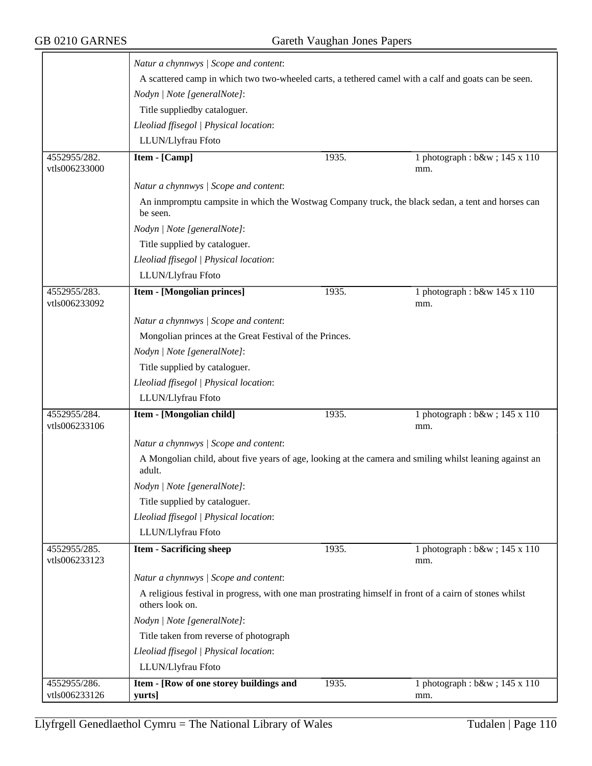|                               | Natur a chynnwys / Scope and content:                                                                                      |                                                                                                   |                                          |  |  |
|-------------------------------|----------------------------------------------------------------------------------------------------------------------------|---------------------------------------------------------------------------------------------------|------------------------------------------|--|--|
|                               | A scattered camp in which two two-wheeled carts, a tethered camel with a calf and goats can be seen.                       |                                                                                                   |                                          |  |  |
|                               | Nodyn   Note [generalNote]:                                                                                                |                                                                                                   |                                          |  |  |
|                               | Title suppliedby cataloguer.                                                                                               |                                                                                                   |                                          |  |  |
|                               | Lleoliad ffisegol   Physical location:                                                                                     |                                                                                                   |                                          |  |  |
|                               | LLUN/Llyfrau Ffoto                                                                                                         |                                                                                                   |                                          |  |  |
| 4552955/282.<br>vtls006233000 | Item - [Camp]                                                                                                              | 1935.                                                                                             | 1 photograph : b&w ; 145 x 110<br>mm.    |  |  |
|                               | Natur a chynnwys / Scope and content:                                                                                      |                                                                                                   |                                          |  |  |
|                               | be seen.                                                                                                                   | An inmpromptu campsite in which the Wostwag Company truck, the black sedan, a tent and horses can |                                          |  |  |
|                               | Nodyn   Note [generalNote]:                                                                                                |                                                                                                   |                                          |  |  |
|                               | Title supplied by cataloguer.                                                                                              |                                                                                                   |                                          |  |  |
|                               | Lleoliad ffisegol   Physical location:                                                                                     |                                                                                                   |                                          |  |  |
|                               | LLUN/Llyfrau Ffoto                                                                                                         |                                                                                                   |                                          |  |  |
| 4552955/283.<br>vtls006233092 | <b>Item - [Mongolian princes]</b>                                                                                          | 1935.                                                                                             | 1 photograph : $b$ &w 145 x 110<br>mm.   |  |  |
|                               | Natur a chynnwys / Scope and content:                                                                                      |                                                                                                   |                                          |  |  |
|                               | Mongolian princes at the Great Festival of the Princes.                                                                    |                                                                                                   |                                          |  |  |
|                               | Nodyn   Note [generalNote]:                                                                                                |                                                                                                   |                                          |  |  |
|                               | Title supplied by cataloguer.                                                                                              |                                                                                                   |                                          |  |  |
|                               | Lleoliad ffisegol   Physical location:                                                                                     |                                                                                                   |                                          |  |  |
|                               | LLUN/Llyfrau Ffoto                                                                                                         |                                                                                                   |                                          |  |  |
| 4552955/284.<br>vtls006233106 | Item - [Mongolian child]                                                                                                   | 1935.                                                                                             | 1 photograph : b&w ; 145 x 110<br>mm.    |  |  |
|                               | Natur a chynnwys / Scope and content:                                                                                      |                                                                                                   |                                          |  |  |
|                               | A Mongolian child, about five years of age, looking at the camera and smiling whilst leaning against an<br>adult.          |                                                                                                   |                                          |  |  |
|                               | Nodyn   Note [generalNote]:                                                                                                |                                                                                                   |                                          |  |  |
|                               | Title supplied by cataloguer.                                                                                              |                                                                                                   |                                          |  |  |
|                               | Lleoliad ffisegol   Physical location:                                                                                     |                                                                                                   |                                          |  |  |
|                               | LLUN/Llyfrau Ffoto                                                                                                         |                                                                                                   |                                          |  |  |
| 4552955/285.<br>vtls006233123 | <b>Item - Sacrificing sheep</b>                                                                                            | 1935.                                                                                             | 1 photograph : $b$ &w ; 145 x 110<br>mm. |  |  |
|                               | Natur a chynnwys / Scope and content:                                                                                      |                                                                                                   |                                          |  |  |
|                               | A religious festival in progress, with one man prostrating himself in front of a cairn of stones whilst<br>others look on. |                                                                                                   |                                          |  |  |
|                               | Nodyn   Note [generalNote]:                                                                                                |                                                                                                   |                                          |  |  |
|                               | Title taken from reverse of photograph                                                                                     |                                                                                                   |                                          |  |  |
|                               | Lleoliad ffisegol   Physical location:                                                                                     |                                                                                                   |                                          |  |  |
|                               | LLUN/Llyfrau Ffoto                                                                                                         |                                                                                                   |                                          |  |  |
| 4552955/286.<br>vtls006233126 | Item - [Row of one storey buildings and<br>yurts]                                                                          | 1935.                                                                                             | 1 photograph : b&w ; 145 x 110<br>mm.    |  |  |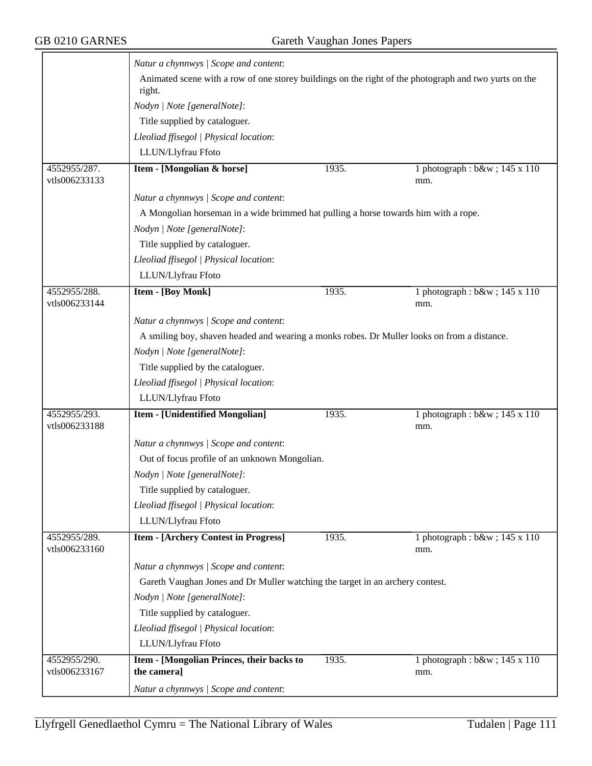$\overline{ }$ 

|                               | Natur a chynnwys / Scope and content:                                                                           |       |                                       |  |  |
|-------------------------------|-----------------------------------------------------------------------------------------------------------------|-------|---------------------------------------|--|--|
|                               | Animated scene with a row of one storey buildings on the right of the photograph and two yurts on the<br>right. |       |                                       |  |  |
|                               | Nodyn   Note [generalNote]:                                                                                     |       |                                       |  |  |
|                               | Title supplied by cataloguer.                                                                                   |       |                                       |  |  |
|                               | Lleoliad ffisegol   Physical location:                                                                          |       |                                       |  |  |
|                               | LLUN/Llyfrau Ffoto                                                                                              |       |                                       |  |  |
| 4552955/287.                  | Item - [Mongolian & horse]                                                                                      | 1935. | 1 photograph : b&w ; 145 x 110        |  |  |
| vtls006233133                 |                                                                                                                 |       | mm.                                   |  |  |
|                               | Natur a chynnwys / Scope and content:                                                                           |       |                                       |  |  |
|                               | A Mongolian horseman in a wide brimmed hat pulling a horse towards him with a rope.                             |       |                                       |  |  |
|                               | Nodyn   Note [generalNote]:                                                                                     |       |                                       |  |  |
|                               | Title supplied by cataloguer.                                                                                   |       |                                       |  |  |
|                               | Lleoliad ffisegol   Physical location:                                                                          |       |                                       |  |  |
|                               | LLUN/Llyfrau Ffoto                                                                                              |       |                                       |  |  |
| 4552955/288.<br>vtls006233144 | <b>Item - [Boy Monk]</b>                                                                                        | 1935. | 1 photograph : b&w ; 145 x 110<br>mm. |  |  |
|                               | Natur a chynnwys / Scope and content:                                                                           |       |                                       |  |  |
|                               | A smiling boy, shaven headed and wearing a monks robes. Dr Muller looks on from a distance.                     |       |                                       |  |  |
|                               | Nodyn   Note [generalNote]:                                                                                     |       |                                       |  |  |
|                               | Title supplied by the cataloguer.                                                                               |       |                                       |  |  |
|                               | Lleoliad ffisegol   Physical location:                                                                          |       |                                       |  |  |
|                               | LLUN/Llyfrau Ffoto                                                                                              |       |                                       |  |  |
| 4552955/293.<br>vtls006233188 | <b>Item - [Unidentified Mongolian]</b>                                                                          | 1935. | 1 photograph : b&w ; 145 x 110<br>mm. |  |  |
|                               | Natur a chynnwys / Scope and content:                                                                           |       |                                       |  |  |
|                               | Out of focus profile of an unknown Mongolian.                                                                   |       |                                       |  |  |
|                               | Nodyn   Note [generalNote]:                                                                                     |       |                                       |  |  |
|                               | Title supplied by cataloguer.                                                                                   |       |                                       |  |  |
|                               | Lleoliad ffisegol   Physical location:                                                                          |       |                                       |  |  |
|                               | LLUN/Llyfrau Ffoto                                                                                              |       |                                       |  |  |
| 4552955/289.<br>vtls006233160 | <b>Item - [Archery Contest in Progress]</b>                                                                     | 1935. | 1 photograph : b&w ; 145 x 110<br>mm. |  |  |
|                               | Natur a chynnwys / Scope and content:                                                                           |       |                                       |  |  |
|                               | Gareth Vaughan Jones and Dr Muller watching the target in an archery contest.                                   |       |                                       |  |  |
|                               | Nodyn   Note [generalNote]:                                                                                     |       |                                       |  |  |
|                               | Title supplied by cataloguer.                                                                                   |       |                                       |  |  |
|                               | Lleoliad ffisegol   Physical location:                                                                          |       |                                       |  |  |
|                               | LLUN/Llyfrau Ffoto                                                                                              |       |                                       |  |  |
| 4552955/290.<br>vtls006233167 | Item - [Mongolian Princes, their backs to<br>the camera]                                                        | 1935. | 1 photograph : b&w ; 145 x 110<br>mm. |  |  |
|                               | Natur a chynnwys / Scope and content:                                                                           |       |                                       |  |  |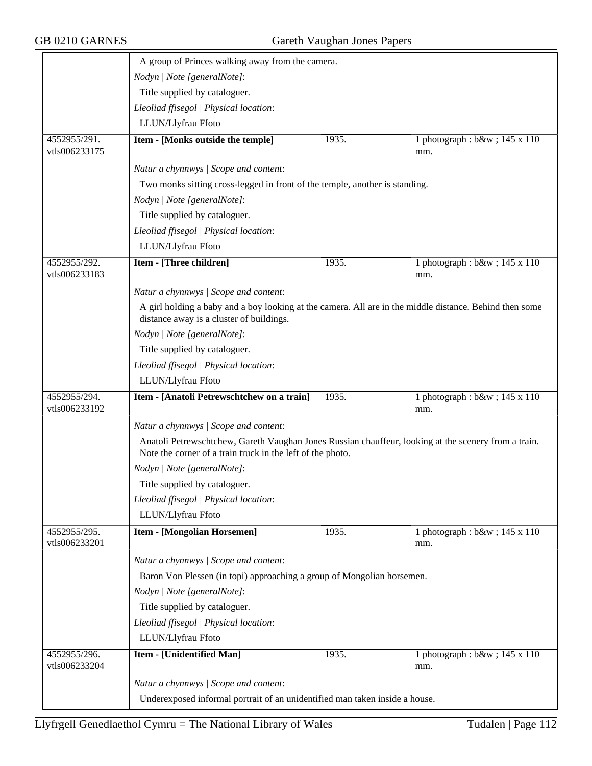|                               | A group of Princes walking away from the camera.                                                                                                                   |       |                                       |  |
|-------------------------------|--------------------------------------------------------------------------------------------------------------------------------------------------------------------|-------|---------------------------------------|--|
|                               | Nodyn   Note [generalNote]:                                                                                                                                        |       |                                       |  |
|                               | Title supplied by cataloguer.                                                                                                                                      |       |                                       |  |
|                               | Lleoliad ffisegol   Physical location:                                                                                                                             |       |                                       |  |
|                               | LLUN/Llyfrau Ffoto                                                                                                                                                 |       |                                       |  |
| 4552955/291.<br>vtls006233175 | Item - [Monks outside the temple]                                                                                                                                  | 1935. | 1 photograph : b&w ; 145 x 110<br>mm. |  |
|                               | Natur a chynnwys / Scope and content:                                                                                                                              |       |                                       |  |
|                               | Two monks sitting cross-legged in front of the temple, another is standing.                                                                                        |       |                                       |  |
|                               | Nodyn   Note [generalNote]:                                                                                                                                        |       |                                       |  |
|                               | Title supplied by cataloguer.                                                                                                                                      |       |                                       |  |
|                               | Lleoliad ffisegol   Physical location:                                                                                                                             |       |                                       |  |
|                               | LLUN/Llyfrau Ffoto                                                                                                                                                 |       |                                       |  |
| 4552955/292.<br>vtls006233183 | Item - [Three children]                                                                                                                                            | 1935. | 1 photograph : b&w ; 145 x 110<br>mm. |  |
|                               | Natur a chynnwys / Scope and content:                                                                                                                              |       |                                       |  |
|                               | A girl holding a baby and a boy looking at the camera. All are in the middle distance. Behind then some<br>distance away is a cluster of buildings.                |       |                                       |  |
|                               | Nodyn   Note [generalNote]:                                                                                                                                        |       |                                       |  |
|                               | Title supplied by cataloguer.                                                                                                                                      |       |                                       |  |
|                               | Lleoliad ffisegol   Physical location:                                                                                                                             |       |                                       |  |
|                               | LLUN/Llyfrau Ffoto                                                                                                                                                 |       |                                       |  |
| 4552955/294.<br>vtls006233192 | Item - [Anatoli Petrewschtchew on a train]                                                                                                                         | 1935. | 1 photograph : b&w ; 145 x 110<br>mm. |  |
|                               | Natur a chynnwys / Scope and content:                                                                                                                              |       |                                       |  |
|                               | Anatoli Petrewschtchew, Gareth Vaughan Jones Russian chauffeur, looking at the scenery from a train.<br>Note the corner of a train truck in the left of the photo. |       |                                       |  |
|                               | Nodyn   Note [generalNote]:                                                                                                                                        |       |                                       |  |
|                               | Title supplied by cataloguer.                                                                                                                                      |       |                                       |  |
|                               | Lleoliad ffisegol   Physical location:                                                                                                                             |       |                                       |  |
|                               | LLUN/Llyfrau Ffoto                                                                                                                                                 |       |                                       |  |
| 4552955/295.<br>vtls006233201 | <b>Item - [Mongolian Horsemen]</b>                                                                                                                                 | 1935. | 1 photograph : b&w ; 145 x 110<br>mm. |  |
|                               | Natur a chynnwys / Scope and content:                                                                                                                              |       |                                       |  |
|                               | Baron Von Plessen (in topi) approaching a group of Mongolian horsemen.                                                                                             |       |                                       |  |
|                               | Nodyn   Note [generalNote]:                                                                                                                                        |       |                                       |  |
|                               | Title supplied by cataloguer.                                                                                                                                      |       |                                       |  |
|                               | Lleoliad ffisegol   Physical location:                                                                                                                             |       |                                       |  |
|                               | LLUN/Llyfrau Ffoto                                                                                                                                                 |       |                                       |  |
| 4552955/296.<br>vtls006233204 | <b>Item - [Unidentified Man]</b>                                                                                                                                   | 1935. | 1 photograph : b&w ; 145 x 110<br>mm. |  |
|                               | Natur a chynnwys / Scope and content:                                                                                                                              |       |                                       |  |
|                               | Underexposed informal portrait of an unidentified man taken inside a house.                                                                                        |       |                                       |  |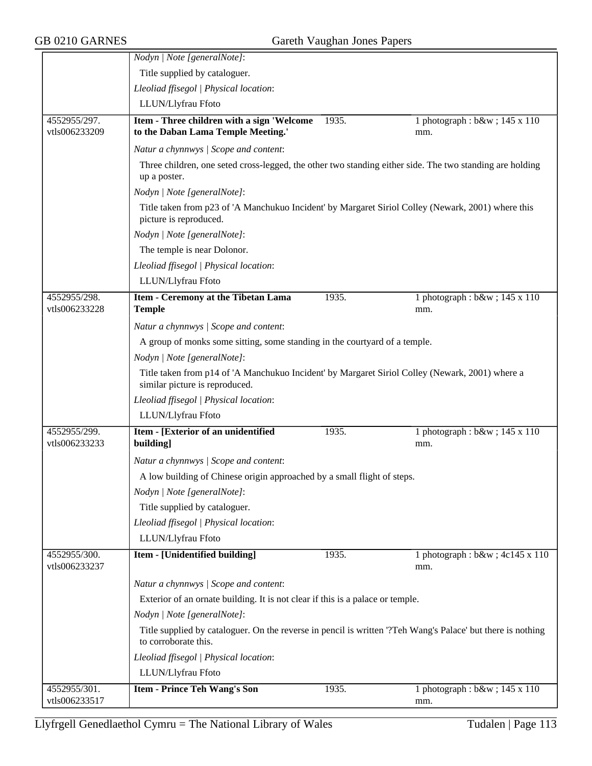|                               | Nodyn   Note [generalNote]:                                                                                                         |       |                                                                                                          |  |  |
|-------------------------------|-------------------------------------------------------------------------------------------------------------------------------------|-------|----------------------------------------------------------------------------------------------------------|--|--|
|                               | Title supplied by cataloguer.                                                                                                       |       |                                                                                                          |  |  |
|                               | Lleoliad ffisegol   Physical location:                                                                                              |       |                                                                                                          |  |  |
|                               | LLUN/Llyfrau Ffoto                                                                                                                  |       |                                                                                                          |  |  |
| 4552955/297.<br>vtls006233209 | Item - Three children with a sign 'Welcome<br>to the Daban Lama Temple Meeting.'                                                    | 1935. | 1 photograph : $b$ &w ; 145 x 110<br>mm.                                                                 |  |  |
|                               | Natur a chynnwys / Scope and content:                                                                                               |       |                                                                                                          |  |  |
|                               | up a poster.                                                                                                                        |       | Three children, one seted cross-legged, the other two standing either side. The two standing are holding |  |  |
|                               | Nodyn   Note [generalNote]:                                                                                                         |       |                                                                                                          |  |  |
|                               | Title taken from p23 of 'A Manchukuo Incident' by Margaret Siriol Colley (Newark, 2001) where this<br>picture is reproduced.        |       |                                                                                                          |  |  |
|                               | Nodyn   Note [generalNote]:                                                                                                         |       |                                                                                                          |  |  |
|                               | The temple is near Dolonor.                                                                                                         |       |                                                                                                          |  |  |
|                               | Lleoliad ffisegol   Physical location:                                                                                              |       |                                                                                                          |  |  |
|                               | LLUN/Llyfrau Ffoto                                                                                                                  |       |                                                                                                          |  |  |
| 4552955/298.<br>vtls006233228 | Item - Ceremony at the Tibetan Lama<br><b>Temple</b>                                                                                | 1935. | 1 photograph : b&w ; 145 x 110<br>mm.                                                                    |  |  |
|                               | Natur a chynnwys / Scope and content:                                                                                               |       |                                                                                                          |  |  |
|                               | A group of monks some sitting, some standing in the courtyard of a temple.                                                          |       |                                                                                                          |  |  |
|                               | Nodyn   Note [generalNote]:                                                                                                         |       |                                                                                                          |  |  |
|                               | Title taken from p14 of 'A Manchukuo Incident' by Margaret Siriol Colley (Newark, 2001) where a                                     |       |                                                                                                          |  |  |
|                               | similar picture is reproduced.                                                                                                      |       |                                                                                                          |  |  |
|                               | Lleoliad ffisegol   Physical location:                                                                                              |       |                                                                                                          |  |  |
|                               | LLUN/Llyfrau Ffoto                                                                                                                  |       |                                                                                                          |  |  |
| 4552955/299.                  | Item - [Exterior of an unidentified                                                                                                 | 1935. | 1 photograph : b&w ; 145 x 110                                                                           |  |  |
| vtls006233233                 | building]                                                                                                                           |       | mm.                                                                                                      |  |  |
|                               | Natur a chynnwys / Scope and content:                                                                                               |       |                                                                                                          |  |  |
|                               | A low building of Chinese origin approached by a small flight of steps.                                                             |       |                                                                                                          |  |  |
|                               | Nodyn   Note [generalNote]:                                                                                                         |       |                                                                                                          |  |  |
|                               | Title supplied by cataloguer.                                                                                                       |       |                                                                                                          |  |  |
|                               | Lleoliad ffisegol   Physical location:                                                                                              |       |                                                                                                          |  |  |
|                               | LLUN/Llyfrau Ffoto                                                                                                                  |       |                                                                                                          |  |  |
| 4552955/300.                  | Item - [Unidentified building]                                                                                                      | 1935. | 1 photograph : b&w ; 4c145 x 110                                                                         |  |  |
| vtls006233237                 |                                                                                                                                     |       | mm.                                                                                                      |  |  |
|                               | Natur a chynnwys / Scope and content:                                                                                               |       |                                                                                                          |  |  |
|                               | Exterior of an ornate building. It is not clear if this is a palace or temple.                                                      |       |                                                                                                          |  |  |
|                               | Nodyn   Note [generalNote]:                                                                                                         |       |                                                                                                          |  |  |
|                               | Title supplied by cataloguer. On the reverse in pencil is written '?Teh Wang's Palace' but there is nothing<br>to corroborate this. |       |                                                                                                          |  |  |
|                               | Lleoliad ffisegol   Physical location:                                                                                              |       |                                                                                                          |  |  |
|                               | LLUN/Llyfrau Ffoto                                                                                                                  |       |                                                                                                          |  |  |
| 4552955/301.                  | <b>Item - Prince Teh Wang's Son</b>                                                                                                 | 1935. | 1 photograph : b&w ; 145 x 110                                                                           |  |  |
| vtls006233517                 |                                                                                                                                     |       | mm.                                                                                                      |  |  |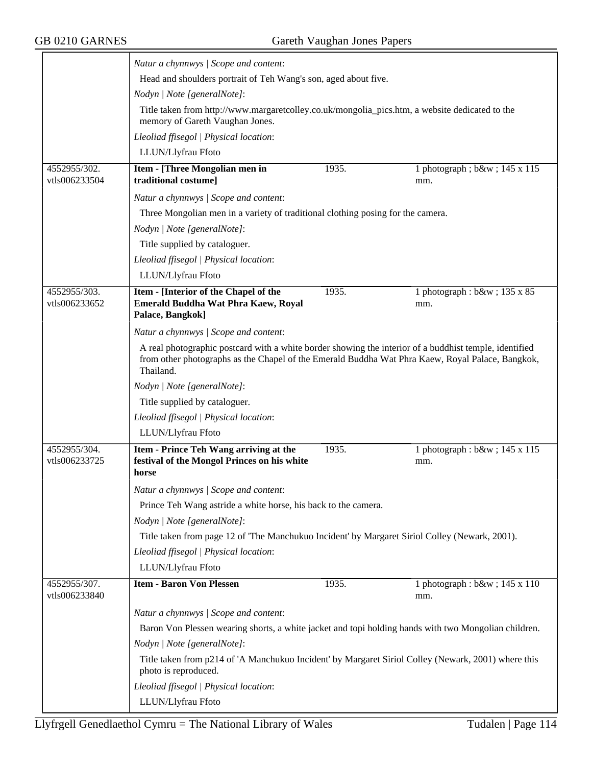|                               | Natur a chynnwys / Scope and content:                                                                                                                                                                                   |       |                                       |
|-------------------------------|-------------------------------------------------------------------------------------------------------------------------------------------------------------------------------------------------------------------------|-------|---------------------------------------|
|                               | Head and shoulders portrait of Teh Wang's son, aged about five.                                                                                                                                                         |       |                                       |
|                               | Nodyn   Note [generalNote]:                                                                                                                                                                                             |       |                                       |
|                               | Title taken from http://www.margaretcolley.co.uk/mongolia_pics.htm, a website dedicated to the<br>memory of Gareth Vaughan Jones.                                                                                       |       |                                       |
|                               | Lleoliad ffisegol   Physical location:                                                                                                                                                                                  |       |                                       |
|                               | LLUN/Llyfrau Ffoto                                                                                                                                                                                                      |       |                                       |
| 4552955/302.                  | <b>Item - [Three Mongolian men in</b>                                                                                                                                                                                   | 1935. | 1 photograph; b&w 145 x 115           |
| vtls006233504                 | traditional costume]                                                                                                                                                                                                    |       | mm.                                   |
|                               | Natur a chynnwys / Scope and content:                                                                                                                                                                                   |       |                                       |
|                               | Three Mongolian men in a variety of traditional clothing posing for the camera.                                                                                                                                         |       |                                       |
|                               | Nodyn   Note [generalNote]:                                                                                                                                                                                             |       |                                       |
|                               | Title supplied by cataloguer.                                                                                                                                                                                           |       |                                       |
|                               | Lleoliad ffisegol   Physical location:                                                                                                                                                                                  |       |                                       |
|                               | LLUN/Llyfrau Ffoto                                                                                                                                                                                                      |       |                                       |
| 4552955/303.<br>vtls006233652 | Item - [Interior of the Chapel of the<br>Emerald Buddha Wat Phra Kaew, Royal<br>Palace, Bangkok]                                                                                                                        | 1935. | 1 photograph : b&w ; 135 x 85<br>mm.  |
|                               | Natur a chynnwys / Scope and content:                                                                                                                                                                                   |       |                                       |
|                               | A real photographic postcard with a white border showing the interior of a buddhist temple, identified<br>from other photographs as the Chapel of the Emerald Buddha Wat Phra Kaew, Royal Palace, Bangkok,<br>Thailand. |       |                                       |
|                               | Nodyn   Note [generalNote]:                                                                                                                                                                                             |       |                                       |
|                               | Title supplied by cataloguer.                                                                                                                                                                                           |       |                                       |
|                               | Lleoliad ffisegol   Physical location:                                                                                                                                                                                  |       |                                       |
|                               | LLUN/Llyfrau Ffoto                                                                                                                                                                                                      |       |                                       |
| 4552955/304.<br>vtls006233725 | Item - Prince Teh Wang arriving at the<br>festival of the Mongol Princes on his white<br>horse                                                                                                                          | 1935. | 1 photograph : b&w ; 145 x 115<br>mm. |
|                               | Natur a chynnwys / Scope and content:                                                                                                                                                                                   |       |                                       |
|                               | Prince Teh Wang astride a white horse, his back to the camera.                                                                                                                                                          |       |                                       |
|                               | Nodyn   Note [generalNote]:                                                                                                                                                                                             |       |                                       |
|                               | Title taken from page 12 of 'The Manchukuo Incident' by Margaret Siriol Colley (Newark, 2001).                                                                                                                          |       |                                       |
|                               | Lleoliad ffisegol   Physical location:                                                                                                                                                                                  |       |                                       |
|                               | LLUN/Llyfrau Ffoto                                                                                                                                                                                                      |       |                                       |
| 4552955/307.<br>vtls006233840 | <b>Item - Baron Von Plessen</b>                                                                                                                                                                                         | 1935. | 1 photograph : b&w ; 145 x 110<br>mm. |
|                               | Natur a chynnwys / Scope and content:                                                                                                                                                                                   |       |                                       |
|                               | Baron Von Plessen wearing shorts, a white jacket and topi holding hands with two Mongolian children.                                                                                                                    |       |                                       |
|                               | Nodyn   Note [generalNote]:                                                                                                                                                                                             |       |                                       |
|                               | Title taken from p214 of 'A Manchukuo Incident' by Margaret Siriol Colley (Newark, 2001) where this<br>photo is reproduced.                                                                                             |       |                                       |
|                               | Lleoliad ffisegol   Physical location:                                                                                                                                                                                  |       |                                       |
|                               | LLUN/Llyfrau Ffoto                                                                                                                                                                                                      |       |                                       |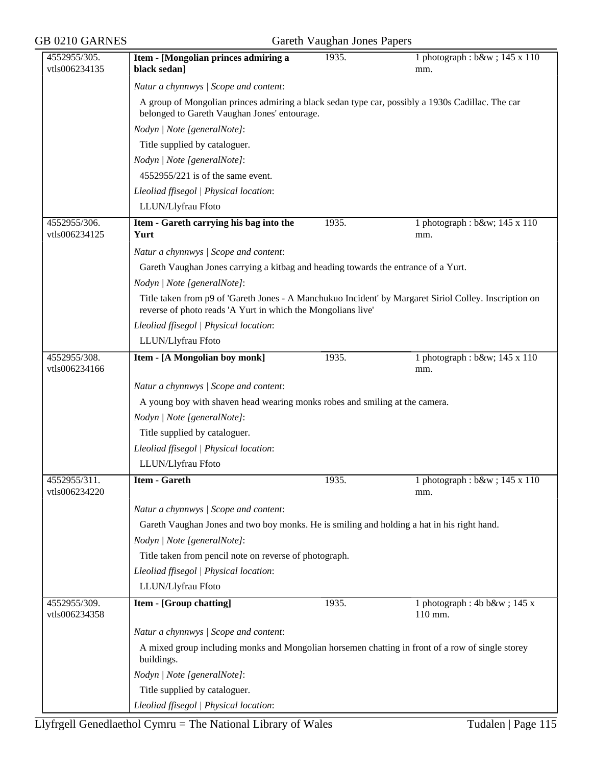| GB 0210 GARNES                |                                                                                                                                                                        | Gareth Vaughan Jones Papers |                                          |  |
|-------------------------------|------------------------------------------------------------------------------------------------------------------------------------------------------------------------|-----------------------------|------------------------------------------|--|
| 4552955/305.<br>vtls006234135 | Item - [Mongolian princes admiring a<br>black sedan]                                                                                                                   | 1935.                       | 1 photograph : b&w ; 145 x 110<br>mm.    |  |
|                               | Natur a chynnwys / Scope and content:                                                                                                                                  |                             |                                          |  |
|                               | A group of Mongolian princes admiring a black sedan type car, possibly a 1930s Cadillac. The car<br>belonged to Gareth Vaughan Jones' entourage.                       |                             |                                          |  |
|                               | Nodyn   Note [generalNote]:                                                                                                                                            |                             |                                          |  |
|                               | Title supplied by cataloguer.                                                                                                                                          |                             |                                          |  |
|                               | Nodyn   Note [generalNote]:                                                                                                                                            |                             |                                          |  |
|                               | 4552955/221 is of the same event.                                                                                                                                      |                             |                                          |  |
|                               | Lleoliad ffisegol   Physical location:                                                                                                                                 |                             |                                          |  |
|                               | LLUN/Llyfrau Ffoto                                                                                                                                                     |                             |                                          |  |
| 4552955/306.<br>vtls006234125 | Item - Gareth carrying his bag into the<br>Yurt                                                                                                                        | 1935.                       | 1 photograph : b&w 145 x 110<br>mm.      |  |
|                               | Natur a chynnwys / Scope and content:                                                                                                                                  |                             |                                          |  |
|                               | Gareth Vaughan Jones carrying a kitbag and heading towards the entrance of a Yurt.                                                                                     |                             |                                          |  |
|                               | Nodyn   Note [generalNote]:                                                                                                                                            |                             |                                          |  |
|                               | Title taken from p9 of 'Gareth Jones - A Manchukuo Incident' by Margaret Siriol Colley. Inscription on<br>reverse of photo reads 'A Yurt in which the Mongolians live' |                             |                                          |  |
|                               | Lleoliad ffisegol   Physical location:                                                                                                                                 |                             |                                          |  |
|                               | LLUN/Llyfrau Ffoto                                                                                                                                                     |                             |                                          |  |
| 4552955/308.<br>vtls006234166 | Item - [A Mongolian boy monk]                                                                                                                                          | 1935.                       | 1 photograph : b&w 145 x 110<br>mm.      |  |
|                               | Natur a chynnwys / Scope and content:                                                                                                                                  |                             |                                          |  |
|                               | A young boy with shaven head wearing monks robes and smiling at the camera.                                                                                            |                             |                                          |  |
|                               | Nodyn   Note [generalNote]:                                                                                                                                            |                             |                                          |  |
|                               | Title supplied by cataloguer.                                                                                                                                          |                             |                                          |  |
|                               | Lleoliad ffisegol   Physical location:                                                                                                                                 |                             |                                          |  |
|                               | LLUN/Llyfrau Ffoto                                                                                                                                                     |                             |                                          |  |
| 4552955/311.<br>vtls006234220 | <b>Item - Gareth</b>                                                                                                                                                   | 1935.                       | 1 photograph : $b$ &w ; 145 x 110<br>mm. |  |
|                               | Natur a chynnwys / Scope and content:                                                                                                                                  |                             |                                          |  |
|                               | Gareth Vaughan Jones and two boy monks. He is smiling and holding a hat in his right hand.                                                                             |                             |                                          |  |
|                               | Nodyn   Note [generalNote]:                                                                                                                                            |                             |                                          |  |
|                               | Title taken from pencil note on reverse of photograph.                                                                                                                 |                             |                                          |  |
|                               | Lleoliad ffisegol   Physical location:                                                                                                                                 |                             |                                          |  |
|                               | LLUN/Llyfrau Ffoto                                                                                                                                                     |                             |                                          |  |
| 4552955/309.                  | <b>Item - [Group chatting]</b>                                                                                                                                         | 1935.                       | 1 photograph : 4b b $&$ w ; 145 x        |  |
| vtls006234358                 |                                                                                                                                                                        |                             | 110 mm.                                  |  |
|                               | Natur a chynnwys / Scope and content:                                                                                                                                  |                             |                                          |  |
|                               | A mixed group including monks and Mongolian horsemen chatting in front of a row of single storey<br>buildings.                                                         |                             |                                          |  |
|                               | Nodyn   Note [generalNote]:                                                                                                                                            |                             |                                          |  |
|                               | Title supplied by cataloguer.                                                                                                                                          |                             |                                          |  |
|                               | Lleoliad ffisegol   Physical location:                                                                                                                                 |                             |                                          |  |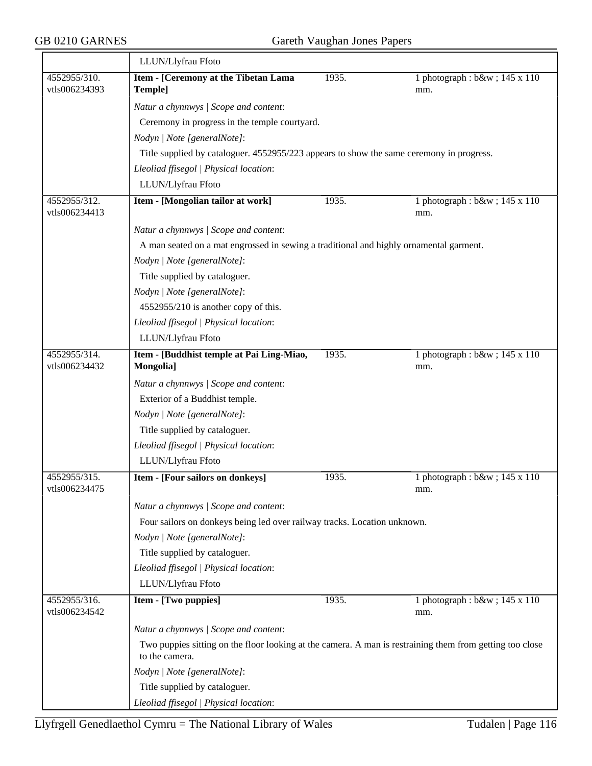|                               | LLUN/Llyfrau Ffoto                                                                                                         |       |                                       |  |  |
|-------------------------------|----------------------------------------------------------------------------------------------------------------------------|-------|---------------------------------------|--|--|
| 4552955/310.                  | Item - [Ceremony at the Tibetan Lama                                                                                       | 1935. | 1 photograph : b&w ; 145 x 110        |  |  |
| vtls006234393                 | Temple]                                                                                                                    |       | mm.                                   |  |  |
|                               | Natur a chynnwys / Scope and content:                                                                                      |       |                                       |  |  |
|                               | Ceremony in progress in the temple courtyard.                                                                              |       |                                       |  |  |
|                               | Nodyn   Note [generalNote]:                                                                                                |       |                                       |  |  |
|                               | Title supplied by cataloguer. 4552955/223 appears to show the same ceremony in progress.                                   |       |                                       |  |  |
|                               | Lleoliad ffisegol   Physical location:                                                                                     |       |                                       |  |  |
|                               | LLUN/Llyfrau Ffoto                                                                                                         |       |                                       |  |  |
| 4552955/312.<br>vtls006234413 | Item - [Mongolian tailor at work]                                                                                          | 1935. | 1 photograph : b&w ; 145 x 110<br>mm. |  |  |
|                               | Natur a chynnwys / Scope and content:                                                                                      |       |                                       |  |  |
|                               | A man seated on a mat engrossed in sewing a traditional and highly ornamental garment.                                     |       |                                       |  |  |
|                               | Nodyn   Note [generalNote]:                                                                                                |       |                                       |  |  |
|                               | Title supplied by cataloguer.                                                                                              |       |                                       |  |  |
|                               | Nodyn   Note [generalNote]:                                                                                                |       |                                       |  |  |
|                               | 4552955/210 is another copy of this.                                                                                       |       |                                       |  |  |
|                               | Lleoliad ffisegol   Physical location:                                                                                     |       |                                       |  |  |
|                               | LLUN/Llyfrau Ffoto                                                                                                         |       |                                       |  |  |
| 4552955/314.<br>vtls006234432 | Item - [Buddhist temple at Pai Ling-Miao,<br>Mongolia]                                                                     | 1935. | 1 photograph : b&w ; 145 x 110<br>mm. |  |  |
|                               | Natur a chynnwys / Scope and content:                                                                                      |       |                                       |  |  |
|                               | Exterior of a Buddhist temple.                                                                                             |       |                                       |  |  |
|                               | Nodyn   Note [generalNote]:                                                                                                |       |                                       |  |  |
|                               | Title supplied by cataloguer.                                                                                              |       |                                       |  |  |
|                               | Lleoliad ffisegol   Physical location:                                                                                     |       |                                       |  |  |
|                               | LLUN/Llyfrau Ffoto                                                                                                         |       |                                       |  |  |
| 4552955/315.<br>vtls006234475 | Item - [Four sailors on donkeys]                                                                                           | 1935. | 1 photograph : b&w ; 145 x 110<br>mm. |  |  |
|                               | Natur a chynnwys / Scope and content:                                                                                      |       |                                       |  |  |
|                               | Four sailors on donkeys being led over railway tracks. Location unknown.                                                   |       |                                       |  |  |
|                               | Nodyn   Note [generalNote]:                                                                                                |       |                                       |  |  |
|                               | Title supplied by cataloguer.                                                                                              |       |                                       |  |  |
|                               | Lleoliad ffisegol   Physical location:                                                                                     |       |                                       |  |  |
|                               | LLUN/Llyfrau Ffoto                                                                                                         |       |                                       |  |  |
| 4552955/316.<br>vtls006234542 | Item - [Two puppies]                                                                                                       | 1935. | 1 photograph : b&w ; 145 x 110<br>mm. |  |  |
|                               | Natur a chynnwys / Scope and content:                                                                                      |       |                                       |  |  |
|                               | Two puppies sitting on the floor looking at the camera. A man is restraining them from getting too close<br>to the camera. |       |                                       |  |  |
|                               | Nodyn   Note [generalNote]:                                                                                                |       |                                       |  |  |
|                               | Title supplied by cataloguer.                                                                                              |       |                                       |  |  |
|                               | Lleoliad ffisegol   Physical location:                                                                                     |       |                                       |  |  |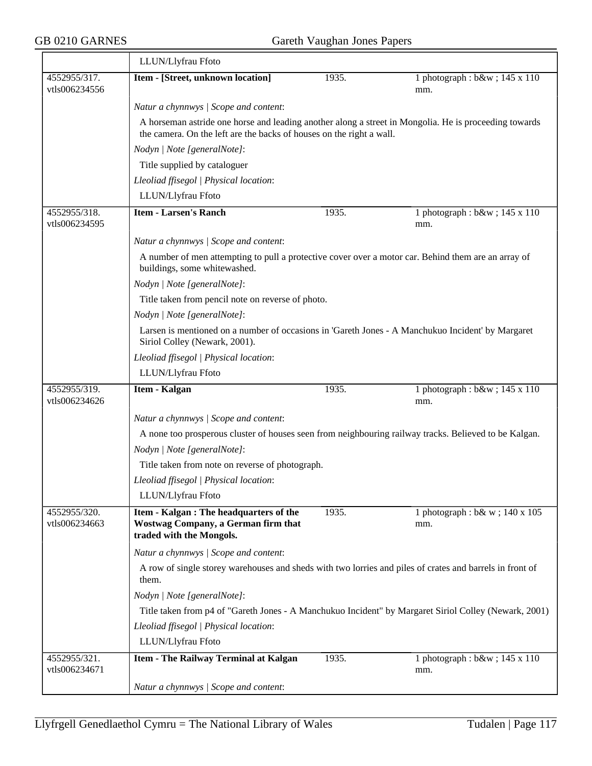|                               | LLUN/Llyfrau Ffoto                                                                                                                  |       |                                                                                                       |  |  |
|-------------------------------|-------------------------------------------------------------------------------------------------------------------------------------|-------|-------------------------------------------------------------------------------------------------------|--|--|
| 4552955/317.<br>vtls006234556 | Item - [Street, unknown location]                                                                                                   | 1935. | 1 photograph : b&w ; 145 x 110<br>mm.                                                                 |  |  |
|                               | Natur a chynnwys / Scope and content:                                                                                               |       |                                                                                                       |  |  |
|                               | the camera. On the left are the backs of houses on the right a wall.                                                                |       | A horseman astride one horse and leading another along a street in Mongolia. He is proceeding towards |  |  |
|                               | Nodyn   Note [generalNote]:                                                                                                         |       |                                                                                                       |  |  |
|                               | Title supplied by cataloguer                                                                                                        |       |                                                                                                       |  |  |
|                               | Lleoliad ffisegol   Physical location:                                                                                              |       |                                                                                                       |  |  |
|                               | LLUN/Llyfrau Ffoto                                                                                                                  |       |                                                                                                       |  |  |
| 4552955/318.<br>vtls006234595 | <b>Item - Larsen's Ranch</b>                                                                                                        | 1935. | 1 photograph : b&w ; 145 x 110<br>mm.                                                                 |  |  |
|                               | Natur a chynnwys / Scope and content:                                                                                               |       |                                                                                                       |  |  |
|                               | A number of men attempting to pull a protective cover over a motor car. Behind them are an array of<br>buildings, some whitewashed. |       |                                                                                                       |  |  |
|                               | Nodyn   Note [generalNote]:                                                                                                         |       |                                                                                                       |  |  |
|                               | Title taken from pencil note on reverse of photo.                                                                                   |       |                                                                                                       |  |  |
|                               | Nodyn   Note [generalNote]:                                                                                                         |       |                                                                                                       |  |  |
|                               | Siriol Colley (Newark, 2001).                                                                                                       |       | Larsen is mentioned on a number of occasions in 'Gareth Jones - A Manchukuo Incident' by Margaret     |  |  |
|                               | Lleoliad ffisegol   Physical location:                                                                                              |       |                                                                                                       |  |  |
|                               | LLUN/Llyfrau Ffoto                                                                                                                  |       |                                                                                                       |  |  |
| 4552955/319.<br>vtls006234626 | Item - Kalgan                                                                                                                       | 1935. | 1 photograph : b&w ; 145 x 110<br>mm.                                                                 |  |  |
|                               | Natur a chynnwys / Scope and content:                                                                                               |       |                                                                                                       |  |  |
|                               | A none too prosperous cluster of houses seen from neighbouring railway tracks. Believed to be Kalgan.                               |       |                                                                                                       |  |  |
|                               | Nodyn   Note [generalNote]:                                                                                                         |       |                                                                                                       |  |  |
|                               | Title taken from note on reverse of photograph.                                                                                     |       |                                                                                                       |  |  |
|                               | Lleoliad ffisegol   Physical location:                                                                                              |       |                                                                                                       |  |  |
|                               | LLUN/Llyfrau Ffoto                                                                                                                  |       |                                                                                                       |  |  |
| 4552955/320.<br>vtls006234663 | Item - Kalgan : The headquarters of the<br>Wostwag Company, a German firm that<br>traded with the Mongols.                          | 1935. | 1 photograph : b& w ; 140 x 105<br>mm.                                                                |  |  |
|                               | Natur a chynnwys / Scope and content:                                                                                               |       |                                                                                                       |  |  |
|                               | A row of single storey warehouses and sheds with two lorries and piles of crates and barrels in front of<br>them.                   |       |                                                                                                       |  |  |
|                               | Nodyn   Note [generalNote]:                                                                                                         |       |                                                                                                       |  |  |
|                               |                                                                                                                                     |       | Title taken from p4 of "Gareth Jones - A Manchukuo Incident" by Margaret Siriol Colley (Newark, 2001) |  |  |
|                               | Lleoliad ffisegol   Physical location:                                                                                              |       |                                                                                                       |  |  |
|                               | LLUN/Llyfrau Ffoto                                                                                                                  |       |                                                                                                       |  |  |
| 4552955/321.<br>vtls006234671 | <b>Item - The Railway Terminal at Kalgan</b>                                                                                        | 1935. | 1 photograph : b&w ; 145 x 110<br>mm.                                                                 |  |  |
|                               | Natur a chynnwys / Scope and content:                                                                                               |       |                                                                                                       |  |  |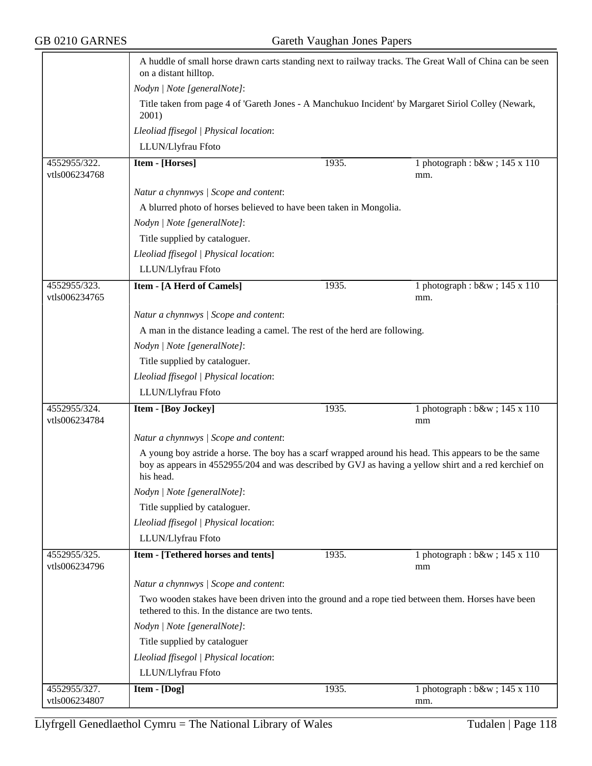|                               | A huddle of small horse drawn carts standing next to railway tracks. The Great Wall of China can be seen<br>on a distant hilltop.                                                                                           |       |                                          |  |  |
|-------------------------------|-----------------------------------------------------------------------------------------------------------------------------------------------------------------------------------------------------------------------------|-------|------------------------------------------|--|--|
|                               | Nodyn   Note [generalNote]:<br>Title taken from page 4 of 'Gareth Jones - A Manchukuo Incident' by Margaret Siriol Colley (Newark,<br>2001)                                                                                 |       |                                          |  |  |
|                               |                                                                                                                                                                                                                             |       |                                          |  |  |
|                               | Lleoliad ffisegol   Physical location:                                                                                                                                                                                      |       |                                          |  |  |
|                               | LLUN/Llyfrau Ffoto                                                                                                                                                                                                          |       |                                          |  |  |
| 4552955/322.                  | Item - [Horses]                                                                                                                                                                                                             | 1935. | 1 photograph : $b$ &w ; 145 x 110        |  |  |
| vtls006234768                 |                                                                                                                                                                                                                             |       | mm.                                      |  |  |
|                               | Natur a chynnwys / Scope and content:                                                                                                                                                                                       |       |                                          |  |  |
|                               | A blurred photo of horses believed to have been taken in Mongolia.                                                                                                                                                          |       |                                          |  |  |
|                               | Nodyn   Note [generalNote]:                                                                                                                                                                                                 |       |                                          |  |  |
|                               | Title supplied by cataloguer.                                                                                                                                                                                               |       |                                          |  |  |
|                               | Lleoliad ffisegol   Physical location:                                                                                                                                                                                      |       |                                          |  |  |
|                               | LLUN/Llyfrau Ffoto                                                                                                                                                                                                          |       |                                          |  |  |
| 4552955/323.<br>vtls006234765 | <b>Item - [A Herd of Camels]</b>                                                                                                                                                                                            | 1935. | 1 photograph : $b$ &w ; 145 x 110<br>mm. |  |  |
|                               | Natur a chynnwys / Scope and content:                                                                                                                                                                                       |       |                                          |  |  |
|                               | A man in the distance leading a camel. The rest of the herd are following.                                                                                                                                                  |       |                                          |  |  |
|                               | Nodyn   Note [generalNote]:                                                                                                                                                                                                 |       |                                          |  |  |
|                               | Title supplied by cataloguer.                                                                                                                                                                                               |       |                                          |  |  |
|                               | Lleoliad ffisegol   Physical location:                                                                                                                                                                                      |       |                                          |  |  |
|                               | LLUN/Llyfrau Ffoto                                                                                                                                                                                                          |       |                                          |  |  |
| 4552955/324.<br>vtls006234784 | Item - [Boy Jockey]                                                                                                                                                                                                         | 1935. | 1 photograph : b&w ; 145 x 110<br>mm     |  |  |
|                               | Natur a chynnwys / Scope and content:                                                                                                                                                                                       |       |                                          |  |  |
|                               | A young boy astride a horse. The boy has a scarf wrapped around his head. This appears to be the same<br>boy as appears in 4552955/204 and was described by GVJ as having a yellow shirt and a red kerchief on<br>his head. |       |                                          |  |  |
|                               | Nodyn   Note [generalNote]:                                                                                                                                                                                                 |       |                                          |  |  |
|                               | Title supplied by cataloguer.                                                                                                                                                                                               |       |                                          |  |  |
|                               | Lleoliad ffisegol   Physical location:                                                                                                                                                                                      |       |                                          |  |  |
|                               | LLUN/Llyfrau Ffoto                                                                                                                                                                                                          |       |                                          |  |  |
| 4552955/325.                  | <b>Item - [Tethered horses and tents]</b>                                                                                                                                                                                   | 1935. | 1 photograph : b&w ; 145 x 110           |  |  |
| vtls006234796                 |                                                                                                                                                                                                                             |       | mm                                       |  |  |
|                               | Natur a chynnwys / Scope and content:                                                                                                                                                                                       |       |                                          |  |  |
|                               | Two wooden stakes have been driven into the ground and a rope tied between them. Horses have been<br>tethered to this. In the distance are two tents.                                                                       |       |                                          |  |  |
|                               | Nodyn   Note [generalNote]:                                                                                                                                                                                                 |       |                                          |  |  |
|                               | Title supplied by cataloguer                                                                                                                                                                                                |       |                                          |  |  |
|                               | Lleoliad ffisegol   Physical location:                                                                                                                                                                                      |       |                                          |  |  |
|                               | LLUN/Llyfrau Ffoto                                                                                                                                                                                                          |       |                                          |  |  |
| 4552955/327.                  | Item - [Dog]                                                                                                                                                                                                                | 1935. | 1 photograph : b&w ; 145 x 110           |  |  |
| vtls006234807                 |                                                                                                                                                                                                                             |       | mm.                                      |  |  |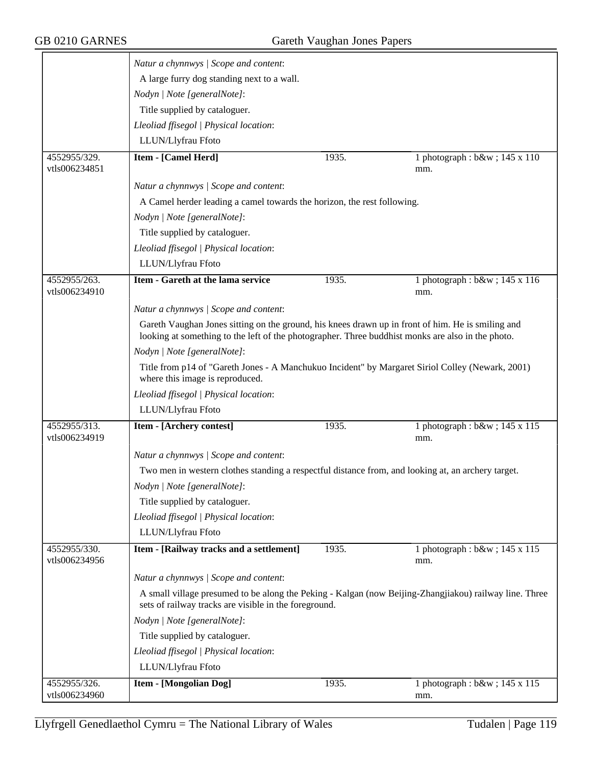|               | Natur a chynnwys / Scope and content:                                                                                                                                                                  |       |                                                                                                        |
|---------------|--------------------------------------------------------------------------------------------------------------------------------------------------------------------------------------------------------|-------|--------------------------------------------------------------------------------------------------------|
|               | A large furry dog standing next to a wall.                                                                                                                                                             |       |                                                                                                        |
|               | Nodyn   Note [generalNote]:                                                                                                                                                                            |       |                                                                                                        |
|               | Title supplied by cataloguer.                                                                                                                                                                          |       |                                                                                                        |
|               | Lleoliad ffisegol   Physical location:                                                                                                                                                                 |       |                                                                                                        |
|               | LLUN/Llyfrau Ffoto                                                                                                                                                                                     |       |                                                                                                        |
| 4552955/329.  | <b>Item - [Camel Herd]</b>                                                                                                                                                                             | 1935. | 1 photograph : b&w ; 145 x 110                                                                         |
| vtls006234851 |                                                                                                                                                                                                        |       | mm.                                                                                                    |
|               | Natur a chynnwys / Scope and content:                                                                                                                                                                  |       |                                                                                                        |
|               | A Camel herder leading a camel towards the horizon, the rest following.                                                                                                                                |       |                                                                                                        |
|               | Nodyn   Note [generalNote]:                                                                                                                                                                            |       |                                                                                                        |
|               | Title supplied by cataloguer.                                                                                                                                                                          |       |                                                                                                        |
|               | Lleoliad ffisegol   Physical location:                                                                                                                                                                 |       |                                                                                                        |
|               | LLUN/Llyfrau Ffoto                                                                                                                                                                                     |       |                                                                                                        |
| 4552955/263.  | Item - Gareth at the lama service                                                                                                                                                                      | 1935. | 1 photograph : b&w ; 145 x 116                                                                         |
| vtls006234910 |                                                                                                                                                                                                        |       | mm.                                                                                                    |
|               | Natur a chynnwys / Scope and content:                                                                                                                                                                  |       |                                                                                                        |
|               | Gareth Vaughan Jones sitting on the ground, his knees drawn up in front of him. He is smiling and<br>looking at something to the left of the photographer. Three buddhist monks are also in the photo. |       |                                                                                                        |
|               | Nodyn   Note [generalNote]:                                                                                                                                                                            |       |                                                                                                        |
|               | Title from p14 of "Gareth Jones - A Manchukuo Incident" by Margaret Siriol Colley (Newark, 2001)<br>where this image is reproduced.                                                                    |       |                                                                                                        |
|               | Lleoliad ffisegol   Physical location:                                                                                                                                                                 |       |                                                                                                        |
|               | LLUN/Llyfrau Ffoto                                                                                                                                                                                     |       |                                                                                                        |
| 4552955/313.  | Item - [Archery contest]                                                                                                                                                                               | 1935. | 1 photograph : b&w ; 145 x 115                                                                         |
| vtls006234919 |                                                                                                                                                                                                        |       | mm.                                                                                                    |
|               | Natur a chynnwys / Scope and content:                                                                                                                                                                  |       |                                                                                                        |
|               | Two men in western clothes standing a respectful distance from, and looking at, an archery target.                                                                                                     |       |                                                                                                        |
|               | Nodyn   Note [generalNote]:                                                                                                                                                                            |       |                                                                                                        |
|               | Title supplied by cataloguer.                                                                                                                                                                          |       |                                                                                                        |
|               | Lleoliad ffisegol   Physical location:                                                                                                                                                                 |       |                                                                                                        |
|               | LLUN/Llyfrau Ffoto                                                                                                                                                                                     |       |                                                                                                        |
| 4552955/330.  | Item - [Railway tracks and a settlement]                                                                                                                                                               | 1935. | 1 photograph : b&w ; 145 x 115                                                                         |
| vtls006234956 |                                                                                                                                                                                                        |       | mm.                                                                                                    |
|               | Natur a chynnwys / Scope and content:                                                                                                                                                                  |       |                                                                                                        |
|               | sets of railway tracks are visible in the foreground.                                                                                                                                                  |       | A small village presumed to be along the Peking - Kalgan (now Beijing-Zhangjiakou) railway line. Three |
|               | Nodyn   Note [generalNote]:                                                                                                                                                                            |       |                                                                                                        |
|               | Title supplied by cataloguer.                                                                                                                                                                          |       |                                                                                                        |
|               | Lleoliad ffisegol   Physical location:                                                                                                                                                                 |       |                                                                                                        |
|               | LLUN/Llyfrau Ffoto                                                                                                                                                                                     |       |                                                                                                        |
| 4552955/326.  | <b>Item - [Mongolian Dog]</b>                                                                                                                                                                          | 1935. | 1 photograph : b&w ; 145 x 115                                                                         |
| vtls006234960 |                                                                                                                                                                                                        |       | mm.                                                                                                    |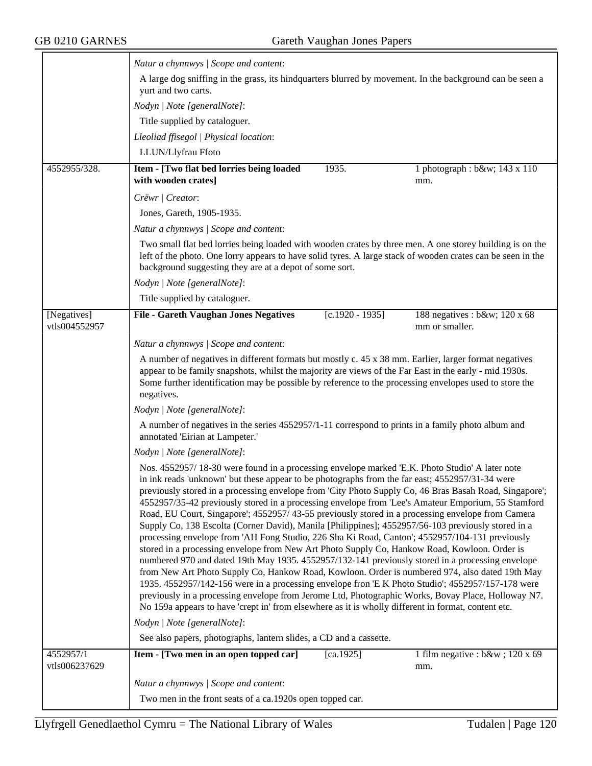$\equiv$ 

|                              | Natur a chynnwys / Scope and content:                                                                                                                                                                                                                                                                                                                                                                                                                                                                                                                                                                                                                                                                                                                                                                                                                                                                                                                                                                                                                                                                                                                                                                                                                                                                                                                 |  |  |  |
|------------------------------|-------------------------------------------------------------------------------------------------------------------------------------------------------------------------------------------------------------------------------------------------------------------------------------------------------------------------------------------------------------------------------------------------------------------------------------------------------------------------------------------------------------------------------------------------------------------------------------------------------------------------------------------------------------------------------------------------------------------------------------------------------------------------------------------------------------------------------------------------------------------------------------------------------------------------------------------------------------------------------------------------------------------------------------------------------------------------------------------------------------------------------------------------------------------------------------------------------------------------------------------------------------------------------------------------------------------------------------------------------|--|--|--|
|                              | A large dog sniffing in the grass, its hindquarters blurred by movement. In the background can be seen a<br>yurt and two carts.                                                                                                                                                                                                                                                                                                                                                                                                                                                                                                                                                                                                                                                                                                                                                                                                                                                                                                                                                                                                                                                                                                                                                                                                                       |  |  |  |
|                              | Nodyn   Note [generalNote]:                                                                                                                                                                                                                                                                                                                                                                                                                                                                                                                                                                                                                                                                                                                                                                                                                                                                                                                                                                                                                                                                                                                                                                                                                                                                                                                           |  |  |  |
|                              | Title supplied by cataloguer.                                                                                                                                                                                                                                                                                                                                                                                                                                                                                                                                                                                                                                                                                                                                                                                                                                                                                                                                                                                                                                                                                                                                                                                                                                                                                                                         |  |  |  |
|                              | Lleoliad ffisegol   Physical location:                                                                                                                                                                                                                                                                                                                                                                                                                                                                                                                                                                                                                                                                                                                                                                                                                                                                                                                                                                                                                                                                                                                                                                                                                                                                                                                |  |  |  |
|                              | LLUN/Llyfrau Ffoto                                                                                                                                                                                                                                                                                                                                                                                                                                                                                                                                                                                                                                                                                                                                                                                                                                                                                                                                                                                                                                                                                                                                                                                                                                                                                                                                    |  |  |  |
| 4552955/328.                 | Item - [Two flat bed lorries being loaded<br>1935.<br>1 photograph : b&w 143 x 110<br>with wooden crates]<br>mm.                                                                                                                                                                                                                                                                                                                                                                                                                                                                                                                                                                                                                                                                                                                                                                                                                                                                                                                                                                                                                                                                                                                                                                                                                                      |  |  |  |
|                              | Crëwr   Creator:                                                                                                                                                                                                                                                                                                                                                                                                                                                                                                                                                                                                                                                                                                                                                                                                                                                                                                                                                                                                                                                                                                                                                                                                                                                                                                                                      |  |  |  |
|                              | Jones, Gareth, 1905-1935.                                                                                                                                                                                                                                                                                                                                                                                                                                                                                                                                                                                                                                                                                                                                                                                                                                                                                                                                                                                                                                                                                                                                                                                                                                                                                                                             |  |  |  |
|                              | Natur a chynnwys / Scope and content:                                                                                                                                                                                                                                                                                                                                                                                                                                                                                                                                                                                                                                                                                                                                                                                                                                                                                                                                                                                                                                                                                                                                                                                                                                                                                                                 |  |  |  |
|                              | Two small flat bed lorries being loaded with wooden crates by three men. A one storey building is on the<br>left of the photo. One lorry appears to have solid tyres. A large stack of wooden crates can be seen in the<br>background suggesting they are at a depot of some sort.                                                                                                                                                                                                                                                                                                                                                                                                                                                                                                                                                                                                                                                                                                                                                                                                                                                                                                                                                                                                                                                                    |  |  |  |
|                              | Nodyn   Note [generalNote]:                                                                                                                                                                                                                                                                                                                                                                                                                                                                                                                                                                                                                                                                                                                                                                                                                                                                                                                                                                                                                                                                                                                                                                                                                                                                                                                           |  |  |  |
|                              | Title supplied by cataloguer.                                                                                                                                                                                                                                                                                                                                                                                                                                                                                                                                                                                                                                                                                                                                                                                                                                                                                                                                                                                                                                                                                                                                                                                                                                                                                                                         |  |  |  |
| [Negatives]<br>vtls004552957 | <b>File - Gareth Vaughan Jones Negatives</b><br>$[c.1920 - 1935]$<br>188 negatives : b&w 120 x 68<br>mm or smaller.                                                                                                                                                                                                                                                                                                                                                                                                                                                                                                                                                                                                                                                                                                                                                                                                                                                                                                                                                                                                                                                                                                                                                                                                                                   |  |  |  |
|                              | Natur a chynnwys / Scope and content:                                                                                                                                                                                                                                                                                                                                                                                                                                                                                                                                                                                                                                                                                                                                                                                                                                                                                                                                                                                                                                                                                                                                                                                                                                                                                                                 |  |  |  |
|                              | A number of negatives in different formats but mostly c. 45 x 38 mm. Earlier, larger format negatives<br>appear to be family snapshots, whilst the majority are views of the Far East in the early - mid 1930s.<br>Some further identification may be possible by reference to the processing envelopes used to store the<br>negatives.                                                                                                                                                                                                                                                                                                                                                                                                                                                                                                                                                                                                                                                                                                                                                                                                                                                                                                                                                                                                               |  |  |  |
|                              | Nodyn   Note [generalNote]:                                                                                                                                                                                                                                                                                                                                                                                                                                                                                                                                                                                                                                                                                                                                                                                                                                                                                                                                                                                                                                                                                                                                                                                                                                                                                                                           |  |  |  |
|                              | A number of negatives in the series 4552957/1-11 correspond to prints in a family photo album and<br>annotated 'Eirian at Lampeter.'                                                                                                                                                                                                                                                                                                                                                                                                                                                                                                                                                                                                                                                                                                                                                                                                                                                                                                                                                                                                                                                                                                                                                                                                                  |  |  |  |
|                              | Nodyn   Note [generalNote]:                                                                                                                                                                                                                                                                                                                                                                                                                                                                                                                                                                                                                                                                                                                                                                                                                                                                                                                                                                                                                                                                                                                                                                                                                                                                                                                           |  |  |  |
|                              | Nos. 4552957/18-30 were found in a processing envelope marked 'E.K. Photo Studio' A later note<br>in ink reads 'unknown' but these appear to be photographs from the far east; 4552957/31-34 were<br>previously stored in a processing envelope from 'City Photo Supply Co, 46 Bras Basah Road, Singapore';<br>4552957/35-42 previously stored in a processing envelope from 'Lee's Amateur Emporium, 55 Stamford<br>Road, EU Court, Singapore'; 4552957/43-55 previously stored in a processing envelope from Camera<br>Supply Co, 138 Escolta (Corner David), Manila [Philippines]; 4552957/56-103 previously stored in a<br>processing envelope from 'AH Fong Studio, 226 Sha Ki Road, Canton'; 4552957/104-131 previously<br>stored in a processing envelope from New Art Photo Supply Co, Hankow Road, Kowloon. Order is<br>numbered 970 and dated 19th May 1935. 4552957/132-141 previously stored in a processing envelope<br>from New Art Photo Supply Co, Hankow Road, Kowloon. Order is numbered 974, also dated 19th May<br>1935. 4552957/142-156 were in a processing envelope fron 'E K Photo Studio'; 4552957/157-178 were<br>previously in a processing envelope from Jerome Ltd, Photographic Works, Bovay Place, Holloway N7.<br>No 159a appears to have 'crept in' from elsewhere as it is wholly different in format, content etc. |  |  |  |
|                              | Nodyn   Note [generalNote]:                                                                                                                                                                                                                                                                                                                                                                                                                                                                                                                                                                                                                                                                                                                                                                                                                                                                                                                                                                                                                                                                                                                                                                                                                                                                                                                           |  |  |  |
|                              | See also papers, photographs, lantern slides, a CD and a cassette.                                                                                                                                                                                                                                                                                                                                                                                                                                                                                                                                                                                                                                                                                                                                                                                                                                                                                                                                                                                                                                                                                                                                                                                                                                                                                    |  |  |  |
| 4552957/1<br>vtls006237629   | Item - [Two men in an open topped car]<br>1 film negative : $b$ &w ; 120 x 69<br>[ca.1925]<br>mm.                                                                                                                                                                                                                                                                                                                                                                                                                                                                                                                                                                                                                                                                                                                                                                                                                                                                                                                                                                                                                                                                                                                                                                                                                                                     |  |  |  |
|                              | Natur a chynnwys / Scope and content:                                                                                                                                                                                                                                                                                                                                                                                                                                                                                                                                                                                                                                                                                                                                                                                                                                                                                                                                                                                                                                                                                                                                                                                                                                                                                                                 |  |  |  |
|                              | Two men in the front seats of a ca.1920s open topped car.                                                                                                                                                                                                                                                                                                                                                                                                                                                                                                                                                                                                                                                                                                                                                                                                                                                                                                                                                                                                                                                                                                                                                                                                                                                                                             |  |  |  |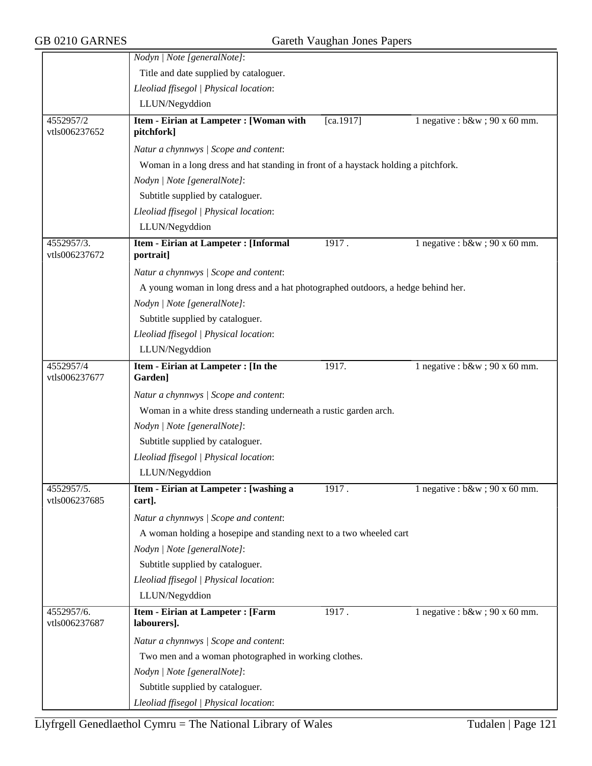|                             | Nodyn   Note [generalNote]:                                                        |                        |                                   |  |  |
|-----------------------------|------------------------------------------------------------------------------------|------------------------|-----------------------------------|--|--|
|                             | Title and date supplied by cataloguer.                                             |                        |                                   |  |  |
|                             | Lleoliad ffisegol   Physical location:                                             |                        |                                   |  |  |
|                             | LLUN/Negyddion                                                                     |                        |                                   |  |  |
| 4552957/2<br>vtls006237652  | Item - Eirian at Lampeter : [Woman with<br>pitchfork]                              | $\overline{[ca.1917]}$ | 1 negative : $b\&w$ ; 90 x 60 mm. |  |  |
|                             | Natur a chynnwys / Scope and content:                                              |                        |                                   |  |  |
|                             | Woman in a long dress and hat standing in front of a haystack holding a pitchfork. |                        |                                   |  |  |
|                             | Nodyn   Note [generalNote]:                                                        |                        |                                   |  |  |
|                             | Subtitle supplied by cataloguer.                                                   |                        |                                   |  |  |
|                             | Lleoliad ffisegol   Physical location:                                             |                        |                                   |  |  |
|                             | LLUN/Negyddion                                                                     |                        |                                   |  |  |
| 4552957/3.<br>vtls006237672 | Item - Eirian at Lampeter : [Informal<br>portrait]                                 | 1917.                  | 1 negative : $b\&w$ ; 90 x 60 mm. |  |  |
|                             | Natur a chynnwys / Scope and content:                                              |                        |                                   |  |  |
|                             | A young woman in long dress and a hat photographed outdoors, a hedge behind her.   |                        |                                   |  |  |
|                             | Nodyn   Note [generalNote]:                                                        |                        |                                   |  |  |
|                             | Subtitle supplied by cataloguer.                                                   |                        |                                   |  |  |
|                             | Lleoliad ffisegol   Physical location:                                             |                        |                                   |  |  |
|                             | LLUN/Negyddion                                                                     |                        |                                   |  |  |
| 4552957/4                   | Item - Eirian at Lampeter : [In the                                                | 1917.                  | 1 negative : $b\&w$ ; 90 x 60 mm. |  |  |
| vtls006237677               | Garden]                                                                            |                        |                                   |  |  |
|                             | Natur a chynnwys / Scope and content:                                              |                        |                                   |  |  |
|                             | Woman in a white dress standing underneath a rustic garden arch.                   |                        |                                   |  |  |
|                             | Nodyn   Note [generalNote]:                                                        |                        |                                   |  |  |
|                             | Subtitle supplied by cataloguer.                                                   |                        |                                   |  |  |
|                             | Lleoliad ffisegol   Physical location:                                             |                        |                                   |  |  |
|                             | LLUN/Negyddion                                                                     |                        |                                   |  |  |
| 4552957/5.<br>vtls006237685 | Item - Eirian at Lampeter : [washing a<br>cart].                                   | 1917.                  | 1 negative : $b\&w$ ; 90 x 60 mm. |  |  |
|                             | Natur a chynnwys / Scope and content:                                              |                        |                                   |  |  |
|                             | A woman holding a hosepipe and standing next to a two wheeled cart                 |                        |                                   |  |  |
|                             | Nodyn   Note [generalNote]:                                                        |                        |                                   |  |  |
|                             | Subtitle supplied by cataloguer.                                                   |                        |                                   |  |  |
|                             | Lleoliad ffisegol   Physical location:                                             |                        |                                   |  |  |
|                             | LLUN/Negyddion                                                                     |                        |                                   |  |  |
| 4552957/6.<br>vtls006237687 | Item - Eirian at Lampeter : [Farm<br>labourers].                                   | 1917.                  | 1 negative : $b\&w$ ; 90 x 60 mm. |  |  |
|                             | Natur a chynnwys / Scope and content:                                              |                        |                                   |  |  |
|                             | Two men and a woman photographed in working clothes.                               |                        |                                   |  |  |
|                             | Nodyn   Note [generalNote]:                                                        |                        |                                   |  |  |
|                             | Subtitle supplied by cataloguer.                                                   |                        |                                   |  |  |
|                             | Lleoliad ffisegol   Physical location:                                             |                        |                                   |  |  |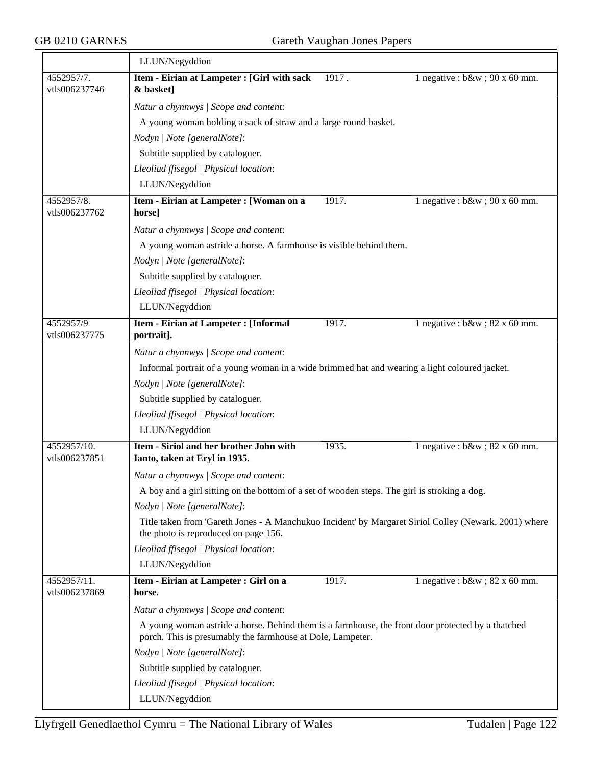|                              | LLUN/Negyddion                                                                                                                                                  |       |                                                |
|------------------------------|-----------------------------------------------------------------------------------------------------------------------------------------------------------------|-------|------------------------------------------------|
| 4552957/7.<br>vtls006237746  | Item - Eirian at Lampeter : [Girl with sack<br>& basket]                                                                                                        | 1917. | 1 negative : $b\&w$ ; 90 x 60 mm.              |
|                              | Natur a chynnwys / Scope and content:                                                                                                                           |       |                                                |
|                              | A young woman holding a sack of straw and a large round basket.                                                                                                 |       |                                                |
|                              | Nodyn   Note [generalNote]:                                                                                                                                     |       |                                                |
|                              | Subtitle supplied by cataloguer.                                                                                                                                |       |                                                |
|                              | Lleoliad ffisegol   Physical location:                                                                                                                          |       |                                                |
|                              | LLUN/Negyddion                                                                                                                                                  |       |                                                |
| 4552957/8.<br>vtls006237762  | Item - Eirian at Lampeter : [Woman on a<br>horse]                                                                                                               | 1917. | 1 negative : $b\&w$ ; 90 x 60 mm.              |
|                              | Natur a chynnwys / Scope and content:                                                                                                                           |       |                                                |
|                              | A young woman astride a horse. A farmhouse is visible behind them.                                                                                              |       |                                                |
|                              | Nodyn   Note [generalNote]:                                                                                                                                     |       |                                                |
|                              | Subtitle supplied by cataloguer.                                                                                                                                |       |                                                |
|                              | Lleoliad ffisegol   Physical location:                                                                                                                          |       |                                                |
|                              | LLUN/Negyddion                                                                                                                                                  |       |                                                |
| 4552957/9                    | Item - Eirian at Lampeter : [Informal                                                                                                                           | 1917. | 1 negative : $b\&w$ ; 82 x $\overline{60}$ mm. |
| vtls006237775                | portrait].                                                                                                                                                      |       |                                                |
|                              | Natur a chynnwys / Scope and content:                                                                                                                           |       |                                                |
|                              | Informal portrait of a young woman in a wide brimmed hat and wearing a light coloured jacket.                                                                   |       |                                                |
|                              | Nodyn   Note [generalNote]:                                                                                                                                     |       |                                                |
|                              | Subtitle supplied by cataloguer.                                                                                                                                |       |                                                |
|                              | Lleoliad ffisegol   Physical location:                                                                                                                          |       |                                                |
|                              | LLUN/Negyddion                                                                                                                                                  |       |                                                |
| 4552957/10.<br>vtls006237851 | Item - Siriol and her brother John with<br>Ianto, taken at Eryl in 1935.                                                                                        | 1935. | 1 negative : $b\&w$ ; 82 x 60 mm.              |
|                              | Natur a chynnwys / Scope and content:                                                                                                                           |       |                                                |
|                              | A boy and a girl sitting on the bottom of a set of wooden steps. The girl is stroking a dog.                                                                    |       |                                                |
|                              | Nodyn   Note [generalNote]:                                                                                                                                     |       |                                                |
|                              | Title taken from 'Gareth Jones - A Manchukuo Incident' by Margaret Siriol Colley (Newark, 2001) where<br>the photo is reproduced on page 156.                   |       |                                                |
|                              | Lleoliad ffisegol   Physical location:                                                                                                                          |       |                                                |
|                              | LLUN/Negyddion                                                                                                                                                  |       |                                                |
| 4552957/11.<br>vtls006237869 | Item - Eirian at Lampeter : Girl on a<br>horse.                                                                                                                 | 1917. | 1 negative : $b\&w$ ; 82 x 60 mm.              |
|                              | Natur a chynnwys / Scope and content:                                                                                                                           |       |                                                |
|                              | A young woman astride a horse. Behind them is a farmhouse, the front door protected by a thatched<br>porch. This is presumably the farmhouse at Dole, Lampeter. |       |                                                |
|                              | Nodyn   Note [generalNote]:                                                                                                                                     |       |                                                |
|                              | Subtitle supplied by cataloguer.                                                                                                                                |       |                                                |
|                              | Lleoliad ffisegol   Physical location:                                                                                                                          |       |                                                |
|                              | LLUN/Negyddion                                                                                                                                                  |       |                                                |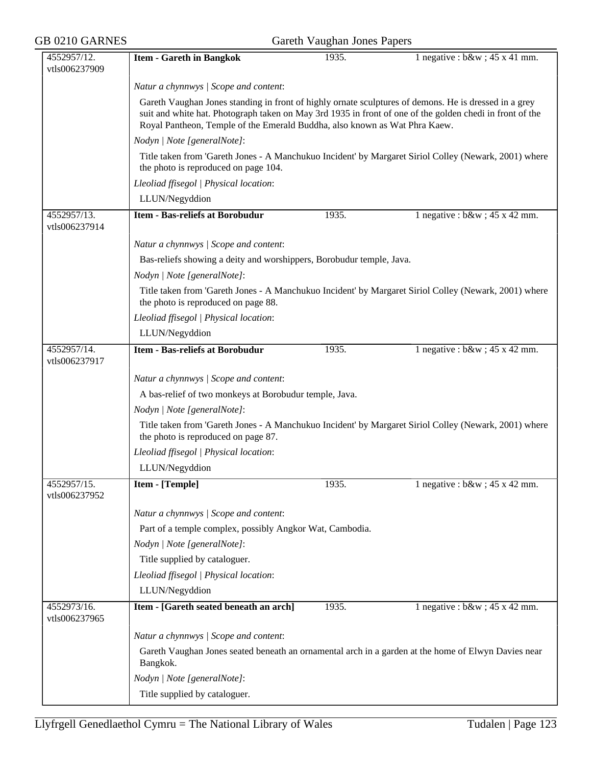| GB 0210 GARNES               |                                                                                                                                                                                                                                                                                                 | Gareth Vaughan Jones Papers |                                                                                                       |  |  |
|------------------------------|-------------------------------------------------------------------------------------------------------------------------------------------------------------------------------------------------------------------------------------------------------------------------------------------------|-----------------------------|-------------------------------------------------------------------------------------------------------|--|--|
| 4552957/12.<br>vtls006237909 | <b>Item - Gareth in Bangkok</b>                                                                                                                                                                                                                                                                 | 1935.                       | 1 negative : $b\&w$ ; 45 x 41 mm.                                                                     |  |  |
|                              | Natur a chynnwys / Scope and content:                                                                                                                                                                                                                                                           |                             |                                                                                                       |  |  |
|                              | Gareth Vaughan Jones standing in front of highly ornate sculptures of demons. He is dressed in a grey<br>suit and white hat. Photograph taken on May 3rd 1935 in front of one of the golden chedi in front of the<br>Royal Pantheon, Temple of the Emerald Buddha, also known as Wat Phra Kaew. |                             |                                                                                                       |  |  |
|                              | Nodyn   Note [generalNote]:                                                                                                                                                                                                                                                                     |                             |                                                                                                       |  |  |
|                              | the photo is reproduced on page 104.                                                                                                                                                                                                                                                            |                             | Title taken from 'Gareth Jones - A Manchukuo Incident' by Margaret Siriol Colley (Newark, 2001) where |  |  |
|                              | Lleoliad ffisegol   Physical location:                                                                                                                                                                                                                                                          |                             |                                                                                                       |  |  |
|                              | LLUN/Negyddion                                                                                                                                                                                                                                                                                  |                             |                                                                                                       |  |  |
| 4552957/13.<br>vtls006237914 | <b>Item - Bas-reliefs at Borobudur</b>                                                                                                                                                                                                                                                          | 1935.                       | 1 negative : $b\&w$ ; 45 x 42 mm.                                                                     |  |  |
|                              | Natur a chynnwys / Scope and content:                                                                                                                                                                                                                                                           |                             |                                                                                                       |  |  |
|                              | Bas-reliefs showing a deity and worshippers, Borobudur temple, Java.                                                                                                                                                                                                                            |                             |                                                                                                       |  |  |
|                              | Nodyn   Note [generalNote]:                                                                                                                                                                                                                                                                     |                             |                                                                                                       |  |  |
|                              | the photo is reproduced on page 88.                                                                                                                                                                                                                                                             |                             | Title taken from 'Gareth Jones - A Manchukuo Incident' by Margaret Siriol Colley (Newark, 2001) where |  |  |
|                              | Lleoliad ffisegol   Physical location:                                                                                                                                                                                                                                                          |                             |                                                                                                       |  |  |
|                              | LLUN/Negyddion                                                                                                                                                                                                                                                                                  |                             |                                                                                                       |  |  |
| 4552957/14.<br>vtls006237917 | <b>Item - Bas-reliefs at Borobudur</b>                                                                                                                                                                                                                                                          | 1935.                       | 1 negative : $b\&w$ ; 45 x 42 mm.                                                                     |  |  |
|                              | Natur a chynnwys / Scope and content:                                                                                                                                                                                                                                                           |                             |                                                                                                       |  |  |
|                              | A bas-relief of two monkeys at Borobudur temple, Java.                                                                                                                                                                                                                                          |                             |                                                                                                       |  |  |
|                              | Nodyn   Note [generalNote]:                                                                                                                                                                                                                                                                     |                             |                                                                                                       |  |  |
|                              | Title taken from 'Gareth Jones - A Manchukuo Incident' by Margaret Siriol Colley (Newark, 2001) where<br>the photo is reproduced on page 87.                                                                                                                                                    |                             |                                                                                                       |  |  |
|                              | Lleoliad ffisegol   Physical location:                                                                                                                                                                                                                                                          |                             |                                                                                                       |  |  |
|                              | LLUN/Negyddion                                                                                                                                                                                                                                                                                  |                             |                                                                                                       |  |  |
| 4552957/15.<br>vtls006237952 | Item - [Temple]                                                                                                                                                                                                                                                                                 | 1935.                       | 1 negative : $b\&w$ ; 45 x 42 mm.                                                                     |  |  |
|                              | Natur a chynnwys / Scope and content:                                                                                                                                                                                                                                                           |                             |                                                                                                       |  |  |
|                              | Part of a temple complex, possibly Angkor Wat, Cambodia.                                                                                                                                                                                                                                        |                             |                                                                                                       |  |  |
|                              | Nodyn   Note [generalNote]:                                                                                                                                                                                                                                                                     |                             |                                                                                                       |  |  |
|                              | Title supplied by cataloguer.                                                                                                                                                                                                                                                                   |                             |                                                                                                       |  |  |
|                              | Lleoliad ffisegol   Physical location:                                                                                                                                                                                                                                                          |                             |                                                                                                       |  |  |
|                              | LLUN/Negyddion                                                                                                                                                                                                                                                                                  |                             |                                                                                                       |  |  |
| 4552973/16.<br>vtls006237965 | Item - [Gareth seated beneath an arch]                                                                                                                                                                                                                                                          | 1935.                       | 1 negative : $b\&w$ ; 45 x 42 mm.                                                                     |  |  |
|                              | Natur a chynnwys / Scope and content:                                                                                                                                                                                                                                                           |                             |                                                                                                       |  |  |
|                              | Gareth Vaughan Jones seated beneath an ornamental arch in a garden at the home of Elwyn Davies near<br>Bangkok.                                                                                                                                                                                 |                             |                                                                                                       |  |  |
|                              | Nodyn   Note [generalNote]:                                                                                                                                                                                                                                                                     |                             |                                                                                                       |  |  |
|                              | Title supplied by cataloguer.                                                                                                                                                                                                                                                                   |                             |                                                                                                       |  |  |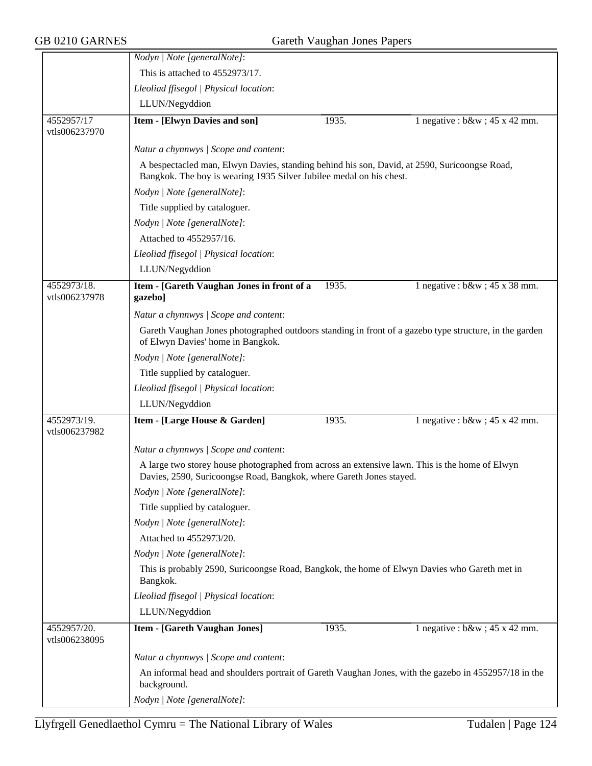|                              | Nodyn   Note [generalNote]:                                                                                                                                           |       |                                   |  |  |
|------------------------------|-----------------------------------------------------------------------------------------------------------------------------------------------------------------------|-------|-----------------------------------|--|--|
|                              | This is attached to 4552973/17.                                                                                                                                       |       |                                   |  |  |
|                              | Lleoliad ffisegol   Physical location:                                                                                                                                |       |                                   |  |  |
|                              | LLUN/Negyddion                                                                                                                                                        |       |                                   |  |  |
| 4552957/17<br>vtls006237970  | <b>Item - [Elwyn Davies and son]</b>                                                                                                                                  | 1935. | 1 negative : $b\&w$ ; 45 x 42 mm. |  |  |
|                              | Natur a chynnwys / Scope and content:                                                                                                                                 |       |                                   |  |  |
|                              | A bespectacled man, Elwyn Davies, standing behind his son, David, at 2590, Suricoongse Road,<br>Bangkok. The boy is wearing 1935 Silver Jubilee medal on his chest.   |       |                                   |  |  |
|                              | Nodyn   Note [generalNote]:                                                                                                                                           |       |                                   |  |  |
|                              | Title supplied by cataloguer.                                                                                                                                         |       |                                   |  |  |
|                              | Nodyn   Note [generalNote]:                                                                                                                                           |       |                                   |  |  |
|                              | Attached to 4552957/16.                                                                                                                                               |       |                                   |  |  |
|                              | Lleoliad ffisegol   Physical location:                                                                                                                                |       |                                   |  |  |
|                              | LLUN/Negyddion                                                                                                                                                        |       |                                   |  |  |
| 4552973/18.<br>vtls006237978 | Item - [Gareth Vaughan Jones in front of a<br>gazebo]                                                                                                                 | 1935. | 1 negative : $b\&w$ ; 45 x 38 mm. |  |  |
|                              | Natur a chynnwys / Scope and content:                                                                                                                                 |       |                                   |  |  |
|                              | Gareth Vaughan Jones photographed outdoors standing in front of a gazebo type structure, in the garden<br>of Elwyn Davies' home in Bangkok.                           |       |                                   |  |  |
|                              | Nodyn   Note [generalNote]:                                                                                                                                           |       |                                   |  |  |
|                              | Title supplied by cataloguer.                                                                                                                                         |       |                                   |  |  |
|                              | Lleoliad ffisegol   Physical location:                                                                                                                                |       |                                   |  |  |
|                              | LLUN/Negyddion                                                                                                                                                        |       |                                   |  |  |
| 4552973/19.<br>vtls006237982 | Item - [Large House & Garden]                                                                                                                                         | 1935. | 1 negative : $b\&w$ ; 45 x 42 mm. |  |  |
|                              | Natur a chynnwys / Scope and content:                                                                                                                                 |       |                                   |  |  |
|                              | A large two storey house photographed from across an extensive lawn. This is the home of Elwyn<br>Davies, 2590, Suricoongse Road, Bangkok, where Gareth Jones stayed. |       |                                   |  |  |
|                              | Nodyn   Note [generalNote]:                                                                                                                                           |       |                                   |  |  |
|                              | Title supplied by cataloguer.                                                                                                                                         |       |                                   |  |  |
|                              | Nodyn   Note [generalNote]:                                                                                                                                           |       |                                   |  |  |
|                              | Attached to 4552973/20.                                                                                                                                               |       |                                   |  |  |
|                              | Nodyn   Note [generalNote]:                                                                                                                                           |       |                                   |  |  |
|                              | This is probably 2590, Suricoongse Road, Bangkok, the home of Elwyn Davies who Gareth met in<br>Bangkok.                                                              |       |                                   |  |  |
|                              | Lleoliad ffisegol   Physical location:                                                                                                                                |       |                                   |  |  |
|                              | LLUN/Negyddion                                                                                                                                                        |       |                                   |  |  |
| 4552957/20.<br>vtls006238095 | <b>Item - [Gareth Vaughan Jones]</b>                                                                                                                                  | 1935. | 1 negative : $b\&w$ ; 45 x 42 mm. |  |  |
|                              | Natur a chynnwys / Scope and content:                                                                                                                                 |       |                                   |  |  |
|                              | An informal head and shoulders portrait of Gareth Vaughan Jones, with the gazebo in 4552957/18 in the<br>background.                                                  |       |                                   |  |  |
|                              | Nodyn   Note [generalNote]:                                                                                                                                           |       |                                   |  |  |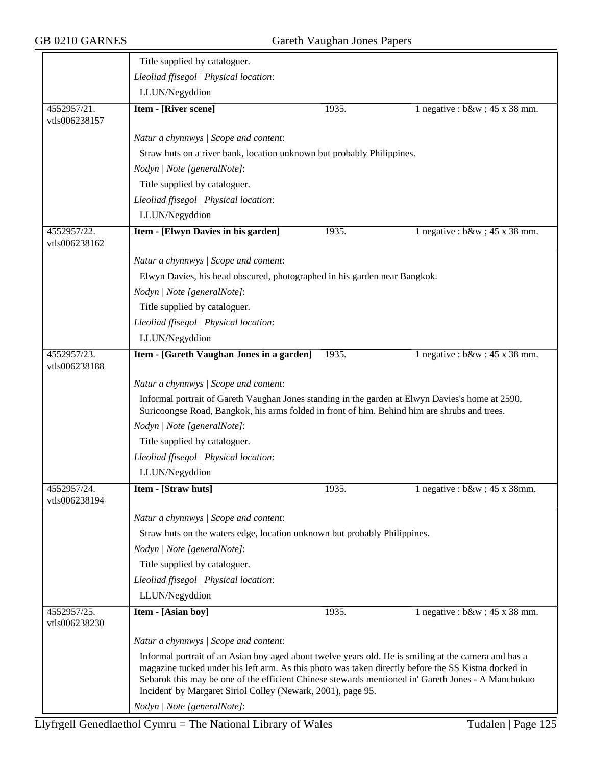|                              | Title supplied by cataloguer.                                                                                                                                                                                                                                             |       |                                   |  |  |
|------------------------------|---------------------------------------------------------------------------------------------------------------------------------------------------------------------------------------------------------------------------------------------------------------------------|-------|-----------------------------------|--|--|
|                              | Lleoliad ffisegol   Physical location:                                                                                                                                                                                                                                    |       |                                   |  |  |
|                              | LLUN/Negyddion                                                                                                                                                                                                                                                            |       |                                   |  |  |
| 4552957/21.<br>vtls006238157 | <b>Item - [River scene]</b>                                                                                                                                                                                                                                               | 1935. | 1 negative : $b\&w$ ; 45 x 38 mm. |  |  |
|                              | Natur a chynnwys / Scope and content:                                                                                                                                                                                                                                     |       |                                   |  |  |
|                              | Straw huts on a river bank, location unknown but probably Philippines.                                                                                                                                                                                                    |       |                                   |  |  |
|                              | Nodyn   Note [generalNote]:                                                                                                                                                                                                                                               |       |                                   |  |  |
|                              | Title supplied by cataloguer.                                                                                                                                                                                                                                             |       |                                   |  |  |
|                              | Lleoliad ffisegol   Physical location:                                                                                                                                                                                                                                    |       |                                   |  |  |
|                              | LLUN/Negyddion                                                                                                                                                                                                                                                            |       |                                   |  |  |
| 4552957/22.<br>vtls006238162 | Item - [Elwyn Davies in his garden]                                                                                                                                                                                                                                       | 1935. | 1 negative : $b\&w$ ; 45 x 38 mm. |  |  |
|                              | Natur a chynnwys / Scope and content:                                                                                                                                                                                                                                     |       |                                   |  |  |
|                              | Elwyn Davies, his head obscured, photographed in his garden near Bangkok.                                                                                                                                                                                                 |       |                                   |  |  |
|                              | Nodyn   Note [generalNote]:                                                                                                                                                                                                                                               |       |                                   |  |  |
|                              | Title supplied by cataloguer.                                                                                                                                                                                                                                             |       |                                   |  |  |
|                              | Lleoliad ffisegol   Physical location:                                                                                                                                                                                                                                    |       |                                   |  |  |
|                              | LLUN/Negyddion                                                                                                                                                                                                                                                            |       |                                   |  |  |
| 4552957/23.<br>vtls006238188 | Item - [Gareth Vaughan Jones in a garden]                                                                                                                                                                                                                                 | 1935. | 1 negative : $b&w : 45x 38$ mm.   |  |  |
|                              | Natur a chynnwys / Scope and content:                                                                                                                                                                                                                                     |       |                                   |  |  |
|                              | Informal portrait of Gareth Vaughan Jones standing in the garden at Elwyn Davies's home at 2590,<br>Suricoongse Road, Bangkok, his arms folded in front of him. Behind him are shrubs and trees.                                                                          |       |                                   |  |  |
|                              | Nodyn   Note [generalNote]:                                                                                                                                                                                                                                               |       |                                   |  |  |
|                              | Title supplied by cataloguer.                                                                                                                                                                                                                                             |       |                                   |  |  |
|                              | Lleoliad ffisegol   Physical location:                                                                                                                                                                                                                                    |       |                                   |  |  |
|                              | LLUN/Negyddion                                                                                                                                                                                                                                                            |       |                                   |  |  |
| 4552957/24.<br>vtls006238194 | Item - [Straw huts]                                                                                                                                                                                                                                                       | 1935. | 1 negative : $b\&w$ ; 45 x 38mm.  |  |  |
|                              | Natur a chynnwys / Scope and content:                                                                                                                                                                                                                                     |       |                                   |  |  |
|                              | Straw huts on the waters edge, location unknown but probably Philippines.                                                                                                                                                                                                 |       |                                   |  |  |
|                              | Nodyn   Note [generalNote]:                                                                                                                                                                                                                                               |       |                                   |  |  |
|                              | Title supplied by cataloguer.                                                                                                                                                                                                                                             |       |                                   |  |  |
|                              | Lleoliad ffisegol   Physical location:                                                                                                                                                                                                                                    |       |                                   |  |  |
|                              | LLUN/Negyddion                                                                                                                                                                                                                                                            |       |                                   |  |  |
| 4552957/25.<br>vtls006238230 | Item - [Asian boy]                                                                                                                                                                                                                                                        | 1935. | 1 negative : $b\&w$ ; 45 x 38 mm. |  |  |
|                              | Natur a chynnwys / Scope and content:                                                                                                                                                                                                                                     |       |                                   |  |  |
|                              | Informal portrait of an Asian boy aged about twelve years old. He is smiling at the camera and has a                                                                                                                                                                      |       |                                   |  |  |
|                              | magazine tucked under his left arm. As this photo was taken directly before the SS Kistna docked in<br>Sebarok this may be one of the efficient Chinese stewards mentioned in' Gareth Jones - A Manchukuo<br>Incident' by Margaret Siriol Colley (Newark, 2001), page 95. |       |                                   |  |  |
|                              | Nodyn   Note [generalNote]:                                                                                                                                                                                                                                               |       |                                   |  |  |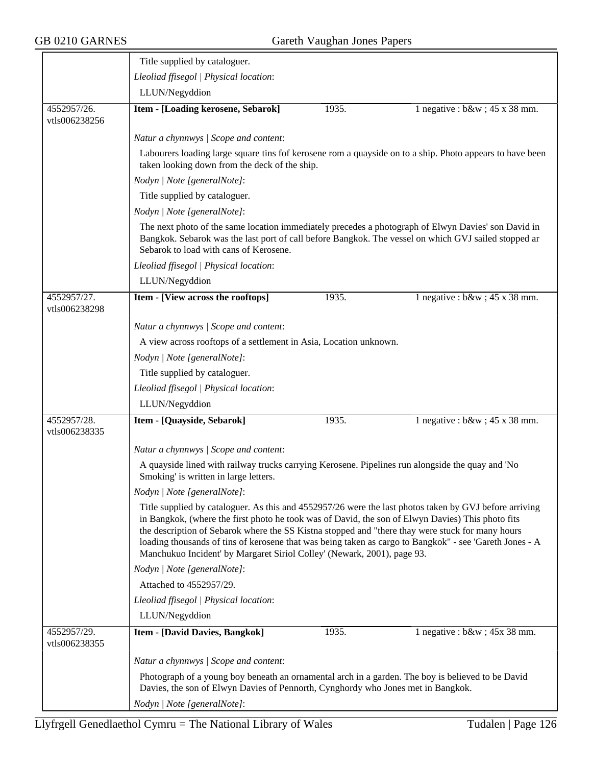|                              | Title supplied by cataloguer.                                                                                                                                                                                                                                                                                                                                                                                                                                                                         |                                                                                                                                                                                                             |                                                                                                          |  |  |  |
|------------------------------|-------------------------------------------------------------------------------------------------------------------------------------------------------------------------------------------------------------------------------------------------------------------------------------------------------------------------------------------------------------------------------------------------------------------------------------------------------------------------------------------------------|-------------------------------------------------------------------------------------------------------------------------------------------------------------------------------------------------------------|----------------------------------------------------------------------------------------------------------|--|--|--|
|                              | Lleoliad ffisegol   Physical location:                                                                                                                                                                                                                                                                                                                                                                                                                                                                |                                                                                                                                                                                                             |                                                                                                          |  |  |  |
|                              | LLUN/Negyddion                                                                                                                                                                                                                                                                                                                                                                                                                                                                                        |                                                                                                                                                                                                             |                                                                                                          |  |  |  |
| 4552957/26.<br>vtls006238256 | Item - [Loading kerosene, Sebarok]                                                                                                                                                                                                                                                                                                                                                                                                                                                                    | 1935.                                                                                                                                                                                                       | 1 negative : $b\&w$ ; 45 x 38 mm.                                                                        |  |  |  |
|                              | Natur a chynnwys / Scope and content:                                                                                                                                                                                                                                                                                                                                                                                                                                                                 |                                                                                                                                                                                                             |                                                                                                          |  |  |  |
|                              | taken looking down from the deck of the ship.                                                                                                                                                                                                                                                                                                                                                                                                                                                         |                                                                                                                                                                                                             | Labourers loading large square tins fof kerosene rom a quayside on to a ship. Photo appears to have been |  |  |  |
|                              | Nodyn   Note [generalNote]:                                                                                                                                                                                                                                                                                                                                                                                                                                                                           |                                                                                                                                                                                                             |                                                                                                          |  |  |  |
|                              | Title supplied by cataloguer.                                                                                                                                                                                                                                                                                                                                                                                                                                                                         |                                                                                                                                                                                                             |                                                                                                          |  |  |  |
|                              | Nodyn   Note [generalNote]:                                                                                                                                                                                                                                                                                                                                                                                                                                                                           |                                                                                                                                                                                                             |                                                                                                          |  |  |  |
|                              | Sebarok to load with cans of Kerosene.                                                                                                                                                                                                                                                                                                                                                                                                                                                                | The next photo of the same location immediately precedes a photograph of Elwyn Davies' son David in<br>Bangkok. Sebarok was the last port of call before Bangkok. The vessel on which GVJ sailed stopped ar |                                                                                                          |  |  |  |
|                              | Lleoliad ffisegol   Physical location:                                                                                                                                                                                                                                                                                                                                                                                                                                                                |                                                                                                                                                                                                             |                                                                                                          |  |  |  |
|                              | LLUN/Negyddion                                                                                                                                                                                                                                                                                                                                                                                                                                                                                        |                                                                                                                                                                                                             |                                                                                                          |  |  |  |
| 4552957/27.<br>vtls006238298 | Item - [View across the rooftops]                                                                                                                                                                                                                                                                                                                                                                                                                                                                     | 1935.                                                                                                                                                                                                       | 1 negative : $b\&w$ ; 45 x 38 mm.                                                                        |  |  |  |
|                              | Natur a chynnwys / Scope and content:                                                                                                                                                                                                                                                                                                                                                                                                                                                                 |                                                                                                                                                                                                             |                                                                                                          |  |  |  |
|                              | A view across rooftops of a settlement in Asia, Location unknown.                                                                                                                                                                                                                                                                                                                                                                                                                                     |                                                                                                                                                                                                             |                                                                                                          |  |  |  |
|                              | Nodyn   Note [generalNote]:                                                                                                                                                                                                                                                                                                                                                                                                                                                                           |                                                                                                                                                                                                             |                                                                                                          |  |  |  |
|                              | Title supplied by cataloguer.                                                                                                                                                                                                                                                                                                                                                                                                                                                                         |                                                                                                                                                                                                             |                                                                                                          |  |  |  |
|                              | Lleoliad ffisegol   Physical location:                                                                                                                                                                                                                                                                                                                                                                                                                                                                |                                                                                                                                                                                                             |                                                                                                          |  |  |  |
|                              | LLUN/Negyddion                                                                                                                                                                                                                                                                                                                                                                                                                                                                                        |                                                                                                                                                                                                             |                                                                                                          |  |  |  |
| 4552957/28.<br>vtls006238335 | Item - [Quayside, Sebarok]                                                                                                                                                                                                                                                                                                                                                                                                                                                                            | 1935.                                                                                                                                                                                                       | 1 negative : $b\&w$ ; 45 x 38 mm.                                                                        |  |  |  |
|                              | Natur a chynnwys / Scope and content:                                                                                                                                                                                                                                                                                                                                                                                                                                                                 |                                                                                                                                                                                                             |                                                                                                          |  |  |  |
|                              | A quayside lined with railway trucks carrying Kerosene. Pipelines run alongside the quay and 'No<br>Smoking' is written in large letters.                                                                                                                                                                                                                                                                                                                                                             |                                                                                                                                                                                                             |                                                                                                          |  |  |  |
|                              | Nodyn   Note [generalNote]:                                                                                                                                                                                                                                                                                                                                                                                                                                                                           |                                                                                                                                                                                                             |                                                                                                          |  |  |  |
|                              | Title supplied by cataloguer. As this and 4552957/26 were the last photos taken by GVJ before arriving<br>in Bangkok, (where the first photo he took was of David, the son of Elwyn Davies) This photo fits<br>the description of Sebarok where the SS Kistna stopped and "there thay were stuck for many hours<br>loading thousands of tins of kerosene that was being taken as cargo to Bangkok" - see 'Gareth Jones - A<br>Manchukuo Incident' by Margaret Siriol Colley' (Newark, 2001), page 93. |                                                                                                                                                                                                             |                                                                                                          |  |  |  |
|                              | Nodyn   Note [generalNote]:                                                                                                                                                                                                                                                                                                                                                                                                                                                                           |                                                                                                                                                                                                             |                                                                                                          |  |  |  |
|                              | Attached to 4552957/29.                                                                                                                                                                                                                                                                                                                                                                                                                                                                               |                                                                                                                                                                                                             |                                                                                                          |  |  |  |
|                              | Lleoliad ffisegol   Physical location:                                                                                                                                                                                                                                                                                                                                                                                                                                                                |                                                                                                                                                                                                             |                                                                                                          |  |  |  |
|                              | LLUN/Negyddion                                                                                                                                                                                                                                                                                                                                                                                                                                                                                        |                                                                                                                                                                                                             |                                                                                                          |  |  |  |
| 4552957/29.<br>vtls006238355 | <b>Item - [David Davies, Bangkok]</b>                                                                                                                                                                                                                                                                                                                                                                                                                                                                 | 1935.                                                                                                                                                                                                       | 1 negative : $b\&w$ ; $45x$ 38 mm.                                                                       |  |  |  |
|                              | Natur a chynnwys / Scope and content:                                                                                                                                                                                                                                                                                                                                                                                                                                                                 |                                                                                                                                                                                                             |                                                                                                          |  |  |  |
|                              | Photograph of a young boy beneath an ornamental arch in a garden. The boy is believed to be David<br>Davies, the son of Elwyn Davies of Pennorth, Cynghordy who Jones met in Bangkok.                                                                                                                                                                                                                                                                                                                 |                                                                                                                                                                                                             |                                                                                                          |  |  |  |
|                              | Nodyn   Note [generalNote]:                                                                                                                                                                                                                                                                                                                                                                                                                                                                           |                                                                                                                                                                                                             |                                                                                                          |  |  |  |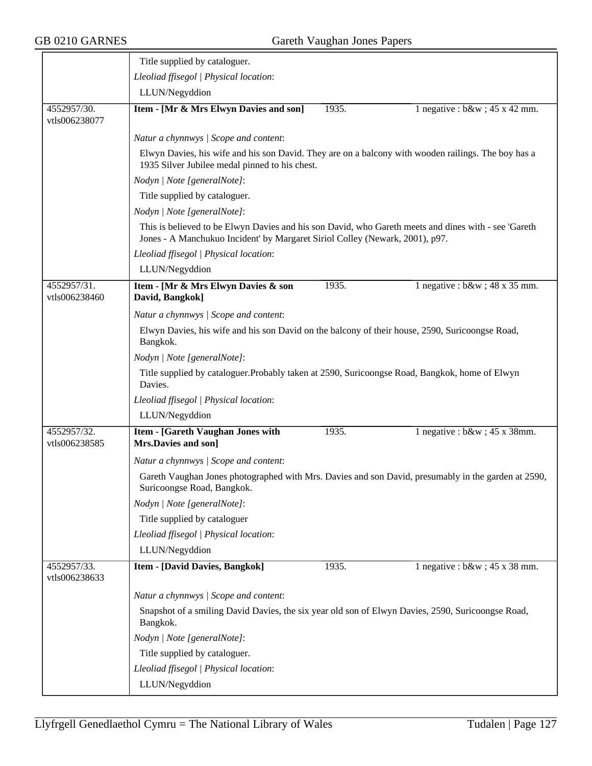|                              | Title supplied by cataloguer.                                                                                                                                                        |       |                                   |  |  |
|------------------------------|--------------------------------------------------------------------------------------------------------------------------------------------------------------------------------------|-------|-----------------------------------|--|--|
|                              | Lleoliad ffisegol   Physical location:                                                                                                                                               |       |                                   |  |  |
|                              | LLUN/Negyddion                                                                                                                                                                       |       |                                   |  |  |
| 4552957/30.<br>vtls006238077 | Item - [Mr & Mrs Elwyn Davies and son]                                                                                                                                               | 1935. | 1 negative : $b\&w$ ; 45 x 42 mm. |  |  |
|                              | Natur a chynnwys / Scope and content:                                                                                                                                                |       |                                   |  |  |
|                              | Elwyn Davies, his wife and his son David. They are on a balcony with wooden railings. The boy has a<br>1935 Silver Jubilee medal pinned to his chest.                                |       |                                   |  |  |
|                              | Nodyn   Note [generalNote]:                                                                                                                                                          |       |                                   |  |  |
|                              | Title supplied by cataloguer.                                                                                                                                                        |       |                                   |  |  |
|                              | Nodyn   Note [generalNote]:                                                                                                                                                          |       |                                   |  |  |
|                              | This is believed to be Elwyn Davies and his son David, who Gareth meets and dines with - see 'Gareth<br>Jones - A Manchukuo Incident' by Margaret Siriol Colley (Newark, 2001), p97. |       |                                   |  |  |
|                              | Lleoliad ffisegol   Physical location:                                                                                                                                               |       |                                   |  |  |
|                              | LLUN/Negyddion                                                                                                                                                                       |       |                                   |  |  |
| 4552957/31.<br>vtls006238460 | Item - [Mr & Mrs Elwyn Davies & son<br>David, Bangkok]                                                                                                                               | 1935. | 1 negative : $b\&w$ ; 48 x 35 mm. |  |  |
|                              | Natur a chynnwys / Scope and content:                                                                                                                                                |       |                                   |  |  |
|                              | Elwyn Davies, his wife and his son David on the balcony of their house, 2590, Suricoongse Road,<br>Bangkok.                                                                          |       |                                   |  |  |
|                              | Nodyn   Note [generalNote]:                                                                                                                                                          |       |                                   |  |  |
|                              | Title supplied by cataloguer. Probably taken at 2590, Suricoongse Road, Bangkok, home of Elwyn<br>Davies.                                                                            |       |                                   |  |  |
|                              | Lleoliad ffisegol   Physical location:                                                                                                                                               |       |                                   |  |  |
|                              | LLUN/Negyddion                                                                                                                                                                       |       |                                   |  |  |
| 4552957/32.<br>vtls006238585 | Item - [Gareth Vaughan Jones with<br>Mrs.Davies and son]                                                                                                                             | 1935. | 1 negative : $b\&w$ ; 45 x 38mm.  |  |  |
|                              | Natur a chynnwys / Scope and content:                                                                                                                                                |       |                                   |  |  |
|                              | Gareth Vaughan Jones photographed with Mrs. Davies and son David, presumably in the garden at 2590,<br>Suricoongse Road, Bangkok.                                                    |       |                                   |  |  |
|                              | Nodyn   Note [generalNote]:                                                                                                                                                          |       |                                   |  |  |
|                              | Title supplied by cataloguer                                                                                                                                                         |       |                                   |  |  |
|                              | Lleoliad ffisegol   Physical location:                                                                                                                                               |       |                                   |  |  |
|                              | LLUN/Negyddion                                                                                                                                                                       |       |                                   |  |  |
| 4552957/33.<br>vtls006238633 | <b>Item - [David Davies, Bangkok]</b>                                                                                                                                                | 1935. | 1 negative : $b\&w$ ; 45 x 38 mm. |  |  |
|                              | Natur a chynnwys / Scope and content:                                                                                                                                                |       |                                   |  |  |
|                              | Snapshot of a smiling David Davies, the six year old son of Elwyn Davies, 2590, Suricoongse Road,<br>Bangkok.                                                                        |       |                                   |  |  |
|                              | Nodyn   Note [generalNote]:                                                                                                                                                          |       |                                   |  |  |
|                              | Title supplied by cataloguer.                                                                                                                                                        |       |                                   |  |  |
|                              | Lleoliad ffisegol   Physical location:                                                                                                                                               |       |                                   |  |  |
|                              | LLUN/Negyddion                                                                                                                                                                       |       |                                   |  |  |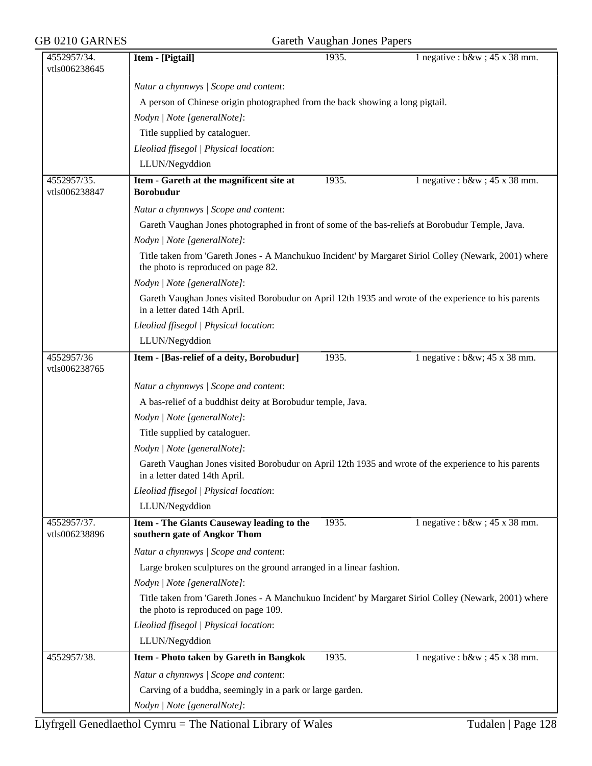| 4552957/34.<br>vtls006238645 | Item - [Pigtail]                                                                                                                              | 1935. | 1 negative : $b\&w$ ; 45 x 38 mm. |
|------------------------------|-----------------------------------------------------------------------------------------------------------------------------------------------|-------|-----------------------------------|
|                              | Natur a chynnwys / Scope and content:                                                                                                         |       |                                   |
|                              | A person of Chinese origin photographed from the back showing a long pigtail.                                                                 |       |                                   |
|                              | Nodyn   Note [generalNote]:                                                                                                                   |       |                                   |
|                              | Title supplied by cataloguer.                                                                                                                 |       |                                   |
|                              | Lleoliad ffisegol   Physical location:                                                                                                        |       |                                   |
|                              | LLUN/Negyddion                                                                                                                                |       |                                   |
| 4552957/35.                  | Item - Gareth at the magnificent site at                                                                                                      | 1935. | 1 negative : $b\&w$ ; 45 x 38 mm. |
| vtls006238847                | <b>Borobudur</b>                                                                                                                              |       |                                   |
|                              | Natur a chynnwys / Scope and content:                                                                                                         |       |                                   |
|                              | Gareth Vaughan Jones photographed in front of some of the bas-reliefs at Borobudur Temple, Java.                                              |       |                                   |
|                              | Nodyn   Note [generalNote]:                                                                                                                   |       |                                   |
|                              | Title taken from 'Gareth Jones - A Manchukuo Incident' by Margaret Siriol Colley (Newark, 2001) where<br>the photo is reproduced on page 82.  |       |                                   |
|                              | Nodyn   Note [generalNote]:                                                                                                                   |       |                                   |
|                              | Gareth Vaughan Jones visited Borobudur on April 12th 1935 and wrote of the experience to his parents<br>in a letter dated 14th April.         |       |                                   |
|                              | Lleoliad ffisegol   Physical location:                                                                                                        |       |                                   |
|                              | LLUN/Negyddion                                                                                                                                |       |                                   |
| 4552957/36                   | Item - [Bas-relief of a deity, Borobudur]                                                                                                     | 1935. | 1 negative : $b\&w$ ; 45 x 38 mm. |
| vtls006238765                |                                                                                                                                               |       |                                   |
|                              | Natur a chynnwys / Scope and content:                                                                                                         |       |                                   |
|                              | A bas-relief of a buddhist deity at Borobudur temple, Java.                                                                                   |       |                                   |
|                              | Nodyn   Note [generalNote]:                                                                                                                   |       |                                   |
|                              | Title supplied by cataloguer.                                                                                                                 |       |                                   |
|                              | Nodyn   Note [generalNote]:                                                                                                                   |       |                                   |
|                              | Gareth Vaughan Jones visited Borobudur on April 12th 1935 and wrote of the experience to his parents<br>in a letter dated 14th April.         |       |                                   |
|                              | Lleoliad ffisegol   Physical location:                                                                                                        |       |                                   |
|                              | LLUN/Negyddion                                                                                                                                |       |                                   |
| 4552957/37.<br>vtls006238896 | Item - The Giants Causeway leading to the<br>southern gate of Angkor Thom                                                                     | 1935. | 1 negative : $b\&w$ ; 45 x 38 mm. |
|                              | Natur a chynnwys / Scope and content:                                                                                                         |       |                                   |
|                              | Large broken sculptures on the ground arranged in a linear fashion.                                                                           |       |                                   |
|                              | Nodyn   Note [generalNote]:                                                                                                                   |       |                                   |
|                              | Title taken from 'Gareth Jones - A Manchukuo Incident' by Margaret Siriol Colley (Newark, 2001) where<br>the photo is reproduced on page 109. |       |                                   |
|                              | Lleoliad ffisegol   Physical location:                                                                                                        |       |                                   |
|                              | LLUN/Negyddion                                                                                                                                |       |                                   |
| 4552957/38.                  | Item - Photo taken by Gareth in Bangkok                                                                                                       | 1935. | 1 negative : $b\&w$ ; 45 x 38 mm. |
|                              | Natur a chynnwys / Scope and content:                                                                                                         |       |                                   |
|                              | Carving of a buddha, seemingly in a park or large garden.                                                                                     |       |                                   |
|                              | Nodyn   Note [generalNote]:                                                                                                                   |       |                                   |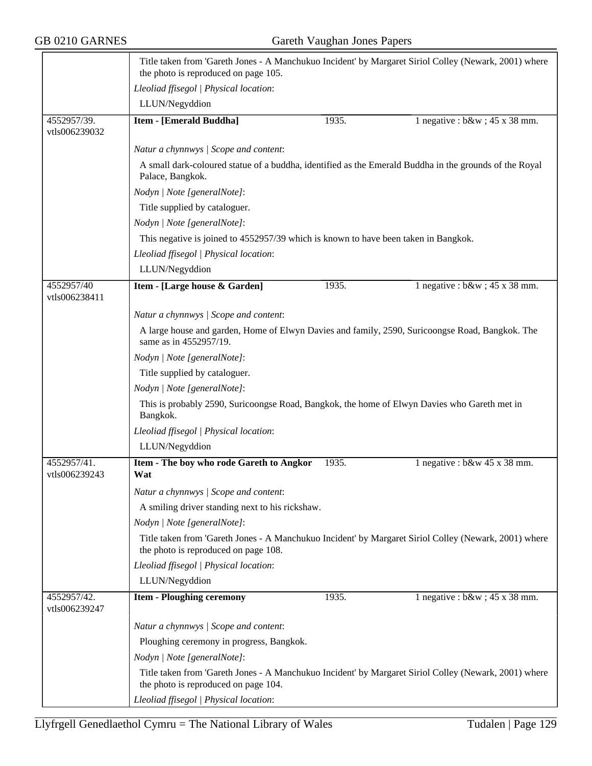|                              | the photo is reproduced on page 105.                                                                     |       | Title taken from 'Gareth Jones - A Manchukuo Incident' by Margaret Siriol Colley (Newark, 2001) where  |  |  |
|------------------------------|----------------------------------------------------------------------------------------------------------|-------|--------------------------------------------------------------------------------------------------------|--|--|
|                              | Lleoliad ffisegol   Physical location:                                                                   |       |                                                                                                        |  |  |
|                              | LLUN/Negyddion                                                                                           |       |                                                                                                        |  |  |
| 4552957/39.<br>vtls006239032 | <b>Item - [Emerald Buddha]</b>                                                                           | 1935. | 1 negative : $b\&w$ ; 45 x 38 mm.                                                                      |  |  |
|                              | Natur a chynnwys / Scope and content:                                                                    |       |                                                                                                        |  |  |
|                              | Palace, Bangkok.                                                                                         |       | A small dark-coloured statue of a buddha, identified as the Emerald Buddha in the grounds of the Royal |  |  |
|                              | Nodyn   Note [generalNote]:                                                                              |       |                                                                                                        |  |  |
|                              | Title supplied by cataloguer.                                                                            |       |                                                                                                        |  |  |
|                              | Nodyn   Note [generalNote]:                                                                              |       |                                                                                                        |  |  |
|                              | This negative is joined to 4552957/39 which is known to have been taken in Bangkok.                      |       |                                                                                                        |  |  |
|                              | Lleoliad ffisegol   Physical location:                                                                   |       |                                                                                                        |  |  |
|                              | LLUN/Negyddion                                                                                           |       |                                                                                                        |  |  |
| 4552957/40<br>vtls006238411  | Item - [Large house & Garden]                                                                            | 1935. | 1 negative : $b\&w$ ; 45 x 38 mm.                                                                      |  |  |
|                              | Natur a chynnwys / Scope and content:                                                                    |       |                                                                                                        |  |  |
|                              | same as in 4552957/19.                                                                                   |       | A large house and garden, Home of Elwyn Davies and family, 2590, Suricoongse Road, Bangkok. The        |  |  |
|                              | Nodyn   Note [generalNote]:                                                                              |       |                                                                                                        |  |  |
|                              | Title supplied by cataloguer.                                                                            |       |                                                                                                        |  |  |
|                              | Nodyn   Note [generalNote]:                                                                              |       |                                                                                                        |  |  |
|                              | This is probably 2590, Suricoongse Road, Bangkok, the home of Elwyn Davies who Gareth met in<br>Bangkok. |       |                                                                                                        |  |  |
|                              | Lleoliad ffisegol   Physical location:                                                                   |       |                                                                                                        |  |  |
|                              | LLUN/Negyddion                                                                                           |       |                                                                                                        |  |  |
| 4552957/41.<br>vtls006239243 | Item - The boy who rode Gareth to Angkor<br>Wat                                                          | 1935. | 1 negative : $b$ &w 45 x 38 mm.                                                                        |  |  |
|                              | Natur a chynnwys / Scope and content:                                                                    |       |                                                                                                        |  |  |
|                              | A smiling driver standing next to his rickshaw.                                                          |       |                                                                                                        |  |  |
|                              | Nodyn   Note [generalNote]:                                                                              |       |                                                                                                        |  |  |
|                              | the photo is reproduced on page 108.                                                                     |       | Title taken from 'Gareth Jones - A Manchukuo Incident' by Margaret Siriol Colley (Newark, 2001) where  |  |  |
|                              | Lleoliad ffisegol   Physical location:                                                                   |       |                                                                                                        |  |  |
|                              | LLUN/Negyddion                                                                                           |       |                                                                                                        |  |  |
| 4552957/42.<br>vtls006239247 | <b>Item - Ploughing ceremony</b>                                                                         | 1935. | 1 negative : $b\&w$ ; 45 x 38 mm.                                                                      |  |  |
|                              | Natur a chynnwys / Scope and content:                                                                    |       |                                                                                                        |  |  |
|                              | Ploughing ceremony in progress, Bangkok.                                                                 |       |                                                                                                        |  |  |
|                              | Nodyn   Note [generalNote]:                                                                              |       |                                                                                                        |  |  |
|                              | the photo is reproduced on page 104.                                                                     |       | Title taken from 'Gareth Jones - A Manchukuo Incident' by Margaret Siriol Colley (Newark, 2001) where  |  |  |
|                              | Lleoliad ffisegol   Physical location:                                                                   |       |                                                                                                        |  |  |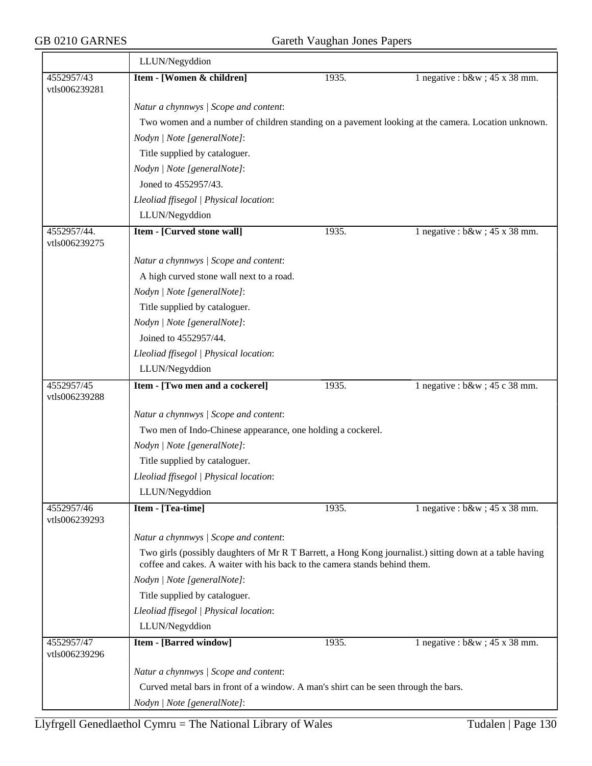$\equiv$ 

|                              | LLUN/Negyddion                                                                                                                                                                         |       |                                                                                                    |  |  |
|------------------------------|----------------------------------------------------------------------------------------------------------------------------------------------------------------------------------------|-------|----------------------------------------------------------------------------------------------------|--|--|
| 4552957/43<br>vtls006239281  | Item - [Women & children]                                                                                                                                                              | 1935. | 1 negative : $b\&w$ ; 45 x 38 mm.                                                                  |  |  |
|                              | Natur a chynnwys / Scope and content:                                                                                                                                                  |       |                                                                                                    |  |  |
|                              |                                                                                                                                                                                        |       | Two women and a number of children standing on a pavement looking at the camera. Location unknown. |  |  |
|                              | Nodyn   Note [generalNote]:                                                                                                                                                            |       |                                                                                                    |  |  |
|                              | Title supplied by cataloguer.                                                                                                                                                          |       |                                                                                                    |  |  |
|                              | Nodyn   Note [generalNote]:                                                                                                                                                            |       |                                                                                                    |  |  |
|                              | Joned to 4552957/43.                                                                                                                                                                   |       |                                                                                                    |  |  |
|                              | Lleoliad ffisegol   Physical location:                                                                                                                                                 |       |                                                                                                    |  |  |
|                              | LLUN/Negyddion                                                                                                                                                                         |       |                                                                                                    |  |  |
| 4552957/44.<br>vtls006239275 | Item - [Curved stone wall]                                                                                                                                                             | 1935. | 1 negative : $b\&w$ ; 45 x 38 mm.                                                                  |  |  |
|                              | Natur a chynnwys / Scope and content:                                                                                                                                                  |       |                                                                                                    |  |  |
|                              | A high curved stone wall next to a road.                                                                                                                                               |       |                                                                                                    |  |  |
|                              | Nodyn   Note [generalNote]:                                                                                                                                                            |       |                                                                                                    |  |  |
|                              | Title supplied by cataloguer.                                                                                                                                                          |       |                                                                                                    |  |  |
|                              | Nodyn   Note [generalNote]:                                                                                                                                                            |       |                                                                                                    |  |  |
|                              | Joined to 4552957/44.                                                                                                                                                                  |       |                                                                                                    |  |  |
|                              | Lleoliad ffisegol   Physical location:                                                                                                                                                 |       |                                                                                                    |  |  |
|                              | LLUN/Negyddion                                                                                                                                                                         |       |                                                                                                    |  |  |
| 4552957/45<br>vtls006239288  | Item - [Two men and a cockerel]                                                                                                                                                        | 1935. | 1 negative : $b\&w$ ; 45 c 38 mm.                                                                  |  |  |
|                              | Natur a chynnwys / Scope and content:                                                                                                                                                  |       |                                                                                                    |  |  |
|                              | Two men of Indo-Chinese appearance, one holding a cockerel.                                                                                                                            |       |                                                                                                    |  |  |
|                              | Nodyn   Note [generalNote]:                                                                                                                                                            |       |                                                                                                    |  |  |
|                              | Title supplied by cataloguer.                                                                                                                                                          |       |                                                                                                    |  |  |
|                              | Lleoliad ffisegol   Physical location:                                                                                                                                                 |       |                                                                                                    |  |  |
|                              | LLUN/Negyddion                                                                                                                                                                         |       |                                                                                                    |  |  |
| 4552957/46<br>vtls006239293  | Item - [Tea-time]                                                                                                                                                                      | 1935. | 1 negative : $b\&w$ ; 45 x 38 mm.                                                                  |  |  |
|                              | Natur a chynnwys / Scope and content:                                                                                                                                                  |       |                                                                                                    |  |  |
|                              | Two girls (possibly daughters of Mr R T Barrett, a Hong Kong journalist.) sitting down at a table having<br>coffee and cakes. A waiter with his back to the camera stands behind them. |       |                                                                                                    |  |  |
|                              | Nodyn   Note [generalNote]:                                                                                                                                                            |       |                                                                                                    |  |  |
|                              | Title supplied by cataloguer.                                                                                                                                                          |       |                                                                                                    |  |  |
|                              | Lleoliad ffisegol   Physical location:                                                                                                                                                 |       |                                                                                                    |  |  |
|                              | LLUN/Negyddion                                                                                                                                                                         |       |                                                                                                    |  |  |
| 4552957/47<br>vtls006239296  | <b>Item - [Barred window]</b>                                                                                                                                                          | 1935. | 1 negative : $b\&w$ ; 45 x 38 mm.                                                                  |  |  |
|                              | Natur a chynnwys / Scope and content:                                                                                                                                                  |       |                                                                                                    |  |  |
|                              | Curved metal bars in front of a window. A man's shirt can be seen through the bars.                                                                                                    |       |                                                                                                    |  |  |
|                              | Nodyn   Note [generalNote]:                                                                                                                                                            |       |                                                                                                    |  |  |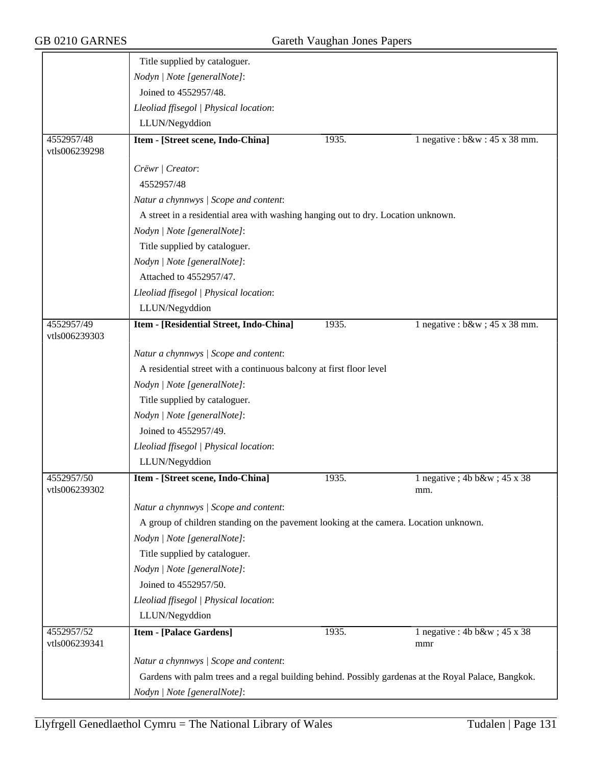|                             | Title supplied by cataloguer.                                                                        |       |                                        |  |  |
|-----------------------------|------------------------------------------------------------------------------------------------------|-------|----------------------------------------|--|--|
|                             | Nodyn   Note [generalNote]:                                                                          |       |                                        |  |  |
|                             | Joined to 4552957/48.                                                                                |       |                                        |  |  |
|                             | Lleoliad ffisegol   Physical location:                                                               |       |                                        |  |  |
|                             | LLUN/Negyddion                                                                                       |       |                                        |  |  |
| 4552957/48<br>vtls006239298 | Item - [Street scene, Indo-China]                                                                    | 1935. | 1 negative : $b\&w : 45 \times 38$ mm. |  |  |
|                             | Crëwr   Creator:                                                                                     |       |                                        |  |  |
|                             | 4552957/48                                                                                           |       |                                        |  |  |
|                             | Natur a chynnwys / Scope and content:                                                                |       |                                        |  |  |
|                             | A street in a residential area with washing hanging out to dry. Location unknown.                    |       |                                        |  |  |
|                             | Nodyn   Note [generalNote]:                                                                          |       |                                        |  |  |
|                             | Title supplied by cataloguer.                                                                        |       |                                        |  |  |
|                             | Nodyn   Note [generalNote]:                                                                          |       |                                        |  |  |
|                             | Attached to 4552957/47.                                                                              |       |                                        |  |  |
|                             | Lleoliad ffisegol   Physical location:                                                               |       |                                        |  |  |
|                             | LLUN/Negyddion                                                                                       |       |                                        |  |  |
| 4552957/49<br>vtls006239303 | Item - [Residential Street, Indo-China]                                                              | 1935. | 1 negative : $b\&w$ ; 45 x 38 mm.      |  |  |
|                             | Natur a chynnwys / Scope and content:                                                                |       |                                        |  |  |
|                             | A residential street with a continuous balcony at first floor level                                  |       |                                        |  |  |
|                             | Nodyn   Note [generalNote]:                                                                          |       |                                        |  |  |
|                             | Title supplied by cataloguer.                                                                        |       |                                        |  |  |
|                             | Nodyn   Note [generalNote]:                                                                          |       |                                        |  |  |
|                             | Joined to 4552957/49.                                                                                |       |                                        |  |  |
|                             | Lleoliad ffisegol   Physical location:                                                               |       |                                        |  |  |
|                             | LLUN/Negyddion                                                                                       |       |                                        |  |  |
| 4552957/50<br>vtls006239302 | Item - [Street scene, Indo-China]                                                                    | 1935. | 1 negative; $4b b\&w$ ; $45x38$<br>mm. |  |  |
|                             | Natur a chynnwys / Scope and content:                                                                |       |                                        |  |  |
|                             | A group of children standing on the pavement looking at the camera. Location unknown.                |       |                                        |  |  |
|                             | Nodyn   Note [generalNote]:                                                                          |       |                                        |  |  |
|                             | Title supplied by cataloguer.                                                                        |       |                                        |  |  |
|                             | Nodyn   Note [generalNote]:                                                                          |       |                                        |  |  |
|                             | Joined to 4552957/50.                                                                                |       |                                        |  |  |
|                             | Lleoliad ffisegol   Physical location:                                                               |       |                                        |  |  |
|                             | LLUN/Negyddion                                                                                       |       |                                        |  |  |
| 4552957/52<br>vtls006239341 | <b>Item - [Palace Gardens]</b>                                                                       | 1935. | 1 negative : 4b b&w ; 45 x 38<br>mmr   |  |  |
|                             | Natur a chynnwys / Scope and content:                                                                |       |                                        |  |  |
|                             | Gardens with palm trees and a regal building behind. Possibly gardenas at the Royal Palace, Bangkok. |       |                                        |  |  |
|                             | Nodyn   Note [generalNote]:                                                                          |       |                                        |  |  |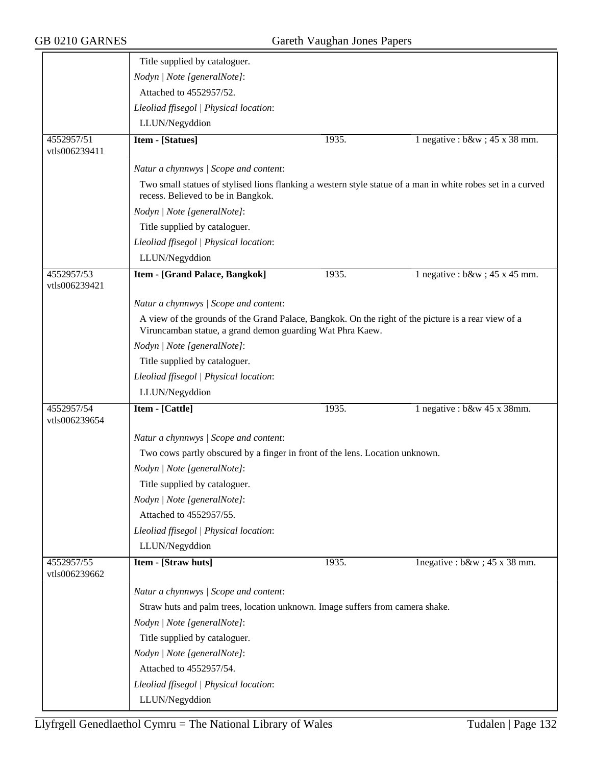| 4552957/51<br>vtls006239411 | Nodyn   Note [generalNote]:<br>Attached to 4552957/52.<br>Lleoliad ffisegol   Physical location:<br>LLUN/Negyddion<br>Item - [Statues]<br>Natur a chynnwys / Scope and content:<br>recess. Believed to be in Bangkok.<br>Nodyn   Note [generalNote]:<br>Title supplied by cataloguer. | 1935. | 1 negative : $b\&w$ ; 45 x 38 mm.                                                                           |
|-----------------------------|---------------------------------------------------------------------------------------------------------------------------------------------------------------------------------------------------------------------------------------------------------------------------------------|-------|-------------------------------------------------------------------------------------------------------------|
|                             |                                                                                                                                                                                                                                                                                       |       |                                                                                                             |
|                             |                                                                                                                                                                                                                                                                                       |       |                                                                                                             |
|                             |                                                                                                                                                                                                                                                                                       |       |                                                                                                             |
|                             |                                                                                                                                                                                                                                                                                       |       |                                                                                                             |
|                             |                                                                                                                                                                                                                                                                                       |       |                                                                                                             |
|                             |                                                                                                                                                                                                                                                                                       |       |                                                                                                             |
|                             |                                                                                                                                                                                                                                                                                       |       |                                                                                                             |
|                             |                                                                                                                                                                                                                                                                                       |       | Two small statues of stylised lions flanking a western style statue of a man in white robes set in a curved |
|                             |                                                                                                                                                                                                                                                                                       |       |                                                                                                             |
|                             |                                                                                                                                                                                                                                                                                       |       |                                                                                                             |
|                             | Lleoliad ffisegol   Physical location:                                                                                                                                                                                                                                                |       |                                                                                                             |
|                             | LLUN/Negyddion                                                                                                                                                                                                                                                                        |       |                                                                                                             |
| 4552957/53<br>vtls006239421 | Item - [Grand Palace, Bangkok]                                                                                                                                                                                                                                                        | 1935. | 1 negative : $b\&w$ ; 45 x 45 mm.                                                                           |
|                             | Natur a chynnwys / Scope and content:                                                                                                                                                                                                                                                 |       |                                                                                                             |
|                             | A view of the grounds of the Grand Palace, Bangkok. On the right of the picture is a rear view of a<br>Viruncamban statue, a grand demon guarding Wat Phra Kaew.                                                                                                                      |       |                                                                                                             |
|                             | Nodyn   Note [generalNote]:                                                                                                                                                                                                                                                           |       |                                                                                                             |
|                             | Title supplied by cataloguer.                                                                                                                                                                                                                                                         |       |                                                                                                             |
|                             | Lleoliad ffisegol   Physical location:                                                                                                                                                                                                                                                |       |                                                                                                             |
|                             | LLUN/Negyddion                                                                                                                                                                                                                                                                        |       |                                                                                                             |
| 4552957/54<br>vtls006239654 | Item - [Cattle]                                                                                                                                                                                                                                                                       | 1935. | 1 negative : $b$ &w 45 x 38mm.                                                                              |
|                             | Natur a chynnwys / Scope and content:                                                                                                                                                                                                                                                 |       |                                                                                                             |
|                             | Two cows partly obscured by a finger in front of the lens. Location unknown.                                                                                                                                                                                                          |       |                                                                                                             |
|                             | Nodyn   Note [generalNote]:                                                                                                                                                                                                                                                           |       |                                                                                                             |
|                             | Title supplied by cataloguer.                                                                                                                                                                                                                                                         |       |                                                                                                             |
|                             |                                                                                                                                                                                                                                                                                       |       |                                                                                                             |
|                             | Attached to 4552957/55.                                                                                                                                                                                                                                                               |       |                                                                                                             |
|                             |                                                                                                                                                                                                                                                                                       |       |                                                                                                             |
|                             | LLUN/Negyddion                                                                                                                                                                                                                                                                        |       |                                                                                                             |
| 4552957/55<br>vtls006239662 | Item - [Straw huts]                                                                                                                                                                                                                                                                   | 1935. | lnegative : $b\&w$ ; 45 x 38 mm.                                                                            |
|                             | Natur a chynnwys / Scope and content:                                                                                                                                                                                                                                                 |       |                                                                                                             |
|                             |                                                                                                                                                                                                                                                                                       |       |                                                                                                             |
|                             | Nodyn   Note [generalNote]:                                                                                                                                                                                                                                                           |       |                                                                                                             |
|                             | Title supplied by cataloguer.                                                                                                                                                                                                                                                         |       |                                                                                                             |
|                             | Nodyn   Note [generalNote]:                                                                                                                                                                                                                                                           |       |                                                                                                             |
|                             | Attached to 4552957/54.                                                                                                                                                                                                                                                               |       |                                                                                                             |
|                             | Lleoliad ffisegol   Physical location:                                                                                                                                                                                                                                                |       |                                                                                                             |
|                             | LLUN/Negyddion                                                                                                                                                                                                                                                                        |       |                                                                                                             |
|                             | Nodyn   Note [generalNote]:<br>Lleoliad ffisegol   Physical location:<br>Straw huts and palm trees, location unknown. Image suffers from camera shake.                                                                                                                                |       |                                                                                                             |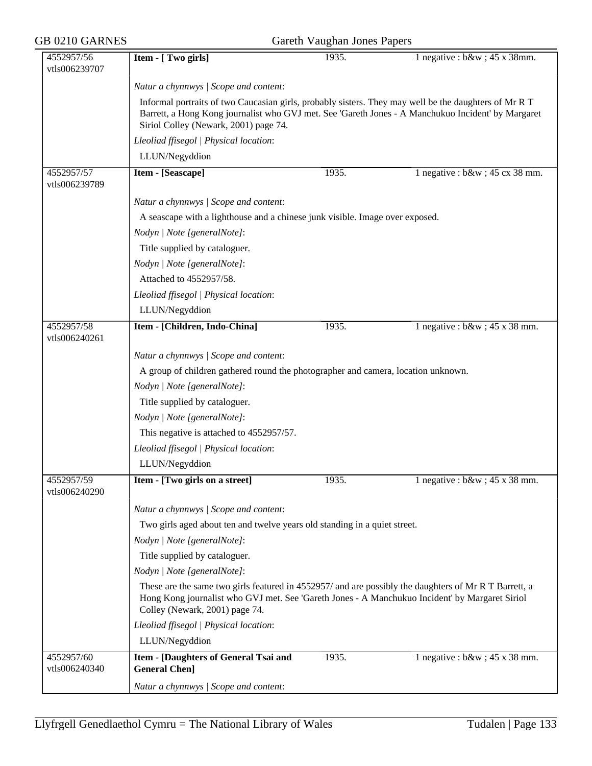| GB 0210 GARNES<br>Gareth Vaughan Jones Papers |                                                                                                                                                                                                                                           |       |                                                                                                    |  |  |
|-----------------------------------------------|-------------------------------------------------------------------------------------------------------------------------------------------------------------------------------------------------------------------------------------------|-------|----------------------------------------------------------------------------------------------------|--|--|
| 4552957/56<br>vtls006239707                   | Item - [ Two girls]                                                                                                                                                                                                                       | 1935. | 1 negative : $b\&w$ ; 45 x 38mm.                                                                   |  |  |
|                                               | Natur a chynnwys / Scope and content:                                                                                                                                                                                                     |       |                                                                                                    |  |  |
|                                               | Informal portraits of two Caucasian girls, probably sisters. They may well be the daughters of Mr R T<br>Siriol Colley (Newark, 2001) page 74.                                                                                            |       | Barrett, a Hong Kong journalist who GVJ met. See 'Gareth Jones - A Manchukuo Incident' by Margaret |  |  |
|                                               | Lleoliad ffisegol   Physical location:                                                                                                                                                                                                    |       |                                                                                                    |  |  |
|                                               | LLUN/Negyddion                                                                                                                                                                                                                            |       |                                                                                                    |  |  |
| 4552957/57<br>vtls006239789                   | Item - [Seascape]                                                                                                                                                                                                                         | 1935. | 1 negative : $b\&w$ ; 45 cx 38 mm.                                                                 |  |  |
|                                               | Natur a chynnwys / Scope and content:                                                                                                                                                                                                     |       |                                                                                                    |  |  |
|                                               | A seascape with a lighthouse and a chinese junk visible. Image over exposed.                                                                                                                                                              |       |                                                                                                    |  |  |
|                                               | Nodyn   Note [generalNote]:                                                                                                                                                                                                               |       |                                                                                                    |  |  |
|                                               | Title supplied by cataloguer.                                                                                                                                                                                                             |       |                                                                                                    |  |  |
|                                               | Nodyn   Note [generalNote]:                                                                                                                                                                                                               |       |                                                                                                    |  |  |
|                                               | Attached to 4552957/58.                                                                                                                                                                                                                   |       |                                                                                                    |  |  |
|                                               | Lleoliad ffisegol   Physical location:                                                                                                                                                                                                    |       |                                                                                                    |  |  |
|                                               | LLUN/Negyddion                                                                                                                                                                                                                            |       |                                                                                                    |  |  |
| 4552957/58<br>vtls006240261                   | Item - [Children, Indo-China]                                                                                                                                                                                                             | 1935. | 1 negative : $b\&w$ ; 45 x 38 mm.                                                                  |  |  |
|                                               | Natur a chynnwys / Scope and content:                                                                                                                                                                                                     |       |                                                                                                    |  |  |
|                                               | A group of children gathered round the photographer and camera, location unknown.                                                                                                                                                         |       |                                                                                                    |  |  |
|                                               | Nodyn   Note [generalNote]:                                                                                                                                                                                                               |       |                                                                                                    |  |  |
|                                               | Title supplied by cataloguer.                                                                                                                                                                                                             |       |                                                                                                    |  |  |
|                                               | Nodyn   Note [generalNote]:                                                                                                                                                                                                               |       |                                                                                                    |  |  |
|                                               | This negative is attached to 4552957/57.                                                                                                                                                                                                  |       |                                                                                                    |  |  |
|                                               | Lleoliad ffisegol   Physical location:                                                                                                                                                                                                    |       |                                                                                                    |  |  |
|                                               | LLUN/Negyddion                                                                                                                                                                                                                            |       |                                                                                                    |  |  |
| 4552957/59                                    | Item - [Two girls on a street]                                                                                                                                                                                                            | 1935. | 1 negative : $b\&w$ ; 45 x 38 mm.                                                                  |  |  |
| vtls006240290                                 |                                                                                                                                                                                                                                           |       |                                                                                                    |  |  |
|                                               | Natur a chynnwys / Scope and content:                                                                                                                                                                                                     |       |                                                                                                    |  |  |
|                                               | Two girls aged about ten and twelve years old standing in a quiet street.                                                                                                                                                                 |       |                                                                                                    |  |  |
|                                               | Nodyn   Note [generalNote]:                                                                                                                                                                                                               |       |                                                                                                    |  |  |
|                                               | Title supplied by cataloguer.                                                                                                                                                                                                             |       |                                                                                                    |  |  |
|                                               | Nodyn   Note [generalNote]:                                                                                                                                                                                                               |       |                                                                                                    |  |  |
|                                               | These are the same two girls featured in 4552957/ and are possibly the daughters of Mr R T Barrett, a<br>Hong Kong journalist who GVJ met. See 'Gareth Jones - A Manchukuo Incident' by Margaret Siriol<br>Colley (Newark, 2001) page 74. |       |                                                                                                    |  |  |
|                                               | Lleoliad ffisegol   Physical location:                                                                                                                                                                                                    |       |                                                                                                    |  |  |
|                                               | LLUN/Negyddion                                                                                                                                                                                                                            |       |                                                                                                    |  |  |
| 4552957/60<br>vtls006240340                   | Item - [Daughters of General Tsai and<br><b>General Chen]</b>                                                                                                                                                                             | 1935. | 1 negative : $b\&w$ ; 45 x 38 mm.                                                                  |  |  |
|                                               | Natur a chynnwys / Scope and content:                                                                                                                                                                                                     |       |                                                                                                    |  |  |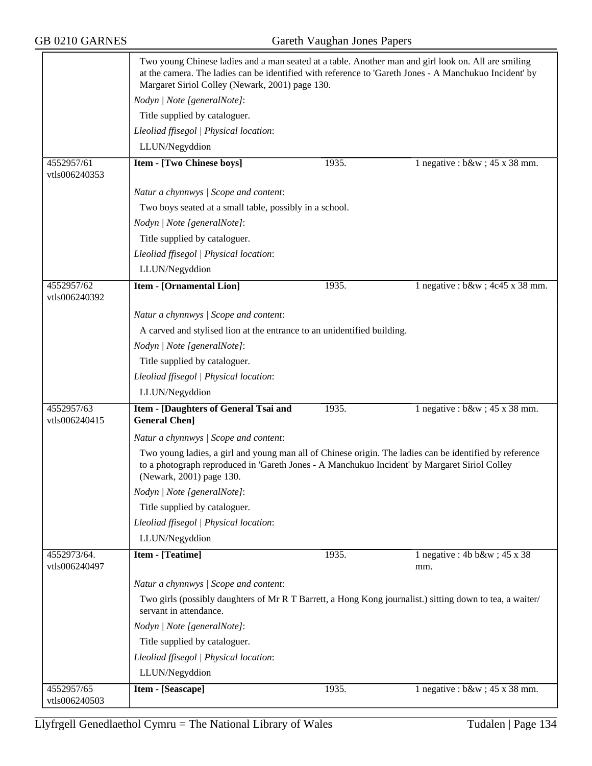|                              | Two young Chinese ladies and a man seated at a table. Another man and girl look on. All are smiling<br>at the camera. The ladies can be identified with reference to 'Gareth Jones - A Manchukuo Incident' by<br>Margaret Siriol Colley (Newark, 2001) page 130. |       |                                      |  |  |
|------------------------------|------------------------------------------------------------------------------------------------------------------------------------------------------------------------------------------------------------------------------------------------------------------|-------|--------------------------------------|--|--|
|                              | Nodyn   Note [generalNote]:                                                                                                                                                                                                                                      |       |                                      |  |  |
|                              | Title supplied by cataloguer.                                                                                                                                                                                                                                    |       |                                      |  |  |
|                              | Lleoliad ffisegol   Physical location:                                                                                                                                                                                                                           |       |                                      |  |  |
|                              | LLUN/Negyddion                                                                                                                                                                                                                                                   |       |                                      |  |  |
| 4552957/61<br>vtls006240353  | <b>Item - [Two Chinese boys]</b>                                                                                                                                                                                                                                 | 1935. | 1 negative : $b\&w$ ; 45 x 38 mm.    |  |  |
|                              | Natur a chynnwys / Scope and content:                                                                                                                                                                                                                            |       |                                      |  |  |
|                              | Two boys seated at a small table, possibly in a school.                                                                                                                                                                                                          |       |                                      |  |  |
|                              | Nodyn   Note [generalNote]:                                                                                                                                                                                                                                      |       |                                      |  |  |
|                              | Title supplied by cataloguer.                                                                                                                                                                                                                                    |       |                                      |  |  |
|                              | Lleoliad ffisegol   Physical location:                                                                                                                                                                                                                           |       |                                      |  |  |
|                              | LLUN/Negyddion                                                                                                                                                                                                                                                   |       |                                      |  |  |
| 4552957/62<br>vtls006240392  | <b>Item - [Ornamental Lion]</b>                                                                                                                                                                                                                                  | 1935. | 1 negative : $b\&w$ ; 4c45 x 38 mm.  |  |  |
|                              | Natur a chynnwys / Scope and content:                                                                                                                                                                                                                            |       |                                      |  |  |
|                              | A carved and stylised lion at the entrance to an unidentified building.                                                                                                                                                                                          |       |                                      |  |  |
|                              | Nodyn   Note [generalNote]:                                                                                                                                                                                                                                      |       |                                      |  |  |
|                              | Title supplied by cataloguer.                                                                                                                                                                                                                                    |       |                                      |  |  |
|                              | Lleoliad ffisegol   Physical location:                                                                                                                                                                                                                           |       |                                      |  |  |
|                              | LLUN/Negyddion                                                                                                                                                                                                                                                   |       |                                      |  |  |
| 4552957/63<br>vtls006240415  | Item - [Daughters of General Tsai and<br><b>General Chen]</b>                                                                                                                                                                                                    | 1935. | 1 negative : $b\&w$ ; 45 x 38 mm.    |  |  |
|                              | Natur a chynnwys / Scope and content:                                                                                                                                                                                                                            |       |                                      |  |  |
|                              | Two young ladies, a girl and young man all of Chinese origin. The ladies can be identified by reference<br>to a photograph reproduced in 'Gareth Jones - A Manchukuo Incident' by Margaret Siriol Colley<br>(Newark, 2001) page 130.                             |       |                                      |  |  |
|                              | Nodyn   Note [generalNote]:                                                                                                                                                                                                                                      |       |                                      |  |  |
|                              | Title supplied by cataloguer.                                                                                                                                                                                                                                    |       |                                      |  |  |
|                              | Lleoliad ffisegol   Physical location:                                                                                                                                                                                                                           |       |                                      |  |  |
|                              | LLUN/Negyddion                                                                                                                                                                                                                                                   |       |                                      |  |  |
| 4552973/64.<br>vtls006240497 | <b>Item - [Teatime]</b>                                                                                                                                                                                                                                          | 1935. | 1 negative : 4b b&w ; 45 x 38<br>mm. |  |  |
|                              | Natur a chynnwys / Scope and content:                                                                                                                                                                                                                            |       |                                      |  |  |
|                              | Two girls (possibly daughters of Mr R T Barrett, a Hong Kong journalist.) sitting down to tea, a waiter/<br>servant in attendance.                                                                                                                               |       |                                      |  |  |
|                              | Nodyn   Note [generalNote]:                                                                                                                                                                                                                                      |       |                                      |  |  |
|                              | Title supplied by cataloguer.                                                                                                                                                                                                                                    |       |                                      |  |  |
|                              | Lleoliad ffisegol   Physical location:                                                                                                                                                                                                                           |       |                                      |  |  |
|                              | LLUN/Negyddion                                                                                                                                                                                                                                                   |       |                                      |  |  |
| 4552957/65                   | Item - [Seascape]                                                                                                                                                                                                                                                | 1935. | 1 negative : $b\&w$ ; 45 x 38 mm.    |  |  |
| vtls006240503                |                                                                                                                                                                                                                                                                  |       |                                      |  |  |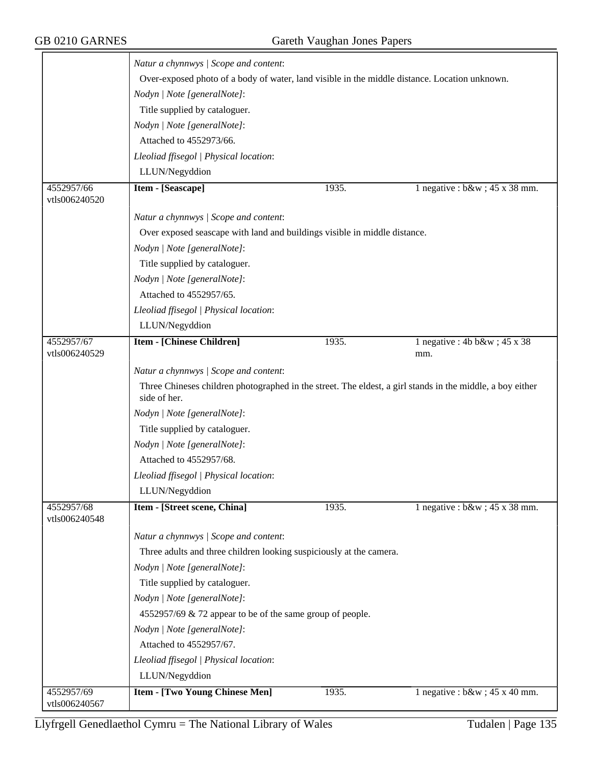|                             | Natur a chynnwys / Scope and content:                                                                                     |                                                           |                                           |  |  |
|-----------------------------|---------------------------------------------------------------------------------------------------------------------------|-----------------------------------------------------------|-------------------------------------------|--|--|
|                             | Over-exposed photo of a body of water, land visible in the middle distance. Location unknown.                             |                                                           |                                           |  |  |
|                             | Nodyn   Note [generalNote]:                                                                                               |                                                           |                                           |  |  |
|                             | Title supplied by cataloguer.                                                                                             |                                                           |                                           |  |  |
|                             | Nodyn   Note [generalNote]:                                                                                               |                                                           |                                           |  |  |
|                             | Attached to 4552973/66.                                                                                                   |                                                           |                                           |  |  |
|                             | Lleoliad ffisegol   Physical location:                                                                                    |                                                           |                                           |  |  |
|                             | LLUN/Negyddion                                                                                                            |                                                           |                                           |  |  |
| 4552957/66<br>vtls006240520 | Item - [Seascape]                                                                                                         | 1935.                                                     | 1 negative : $b\&w$ ; 45 x 38 mm.         |  |  |
|                             | Natur a chynnwys / Scope and content:                                                                                     |                                                           |                                           |  |  |
|                             | Over exposed seascape with land and buildings visible in middle distance.                                                 |                                                           |                                           |  |  |
|                             |                                                                                                                           |                                                           |                                           |  |  |
|                             | Nodyn   Note [generalNote]:<br>Title supplied by cataloguer.                                                              |                                                           |                                           |  |  |
|                             |                                                                                                                           |                                                           |                                           |  |  |
|                             | Nodyn   Note [generalNote]:<br>Attached to 4552957/65.                                                                    |                                                           |                                           |  |  |
|                             |                                                                                                                           |                                                           |                                           |  |  |
|                             | Lleoliad ffisegol   Physical location:                                                                                    |                                                           |                                           |  |  |
|                             | LLUN/Negyddion                                                                                                            |                                                           |                                           |  |  |
| 4552957/67<br>vtls006240529 | <b>Item - [Chinese Children]</b>                                                                                          | 1935.                                                     | 1 negative : $4b b\&w$ ; $45 x 38$<br>mm. |  |  |
|                             | Natur a chynnwys / Scope and content:                                                                                     |                                                           |                                           |  |  |
|                             | Three Chineses children photographed in the street. The eldest, a girl stands in the middle, a boy either<br>side of her. |                                                           |                                           |  |  |
|                             | Nodyn   Note [generalNote]:                                                                                               |                                                           |                                           |  |  |
|                             | Title supplied by cataloguer.                                                                                             |                                                           |                                           |  |  |
|                             | Nodyn   Note [generalNote]:                                                                                               |                                                           |                                           |  |  |
|                             | Attached to 4552957/68.                                                                                                   |                                                           |                                           |  |  |
|                             | Lleoliad ffisegol   Physical location:                                                                                    |                                                           |                                           |  |  |
|                             | LLUN/Negyddion                                                                                                            |                                                           |                                           |  |  |
| 4552957/68<br>vtls006240548 | Item - [Street scene, China]                                                                                              | 1935.                                                     | 1 negative : $b\&w$ ; 45 x 38 mm.         |  |  |
|                             | Natur a chynnwys / Scope and content:                                                                                     |                                                           |                                           |  |  |
|                             | Three adults and three children looking suspiciously at the camera.                                                       |                                                           |                                           |  |  |
|                             | Nodyn   Note [generalNote]:                                                                                               |                                                           |                                           |  |  |
|                             | Title supplied by cataloguer.                                                                                             |                                                           |                                           |  |  |
|                             | Nodyn   Note [generalNote]:                                                                                               |                                                           |                                           |  |  |
|                             |                                                                                                                           | 4552957/69 & 72 appear to be of the same group of people. |                                           |  |  |
|                             | Nodyn   Note [generalNote]:                                                                                               |                                                           |                                           |  |  |
|                             | Attached to 4552957/67.                                                                                                   |                                                           |                                           |  |  |
|                             | Lleoliad ffisegol   Physical location:                                                                                    |                                                           |                                           |  |  |
|                             | LLUN/Negyddion                                                                                                            |                                                           |                                           |  |  |
| 4552957/69                  | <b>Item - [Two Young Chinese Men]</b>                                                                                     | 1935.                                                     | 1 negative : $b\&w$ ; 45 x 40 mm.         |  |  |
| vtls006240567               |                                                                                                                           |                                                           |                                           |  |  |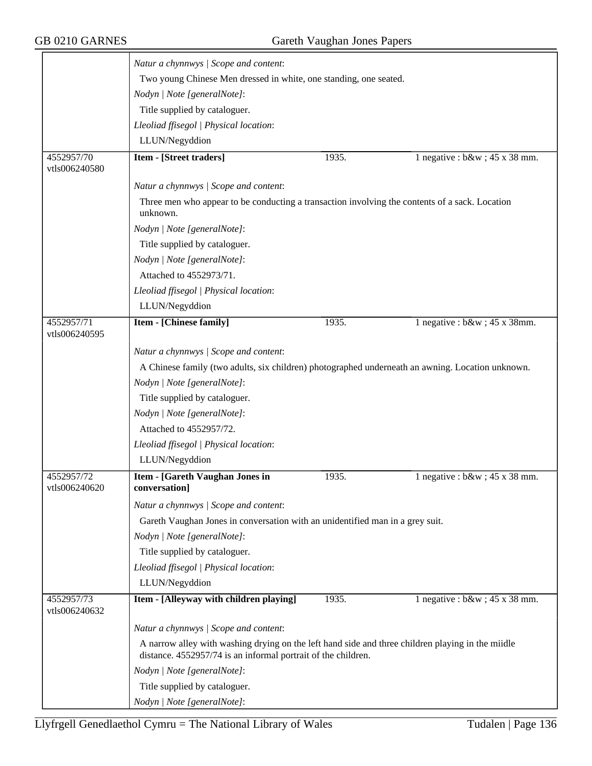|                             | Natur a chynnwys / Scope and content:                                                                                                                              |                                                                                                  |                                   |  |  |
|-----------------------------|--------------------------------------------------------------------------------------------------------------------------------------------------------------------|--------------------------------------------------------------------------------------------------|-----------------------------------|--|--|
|                             |                                                                                                                                                                    | Two young Chinese Men dressed in white, one standing, one seated.                                |                                   |  |  |
|                             | Nodyn   Note [generalNote]:                                                                                                                                        |                                                                                                  |                                   |  |  |
|                             | Title supplied by cataloguer.                                                                                                                                      |                                                                                                  |                                   |  |  |
|                             | Lleoliad ffisegol   Physical location:                                                                                                                             |                                                                                                  |                                   |  |  |
|                             | LLUN/Negyddion                                                                                                                                                     |                                                                                                  |                                   |  |  |
| 4552957/70                  | Item - [Street traders]                                                                                                                                            | 1935.                                                                                            | 1 negative : $b\&w$ ; 45 x 38 mm. |  |  |
| vtls006240580               |                                                                                                                                                                    |                                                                                                  |                                   |  |  |
|                             | Natur a chynnwys / Scope and content:                                                                                                                              |                                                                                                  |                                   |  |  |
|                             | Three men who appear to be conducting a transaction involving the contents of a sack. Location<br>unknown.                                                         |                                                                                                  |                                   |  |  |
|                             | Nodyn   Note [generalNote]:                                                                                                                                        |                                                                                                  |                                   |  |  |
|                             | Title supplied by cataloguer.                                                                                                                                      |                                                                                                  |                                   |  |  |
|                             | Nodyn   Note [generalNote]:                                                                                                                                        |                                                                                                  |                                   |  |  |
|                             | Attached to 4552973/71.                                                                                                                                            |                                                                                                  |                                   |  |  |
|                             | Lleoliad ffisegol   Physical location:                                                                                                                             |                                                                                                  |                                   |  |  |
|                             | LLUN/Negyddion                                                                                                                                                     |                                                                                                  |                                   |  |  |
| 4552957/71                  | <b>Item - [Chinese family]</b>                                                                                                                                     | 1935.                                                                                            | 1 negative : $b\&w$ ; 45 x 38mm.  |  |  |
| vtls006240595               |                                                                                                                                                                    |                                                                                                  |                                   |  |  |
|                             | Natur a chynnwys / Scope and content:                                                                                                                              |                                                                                                  |                                   |  |  |
|                             |                                                                                                                                                                    | A Chinese family (two adults, six children) photographed underneath an awning. Location unknown. |                                   |  |  |
|                             | Nodyn   Note [generalNote]:                                                                                                                                        |                                                                                                  |                                   |  |  |
|                             | Title supplied by cataloguer.                                                                                                                                      |                                                                                                  |                                   |  |  |
|                             | Nodyn   Note [generalNote]:                                                                                                                                        |                                                                                                  |                                   |  |  |
|                             | Attached to 4552957/72.                                                                                                                                            |                                                                                                  |                                   |  |  |
|                             | Lleoliad ffisegol   Physical location:                                                                                                                             |                                                                                                  |                                   |  |  |
|                             | LLUN/Negyddion                                                                                                                                                     |                                                                                                  |                                   |  |  |
| 4552957/72<br>vtls006240620 | <b>Item - [Gareth Vaughan Jones in</b><br>conversation]                                                                                                            | 1935.                                                                                            | 1 negative : $b\&w$ ; 45 x 38 mm. |  |  |
|                             | Natur a chynnwys / Scope and content:                                                                                                                              |                                                                                                  |                                   |  |  |
|                             | Gareth Vaughan Jones in conversation with an unidentified man in a grey suit.                                                                                      |                                                                                                  |                                   |  |  |
|                             | Nodyn   Note [generalNote]:                                                                                                                                        |                                                                                                  |                                   |  |  |
|                             | Title supplied by cataloguer.                                                                                                                                      |                                                                                                  |                                   |  |  |
|                             | Lleoliad ffisegol   Physical location:                                                                                                                             |                                                                                                  |                                   |  |  |
|                             | LLUN/Negyddion                                                                                                                                                     |                                                                                                  |                                   |  |  |
| 4552957/73<br>vtls006240632 | Item - [Alleyway with children playing]                                                                                                                            | 1935.                                                                                            | 1 negative : $b\&w$ ; 45 x 38 mm. |  |  |
|                             | Natur a chynnwys / Scope and content:                                                                                                                              |                                                                                                  |                                   |  |  |
|                             | A narrow alley with washing drying on the left hand side and three children playing in the miidle<br>distance. 4552957/74 is an informal portrait of the children. |                                                                                                  |                                   |  |  |
|                             | Nodyn   Note [generalNote]:                                                                                                                                        |                                                                                                  |                                   |  |  |
|                             | Title supplied by cataloguer.                                                                                                                                      |                                                                                                  |                                   |  |  |
|                             | Nodyn   Note [generalNote]:                                                                                                                                        |                                                                                                  |                                   |  |  |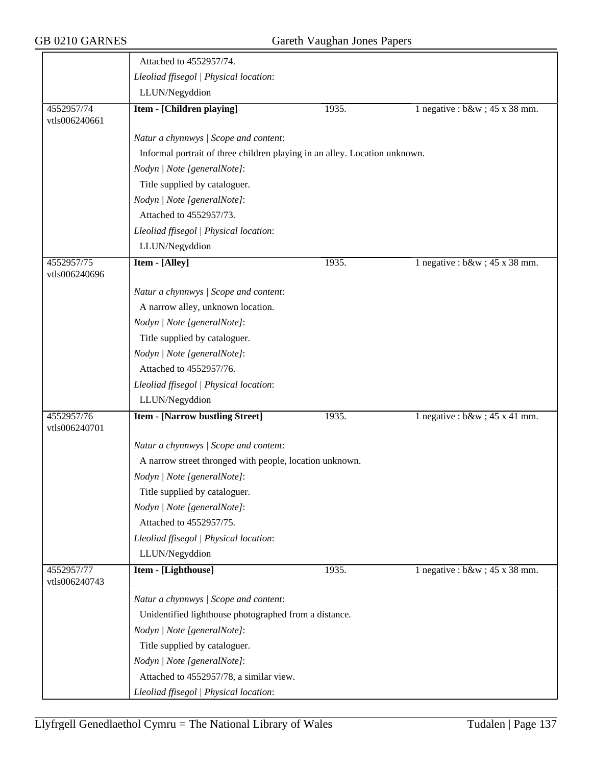|                             | Attached to 4552957/74.                                                    |       |                                   |  |  |
|-----------------------------|----------------------------------------------------------------------------|-------|-----------------------------------|--|--|
|                             | Lleoliad ffisegol   Physical location:                                     |       |                                   |  |  |
|                             | LLUN/Negyddion                                                             |       |                                   |  |  |
| 4552957/74<br>vtls006240661 | Item - [Children playing]                                                  | 1935. | 1 negative : $b&w$ ; 45 x 38 mm.  |  |  |
|                             | Natur a chynnwys / Scope and content:                                      |       |                                   |  |  |
|                             | Informal portrait of three children playing in an alley. Location unknown. |       |                                   |  |  |
|                             | Nodyn   Note [generalNote]:                                                |       |                                   |  |  |
|                             | Title supplied by cataloguer.                                              |       |                                   |  |  |
|                             | Nodyn   Note [generalNote]:                                                |       |                                   |  |  |
|                             | Attached to 4552957/73.                                                    |       |                                   |  |  |
|                             | Lleoliad ffisegol   Physical location:                                     |       |                                   |  |  |
|                             | LLUN/Negyddion                                                             |       |                                   |  |  |
| 4552957/75<br>vtls006240696 | <b>Item - [Alley]</b>                                                      | 1935. | 1 negative : $b\&w$ ; 45 x 38 mm. |  |  |
|                             | Natur a chynnwys / Scope and content:                                      |       |                                   |  |  |
|                             | A narrow alley, unknown location.                                          |       |                                   |  |  |
|                             | Nodyn   Note [generalNote]:                                                |       |                                   |  |  |
|                             | Title supplied by cataloguer.                                              |       |                                   |  |  |
|                             | Nodyn   Note [generalNote]:                                                |       |                                   |  |  |
|                             | Attached to 4552957/76.                                                    |       |                                   |  |  |
|                             | Lleoliad ffisegol   Physical location:                                     |       |                                   |  |  |
|                             | LLUN/Negyddion                                                             |       |                                   |  |  |
| 4552957/76<br>vtls006240701 | <b>Item - [Narrow bustling Street]</b>                                     | 1935. | 1 negative : $b\&w$ ; 45 x 41 mm. |  |  |
|                             | Natur a chynnwys / Scope and content:                                      |       |                                   |  |  |
|                             | A narrow street thronged with people, location unknown.                    |       |                                   |  |  |
|                             | Nodyn   Note [generalNote]:                                                |       |                                   |  |  |
|                             | Title supplied by cataloguer.                                              |       |                                   |  |  |
|                             | Nodyn   Note [generalNote]:                                                |       |                                   |  |  |
|                             | Attached to 4552957/75.                                                    |       |                                   |  |  |
|                             | Lleoliad ffisegol   Physical location:                                     |       |                                   |  |  |
|                             | LLUN/Negyddion                                                             |       |                                   |  |  |
| 4552957/77<br>vtls006240743 | Item - [Lighthouse]                                                        | 1935. | 1 negative : $b\&w$ ; 45 x 38 mm. |  |  |
|                             | Natur a chynnwys / Scope and content:                                      |       |                                   |  |  |
|                             | Unidentified lighthouse photographed from a distance.                      |       |                                   |  |  |
|                             | Nodyn   Note [generalNote]:                                                |       |                                   |  |  |
|                             | Title supplied by cataloguer.                                              |       |                                   |  |  |
|                             | Nodyn   Note [generalNote]:                                                |       |                                   |  |  |
|                             | Attached to 4552957/78, a similar view.                                    |       |                                   |  |  |
|                             | Lleoliad ffisegol   Physical location:                                     |       |                                   |  |  |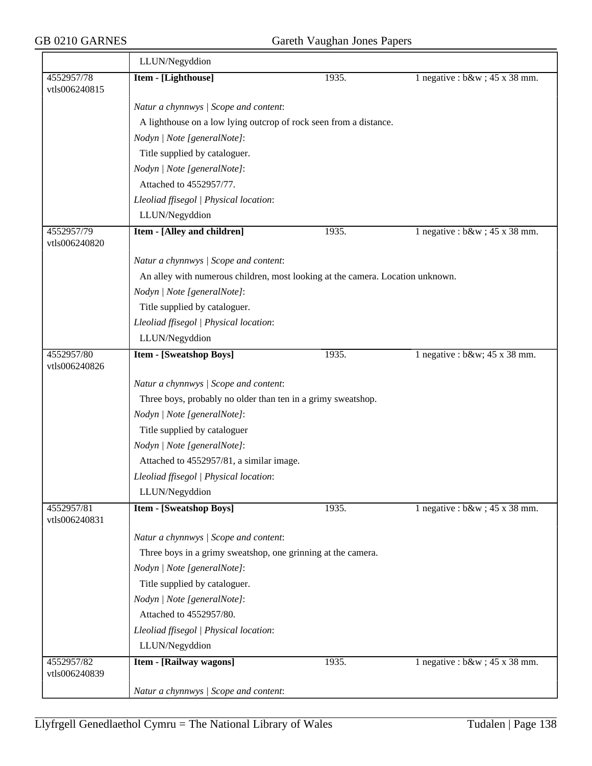|                             | LLUN/Negyddion                                                                 |                                                              |                                   |  |  |  |
|-----------------------------|--------------------------------------------------------------------------------|--------------------------------------------------------------|-----------------------------------|--|--|--|
| 4552957/78<br>vtls006240815 | Item - [Lighthouse]                                                            | 1935.                                                        | 1 negative : $b\&w$ ; 45 x 38 mm. |  |  |  |
|                             | Natur a chynnwys / Scope and content:                                          |                                                              |                                   |  |  |  |
|                             | A lighthouse on a low lying outcrop of rock seen from a distance.              |                                                              |                                   |  |  |  |
|                             | Nodyn   Note [generalNote]:                                                    |                                                              |                                   |  |  |  |
|                             | Title supplied by cataloguer.                                                  |                                                              |                                   |  |  |  |
|                             | Nodyn   Note [generalNote]:                                                    |                                                              |                                   |  |  |  |
|                             | Attached to 4552957/77.                                                        |                                                              |                                   |  |  |  |
|                             | Lleoliad ffisegol   Physical location:                                         |                                                              |                                   |  |  |  |
|                             | LLUN/Negyddion                                                                 |                                                              |                                   |  |  |  |
| 4552957/79<br>vtls006240820 | Item - [Alley and children]                                                    | 1935.                                                        | 1 negative : $b\&w$ ; 45 x 38 mm. |  |  |  |
|                             | Natur a chynnwys / Scope and content:                                          |                                                              |                                   |  |  |  |
|                             | An alley with numerous children, most looking at the camera. Location unknown. |                                                              |                                   |  |  |  |
|                             | Nodyn   Note [generalNote]:                                                    |                                                              |                                   |  |  |  |
|                             | Title supplied by cataloguer.                                                  |                                                              |                                   |  |  |  |
|                             | Lleoliad ffisegol   Physical location:                                         |                                                              |                                   |  |  |  |
|                             | LLUN/Negyddion                                                                 |                                                              |                                   |  |  |  |
| 4552957/80<br>vtls006240826 | <b>Item - [Sweatshop Boys]</b>                                                 | 1935.                                                        | 1 negative : $b\&w$ ; 45 x 38 mm. |  |  |  |
|                             | Natur a chynnwys / Scope and content:                                          |                                                              |                                   |  |  |  |
|                             |                                                                                | Three boys, probably no older than ten in a grimy sweatshop. |                                   |  |  |  |
|                             | Nodyn   Note [generalNote]:                                                    |                                                              |                                   |  |  |  |
|                             | Title supplied by cataloguer                                                   |                                                              |                                   |  |  |  |
|                             | Nodyn   Note [generalNote]:                                                    |                                                              |                                   |  |  |  |
|                             | Attached to 4552957/81, a similar image.                                       |                                                              |                                   |  |  |  |
|                             | Lleoliad ffisegol   Physical location:                                         |                                                              |                                   |  |  |  |
|                             | LLUN/Negyddion                                                                 |                                                              |                                   |  |  |  |
| 4552957/81<br>vtls006240831 | <b>Item - [Sweatshop Boys]</b>                                                 | 1935.                                                        | 1 negative : $b\&w$ ; 45 x 38 mm. |  |  |  |
|                             | Natur a chynnwys / Scope and content:                                          |                                                              |                                   |  |  |  |
|                             | Three boys in a grimy sweatshop, one grinning at the camera.                   |                                                              |                                   |  |  |  |
|                             | Nodyn   Note [generalNote]:                                                    |                                                              |                                   |  |  |  |
|                             | Title supplied by cataloguer.                                                  |                                                              |                                   |  |  |  |
|                             | Nodyn   Note [generalNote]:                                                    |                                                              |                                   |  |  |  |
|                             | Attached to 4552957/80.                                                        |                                                              |                                   |  |  |  |
|                             | Lleoliad ffisegol   Physical location:                                         |                                                              |                                   |  |  |  |
|                             | LLUN/Negyddion                                                                 |                                                              |                                   |  |  |  |
| 4552957/82<br>vtls006240839 | Item - [Railway wagons]                                                        | 1935.                                                        | 1 negative : $b\&w$ ; 45 x 38 mm. |  |  |  |
|                             | Natur a chynnwys / Scope and content:                                          |                                                              |                                   |  |  |  |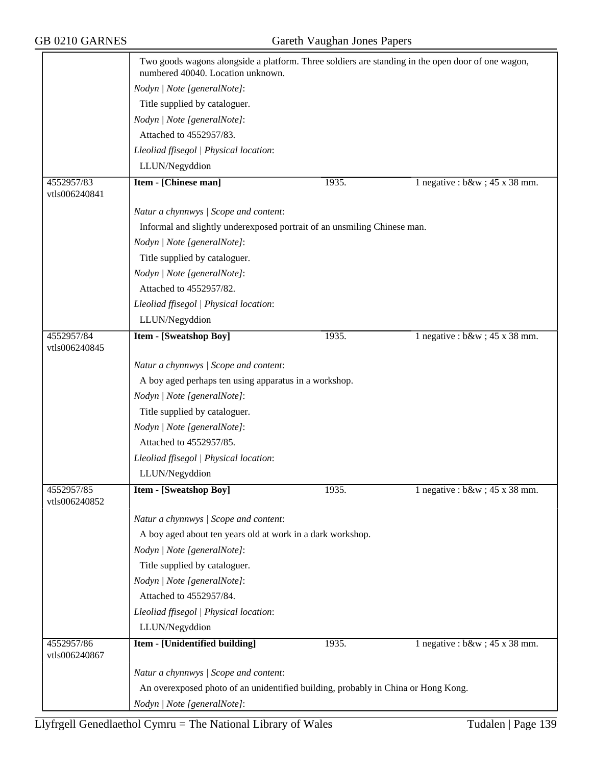|                             | Two goods wagons alongside a platform. Three soldiers are standing in the open door of one wagon,<br>numbered 40040. Location unknown. |                                                                                   |                                   |  |  |
|-----------------------------|----------------------------------------------------------------------------------------------------------------------------------------|-----------------------------------------------------------------------------------|-----------------------------------|--|--|
|                             | Nodyn   Note [generalNote]:                                                                                                            |                                                                                   |                                   |  |  |
|                             | Title supplied by cataloguer.                                                                                                          |                                                                                   |                                   |  |  |
|                             | Nodyn   Note [generalNote]:                                                                                                            |                                                                                   |                                   |  |  |
|                             | Attached to 4552957/83.                                                                                                                |                                                                                   |                                   |  |  |
|                             | Lleoliad ffisegol   Physical location:                                                                                                 |                                                                                   |                                   |  |  |
|                             | LLUN/Negyddion                                                                                                                         |                                                                                   |                                   |  |  |
| 4552957/83                  | Item - [Chinese man]                                                                                                                   | 1935.                                                                             | 1 negative : $b\&w$ ; 45 x 38 mm. |  |  |
| vtls006240841               |                                                                                                                                        |                                                                                   |                                   |  |  |
|                             | Natur a chynnwys / Scope and content:                                                                                                  |                                                                                   |                                   |  |  |
|                             | Informal and slightly underexposed portrait of an unsmiling Chinese man.                                                               |                                                                                   |                                   |  |  |
|                             | Nodyn   Note [generalNote]:                                                                                                            |                                                                                   |                                   |  |  |
|                             | Title supplied by cataloguer.                                                                                                          |                                                                                   |                                   |  |  |
|                             | Nodyn   Note [generalNote]:                                                                                                            |                                                                                   |                                   |  |  |
|                             | Attached to 4552957/82.                                                                                                                |                                                                                   |                                   |  |  |
|                             | Lleoliad ffisegol   Physical location:                                                                                                 |                                                                                   |                                   |  |  |
|                             | LLUN/Negyddion                                                                                                                         |                                                                                   |                                   |  |  |
| 4552957/84                  | <b>Item - [Sweatshop Boy]</b>                                                                                                          | 1935.                                                                             | 1 negative : $b\&w$ ; 45 x 38 mm. |  |  |
| vtls006240845               |                                                                                                                                        |                                                                                   |                                   |  |  |
|                             | Natur a chynnwys / Scope and content:                                                                                                  |                                                                                   |                                   |  |  |
|                             | A boy aged perhaps ten using apparatus in a workshop.                                                                                  |                                                                                   |                                   |  |  |
|                             | Nodyn   Note [generalNote]:                                                                                                            |                                                                                   |                                   |  |  |
|                             | Title supplied by cataloguer.                                                                                                          |                                                                                   |                                   |  |  |
|                             | Nodyn   Note [generalNote]:                                                                                                            |                                                                                   |                                   |  |  |
|                             | Attached to 4552957/85.                                                                                                                |                                                                                   |                                   |  |  |
|                             | Lleoliad ffisegol   Physical location:                                                                                                 |                                                                                   |                                   |  |  |
|                             | LLUN/Negyddion                                                                                                                         |                                                                                   |                                   |  |  |
| 4552957/85<br>vtls006240852 | <b>Item - [Sweatshop Boy]</b>                                                                                                          | 1935.                                                                             | 1 negative : $b\&w$ ; 45 x 38 mm. |  |  |
|                             | Natur a chynnwys / Scope and content:                                                                                                  |                                                                                   |                                   |  |  |
|                             | A boy aged about ten years old at work in a dark workshop.                                                                             |                                                                                   |                                   |  |  |
|                             | Nodyn   Note [generalNote]:                                                                                                            |                                                                                   |                                   |  |  |
|                             | Title supplied by cataloguer.                                                                                                          |                                                                                   |                                   |  |  |
|                             | Nodyn   Note [generalNote]:                                                                                                            |                                                                                   |                                   |  |  |
|                             | Attached to 4552957/84.                                                                                                                |                                                                                   |                                   |  |  |
|                             | Lleoliad ffisegol   Physical location:                                                                                                 |                                                                                   |                                   |  |  |
|                             | LLUN/Negyddion                                                                                                                         |                                                                                   |                                   |  |  |
| 4552957/86<br>vtls006240867 | Item - [Unidentified building]                                                                                                         | 1935.                                                                             | 1 negative : $b\&w$ ; 45 x 38 mm. |  |  |
|                             | Natur a chynnwys / Scope and content:                                                                                                  |                                                                                   |                                   |  |  |
|                             |                                                                                                                                        | An overexposed photo of an unidentified building, probably in China or Hong Kong. |                                   |  |  |
|                             | Nodyn   Note [generalNote]:                                                                                                            |                                                                                   |                                   |  |  |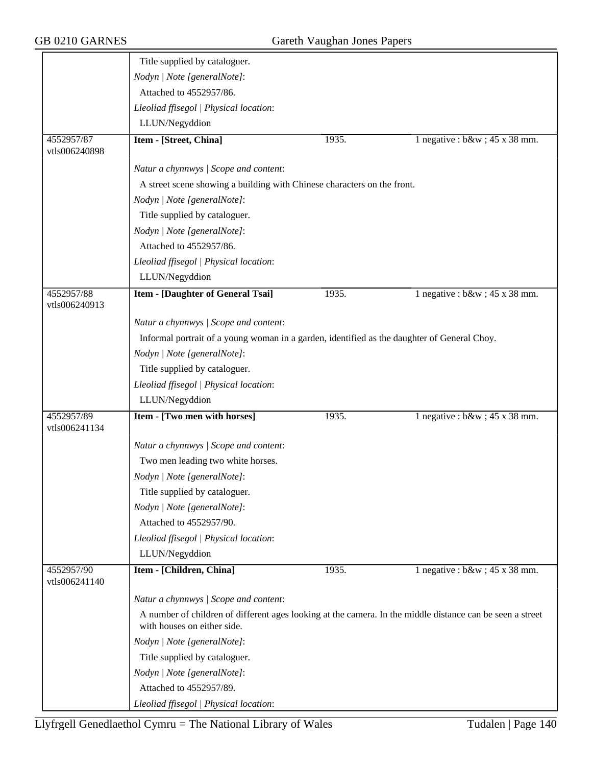|                             | Title supplied by cataloguer.                                                                                                            |       |                                   |
|-----------------------------|------------------------------------------------------------------------------------------------------------------------------------------|-------|-----------------------------------|
|                             | Nodyn   Note [generalNote]:                                                                                                              |       |                                   |
|                             | Attached to 4552957/86.                                                                                                                  |       |                                   |
|                             | Lleoliad ffisegol   Physical location:                                                                                                   |       |                                   |
|                             | LLUN/Negyddion                                                                                                                           |       |                                   |
| 4552957/87                  | Item - [Street, China]                                                                                                                   | 1935. | 1 negative : $b\&w$ ; 45 x 38 mm. |
| vtls006240898               |                                                                                                                                          |       |                                   |
|                             | Natur a chynnwys / Scope and content:                                                                                                    |       |                                   |
|                             | A street scene showing a building with Chinese characters on the front.                                                                  |       |                                   |
|                             | Nodyn   Note [generalNote]:                                                                                                              |       |                                   |
|                             | Title supplied by cataloguer.                                                                                                            |       |                                   |
|                             | Nodyn   Note [generalNote]:                                                                                                              |       |                                   |
|                             | Attached to 4552957/86.                                                                                                                  |       |                                   |
|                             | Lleoliad ffisegol   Physical location:                                                                                                   |       |                                   |
|                             | LLUN/Negyddion                                                                                                                           |       |                                   |
| 4552957/88<br>vtls006240913 | <b>Item - [Daughter of General Tsai]</b>                                                                                                 | 1935. | 1 negative : $b\&w$ ; 45 x 38 mm. |
|                             | Natur a chynnwys / Scope and content:                                                                                                    |       |                                   |
|                             | Informal portrait of a young woman in a garden, identified as the daughter of General Choy.                                              |       |                                   |
|                             | Nodyn   Note [generalNote]:                                                                                                              |       |                                   |
|                             | Title supplied by cataloguer.                                                                                                            |       |                                   |
|                             | Lleoliad ffisegol   Physical location:                                                                                                   |       |                                   |
|                             | LLUN/Negyddion                                                                                                                           |       |                                   |
| 4552957/89<br>vtls006241134 | Item - [Two men with horses]                                                                                                             | 1935. | 1 negative : $b\&w$ ; 45 x 38 mm. |
|                             | Natur a chynnwys / Scope and content:                                                                                                    |       |                                   |
|                             | Two men leading two white horses.                                                                                                        |       |                                   |
|                             | Nodyn   Note [generalNote]:                                                                                                              |       |                                   |
|                             | Title supplied by cataloguer.                                                                                                            |       |                                   |
|                             | Nodyn   Note [generalNote]:                                                                                                              |       |                                   |
|                             | Attached to 4552957/90.                                                                                                                  |       |                                   |
|                             | Lleoliad ffisegol   Physical location:                                                                                                   |       |                                   |
|                             | LLUN/Negyddion                                                                                                                           |       |                                   |
| 4552957/90<br>vtls006241140 | Item - [Children, China]                                                                                                                 | 1935. | 1 negative : $b\&w$ ; 45 x 38 mm. |
|                             | Natur a chynnwys / Scope and content:                                                                                                    |       |                                   |
|                             | A number of children of different ages looking at the camera. In the middle distance can be seen a street<br>with houses on either side. |       |                                   |
|                             | Nodyn   Note [generalNote]:                                                                                                              |       |                                   |
|                             | Title supplied by cataloguer.                                                                                                            |       |                                   |
|                             | Nodyn   Note [generalNote]:                                                                                                              |       |                                   |
|                             | Attached to 4552957/89.                                                                                                                  |       |                                   |
|                             | Lleoliad ffisegol   Physical location:                                                                                                   |       |                                   |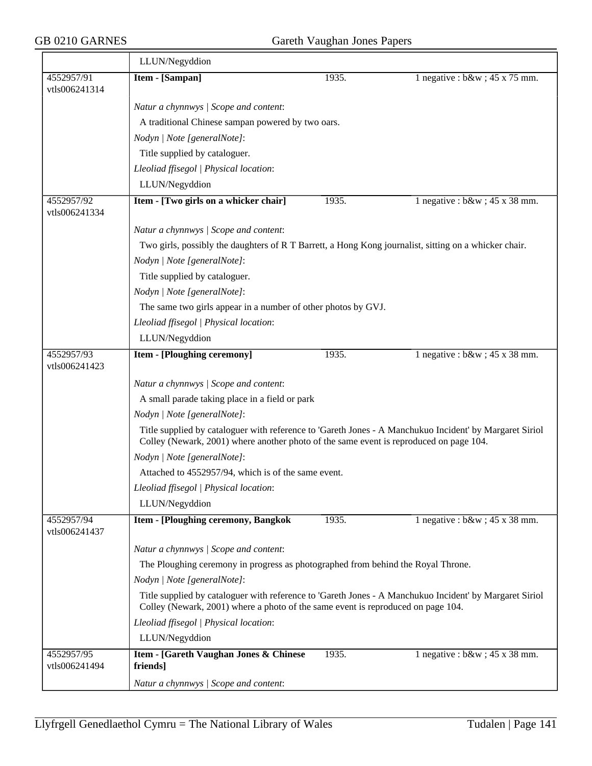|                             | LLUN/Negyddion                                                                                                                                                                                    |       |                                   |  |  |  |
|-----------------------------|---------------------------------------------------------------------------------------------------------------------------------------------------------------------------------------------------|-------|-----------------------------------|--|--|--|
| 4552957/91<br>vtls006241314 | Item - [Sampan]                                                                                                                                                                                   | 1935. | 1 negative : $b\&w$ ; 45 x 75 mm. |  |  |  |
|                             | Natur a chynnwys / Scope and content:                                                                                                                                                             |       |                                   |  |  |  |
|                             | A traditional Chinese sampan powered by two oars.                                                                                                                                                 |       |                                   |  |  |  |
|                             | Nodyn   Note [generalNote]:                                                                                                                                                                       |       |                                   |  |  |  |
|                             | Title supplied by cataloguer.                                                                                                                                                                     |       |                                   |  |  |  |
|                             | Lleoliad ffisegol   Physical location:                                                                                                                                                            |       |                                   |  |  |  |
|                             | LLUN/Negyddion                                                                                                                                                                                    |       |                                   |  |  |  |
| 4552957/92<br>vtls006241334 | Item - [Two girls on a whicker chair]                                                                                                                                                             | 1935. | 1 negative : $b\&w$ ; 45 x 38 mm. |  |  |  |
|                             | Natur a chynnwys / Scope and content:                                                                                                                                                             |       |                                   |  |  |  |
|                             | Two girls, possibly the daughters of R T Barrett, a Hong Kong journalist, sitting on a whicker chair.                                                                                             |       |                                   |  |  |  |
|                             | Nodyn   Note [generalNote]:                                                                                                                                                                       |       |                                   |  |  |  |
|                             | Title supplied by cataloguer.                                                                                                                                                                     |       |                                   |  |  |  |
|                             | Nodyn   Note [generalNote]:                                                                                                                                                                       |       |                                   |  |  |  |
|                             | The same two girls appear in a number of other photos by GVJ.                                                                                                                                     |       |                                   |  |  |  |
|                             | Lleoliad ffisegol   Physical location:                                                                                                                                                            |       |                                   |  |  |  |
|                             | LLUN/Negyddion                                                                                                                                                                                    |       |                                   |  |  |  |
| 4552957/93<br>vtls006241423 | <b>Item - [Ploughing ceremony]</b>                                                                                                                                                                | 1935. | 1 negative : $b\&w$ ; 45 x 38 mm. |  |  |  |
|                             | Natur a chynnwys / Scope and content:                                                                                                                                                             |       |                                   |  |  |  |
|                             | A small parade taking place in a field or park                                                                                                                                                    |       |                                   |  |  |  |
|                             | Nodyn   Note [generalNote]:                                                                                                                                                                       |       |                                   |  |  |  |
|                             | Title supplied by cataloguer with reference to 'Gareth Jones - A Manchukuo Incident' by Margaret Siriol<br>Colley (Newark, 2001) where another photo of the same event is reproduced on page 104. |       |                                   |  |  |  |
|                             | Nodyn   Note [generalNote]:                                                                                                                                                                       |       |                                   |  |  |  |
|                             | Attached to 4552957/94, which is of the same event.                                                                                                                                               |       |                                   |  |  |  |
|                             | Lleoliad ffisegol   Physical location:                                                                                                                                                            |       |                                   |  |  |  |
|                             | LLUN/Negyddion                                                                                                                                                                                    |       |                                   |  |  |  |
| 4552957/94<br>vtls006241437 | Item - [Ploughing ceremony, Bangkok                                                                                                                                                               | 1935. | 1 negative : $b\&w$ ; 45 x 38 mm. |  |  |  |
|                             | Natur a chynnwys / Scope and content:                                                                                                                                                             |       |                                   |  |  |  |
|                             | The Ploughing ceremony in progress as photographed from behind the Royal Throne.                                                                                                                  |       |                                   |  |  |  |
|                             | Nodyn   Note [generalNote]:                                                                                                                                                                       |       |                                   |  |  |  |
|                             | Title supplied by cataloguer with reference to 'Gareth Jones - A Manchukuo Incident' by Margaret Siriol<br>Colley (Newark, 2001) where a photo of the same event is reproduced on page 104.       |       |                                   |  |  |  |
|                             | Lleoliad ffisegol   Physical location:                                                                                                                                                            |       |                                   |  |  |  |
|                             | LLUN/Negyddion                                                                                                                                                                                    |       |                                   |  |  |  |
| 4552957/95<br>vtls006241494 | Item - [Gareth Vaughan Jones & Chinese<br>friends]                                                                                                                                                | 1935. | 1 negative : $b\&w$ ; 45 x 38 mm. |  |  |  |
|                             | Natur a chynnwys / Scope and content:                                                                                                                                                             |       |                                   |  |  |  |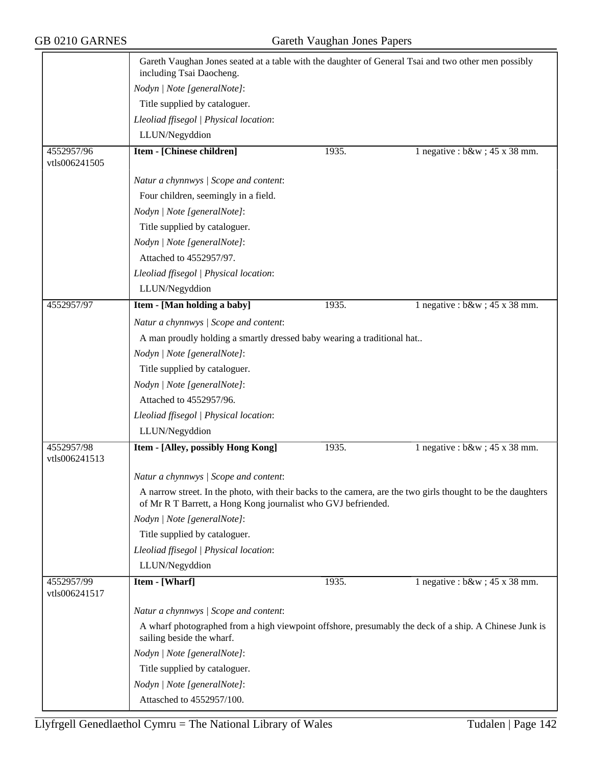|                             | Gareth Vaughan Jones seated at a table with the daughter of General Tsai and two other men possibly<br>including Tsai Daocheng.    |       |                                                                                                              |  |  |
|-----------------------------|------------------------------------------------------------------------------------------------------------------------------------|-------|--------------------------------------------------------------------------------------------------------------|--|--|
|                             | Nodyn   Note [generalNote]:                                                                                                        |       |                                                                                                              |  |  |
|                             | Title supplied by cataloguer.                                                                                                      |       |                                                                                                              |  |  |
|                             | Lleoliad ffisegol   Physical location:                                                                                             |       |                                                                                                              |  |  |
|                             | LLUN/Negyddion                                                                                                                     |       |                                                                                                              |  |  |
| 4552957/96                  | <b>Item - [Chinese children]</b>                                                                                                   | 1935. | 1 negative : $b\&w$ ; 45 x 38 mm.                                                                            |  |  |
| vtls006241505               |                                                                                                                                    |       |                                                                                                              |  |  |
|                             | Natur a chynnwys / Scope and content:                                                                                              |       |                                                                                                              |  |  |
|                             | Four children, seemingly in a field.                                                                                               |       |                                                                                                              |  |  |
|                             | Nodyn   Note [generalNote]:                                                                                                        |       |                                                                                                              |  |  |
|                             | Title supplied by cataloguer.                                                                                                      |       |                                                                                                              |  |  |
|                             | Nodyn   Note [generalNote]:                                                                                                        |       |                                                                                                              |  |  |
|                             | Attached to 4552957/97.                                                                                                            |       |                                                                                                              |  |  |
|                             | Lleoliad ffisegol   Physical location:                                                                                             |       |                                                                                                              |  |  |
|                             | LLUN/Negyddion                                                                                                                     |       |                                                                                                              |  |  |
| 4552957/97                  | Item - [Man holding a baby]                                                                                                        | 1935. | 1 negative : $b\&w$ ; 45 x 38 mm.                                                                            |  |  |
|                             | Natur a chynnwys / Scope and content:                                                                                              |       |                                                                                                              |  |  |
|                             |                                                                                                                                    |       |                                                                                                              |  |  |
|                             | A man proudly holding a smartly dressed baby wearing a traditional hat<br>Nodyn   Note [generalNote]:                              |       |                                                                                                              |  |  |
|                             | Title supplied by cataloguer.                                                                                                      |       |                                                                                                              |  |  |
|                             | Nodyn   Note [generalNote]:                                                                                                        |       |                                                                                                              |  |  |
|                             | Attached to 4552957/96.                                                                                                            |       |                                                                                                              |  |  |
|                             |                                                                                                                                    |       |                                                                                                              |  |  |
|                             | Lleoliad ffisegol   Physical location:                                                                                             |       |                                                                                                              |  |  |
|                             | LLUN/Negyddion                                                                                                                     |       |                                                                                                              |  |  |
| 4552957/98<br>vtls006241513 | Item - [Alley, possibly Hong Kong]                                                                                                 | 1935. | 1 negative : $b\&w$ ; 45 x 38 mm.                                                                            |  |  |
|                             | Natur a chynnwys / Scope and content:                                                                                              |       |                                                                                                              |  |  |
|                             | of Mr R T Barrett, a Hong Kong journalist who GVJ befriended.                                                                      |       | A narrow street. In the photo, with their backs to the camera, are the two girls thought to be the daughters |  |  |
|                             | Nodyn   Note [generalNote]:                                                                                                        |       |                                                                                                              |  |  |
|                             | Title supplied by cataloguer.                                                                                                      |       |                                                                                                              |  |  |
|                             | Lleoliad ffisegol   Physical location:                                                                                             |       |                                                                                                              |  |  |
|                             | LLUN/Negyddion                                                                                                                     |       |                                                                                                              |  |  |
| 4552957/99                  | Item - [Wharf]                                                                                                                     | 1935. | 1 negative : $b\&w$ ; 45 x 38 mm.                                                                            |  |  |
| vtls006241517               |                                                                                                                                    |       |                                                                                                              |  |  |
|                             | Natur a chynnwys / Scope and content:                                                                                              |       |                                                                                                              |  |  |
|                             | A wharf photographed from a high viewpoint offshore, presumably the deck of a ship. A Chinese Junk is<br>sailing beside the wharf. |       |                                                                                                              |  |  |
|                             | Nodyn   Note [generalNote]:                                                                                                        |       |                                                                                                              |  |  |
|                             | Title supplied by cataloguer.                                                                                                      |       |                                                                                                              |  |  |
|                             | Nodyn   Note [generalNote]:                                                                                                        |       |                                                                                                              |  |  |
|                             | Attasched to 4552957/100.                                                                                                          |       |                                                                                                              |  |  |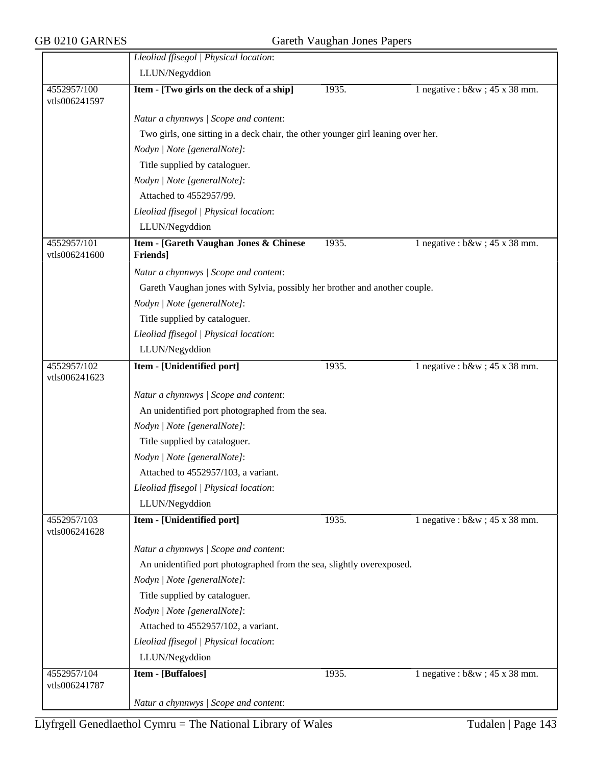|                              | Lleoliad ffisegol   Physical location:                                           |       |                                   |  |  |
|------------------------------|----------------------------------------------------------------------------------|-------|-----------------------------------|--|--|
|                              | LLUN/Negyddion                                                                   |       |                                   |  |  |
| 4552957/100<br>vtls006241597 | Item - [Two girls on the deck of a ship]                                         | 1935. | 1 negative : $b\&w$ ; 45 x 38 mm. |  |  |
|                              | Natur a chynnwys / Scope and content:                                            |       |                                   |  |  |
|                              | Two girls, one sitting in a deck chair, the other younger girl leaning over her. |       |                                   |  |  |
|                              | Nodyn   Note [generalNote]:                                                      |       |                                   |  |  |
|                              | Title supplied by cataloguer.                                                    |       |                                   |  |  |
|                              | Nodyn   Note [generalNote]:                                                      |       |                                   |  |  |
|                              | Attached to 4552957/99.                                                          |       |                                   |  |  |
|                              | Lleoliad ffisegol   Physical location:                                           |       |                                   |  |  |
|                              | LLUN/Negyddion                                                                   |       |                                   |  |  |
| 4552957/101<br>vtls006241600 | Item - [Gareth Vaughan Jones & Chinese<br><b>Friends</b> ]                       | 1935. | 1 negative : $b\&w$ ; 45 x 38 mm. |  |  |
|                              | Natur a chynnwys / Scope and content:                                            |       |                                   |  |  |
|                              | Gareth Vaughan jones with Sylvia, possibly her brother and another couple.       |       |                                   |  |  |
|                              | Nodyn   Note [generalNote]:                                                      |       |                                   |  |  |
|                              | Title supplied by cataloguer.                                                    |       |                                   |  |  |
|                              | Lleoliad ffisegol   Physical location:                                           |       |                                   |  |  |
|                              | LLUN/Negyddion                                                                   |       |                                   |  |  |
| 4552957/102<br>vtls006241623 | Item - [Unidentified port]                                                       | 1935. | 1 negative : $b\&w$ ; 45 x 38 mm. |  |  |
|                              | Natur a chynnwys / Scope and content:                                            |       |                                   |  |  |
|                              | An unidentified port photographed from the sea.                                  |       |                                   |  |  |
|                              | Nodyn   Note [generalNote]:                                                      |       |                                   |  |  |
|                              | Title supplied by cataloguer.                                                    |       |                                   |  |  |
|                              | Nodyn   Note [generalNote]:                                                      |       |                                   |  |  |
|                              | Attached to 4552957/103, a variant.                                              |       |                                   |  |  |
|                              | Lleoliad ffisegol   Physical location:                                           |       |                                   |  |  |
|                              | LLUN/Negyddion                                                                   |       |                                   |  |  |
| 4552957/103<br>vtls006241628 | Item - [Unidentified port]                                                       | 1935. | 1 negative : $b\&w$ ; 45 x 38 mm. |  |  |
|                              | Natur a chynnwys / Scope and content:                                            |       |                                   |  |  |
|                              | An unidentified port photographed from the sea, slightly overexposed.            |       |                                   |  |  |
|                              | Nodyn   Note [generalNote]:                                                      |       |                                   |  |  |
|                              | Title supplied by cataloguer.                                                    |       |                                   |  |  |
|                              | Nodyn   Note [generalNote]:                                                      |       |                                   |  |  |
|                              | Attached to 4552957/102, a variant.                                              |       |                                   |  |  |
|                              | Lleoliad ffisegol   Physical location:                                           |       |                                   |  |  |
|                              | LLUN/Negyddion                                                                   |       |                                   |  |  |
| 4552957/104                  | <b>Item - [Buffaloes]</b>                                                        | 1935. | 1 negative : $b\&w$ ; 45 x 38 mm. |  |  |
| vtls006241787                |                                                                                  |       |                                   |  |  |
|                              | Natur a chynnwys / Scope and content:                                            |       |                                   |  |  |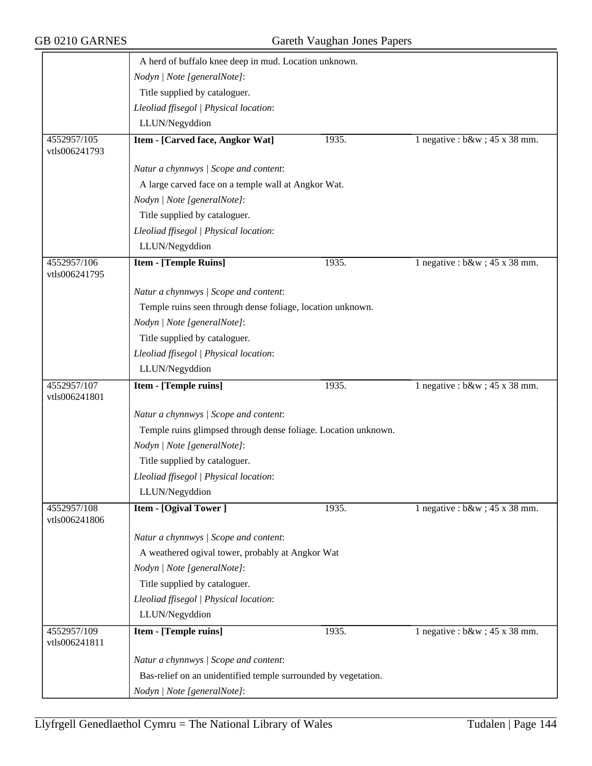|                              | A herd of buffalo knee deep in mud. Location unknown.          |       |                                   |  |
|------------------------------|----------------------------------------------------------------|-------|-----------------------------------|--|
|                              | Nodyn   Note [generalNote]:                                    |       |                                   |  |
|                              | Title supplied by cataloguer.                                  |       |                                   |  |
|                              | Lleoliad ffisegol   Physical location:                         |       |                                   |  |
|                              | LLUN/Negyddion                                                 |       |                                   |  |
| 4552957/105<br>vtls006241793 | Item - [Carved face, Angkor Wat]                               | 1935. | 1 negative : $b\&w$ ; 45 x 38 mm. |  |
|                              | Natur a chynnwys / Scope and content:                          |       |                                   |  |
|                              | A large carved face on a temple wall at Angkor Wat.            |       |                                   |  |
|                              | Nodyn   Note [generalNote]:                                    |       |                                   |  |
|                              | Title supplied by cataloguer.                                  |       |                                   |  |
|                              | Lleoliad ffisegol   Physical location:                         |       |                                   |  |
|                              | LLUN/Negyddion                                                 |       |                                   |  |
| 4552957/106<br>vtls006241795 | <b>Item - [Temple Ruins]</b>                                   | 1935. | 1 negative : $b\&w$ ; 45 x 38 mm. |  |
|                              | Natur a chynnwys / Scope and content:                          |       |                                   |  |
|                              | Temple ruins seen through dense foliage, location unknown.     |       |                                   |  |
|                              | Nodyn   Note [generalNote]:                                    |       |                                   |  |
|                              | Title supplied by cataloguer.                                  |       |                                   |  |
|                              | Lleoliad ffisegol   Physical location:                         |       |                                   |  |
|                              | LLUN/Negyddion                                                 |       |                                   |  |
| 4552957/107<br>vtls006241801 | Item - [Temple ruins]                                          | 1935. | 1 negative : $b\&w$ ; 45 x 38 mm. |  |
|                              | Natur a chynnwys / Scope and content:                          |       |                                   |  |
|                              | Temple ruins glimpsed through dense foliage. Location unknown. |       |                                   |  |
|                              | Nodyn   Note [generalNote]:                                    |       |                                   |  |
|                              | Title supplied by cataloguer.                                  |       |                                   |  |
|                              | Lleoliad ffisegol   Physical location:                         |       |                                   |  |
|                              | LLUN/Negyddion                                                 |       |                                   |  |
| 4552957/108<br>vtls006241806 | <b>Item - [Ogival Tower]</b>                                   | 1935. | 1 negative : $b\&w$ ; 45 x 38 mm. |  |
|                              | Natur a chynnwys / Scope and content:                          |       |                                   |  |
|                              | A weathered ogival tower, probably at Angkor Wat               |       |                                   |  |
|                              | Nodyn   Note [generalNote]:                                    |       |                                   |  |
|                              | Title supplied by cataloguer.                                  |       |                                   |  |
|                              | Lleoliad ffisegol   Physical location:                         |       |                                   |  |
|                              | LLUN/Negyddion                                                 |       |                                   |  |
| 4552957/109<br>vtls006241811 | Item - [Temple ruins]                                          | 1935. | 1 negative : $b$ &w ; 45 x 38 mm. |  |
|                              | Natur a chynnwys / Scope and content:                          |       |                                   |  |
|                              | Bas-relief on an unidentified temple surrounded by vegetation. |       |                                   |  |
|                              |                                                                |       |                                   |  |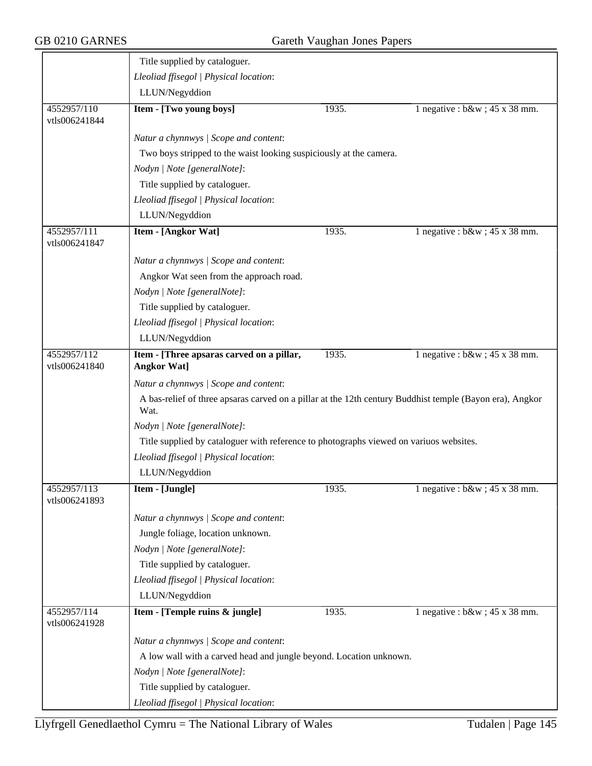|                              | Title supplied by cataloguer.                                                                                    |       |                                   |  |  |
|------------------------------|------------------------------------------------------------------------------------------------------------------|-------|-----------------------------------|--|--|
|                              | Lleoliad ffisegol   Physical location:                                                                           |       |                                   |  |  |
|                              | LLUN/Negyddion                                                                                                   |       |                                   |  |  |
| 4552957/110<br>vtls006241844 | Item - [Two young boys]                                                                                          | 1935. | 1 negative : $b\&w$ ; 45 x 38 mm. |  |  |
|                              | Natur a chynnwys / Scope and content:                                                                            |       |                                   |  |  |
|                              | Two boys stripped to the waist looking suspiciously at the camera.                                               |       |                                   |  |  |
|                              | Nodyn   Note [generalNote]:                                                                                      |       |                                   |  |  |
|                              | Title supplied by cataloguer.                                                                                    |       |                                   |  |  |
|                              | Lleoliad ffisegol   Physical location:                                                                           |       |                                   |  |  |
|                              | LLUN/Negyddion                                                                                                   |       |                                   |  |  |
| 4552957/111<br>vtls006241847 | Item - [Angkor Wat]                                                                                              | 1935. | 1 negative : $b\&w$ ; 45 x 38 mm. |  |  |
|                              | Natur a chynnwys / Scope and content:                                                                            |       |                                   |  |  |
|                              | Angkor Wat seen from the approach road.                                                                          |       |                                   |  |  |
|                              | Nodyn   Note [generalNote]:                                                                                      |       |                                   |  |  |
|                              | Title supplied by cataloguer.                                                                                    |       |                                   |  |  |
|                              | Lleoliad ffisegol   Physical location:                                                                           |       |                                   |  |  |
|                              | LLUN/Negyddion                                                                                                   |       |                                   |  |  |
| 4552957/112<br>vtls006241840 | Item - [Three apsaras carved on a pillar,<br><b>Angkor Wat]</b>                                                  | 1935. | 1 negative : $b\&w$ ; 45 x 38 mm. |  |  |
|                              | Natur a chynnwys / Scope and content:                                                                            |       |                                   |  |  |
|                              | A bas-relief of three apsaras carved on a pillar at the 12th century Buddhist temple (Bayon era), Angkor<br>Wat. |       |                                   |  |  |
|                              | Nodyn   Note [generalNote]:                                                                                      |       |                                   |  |  |
|                              | Title supplied by cataloguer with reference to photographs viewed on variuos websites.                           |       |                                   |  |  |
|                              | Lleoliad ffisegol   Physical location:                                                                           |       |                                   |  |  |
|                              | LLUN/Negyddion                                                                                                   |       |                                   |  |  |
| 4552957/113<br>vtls006241893 | Item - [Jungle]                                                                                                  | 1935. | 1 negative : $b\&w$ ; 45 x 38 mm. |  |  |
|                              | Natur a chynnwys / Scope and content:                                                                            |       |                                   |  |  |
|                              | Jungle foliage, location unknown.                                                                                |       |                                   |  |  |
|                              | Nodyn   Note [generalNote]:                                                                                      |       |                                   |  |  |
|                              | Title supplied by cataloguer.                                                                                    |       |                                   |  |  |
|                              | Lleoliad ffisegol   Physical location:                                                                           |       |                                   |  |  |
|                              | LLUN/Negyddion                                                                                                   |       |                                   |  |  |
| 4552957/114<br>vtls006241928 | Item - [Temple ruins & jungle]                                                                                   | 1935. | 1 negative : $b\&w$ ; 45 x 38 mm. |  |  |
|                              | Natur a chynnwys / Scope and content:                                                                            |       |                                   |  |  |
|                              | A low wall with a carved head and jungle beyond. Location unknown.                                               |       |                                   |  |  |
|                              | Nodyn   Note [generalNote]:                                                                                      |       |                                   |  |  |
|                              | Title supplied by cataloguer.                                                                                    |       |                                   |  |  |
|                              | Lleoliad ffisegol   Physical location:                                                                           |       |                                   |  |  |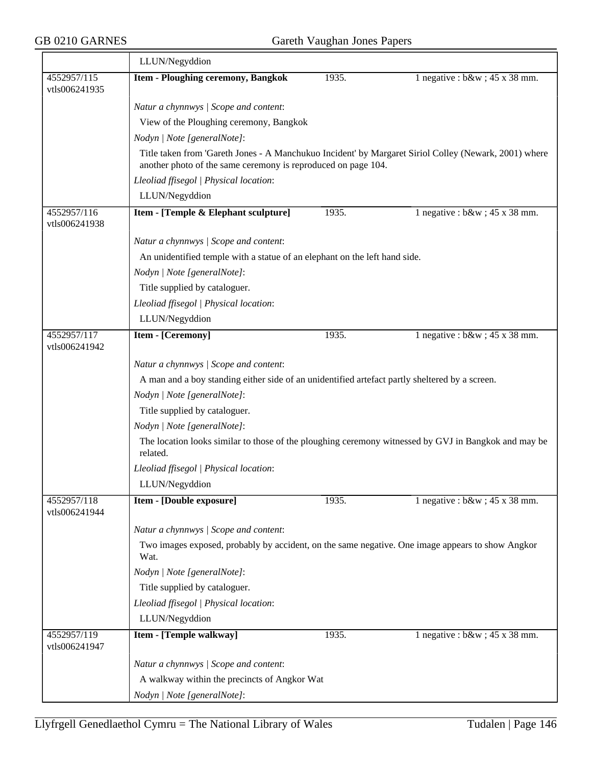|                              | LLUN/Negyddion                                                                                                   |                                                                                                |                                                                                                       |  |  |  |
|------------------------------|------------------------------------------------------------------------------------------------------------------|------------------------------------------------------------------------------------------------|-------------------------------------------------------------------------------------------------------|--|--|--|
| 4552957/115<br>vtls006241935 | <b>Item - Ploughing ceremony, Bangkok</b>                                                                        | 1935.                                                                                          | 1 negative : $b\&w$ ; 45 x 38 mm.                                                                     |  |  |  |
|                              | Natur a chynnwys / Scope and content:                                                                            |                                                                                                |                                                                                                       |  |  |  |
|                              | View of the Ploughing ceremony, Bangkok                                                                          |                                                                                                |                                                                                                       |  |  |  |
|                              | Nodyn   Note [generalNote]:                                                                                      |                                                                                                |                                                                                                       |  |  |  |
|                              | another photo of the same ceremony is reproduced on page 104.                                                    |                                                                                                | Title taken from 'Gareth Jones - A Manchukuo Incident' by Margaret Siriol Colley (Newark, 2001) where |  |  |  |
|                              | Lleoliad ffisegol   Physical location:                                                                           |                                                                                                |                                                                                                       |  |  |  |
|                              | LLUN/Negyddion                                                                                                   |                                                                                                |                                                                                                       |  |  |  |
| 4552957/116<br>vtls006241938 | Item - [Temple & Elephant sculpture]                                                                             | 1935.                                                                                          | 1 negative : $b\&w$ ; 45 x 38 mm.                                                                     |  |  |  |
|                              | Natur a chynnwys / Scope and content:                                                                            |                                                                                                |                                                                                                       |  |  |  |
|                              | An unidentified temple with a statue of an elephant on the left hand side.                                       |                                                                                                |                                                                                                       |  |  |  |
|                              | Nodyn   Note [generalNote]:                                                                                      |                                                                                                |                                                                                                       |  |  |  |
|                              | Title supplied by cataloguer.                                                                                    |                                                                                                |                                                                                                       |  |  |  |
|                              | Lleoliad ffisegol   Physical location:                                                                           |                                                                                                |                                                                                                       |  |  |  |
|                              | LLUN/Negyddion                                                                                                   |                                                                                                |                                                                                                       |  |  |  |
| 4552957/117<br>vtls006241942 | <b>Item - [Ceremony]</b>                                                                                         | 1935.                                                                                          | 1 negative : $b\&w$ ; 45 x 38 mm.                                                                     |  |  |  |
|                              | Natur a chynnwys / Scope and content:                                                                            |                                                                                                |                                                                                                       |  |  |  |
|                              |                                                                                                                  | A man and a boy standing either side of an unidentified artefact partly sheltered by a screen. |                                                                                                       |  |  |  |
|                              | Nodyn   Note [generalNote]:                                                                                      |                                                                                                |                                                                                                       |  |  |  |
|                              | Title supplied by cataloguer.                                                                                    |                                                                                                |                                                                                                       |  |  |  |
|                              | Nodyn   Note [generalNote]:                                                                                      |                                                                                                |                                                                                                       |  |  |  |
|                              | The location looks similar to those of the ploughing ceremony witnessed by GVJ in Bangkok and may be<br>related. |                                                                                                |                                                                                                       |  |  |  |
|                              | Lleoliad ffisegol   Physical location:                                                                           |                                                                                                |                                                                                                       |  |  |  |
|                              | LLUN/Negyddion                                                                                                   |                                                                                                |                                                                                                       |  |  |  |
| 4552957/118<br>vtls006241944 | Item - [Double exposure]                                                                                         | 1935.                                                                                          | 1 negative : $b\&w$ ; 45 x 38 mm.                                                                     |  |  |  |
|                              | Natur a chynnwys / Scope and content:                                                                            |                                                                                                |                                                                                                       |  |  |  |
|                              | Two images exposed, probably by accident, on the same negative. One image appears to show Angkor<br>Wat.         |                                                                                                |                                                                                                       |  |  |  |
|                              | Nodyn   Note [generalNote]:                                                                                      |                                                                                                |                                                                                                       |  |  |  |
|                              | Title supplied by cataloguer.                                                                                    |                                                                                                |                                                                                                       |  |  |  |
|                              | Lleoliad ffisegol   Physical location:                                                                           |                                                                                                |                                                                                                       |  |  |  |
|                              | LLUN/Negyddion                                                                                                   |                                                                                                |                                                                                                       |  |  |  |
| 4552957/119<br>vtls006241947 | Item - [Temple walkway]                                                                                          | 1935.                                                                                          | 1 negative : $b\&w$ ; 45 x 38 mm.                                                                     |  |  |  |
|                              | Natur a chynnwys / Scope and content:                                                                            |                                                                                                |                                                                                                       |  |  |  |
|                              | A walkway within the precincts of Angkor Wat                                                                     |                                                                                                |                                                                                                       |  |  |  |
|                              | Nodyn   Note [generalNote]:                                                                                      |                                                                                                |                                                                                                       |  |  |  |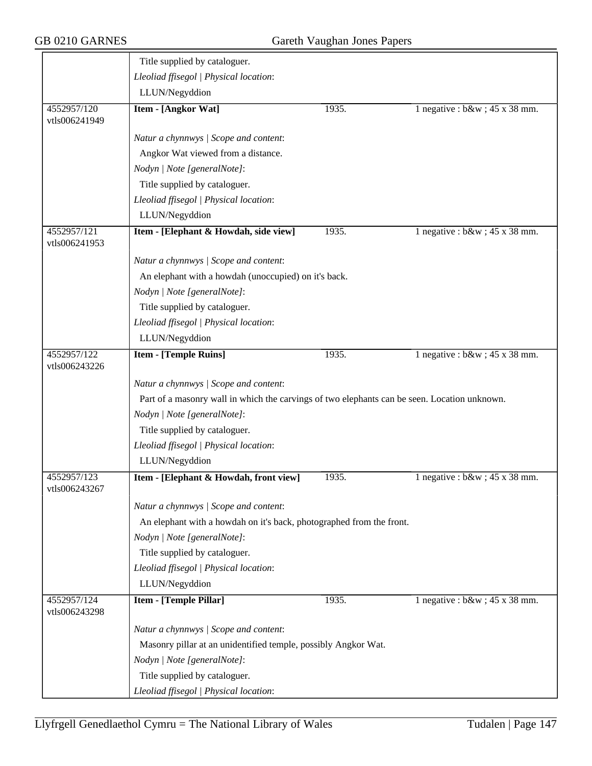|                              | Title supplied by cataloguer.                                                                |       |                                   |
|------------------------------|----------------------------------------------------------------------------------------------|-------|-----------------------------------|
|                              | Lleoliad ffisegol   Physical location:                                                       |       |                                   |
|                              | LLUN/Negyddion                                                                               |       |                                   |
| 4552957/120<br>vtls006241949 | <b>Item - [Angkor Wat]</b>                                                                   | 1935. | 1 negative : $b\&w$ ; 45 x 38 mm. |
|                              | Natur a chynnwys / Scope and content:                                                        |       |                                   |
|                              | Angkor Wat viewed from a distance.                                                           |       |                                   |
|                              | Nodyn   Note [generalNote]:                                                                  |       |                                   |
|                              | Title supplied by cataloguer.                                                                |       |                                   |
|                              | Lleoliad ffisegol   Physical location:                                                       |       |                                   |
|                              | LLUN/Negyddion                                                                               |       |                                   |
| 4552957/121<br>vtls006241953 | Item - [Elephant & Howdah, side view]                                                        | 1935. | 1 negative : $b\&w$ ; 45 x 38 mm. |
|                              | Natur a chynnwys / Scope and content:                                                        |       |                                   |
|                              | An elephant with a howdah (unoccupied) on it's back.                                         |       |                                   |
|                              | Nodyn   Note [generalNote]:                                                                  |       |                                   |
|                              | Title supplied by cataloguer.                                                                |       |                                   |
|                              | Lleoliad ffisegol   Physical location:                                                       |       |                                   |
|                              | LLUN/Negyddion                                                                               |       |                                   |
| 4552957/122<br>vtls006243226 | <b>Item - [Temple Ruins]</b>                                                                 | 1935. | 1 negative : $b\&w$ ; 45 x 38 mm. |
|                              | Natur a chynnwys / Scope and content:                                                        |       |                                   |
|                              | Part of a masonry wall in which the carvings of two elephants can be seen. Location unknown. |       |                                   |
|                              | Nodyn   Note [generalNote]:                                                                  |       |                                   |
|                              | Title supplied by cataloguer.                                                                |       |                                   |
|                              | Lleoliad ffisegol   Physical location:                                                       |       |                                   |
|                              | LLUN/Negyddion                                                                               |       |                                   |
| 4552957/123<br>vtls006243267 | Item - [Elephant & Howdah, front view]                                                       | 1935. | 1 negative : $b\&w$ ; 45 x 38 mm. |
|                              | Natur a chynnwys / Scope and content:                                                        |       |                                   |
|                              | An elephant with a howdah on it's back, photographed from the front.                         |       |                                   |
|                              | Nodyn   Note [generalNote]:                                                                  |       |                                   |
|                              | Title supplied by cataloguer.                                                                |       |                                   |
|                              | Lleoliad ffisegol   Physical location:                                                       |       |                                   |
|                              | LLUN/Negyddion                                                                               |       |                                   |
| 4552957/124<br>vtls006243298 | Item - [Temple Pillar]                                                                       | 1935. | 1 negative : $b\&w$ ; 45 x 38 mm. |
|                              | Natur a chynnwys / Scope and content:                                                        |       |                                   |
|                              | Masonry pillar at an unidentified temple, possibly Angkor Wat.                               |       |                                   |
|                              | Nodyn   Note [generalNote]:                                                                  |       |                                   |
|                              | Title supplied by cataloguer.                                                                |       |                                   |
|                              | Lleoliad ffisegol   Physical location:                                                       |       |                                   |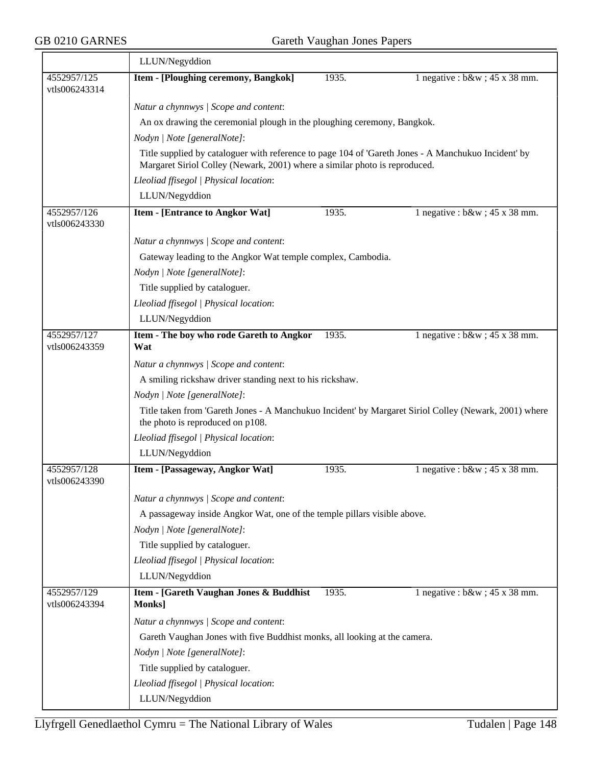|                              | LLUN/Negyddion                                                                                                                            |                                                                                                                                                                                   |                                   |  |  |
|------------------------------|-------------------------------------------------------------------------------------------------------------------------------------------|-----------------------------------------------------------------------------------------------------------------------------------------------------------------------------------|-----------------------------------|--|--|
| 4552957/125<br>vtls006243314 | Item - [Ploughing ceremony, Bangkok]                                                                                                      | 1935.                                                                                                                                                                             | 1 negative : $b\&w$ ; 45 x 38 mm. |  |  |
|                              | Natur a chynnwys / Scope and content:                                                                                                     |                                                                                                                                                                                   |                                   |  |  |
|                              | An ox drawing the ceremonial plough in the ploughing ceremony, Bangkok.                                                                   |                                                                                                                                                                                   |                                   |  |  |
|                              | Nodyn   Note [generalNote]:                                                                                                               |                                                                                                                                                                                   |                                   |  |  |
|                              |                                                                                                                                           | Title supplied by cataloguer with reference to page 104 of 'Gareth Jones - A Manchukuo Incident' by<br>Margaret Siriol Colley (Newark, 2001) where a similar photo is reproduced. |                                   |  |  |
|                              | Lleoliad ffisegol   Physical location:                                                                                                    |                                                                                                                                                                                   |                                   |  |  |
|                              | LLUN/Negyddion                                                                                                                            |                                                                                                                                                                                   |                                   |  |  |
| 4552957/126<br>vtls006243330 | <b>Item - [Entrance to Angkor Wat]</b>                                                                                                    | 1935.                                                                                                                                                                             | 1 negative : $b\&w$ ; 45 x 38 mm. |  |  |
|                              | Natur a chynnwys / Scope and content:                                                                                                     |                                                                                                                                                                                   |                                   |  |  |
|                              | Gateway leading to the Angkor Wat temple complex, Cambodia.                                                                               |                                                                                                                                                                                   |                                   |  |  |
|                              | Nodyn   Note [generalNote]:                                                                                                               |                                                                                                                                                                                   |                                   |  |  |
|                              | Title supplied by cataloguer.                                                                                                             |                                                                                                                                                                                   |                                   |  |  |
|                              | Lleoliad ffisegol   Physical location:                                                                                                    |                                                                                                                                                                                   |                                   |  |  |
|                              | LLUN/Negyddion                                                                                                                            |                                                                                                                                                                                   |                                   |  |  |
| 4552957/127<br>vtls006243359 | Item - The boy who rode Gareth to Angkor<br>Wat                                                                                           | 1935.                                                                                                                                                                             | 1 negative : $b\&w$ ; 45 x 38 mm. |  |  |
|                              | Natur a chynnwys / Scope and content:                                                                                                     |                                                                                                                                                                                   |                                   |  |  |
|                              | A smiling rickshaw driver standing next to his rickshaw.                                                                                  |                                                                                                                                                                                   |                                   |  |  |
|                              | Nodyn   Note [generalNote]:                                                                                                               |                                                                                                                                                                                   |                                   |  |  |
|                              | Title taken from 'Gareth Jones - A Manchukuo Incident' by Margaret Siriol Colley (Newark, 2001) where<br>the photo is reproduced on p108. |                                                                                                                                                                                   |                                   |  |  |
|                              | Lleoliad ffisegol   Physical location:                                                                                                    |                                                                                                                                                                                   |                                   |  |  |
|                              | LLUN/Negyddion                                                                                                                            |                                                                                                                                                                                   |                                   |  |  |
| 4552957/128<br>vtls006243390 | Item - [Passageway, Angkor Wat]                                                                                                           | 1935.                                                                                                                                                                             | 1 negative : $b\&w$ ; 45 x 38 mm. |  |  |
|                              | Natur a chynnwys / Scope and content:                                                                                                     |                                                                                                                                                                                   |                                   |  |  |
|                              | A passageway inside Angkor Wat, one of the temple pillars visible above.                                                                  |                                                                                                                                                                                   |                                   |  |  |
|                              | Nodyn   Note [generalNote]:                                                                                                               |                                                                                                                                                                                   |                                   |  |  |
|                              | Title supplied by cataloguer.                                                                                                             |                                                                                                                                                                                   |                                   |  |  |
|                              | Lleoliad ffisegol   Physical location:                                                                                                    |                                                                                                                                                                                   |                                   |  |  |
|                              | LLUN/Negyddion                                                                                                                            |                                                                                                                                                                                   |                                   |  |  |
| 4552957/129<br>vtls006243394 | Item - [Gareth Vaughan Jones & Buddhist<br>Monks]                                                                                         | 1935.                                                                                                                                                                             | 1 negative : $b\&w$ ; 45 x 38 mm. |  |  |
|                              | Natur a chynnwys / Scope and content:                                                                                                     |                                                                                                                                                                                   |                                   |  |  |
|                              | Gareth Vaughan Jones with five Buddhist monks, all looking at the camera.                                                                 |                                                                                                                                                                                   |                                   |  |  |
|                              | Nodyn   Note [generalNote]:                                                                                                               |                                                                                                                                                                                   |                                   |  |  |
|                              | Title supplied by cataloguer.                                                                                                             |                                                                                                                                                                                   |                                   |  |  |
|                              | Lleoliad ffisegol   Physical location:                                                                                                    |                                                                                                                                                                                   |                                   |  |  |
|                              | LLUN/Negyddion                                                                                                                            |                                                                                                                                                                                   |                                   |  |  |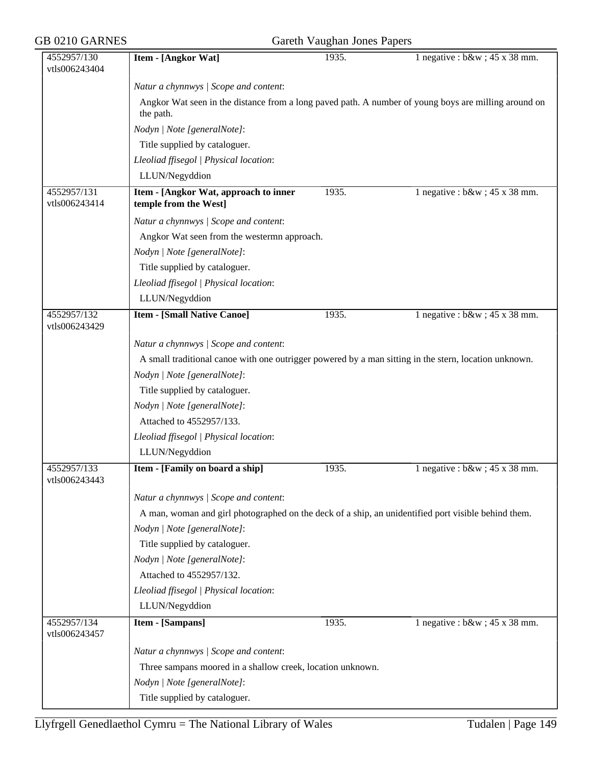| GB 0210 GARNES               | Gareth Vaughan Jones Papers                                                                                       |       |                                   |  |  |
|------------------------------|-------------------------------------------------------------------------------------------------------------------|-------|-----------------------------------|--|--|
| 4552957/130<br>vtls006243404 | Item - [Angkor Wat]                                                                                               | 1935. | 1 negative : $b\&w$ ; 45 x 38 mm. |  |  |
|                              | Natur a chynnwys / Scope and content:                                                                             |       |                                   |  |  |
|                              | Angkor Wat seen in the distance from a long paved path. A number of young boys are milling around on<br>the path. |       |                                   |  |  |
|                              | Nodyn   Note [generalNote]:                                                                                       |       |                                   |  |  |
|                              | Title supplied by cataloguer.                                                                                     |       |                                   |  |  |
|                              | Lleoliad ffisegol   Physical location:                                                                            |       |                                   |  |  |
|                              | LLUN/Negyddion                                                                                                    |       |                                   |  |  |
| 4552957/131<br>vtls006243414 | Item - [Angkor Wat, approach to inner<br>temple from the West]                                                    | 1935. | 1 negative : $b\&w$ ; 45 x 38 mm. |  |  |
|                              | Natur a chynnwys / Scope and content:                                                                             |       |                                   |  |  |
|                              | Angkor Wat seen from the westermn approach.                                                                       |       |                                   |  |  |
|                              | Nodyn   Note [generalNote]:                                                                                       |       |                                   |  |  |
|                              | Title supplied by cataloguer.                                                                                     |       |                                   |  |  |
|                              | Lleoliad ffisegol   Physical location:                                                                            |       |                                   |  |  |
|                              | LLUN/Negyddion                                                                                                    |       |                                   |  |  |
| 4552957/132<br>vtls006243429 | <b>Item - [Small Native Canoe]</b>                                                                                | 1935. | 1 negative : $b\&w$ ; 45 x 38 mm. |  |  |
|                              | Natur a chynnwys / Scope and content:                                                                             |       |                                   |  |  |
|                              | A small traditional canoe with one outrigger powered by a man sitting in the stern, location unknown.             |       |                                   |  |  |
|                              | Nodyn   Note [generalNote]:                                                                                       |       |                                   |  |  |
|                              | Title supplied by cataloguer.                                                                                     |       |                                   |  |  |
|                              | Nodyn   Note [generalNote]:                                                                                       |       |                                   |  |  |
|                              | Attached to 4552957/133.                                                                                          |       |                                   |  |  |
|                              | Lleoliad ffisegol   Physical location:                                                                            |       |                                   |  |  |
|                              | LLUN/Negyddion                                                                                                    |       |                                   |  |  |
| 4552957/133<br>vtls006243443 | Item - [Family on board a ship]                                                                                   | 1935. | 1 negative : $b\&w$ ; 45 x 38 mm. |  |  |
|                              | Natur a chynnwys / Scope and content:                                                                             |       |                                   |  |  |
|                              | A man, woman and girl photographed on the deck of a ship, an unidentified port visible behind them.               |       |                                   |  |  |
|                              | Nodyn   Note [generalNote]:                                                                                       |       |                                   |  |  |
|                              | Title supplied by cataloguer.                                                                                     |       |                                   |  |  |
|                              | Nodyn   Note [generalNote]:                                                                                       |       |                                   |  |  |
|                              | Attached to 4552957/132.                                                                                          |       |                                   |  |  |
|                              | Lleoliad ffisegol   Physical location:                                                                            |       |                                   |  |  |
|                              | LLUN/Negyddion                                                                                                    |       |                                   |  |  |
| 4552957/134<br>vtls006243457 | <b>Item - [Sampans]</b>                                                                                           | 1935. | 1 negative : $b\&w$ ; 45 x 38 mm. |  |  |
|                              | Natur a chynnwys / Scope and content:                                                                             |       |                                   |  |  |
|                              | Three sampans moored in a shallow creek, location unknown.                                                        |       |                                   |  |  |
|                              | Nodyn   Note [generalNote]:                                                                                       |       |                                   |  |  |
|                              | Title supplied by cataloguer.                                                                                     |       |                                   |  |  |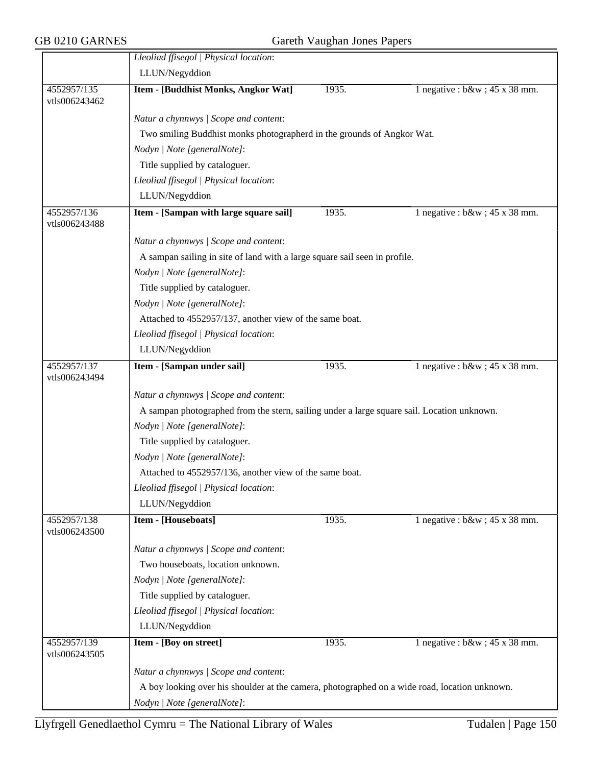|                              | Lleoliad ffisegol   Physical location:                                                        |       |                                   |  |  |
|------------------------------|-----------------------------------------------------------------------------------------------|-------|-----------------------------------|--|--|
|                              | LLUN/Negyddion                                                                                |       |                                   |  |  |
| 4552957/135<br>vtls006243462 | Item - [Buddhist Monks, Angkor Wat]                                                           | 1935. | 1 negative : $b\&w$ ; 45 x 38 mm. |  |  |
|                              | Natur a chynnwys / Scope and content:                                                         |       |                                   |  |  |
|                              | Two smiling Buddhist monks photographerd in the grounds of Angkor Wat.                        |       |                                   |  |  |
|                              | Nodyn   Note [generalNote]:                                                                   |       |                                   |  |  |
|                              | Title supplied by cataloguer.                                                                 |       |                                   |  |  |
|                              | Lleoliad ffisegol   Physical location:                                                        |       |                                   |  |  |
|                              | LLUN/Negyddion                                                                                |       |                                   |  |  |
| 4552957/136                  | Item - [Sampan with large square sail]                                                        | 1935. | 1 negative : $b\&w$ ; 45 x 38 mm. |  |  |
| vtls006243488                |                                                                                               |       |                                   |  |  |
|                              | Natur a chynnwys / Scope and content:                                                         |       |                                   |  |  |
|                              | A sampan sailing in site of land with a large square sail seen in profile.                    |       |                                   |  |  |
|                              | Nodyn   Note [generalNote]:                                                                   |       |                                   |  |  |
|                              | Title supplied by cataloguer.                                                                 |       |                                   |  |  |
|                              | Nodyn   Note [generalNote]:                                                                   |       |                                   |  |  |
|                              | Attached to 4552957/137, another view of the same boat.                                       |       |                                   |  |  |
|                              | Lleoliad ffisegol   Physical location:                                                        |       |                                   |  |  |
|                              | LLUN/Negyddion                                                                                |       |                                   |  |  |
| 4552957/137                  | Item - [Sampan under sail]                                                                    | 1935. | 1 negative : $b\&w$ ; 45 x 38 mm. |  |  |
| vtls006243494                |                                                                                               |       |                                   |  |  |
|                              | Natur a chynnwys / Scope and content:                                                         |       |                                   |  |  |
|                              | A sampan photographed from the stern, sailing under a large square sail. Location unknown.    |       |                                   |  |  |
|                              | Nodyn   Note [generalNote]:                                                                   |       |                                   |  |  |
|                              | Title supplied by cataloguer.                                                                 |       |                                   |  |  |
|                              | Nodyn   Note [generalNote]:                                                                   |       |                                   |  |  |
|                              | Attached to 4552957/136, another view of the same boat.                                       |       |                                   |  |  |
|                              | Lleoliad ffisegol   Physical location:                                                        |       |                                   |  |  |
|                              | LLUN/Negyddion                                                                                |       |                                   |  |  |
| 4552957/138<br>vtls006243500 | <b>Item - [Houseboats]</b>                                                                    | 1935. | 1 negative : $b\&w$ ; 45 x 38 mm. |  |  |
|                              | Natur a chynnwys / Scope and content:                                                         |       |                                   |  |  |
|                              | Two houseboats, location unknown.                                                             |       |                                   |  |  |
|                              | Nodyn   Note [generalNote]:                                                                   |       |                                   |  |  |
|                              | Title supplied by cataloguer.                                                                 |       |                                   |  |  |
|                              | Lleoliad ffisegol   Physical location:                                                        |       |                                   |  |  |
|                              | LLUN/Negyddion                                                                                |       |                                   |  |  |
| 4552957/139<br>vtls006243505 | Item - [Boy on street]                                                                        | 1935. | 1 negative : $b\&w$ ; 45 x 38 mm. |  |  |
|                              | Natur a chynnwys / Scope and content:                                                         |       |                                   |  |  |
|                              | A boy looking over his shoulder at the camera, photographed on a wide road, location unknown. |       |                                   |  |  |
|                              | Nodyn   Note [generalNote]:                                                                   |       |                                   |  |  |
|                              |                                                                                               |       |                                   |  |  |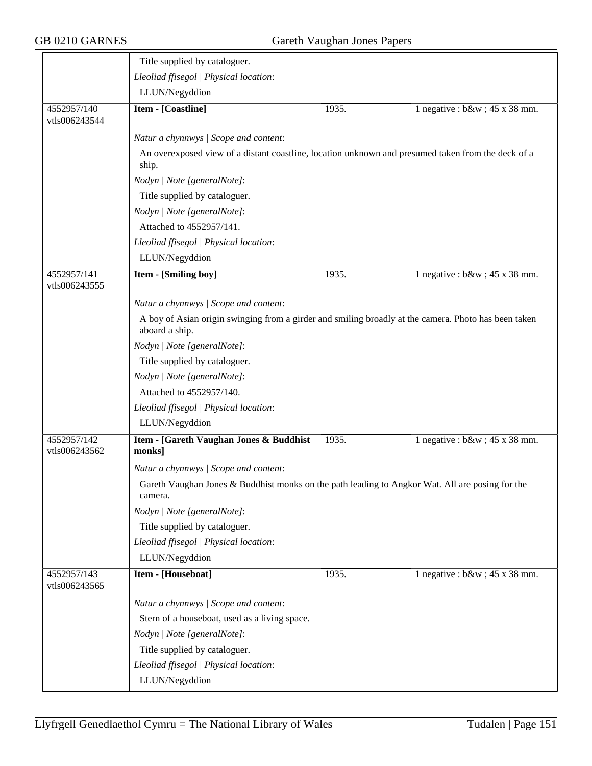|                              | Title supplied by cataloguer.                                                                                          |       |                                   |
|------------------------------|------------------------------------------------------------------------------------------------------------------------|-------|-----------------------------------|
|                              | Lleoliad ffisegol   Physical location:                                                                                 |       |                                   |
|                              | LLUN/Negyddion                                                                                                         |       |                                   |
| 4552957/140<br>vtls006243544 | <b>Item - [Coastline]</b>                                                                                              | 1935. | 1 negative : $b\&w$ ; 45 x 38 mm. |
|                              | Natur a chynnwys / Scope and content:                                                                                  |       |                                   |
|                              | An overexposed view of a distant coastline, location unknown and presumed taken from the deck of a<br>ship.            |       |                                   |
|                              | Nodyn   Note [generalNote]:                                                                                            |       |                                   |
|                              | Title supplied by cataloguer.                                                                                          |       |                                   |
|                              | Nodyn   Note [generalNote]:                                                                                            |       |                                   |
|                              | Attached to 4552957/141.                                                                                               |       |                                   |
|                              | Lleoliad ffisegol   Physical location:                                                                                 |       |                                   |
|                              | LLUN/Negyddion                                                                                                         |       |                                   |
| 4552957/141<br>vtls006243555 | <b>Item - [Smiling boy]</b>                                                                                            | 1935. | 1 negative : $b\&w$ ; 45 x 38 mm. |
|                              | Natur a chynnwys / Scope and content:                                                                                  |       |                                   |
|                              | A boy of Asian origin swinging from a girder and smiling broadly at the camera. Photo has been taken<br>aboard a ship. |       |                                   |
|                              | Nodyn   Note [generalNote]:                                                                                            |       |                                   |
|                              | Title supplied by cataloguer.                                                                                          |       |                                   |
|                              | Nodyn   Note [generalNote]:                                                                                            |       |                                   |
|                              | Attached to 4552957/140.                                                                                               |       |                                   |
|                              | Lleoliad ffisegol   Physical location:                                                                                 |       |                                   |
|                              | LLUN/Negyddion                                                                                                         |       |                                   |
| 4552957/142<br>vtls006243562 | Item - [Gareth Vaughan Jones & Buddhist<br>monks]                                                                      | 1935. | 1 negative : $b\&w$ ; 45 x 38 mm. |
|                              | Natur a chynnwys / Scope and content:                                                                                  |       |                                   |
|                              | Gareth Vaughan Jones & Buddhist monks on the path leading to Angkor Wat. All are posing for the<br>camera.             |       |                                   |
|                              | Nodyn   Note [generalNote]:                                                                                            |       |                                   |
|                              | Title supplied by cataloguer.                                                                                          |       |                                   |
|                              | Lleoliad ffisegol   Physical location:                                                                                 |       |                                   |
|                              | LLUN/Negyddion                                                                                                         |       |                                   |
| 4552957/143<br>vtls006243565 | <b>Item - [Houseboat]</b>                                                                                              | 1935. | 1 negative : $b\&w$ ; 45 x 38 mm. |
|                              | Natur a chynnwys / Scope and content:                                                                                  |       |                                   |
|                              | Stern of a houseboat, used as a living space.                                                                          |       |                                   |
|                              | Nodyn   Note [generalNote]:                                                                                            |       |                                   |
|                              | Title supplied by cataloguer.                                                                                          |       |                                   |
|                              | Lleoliad ffisegol   Physical location:                                                                                 |       |                                   |
|                              | LLUN/Negyddion                                                                                                         |       |                                   |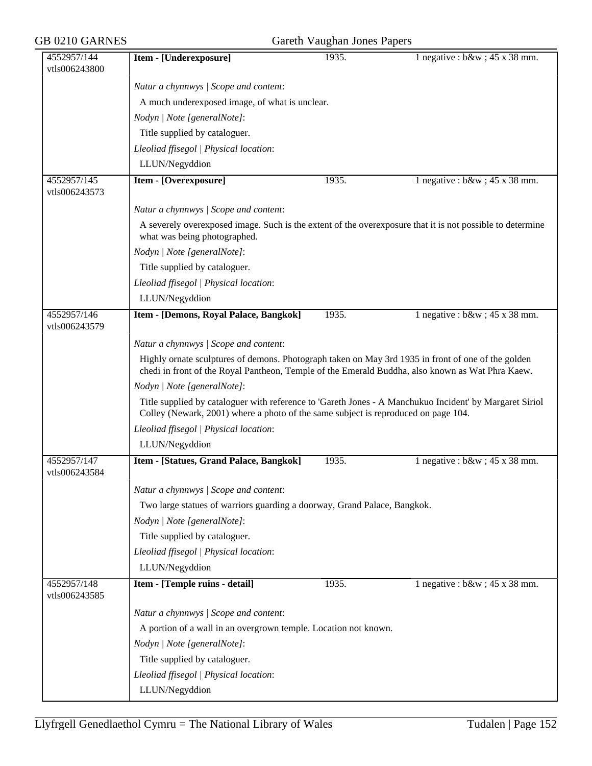| GB 0210 GARNES               | Gareth Vaughan Jones Papers                                                                                                                                                                            |       |                                   |  |
|------------------------------|--------------------------------------------------------------------------------------------------------------------------------------------------------------------------------------------------------|-------|-----------------------------------|--|
| 4552957/144<br>vtls006243800 | Item - [Underexposure]                                                                                                                                                                                 | 1935. | 1 negative : $b\&w$ ; 45 x 38 mm. |  |
|                              | Natur a chynnwys / Scope and content:                                                                                                                                                                  |       |                                   |  |
|                              | A much underexposed image, of what is unclear.                                                                                                                                                         |       |                                   |  |
|                              | Nodyn   Note [generalNote]:                                                                                                                                                                            |       |                                   |  |
|                              | Title supplied by cataloguer.                                                                                                                                                                          |       |                                   |  |
|                              | Lleoliad ffisegol   Physical location:                                                                                                                                                                 |       |                                   |  |
|                              | LLUN/Negyddion                                                                                                                                                                                         |       |                                   |  |
| 4552957/145                  | Item - [Overexposure]                                                                                                                                                                                  | 1935. | 1 negative : $b\&w$ ; 45 x 38 mm. |  |
| vtls006243573                |                                                                                                                                                                                                        |       |                                   |  |
|                              | Natur a chynnwys / Scope and content:                                                                                                                                                                  |       |                                   |  |
|                              | A severely overexposed image. Such is the extent of the overexposure that it is not possible to determine<br>what was being photographed.                                                              |       |                                   |  |
|                              | Nodyn   Note [generalNote]:                                                                                                                                                                            |       |                                   |  |
|                              | Title supplied by cataloguer.                                                                                                                                                                          |       |                                   |  |
|                              | Lleoliad ffisegol   Physical location:                                                                                                                                                                 |       |                                   |  |
|                              | LLUN/Negyddion                                                                                                                                                                                         |       |                                   |  |
| 4552957/146<br>vtls006243579 | Item - [Demons, Royal Palace, Bangkok]                                                                                                                                                                 | 1935. | 1 negative : $b\&w$ ; 45 x 38 mm. |  |
|                              | Natur a chynnwys / Scope and content:                                                                                                                                                                  |       |                                   |  |
|                              | Highly ornate sculptures of demons. Photograph taken on May 3rd 1935 in front of one of the golden<br>chedi in front of the Royal Pantheon, Temple of the Emerald Buddha, also known as Wat Phra Kaew. |       |                                   |  |
|                              | Nodyn   Note [generalNote]:                                                                                                                                                                            |       |                                   |  |
|                              | Title supplied by cataloguer with reference to 'Gareth Jones - A Manchukuo Incident' by Margaret Siriol<br>Colley (Newark, 2001) where a photo of the same subject is reproduced on page 104.          |       |                                   |  |
|                              | Lleoliad ffisegol   Physical location:                                                                                                                                                                 |       |                                   |  |
|                              | LLUN/Negyddion                                                                                                                                                                                         |       |                                   |  |
| 4552957/147<br>vtls006243584 | Item - [Statues, Grand Palace, Bangkok]                                                                                                                                                                | 1935. | 1 negative : $b\&w$ ; 45 x 38 mm. |  |
|                              | Natur a chynnwys / Scope and content:                                                                                                                                                                  |       |                                   |  |
|                              | Two large statues of warriors guarding a doorway, Grand Palace, Bangkok.                                                                                                                               |       |                                   |  |
|                              | Nodyn   Note [generalNote]:                                                                                                                                                                            |       |                                   |  |
|                              | Title supplied by cataloguer.                                                                                                                                                                          |       |                                   |  |
|                              | Lleoliad ffisegol   Physical location:                                                                                                                                                                 |       |                                   |  |
|                              | LLUN/Negyddion                                                                                                                                                                                         |       |                                   |  |
| 4552957/148<br>vtls006243585 | Item - [Temple ruins - detail]                                                                                                                                                                         | 1935. | 1 negative : $b\&w$ ; 45 x 38 mm. |  |
|                              | Natur a chynnwys / Scope and content:                                                                                                                                                                  |       |                                   |  |
|                              | A portion of a wall in an overgrown temple. Location not known.                                                                                                                                        |       |                                   |  |
|                              | Nodyn   Note [generalNote]:                                                                                                                                                                            |       |                                   |  |
|                              | Title supplied by cataloguer.                                                                                                                                                                          |       |                                   |  |
|                              | Lleoliad ffisegol   Physical location:                                                                                                                                                                 |       |                                   |  |
|                              | LLUN/Negyddion                                                                                                                                                                                         |       |                                   |  |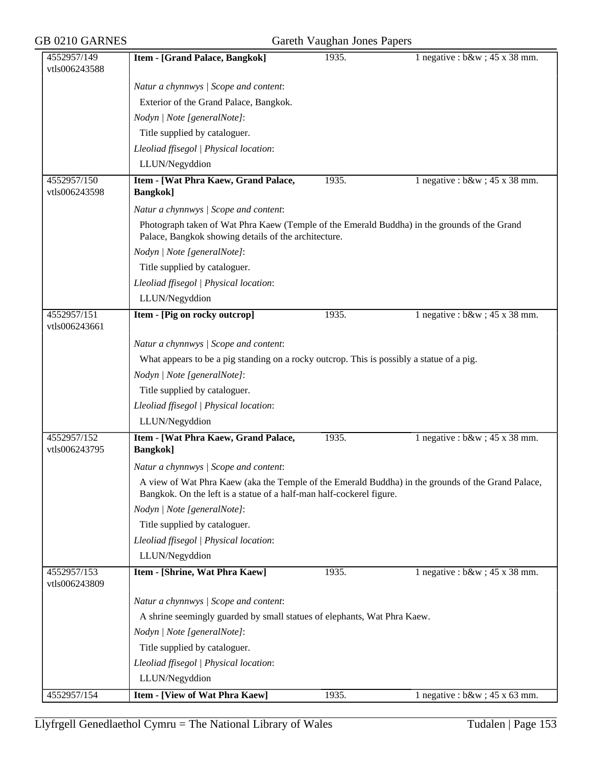| GB 0210 GARNES               | Gareth Vaughan Jones Papers                                                                                                                                                |       |                                   |  |  |
|------------------------------|----------------------------------------------------------------------------------------------------------------------------------------------------------------------------|-------|-----------------------------------|--|--|
| 4552957/149<br>vtls006243588 | Item - [Grand Palace, Bangkok]                                                                                                                                             | 1935. | 1 negative : $b\&w$ ; 45 x 38 mm. |  |  |
|                              | Natur a chynnwys / Scope and content:                                                                                                                                      |       |                                   |  |  |
|                              | Exterior of the Grand Palace, Bangkok.                                                                                                                                     |       |                                   |  |  |
|                              | Nodyn   Note [generalNote]:                                                                                                                                                |       |                                   |  |  |
|                              | Title supplied by cataloguer.                                                                                                                                              |       |                                   |  |  |
|                              | Lleoliad ffisegol   Physical location:                                                                                                                                     |       |                                   |  |  |
|                              | LLUN/Negyddion                                                                                                                                                             |       |                                   |  |  |
| 4552957/150                  | Item - [Wat Phra Kaew, Grand Palace,                                                                                                                                       | 1935. | 1 negative : $b\&w$ ; 45 x 38 mm. |  |  |
| vtls006243598                | <b>Bangkok</b> ]                                                                                                                                                           |       |                                   |  |  |
|                              | Natur a chynnwys / Scope and content:                                                                                                                                      |       |                                   |  |  |
|                              | Photograph taken of Wat Phra Kaew (Temple of the Emerald Buddha) in the grounds of the Grand<br>Palace, Bangkok showing details of the architecture.                       |       |                                   |  |  |
|                              | Nodyn   Note [generalNote]:                                                                                                                                                |       |                                   |  |  |
|                              | Title supplied by cataloguer.                                                                                                                                              |       |                                   |  |  |
|                              | Lleoliad ffisegol   Physical location:                                                                                                                                     |       |                                   |  |  |
|                              | LLUN/Negyddion                                                                                                                                                             |       |                                   |  |  |
| 4552957/151<br>vtls006243661 | Item - [Pig on rocky outcrop]                                                                                                                                              | 1935. | 1 negative : $b\&w$ ; 45 x 38 mm. |  |  |
|                              | Natur a chynnwys / Scope and content:                                                                                                                                      |       |                                   |  |  |
|                              | What appears to be a pig standing on a rocky outcrop. This is possibly a statue of a pig.                                                                                  |       |                                   |  |  |
|                              | Nodyn   Note [generalNote]:                                                                                                                                                |       |                                   |  |  |
|                              | Title supplied by cataloguer.                                                                                                                                              |       |                                   |  |  |
|                              | Lleoliad ffisegol   Physical location:                                                                                                                                     |       |                                   |  |  |
|                              | LLUN/Negyddion                                                                                                                                                             |       |                                   |  |  |
| 4552957/152<br>vtls006243795 | Item - [Wat Phra Kaew, Grand Palace,<br><b>Bangkok</b> ]                                                                                                                   | 1935. | 1 negative : $b\&w$ ; 45 x 38 mm. |  |  |
|                              | Natur a chynnwys / Scope and content:                                                                                                                                      |       |                                   |  |  |
|                              | A view of Wat Phra Kaew (aka the Temple of the Emerald Buddha) in the grounds of the Grand Palace,<br>Bangkok. On the left is a statue of a half-man half-cockerel figure. |       |                                   |  |  |
|                              | Nodyn   Note [generalNote]:                                                                                                                                                |       |                                   |  |  |
|                              | Title supplied by cataloguer.                                                                                                                                              |       |                                   |  |  |
|                              | Lleoliad ffisegol   Physical location:                                                                                                                                     |       |                                   |  |  |
|                              | LLUN/Negyddion                                                                                                                                                             |       |                                   |  |  |
| 4552957/153<br>vtls006243809 | Item - [Shrine, Wat Phra Kaew]                                                                                                                                             | 1935. | 1 negative : $b\&w$ ; 45 x 38 mm. |  |  |
|                              | Natur a chynnwys / Scope and content:                                                                                                                                      |       |                                   |  |  |
|                              | A shrine seemingly guarded by small statues of elephants, Wat Phra Kaew.                                                                                                   |       |                                   |  |  |
|                              | Nodyn   Note [generalNote]:                                                                                                                                                |       |                                   |  |  |
|                              | Title supplied by cataloguer.                                                                                                                                              |       |                                   |  |  |
|                              | Lleoliad ffisegol   Physical location:                                                                                                                                     |       |                                   |  |  |
|                              | LLUN/Negyddion                                                                                                                                                             |       |                                   |  |  |
| 4552957/154                  | <b>Item - [View of Wat Phra Kaew]</b>                                                                                                                                      | 1935. | 1 negative : $b\&w$ ; 45 x 63 mm. |  |  |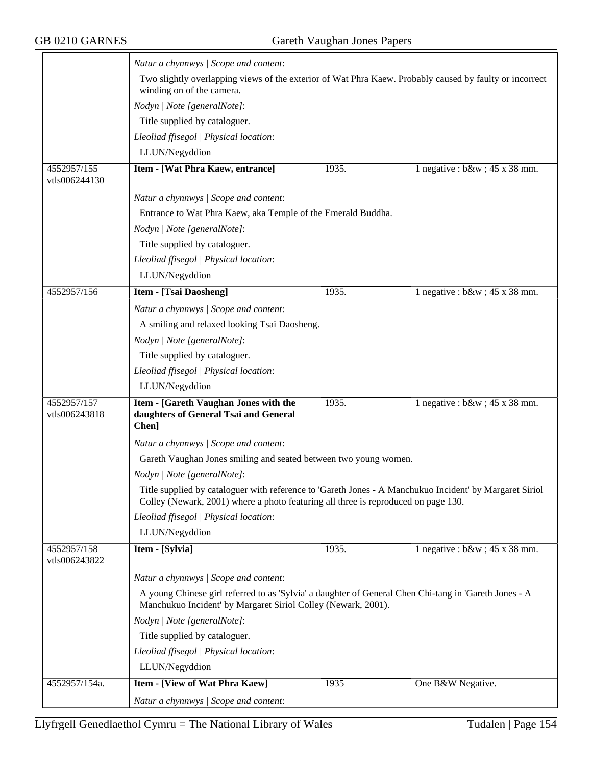|                              | Natur a chynnwys / Scope and content:                                                                                                                                                         |       |                                   |
|------------------------------|-----------------------------------------------------------------------------------------------------------------------------------------------------------------------------------------------|-------|-----------------------------------|
|                              | Two slightly overlapping views of the exterior of Wat Phra Kaew. Probably caused by faulty or incorrect<br>winding on of the camera.                                                          |       |                                   |
|                              | Nodyn   Note [generalNote]:                                                                                                                                                                   |       |                                   |
|                              | Title supplied by cataloguer.                                                                                                                                                                 |       |                                   |
|                              | Lleoliad ffisegol   Physical location:                                                                                                                                                        |       |                                   |
|                              | LLUN/Negyddion                                                                                                                                                                                |       |                                   |
| 4552957/155                  | Item - [Wat Phra Kaew, entrance]                                                                                                                                                              | 1935. | 1 negative : $b\&w$ ; 45 x 38 mm. |
| vtls006244130                |                                                                                                                                                                                               |       |                                   |
|                              | Natur a chynnwys / Scope and content:                                                                                                                                                         |       |                                   |
|                              | Entrance to Wat Phra Kaew, aka Temple of the Emerald Buddha.                                                                                                                                  |       |                                   |
|                              | Nodyn   Note [generalNote]:                                                                                                                                                                   |       |                                   |
|                              | Title supplied by cataloguer.                                                                                                                                                                 |       |                                   |
|                              | Lleoliad ffisegol   Physical location:                                                                                                                                                        |       |                                   |
|                              | LLUN/Negyddion                                                                                                                                                                                |       |                                   |
| 4552957/156                  | <b>Item - [Tsai Daosheng]</b>                                                                                                                                                                 | 1935. | 1 negative : $b\&w$ ; 45 x 38 mm. |
|                              | Natur a chynnwys / Scope and content:                                                                                                                                                         |       |                                   |
|                              | A smiling and relaxed looking Tsai Daosheng.                                                                                                                                                  |       |                                   |
|                              | Nodyn   Note [generalNote]:                                                                                                                                                                   |       |                                   |
|                              | Title supplied by cataloguer.                                                                                                                                                                 |       |                                   |
|                              | Lleoliad ffisegol   Physical location:                                                                                                                                                        |       |                                   |
|                              | LLUN/Negyddion                                                                                                                                                                                |       |                                   |
| 4552957/157                  | Item - [Gareth Vaughan Jones with the                                                                                                                                                         | 1935. | 1 negative : $b\&w$ ; 45 x 38 mm. |
| vtls006243818                | daughters of General Tsai and General<br>Chen]                                                                                                                                                |       |                                   |
|                              | Natur a chynnwys / Scope and content:                                                                                                                                                         |       |                                   |
|                              | Gareth Vaughan Jones smiling and seated between two young women.                                                                                                                              |       |                                   |
|                              | Nodyn   Note [generalNote]:                                                                                                                                                                   |       |                                   |
|                              | Title supplied by cataloguer with reference to 'Gareth Jones - A Manchukuo Incident' by Margaret Siriol<br>Colley (Newark, 2001) where a photo featuring all three is reproduced on page 130. |       |                                   |
|                              | Lleoliad ffisegol   Physical location:                                                                                                                                                        |       |                                   |
|                              | LLUN/Negyddion                                                                                                                                                                                |       |                                   |
| 4552957/158<br>vtls006243822 | Item - [Sylvia]                                                                                                                                                                               | 1935. | 1 negative : $b\&w$ ; 45 x 38 mm. |
|                              | Natur a chynnwys / Scope and content:                                                                                                                                                         |       |                                   |
|                              | A young Chinese girl referred to as 'Sylvia' a daughter of General Chen Chi-tang in 'Gareth Jones - A<br>Manchukuo Incident' by Margaret Siriol Colley (Newark, 2001).                        |       |                                   |
|                              | Nodyn   Note [generalNote]:                                                                                                                                                                   |       |                                   |
|                              | Title supplied by cataloguer.                                                                                                                                                                 |       |                                   |
|                              | Lleoliad ffisegol   Physical location:                                                                                                                                                        |       |                                   |
|                              | LLUN/Negyddion                                                                                                                                                                                |       |                                   |
| 4552957/154a.                | Item - [View of Wat Phra Kaew]                                                                                                                                                                | 1935  | One B&W Negative.                 |
|                              | Natur a chynnwys / Scope and content:                                                                                                                                                         |       |                                   |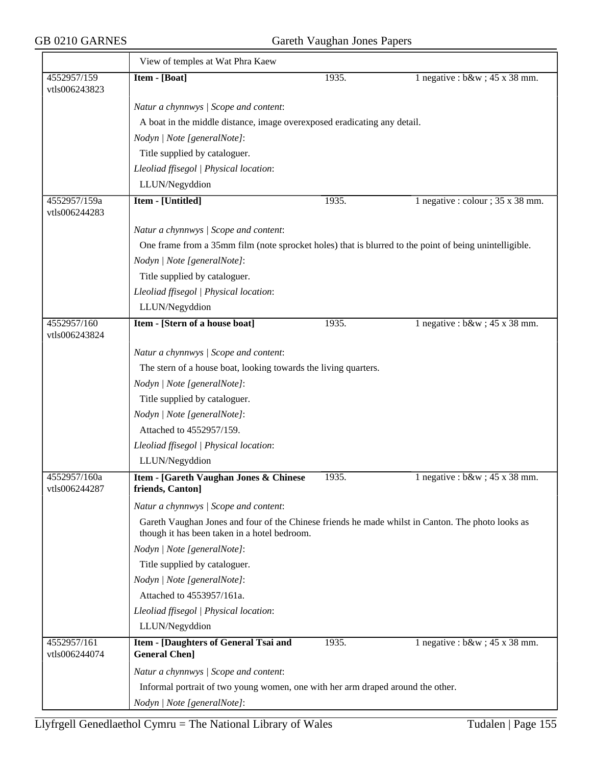|                               | View of temples at Wat Phra Kaew                                                                                                                  |       |                                          |  |  |
|-------------------------------|---------------------------------------------------------------------------------------------------------------------------------------------------|-------|------------------------------------------|--|--|
| 4552957/159<br>vtls006243823  | Item - [Boat]                                                                                                                                     | 1935. | 1 negative : $b\&w$ ; 45 x 38 mm.        |  |  |
|                               | Natur a chynnwys / Scope and content:                                                                                                             |       |                                          |  |  |
|                               | A boat in the middle distance, image overexposed eradicating any detail.                                                                          |       |                                          |  |  |
|                               | Nodyn   Note [generalNote]:                                                                                                                       |       |                                          |  |  |
|                               | Title supplied by cataloguer.                                                                                                                     |       |                                          |  |  |
|                               | Lleoliad ffisegol   Physical location:                                                                                                            |       |                                          |  |  |
|                               | LLUN/Negyddion                                                                                                                                    |       |                                          |  |  |
| 4552957/159a<br>vtls006244283 | Item - [Untitled]                                                                                                                                 | 1935. | 1 negative : colour ; $35 \times 38$ mm. |  |  |
|                               | Natur a chynnwys / Scope and content:                                                                                                             |       |                                          |  |  |
|                               | One frame from a 35mm film (note sprocket holes) that is blurred to the point of being unintelligible.                                            |       |                                          |  |  |
|                               | Nodyn   Note [generalNote]:                                                                                                                       |       |                                          |  |  |
|                               | Title supplied by cataloguer.                                                                                                                     |       |                                          |  |  |
|                               | Lleoliad ffisegol   Physical location:                                                                                                            |       |                                          |  |  |
|                               | LLUN/Negyddion                                                                                                                                    |       |                                          |  |  |
| 4552957/160<br>vtls006243824  | Item - [Stern of a house boat]                                                                                                                    | 1935. | 1 negative : $b\&w$ ; 45 x 38 mm.        |  |  |
|                               | Natur a chynnwys / Scope and content:                                                                                                             |       |                                          |  |  |
|                               | The stern of a house boat, looking towards the living quarters.                                                                                   |       |                                          |  |  |
|                               | Nodyn   Note [generalNote]:                                                                                                                       |       |                                          |  |  |
|                               | Title supplied by cataloguer.                                                                                                                     |       |                                          |  |  |
|                               | Nodyn   Note [generalNote]:                                                                                                                       |       |                                          |  |  |
|                               | Attached to 4552957/159.                                                                                                                          |       |                                          |  |  |
|                               | Lleoliad ffisegol   Physical location:                                                                                                            |       |                                          |  |  |
|                               | LLUN/Negyddion                                                                                                                                    |       |                                          |  |  |
| 4552957/160a<br>vtls006244287 | Item - [Gareth Vaughan Jones & Chinese<br>friends, Canton]                                                                                        | 1935. | 1 negative : $b\&w$ ; 45 x 38 mm.        |  |  |
|                               | Natur a chynnwys / Scope and content:                                                                                                             |       |                                          |  |  |
|                               | Gareth Vaughan Jones and four of the Chinese friends he made whilst in Canton. The photo looks as<br>though it has been taken in a hotel bedroom. |       |                                          |  |  |
|                               | Nodyn   Note [generalNote]:                                                                                                                       |       |                                          |  |  |
|                               | Title supplied by cataloguer.                                                                                                                     |       |                                          |  |  |
|                               | Nodyn   Note [generalNote]:                                                                                                                       |       |                                          |  |  |
|                               | Attached to 4553957/161a.                                                                                                                         |       |                                          |  |  |
|                               | Lleoliad ffisegol   Physical location:                                                                                                            |       |                                          |  |  |
|                               | LLUN/Negyddion                                                                                                                                    |       |                                          |  |  |
| 4552957/161<br>vtls006244074  | Item - [Daughters of General Tsai and<br><b>General Chen]</b>                                                                                     | 1935. | 1 negative : $b\&w$ ; 45 x 38 mm.        |  |  |
|                               | Natur a chynnwys / Scope and content:                                                                                                             |       |                                          |  |  |
|                               | Informal portrait of two young women, one with her arm draped around the other.                                                                   |       |                                          |  |  |
|                               | Nodyn   Note [generalNote]:                                                                                                                       |       |                                          |  |  |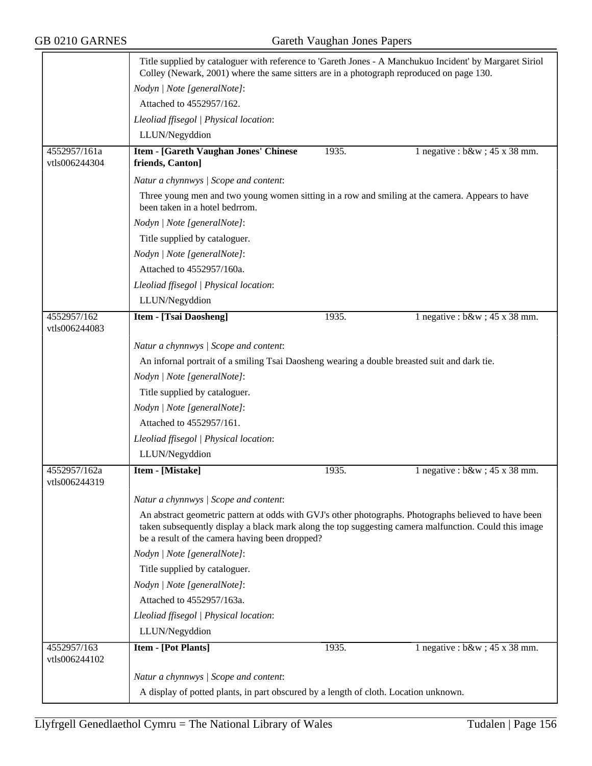|                               | Title supplied by cataloguer with reference to 'Gareth Jones - A Manchukuo Incident' by Margaret Siriol<br>Colley (Newark, 2001) where the same sitters are in a photograph reproduced on page 130.                                                              |       |                                   |  |
|-------------------------------|------------------------------------------------------------------------------------------------------------------------------------------------------------------------------------------------------------------------------------------------------------------|-------|-----------------------------------|--|
|                               | Nodyn   Note [generalNote]:                                                                                                                                                                                                                                      |       |                                   |  |
|                               | Attached to 4552957/162.                                                                                                                                                                                                                                         |       |                                   |  |
|                               | Lleoliad ffisegol   Physical location:                                                                                                                                                                                                                           |       |                                   |  |
|                               | LLUN/Negyddion                                                                                                                                                                                                                                                   |       |                                   |  |
| 4552957/161a                  | <b>Item - [Gareth Vaughan Jones' Chinese</b>                                                                                                                                                                                                                     | 1935. | 1 negative : $b\&w$ ; 45 x 38 mm. |  |
| vtls006244304                 | friends, Canton]                                                                                                                                                                                                                                                 |       |                                   |  |
|                               | Natur a chynnwys / Scope and content:                                                                                                                                                                                                                            |       |                                   |  |
|                               | Three young men and two young women sitting in a row and smiling at the camera. Appears to have<br>been taken in a hotel bedrrom.                                                                                                                                |       |                                   |  |
|                               | Nodyn   Note [generalNote]:                                                                                                                                                                                                                                      |       |                                   |  |
|                               | Title supplied by cataloguer.                                                                                                                                                                                                                                    |       |                                   |  |
|                               | Nodyn   Note [generalNote]:                                                                                                                                                                                                                                      |       |                                   |  |
|                               | Attached to 4552957/160a.                                                                                                                                                                                                                                        |       |                                   |  |
|                               | Lleoliad ffisegol   Physical location:                                                                                                                                                                                                                           |       |                                   |  |
|                               | LLUN/Negyddion                                                                                                                                                                                                                                                   |       |                                   |  |
| 4552957/162                   | <b>Item - [Tsai Daosheng]</b>                                                                                                                                                                                                                                    | 1935. | 1 negative : $b\&w$ ; 45 x 38 mm. |  |
| vtls006244083                 |                                                                                                                                                                                                                                                                  |       |                                   |  |
|                               | Natur a chynnwys / Scope and content:                                                                                                                                                                                                                            |       |                                   |  |
|                               | An infornal portrait of a smiling Tsai Daosheng wearing a double breasted suit and dark tie.                                                                                                                                                                     |       |                                   |  |
|                               | Nodyn   Note [generalNote]:                                                                                                                                                                                                                                      |       |                                   |  |
|                               | Title supplied by cataloguer.                                                                                                                                                                                                                                    |       |                                   |  |
|                               | Nodyn   Note [generalNote]:                                                                                                                                                                                                                                      |       |                                   |  |
|                               | Attached to 4552957/161.                                                                                                                                                                                                                                         |       |                                   |  |
|                               | Lleoliad ffisegol   Physical location:                                                                                                                                                                                                                           |       |                                   |  |
|                               | LLUN/Negyddion                                                                                                                                                                                                                                                   |       |                                   |  |
| 4552957/162a<br>vtls006244319 | <b>Item - [Mistake]</b>                                                                                                                                                                                                                                          | 1935. | 1 negative : $b\&w$ ; 45 x 38 mm. |  |
|                               | Natur a chynnwys / Scope and content:                                                                                                                                                                                                                            |       |                                   |  |
|                               | An abstract geometric pattern at odds with GVJ's other photographs. Photographs believed to have been<br>taken subsequently display a black mark along the top suggesting camera malfunction. Could this image<br>be a result of the camera having been dropped? |       |                                   |  |
|                               | Nodyn   Note [generalNote]:                                                                                                                                                                                                                                      |       |                                   |  |
|                               | Title supplied by cataloguer.                                                                                                                                                                                                                                    |       |                                   |  |
|                               | Nodyn   Note [generalNote]:                                                                                                                                                                                                                                      |       |                                   |  |
|                               | Attached to 4552957/163a.                                                                                                                                                                                                                                        |       |                                   |  |
|                               | Lleoliad ffisegol   Physical location:                                                                                                                                                                                                                           |       |                                   |  |
|                               | LLUN/Negyddion                                                                                                                                                                                                                                                   |       |                                   |  |
| 4552957/163<br>vtls006244102  | <b>Item - [Pot Plants]</b>                                                                                                                                                                                                                                       | 1935. | 1 negative : $b\&w$ ; 45 x 38 mm. |  |
|                               | Natur a chynnwys / Scope and content:                                                                                                                                                                                                                            |       |                                   |  |
|                               | A display of potted plants, in part obscured by a length of cloth. Location unknown.                                                                                                                                                                             |       |                                   |  |
|                               |                                                                                                                                                                                                                                                                  |       |                                   |  |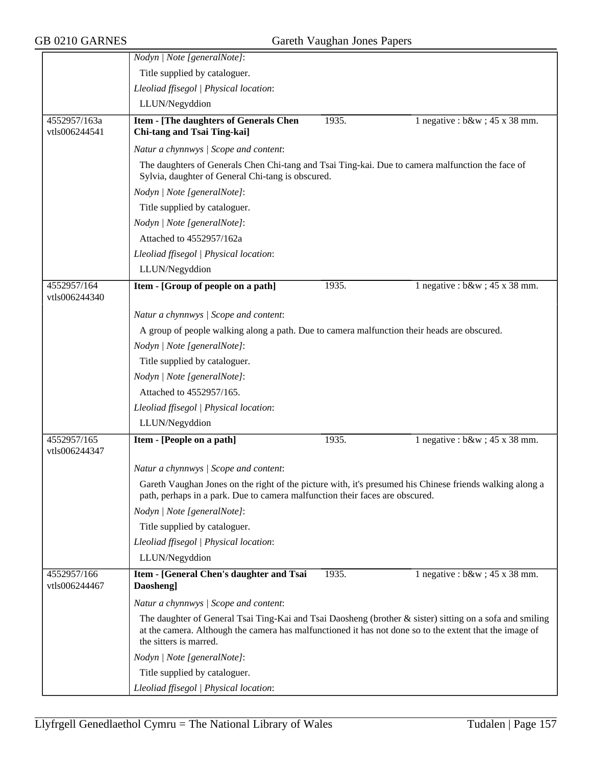|                               | Nodyn   Note [generalNote]:                                                                                                                                                                                                                   |       |                                   |
|-------------------------------|-----------------------------------------------------------------------------------------------------------------------------------------------------------------------------------------------------------------------------------------------|-------|-----------------------------------|
|                               | Title supplied by cataloguer.                                                                                                                                                                                                                 |       |                                   |
|                               | Lleoliad ffisegol   Physical location:                                                                                                                                                                                                        |       |                                   |
|                               | LLUN/Negyddion                                                                                                                                                                                                                                |       |                                   |
| 4552957/163a<br>vtls006244541 | Item - [The daughters of Generals Chen<br>Chi-tang and Tsai Ting-kai]                                                                                                                                                                         | 1935. | 1 negative : $b\&w$ ; 45 x 38 mm. |
|                               | Natur a chynnwys / Scope and content:                                                                                                                                                                                                         |       |                                   |
|                               | The daughters of Generals Chen Chi-tang and Tsai Ting-kai. Due to camera malfunction the face of<br>Sylvia, daughter of General Chi-tang is obscured.                                                                                         |       |                                   |
|                               | Nodyn   Note [generalNote]:                                                                                                                                                                                                                   |       |                                   |
|                               | Title supplied by cataloguer.                                                                                                                                                                                                                 |       |                                   |
|                               | Nodyn   Note [generalNote]:                                                                                                                                                                                                                   |       |                                   |
|                               | Attached to 4552957/162a                                                                                                                                                                                                                      |       |                                   |
|                               | Lleoliad ffisegol   Physical location:                                                                                                                                                                                                        |       |                                   |
|                               | LLUN/Negyddion                                                                                                                                                                                                                                |       |                                   |
| 4552957/164<br>vtls006244340  | Item - [Group of people on a path]                                                                                                                                                                                                            | 1935. | 1 negative : $b\&w$ ; 45 x 38 mm. |
|                               | Natur a chynnwys / Scope and content:                                                                                                                                                                                                         |       |                                   |
|                               | A group of people walking along a path. Due to camera malfunction their heads are obscured.                                                                                                                                                   |       |                                   |
|                               | Nodyn   Note [generalNote]:                                                                                                                                                                                                                   |       |                                   |
|                               | Title supplied by cataloguer.                                                                                                                                                                                                                 |       |                                   |
|                               | Nodyn   Note [generalNote]:                                                                                                                                                                                                                   |       |                                   |
|                               | Attached to 4552957/165.                                                                                                                                                                                                                      |       |                                   |
|                               | Lleoliad ffisegol   Physical location:                                                                                                                                                                                                        |       |                                   |
|                               | LLUN/Negyddion                                                                                                                                                                                                                                |       |                                   |
| 4552957/165<br>vtls006244347  | Item - [People on a path]                                                                                                                                                                                                                     | 1935. | 1 negative : $b\&w$ ; 45 x 38 mm. |
|                               | Natur a chynnwys / Scope and content:                                                                                                                                                                                                         |       |                                   |
|                               | Gareth Vaughan Jones on the right of the picture with, it's presumed his Chinese friends walking along a<br>path, perhaps in a park. Due to camera malfunction their faces are obscured.                                                      |       |                                   |
|                               | Nodyn   Note [generalNote]:                                                                                                                                                                                                                   |       |                                   |
|                               | Title supplied by cataloguer.                                                                                                                                                                                                                 |       |                                   |
|                               | Lleoliad ffisegol   Physical location:                                                                                                                                                                                                        |       |                                   |
|                               | LLUN/Negyddion                                                                                                                                                                                                                                |       |                                   |
| 4552957/166<br>vtls006244467  | Item - [General Chen's daughter and Tsai<br>Daosheng]                                                                                                                                                                                         | 1935. | 1 negative : $b\&w$ ; 45 x 38 mm. |
|                               | Natur a chynnwys / Scope and content:                                                                                                                                                                                                         |       |                                   |
|                               | The daughter of General Tsai Ting-Kai and Tsai Daosheng (brother & sister) sitting on a sofa and smiling<br>at the camera. Although the camera has malfunctioned it has not done so to the extent that the image of<br>the sitters is marred. |       |                                   |
|                               | Nodyn   Note [generalNote]:                                                                                                                                                                                                                   |       |                                   |
|                               | Title supplied by cataloguer.                                                                                                                                                                                                                 |       |                                   |
|                               | Lleoliad ffisegol   Physical location:                                                                                                                                                                                                        |       |                                   |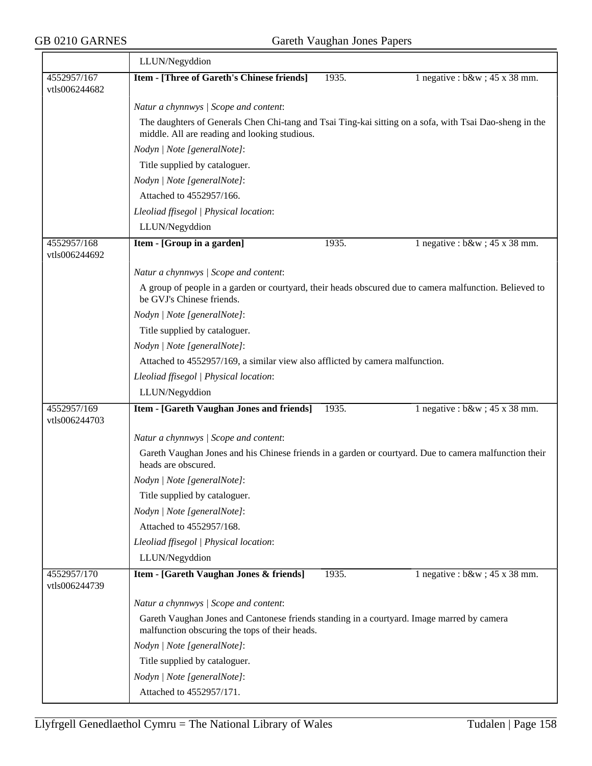|                              | LLUN/Negyddion                                                                                                                                           |       |                                   |  |  |  |
|------------------------------|----------------------------------------------------------------------------------------------------------------------------------------------------------|-------|-----------------------------------|--|--|--|
| 4552957/167<br>vtls006244682 | Item - [Three of Gareth's Chinese friends]                                                                                                               | 1935. | 1 negative : $b\&w$ ; 45 x 38 mm. |  |  |  |
|                              | Natur a chynnwys / Scope and content:                                                                                                                    |       |                                   |  |  |  |
|                              | The daughters of Generals Chen Chi-tang and Tsai Ting-kai sitting on a sofa, with Tsai Dao-sheng in the<br>middle. All are reading and looking studious. |       |                                   |  |  |  |
|                              | Nodyn   Note [generalNote]:                                                                                                                              |       |                                   |  |  |  |
|                              | Title supplied by cataloguer.                                                                                                                            |       |                                   |  |  |  |
|                              | Nodyn   Note [generalNote]:                                                                                                                              |       |                                   |  |  |  |
|                              | Attached to 4552957/166.                                                                                                                                 |       |                                   |  |  |  |
|                              | Lleoliad ffisegol   Physical location:                                                                                                                   |       |                                   |  |  |  |
|                              | LLUN/Negyddion                                                                                                                                           |       |                                   |  |  |  |
| 4552957/168<br>vtls006244692 | Item - [Group in a garden]                                                                                                                               | 1935. | 1 negative : $b\&w$ ; 45 x 38 mm. |  |  |  |
|                              | Natur a chynnwys / Scope and content:                                                                                                                    |       |                                   |  |  |  |
|                              | A group of people in a garden or courtyard, their heads obscured due to camera malfunction. Believed to<br>be GVJ's Chinese friends.                     |       |                                   |  |  |  |
|                              | Nodyn   Note [generalNote]:                                                                                                                              |       |                                   |  |  |  |
|                              | Title supplied by cataloguer.                                                                                                                            |       |                                   |  |  |  |
|                              | Nodyn   Note [generalNote]:                                                                                                                              |       |                                   |  |  |  |
|                              | Attached to 4552957/169, a similar view also afflicted by camera malfunction.                                                                            |       |                                   |  |  |  |
|                              | Lleoliad ffisegol   Physical location:                                                                                                                   |       |                                   |  |  |  |
|                              | LLUN/Negyddion                                                                                                                                           |       |                                   |  |  |  |
| 4552957/169<br>vtls006244703 | Item - [Gareth Vaughan Jones and friends]                                                                                                                | 1935. | 1 negative : $b\&w$ ; 45 x 38 mm. |  |  |  |
|                              | Natur a chynnwys / Scope and content:                                                                                                                    |       |                                   |  |  |  |
|                              | Gareth Vaughan Jones and his Chinese friends in a garden or courtyard. Due to camera malfunction their<br>heads are obscured.                            |       |                                   |  |  |  |
|                              | Nodyn   Note [generalNote]:                                                                                                                              |       |                                   |  |  |  |
|                              | Title supplied by cataloguer.                                                                                                                            |       |                                   |  |  |  |
|                              | Nodyn   Note [generalNote]:                                                                                                                              |       |                                   |  |  |  |
|                              | Attached to 4552957/168.                                                                                                                                 |       |                                   |  |  |  |
|                              | Lleoliad ffisegol   Physical location:                                                                                                                   |       |                                   |  |  |  |
|                              | LLUN/Negyddion                                                                                                                                           |       |                                   |  |  |  |
| 4552957/170<br>vtls006244739 | Item - [Gareth Vaughan Jones & friends]                                                                                                                  | 1935. | 1 negative : $b\&w$ ; 45 x 38 mm. |  |  |  |
|                              | Natur a chynnwys / Scope and content:                                                                                                                    |       |                                   |  |  |  |
|                              | Gareth Vaughan Jones and Cantonese friends standing in a courtyard. Image marred by camera<br>malfunction obscuring the tops of their heads.             |       |                                   |  |  |  |
|                              | Nodyn   Note [generalNote]:                                                                                                                              |       |                                   |  |  |  |
|                              | Title supplied by cataloguer.                                                                                                                            |       |                                   |  |  |  |
|                              | Nodyn   Note [generalNote]:                                                                                                                              |       |                                   |  |  |  |
|                              | Attached to 4552957/171.                                                                                                                                 |       |                                   |  |  |  |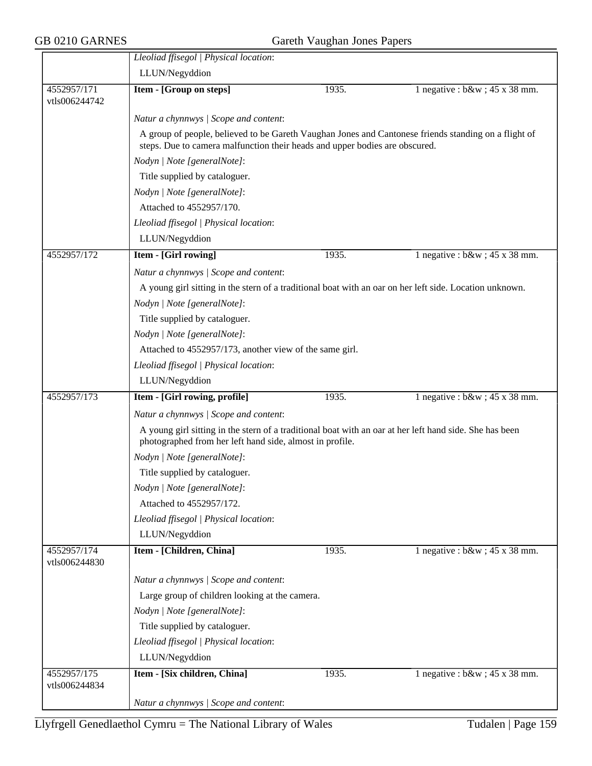|                              | Lleoliad ffisegol   Physical location:                                                                                                                                              |       |                                   |  |  |
|------------------------------|-------------------------------------------------------------------------------------------------------------------------------------------------------------------------------------|-------|-----------------------------------|--|--|
|                              | LLUN/Negyddion                                                                                                                                                                      |       |                                   |  |  |
| 4552957/171<br>vtls006244742 | Item - [Group on steps]                                                                                                                                                             | 1935. | 1 negative : $b\&w$ ; 45 x 38 mm. |  |  |
|                              | Natur a chynnwys / Scope and content:                                                                                                                                               |       |                                   |  |  |
|                              | A group of people, believed to be Gareth Vaughan Jones and Cantonese friends standing on a flight of<br>steps. Due to camera malfunction their heads and upper bodies are obscured. |       |                                   |  |  |
|                              | Nodyn   Note [generalNote]:                                                                                                                                                         |       |                                   |  |  |
|                              | Title supplied by cataloguer.                                                                                                                                                       |       |                                   |  |  |
|                              | Nodyn   Note [generalNote]:                                                                                                                                                         |       |                                   |  |  |
|                              | Attached to 4552957/170.                                                                                                                                                            |       |                                   |  |  |
|                              | Lleoliad ffisegol   Physical location:                                                                                                                                              |       |                                   |  |  |
|                              | LLUN/Negyddion                                                                                                                                                                      |       |                                   |  |  |
| 4552957/172                  | Item - [Girl rowing]                                                                                                                                                                | 1935. | 1 negative : $b\&w$ ; 45 x 38 mm. |  |  |
|                              | Natur a chynnwys / Scope and content:                                                                                                                                               |       |                                   |  |  |
|                              | A young girl sitting in the stern of a traditional boat with an oar on her left side. Location unknown.                                                                             |       |                                   |  |  |
|                              | Nodyn   Note [generalNote]:                                                                                                                                                         |       |                                   |  |  |
|                              | Title supplied by cataloguer.                                                                                                                                                       |       |                                   |  |  |
|                              | Nodyn   Note [generalNote]:                                                                                                                                                         |       |                                   |  |  |
|                              | Attached to 4552957/173, another view of the same girl.                                                                                                                             |       |                                   |  |  |
|                              | Lleoliad ffisegol   Physical location:                                                                                                                                              |       |                                   |  |  |
|                              | LLUN/Negyddion                                                                                                                                                                      |       |                                   |  |  |
| 4552957/173                  | Item - [Girl rowing, profile]                                                                                                                                                       | 1935. | 1 negative : $b\&w$ ; 45 x 38 mm. |  |  |
|                              | Natur a chynnwys / Scope and content:                                                                                                                                               |       |                                   |  |  |
|                              | A young girl sitting in the stern of a traditional boat with an oar at her left hand side. She has been<br>photographed from her left hand side, almost in profile.                 |       |                                   |  |  |
|                              | Nodyn   Note [generalNote]:                                                                                                                                                         |       |                                   |  |  |
|                              | Title supplied by cataloguer.                                                                                                                                                       |       |                                   |  |  |
|                              | Nodyn   Note [generalNote]:                                                                                                                                                         |       |                                   |  |  |
|                              | Attached to 4552957/172.                                                                                                                                                            |       |                                   |  |  |
|                              | Lleoliad ffisegol   Physical location:                                                                                                                                              |       |                                   |  |  |
|                              | LLUN/Negyddion                                                                                                                                                                      |       |                                   |  |  |
| 4552957/174<br>vtls006244830 | Item - [Children, China]                                                                                                                                                            | 1935. | 1 negative : $b\&w$ ; 45 x 38 mm. |  |  |
|                              | Natur a chynnwys / Scope and content:                                                                                                                                               |       |                                   |  |  |
|                              | Large group of children looking at the camera.                                                                                                                                      |       |                                   |  |  |
|                              | Nodyn   Note [generalNote]:                                                                                                                                                         |       |                                   |  |  |
|                              | Title supplied by cataloguer.                                                                                                                                                       |       |                                   |  |  |
|                              | Lleoliad ffisegol   Physical location:                                                                                                                                              |       |                                   |  |  |
|                              | LLUN/Negyddion                                                                                                                                                                      |       |                                   |  |  |
| 4552957/175<br>vtls006244834 | Item - [Six children, China]                                                                                                                                                        | 1935. | 1 negative : $b\&w$ ; 45 x 38 mm. |  |  |
|                              | Natur a chynnwys / Scope and content:                                                                                                                                               |       |                                   |  |  |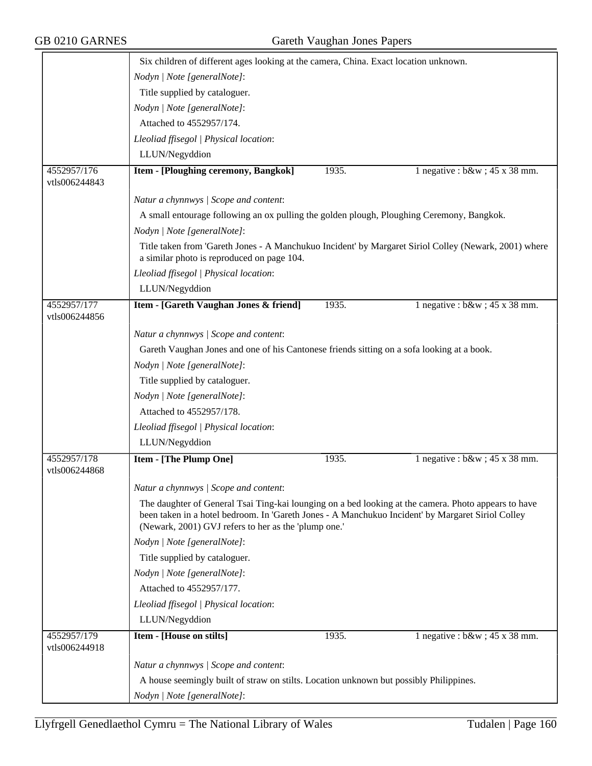|                              | Six children of different ages looking at the camera, China. Exact location unknown.                                                                                                                                                                                                             |       |                                   |  |  |
|------------------------------|--------------------------------------------------------------------------------------------------------------------------------------------------------------------------------------------------------------------------------------------------------------------------------------------------|-------|-----------------------------------|--|--|
|                              | Nodyn   Note [generalNote]:                                                                                                                                                                                                                                                                      |       |                                   |  |  |
|                              | Title supplied by cataloguer.                                                                                                                                                                                                                                                                    |       |                                   |  |  |
|                              | Nodyn   Note [generalNote]:                                                                                                                                                                                                                                                                      |       |                                   |  |  |
|                              | Attached to 4552957/174.                                                                                                                                                                                                                                                                         |       |                                   |  |  |
|                              | Lleoliad ffisegol   Physical location:                                                                                                                                                                                                                                                           |       |                                   |  |  |
|                              | LLUN/Negyddion                                                                                                                                                                                                                                                                                   |       |                                   |  |  |
| 4552957/176<br>vtls006244843 | Item - [Ploughing ceremony, Bangkok]                                                                                                                                                                                                                                                             | 1935. | 1 negative : $b\&w$ ; 45 x 38 mm. |  |  |
|                              | Natur a chynnwys / Scope and content:                                                                                                                                                                                                                                                            |       |                                   |  |  |
|                              | A small entourage following an ox pulling the golden plough, Ploughing Ceremony, Bangkok.                                                                                                                                                                                                        |       |                                   |  |  |
|                              | Nodyn   Note [generalNote]:                                                                                                                                                                                                                                                                      |       |                                   |  |  |
|                              | Title taken from 'Gareth Jones - A Manchukuo Incident' by Margaret Siriol Colley (Newark, 2001) where<br>a similar photo is reproduced on page 104.                                                                                                                                              |       |                                   |  |  |
|                              | Lleoliad ffisegol   Physical location:                                                                                                                                                                                                                                                           |       |                                   |  |  |
|                              | LLUN/Negyddion                                                                                                                                                                                                                                                                                   |       |                                   |  |  |
| 4552957/177<br>vtls006244856 | Item - [Gareth Vaughan Jones & friend]                                                                                                                                                                                                                                                           | 1935. | 1 negative : $b\&w$ ; 45 x 38 mm. |  |  |
|                              | Natur a chynnwys / Scope and content:                                                                                                                                                                                                                                                            |       |                                   |  |  |
|                              | Gareth Vaughan Jones and one of his Cantonese friends sitting on a sofa looking at a book.                                                                                                                                                                                                       |       |                                   |  |  |
|                              | Nodyn   Note [generalNote]:                                                                                                                                                                                                                                                                      |       |                                   |  |  |
|                              | Title supplied by cataloguer.                                                                                                                                                                                                                                                                    |       |                                   |  |  |
|                              | Nodyn   Note [generalNote]:                                                                                                                                                                                                                                                                      |       |                                   |  |  |
|                              | Attached to 4552957/178.                                                                                                                                                                                                                                                                         |       |                                   |  |  |
|                              | Lleoliad ffisegol   Physical location:                                                                                                                                                                                                                                                           |       |                                   |  |  |
|                              | LLUN/Negyddion                                                                                                                                                                                                                                                                                   |       |                                   |  |  |
| 4552957/178<br>vtls006244868 | Item - [The Plump One]                                                                                                                                                                                                                                                                           | 1935. | 1 negative : $b\&w$ ; 45 x 38 mm. |  |  |
|                              | Natur a chynnwys / Scope and content:                                                                                                                                                                                                                                                            |       |                                   |  |  |
|                              | The daughter of General Tsai Ting-kai lounging on a bed looking at the camera. Photo appears to have<br>been taken in a hotel bedroom. In 'Gareth Jones - A Manchukuo Incident' by Margaret Siriol Colley<br>(Newark, 2001) GVJ refers to her as the 'plump one.'<br>Nodyn   Note [generalNote]: |       |                                   |  |  |
|                              |                                                                                                                                                                                                                                                                                                  |       |                                   |  |  |
|                              | Title supplied by cataloguer.                                                                                                                                                                                                                                                                    |       |                                   |  |  |
|                              | Nodyn   Note [generalNote]:                                                                                                                                                                                                                                                                      |       |                                   |  |  |
|                              | Attached to 4552957/177.                                                                                                                                                                                                                                                                         |       |                                   |  |  |
|                              | Lleoliad ffisegol   Physical location:                                                                                                                                                                                                                                                           |       |                                   |  |  |
|                              | LLUN/Negyddion                                                                                                                                                                                                                                                                                   |       |                                   |  |  |
| 4552957/179<br>vtls006244918 | Item - [House on stilts]                                                                                                                                                                                                                                                                         | 1935. | 1 negative : $b\&w$ ; 45 x 38 mm. |  |  |
|                              | Natur a chynnwys / Scope and content:                                                                                                                                                                                                                                                            |       |                                   |  |  |
|                              | A house seemingly built of straw on stilts. Location unknown but possibly Philippines.                                                                                                                                                                                                           |       |                                   |  |  |
|                              | Nodyn   Note [generalNote]:                                                                                                                                                                                                                                                                      |       |                                   |  |  |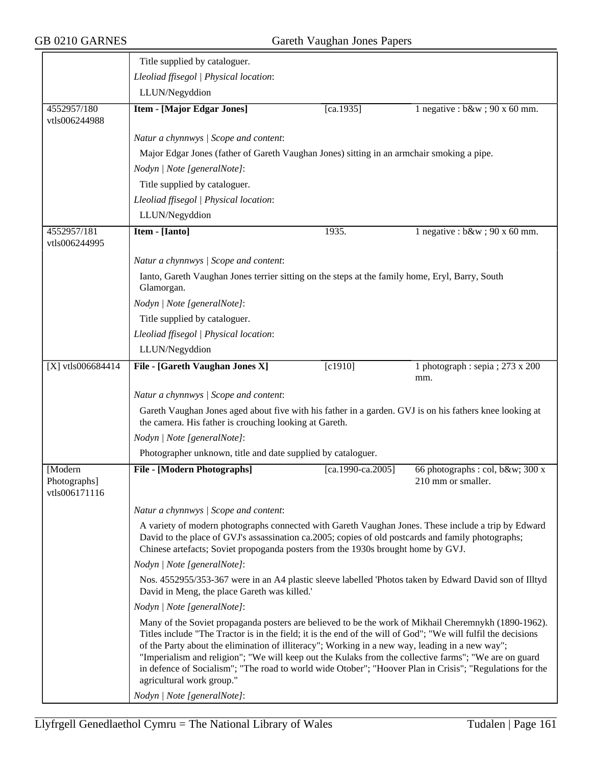|                                                                                                                                                        | Title supplied by cataloguer.                                                                                                                                                                                                                                                                                                                                                                                                                                                                                                                                              |                     |                                                       |  |
|--------------------------------------------------------------------------------------------------------------------------------------------------------|----------------------------------------------------------------------------------------------------------------------------------------------------------------------------------------------------------------------------------------------------------------------------------------------------------------------------------------------------------------------------------------------------------------------------------------------------------------------------------------------------------------------------------------------------------------------------|---------------------|-------------------------------------------------------|--|
|                                                                                                                                                        | Lleoliad ffisegol   Physical location:                                                                                                                                                                                                                                                                                                                                                                                                                                                                                                                                     |                     |                                                       |  |
|                                                                                                                                                        | LLUN/Negyddion                                                                                                                                                                                                                                                                                                                                                                                                                                                                                                                                                             |                     |                                                       |  |
| 4552957/180<br>vtls006244988                                                                                                                           | <b>Item - [Major Edgar Jones]</b>                                                                                                                                                                                                                                                                                                                                                                                                                                                                                                                                          | $[ca.1935]$         | 1 negative : $b\&w$ ; 90 x 60 mm.                     |  |
|                                                                                                                                                        | Natur a chynnwys / Scope and content:                                                                                                                                                                                                                                                                                                                                                                                                                                                                                                                                      |                     |                                                       |  |
|                                                                                                                                                        | Major Edgar Jones (father of Gareth Vaughan Jones) sitting in an armchair smoking a pipe.                                                                                                                                                                                                                                                                                                                                                                                                                                                                                  |                     |                                                       |  |
|                                                                                                                                                        | Nodyn   Note [generalNote]:                                                                                                                                                                                                                                                                                                                                                                                                                                                                                                                                                |                     |                                                       |  |
|                                                                                                                                                        | Title supplied by cataloguer.                                                                                                                                                                                                                                                                                                                                                                                                                                                                                                                                              |                     |                                                       |  |
|                                                                                                                                                        | Lleoliad ffisegol   Physical location:                                                                                                                                                                                                                                                                                                                                                                                                                                                                                                                                     |                     |                                                       |  |
|                                                                                                                                                        | LLUN/Negyddion                                                                                                                                                                                                                                                                                                                                                                                                                                                                                                                                                             |                     |                                                       |  |
| 4552957/181<br>vtls006244995                                                                                                                           | Item - [Ianto]                                                                                                                                                                                                                                                                                                                                                                                                                                                                                                                                                             | 1935.               | 1 negative : $b\&w$ ; 90 x 60 mm.                     |  |
|                                                                                                                                                        | Natur a chynnwys / Scope and content:                                                                                                                                                                                                                                                                                                                                                                                                                                                                                                                                      |                     |                                                       |  |
|                                                                                                                                                        | Ianto, Gareth Vaughan Jones terrier sitting on the steps at the family home, Eryl, Barry, South<br>Glamorgan.                                                                                                                                                                                                                                                                                                                                                                                                                                                              |                     |                                                       |  |
|                                                                                                                                                        | Nodyn   Note [generalNote]:                                                                                                                                                                                                                                                                                                                                                                                                                                                                                                                                                |                     |                                                       |  |
|                                                                                                                                                        | Title supplied by cataloguer.                                                                                                                                                                                                                                                                                                                                                                                                                                                                                                                                              |                     |                                                       |  |
|                                                                                                                                                        | Lleoliad ffisegol   Physical location:                                                                                                                                                                                                                                                                                                                                                                                                                                                                                                                                     |                     |                                                       |  |
|                                                                                                                                                        | LLUN/Negyddion                                                                                                                                                                                                                                                                                                                                                                                                                                                                                                                                                             |                     |                                                       |  |
| $[X]$ vtls006684414                                                                                                                                    | File - [Gareth Vaughan Jones X]                                                                                                                                                                                                                                                                                                                                                                                                                                                                                                                                            | $[c1910]$           | 1 photograph : sepia ; $273 \times 200$<br>mm.        |  |
|                                                                                                                                                        | Natur a chynnwys / Scope and content:                                                                                                                                                                                                                                                                                                                                                                                                                                                                                                                                      |                     |                                                       |  |
|                                                                                                                                                        | Gareth Vaughan Jones aged about five with his father in a garden. GVJ is on his fathers knee looking at<br>the camera. His father is crouching looking at Gareth.                                                                                                                                                                                                                                                                                                                                                                                                          |                     |                                                       |  |
|                                                                                                                                                        | Nodyn   Note [generalNote]:                                                                                                                                                                                                                                                                                                                                                                                                                                                                                                                                                |                     |                                                       |  |
|                                                                                                                                                        | Photographer unknown, title and date supplied by cataloguer.                                                                                                                                                                                                                                                                                                                                                                                                                                                                                                               |                     |                                                       |  |
| [Modern<br>Photographs]<br>vtls006171116                                                                                                               | <b>File - [Modern Photographs]</b>                                                                                                                                                                                                                                                                                                                                                                                                                                                                                                                                         | $[ca.1990-ca.2005]$ | 66 photographs : col, b&w 300 x<br>210 mm or smaller. |  |
|                                                                                                                                                        | Natur a chynnwys / Scope and content:                                                                                                                                                                                                                                                                                                                                                                                                                                                                                                                                      |                     |                                                       |  |
|                                                                                                                                                        | A variety of modern photographs connected with Gareth Vaughan Jones. These include a trip by Edward<br>David to the place of GVJ's assassination ca.2005; copies of old postcards and family photographs;<br>Chinese artefacts; Soviet propoganda posters from the 1930s brought home by GVJ.                                                                                                                                                                                                                                                                              |                     |                                                       |  |
|                                                                                                                                                        | Nodyn   Note [generalNote]:                                                                                                                                                                                                                                                                                                                                                                                                                                                                                                                                                |                     |                                                       |  |
| Nos. 4552955/353-367 were in an A4 plastic sleeve labelled 'Photos taken by Edward David son of Illtyd<br>David in Meng, the place Gareth was killed.' |                                                                                                                                                                                                                                                                                                                                                                                                                                                                                                                                                                            |                     |                                                       |  |
|                                                                                                                                                        | Nodyn   Note [generalNote]:                                                                                                                                                                                                                                                                                                                                                                                                                                                                                                                                                |                     |                                                       |  |
|                                                                                                                                                        | Many of the Soviet propaganda posters are believed to be the work of Mikhail Cheremnykh (1890-1962).<br>Titles include "The Tractor is in the field; it is the end of the will of God"; "We will fulfil the decisions<br>of the Party about the elimination of illiteracy"; Working in a new way, leading in a new way";<br>"Imperialism and religion"; "We will keep out the Kulaks from the collective farms"; "We are on guard<br>in defence of Socialism"; "The road to world wide Otober"; "Hoover Plan in Crisis"; "Regulations for the<br>agricultural work group." |                     |                                                       |  |
|                                                                                                                                                        | Nodyn   Note [generalNote]:                                                                                                                                                                                                                                                                                                                                                                                                                                                                                                                                                |                     |                                                       |  |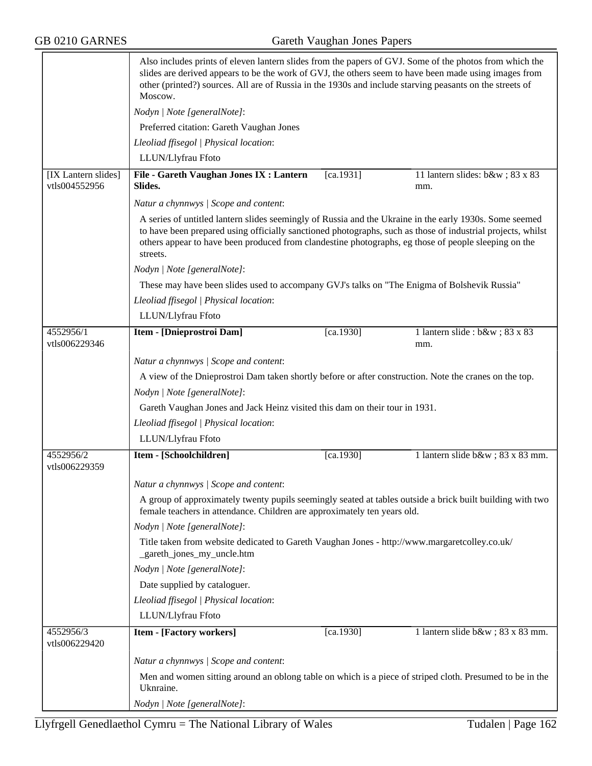|                                      | Also includes prints of eleven lantern slides from the papers of GVJ. Some of the photos from which the<br>slides are derived appears to be the work of GVJ, the others seem to have been made using images from<br>other (printed?) sources. All are of Russia in the 1930s and include starving peasants on the streets of<br>Moscow.    |           |                                        |  |
|--------------------------------------|--------------------------------------------------------------------------------------------------------------------------------------------------------------------------------------------------------------------------------------------------------------------------------------------------------------------------------------------|-----------|----------------------------------------|--|
|                                      | Nodyn   Note [generalNote]:                                                                                                                                                                                                                                                                                                                |           |                                        |  |
|                                      | Preferred citation: Gareth Vaughan Jones                                                                                                                                                                                                                                                                                                   |           |                                        |  |
|                                      | Lleoliad ffisegol   Physical location:                                                                                                                                                                                                                                                                                                     |           |                                        |  |
|                                      | LLUN/Llyfrau Ffoto                                                                                                                                                                                                                                                                                                                         |           |                                        |  |
| [IX Lantern slides]<br>vtls004552956 | File - Gareth Vaughan Jones IX : Lantern<br>Slides.                                                                                                                                                                                                                                                                                        | [ca.1931] | 11 lantern slides: b&w 83 x 83<br>mm.  |  |
|                                      | Natur a chynnwys / Scope and content:                                                                                                                                                                                                                                                                                                      |           |                                        |  |
|                                      | A series of untitled lantern slides seemingly of Russia and the Ukraine in the early 1930s. Some seemed<br>to have been prepared using officially sanctioned photographs, such as those of industrial projects, whilst<br>others appear to have been produced from clandestine photographs, eg those of people sleeping on the<br>streets. |           |                                        |  |
|                                      | Nodyn   Note [generalNote]:                                                                                                                                                                                                                                                                                                                |           |                                        |  |
|                                      | These may have been slides used to accompany GVJ's talks on "The Enigma of Bolshevik Russia"                                                                                                                                                                                                                                               |           |                                        |  |
|                                      | Lleoliad ffisegol   Physical location:                                                                                                                                                                                                                                                                                                     |           |                                        |  |
|                                      | LLUN/Llyfrau Ffoto                                                                                                                                                                                                                                                                                                                         |           |                                        |  |
| 4552956/1<br>vtls006229346           | Item - [Dnieprostroi Dam]                                                                                                                                                                                                                                                                                                                  | [ca.1930] | 1 lantern slide : b&w ; 83 x 83<br>mm. |  |
|                                      | Natur a chynnwys / Scope and content:                                                                                                                                                                                                                                                                                                      |           |                                        |  |
|                                      | A view of the Dnieprostroi Dam taken shortly before or after construction. Note the cranes on the top.                                                                                                                                                                                                                                     |           |                                        |  |
|                                      | Nodyn   Note [generalNote]:                                                                                                                                                                                                                                                                                                                |           |                                        |  |
|                                      | Gareth Vaughan Jones and Jack Heinz visited this dam on their tour in 1931.                                                                                                                                                                                                                                                                |           |                                        |  |
|                                      | Lleoliad ffisegol   Physical location:                                                                                                                                                                                                                                                                                                     |           |                                        |  |
|                                      | LLUN/Llyfrau Ffoto                                                                                                                                                                                                                                                                                                                         |           |                                        |  |
| 4552956/2<br>vtls006229359           | Item - [Schoolchildren]                                                                                                                                                                                                                                                                                                                    | [ca.1930] | 1 lantern slide b&w 83 x 83 mm.        |  |
|                                      | Natur a chynnwys / Scope and content:                                                                                                                                                                                                                                                                                                      |           |                                        |  |
|                                      | A group of approximately twenty pupils seemingly seated at tables outside a brick built building with two<br>female teachers in attendance. Children are approximately ten years old.                                                                                                                                                      |           |                                        |  |
|                                      | Nodyn   Note [generalNote]:                                                                                                                                                                                                                                                                                                                |           |                                        |  |
|                                      | Title taken from website dedicated to Gareth Vaughan Jones - http://www.margaretcolley.co.uk/<br>_gareth_jones_my_uncle.htm                                                                                                                                                                                                                |           |                                        |  |
|                                      | Nodyn   Note [generalNote]:                                                                                                                                                                                                                                                                                                                |           |                                        |  |
|                                      | Date supplied by cataloguer.                                                                                                                                                                                                                                                                                                               |           |                                        |  |
|                                      | Lleoliad ffisegol   Physical location:                                                                                                                                                                                                                                                                                                     |           |                                        |  |
|                                      | LLUN/Llyfrau Ffoto                                                                                                                                                                                                                                                                                                                         |           |                                        |  |
| 4552956/3<br>vtls006229420           | <b>Item - [Factory workers]</b>                                                                                                                                                                                                                                                                                                            | [ca.1930] | 1 lantern slide b&w 83 x 83 mm.        |  |
|                                      | Natur a chynnwys / Scope and content:                                                                                                                                                                                                                                                                                                      |           |                                        |  |
|                                      | Men and women sitting around an oblong table on which is a piece of striped cloth. Presumed to be in the<br>Uknraine.                                                                                                                                                                                                                      |           |                                        |  |
|                                      | Nodyn   Note [generalNote]:                                                                                                                                                                                                                                                                                                                |           |                                        |  |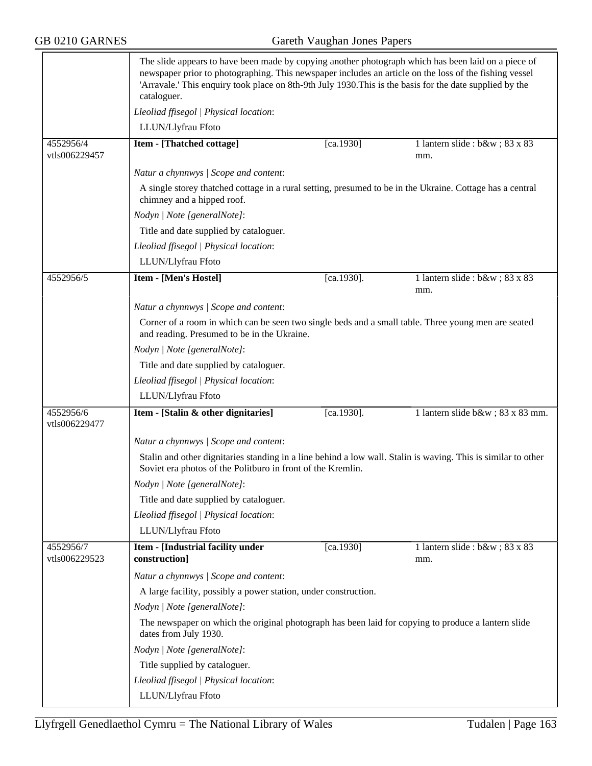|                            | The slide appears to have been made by copying another photograph which has been laid on a piece of<br>newspaper prior to photographing. This newspaper includes an article on the loss of the fishing vessel<br>'Arravale.' This enquiry took place on 8th-9th July 1930. This is the basis for the date supplied by the<br>cataloguer. |               |                                        |  |
|----------------------------|------------------------------------------------------------------------------------------------------------------------------------------------------------------------------------------------------------------------------------------------------------------------------------------------------------------------------------------|---------------|----------------------------------------|--|
|                            | Lleoliad ffisegol   Physical location:                                                                                                                                                                                                                                                                                                   |               |                                        |  |
|                            | LLUN/Llyfrau Ffoto                                                                                                                                                                                                                                                                                                                       |               |                                        |  |
| 4552956/4<br>vtls006229457 | Item - [Thatched cottage]                                                                                                                                                                                                                                                                                                                | $[ca.1930]$   | 1 lantern slide : b&w ; 83 x 83<br>mm. |  |
|                            | Natur a chynnwys / Scope and content:                                                                                                                                                                                                                                                                                                    |               |                                        |  |
|                            | A single storey thatched cottage in a rural setting, presumed to be in the Ukraine. Cottage has a central<br>chimney and a hipped roof.                                                                                                                                                                                                  |               |                                        |  |
|                            | Nodyn   Note [generalNote]:                                                                                                                                                                                                                                                                                                              |               |                                        |  |
|                            | Title and date supplied by cataloguer.                                                                                                                                                                                                                                                                                                   |               |                                        |  |
|                            | Lleoliad ffisegol   Physical location:                                                                                                                                                                                                                                                                                                   |               |                                        |  |
|                            | LLUN/Llyfrau Ffoto                                                                                                                                                                                                                                                                                                                       |               |                                        |  |
| 4552956/5                  | Item - [Men's Hostel]                                                                                                                                                                                                                                                                                                                    | $[ca.1930]$ . | 1 lantern slide : b&w ; 83 x 83<br>mm. |  |
|                            | Natur a chynnwys / Scope and content:                                                                                                                                                                                                                                                                                                    |               |                                        |  |
|                            | Corner of a room in which can be seen two single beds and a small table. Three young men are seated<br>and reading. Presumed to be in the Ukraine.                                                                                                                                                                                       |               |                                        |  |
|                            | Nodyn   Note [generalNote]:                                                                                                                                                                                                                                                                                                              |               |                                        |  |
|                            | Title and date supplied by cataloguer.                                                                                                                                                                                                                                                                                                   |               |                                        |  |
|                            | Lleoliad ffisegol   Physical location:                                                                                                                                                                                                                                                                                                   |               |                                        |  |
|                            | LLUN/Llyfrau Ffoto                                                                                                                                                                                                                                                                                                                       |               |                                        |  |
| 4552956/6<br>vtls006229477 | Item - [Stalin & other dignitaries]                                                                                                                                                                                                                                                                                                      | $[ca.1930]$ . | 1 lantern slide b&w 83 x 83 mm.        |  |
|                            | Natur a chynnwys / Scope and content:                                                                                                                                                                                                                                                                                                    |               |                                        |  |
|                            | Stalin and other dignitaries standing in a line behind a low wall. Stalin is waving. This is similar to other<br>Soviet era photos of the Politburo in front of the Kremlin.                                                                                                                                                             |               |                                        |  |
|                            | Nodyn   Note [generalNote]:                                                                                                                                                                                                                                                                                                              |               |                                        |  |
|                            | Title and date supplied by cataloguer.                                                                                                                                                                                                                                                                                                   |               |                                        |  |
|                            | Lleoliad ffisegol   Physical location:                                                                                                                                                                                                                                                                                                   |               |                                        |  |
|                            | LLUN/Llyfrau Ffoto                                                                                                                                                                                                                                                                                                                       |               |                                        |  |
| 4552956/7<br>vtls006229523 | Item - [Industrial facility under<br>construction]                                                                                                                                                                                                                                                                                       | $[ca.1930]$   | 1 lantern slide : b&w ; 83 x 83<br>mm. |  |
|                            | Natur a chynnwys / Scope and content:                                                                                                                                                                                                                                                                                                    |               |                                        |  |
|                            | A large facility, possibly a power station, under construction.                                                                                                                                                                                                                                                                          |               |                                        |  |
|                            | Nodyn   Note [generalNote]:                                                                                                                                                                                                                                                                                                              |               |                                        |  |
|                            | The newspaper on which the original photograph has been laid for copying to produce a lantern slide<br>dates from July 1930.                                                                                                                                                                                                             |               |                                        |  |
|                            | Nodyn   Note [generalNote]:                                                                                                                                                                                                                                                                                                              |               |                                        |  |
|                            | Title supplied by cataloguer.                                                                                                                                                                                                                                                                                                            |               |                                        |  |
|                            | Lleoliad ffisegol   Physical location:                                                                                                                                                                                                                                                                                                   |               |                                        |  |
|                            | LLUN/Llyfrau Ffoto                                                                                                                                                                                                                                                                                                                       |               |                                        |  |